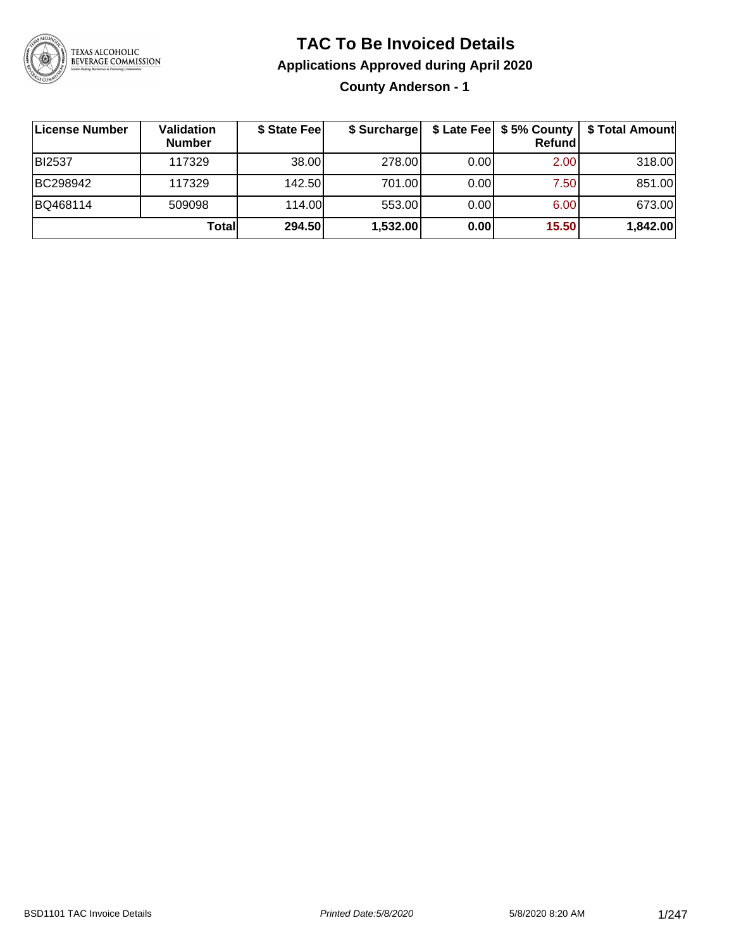

# **TAC To Be Invoiced Details**

**Applications Approved during April 2020**

**County Anderson - 1**

| ∣License Number | Validation<br><b>Number</b> | \$ State Fee | \$ Surcharge |      | $$$ Late Fee $$$ 5% County  <br><b>Refund</b> | \$ Total Amount |
|-----------------|-----------------------------|--------------|--------------|------|-----------------------------------------------|-----------------|
| <b>BI2537</b>   | 117329                      | 38.00        | 278.00       | 0.00 | 2.00                                          | 318.00          |
| BC298942        | 117329                      | 142.50       | 701.00       | 0.00 | 7.50                                          | 851.00          |
| BQ468114        | 509098                      | 114.00       | 553.00       | 0.00 | 6.00                                          | 673.00          |
|                 | Totall                      | 294.50       | 1,532.00     | 0.00 | 15.50                                         | 1,842.00        |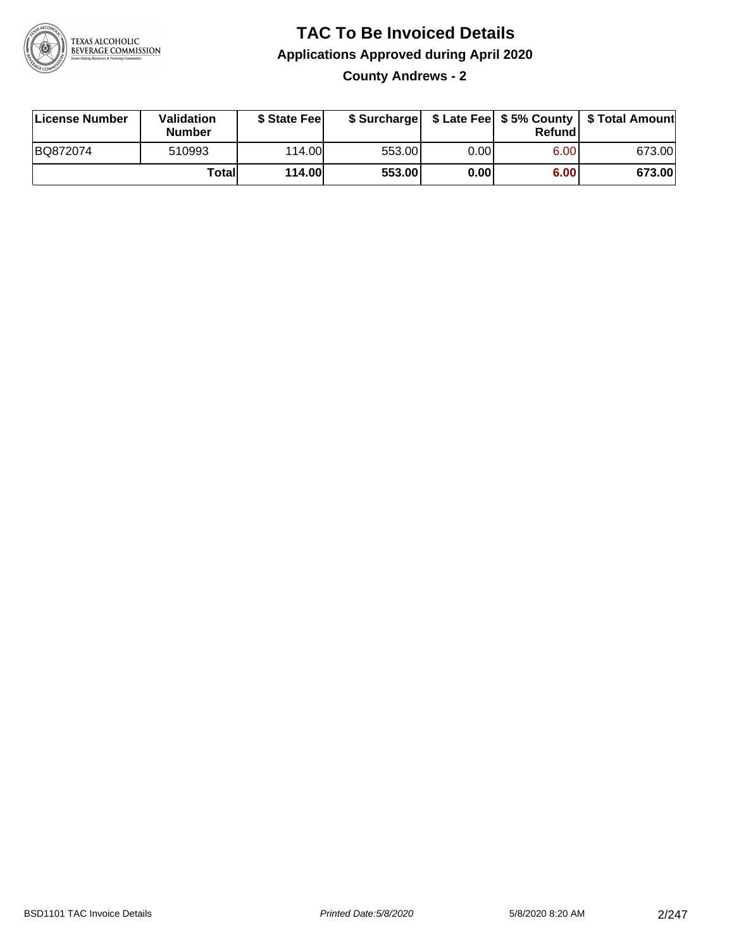

**County Andrews - 2**

| License Number | Validation<br><b>Number</b> | \$ State Feel | \$ Surcharge |      | Refund | \$ Late Fee   \$5% County   \$ Total Amount |
|----------------|-----------------------------|---------------|--------------|------|--------|---------------------------------------------|
| BQ872074       | 510993                      | 114.00L       | 553.00       | 0.00 | 6.00   | 673.00                                      |
|                | Totall                      | <b>114.00</b> | 553.00       | 0.00 | 6.00   | 673.00                                      |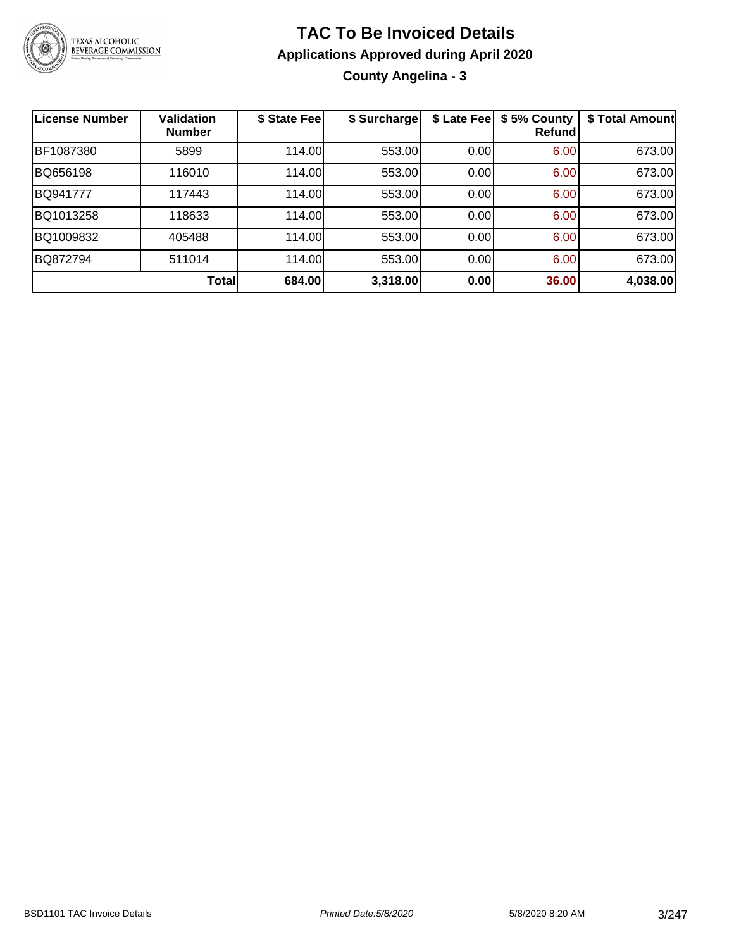

### **TAC To Be Invoiced Details Applications Approved during April 2020 County Angelina - 3**

| <b>License Number</b> | <b>Validation</b><br><b>Number</b> | \$ State Fee | \$ Surcharge | \$ Late Fee | \$5% County<br>Refundl | \$ Total Amount |
|-----------------------|------------------------------------|--------------|--------------|-------------|------------------------|-----------------|
| BF1087380             | 5899                               | 114.00       | 553.00       | 0.00        | 6.00                   | 673.00          |
| BQ656198              | 116010                             | 114.00       | 553.00       | 0.00        | 6.00                   | 673.00          |
| BQ941777              | 117443                             | 114.00       | 553.00       | 0.00        | 6.00                   | 673.00          |
| BQ1013258             | 118633                             | 114.00       | 553.00       | 0.00        | 6.00                   | 673.00          |
| BQ1009832             | 405488                             | 114.00       | 553.00       | 0.00        | 6.00                   | 673.00          |
| BQ872794              | 511014                             | 114.00       | 553.00       | 0.00        | 6.00                   | 673.00          |
|                       | <b>Total</b>                       | 684.00       | 3,318.00     | 0.00        | 36.00                  | 4,038.00        |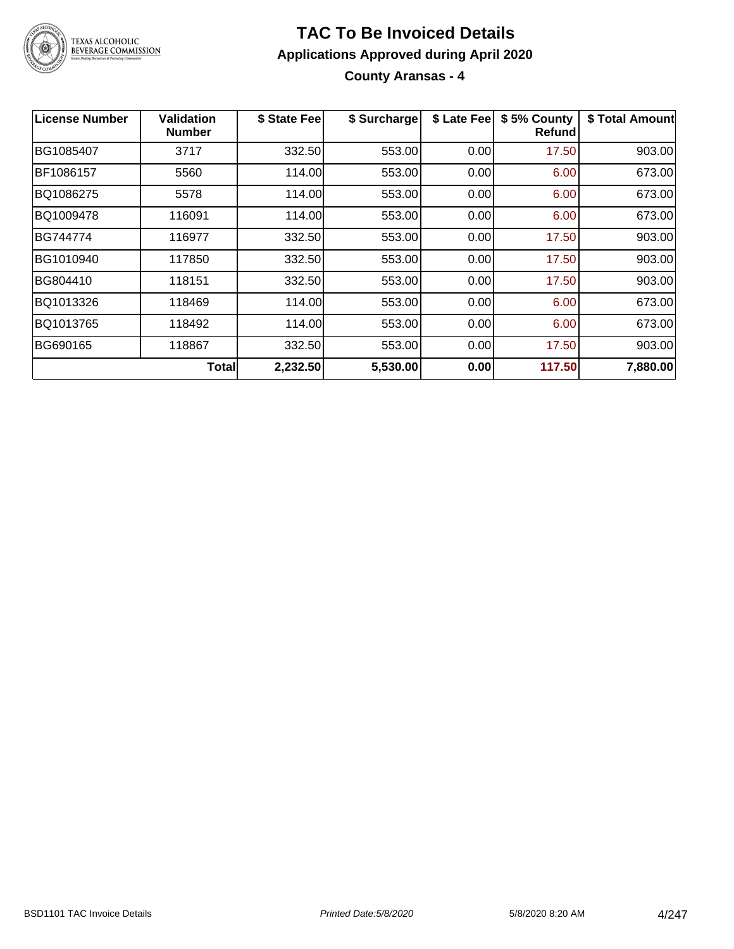

**County Aransas - 4**

| <b>License Number</b> | Validation<br><b>Number</b> | \$ State Fee | \$ Surcharge | \$ Late Fee | \$5% County<br><b>Refund</b> | \$ Total Amount |
|-----------------------|-----------------------------|--------------|--------------|-------------|------------------------------|-----------------|
| BG1085407             | 3717                        | 332.50       | 553.00       | 0.00        | 17.50                        | 903.00          |
| BF1086157             | 5560                        | 114.00       | 553.00       | 0.00        | 6.00                         | 673.00          |
| BQ1086275             | 5578                        | 114.00       | 553.00       | 0.00        | 6.00                         | 673.00          |
| BQ1009478             | 116091                      | 114.00       | 553.00       | 0.00        | 6.00                         | 673.00          |
| BG744774              | 116977                      | 332.50       | 553.00       | 0.00        | 17.50                        | 903.00          |
| BG1010940             | 117850                      | 332.50       | 553.00       | 0.00        | 17.50                        | 903.00          |
| BG804410              | 118151                      | 332.50       | 553.00       | 0.00        | 17.50                        | 903.00          |
| BQ1013326             | 118469                      | 114.00       | 553.00       | 0.00        | 6.00                         | 673.00          |
| BQ1013765             | 118492                      | 114.00       | 553.00       | 0.00        | 6.00                         | 673.00          |
| BG690165              | 118867                      | 332.50       | 553.00       | 0.00        | 17.50                        | 903.00          |
|                       | Total                       | 2,232.50     | 5,530.00     | 0.00        | 117.50                       | 7,880.00        |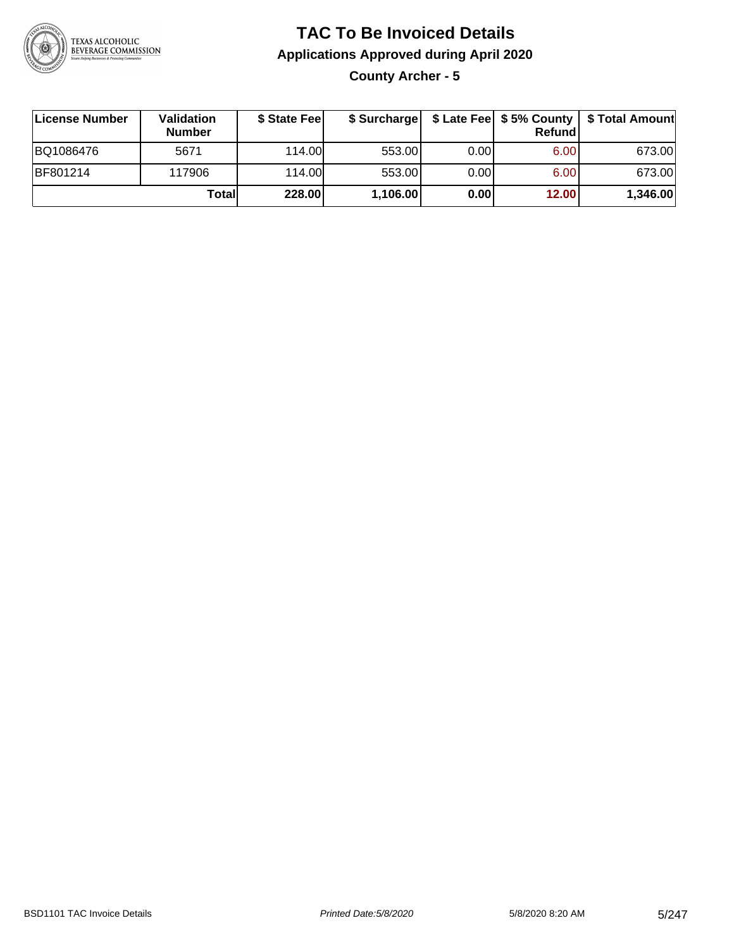

**County Archer - 5**

| License Number | <b>Validation</b><br><b>Number</b> | \$ State Fee | \$ Surcharge |       | Refundl | \$ Late Fee   \$5% County   \$ Total Amount |
|----------------|------------------------------------|--------------|--------------|-------|---------|---------------------------------------------|
| BQ1086476      | 5671                               | 114.00       | 553.00       | 0.001 | 6.00    | 673.00                                      |
| BF801214       | 117906                             | 114.00       | 553.00       | 0.001 | 6.00    | 673.00                                      |
|                | Totall                             | 228.00       | 1,106.00     | 0.00  | 12.00   | 1,346.00                                    |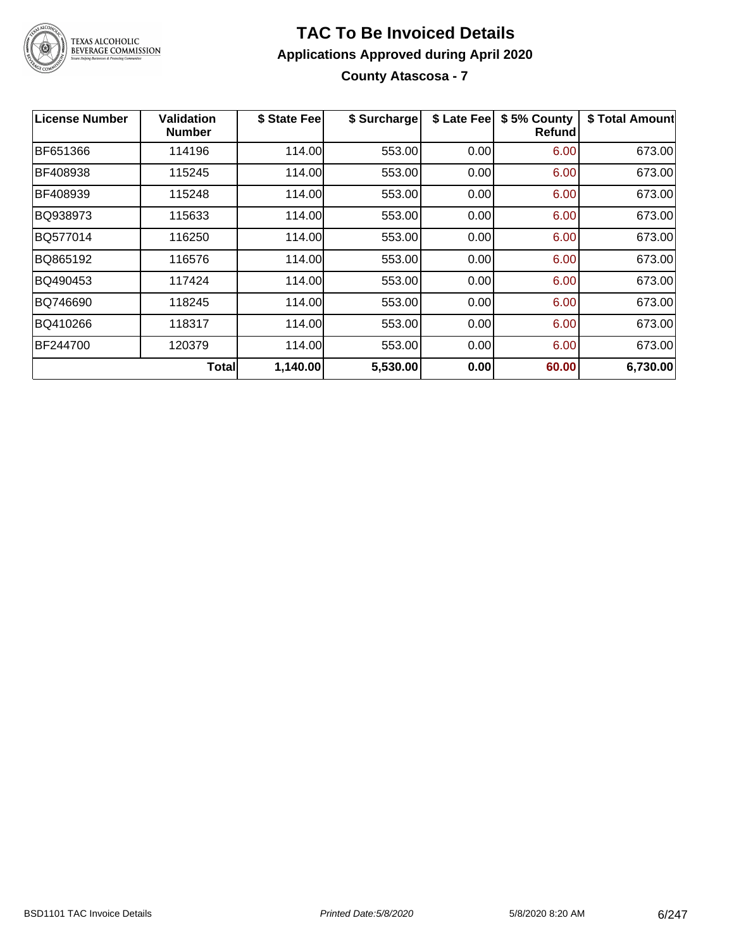

**County Atascosa - 7**

| <b>License Number</b> | Validation<br><b>Number</b> | \$ State Fee | \$ Surcharge | \$ Late Fee | \$5% County<br>Refund | \$ Total Amount |
|-----------------------|-----------------------------|--------------|--------------|-------------|-----------------------|-----------------|
| BF651366              | 114196                      | 114.00       | 553.00       | 0.00        | 6.00                  | 673.00          |
| BF408938              | 115245                      | 114.00       | 553.00       | 0.00        | 6.00                  | 673.00          |
| BF408939              | 115248                      | 114.00       | 553.00       | 0.00        | 6.00                  | 673.00          |
| BQ938973              | 115633                      | 114.00       | 553.00       | 0.00        | 6.00                  | 673.00          |
| BQ577014              | 116250                      | 114.00       | 553.00       | 0.00        | 6.00                  | 673.00          |
| BQ865192              | 116576                      | 114.00       | 553.00       | 0.00        | 6.00                  | 673.00          |
| BQ490453              | 117424                      | 114.00       | 553.00       | 0.00        | 6.00                  | 673.00          |
| BQ746690              | 118245                      | 114.00       | 553.00       | 0.00        | 6.00                  | 673.00          |
| BQ410266              | 118317                      | 114.00       | 553.00       | 0.00        | 6.00                  | 673.00          |
| BF244700              | 120379                      | 114.00       | 553.00       | 0.00        | 6.00                  | 673.00          |
|                       | <b>Total</b>                | 1,140.00     | 5,530.00     | 0.00        | 60.00                 | 6,730.00        |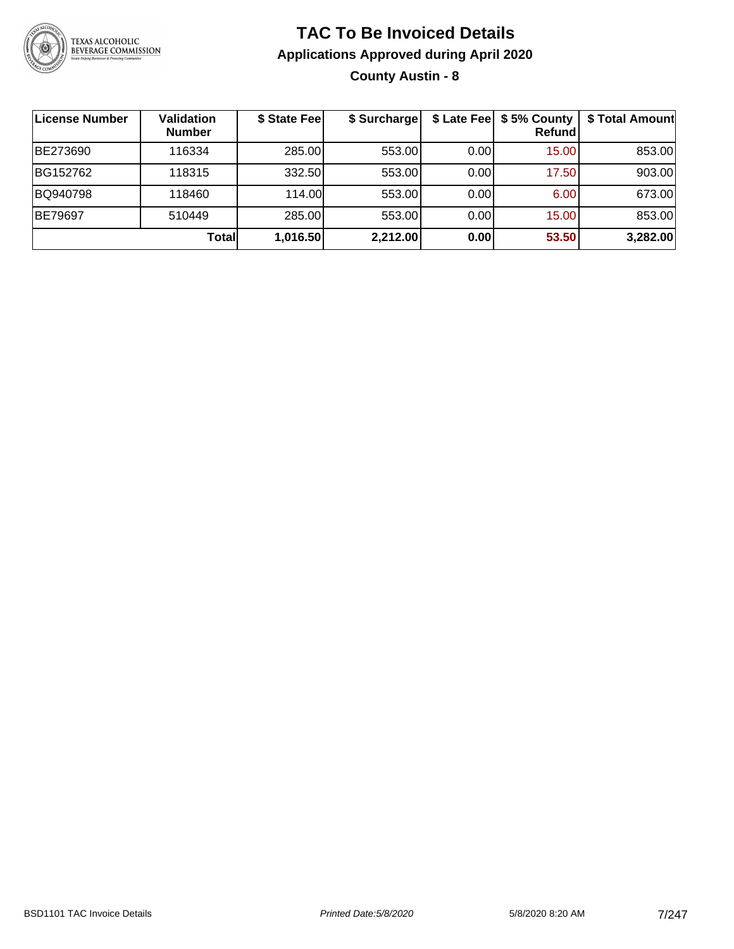

### **TAC To Be Invoiced Details Applications Approved during April 2020 County Austin - 8**

| ∣License Number | Validation<br><b>Number</b> | \$ State Fee | \$ Surcharge |      | \$ Late Fee   \$5% County<br>Refundl | \$ Total Amount |
|-----------------|-----------------------------|--------------|--------------|------|--------------------------------------|-----------------|
| BE273690        | 116334                      | 285.00       | 553.00       | 0.00 | 15.00                                | 853.00          |
| BG152762        | 118315                      | 332.50       | 553.00       | 0.00 | 17.50                                | 903.00          |
| BQ940798        | 118460                      | 114.00L      | 553.00       | 0.00 | 6.00                                 | 673.00          |
| BE79697         | 510449                      | 285.00       | 553.00       | 0.00 | 15.00                                | 853.00          |
|                 | Total                       | 1,016.50     | 2,212.00     | 0.00 | 53.50                                | 3,282.00        |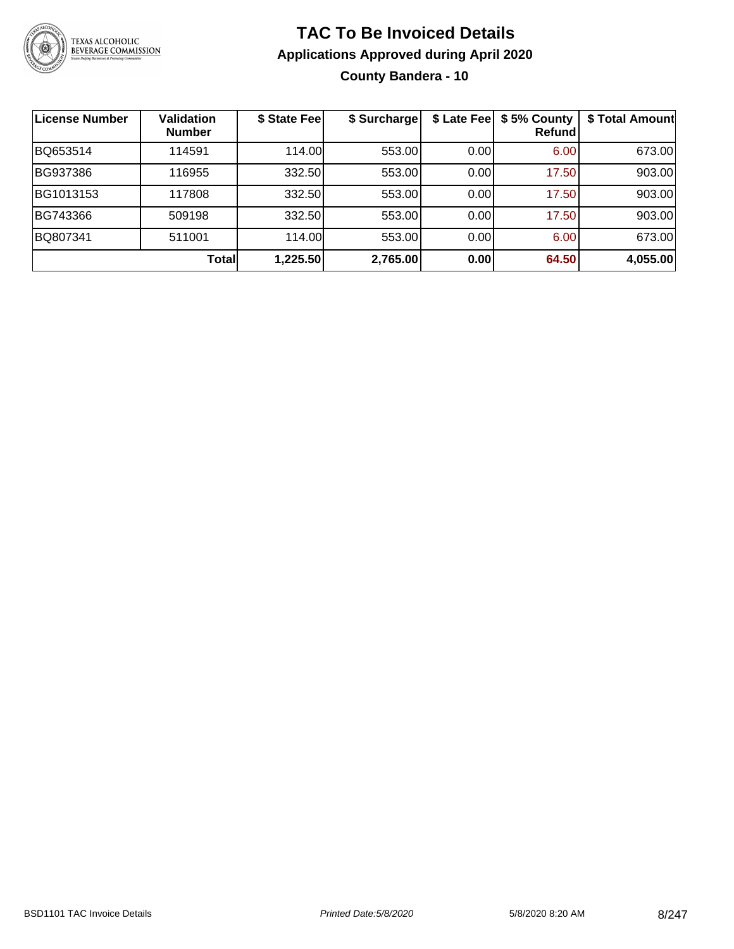

### **TAC To Be Invoiced Details Applications Approved during April 2020 County Bandera - 10**

| License Number | <b>Validation</b><br><b>Number</b> | \$ State Fee | \$ Surcharge |      | \$ Late Fee   \$5% County<br><b>Refund</b> | \$ Total Amount |
|----------------|------------------------------------|--------------|--------------|------|--------------------------------------------|-----------------|
| BQ653514       | 114591                             | 114.00       | 553.00       | 0.00 | 6.00                                       | 673.00          |
| BG937386       | 116955                             | 332.50       | 553.00       | 0.00 | 17.50                                      | 903.00          |
| BG1013153      | 117808                             | 332.50       | 553.00       | 0.00 | 17.50                                      | 903.00          |
| BG743366       | 509198                             | 332.50       | 553.00       | 0.00 | 17.50                                      | 903.00          |
| BQ807341       | 511001                             | 114.00       | 553.00       | 0.00 | 6.00                                       | 673.00          |
|                | Total                              | 1,225.50     | 2,765.00     | 0.00 | 64.50                                      | 4,055.00        |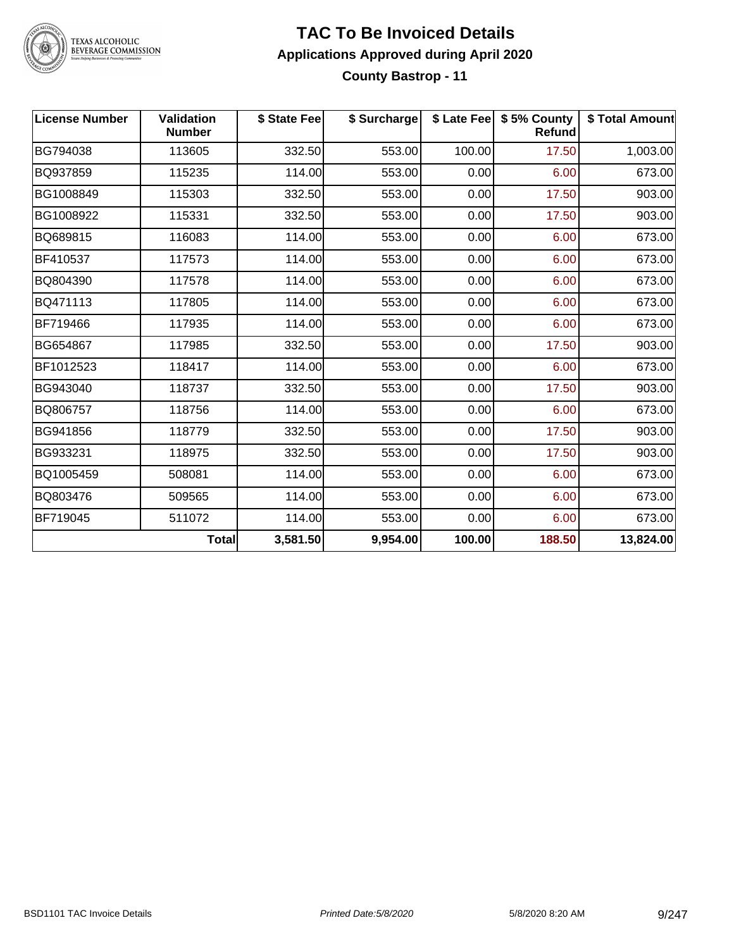

#### **TAC To Be Invoiced Details Applications Approved during April 2020 County Bastrop - 11**

| <b>License Number</b> | Validation<br><b>Number</b> | \$ State Fee | \$ Surcharge |        | \$ Late Fee   \$5% County<br><b>Refund</b> | \$ Total Amount |
|-----------------------|-----------------------------|--------------|--------------|--------|--------------------------------------------|-----------------|
| BG794038              | 113605                      | 332.50       | 553.00       | 100.00 | 17.50                                      | 1,003.00        |
| BQ937859              | 115235                      | 114.00       | 553.00       | 0.00   | 6.00                                       | 673.00          |
| BG1008849             | 115303                      | 332.50       | 553.00       | 0.00   | 17.50                                      | 903.00          |
| BG1008922             | 115331                      | 332.50       | 553.00       | 0.00   | 17.50                                      | 903.00          |
| BQ689815              | 116083                      | 114.00       | 553.00       | 0.00   | 6.00                                       | 673.00          |
| BF410537              | 117573                      | 114.00       | 553.00       | 0.00   | 6.00                                       | 673.00          |
| BQ804390              | 117578                      | 114.00       | 553.00       | 0.00   | 6.00                                       | 673.00          |
| BQ471113              | 117805                      | 114.00       | 553.00       | 0.00   | 6.00                                       | 673.00          |
| BF719466              | 117935                      | 114.00       | 553.00       | 0.00   | 6.00                                       | 673.00          |
| BG654867              | 117985                      | 332.50       | 553.00       | 0.00   | 17.50                                      | 903.00          |
| BF1012523             | 118417                      | 114.00       | 553.00       | 0.00   | 6.00                                       | 673.00          |
| BG943040              | 118737                      | 332.50       | 553.00       | 0.00   | 17.50                                      | 903.00          |
| BQ806757              | 118756                      | 114.00       | 553.00       | 0.00   | 6.00                                       | 673.00          |
| BG941856              | 118779                      | 332.50       | 553.00       | 0.00   | 17.50                                      | 903.00          |
| BG933231              | 118975                      | 332.50       | 553.00       | 0.00   | 17.50                                      | 903.00          |
| BQ1005459             | 508081                      | 114.00       | 553.00       | 0.00   | 6.00                                       | 673.00          |
| BQ803476              | 509565                      | 114.00       | 553.00       | 0.00   | 6.00                                       | 673.00          |
| BF719045              | 511072                      | 114.00       | 553.00       | 0.00   | 6.00                                       | 673.00          |
|                       | <b>Total</b>                | 3,581.50     | 9,954.00     | 100.00 | 188.50                                     | 13,824.00       |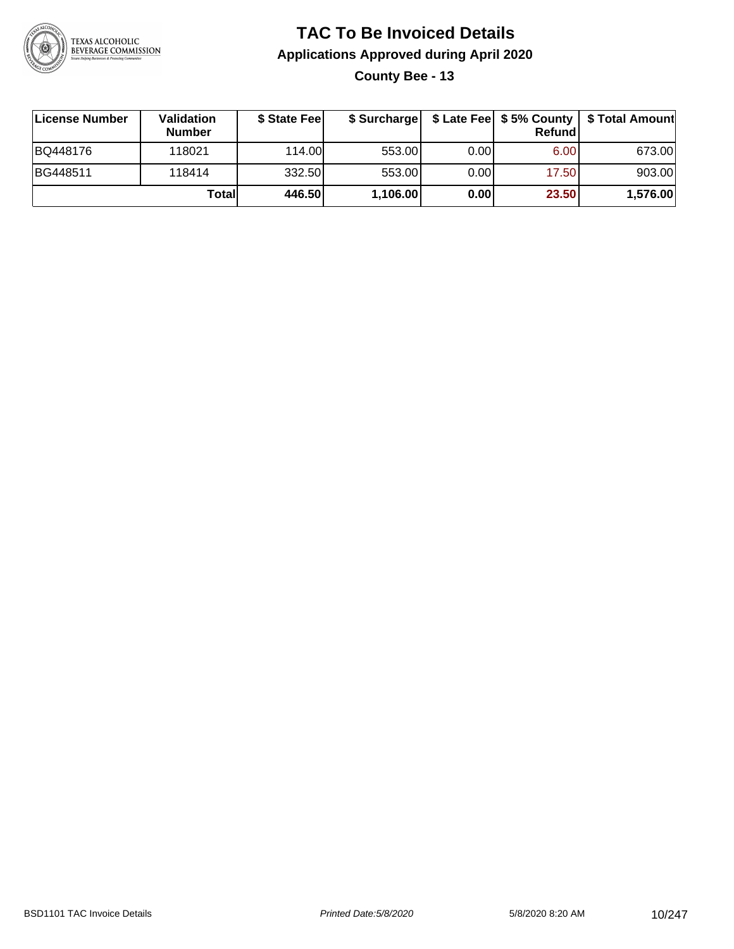

**County Bee - 13**

| License Number | Validation<br><b>Number</b> | \$ State Fee | \$ Surcharge |       | Refundl | \$ Late Fee   \$5% County   \$ Total Amount |
|----------------|-----------------------------|--------------|--------------|-------|---------|---------------------------------------------|
| BQ448176       | 118021                      | 114.00L      | 553.00       | 0.00  | 6.00    | 673.00                                      |
| BG448511       | 118414                      | 332.50       | 553.00       | 0.001 | 17.50   | 903.00                                      |
|                | Totall                      | 446.50       | 1,106.00     | 0.00  | 23.50   | 1,576.00                                    |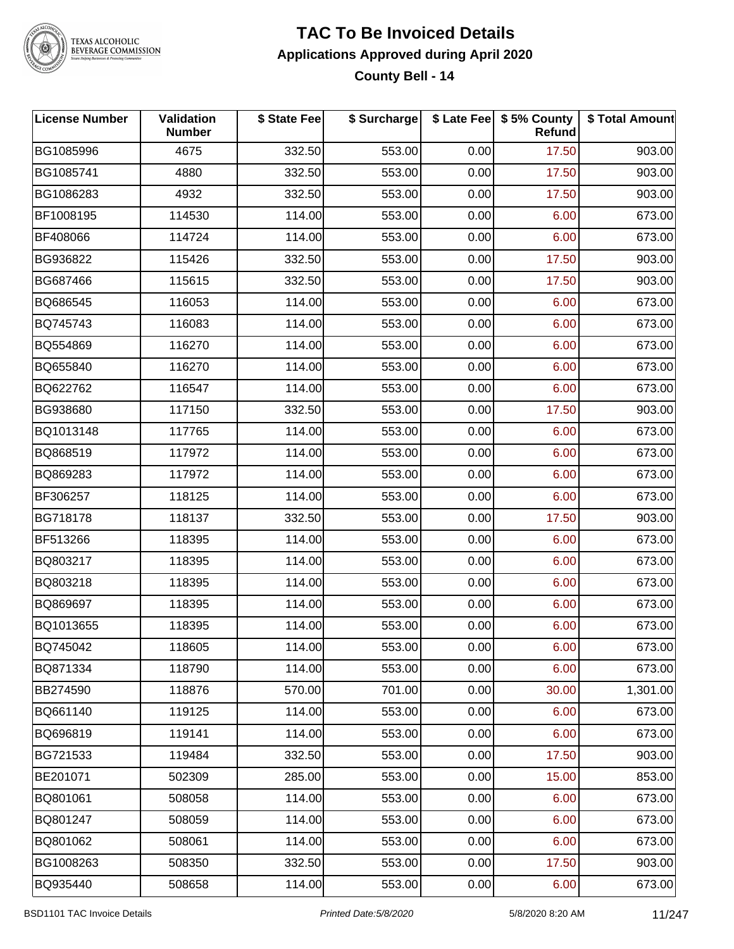

#### **TAC To Be Invoiced Details Applications Approved during April 2020 County Bell - 14**

| <b>License Number</b> | Validation<br><b>Number</b> | \$ State Fee | \$ Surcharge |      | \$ Late Fee   \$5% County<br>Refund | \$ Total Amount |
|-----------------------|-----------------------------|--------------|--------------|------|-------------------------------------|-----------------|
| BG1085996             | 4675                        | 332.50       | 553.00       | 0.00 | 17.50                               | 903.00          |
| BG1085741             | 4880                        | 332.50       | 553.00       | 0.00 | 17.50                               | 903.00          |
| BG1086283             | 4932                        | 332.50       | 553.00       | 0.00 | 17.50                               | 903.00          |
| BF1008195             | 114530                      | 114.00       | 553.00       | 0.00 | 6.00                                | 673.00          |
| BF408066              | 114724                      | 114.00       | 553.00       | 0.00 | 6.00                                | 673.00          |
| BG936822              | 115426                      | 332.50       | 553.00       | 0.00 | 17.50                               | 903.00          |
| BG687466              | 115615                      | 332.50       | 553.00       | 0.00 | 17.50                               | 903.00          |
| BQ686545              | 116053                      | 114.00       | 553.00       | 0.00 | 6.00                                | 673.00          |
| BQ745743              | 116083                      | 114.00       | 553.00       | 0.00 | 6.00                                | 673.00          |
| BQ554869              | 116270                      | 114.00       | 553.00       | 0.00 | 6.00                                | 673.00          |
| BQ655840              | 116270                      | 114.00       | 553.00       | 0.00 | 6.00                                | 673.00          |
| BQ622762              | 116547                      | 114.00       | 553.00       | 0.00 | 6.00                                | 673.00          |
| BG938680              | 117150                      | 332.50       | 553.00       | 0.00 | 17.50                               | 903.00          |
| BQ1013148             | 117765                      | 114.00       | 553.00       | 0.00 | 6.00                                | 673.00          |
| BQ868519              | 117972                      | 114.00       | 553.00       | 0.00 | 6.00                                | 673.00          |
| BQ869283              | 117972                      | 114.00       | 553.00       | 0.00 | 6.00                                | 673.00          |
| BF306257              | 118125                      | 114.00       | 553.00       | 0.00 | 6.00                                | 673.00          |
| BG718178              | 118137                      | 332.50       | 553.00       | 0.00 | 17.50                               | 903.00          |
| BF513266              | 118395                      | 114.00       | 553.00       | 0.00 | 6.00                                | 673.00          |
| BQ803217              | 118395                      | 114.00       | 553.00       | 0.00 | 6.00                                | 673.00          |
| BQ803218              | 118395                      | 114.00       | 553.00       | 0.00 | 6.00                                | 673.00          |
| BQ869697              | 118395                      | 114.00       | 553.00       | 0.00 | 6.00                                | 673.00          |
| BQ1013655             | 118395                      | 114.00       | 553.00       | 0.00 | 6.00                                | 673.00          |
| BQ745042              | 118605                      | 114.00       | 553.00       | 0.00 | 6.00                                | 673.00          |
| BQ871334              | 118790                      | 114.00       | 553.00       | 0.00 | 6.00                                | 673.00          |
| BB274590              | 118876                      | 570.00       | 701.00       | 0.00 | 30.00                               | 1,301.00        |
| BQ661140              | 119125                      | 114.00       | 553.00       | 0.00 | 6.00                                | 673.00          |
| BQ696819              | 119141                      | 114.00       | 553.00       | 0.00 | 6.00                                | 673.00          |
| BG721533              | 119484                      | 332.50       | 553.00       | 0.00 | 17.50                               | 903.00          |
| BE201071              | 502309                      | 285.00       | 553.00       | 0.00 | 15.00                               | 853.00          |
| BQ801061              | 508058                      | 114.00       | 553.00       | 0.00 | 6.00                                | 673.00          |
| BQ801247              | 508059                      | 114.00       | 553.00       | 0.00 | 6.00                                | 673.00          |
| BQ801062              | 508061                      | 114.00       | 553.00       | 0.00 | 6.00                                | 673.00          |
| BG1008263             | 508350                      | 332.50       | 553.00       | 0.00 | 17.50                               | 903.00          |
| BQ935440              | 508658                      | 114.00       | 553.00       | 0.00 | 6.00                                | 673.00          |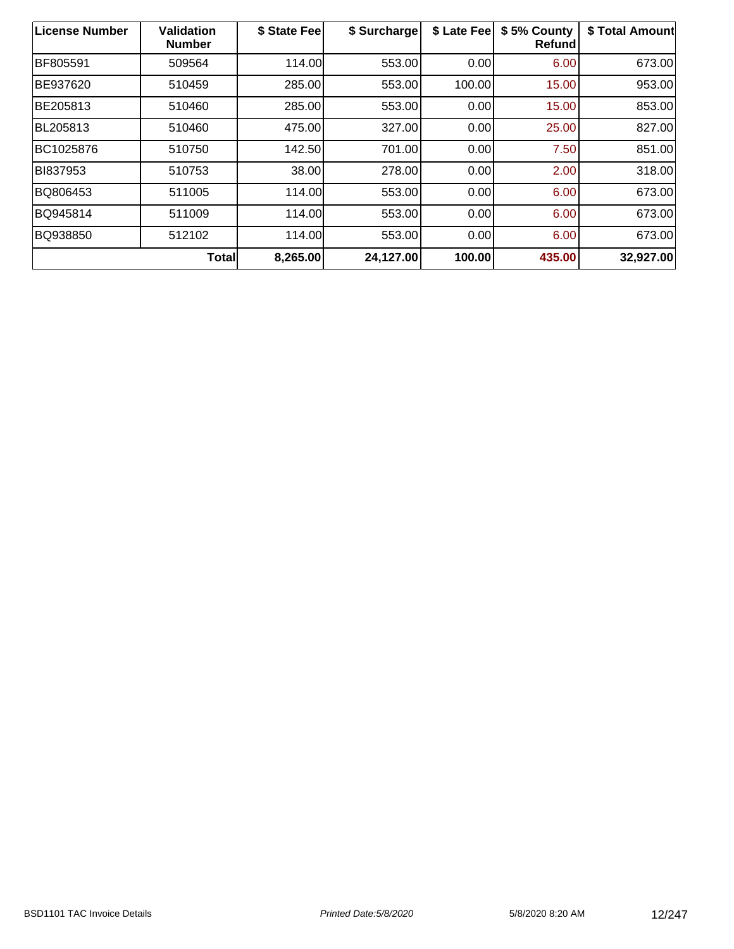| License Number | <b>Validation</b><br><b>Number</b> | \$ State Fee | \$ Surcharge | \$ Late Fee | \$5% County<br><b>Refund</b> | \$ Total Amount |
|----------------|------------------------------------|--------------|--------------|-------------|------------------------------|-----------------|
| BF805591       | 509564                             | 114.00       | 553.00       | 0.00        | 6.00                         | 673.00          |
| BE937620       | 510459                             | 285.00       | 553.00       | 100.00      | 15.00                        | 953.00          |
| BE205813       | 510460                             | 285.00       | 553.00       | 0.00        | 15.00                        | 853.00          |
| BL205813       | 510460                             | 475.00       | 327.00       | 0.00        | 25.00                        | 827.00          |
| BC1025876      | 510750                             | 142.50       | 701.00       | 0.00        | 7.50                         | 851.00          |
| BI837953       | 510753                             | 38.00        | 278.00       | 0.00        | 2.00                         | 318.00          |
| BQ806453       | 511005                             | 114.00       | 553.00       | 0.00        | 6.00                         | 673.00          |
| BQ945814       | 511009                             | 114.00       | 553.00       | 0.00        | 6.00                         | 673.00          |
| BQ938850       | 512102                             | 114.00       | 553.00       | 0.00        | 6.00                         | 673.00          |
|                | <b>Total</b>                       | 8,265.00     | 24,127.00    | 100.00      | 435.00                       | 32,927.00       |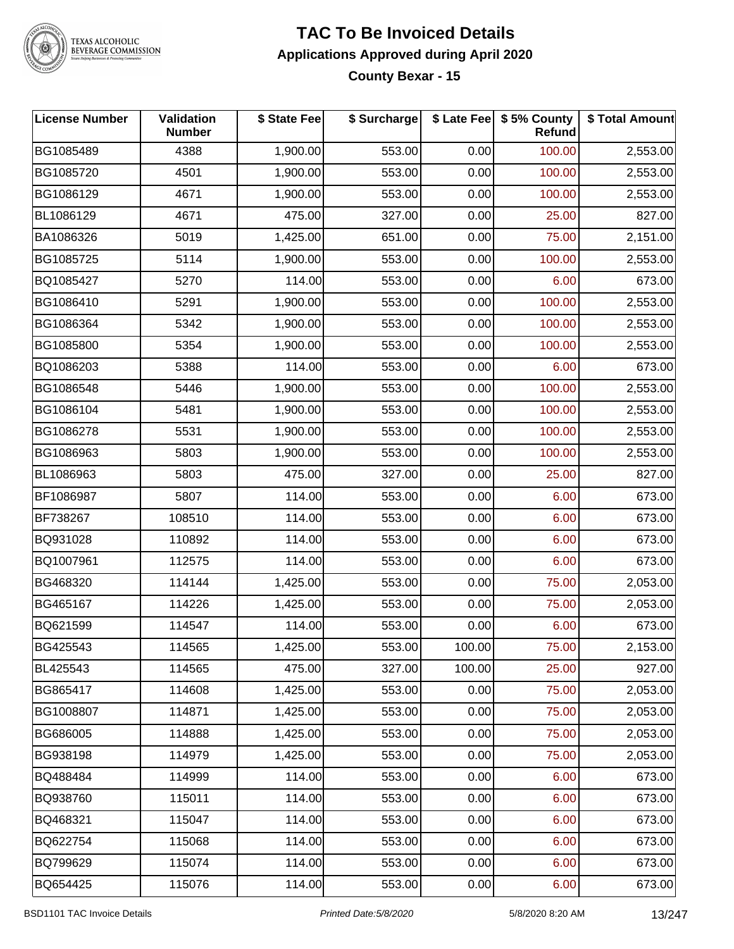

#### **TAC To Be Invoiced Details Applications Approved during April 2020 County Bexar - 15**

| License Number | Validation<br><b>Number</b> | \$ State Fee | \$ Surcharge |        | \$ Late Fee \$ 5% County<br>Refund | \$ Total Amount |
|----------------|-----------------------------|--------------|--------------|--------|------------------------------------|-----------------|
| BG1085489      | 4388                        | 1,900.00     | 553.00       | 0.00   | 100.00                             | 2,553.00        |
| BG1085720      | 4501                        | 1,900.00     | 553.00       | 0.00   | 100.00                             | 2,553.00        |
| BG1086129      | 4671                        | 1,900.00     | 553.00       | 0.00   | 100.00                             | 2,553.00        |
| BL1086129      | 4671                        | 475.00       | 327.00       | 0.00   | 25.00                              | 827.00          |
| BA1086326      | 5019                        | 1,425.00     | 651.00       | 0.00   | 75.00                              | 2,151.00        |
| BG1085725      | 5114                        | 1,900.00     | 553.00       | 0.00   | 100.00                             | 2,553.00        |
| BQ1085427      | 5270                        | 114.00       | 553.00       | 0.00   | 6.00                               | 673.00          |
| BG1086410      | 5291                        | 1,900.00     | 553.00       | 0.00   | 100.00                             | 2,553.00        |
| BG1086364      | 5342                        | 1,900.00     | 553.00       | 0.00   | 100.00                             | 2,553.00        |
| BG1085800      | 5354                        | 1,900.00     | 553.00       | 0.00   | 100.00                             | 2,553.00        |
| BQ1086203      | 5388                        | 114.00       | 553.00       | 0.00   | 6.00                               | 673.00          |
| BG1086548      | 5446                        | 1,900.00     | 553.00       | 0.00   | 100.00                             | 2,553.00        |
| BG1086104      | 5481                        | 1,900.00     | 553.00       | 0.00   | 100.00                             | 2,553.00        |
| BG1086278      | 5531                        | 1,900.00     | 553.00       | 0.00   | 100.00                             | 2,553.00        |
| BG1086963      | 5803                        | 1,900.00     | 553.00       | 0.00   | 100.00                             | 2,553.00        |
| BL1086963      | 5803                        | 475.00       | 327.00       | 0.00   | 25.00                              | 827.00          |
| BF1086987      | 5807                        | 114.00       | 553.00       | 0.00   | 6.00                               | 673.00          |
| BF738267       | 108510                      | 114.00       | 553.00       | 0.00   | 6.00                               | 673.00          |
| BQ931028       | 110892                      | 114.00       | 553.00       | 0.00   | 6.00                               | 673.00          |
| BQ1007961      | 112575                      | 114.00       | 553.00       | 0.00   | 6.00                               | 673.00          |
| BG468320       | 114144                      | 1,425.00     | 553.00       | 0.00   | 75.00                              | 2,053.00        |
| BG465167       | 114226                      | 1,425.00     | 553.00       | 0.00   | 75.00                              | 2,053.00        |
| BQ621599       | 114547                      | 114.00       | 553.00       | 0.00   | 6.00                               | 673.00          |
| BG425543       | 114565                      | 1,425.00     | 553.00       | 100.00 | 75.00                              | 2,153.00        |
| BL425543       | 114565                      | 475.00       | 327.00       | 100.00 | 25.00                              | 927.00          |
| BG865417       | 114608                      | 1,425.00     | 553.00       | 0.00   | 75.00                              | 2,053.00        |
| BG1008807      | 114871                      | 1,425.00     | 553.00       | 0.00   | 75.00                              | 2,053.00        |
| BG686005       | 114888                      | 1,425.00     | 553.00       | 0.00   | 75.00                              | 2,053.00        |
| BG938198       | 114979                      | 1,425.00     | 553.00       | 0.00   | 75.00                              | 2,053.00        |
| BQ488484       | 114999                      | 114.00       | 553.00       | 0.00   | 6.00                               | 673.00          |
| BQ938760       | 115011                      | 114.00       | 553.00       | 0.00   | 6.00                               | 673.00          |
| BQ468321       | 115047                      | 114.00       | 553.00       | 0.00   | 6.00                               | 673.00          |
| BQ622754       | 115068                      | 114.00       | 553.00       | 0.00   | 6.00                               | 673.00          |
| BQ799629       | 115074                      | 114.00       | 553.00       | 0.00   | 6.00                               | 673.00          |
| BQ654425       | 115076                      | 114.00       | 553.00       | 0.00   | 6.00                               | 673.00          |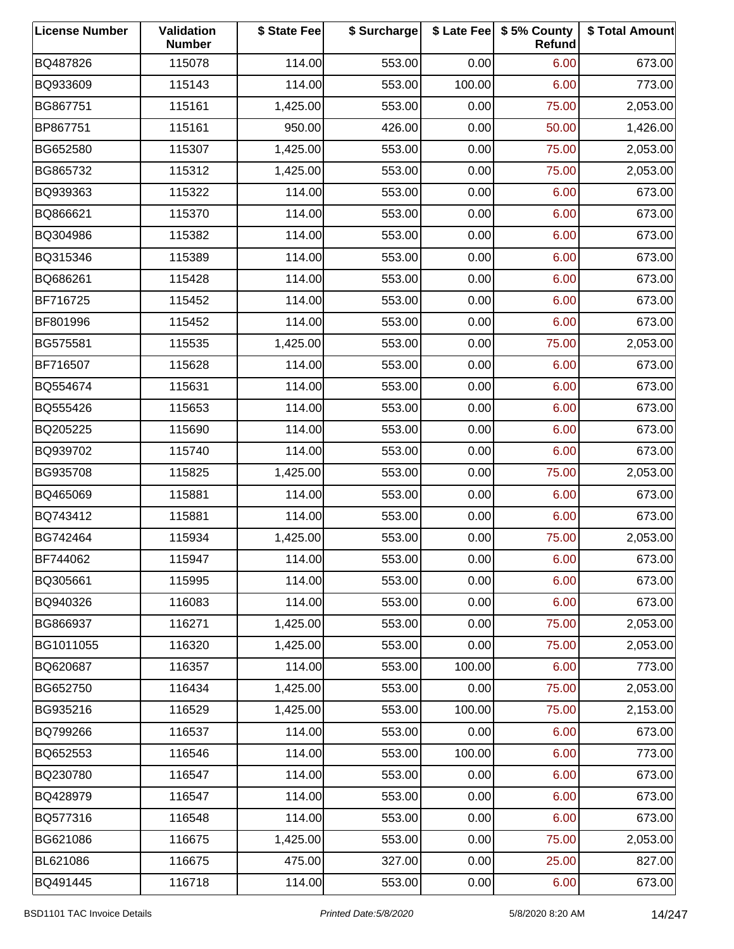| <b>License Number</b> | Validation<br><b>Number</b> | \$ State Fee | \$ Surcharge |        | \$ Late Fee   \$5% County<br>Refund | \$ Total Amount |
|-----------------------|-----------------------------|--------------|--------------|--------|-------------------------------------|-----------------|
| BQ487826              | 115078                      | 114.00       | 553.00       | 0.00   | 6.00                                | 673.00          |
| BQ933609              | 115143                      | 114.00       | 553.00       | 100.00 | 6.00                                | 773.00          |
| BG867751              | 115161                      | 1,425.00     | 553.00       | 0.00   | 75.00                               | 2,053.00        |
| BP867751              | 115161                      | 950.00       | 426.00       | 0.00   | 50.00                               | 1,426.00        |
| BG652580              | 115307                      | 1,425.00     | 553.00       | 0.00   | 75.00                               | 2,053.00        |
| BG865732              | 115312                      | 1,425.00     | 553.00       | 0.00   | 75.00                               | 2,053.00        |
| BQ939363              | 115322                      | 114.00       | 553.00       | 0.00   | 6.00                                | 673.00          |
| BQ866621              | 115370                      | 114.00       | 553.00       | 0.00   | 6.00                                | 673.00          |
| BQ304986              | 115382                      | 114.00       | 553.00       | 0.00   | 6.00                                | 673.00          |
| BQ315346              | 115389                      | 114.00       | 553.00       | 0.00   | 6.00                                | 673.00          |
| BQ686261              | 115428                      | 114.00       | 553.00       | 0.00   | 6.00                                | 673.00          |
| BF716725              | 115452                      | 114.00       | 553.00       | 0.00   | 6.00                                | 673.00          |
| BF801996              | 115452                      | 114.00       | 553.00       | 0.00   | 6.00                                | 673.00          |
| BG575581              | 115535                      | 1,425.00     | 553.00       | 0.00   | 75.00                               | 2,053.00        |
| BF716507              | 115628                      | 114.00       | 553.00       | 0.00   | 6.00                                | 673.00          |
| BQ554674              | 115631                      | 114.00       | 553.00       | 0.00   | 6.00                                | 673.00          |
| BQ555426              | 115653                      | 114.00       | 553.00       | 0.00   | 6.00                                | 673.00          |
| BQ205225              | 115690                      | 114.00       | 553.00       | 0.00   | 6.00                                | 673.00          |
| BQ939702              | 115740                      | 114.00       | 553.00       | 0.00   | 6.00                                | 673.00          |
| BG935708              | 115825                      | 1,425.00     | 553.00       | 0.00   | 75.00                               | 2,053.00        |
| BQ465069              | 115881                      | 114.00       | 553.00       | 0.00   | 6.00                                | 673.00          |
| BQ743412              | 115881                      | 114.00       | 553.00       | 0.00   | 6.00                                | 673.00          |
| BG742464              | 115934                      | 1,425.00     | 553.00       | 0.00   | 75.00                               | 2,053.00        |
| BF744062              | 115947                      | 114.00       | 553.00       | 0.00   | 6.00                                | 673.00          |
| BQ305661              | 115995                      | 114.00       | 553.00       | 0.00   | 6.00                                | 673.00          |
| BQ940326              | 116083                      | 114.00       | 553.00       | 0.00   | 6.00                                | 673.00          |
| BG866937              | 116271                      | 1,425.00     | 553.00       | 0.00   | 75.00                               | 2,053.00        |
| BG1011055             | 116320                      | 1,425.00     | 553.00       | 0.00   | 75.00                               | 2,053.00        |
| BQ620687              | 116357                      | 114.00       | 553.00       | 100.00 | 6.00                                | 773.00          |
| BG652750              | 116434                      | 1,425.00     | 553.00       | 0.00   | 75.00                               | 2,053.00        |
| BG935216              | 116529                      | 1,425.00     | 553.00       | 100.00 | 75.00                               | 2,153.00        |
| BQ799266              | 116537                      | 114.00       | 553.00       | 0.00   | 6.00                                | 673.00          |
| BQ652553              | 116546                      | 114.00       | 553.00       | 100.00 | 6.00                                | 773.00          |
| BQ230780              | 116547                      | 114.00       | 553.00       | 0.00   | 6.00                                | 673.00          |
| BQ428979              | 116547                      | 114.00       | 553.00       | 0.00   | 6.00                                | 673.00          |
| BQ577316              | 116548                      | 114.00       | 553.00       | 0.00   | 6.00                                | 673.00          |
| BG621086              | 116675                      | 1,425.00     | 553.00       | 0.00   | 75.00                               | 2,053.00        |
| BL621086              | 116675                      | 475.00       | 327.00       | 0.00   | 25.00                               | 827.00          |
| BQ491445              | 116718                      | 114.00       | 553.00       | 0.00   | 6.00                                | 673.00          |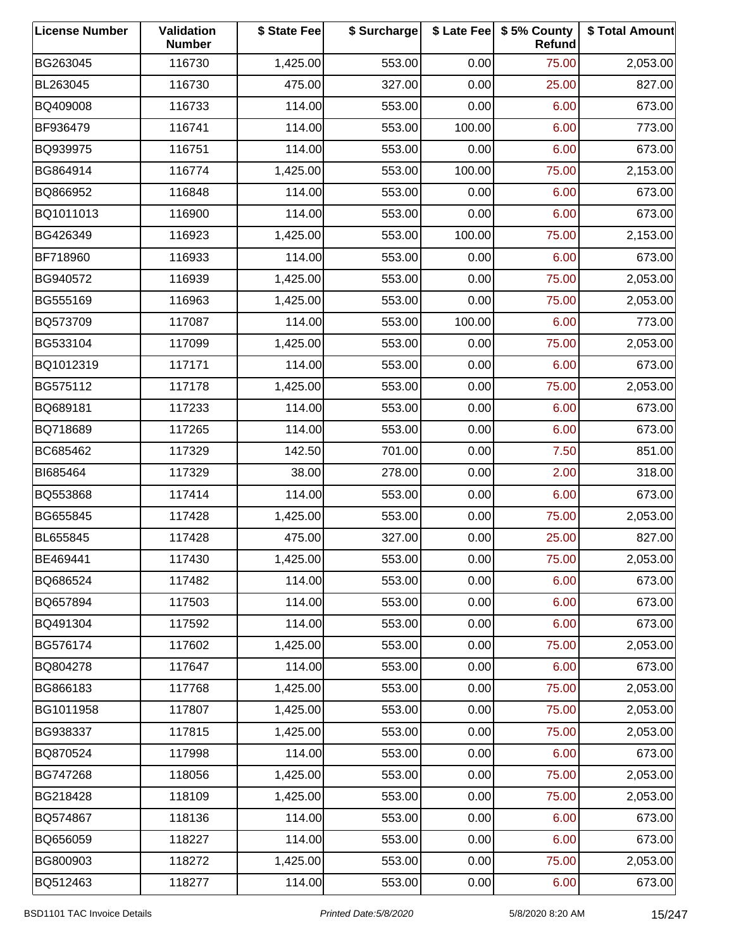| <b>License Number</b> | Validation<br><b>Number</b> | \$ State Fee | \$ Surcharge |        | \$ Late Fee   \$5% County<br>Refund | \$ Total Amount |
|-----------------------|-----------------------------|--------------|--------------|--------|-------------------------------------|-----------------|
| BG263045              | 116730                      | 1,425.00     | 553.00       | 0.00   | 75.00                               | 2,053.00        |
| BL263045              | 116730                      | 475.00       | 327.00       | 0.00   | 25.00                               | 827.00          |
| BQ409008              | 116733                      | 114.00       | 553.00       | 0.00   | 6.00                                | 673.00          |
| BF936479              | 116741                      | 114.00       | 553.00       | 100.00 | 6.00                                | 773.00          |
| BQ939975              | 116751                      | 114.00       | 553.00       | 0.00   | 6.00                                | 673.00          |
| BG864914              | 116774                      | 1,425.00     | 553.00       | 100.00 | 75.00                               | 2,153.00        |
| BQ866952              | 116848                      | 114.00       | 553.00       | 0.00   | 6.00                                | 673.00          |
| BQ1011013             | 116900                      | 114.00       | 553.00       | 0.00   | 6.00                                | 673.00          |
| BG426349              | 116923                      | 1,425.00     | 553.00       | 100.00 | 75.00                               | 2,153.00        |
| BF718960              | 116933                      | 114.00       | 553.00       | 0.00   | 6.00                                | 673.00          |
| BG940572              | 116939                      | 1,425.00     | 553.00       | 0.00   | 75.00                               | 2,053.00        |
| BG555169              | 116963                      | 1,425.00     | 553.00       | 0.00   | 75.00                               | 2,053.00        |
| BQ573709              | 117087                      | 114.00       | 553.00       | 100.00 | 6.00                                | 773.00          |
| BG533104              | 117099                      | 1,425.00     | 553.00       | 0.00   | 75.00                               | 2,053.00        |
| BQ1012319             | 117171                      | 114.00       | 553.00       | 0.00   | 6.00                                | 673.00          |
| BG575112              | 117178                      | 1,425.00     | 553.00       | 0.00   | 75.00                               | 2,053.00        |
| BQ689181              | 117233                      | 114.00       | 553.00       | 0.00   | 6.00                                | 673.00          |
| BQ718689              | 117265                      | 114.00       | 553.00       | 0.00   | 6.00                                | 673.00          |
| BC685462              | 117329                      | 142.50       | 701.00       | 0.00   | 7.50                                | 851.00          |
| BI685464              | 117329                      | 38.00        | 278.00       | 0.00   | 2.00                                | 318.00          |
| BQ553868              | 117414                      | 114.00       | 553.00       | 0.00   | 6.00                                | 673.00          |
| BG655845              | 117428                      | 1,425.00     | 553.00       | 0.00   | 75.00                               | 2,053.00        |
| BL655845              | 117428                      | 475.00       | 327.00       | 0.00   | 25.00                               | 827.00          |
| BE469441              | 117430                      | 1,425.00     | 553.00       | 0.00   | 75.00                               | 2,053.00        |
| BQ686524              | 117482                      | 114.00       | 553.00       | 0.00   | 6.00                                | 673.00          |
| BQ657894              | 117503                      | 114.00       | 553.00       | 0.00   | 6.00                                | 673.00          |
| BQ491304              | 117592                      | 114.00       | 553.00       | 0.00   | 6.00                                | 673.00          |
| BG576174              | 117602                      | 1,425.00     | 553.00       | 0.00   | 75.00                               | 2,053.00        |
| BQ804278              | 117647                      | 114.00       | 553.00       | 0.00   | 6.00                                | 673.00          |
| BG866183              | 117768                      | 1,425.00     | 553.00       | 0.00   | 75.00                               | 2,053.00        |
| BG1011958             | 117807                      | 1,425.00     | 553.00       | 0.00   | 75.00                               | 2,053.00        |
| BG938337              | 117815                      | 1,425.00     | 553.00       | 0.00   | 75.00                               | 2,053.00        |
| BQ870524              | 117998                      | 114.00       | 553.00       | 0.00   | 6.00                                | 673.00          |
| BG747268              | 118056                      | 1,425.00     | 553.00       | 0.00   | 75.00                               | 2,053.00        |
| BG218428              | 118109                      | 1,425.00     | 553.00       | 0.00   | 75.00                               | 2,053.00        |
| BQ574867              | 118136                      | 114.00       | 553.00       | 0.00   | 6.00                                | 673.00          |
| BQ656059              | 118227                      | 114.00       | 553.00       | 0.00   | 6.00                                | 673.00          |
| BG800903              | 118272                      | 1,425.00     | 553.00       | 0.00   | 75.00                               | 2,053.00        |
| BQ512463              | 118277                      | 114.00       | 553.00       | 0.00   | 6.00                                | 673.00          |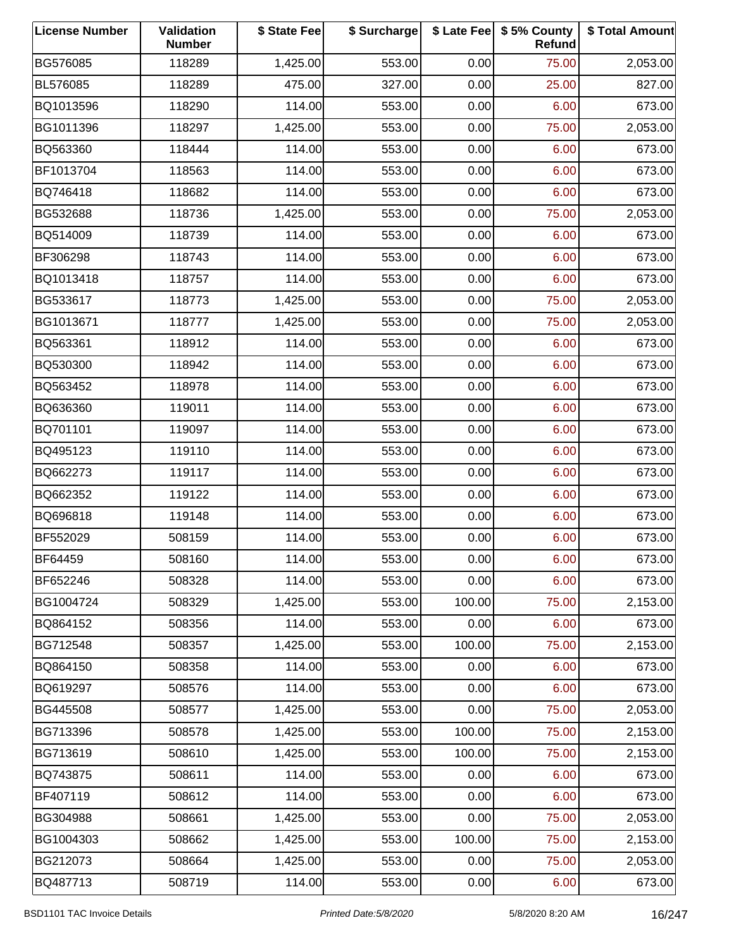| <b>License Number</b> | Validation<br><b>Number</b> | \$ State Fee | \$ Surcharge |        | \$ Late Fee   \$5% County<br>Refund | \$ Total Amount |
|-----------------------|-----------------------------|--------------|--------------|--------|-------------------------------------|-----------------|
| BG576085              | 118289                      | 1,425.00     | 553.00       | 0.00   | 75.00                               | 2,053.00        |
| BL576085              | 118289                      | 475.00       | 327.00       | 0.00   | 25.00                               | 827.00          |
| BQ1013596             | 118290                      | 114.00       | 553.00       | 0.00   | 6.00                                | 673.00          |
| BG1011396             | 118297                      | 1,425.00     | 553.00       | 0.00   | 75.00                               | 2,053.00        |
| BQ563360              | 118444                      | 114.00       | 553.00       | 0.00   | 6.00                                | 673.00          |
| BF1013704             | 118563                      | 114.00       | 553.00       | 0.00   | 6.00                                | 673.00          |
| BQ746418              | 118682                      | 114.00       | 553.00       | 0.00   | 6.00                                | 673.00          |
| BG532688              | 118736                      | 1,425.00     | 553.00       | 0.00   | 75.00                               | 2,053.00        |
| BQ514009              | 118739                      | 114.00       | 553.00       | 0.00   | 6.00                                | 673.00          |
| BF306298              | 118743                      | 114.00       | 553.00       | 0.00   | 6.00                                | 673.00          |
| BQ1013418             | 118757                      | 114.00       | 553.00       | 0.00   | 6.00                                | 673.00          |
| BG533617              | 118773                      | 1,425.00     | 553.00       | 0.00   | 75.00                               | 2,053.00        |
| BG1013671             | 118777                      | 1,425.00     | 553.00       | 0.00   | 75.00                               | 2,053.00        |
| BQ563361              | 118912                      | 114.00       | 553.00       | 0.00   | 6.00                                | 673.00          |
| BQ530300              | 118942                      | 114.00       | 553.00       | 0.00   | 6.00                                | 673.00          |
| BQ563452              | 118978                      | 114.00       | 553.00       | 0.00   | 6.00                                | 673.00          |
| BQ636360              | 119011                      | 114.00       | 553.00       | 0.00   | 6.00                                | 673.00          |
| BQ701101              | 119097                      | 114.00       | 553.00       | 0.00   | 6.00                                | 673.00          |
| BQ495123              | 119110                      | 114.00       | 553.00       | 0.00   | 6.00                                | 673.00          |
| BQ662273              | 119117                      | 114.00       | 553.00       | 0.00   | 6.00                                | 673.00          |
| BQ662352              | 119122                      | 114.00       | 553.00       | 0.00   | 6.00                                | 673.00          |
| BQ696818              | 119148                      | 114.00       | 553.00       | 0.00   | 6.00                                | 673.00          |
| BF552029              | 508159                      | 114.00       | 553.00       | 0.00   | 6.00                                | 673.00          |
| <b>BF64459</b>        | 508160                      | 114.00       | 553.00       | 0.00   | 6.00                                | 673.00          |
| BF652246              | 508328                      | 114.00       | 553.00       | 0.00   | 6.00                                | 673.00          |
| BG1004724             | 508329                      | 1,425.00     | 553.00       | 100.00 | 75.00                               | 2,153.00        |
| BQ864152              | 508356                      | 114.00       | 553.00       | 0.00   | 6.00                                | 673.00          |
| BG712548              | 508357                      | 1,425.00     | 553.00       | 100.00 | 75.00                               | 2,153.00        |
| BQ864150              | 508358                      | 114.00       | 553.00       | 0.00   | 6.00                                | 673.00          |
| BQ619297              | 508576                      | 114.00       | 553.00       | 0.00   | 6.00                                | 673.00          |
| BG445508              | 508577                      | 1,425.00     | 553.00       | 0.00   | 75.00                               | 2,053.00        |
| BG713396              | 508578                      | 1,425.00     | 553.00       | 100.00 | 75.00                               | 2,153.00        |
| BG713619              | 508610                      | 1,425.00     | 553.00       | 100.00 | 75.00                               | 2,153.00        |
| BQ743875              | 508611                      | 114.00       | 553.00       | 0.00   | 6.00                                | 673.00          |
| BF407119              | 508612                      | 114.00       | 553.00       | 0.00   | 6.00                                | 673.00          |
| BG304988              | 508661                      | 1,425.00     | 553.00       | 0.00   | 75.00                               | 2,053.00        |
| BG1004303             | 508662                      | 1,425.00     | 553.00       | 100.00 | 75.00                               | 2,153.00        |
| BG212073              | 508664                      | 1,425.00     | 553.00       | 0.00   | 75.00                               | 2,053.00        |
| BQ487713              | 508719                      | 114.00       | 553.00       | 0.00   | 6.00                                | 673.00          |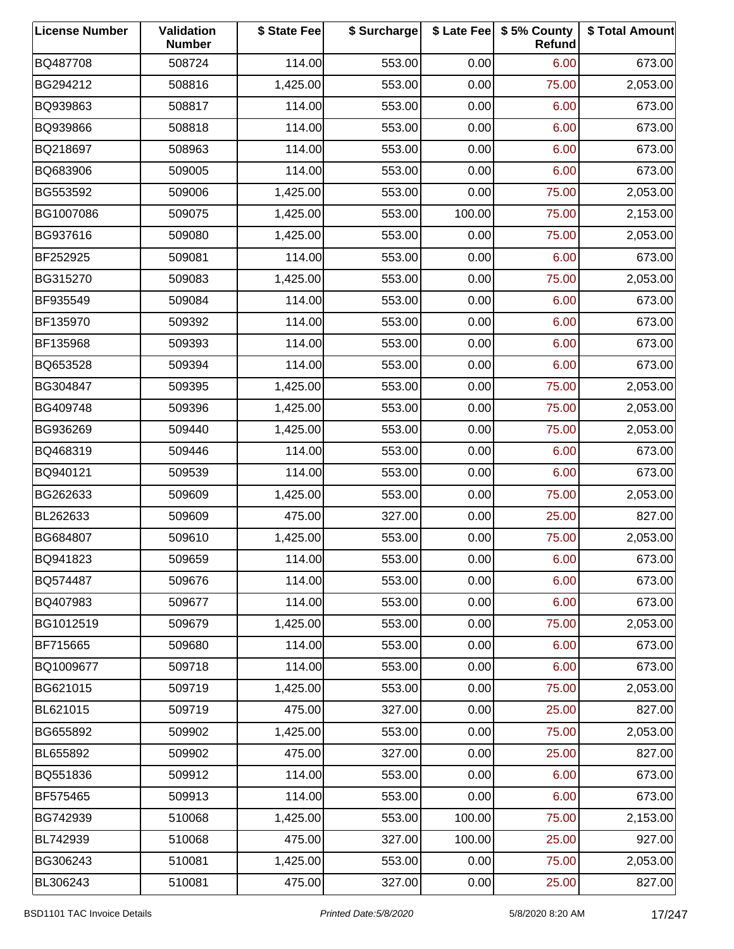| <b>License Number</b> | Validation<br><b>Number</b> | \$ State Fee | \$ Surcharge |        | \$ Late Fee   \$5% County<br>Refund | \$ Total Amount |
|-----------------------|-----------------------------|--------------|--------------|--------|-------------------------------------|-----------------|
| BQ487708              | 508724                      | 114.00       | 553.00       | 0.00   | 6.00                                | 673.00          |
| BG294212              | 508816                      | 1,425.00     | 553.00       | 0.00   | 75.00                               | 2,053.00        |
| BQ939863              | 508817                      | 114.00       | 553.00       | 0.00   | 6.00                                | 673.00          |
| BQ939866              | 508818                      | 114.00       | 553.00       | 0.00   | 6.00                                | 673.00          |
| BQ218697              | 508963                      | 114.00       | 553.00       | 0.00   | 6.00                                | 673.00          |
| BQ683906              | 509005                      | 114.00       | 553.00       | 0.00   | 6.00                                | 673.00          |
| BG553592              | 509006                      | 1,425.00     | 553.00       | 0.00   | 75.00                               | 2,053.00        |
| BG1007086             | 509075                      | 1,425.00     | 553.00       | 100.00 | 75.00                               | 2,153.00        |
| BG937616              | 509080                      | 1,425.00     | 553.00       | 0.00   | 75.00                               | 2,053.00        |
| BF252925              | 509081                      | 114.00       | 553.00       | 0.00   | 6.00                                | 673.00          |
| BG315270              | 509083                      | 1,425.00     | 553.00       | 0.00   | 75.00                               | 2,053.00        |
| BF935549              | 509084                      | 114.00       | 553.00       | 0.00   | 6.00                                | 673.00          |
| BF135970              | 509392                      | 114.00       | 553.00       | 0.00   | 6.00                                | 673.00          |
| BF135968              | 509393                      | 114.00       | 553.00       | 0.00   | 6.00                                | 673.00          |
| BQ653528              | 509394                      | 114.00       | 553.00       | 0.00   | 6.00                                | 673.00          |
| BG304847              | 509395                      | 1,425.00     | 553.00       | 0.00   | 75.00                               | 2,053.00        |
| BG409748              | 509396                      | 1,425.00     | 553.00       | 0.00   | 75.00                               | 2,053.00        |
| BG936269              | 509440                      | 1,425.00     | 553.00       | 0.00   | 75.00                               | 2,053.00        |
| BQ468319              | 509446                      | 114.00       | 553.00       | 0.00   | 6.00                                | 673.00          |
| BQ940121              | 509539                      | 114.00       | 553.00       | 0.00   | 6.00                                | 673.00          |
| BG262633              | 509609                      | 1,425.00     | 553.00       | 0.00   | 75.00                               | 2,053.00        |
| BL262633              | 509609                      | 475.00       | 327.00       | 0.00   | 25.00                               | 827.00          |
| BG684807              | 509610                      | 1,425.00     | 553.00       | 0.00   | 75.00                               | 2,053.00        |
| BQ941823              | 509659                      | 114.00       | 553.00       | 0.00   | 6.00                                | 673.00          |
| BQ574487              | 509676                      | 114.00       | 553.00       | 0.00   | 6.00                                | 673.00          |
| BQ407983              | 509677                      | 114.00       | 553.00       | 0.00   | 6.00                                | 673.00          |
| BG1012519             | 509679                      | 1,425.00     | 553.00       | 0.00   | 75.00                               | 2,053.00        |
| BF715665              | 509680                      | 114.00       | 553.00       | 0.00   | 6.00                                | 673.00          |
| BQ1009677             | 509718                      | 114.00       | 553.00       | 0.00   | 6.00                                | 673.00          |
| BG621015              | 509719                      | 1,425.00     | 553.00       | 0.00   | 75.00                               | 2,053.00        |
| BL621015              | 509719                      | 475.00       | 327.00       | 0.00   | 25.00                               | 827.00          |
| BG655892              | 509902                      | 1,425.00     | 553.00       | 0.00   | 75.00                               | 2,053.00        |
| BL655892              | 509902                      | 475.00       | 327.00       | 0.00   | 25.00                               | 827.00          |
| BQ551836              | 509912                      | 114.00       | 553.00       | 0.00   | 6.00                                | 673.00          |
| BF575465              | 509913                      | 114.00       | 553.00       | 0.00   | 6.00                                | 673.00          |
| BG742939              | 510068                      | 1,425.00     | 553.00       | 100.00 | 75.00                               | 2,153.00        |
| BL742939              | 510068                      | 475.00       | 327.00       | 100.00 | 25.00                               | 927.00          |
| BG306243              | 510081                      | 1,425.00     | 553.00       | 0.00   | 75.00                               | 2,053.00        |
| BL306243              | 510081                      | 475.00       | 327.00       | 0.00   | 25.00                               | 827.00          |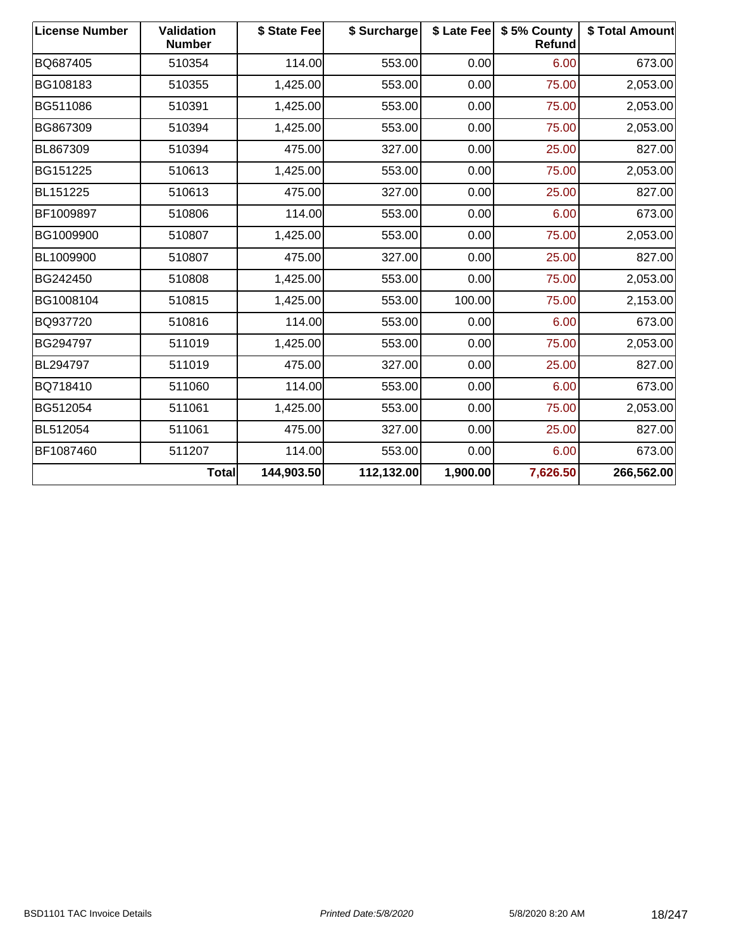| <b>License Number</b> | Validation<br><b>Number</b> | \$ State Fee | \$ Surcharge |          | \$ Late Fee   \$5% County<br>Refund | \$ Total Amount |
|-----------------------|-----------------------------|--------------|--------------|----------|-------------------------------------|-----------------|
| BQ687405              | 510354                      | 114.00       | 553.00       | 0.00     | 6.00                                | 673.00          |
| BG108183              | 510355                      | 1,425.00     | 553.00       | 0.00     | 75.00                               | 2,053.00        |
| BG511086              | 510391                      | 1,425.00     | 553.00       | 0.00     | 75.00                               | 2,053.00        |
| BG867309              | 510394                      | 1,425.00     | 553.00       | 0.00     | 75.00                               | 2,053.00        |
| BL867309              | 510394                      | 475.00       | 327.00       | 0.00     | 25.00                               | 827.00          |
| BG151225              | 510613                      | 1,425.00     | 553.00       | 0.00     | 75.00                               | 2,053.00        |
| BL151225              | 510613                      | 475.00       | 327.00       | 0.00     | 25.00                               | 827.00          |
| BF1009897             | 510806                      | 114.00       | 553.00       | 0.00     | 6.00                                | 673.00          |
| BG1009900             | 510807                      | 1,425.00     | 553.00       | 0.00     | 75.00                               | 2,053.00        |
| BL1009900             | 510807                      | 475.00       | 327.00       | 0.00     | 25.00                               | 827.00          |
| BG242450              | 510808                      | 1,425.00     | 553.00       | 0.00     | 75.00                               | 2,053.00        |
| BG1008104             | 510815                      | 1,425.00     | 553.00       | 100.00   | 75.00                               | 2,153.00        |
| BQ937720              | 510816                      | 114.00       | 553.00       | 0.00     | 6.00                                | 673.00          |
| BG294797              | 511019                      | 1,425.00     | 553.00       | 0.00     | 75.00                               | 2,053.00        |
| BL294797              | 511019                      | 475.00       | 327.00       | 0.00     | 25.00                               | 827.00          |
| BQ718410              | 511060                      | 114.00       | 553.00       | 0.00     | 6.00                                | 673.00          |
| BG512054              | 511061                      | 1,425.00     | 553.00       | 0.00     | 75.00                               | 2,053.00        |
| BL512054              | 511061                      | 475.00       | 327.00       | 0.00     | 25.00                               | 827.00          |
| BF1087460             | 511207                      | 114.00       | 553.00       | 0.00     | 6.00                                | 673.00          |
|                       | <b>Total</b>                | 144,903.50   | 112,132.00   | 1,900.00 | 7,626.50                            | 266,562.00      |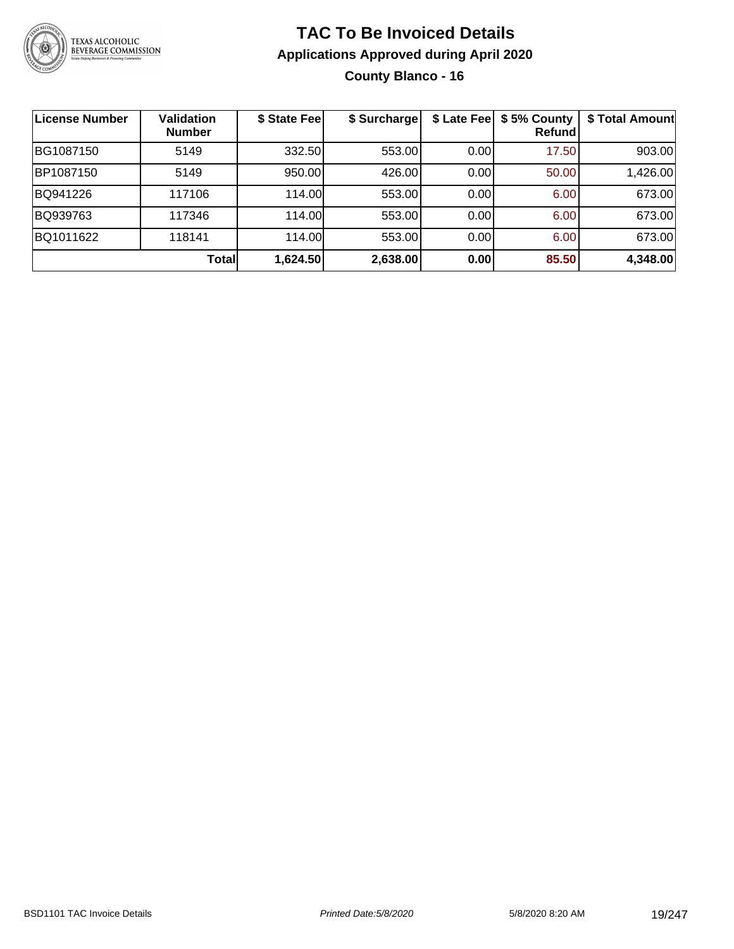

### **TAC To Be Invoiced Details Applications Approved during April 2020 County Blanco - 16**

| License Number | <b>Validation</b><br><b>Number</b> | \$ State Fee | \$ Surcharge | \$ Late Fee | \$5% County<br>Refundl | \$ Total Amount |
|----------------|------------------------------------|--------------|--------------|-------------|------------------------|-----------------|
| BG1087150      | 5149                               | 332.50       | 553.00       | 0.00        | 17.50                  | 903.00          |
| BP1087150      | 5149                               | 950.00       | 426.00       | 0.00        | 50.00                  | 1,426.00        |
| BQ941226       | 117106                             | 114.00       | 553.00       | 0.00        | 6.00                   | 673.00          |
| BQ939763       | 117346                             | 114.00       | 553.00       | 0.00        | 6.00                   | 673.00          |
| BQ1011622      | 118141                             | 114.00       | 553.00       | 0.00        | 6.00                   | 673.00          |
|                | Totall                             | 1,624.50     | 2,638.00     | 0.00        | 85.50                  | 4,348.00        |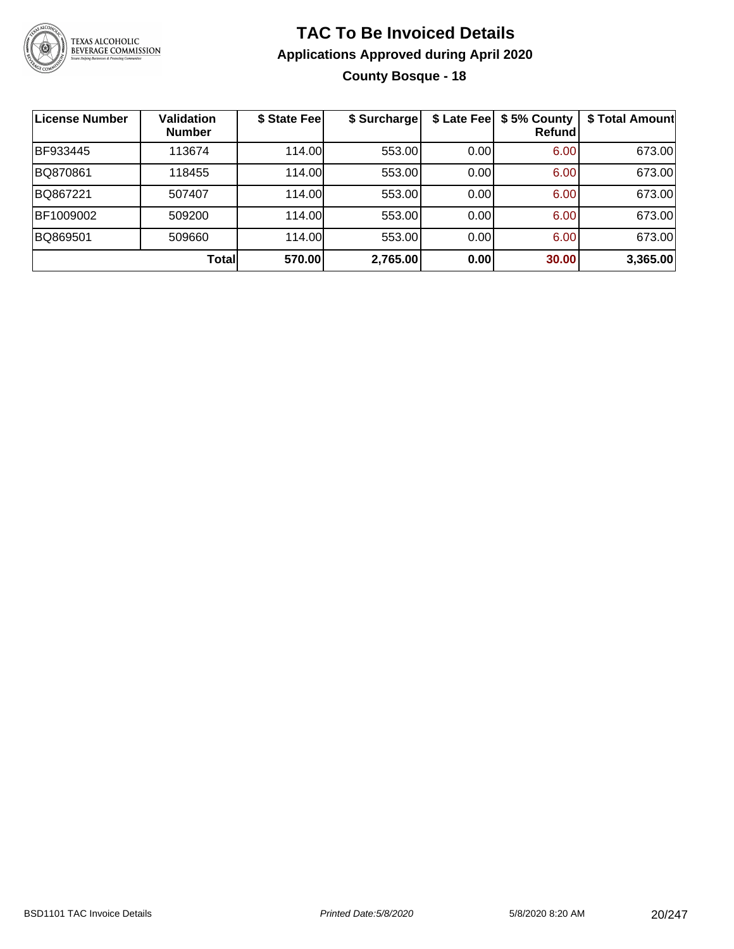

### **TAC To Be Invoiced Details Applications Approved during April 2020 County Bosque - 18**

| License Number | <b>Validation</b><br><b>Number</b> | \$ State Fee | \$ Surcharge |      | \$ Late Fee   \$5% County<br><b>Refund</b> | \$ Total Amount |
|----------------|------------------------------------|--------------|--------------|------|--------------------------------------------|-----------------|
| BF933445       | 113674                             | 114.00       | 553.00       | 0.00 | 6.00                                       | 673.00          |
| BQ870861       | 118455                             | 114.00       | 553.00       | 0.00 | 6.00                                       | 673.00          |
| BQ867221       | 507407                             | 114.00       | 553.00       | 0.00 | 6.00                                       | 673.00          |
| BF1009002      | 509200                             | 114.00       | 553.00       | 0.00 | 6.00                                       | 673.00          |
| BQ869501       | 509660                             | 114.00       | 553.00       | 0.00 | 6.00                                       | 673.00          |
|                | Total                              | 570.00       | 2,765.00     | 0.00 | 30.00                                      | 3,365.00        |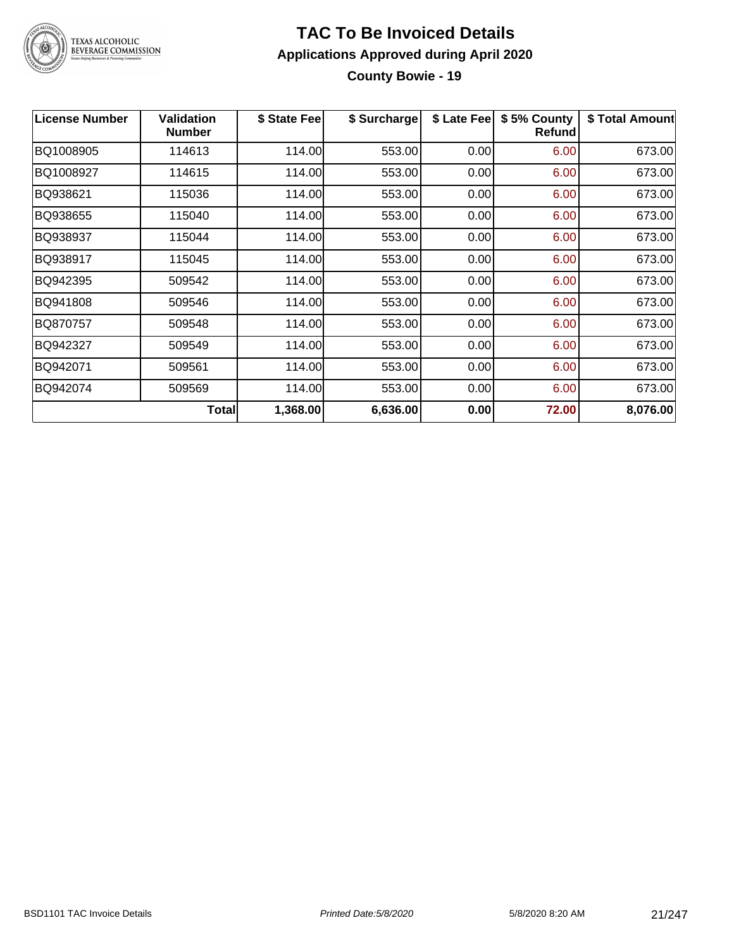

#### **TAC To Be Invoiced Details Applications Approved during April 2020 County Bowie - 19**

| <b>License Number</b> | <b>Validation</b><br><b>Number</b> | \$ State Fee | \$ Surcharge | \$ Late Fee | \$5% County<br><b>Refund</b> | \$ Total Amount |
|-----------------------|------------------------------------|--------------|--------------|-------------|------------------------------|-----------------|
| BQ1008905             | 114613                             | 114.00       | 553.00       | 0.00        | 6.00                         | 673.00          |
| BQ1008927             | 114615                             | 114.00       | 553.00       | 0.00        | 6.00                         | 673.00          |
| BQ938621              | 115036                             | 114.00       | 553.00       | 0.00        | 6.00                         | 673.00          |
| BQ938655              | 115040                             | 114.00       | 553.00       | 0.00        | 6.00                         | 673.00          |
| BQ938937              | 115044                             | 114.00       | 553.00       | 0.00        | 6.00                         | 673.00          |
| BQ938917              | 115045                             | 114.00       | 553.00       | 0.00        | 6.00                         | 673.00          |
| BQ942395              | 509542                             | 114.00       | 553.00       | 0.00        | 6.00                         | 673.00          |
| BQ941808              | 509546                             | 114.00       | 553.00       | 0.00        | 6.00                         | 673.00          |
| BQ870757              | 509548                             | 114.00       | 553.00       | 0.00        | 6.00                         | 673.00          |
| BQ942327              | 509549                             | 114.00       | 553.00       | 0.00        | 6.00                         | 673.00          |
| BQ942071              | 509561                             | 114.00       | 553.00       | 0.00        | 6.00                         | 673.00          |
| BQ942074              | 509569                             | 114.00       | 553.00       | 0.00        | 6.00                         | 673.00          |
|                       | <b>Total</b>                       | 1,368.00     | 6,636.00     | 0.00        | 72.00                        | 8,076.00        |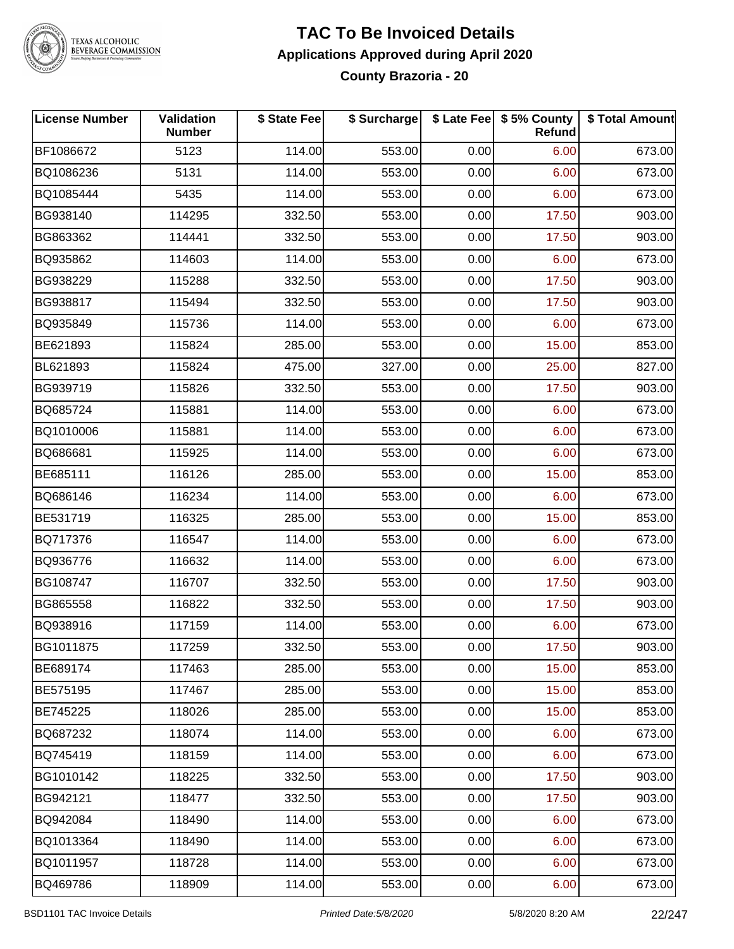

#### **TAC To Be Invoiced Details Applications Approved during April 2020 County Brazoria - 20**

| <b>License Number</b> | Validation<br><b>Number</b> | \$ State Fee | \$ Surcharge |      | \$ Late Fee   \$5% County<br><b>Refund</b> | \$ Total Amount |
|-----------------------|-----------------------------|--------------|--------------|------|--------------------------------------------|-----------------|
| BF1086672             | 5123                        | 114.00       | 553.00       | 0.00 | 6.00                                       | 673.00          |
| BQ1086236             | 5131                        | 114.00       | 553.00       | 0.00 | 6.00                                       | 673.00          |
| BQ1085444             | 5435                        | 114.00       | 553.00       | 0.00 | 6.00                                       | 673.00          |
| BG938140              | 114295                      | 332.50       | 553.00       | 0.00 | 17.50                                      | 903.00          |
| BG863362              | 114441                      | 332.50       | 553.00       | 0.00 | 17.50                                      | 903.00          |
| BQ935862              | 114603                      | 114.00       | 553.00       | 0.00 | 6.00                                       | 673.00          |
| BG938229              | 115288                      | 332.50       | 553.00       | 0.00 | 17.50                                      | 903.00          |
| BG938817              | 115494                      | 332.50       | 553.00       | 0.00 | 17.50                                      | 903.00          |
| BQ935849              | 115736                      | 114.00       | 553.00       | 0.00 | 6.00                                       | 673.00          |
| BE621893              | 115824                      | 285.00       | 553.00       | 0.00 | 15.00                                      | 853.00          |
| BL621893              | 115824                      | 475.00       | 327.00       | 0.00 | 25.00                                      | 827.00          |
| BG939719              | 115826                      | 332.50       | 553.00       | 0.00 | 17.50                                      | 903.00          |
| BQ685724              | 115881                      | 114.00       | 553.00       | 0.00 | 6.00                                       | 673.00          |
| BQ1010006             | 115881                      | 114.00       | 553.00       | 0.00 | 6.00                                       | 673.00          |
| BQ686681              | 115925                      | 114.00       | 553.00       | 0.00 | 6.00                                       | 673.00          |
| BE685111              | 116126                      | 285.00       | 553.00       | 0.00 | 15.00                                      | 853.00          |
| BQ686146              | 116234                      | 114.00       | 553.00       | 0.00 | 6.00                                       | 673.00          |
| BE531719              | 116325                      | 285.00       | 553.00       | 0.00 | 15.00                                      | 853.00          |
| BQ717376              | 116547                      | 114.00       | 553.00       | 0.00 | 6.00                                       | 673.00          |
| BQ936776              | 116632                      | 114.00       | 553.00       | 0.00 | 6.00                                       | 673.00          |
| BG108747              | 116707                      | 332.50       | 553.00       | 0.00 | 17.50                                      | 903.00          |
| BG865558              | 116822                      | 332.50       | 553.00       | 0.00 | 17.50                                      | 903.00          |
| BQ938916              | 117159                      | 114.00       | 553.00       | 0.00 | 6.00                                       | 673.00          |
| BG1011875             | 117259                      | 332.50       | 553.00       | 0.00 | 17.50                                      | 903.00          |
| BE689174              | 117463                      | 285.00       | 553.00       | 0.00 | 15.00                                      | 853.00          |
| BE575195              | 117467                      | 285.00       | 553.00       | 0.00 | 15.00                                      | 853.00          |
| BE745225              | 118026                      | 285.00       | 553.00       | 0.00 | 15.00                                      | 853.00          |
| BQ687232              | 118074                      | 114.00       | 553.00       | 0.00 | 6.00                                       | 673.00          |
| BQ745419              | 118159                      | 114.00       | 553.00       | 0.00 | 6.00                                       | 673.00          |
| BG1010142             | 118225                      | 332.50       | 553.00       | 0.00 | 17.50                                      | 903.00          |
| BG942121              | 118477                      | 332.50       | 553.00       | 0.00 | 17.50                                      | 903.00          |
| BQ942084              | 118490                      | 114.00       | 553.00       | 0.00 | 6.00                                       | 673.00          |
| BQ1013364             | 118490                      | 114.00       | 553.00       | 0.00 | 6.00                                       | 673.00          |
| BQ1011957             | 118728                      | 114.00       | 553.00       | 0.00 | 6.00                                       | 673.00          |
| BQ469786              | 118909                      | 114.00       | 553.00       | 0.00 | 6.00                                       | 673.00          |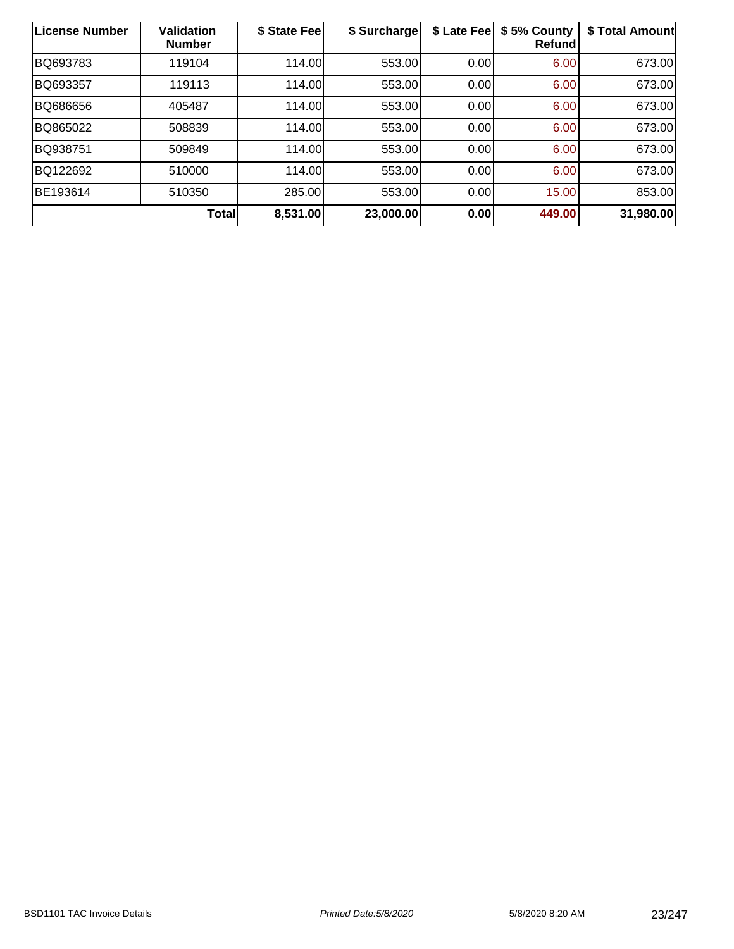| License Number | <b>Validation</b><br><b>Number</b> | \$ State Fee | \$ Surcharge | \$ Late Fee | \$5% County<br><b>Refund</b> | \$ Total Amount |
|----------------|------------------------------------|--------------|--------------|-------------|------------------------------|-----------------|
| BQ693783       | 119104                             | 114.00       | 553.00       | 0.00        | 6.00                         | 673.00          |
| BQ693357       | 119113                             | 114.00       | 553.00       | 0.00        | 6.00                         | 673.00          |
| BQ686656       | 405487                             | 114.00       | 553.00       | 0.00        | 6.00                         | 673.00          |
| BQ865022       | 508839                             | 114.00       | 553.00       | 0.00        | 6.00                         | 673.00          |
| BQ938751       | 509849                             | 114.00       | 553.00       | 0.00        | 6.00                         | 673.00          |
| BQ122692       | 510000                             | 114.00       | 553.00       | 0.00        | 6.00                         | 673.00          |
| BE193614       | 510350                             | 285.00       | 553.00       | 0.00        | 15.00                        | 853.00          |
|                | Total                              | 8,531.00     | 23,000.00    | 0.00        | 449.00                       | 31,980.00       |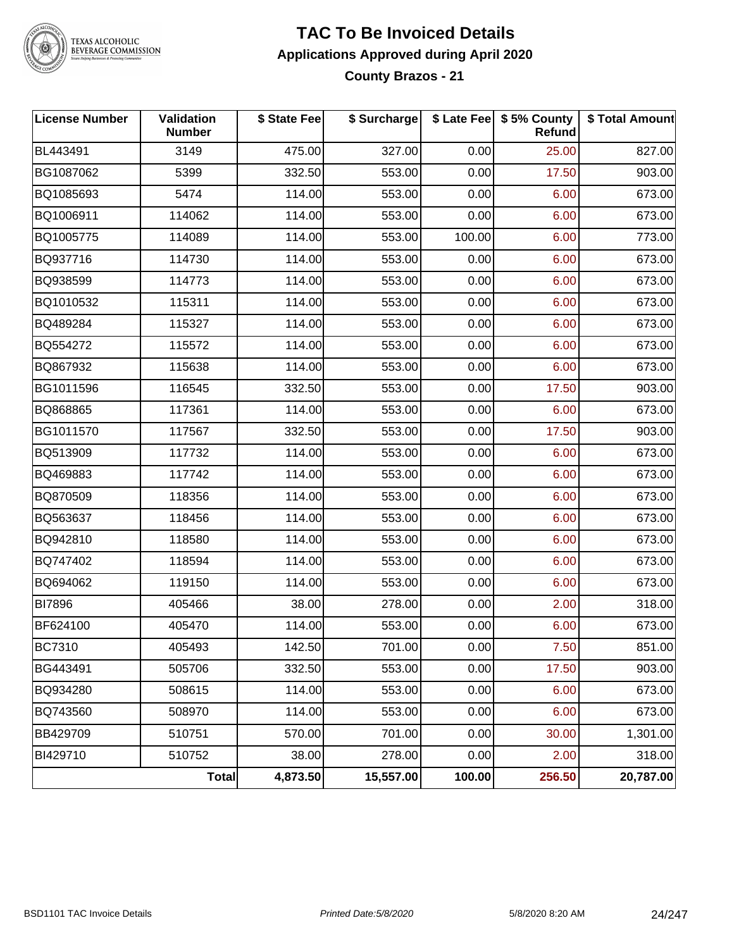

#### **TAC To Be Invoiced Details Applications Approved during April 2020 County Brazos - 21**

| <b>License Number</b> | <b>Validation</b><br><b>Number</b> | \$ State Fee | \$ Surcharge |        | \$ Late Fee   \$5% County<br><b>Refund</b> | \$ Total Amount |
|-----------------------|------------------------------------|--------------|--------------|--------|--------------------------------------------|-----------------|
| BL443491              | 3149                               | 475.00       | 327.00       | 0.00   | 25.00                                      | 827.00          |
| BG1087062             | 5399                               | 332.50       | 553.00       | 0.00   | 17.50                                      | 903.00          |
| BQ1085693             | 5474                               | 114.00       | 553.00       | 0.00   | 6.00                                       | 673.00          |
| BQ1006911             | 114062                             | 114.00       | 553.00       | 0.00   | 6.00                                       | 673.00          |
| BQ1005775             | 114089                             | 114.00       | 553.00       | 100.00 | 6.00                                       | 773.00          |
| BQ937716              | 114730                             | 114.00       | 553.00       | 0.00   | 6.00                                       | 673.00          |
| BQ938599              | 114773                             | 114.00       | 553.00       | 0.00   | 6.00                                       | 673.00          |
| BQ1010532             | 115311                             | 114.00       | 553.00       | 0.00   | 6.00                                       | 673.00          |
| BQ489284              | 115327                             | 114.00       | 553.00       | 0.00   | 6.00                                       | 673.00          |
| BQ554272              | 115572                             | 114.00       | 553.00       | 0.00   | 6.00                                       | 673.00          |
| BQ867932              | 115638                             | 114.00       | 553.00       | 0.00   | 6.00                                       | 673.00          |
| BG1011596             | 116545                             | 332.50       | 553.00       | 0.00   | 17.50                                      | 903.00          |
| BQ868865              | 117361                             | 114.00       | 553.00       | 0.00   | 6.00                                       | 673.00          |
| BG1011570             | 117567                             | 332.50       | 553.00       | 0.00   | 17.50                                      | 903.00          |
| BQ513909              | 117732                             | 114.00       | 553.00       | 0.00   | 6.00                                       | 673.00          |
| BQ469883              | 117742                             | 114.00       | 553.00       | 0.00   | 6.00                                       | 673.00          |
| BQ870509              | 118356                             | 114.00       | 553.00       | 0.00   | 6.00                                       | 673.00          |
| BQ563637              | 118456                             | 114.00       | 553.00       | 0.00   | 6.00                                       | 673.00          |
| BQ942810              | 118580                             | 114.00       | 553.00       | 0.00   | 6.00                                       | 673.00          |
| BQ747402              | 118594                             | 114.00       | 553.00       | 0.00   | 6.00                                       | 673.00          |
| BQ694062              | 119150                             | 114.00       | 553.00       | 0.00   | 6.00                                       | 673.00          |
| <b>BI7896</b>         | 405466                             | 38.00        | 278.00       | 0.00   | 2.00                                       | 318.00          |
| BF624100              | 405470                             | 114.00       | 553.00       | 0.00   | 6.00                                       | 673.00          |
| <b>BC7310</b>         | 405493                             | 142.50       | 701.00       | 0.00   | 7.50                                       | 851.00          |
| BG443491              | 505706                             | 332.50       | 553.00       | 0.00   | 17.50                                      | 903.00          |
| BQ934280              | 508615                             | 114.00       | 553.00       | 0.00   | 6.00                                       | 673.00          |
| BQ743560              | 508970                             | 114.00       | 553.00       | 0.00   | 6.00                                       | 673.00          |
| BB429709              | 510751                             | 570.00       | 701.00       | 0.00   | 30.00                                      | 1,301.00        |
| BI429710              | 510752                             | 38.00        | 278.00       | 0.00   | 2.00                                       | 318.00          |
|                       | <b>Total</b>                       | 4,873.50     | 15,557.00    | 100.00 | 256.50                                     | 20,787.00       |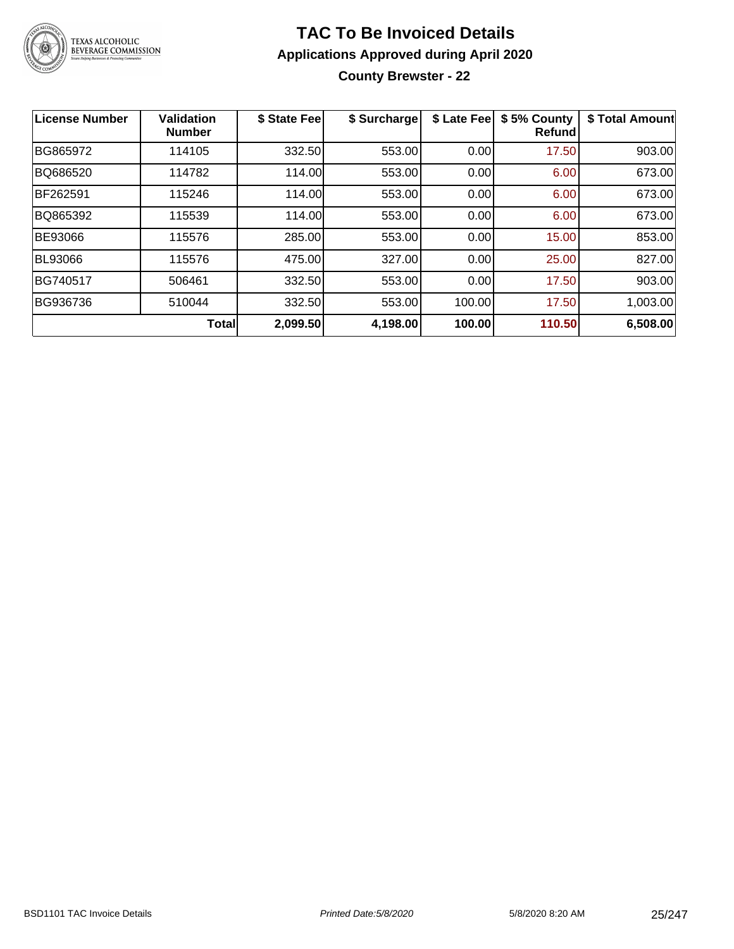

### **TAC To Be Invoiced Details Applications Approved during April 2020 County Brewster - 22**

| License Number | Validation<br><b>Number</b> | \$ State Fee | \$ Surcharge | \$ Late Fee | \$5% County<br><b>Refund</b> | \$ Total Amount |
|----------------|-----------------------------|--------------|--------------|-------------|------------------------------|-----------------|
| BG865972       | 114105                      | 332.50       | 553.00       | 0.00        | 17.50                        | 903.00          |
| BQ686520       | 114782                      | 114.00       | 553.00       | 0.00        | 6.00                         | 673.00          |
| BF262591       | 115246                      | 114.00       | 553.00       | 0.00        | 6.00                         | 673.00          |
| BQ865392       | 115539                      | 114.00       | 553.00       | 0.00        | 6.00                         | 673.00          |
| <b>BE93066</b> | 115576                      | 285.00       | 553.00       | 0.00        | 15.00                        | 853.00          |
| <b>BL93066</b> | 115576                      | 475.00       | 327.00       | 0.00        | 25.00                        | 827.00          |
| BG740517       | 506461                      | 332.50       | 553.00       | 0.00        | 17.50                        | 903.00          |
| BG936736       | 510044                      | 332.50       | 553.00       | 100.00      | 17.50                        | 1,003.00        |
|                | <b>Total</b>                | 2,099.50     | 4,198.00     | 100.00      | 110.50                       | 6,508.00        |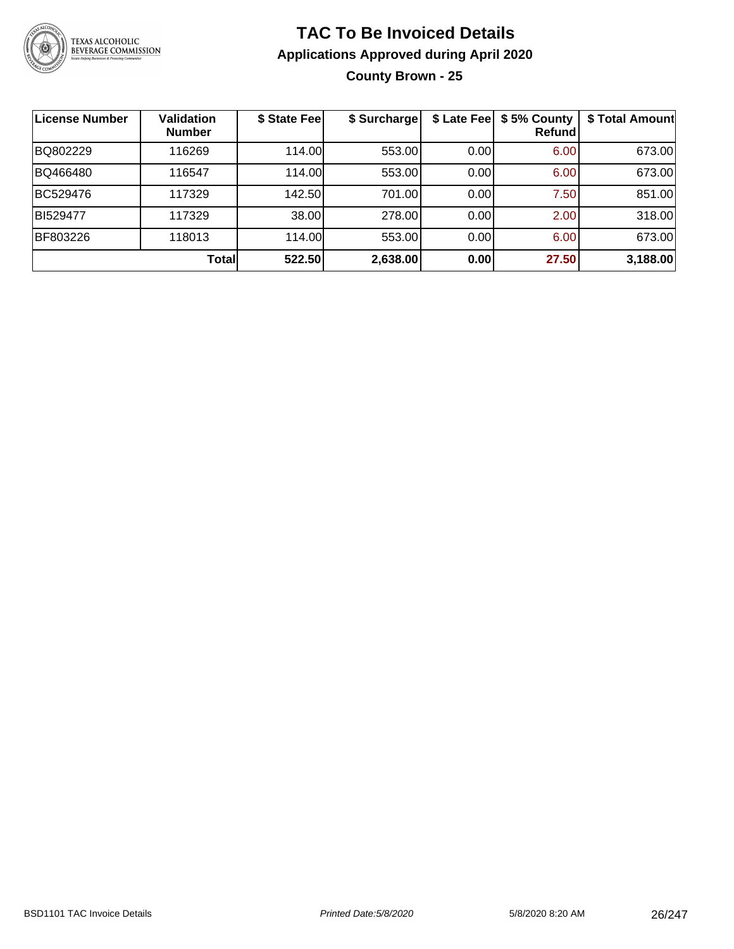

**County Brown - 25**

| License Number | Validation<br><b>Number</b> | \$ State Fee | \$ Surcharge |      | \$ Late Fee   \$5% County<br>Refund | \$ Total Amount |
|----------------|-----------------------------|--------------|--------------|------|-------------------------------------|-----------------|
| BQ802229       | 116269                      | 114.00L      | 553.00       | 0.00 | 6.00                                | 673.00          |
| BQ466480       | 116547                      | 114.00       | 553.00       | 0.00 | 6.00                                | 673.00          |
| BC529476       | 117329                      | 142.50       | 701.00       | 0.00 | 7.50                                | 851.00          |
| BI529477       | 117329                      | 38.00        | 278.00       | 0.00 | 2.00                                | 318.00          |
| BF803226       | 118013                      | 114.00       | 553.00       | 0.00 | 6.00                                | 673.00          |
|                | Total                       | 522.50       | 2,638.00     | 0.00 | 27.50                               | 3,188.00        |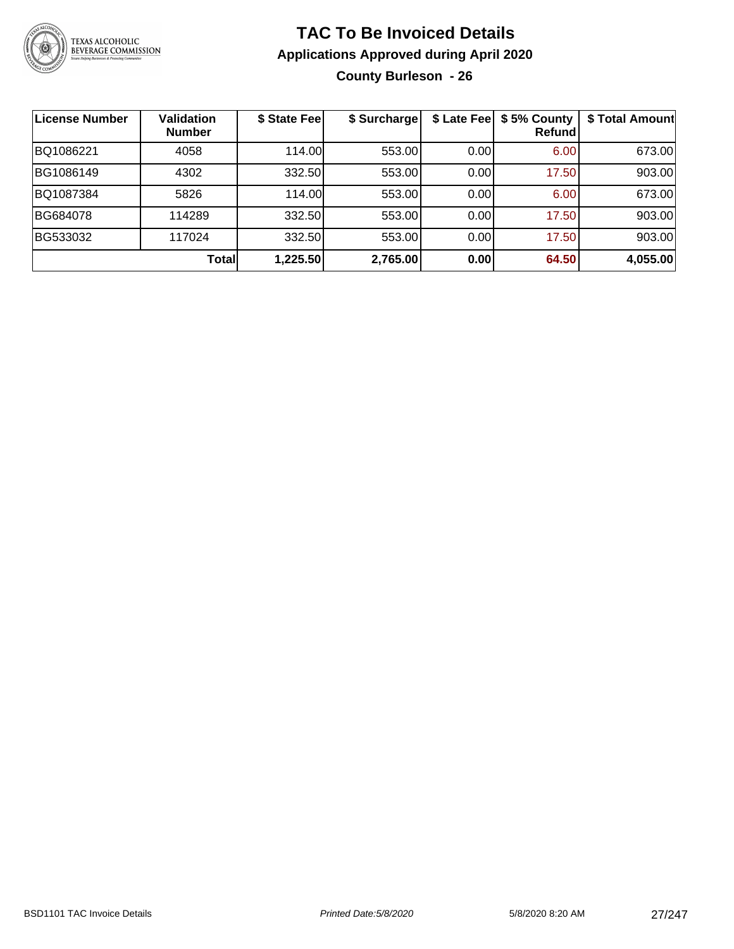

### **TAC To Be Invoiced Details Applications Approved during April 2020 County Burleson - 26**

| License Number | <b>Validation</b><br><b>Number</b> | \$ State Fee | \$ Surcharge | \$ Late Fee | \$5% County<br>Refundl | \$ Total Amount |
|----------------|------------------------------------|--------------|--------------|-------------|------------------------|-----------------|
| BQ1086221      | 4058                               | 114.00       | 553.00       | 0.00        | 6.00                   | 673.00          |
| BG1086149      | 4302                               | 332.50       | 553.00       | 0.00        | 17.50                  | 903.00          |
| BQ1087384      | 5826                               | 114.00       | 553.00       | 0.00        | 6.00                   | 673.00          |
| BG684078       | 114289                             | 332.50       | 553.00       | 0.00        | 17.50                  | 903.00          |
| BG533032       | 117024                             | 332.50       | 553.00       | 0.00        | 17.50                  | 903.00          |
|                | Totall                             | 1,225.50     | 2,765.00     | 0.00        | 64.50                  | 4,055.00        |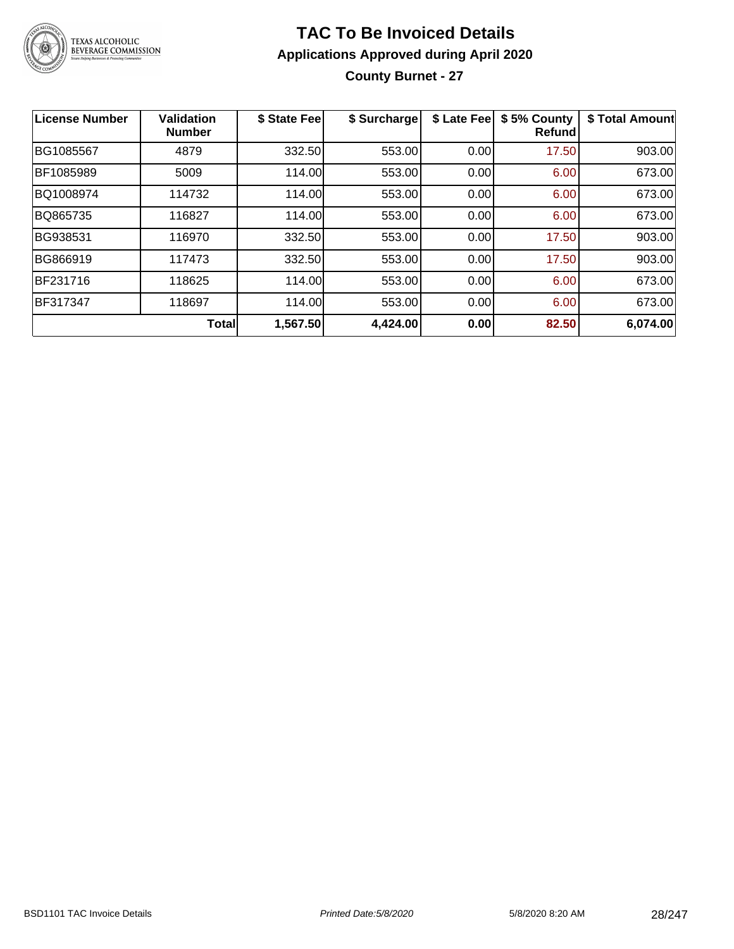

### **TAC To Be Invoiced Details Applications Approved during April 2020 County Burnet - 27**

| <b>License Number</b> | <b>Validation</b><br><b>Number</b> | \$ State Fee | \$ Surcharge | \$ Late Fee | \$5% County<br><b>Refund</b> | \$ Total Amount |
|-----------------------|------------------------------------|--------------|--------------|-------------|------------------------------|-----------------|
| BG1085567             | 4879                               | 332.50       | 553.00       | 0.00        | 17.50                        | 903.00          |
| BF1085989             | 5009                               | 114.00       | 553.00       | 0.00        | 6.00                         | 673.00          |
| BQ1008974             | 114732                             | 114.00       | 553.00       | 0.00        | 6.00                         | 673.00          |
| BQ865735              | 116827                             | 114.00       | 553.00       | 0.00        | 6.00                         | 673.00          |
| BG938531              | 116970                             | 332.50       | 553.00       | 0.00        | 17.50                        | 903.00          |
| BG866919              | 117473                             | 332.50       | 553.00       | 0.00        | 17.50                        | 903.00          |
| BF231716              | 118625                             | 114.00       | 553.00       | 0.00        | 6.00                         | 673.00          |
| BF317347              | 118697                             | 114.00       | 553.00       | 0.00        | 6.00                         | 673.00          |
|                       | <b>Total</b>                       | 1,567.50     | 4,424.00     | 0.00        | 82.50                        | 6,074.00        |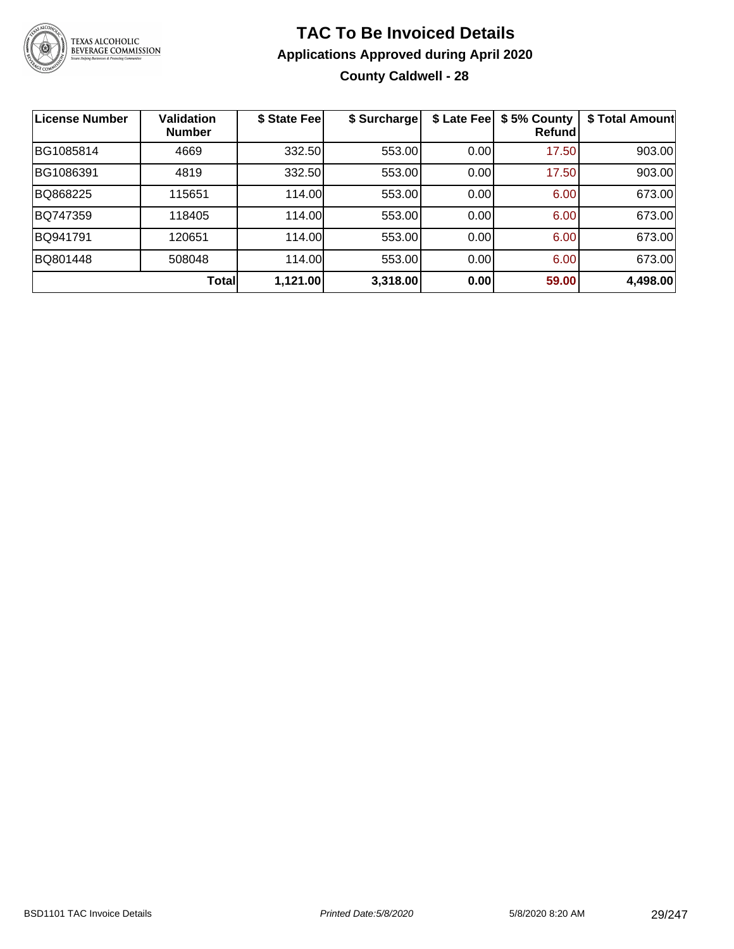

### **TAC To Be Invoiced Details Applications Approved during April 2020 County Caldwell - 28**

| <b>License Number</b> | <b>Validation</b><br><b>Number</b> | \$ State Fee | \$ Surcharge | \$ Late Fee | \$5% County<br>Refund | \$ Total Amount |
|-----------------------|------------------------------------|--------------|--------------|-------------|-----------------------|-----------------|
| BG1085814             | 4669                               | 332.50       | 553.00       | 0.00        | 17.50                 | 903.00          |
| BG1086391             | 4819                               | 332.50       | 553.00       | 0.00        | 17.50                 | 903.00          |
| BQ868225              | 115651                             | 114.00       | 553.00       | 0.00        | 6.00                  | 673.00          |
| BQ747359              | 118405                             | 114.00       | 553.00       | 0.00        | 6.00                  | 673.00          |
| BQ941791              | 120651                             | 114.00       | 553.00       | 0.00        | 6.00                  | 673.00          |
| BQ801448              | 508048                             | 114.00       | 553.00       | 0.00        | 6.00                  | 673.00          |
|                       | <b>Total</b>                       | 1,121.00     | 3,318.00     | 0.00        | 59.00                 | 4,498.00        |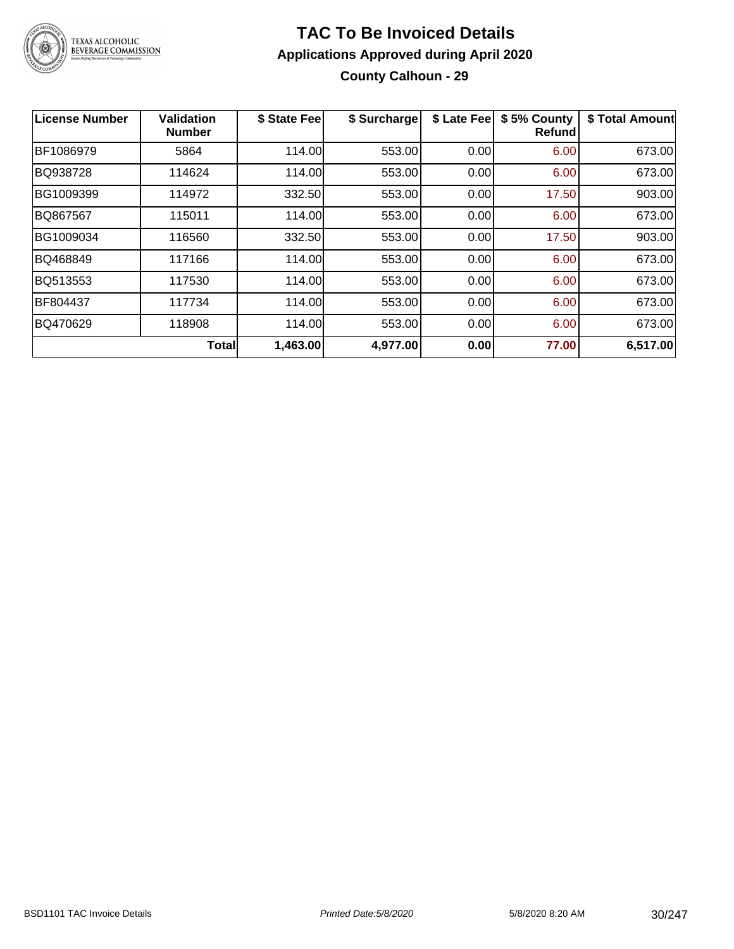

### **TAC To Be Invoiced Details Applications Approved during April 2020 County Calhoun - 29**

| License Number | <b>Validation</b><br><b>Number</b> | \$ State Fee | \$ Surcharge | \$ Late Fee | \$5% County<br><b>Refund</b> | \$ Total Amount |
|----------------|------------------------------------|--------------|--------------|-------------|------------------------------|-----------------|
| BF1086979      | 5864                               | 114.00       | 553.00       | 0.00        | 6.00                         | 673.00          |
| BQ938728       | 114624                             | 114.00       | 553.00       | 0.00        | 6.00                         | 673.00          |
| BG1009399      | 114972                             | 332.50       | 553.00       | 0.00        | 17.50                        | 903.00          |
| BQ867567       | 115011                             | 114.00       | 553.00       | 0.00        | 6.00                         | 673.00          |
| BG1009034      | 116560                             | 332.50       | 553.00       | 0.00        | 17.50                        | 903.00          |
| BQ468849       | 117166                             | 114.00       | 553.00       | 0.00        | 6.00                         | 673.00          |
| BQ513553       | 117530                             | 114.00       | 553.00       | 0.00        | 6.00                         | 673.00          |
| BF804437       | 117734                             | 114.00       | 553.00       | 0.00        | 6.00                         | 673.00          |
| BQ470629       | 118908                             | 114.00       | 553.00       | 0.00        | 6.00                         | 673.00          |
|                | <b>Total</b>                       | 1,463.00     | 4,977.00     | 0.00        | 77.00                        | 6,517.00        |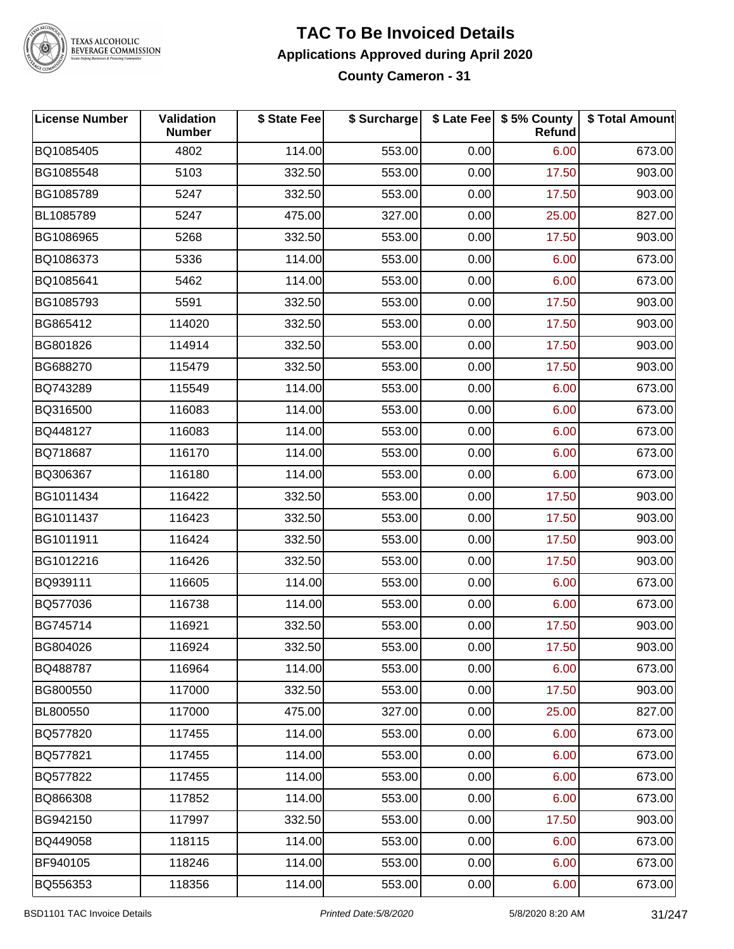

#### **TAC To Be Invoiced Details Applications Approved during April 2020 County Cameron - 31**

| <b>License Number</b> | Validation<br><b>Number</b> | \$ State Fee | \$ Surcharge |      | \$ Late Fee   \$5% County<br><b>Refund</b> | \$ Total Amount |
|-----------------------|-----------------------------|--------------|--------------|------|--------------------------------------------|-----------------|
| BQ1085405             | 4802                        | 114.00       | 553.00       | 0.00 | 6.00                                       | 673.00          |
| BG1085548             | 5103                        | 332.50       | 553.00       | 0.00 | 17.50                                      | 903.00          |
| BG1085789             | 5247                        | 332.50       | 553.00       | 0.00 | 17.50                                      | 903.00          |
| BL1085789             | 5247                        | 475.00       | 327.00       | 0.00 | 25.00                                      | 827.00          |
| BG1086965             | 5268                        | 332.50       | 553.00       | 0.00 | 17.50                                      | 903.00          |
| BQ1086373             | 5336                        | 114.00       | 553.00       | 0.00 | 6.00                                       | 673.00          |
| BQ1085641             | 5462                        | 114.00       | 553.00       | 0.00 | 6.00                                       | 673.00          |
| BG1085793             | 5591                        | 332.50       | 553.00       | 0.00 | 17.50                                      | 903.00          |
| BG865412              | 114020                      | 332.50       | 553.00       | 0.00 | 17.50                                      | 903.00          |
| BG801826              | 114914                      | 332.50       | 553.00       | 0.00 | 17.50                                      | 903.00          |
| BG688270              | 115479                      | 332.50       | 553.00       | 0.00 | 17.50                                      | 903.00          |
| BQ743289              | 115549                      | 114.00       | 553.00       | 0.00 | 6.00                                       | 673.00          |
| BQ316500              | 116083                      | 114.00       | 553.00       | 0.00 | 6.00                                       | 673.00          |
| BQ448127              | 116083                      | 114.00       | 553.00       | 0.00 | 6.00                                       | 673.00          |
| BQ718687              | 116170                      | 114.00       | 553.00       | 0.00 | 6.00                                       | 673.00          |
| BQ306367              | 116180                      | 114.00       | 553.00       | 0.00 | 6.00                                       | 673.00          |
| BG1011434             | 116422                      | 332.50       | 553.00       | 0.00 | 17.50                                      | 903.00          |
| BG1011437             | 116423                      | 332.50       | 553.00       | 0.00 | 17.50                                      | 903.00          |
| BG1011911             | 116424                      | 332.50       | 553.00       | 0.00 | 17.50                                      | 903.00          |
| BG1012216             | 116426                      | 332.50       | 553.00       | 0.00 | 17.50                                      | 903.00          |
| BQ939111              | 116605                      | 114.00       | 553.00       | 0.00 | 6.00                                       | 673.00          |
| BQ577036              | 116738                      | 114.00       | 553.00       | 0.00 | 6.00                                       | 673.00          |
| BG745714              | 116921                      | 332.50       | 553.00       | 0.00 | 17.50                                      | 903.00          |
| BG804026              | 116924                      | 332.50       | 553.00       | 0.00 | 17.50                                      | 903.00          |
| BQ488787              | 116964                      | 114.00       | 553.00       | 0.00 | 6.00                                       | 673.00          |
| BG800550              | 117000                      | 332.50       | 553.00       | 0.00 | 17.50                                      | 903.00          |
| BL800550              | 117000                      | 475.00       | 327.00       | 0.00 | 25.00                                      | 827.00          |
| BQ577820              | 117455                      | 114.00       | 553.00       | 0.00 | 6.00                                       | 673.00          |
| BQ577821              | 117455                      | 114.00       | 553.00       | 0.00 | 6.00                                       | 673.00          |
| BQ577822              | 117455                      | 114.00       | 553.00       | 0.00 | 6.00                                       | 673.00          |
| BQ866308              | 117852                      | 114.00       | 553.00       | 0.00 | 6.00                                       | 673.00          |
| BG942150              | 117997                      | 332.50       | 553.00       | 0.00 | 17.50                                      | 903.00          |
| BQ449058              | 118115                      | 114.00       | 553.00       | 0.00 | 6.00                                       | 673.00          |
| BF940105              | 118246                      | 114.00       | 553.00       | 0.00 | 6.00                                       | 673.00          |
| BQ556353              | 118356                      | 114.00       | 553.00       | 0.00 | 6.00                                       | 673.00          |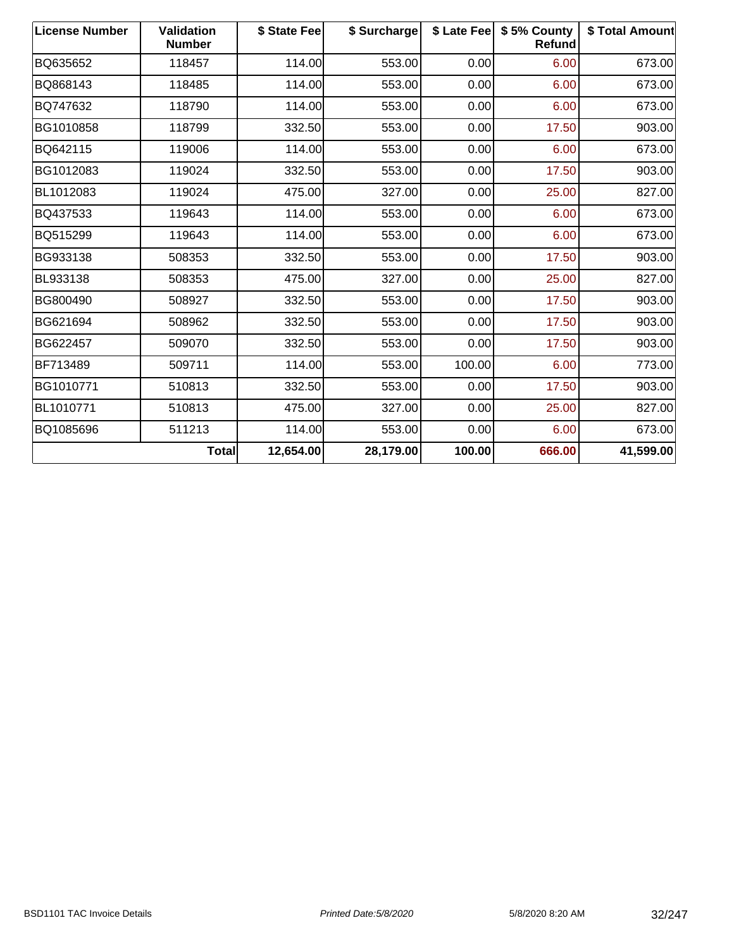| <b>License Number</b> | <b>Validation</b><br><b>Number</b> | \$ State Fee | \$ Surcharge |        | \$ Late Fee   \$5% County<br><b>Refund</b> | \$ Total Amount |
|-----------------------|------------------------------------|--------------|--------------|--------|--------------------------------------------|-----------------|
| BQ635652              | 118457                             | 114.00       | 553.00       | 0.00   | 6.00                                       | 673.00          |
| BQ868143              | 118485                             | 114.00       | 553.00       | 0.00   | 6.00                                       | 673.00          |
| BQ747632              | 118790                             | 114.00       | 553.00       | 0.00   | 6.00                                       | 673.00          |
| BG1010858             | 118799                             | 332.50       | 553.00       | 0.00   | 17.50                                      | 903.00          |
| BQ642115              | 119006                             | 114.00       | 553.00       | 0.00   | 6.00                                       | 673.00          |
| BG1012083             | 119024                             | 332.50       | 553.00       | 0.00   | 17.50                                      | 903.00          |
| BL1012083             | 119024                             | 475.00       | 327.00       | 0.00   | 25.00                                      | 827.00          |
| BQ437533              | 119643                             | 114.00       | 553.00       | 0.00   | 6.00                                       | 673.00          |
| BQ515299              | 119643                             | 114.00       | 553.00       | 0.00   | 6.00                                       | 673.00          |
| BG933138              | 508353                             | 332.50       | 553.00       | 0.00   | 17.50                                      | 903.00          |
| BL933138              | 508353                             | 475.00       | 327.00       | 0.00   | 25.00                                      | 827.00          |
| BG800490              | 508927                             | 332.50       | 553.00       | 0.00   | 17.50                                      | 903.00          |
| BG621694              | 508962                             | 332.50       | 553.00       | 0.00   | 17.50                                      | 903.00          |
| BG622457              | 509070                             | 332.50       | 553.00       | 0.00   | 17.50                                      | 903.00          |
| BF713489              | 509711                             | 114.00       | 553.00       | 100.00 | 6.00                                       | 773.00          |
| BG1010771             | 510813                             | 332.50       | 553.00       | 0.00   | 17.50                                      | 903.00          |
| BL1010771             | 510813                             | 475.00       | 327.00       | 0.00   | 25.00                                      | 827.00          |
| BQ1085696             | 511213                             | 114.00       | 553.00       | 0.00   | 6.00                                       | 673.00          |
|                       | Total                              | 12,654.00    | 28,179.00    | 100.00 | 666.00                                     | 41,599.00       |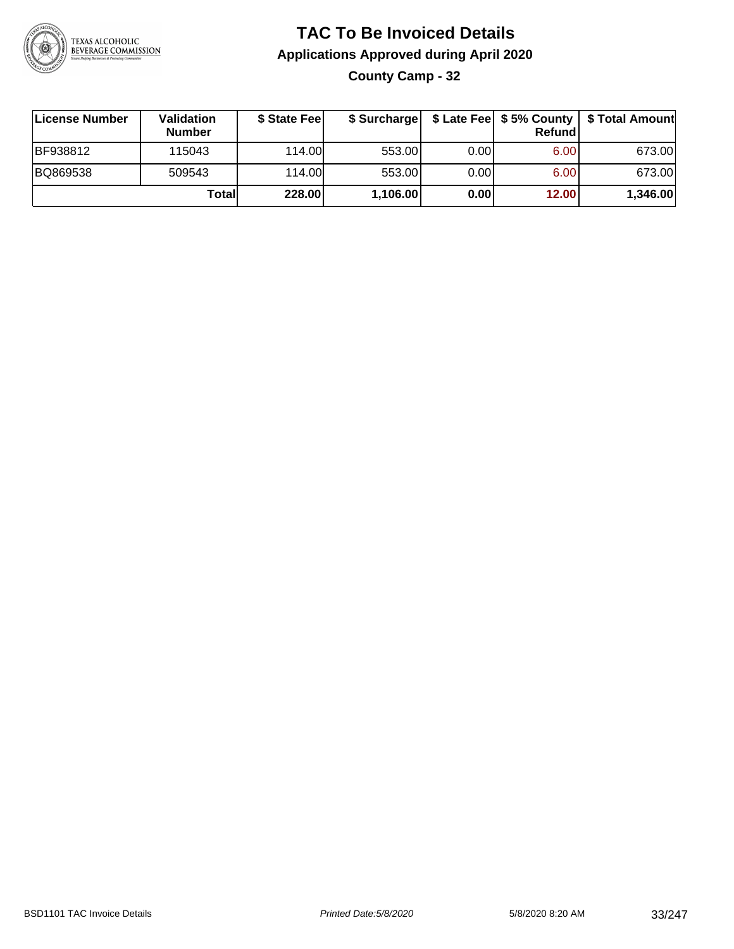

**County Camp - 32**

| License Number  | Validation<br><b>Number</b> | \$ State Fee | \$ Surcharge |       | <b>Refund</b> | \$ Late Fee   \$5% County   \$ Total Amount |
|-----------------|-----------------------------|--------------|--------------|-------|---------------|---------------------------------------------|
| <b>BF938812</b> | 115043                      | 114.00       | 553.00       | 0.00  | 6.00          | 673.00                                      |
| BQ869538        | 509543                      | 114.00L      | 553.00       | 0.001 | 6.00          | 673.00                                      |
|                 | Totall                      | 228.00       | 1,106.00     | 0.00  | 12.00         | 1,346.00                                    |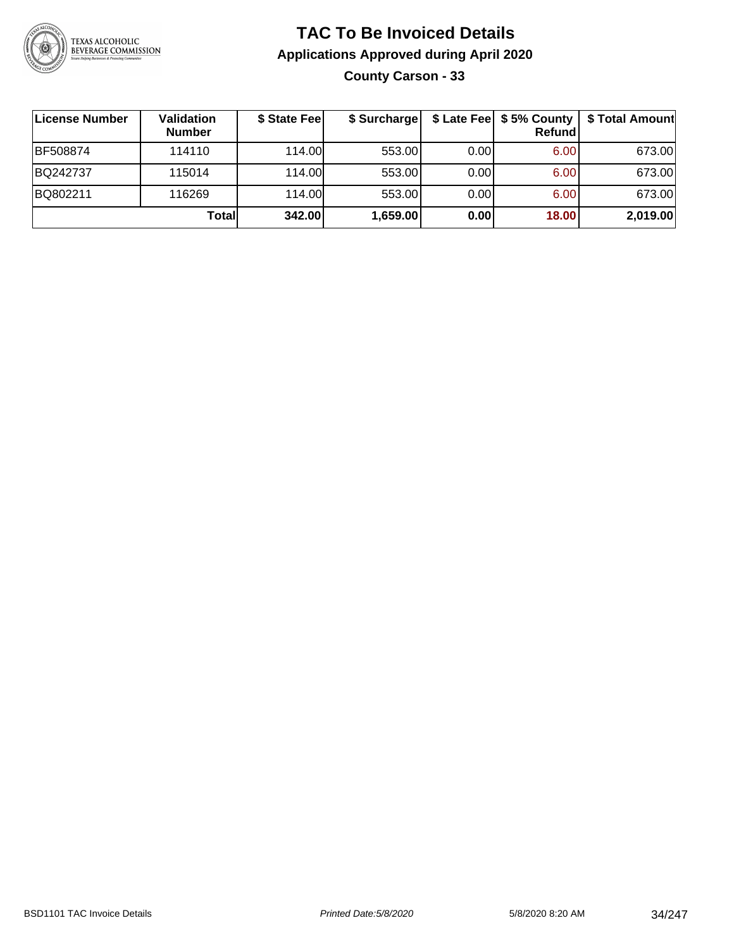

### **TAC To Be Invoiced Details Applications Approved during April 2020 County Carson - 33**

| License Number | Validation<br><b>Number</b> | \$ State Fee | \$ Surcharge |       | \$ Late Fee   \$5% County  <br>Refund | \$ Total Amount |
|----------------|-----------------------------|--------------|--------------|-------|---------------------------------------|-----------------|
| BF508874       | 114110                      | 114.00       | 553.00       | 0.001 | 6.00                                  | 673.00          |
| BQ242737       | 115014                      | 114.00       | 553.00       | 0.00  | 6.00                                  | 673.00          |
| BQ802211       | 116269                      | 114.00       | 553.00       | 0.00  | 6.00                                  | 673.00          |
|                | Total                       | 342.00       | 1,659.00     | 0.00  | 18.00                                 | 2,019.00        |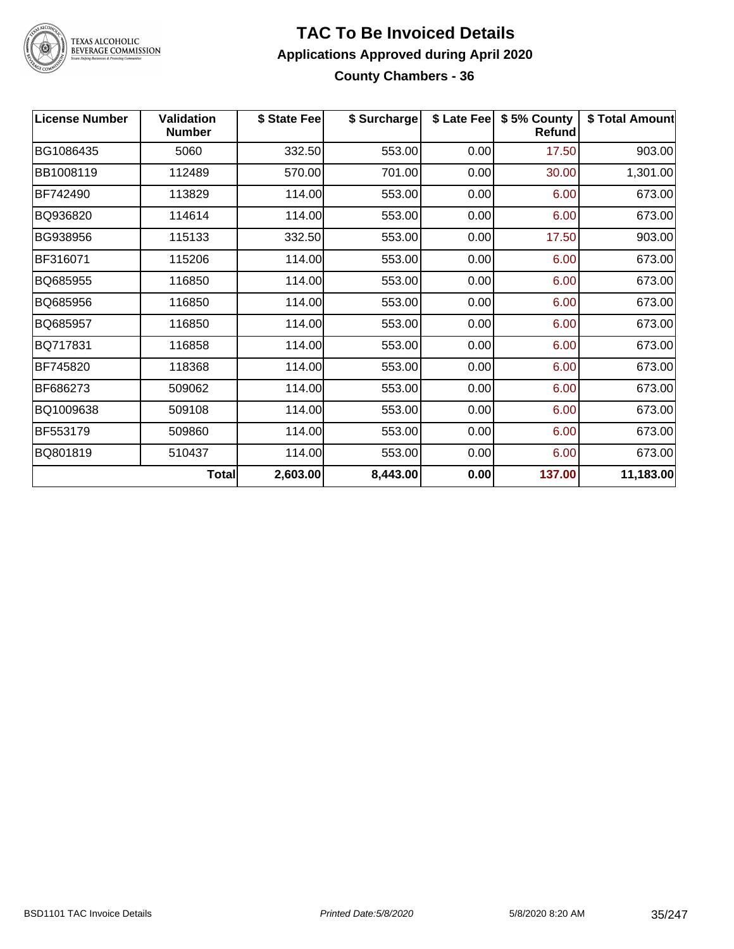

#### **TAC To Be Invoiced Details Applications Approved during April 2020 County Chambers - 36**

| <b>License Number</b> | <b>Validation</b><br><b>Number</b> | \$ State Fee | \$ Surcharge | \$ Late Fee | \$5% County<br><b>Refund</b> | \$ Total Amount |
|-----------------------|------------------------------------|--------------|--------------|-------------|------------------------------|-----------------|
| BG1086435             | 5060                               | 332.50       | 553.00       | 0.00        | 17.50                        | 903.00          |
| BB1008119             | 112489                             | 570.00       | 701.00       | 0.00        | 30.00                        | 1,301.00        |
| BF742490              | 113829                             | 114.00       | 553.00       | 0.00        | 6.00                         | 673.00          |
| BQ936820              | 114614                             | 114.00       | 553.00       | 0.00        | 6.00                         | 673.00          |
| BG938956              | 115133                             | 332.50       | 553.00       | 0.00        | 17.50                        | 903.00          |
| BF316071              | 115206                             | 114.00       | 553.00       | 0.00        | 6.00                         | 673.00          |
| BQ685955              | 116850                             | 114.00       | 553.00       | 0.00        | 6.00                         | 673.00          |
| BQ685956              | 116850                             | 114.00       | 553.00       | 0.00        | 6.00                         | 673.00          |
| BQ685957              | 116850                             | 114.00       | 553.00       | 0.00        | 6.00                         | 673.00          |
| BQ717831              | 116858                             | 114.00       | 553.00       | 0.00        | 6.00                         | 673.00          |
| BF745820              | 118368                             | 114.00       | 553.00       | 0.00        | 6.00                         | 673.00          |
| BF686273              | 509062                             | 114.00       | 553.00       | 0.00        | 6.00                         | 673.00          |
| BQ1009638             | 509108                             | 114.00       | 553.00       | 0.00        | 6.00                         | 673.00          |
| BF553179              | 509860                             | 114.00       | 553.00       | 0.00        | 6.00                         | 673.00          |
| BQ801819              | 510437                             | 114.00       | 553.00       | 0.00        | 6.00                         | 673.00          |
|                       | Total                              | 2,603.00     | 8,443.00     | 0.00        | 137.00                       | 11,183.00       |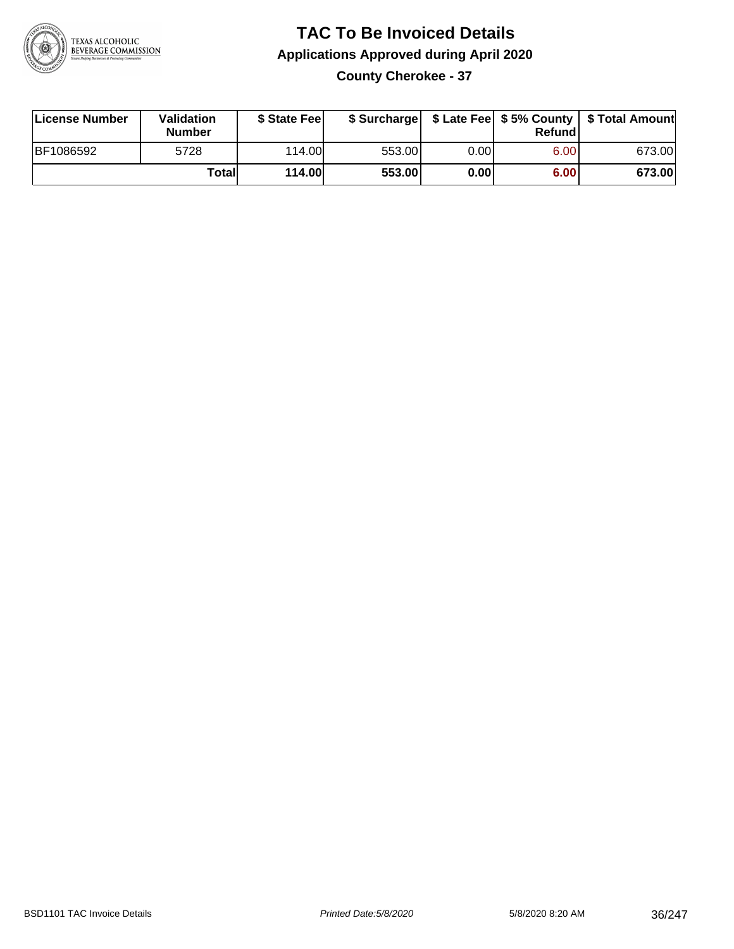

### **TAC To Be Invoiced Details Applications Approved during April 2020 County Cherokee - 37**

| License Number | Validation<br>Number | \$ State Fee  |        |      | Refundl | \$ Surcharge   \$ Late Fee   \$5% County   \$ Total Amount |
|----------------|----------------------|---------------|--------|------|---------|------------------------------------------------------------|
| BF1086592      | 5728                 | 114.00L       | 553.00 | 0.00 | 6.00    | 673.00                                                     |
|                | Totall               | <b>114.00</b> | 553.00 | 0.00 | 6.00    | 673.00                                                     |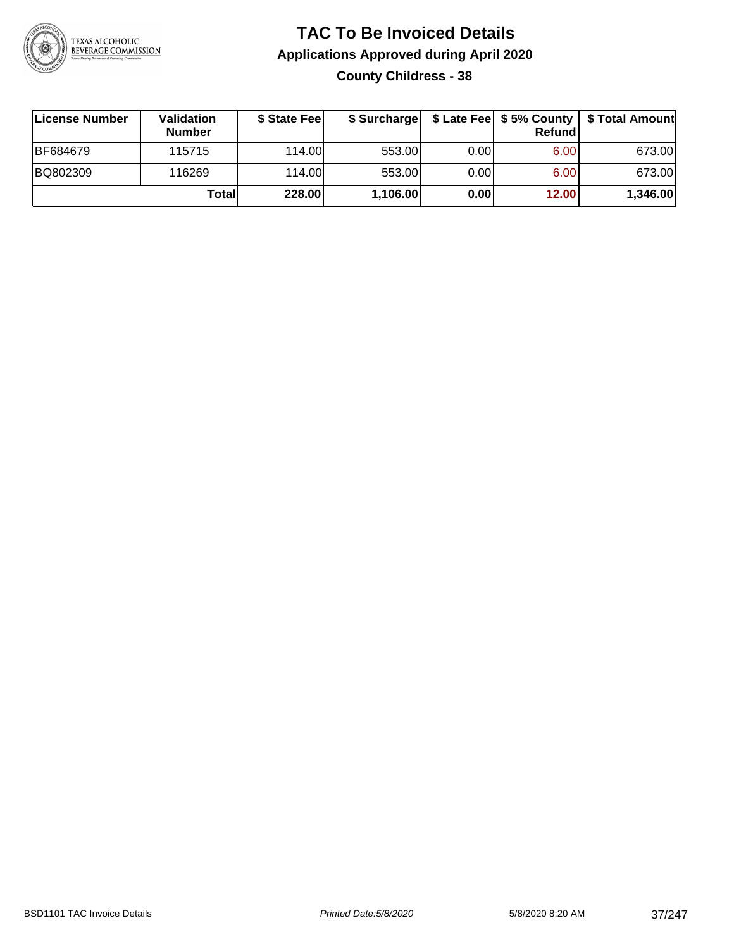

## **TAC To Be Invoiced Details Applications Approved during April 2020 County Childress - 38**

| License Number  | <b>Validation</b><br><b>Number</b> | \$ State Fee |          |       | <b>Refund</b> | \$ Surcharge   \$ Late Fee   \$5% County   \$ Total Amount |
|-----------------|------------------------------------|--------------|----------|-------|---------------|------------------------------------------------------------|
| <b>BF684679</b> | 115715                             | 114.00L      | 553.00   | 0.001 | 6.00          | 673.00                                                     |
| BQ802309        | 116269                             | 114.00L      | 553.00   | 0.00  | 6.00          | 673.00                                                     |
|                 | Totall                             | 228.00       | 1,106.00 | 0.00  | 12.00         | 1,346.00                                                   |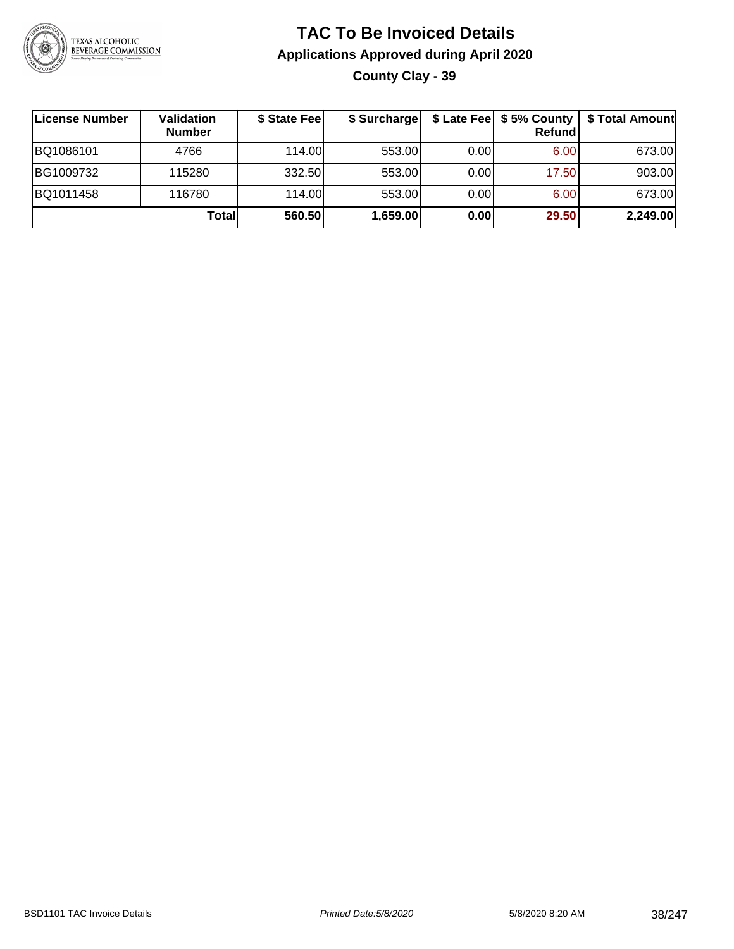

## **TAC To Be Invoiced Details Applications Approved during April 2020 County Clay - 39**

| ∣License Number | Validation<br><b>Number</b> | \$ State Fee | \$ Surcharge |       | \$ Late Fee   \$5% County<br><b>Refund</b> | \$ Total Amount |
|-----------------|-----------------------------|--------------|--------------|-------|--------------------------------------------|-----------------|
| BQ1086101       | 4766                        | 114.00L      | 553.00       | 0.001 | 6.00                                       | 673.00          |
| BG1009732       | 115280                      | 332.50       | 553.00       | 0.00  | 17.50                                      | 903.00          |
| BQ1011458       | 116780                      | 114.00       | 553.00       | 0.00  | 6.00                                       | 673.00          |
|                 | Total                       | 560.50       | 1,659.00     | 0.00  | 29.50                                      | 2,249.00        |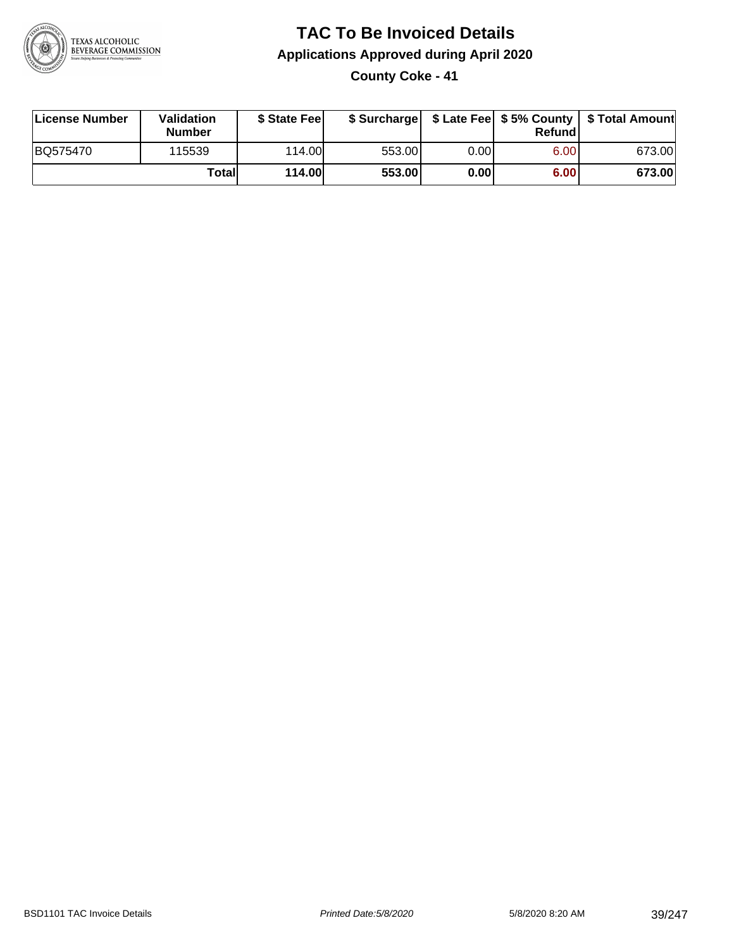

# **TAC To Be Invoiced Details Applications Approved during April 2020**

**County Coke - 41**

| License Number | Validation<br><b>Number</b> | \$ State Feel |        |      | Refundl | \$ Surcharge   \$ Late Fee   \$5% County   \$ Total Amount |
|----------------|-----------------------------|---------------|--------|------|---------|------------------------------------------------------------|
| BQ575470       | 115539                      | 114.00        | 553.00 | 0.00 | 6.00    | 673.00                                                     |
|                | Totall                      | <b>114.00</b> | 553.00 | 0.00 | 6.00    | 673.00                                                     |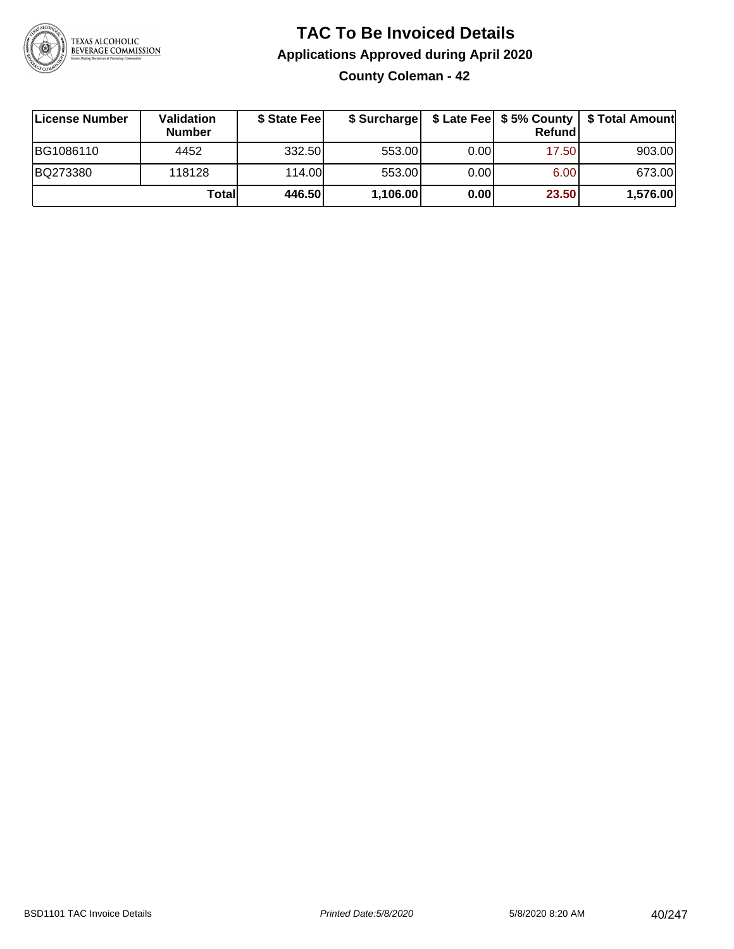

## **TAC To Be Invoiced Details Applications Approved during April 2020 County Coleman - 42**

| License Number | Validation<br><b>Number</b> | \$ State Fee | \$ Surcharge |      | Refundl |          |
|----------------|-----------------------------|--------------|--------------|------|---------|----------|
| BG1086110      | 4452                        | 332.50       | 553.00       | 0.00 | 17.50   | 903.00   |
| BQ273380       | 118128                      | 114.00       | 553.00       | 0.00 | 6.00    | 673.00   |
|                | Totall                      | 446.50       | 1,106.00     | 0.00 | 23.50   | 1,576.00 |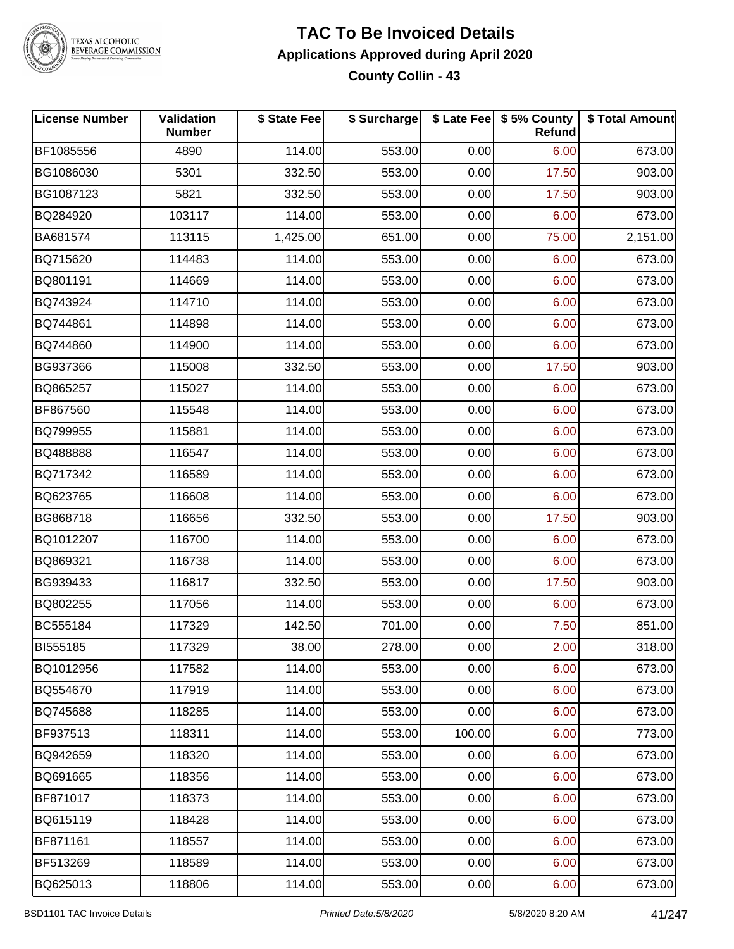

#### **TAC To Be Invoiced Details Applications Approved during April 2020 County Collin - 43**

| <b>License Number</b> | Validation<br><b>Number</b> | \$ State Fee | \$ Surcharge |        | \$ Late Fee   \$5% County<br><b>Refund</b> | \$ Total Amount |
|-----------------------|-----------------------------|--------------|--------------|--------|--------------------------------------------|-----------------|
| BF1085556             | 4890                        | 114.00       | 553.00       | 0.00   | 6.00                                       | 673.00          |
| BG1086030             | 5301                        | 332.50       | 553.00       | 0.00   | 17.50                                      | 903.00          |
| BG1087123             | 5821                        | 332.50       | 553.00       | 0.00   | 17.50                                      | 903.00          |
| BQ284920              | 103117                      | 114.00       | 553.00       | 0.00   | 6.00                                       | 673.00          |
| BA681574              | 113115                      | 1,425.00     | 651.00       | 0.00   | 75.00                                      | 2,151.00        |
| BQ715620              | 114483                      | 114.00       | 553.00       | 0.00   | 6.00                                       | 673.00          |
| BQ801191              | 114669                      | 114.00       | 553.00       | 0.00   | 6.00                                       | 673.00          |
| BQ743924              | 114710                      | 114.00       | 553.00       | 0.00   | 6.00                                       | 673.00          |
| BQ744861              | 114898                      | 114.00       | 553.00       | 0.00   | 6.00                                       | 673.00          |
| BQ744860              | 114900                      | 114.00       | 553.00       | 0.00   | 6.00                                       | 673.00          |
| BG937366              | 115008                      | 332.50       | 553.00       | 0.00   | 17.50                                      | 903.00          |
| BQ865257              | 115027                      | 114.00       | 553.00       | 0.00   | 6.00                                       | 673.00          |
| BF867560              | 115548                      | 114.00       | 553.00       | 0.00   | 6.00                                       | 673.00          |
| BQ799955              | 115881                      | 114.00       | 553.00       | 0.00   | 6.00                                       | 673.00          |
| BQ488888              | 116547                      | 114.00       | 553.00       | 0.00   | 6.00                                       | 673.00          |
| BQ717342              | 116589                      | 114.00       | 553.00       | 0.00   | 6.00                                       | 673.00          |
| BQ623765              | 116608                      | 114.00       | 553.00       | 0.00   | 6.00                                       | 673.00          |
| BG868718              | 116656                      | 332.50       | 553.00       | 0.00   | 17.50                                      | 903.00          |
| BQ1012207             | 116700                      | 114.00       | 553.00       | 0.00   | 6.00                                       | 673.00          |
| BQ869321              | 116738                      | 114.00       | 553.00       | 0.00   | 6.00                                       | 673.00          |
| BG939433              | 116817                      | 332.50       | 553.00       | 0.00   | 17.50                                      | 903.00          |
| BQ802255              | 117056                      | 114.00       | 553.00       | 0.00   | 6.00                                       | 673.00          |
| BC555184              | 117329                      | 142.50       | 701.00       | 0.00   | 7.50                                       | 851.00          |
| <b>BI555185</b>       | 117329                      | 38.00        | 278.00       | 0.00   | 2.00                                       | 318.00          |
| BQ1012956             | 117582                      | 114.00       | 553.00       | 0.00   | 6.00                                       | 673.00          |
| BQ554670              | 117919                      | 114.00       | 553.00       | 0.00   | 6.00                                       | 673.00          |
| BQ745688              | 118285                      | 114.00       | 553.00       | 0.00   | 6.00                                       | 673.00          |
| BF937513              | 118311                      | 114.00       | 553.00       | 100.00 | 6.00                                       | 773.00          |
| BQ942659              | 118320                      | 114.00       | 553.00       | 0.00   | 6.00                                       | 673.00          |
| BQ691665              | 118356                      | 114.00       | 553.00       | 0.00   | 6.00                                       | 673.00          |
| BF871017              | 118373                      | 114.00       | 553.00       | 0.00   | 6.00                                       | 673.00          |
| BQ615119              | 118428                      | 114.00       | 553.00       | 0.00   | 6.00                                       | 673.00          |
| BF871161              | 118557                      | 114.00       | 553.00       | 0.00   | 6.00                                       | 673.00          |
| BF513269              | 118589                      | 114.00       | 553.00       | 0.00   | 6.00                                       | 673.00          |
| BQ625013              | 118806                      | 114.00       | 553.00       | 0.00   | 6.00                                       | 673.00          |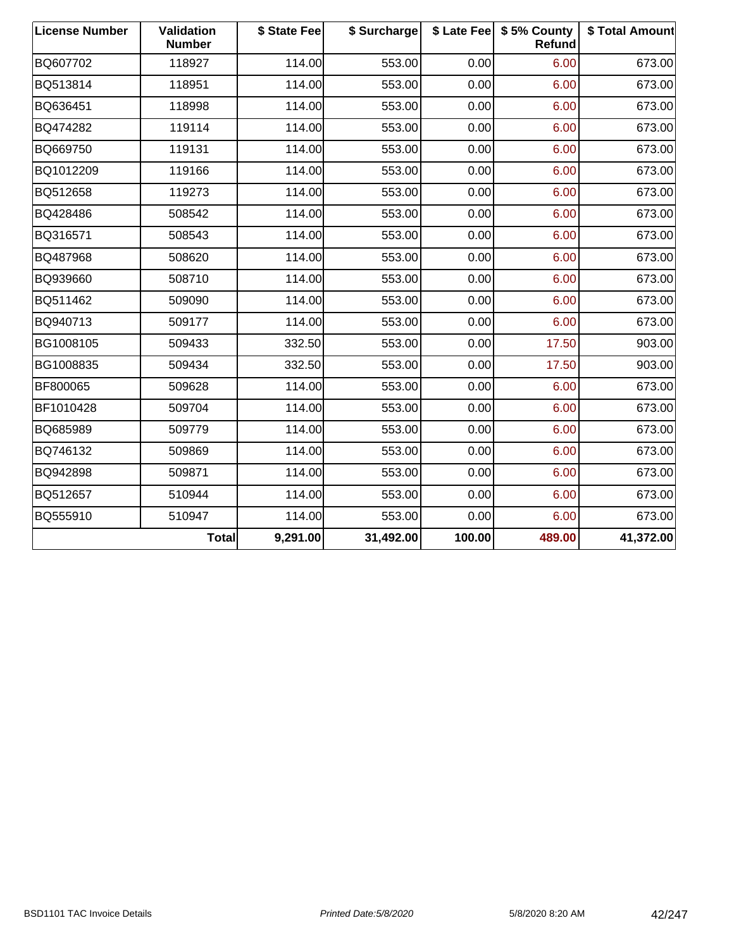| <b>License Number</b> | <b>Validation</b><br><b>Number</b> | \$ State Fee | \$ Surcharge |        | \$ Late Fee   \$5% County<br>Refund | \$ Total Amount |
|-----------------------|------------------------------------|--------------|--------------|--------|-------------------------------------|-----------------|
| BQ607702              | 118927                             | 114.00       | 553.00       | 0.00   | 6.00                                | 673.00          |
| BQ513814              | 118951                             | 114.00       | 553.00       | 0.00   | 6.00                                | 673.00          |
| BQ636451              | 118998                             | 114.00       | 553.00       | 0.00   | 6.00                                | 673.00          |
| BQ474282              | 119114                             | 114.00       | 553.00       | 0.00   | 6.00                                | 673.00          |
| BQ669750              | 119131                             | 114.00       | 553.00       | 0.00   | 6.00                                | 673.00          |
| BQ1012209             | 119166                             | 114.00       | 553.00       | 0.00   | 6.00                                | 673.00          |
| BQ512658              | 119273                             | 114.00       | 553.00       | 0.00   | 6.00                                | 673.00          |
| BQ428486              | 508542                             | 114.00       | 553.00       | 0.00   | 6.00                                | 673.00          |
| BQ316571              | 508543                             | 114.00       | 553.00       | 0.00   | 6.00                                | 673.00          |
| BQ487968              | 508620                             | 114.00       | 553.00       | 0.00   | 6.00                                | 673.00          |
| BQ939660              | 508710                             | 114.00       | 553.00       | 0.00   | 6.00                                | 673.00          |
| BQ511462              | 509090                             | 114.00       | 553.00       | 0.00   | 6.00                                | 673.00          |
| BQ940713              | 509177                             | 114.00       | 553.00       | 0.00   | 6.00                                | 673.00          |
| BG1008105             | 509433                             | 332.50       | 553.00       | 0.00   | 17.50                               | 903.00          |
| BG1008835             | 509434                             | 332.50       | 553.00       | 0.00   | 17.50                               | 903.00          |
| BF800065              | 509628                             | 114.00       | 553.00       | 0.00   | 6.00                                | 673.00          |
| BF1010428             | 509704                             | 114.00       | 553.00       | 0.00   | 6.00                                | 673.00          |
| BQ685989              | 509779                             | 114.00       | 553.00       | 0.00   | 6.00                                | 673.00          |
| BQ746132              | 509869                             | 114.00       | 553.00       | 0.00   | 6.00                                | 673.00          |
| BQ942898              | 509871                             | 114.00       | 553.00       | 0.00   | 6.00                                | 673.00          |
| BQ512657              | 510944                             | 114.00       | 553.00       | 0.00   | 6.00                                | 673.00          |
| BQ555910              | 510947                             | 114.00       | 553.00       | 0.00   | 6.00                                | 673.00          |
|                       | <b>Total</b>                       | 9,291.00     | 31,492.00    | 100.00 | 489.00                              | 41,372.00       |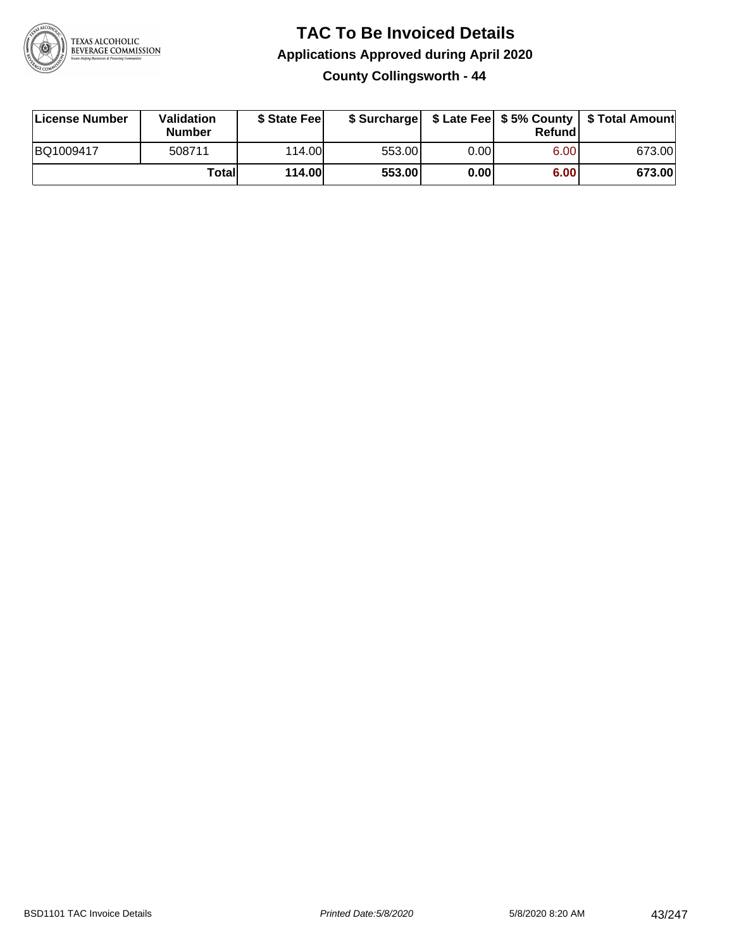

#### **TAC To Be Invoiced Details Applications Approved during April 2020 County Collingsworth - 44**

| License Number | Validation<br><b>Number</b> | \$ State Feel |        |       | Refund | \$ Surcharge   \$ Late Fee   \$5% County   \$ Total Amount |
|----------------|-----------------------------|---------------|--------|-------|--------|------------------------------------------------------------|
| BQ1009417      | 508711                      | 114.00        | 553.00 | 0.001 | 6.00   | 673.00                                                     |
|                | Totall                      | 114.00        | 553.00 | 0.00  | 6.00   | 673.00                                                     |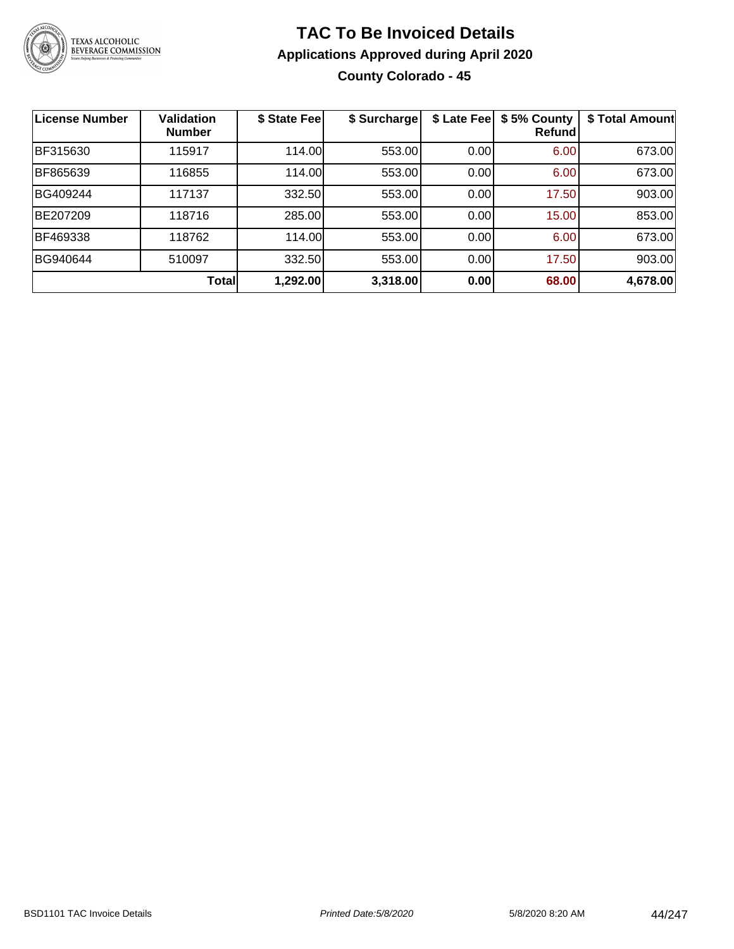

### **TAC To Be Invoiced Details Applications Approved during April 2020 County Colorado - 45**

| <b>License Number</b> | <b>Validation</b><br><b>Number</b> | \$ State Fee | \$ Surcharge | \$ Late Fee | \$5% County<br>Refundl | \$ Total Amount |
|-----------------------|------------------------------------|--------------|--------------|-------------|------------------------|-----------------|
| BF315630              | 115917                             | 114.00       | 553.00       | 0.00        | 6.00                   | 673.00          |
| BF865639              | 116855                             | 114.00       | 553.00       | 0.00        | 6.00                   | 673.00          |
| BG409244              | 117137                             | 332.50       | 553.00       | 0.00        | 17.50                  | 903.00          |
| BE207209              | 118716                             | 285.00       | 553.00       | 0.00        | 15.00                  | 853.00          |
| BF469338              | 118762                             | 114.00       | 553.00       | 0.00        | 6.00                   | 673.00          |
| BG940644              | 510097                             | 332.50       | 553.00       | 0.00        | 17.50                  | 903.00          |
|                       | <b>Total</b>                       | 1,292.00     | 3,318.00     | 0.00        | 68.00                  | 4,678.00        |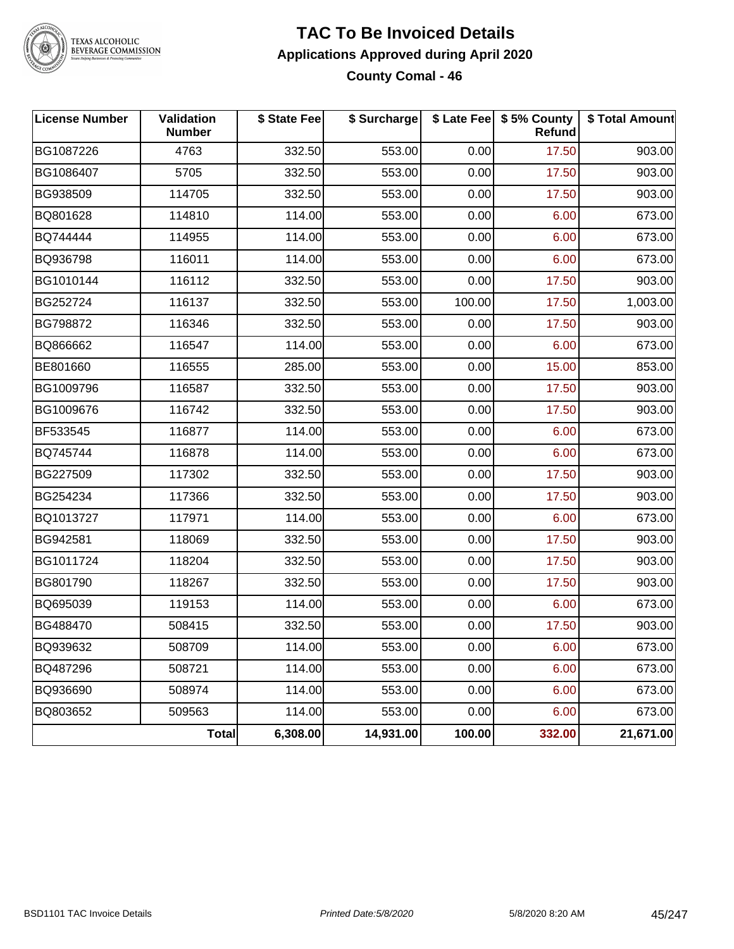

#### **TAC To Be Invoiced Details Applications Approved during April 2020 County Comal - 46**

| <b>License Number</b> | Validation<br><b>Number</b> | \$ State Fee | \$ Surcharge |        | \$ Late Fee   \$5% County<br><b>Refund</b> | \$ Total Amount |
|-----------------------|-----------------------------|--------------|--------------|--------|--------------------------------------------|-----------------|
| BG1087226             | 4763                        | 332.50       | 553.00       | 0.00   | 17.50                                      | 903.00          |
| BG1086407             | 5705                        | 332.50       | 553.00       | 0.00   | 17.50                                      | 903.00          |
| BG938509              | 114705                      | 332.50       | 553.00       | 0.00   | 17.50                                      | 903.00          |
| BQ801628              | 114810                      | 114.00       | 553.00       | 0.00   | 6.00                                       | 673.00          |
| BQ744444              | 114955                      | 114.00       | 553.00       | 0.00   | 6.00                                       | 673.00          |
| BQ936798              | 116011                      | 114.00       | 553.00       | 0.00   | 6.00                                       | 673.00          |
| BG1010144             | 116112                      | 332.50       | 553.00       | 0.00   | 17.50                                      | 903.00          |
| BG252724              | 116137                      | 332.50       | 553.00       | 100.00 | 17.50                                      | 1,003.00        |
| BG798872              | 116346                      | 332.50       | 553.00       | 0.00   | 17.50                                      | 903.00          |
| BQ866662              | 116547                      | 114.00       | 553.00       | 0.00   | 6.00                                       | 673.00          |
| BE801660              | 116555                      | 285.00       | 553.00       | 0.00   | 15.00                                      | 853.00          |
| BG1009796             | 116587                      | 332.50       | 553.00       | 0.00   | 17.50                                      | 903.00          |
| BG1009676             | 116742                      | 332.50       | 553.00       | 0.00   | 17.50                                      | 903.00          |
| BF533545              | 116877                      | 114.00       | 553.00       | 0.00   | 6.00                                       | 673.00          |
| BQ745744              | 116878                      | 114.00       | 553.00       | 0.00   | 6.00                                       | 673.00          |
| BG227509              | 117302                      | 332.50       | 553.00       | 0.00   | 17.50                                      | 903.00          |
| BG254234              | 117366                      | 332.50       | 553.00       | 0.00   | 17.50                                      | 903.00          |
| BQ1013727             | 117971                      | 114.00       | 553.00       | 0.00   | 6.00                                       | 673.00          |
| BG942581              | 118069                      | 332.50       | 553.00       | 0.00   | 17.50                                      | 903.00          |
| BG1011724             | 118204                      | 332.50       | 553.00       | 0.00   | 17.50                                      | 903.00          |
| BG801790              | 118267                      | 332.50       | 553.00       | 0.00   | 17.50                                      | 903.00          |
| BQ695039              | 119153                      | 114.00       | 553.00       | 0.00   | 6.00                                       | 673.00          |
| BG488470              | 508415                      | 332.50       | 553.00       | 0.00   | 17.50                                      | 903.00          |
| BQ939632              | 508709                      | 114.00       | 553.00       | 0.00   | 6.00                                       | 673.00          |
| BQ487296              | 508721                      | 114.00       | 553.00       | 0.00   | 6.00                                       | 673.00          |
| BQ936690              | 508974                      | 114.00       | 553.00       | 0.00   | 6.00                                       | 673.00          |
| BQ803652              | 509563                      | 114.00       | 553.00       | 0.00   | 6.00                                       | 673.00          |
|                       | Total                       | 6,308.00     | 14,931.00    | 100.00 | 332.00                                     | 21,671.00       |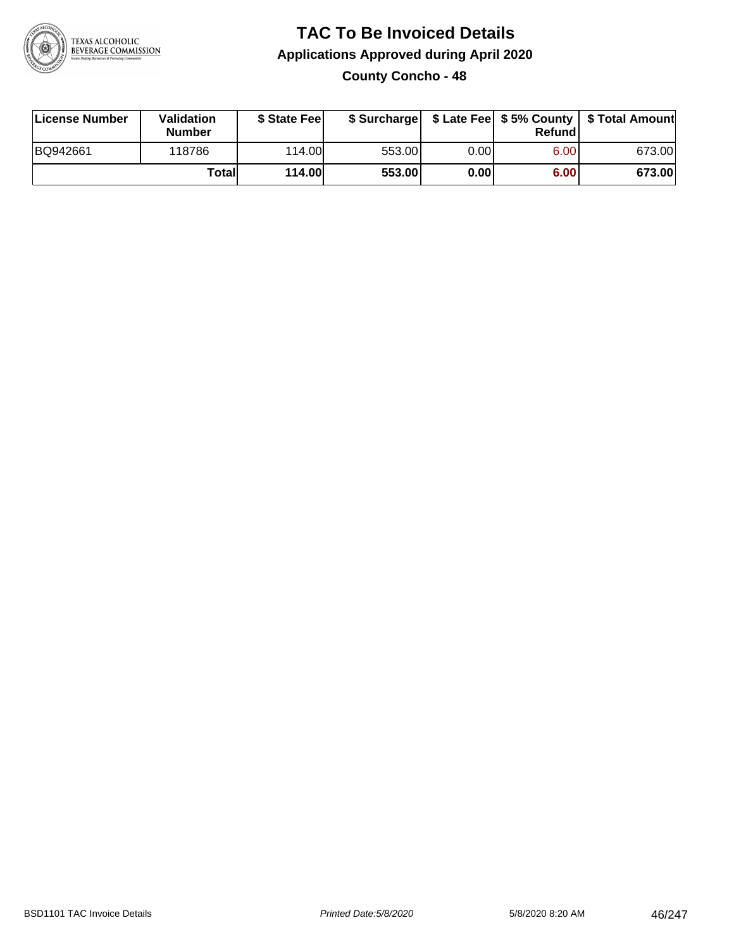

## **TAC To Be Invoiced Details Applications Approved during April 2020 County Concho - 48**

| License Number | Validation<br>Number | \$ State Fee  |        |      | Refundl | \$ Surcharge   \$ Late Fee   \$5% County   \$ Total Amount |
|----------------|----------------------|---------------|--------|------|---------|------------------------------------------------------------|
| BQ942661       | 118786               | 114.00L       | 553.00 | 0.00 | 6.00    | 673.00                                                     |
|                | Totall               | <b>114.00</b> | 553.00 | 0.00 | 6.00    | 673.00                                                     |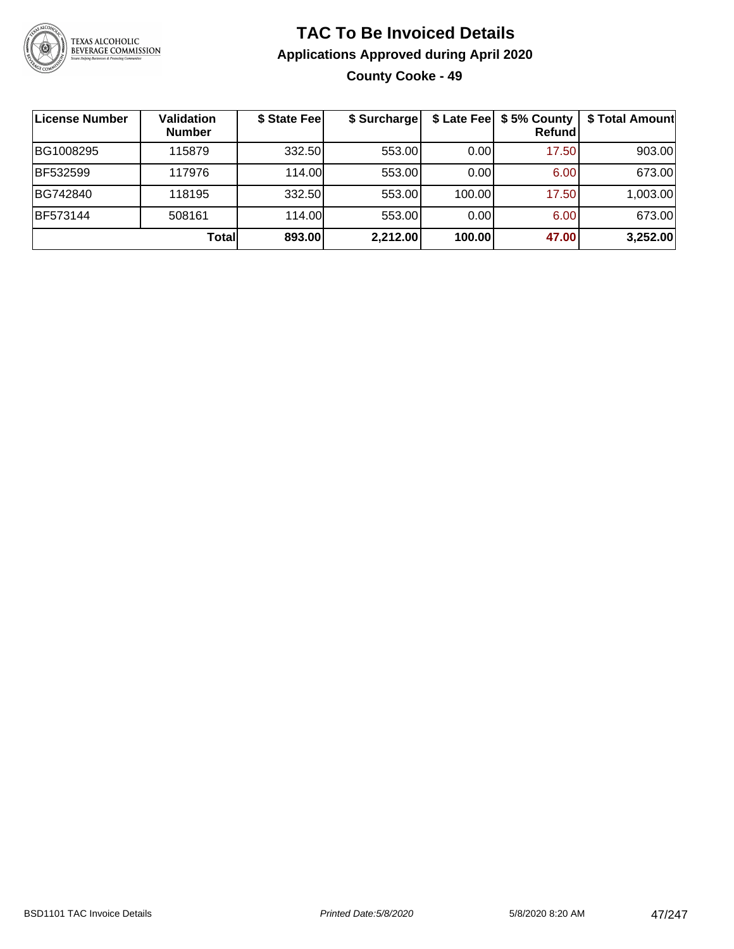

## **TAC To Be Invoiced Details Applications Approved during April 2020 County Cooke - 49**

| License Number | <b>Validation</b><br><b>Number</b> | \$ State Fee | \$ Surcharge |        | \$ Late Fee   \$5% County  <br>Refundl | \$ Total Amount |
|----------------|------------------------------------|--------------|--------------|--------|----------------------------------------|-----------------|
| BG1008295      | 115879                             | 332.50       | 553.00       | 0.00   | 17.50                                  | 903.00          |
| BF532599       | 117976                             | 114.00L      | 553.00       | 0.00   | 6.00                                   | 673.00          |
| BG742840       | 118195                             | 332.50       | 553.00       | 100.00 | 17.50                                  | 1,003.00        |
| BF573144       | 508161                             | 114.00L      | 553.00       | 0.00   | 6.00                                   | 673.00          |
|                | Totall                             | 893.00       | 2,212.00     | 100.00 | 47.00                                  | 3,252.00        |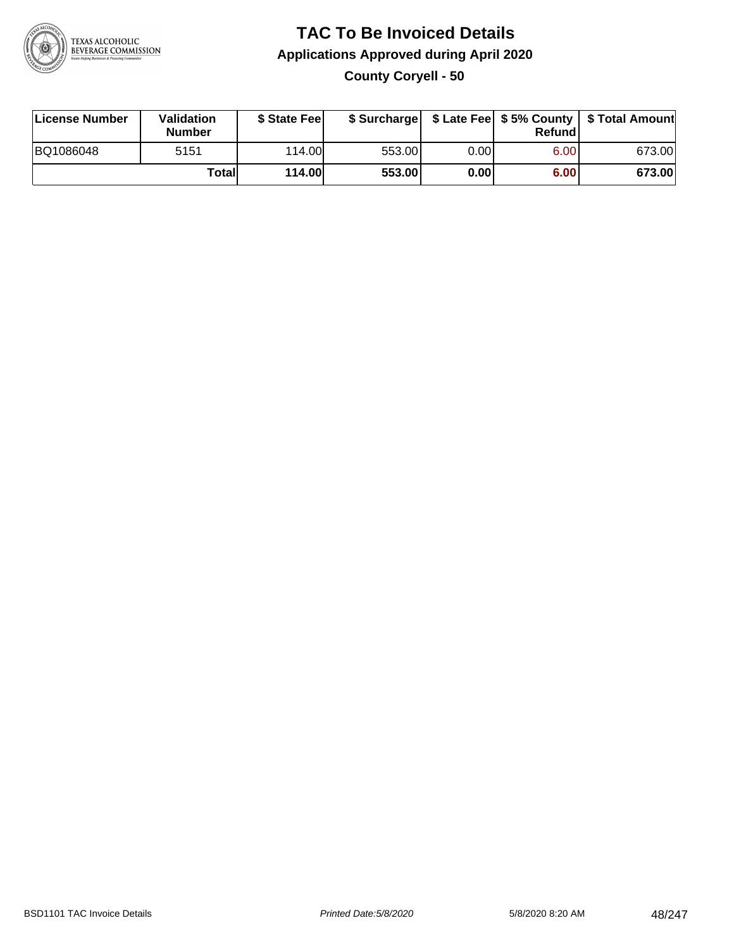

# **TAC To Be Invoiced Details Applications Approved during April 2020**

**County Coryell - 50**

| License Number | Validation<br><b>Number</b> | \$ State Fee  | \$ Surcharge |      | Refundl | \$ Late Fee   \$5% County   \$ Total Amount |
|----------------|-----------------------------|---------------|--------------|------|---------|---------------------------------------------|
| BQ1086048      | 5151                        | 114.00        | 553.00       | 0.00 | 6.00    | 673.00                                      |
|                | Totall                      | <b>114.00</b> | 553.00       | 0.00 | 6.00    | 673.00                                      |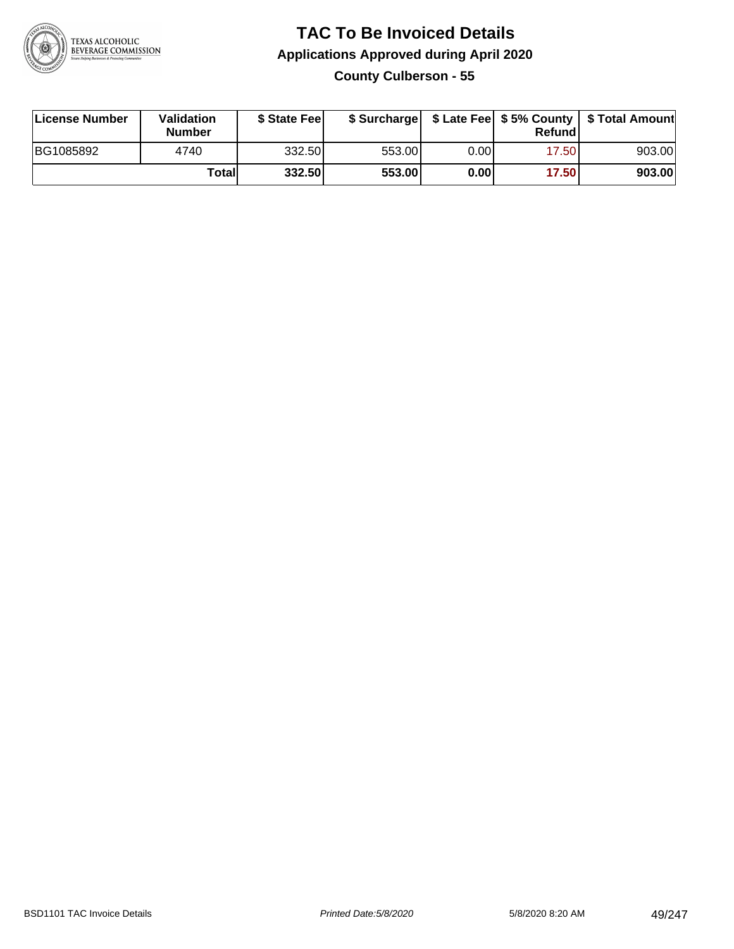

### **TAC To Be Invoiced Details Applications Approved during April 2020 County Culberson - 55**

| License Number | Validation<br><b>Number</b> | \$ State Fee |        |      | Refund | \$ Surcharge   \$ Late Fee   \$5% County   \$ Total Amount |
|----------------|-----------------------------|--------------|--------|------|--------|------------------------------------------------------------|
| BG1085892      | 4740                        | 332.50       | 553.00 | 0.00 | 17.50  | 903.00                                                     |
|                | Totall                      | 332.50       | 553.00 | 0.00 | 17.50  | 903.00                                                     |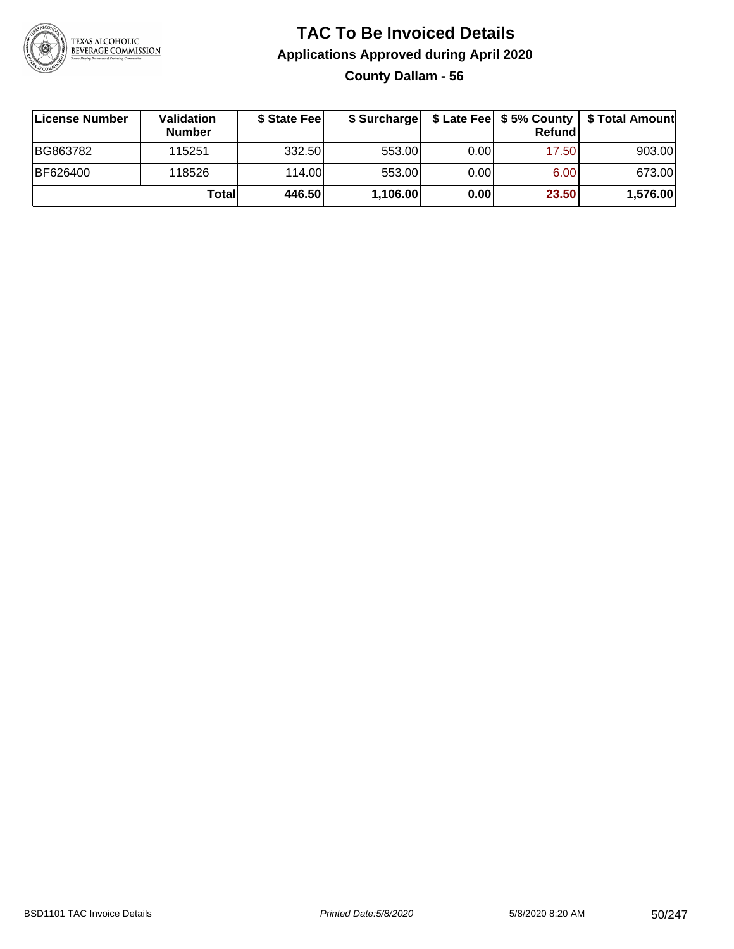

# **TAC To Be Invoiced Details Applications Approved during April 2020**

**County Dallam - 56**

| License Number | <b>Validation</b><br><b>Number</b> | \$ State Fee | \$ Surcharge |       | Refundl | \$ Late Fee   \$5% County   \$ Total Amount |
|----------------|------------------------------------|--------------|--------------|-------|---------|---------------------------------------------|
| BG863782       | 115251                             | 332.50       | 553.00       | 0.001 | 17.50   | 903.00                                      |
| BF626400       | 118526                             | 114.00       | 553.00       | 0.001 | 6.00    | 673.00                                      |
|                | Totall                             | 446.50       | 1,106.00     | 0.00  | 23.50   | 1,576.00                                    |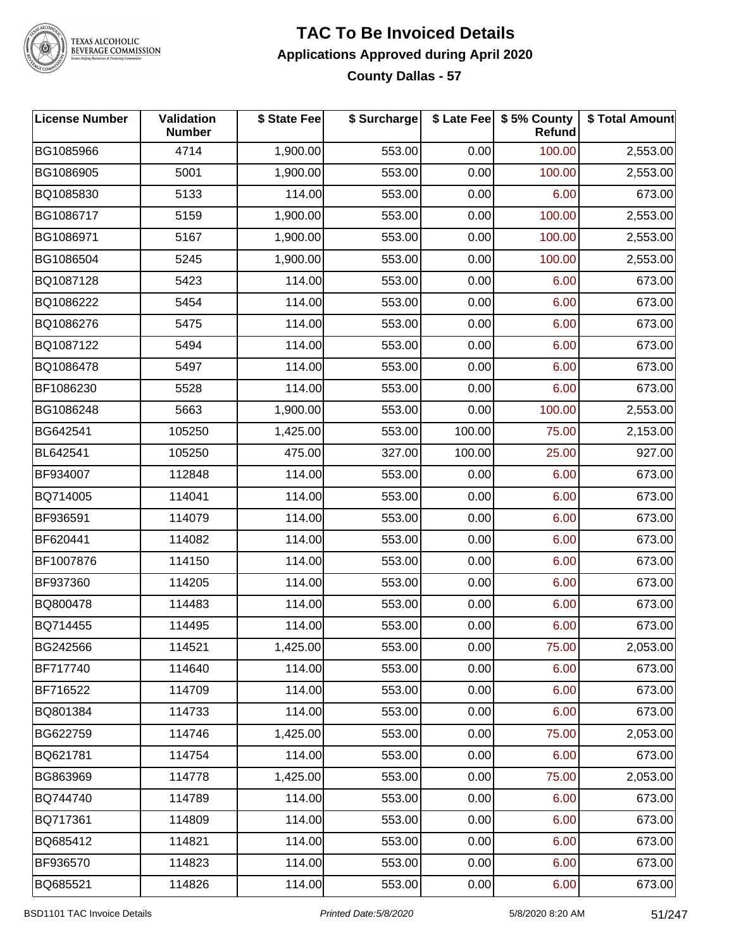

#### **TAC To Be Invoiced Details Applications Approved during April 2020 County Dallas - 57**

| <b>License Number</b> | Validation<br><b>Number</b> | \$ State Fee | \$ Surcharge |        | \$ Late Fee   \$5% County<br>Refund | \$ Total Amount |
|-----------------------|-----------------------------|--------------|--------------|--------|-------------------------------------|-----------------|
| BG1085966             | 4714                        | 1,900.00     | 553.00       | 0.00   | 100.00                              | 2,553.00        |
| BG1086905             | 5001                        | 1,900.00     | 553.00       | 0.00   | 100.00                              | 2,553.00        |
| BQ1085830             | 5133                        | 114.00       | 553.00       | 0.00   | 6.00                                | 673.00          |
| BG1086717             | 5159                        | 1,900.00     | 553.00       | 0.00   | 100.00                              | 2,553.00        |
| BG1086971             | 5167                        | 1,900.00     | 553.00       | 0.00   | 100.00                              | 2,553.00        |
| BG1086504             | 5245                        | 1,900.00     | 553.00       | 0.00   | 100.00                              | 2,553.00        |
| BQ1087128             | 5423                        | 114.00       | 553.00       | 0.00   | 6.00                                | 673.00          |
| BQ1086222             | 5454                        | 114.00       | 553.00       | 0.00   | 6.00                                | 673.00          |
| BQ1086276             | 5475                        | 114.00       | 553.00       | 0.00   | 6.00                                | 673.00          |
| BQ1087122             | 5494                        | 114.00       | 553.00       | 0.00   | 6.00                                | 673.00          |
| BQ1086478             | 5497                        | 114.00       | 553.00       | 0.00   | 6.00                                | 673.00          |
| BF1086230             | 5528                        | 114.00       | 553.00       | 0.00   | 6.00                                | 673.00          |
| BG1086248             | 5663                        | 1,900.00     | 553.00       | 0.00   | 100.00                              | 2,553.00        |
| BG642541              | 105250                      | 1,425.00     | 553.00       | 100.00 | 75.00                               | 2,153.00        |
| BL642541              | 105250                      | 475.00       | 327.00       | 100.00 | 25.00                               | 927.00          |
| BF934007              | 112848                      | 114.00       | 553.00       | 0.00   | 6.00                                | 673.00          |
| BQ714005              | 114041                      | 114.00       | 553.00       | 0.00   | 6.00                                | 673.00          |
| BF936591              | 114079                      | 114.00       | 553.00       | 0.00   | 6.00                                | 673.00          |
| BF620441              | 114082                      | 114.00       | 553.00       | 0.00   | 6.00                                | 673.00          |
| BF1007876             | 114150                      | 114.00       | 553.00       | 0.00   | 6.00                                | 673.00          |
| BF937360              | 114205                      | 114.00       | 553.00       | 0.00   | 6.00                                | 673.00          |
| BQ800478              | 114483                      | 114.00       | 553.00       | 0.00   | 6.00                                | 673.00          |
| BQ714455              | 114495                      | 114.00       | 553.00       | 0.00   | 6.00                                | 673.00          |
| BG242566              | 114521                      | 1,425.00     | 553.00       | 0.00   | 75.00                               | 2,053.00        |
| BF717740              | 114640                      | 114.00       | 553.00       | 0.00   | 6.00                                | 673.00          |
| BF716522              | 114709                      | 114.00       | 553.00       | 0.00   | 6.00                                | 673.00          |
| BQ801384              | 114733                      | 114.00       | 553.00       | 0.00   | 6.00                                | 673.00          |
| BG622759              | 114746                      | 1,425.00     | 553.00       | 0.00   | 75.00                               | 2,053.00        |
| BQ621781              | 114754                      | 114.00       | 553.00       | 0.00   | 6.00                                | 673.00          |
| BG863969              | 114778                      | 1,425.00     | 553.00       | 0.00   | 75.00                               | 2,053.00        |
| BQ744740              | 114789                      | 114.00       | 553.00       | 0.00   | 6.00                                | 673.00          |
| BQ717361              | 114809                      | 114.00       | 553.00       | 0.00   | 6.00                                | 673.00          |
| BQ685412              | 114821                      | 114.00       | 553.00       | 0.00   | 6.00                                | 673.00          |
| BF936570              | 114823                      | 114.00       | 553.00       | 0.00   | 6.00                                | 673.00          |
| BQ685521              | 114826                      | 114.00       | 553.00       | 0.00   | 6.00                                | 673.00          |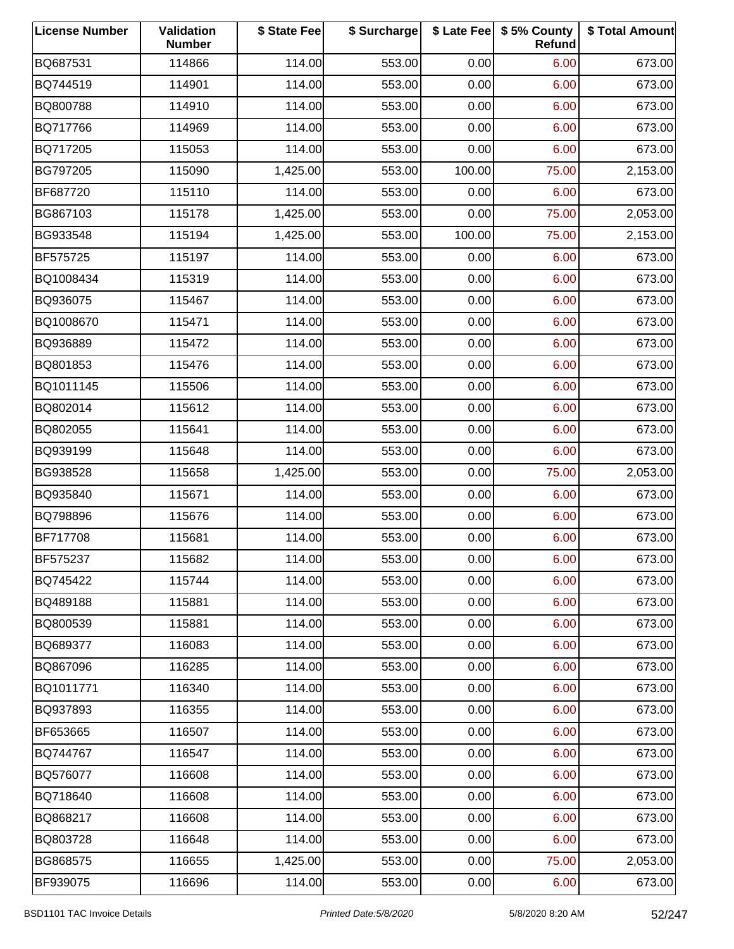| <b>License Number</b> | Validation<br><b>Number</b> | \$ State Fee | \$ Surcharge |        | \$ Late Fee   \$5% County<br>Refund | \$ Total Amount |
|-----------------------|-----------------------------|--------------|--------------|--------|-------------------------------------|-----------------|
| BQ687531              | 114866                      | 114.00       | 553.00       | 0.00   | 6.00                                | 673.00          |
| BQ744519              | 114901                      | 114.00       | 553.00       | 0.00   | 6.00                                | 673.00          |
| BQ800788              | 114910                      | 114.00       | 553.00       | 0.00   | 6.00                                | 673.00          |
| BQ717766              | 114969                      | 114.00       | 553.00       | 0.00   | 6.00                                | 673.00          |
| BQ717205              | 115053                      | 114.00       | 553.00       | 0.00   | 6.00                                | 673.00          |
| BG797205              | 115090                      | 1,425.00     | 553.00       | 100.00 | 75.00                               | 2,153.00        |
| BF687720              | 115110                      | 114.00       | 553.00       | 0.00   | 6.00                                | 673.00          |
| BG867103              | 115178                      | 1,425.00     | 553.00       | 0.00   | 75.00                               | 2,053.00        |
| BG933548              | 115194                      | 1,425.00     | 553.00       | 100.00 | 75.00                               | 2,153.00        |
| BF575725              | 115197                      | 114.00       | 553.00       | 0.00   | 6.00                                | 673.00          |
| BQ1008434             | 115319                      | 114.00       | 553.00       | 0.00   | 6.00                                | 673.00          |
| BQ936075              | 115467                      | 114.00       | 553.00       | 0.00   | 6.00                                | 673.00          |
| BQ1008670             | 115471                      | 114.00       | 553.00       | 0.00   | 6.00                                | 673.00          |
| BQ936889              | 115472                      | 114.00       | 553.00       | 0.00   | 6.00                                | 673.00          |
| BQ801853              | 115476                      | 114.00       | 553.00       | 0.00   | 6.00                                | 673.00          |
| BQ1011145             | 115506                      | 114.00       | 553.00       | 0.00   | 6.00                                | 673.00          |
| BQ802014              | 115612                      | 114.00       | 553.00       | 0.00   | 6.00                                | 673.00          |
| BQ802055              | 115641                      | 114.00       | 553.00       | 0.00   | 6.00                                | 673.00          |
| BQ939199              | 115648                      | 114.00       | 553.00       | 0.00   | 6.00                                | 673.00          |
| BG938528              | 115658                      | 1,425.00     | 553.00       | 0.00   | 75.00                               | 2,053.00        |
| BQ935840              | 115671                      | 114.00       | 553.00       | 0.00   | 6.00                                | 673.00          |
| BQ798896              | 115676                      | 114.00       | 553.00       | 0.00   | 6.00                                | 673.00          |
| BF717708              | 115681                      | 114.00       | 553.00       | 0.00   | 6.00                                | 673.00          |
| BF575237              | 115682                      | 114.00       | 553.00       | 0.00   | 6.00                                | 673.00          |
| BQ745422              | 115744                      | 114.00       | 553.00       | 0.00   | 6.00                                | 673.00          |
| BQ489188              | 115881                      | 114.00       | 553.00       | 0.00   | 6.00                                | 673.00          |
| BQ800539              | 115881                      | 114.00       | 553.00       | 0.00   | 6.00                                | 673.00          |
| BQ689377              | 116083                      | 114.00       | 553.00       | 0.00   | 6.00                                | 673.00          |
| BQ867096              | 116285                      | 114.00       | 553.00       | 0.00   | 6.00                                | 673.00          |
| BQ1011771             | 116340                      | 114.00       | 553.00       | 0.00   | 6.00                                | 673.00          |
| BQ937893              | 116355                      | 114.00       | 553.00       | 0.00   | 6.00                                | 673.00          |
| BF653665              | 116507                      | 114.00       | 553.00       | 0.00   | 6.00                                | 673.00          |
| BQ744767              | 116547                      | 114.00       | 553.00       | 0.00   | 6.00                                | 673.00          |
| BQ576077              | 116608                      | 114.00       | 553.00       | 0.00   | 6.00                                | 673.00          |
| BQ718640              | 116608                      | 114.00       | 553.00       | 0.00   | 6.00                                | 673.00          |
| BQ868217              | 116608                      | 114.00       | 553.00       | 0.00   | 6.00                                | 673.00          |
| BQ803728              | 116648                      | 114.00       | 553.00       | 0.00   | 6.00                                | 673.00          |
| BG868575              | 116655                      | 1,425.00     | 553.00       | 0.00   | 75.00                               | 2,053.00        |
| BF939075              | 116696                      | 114.00       | 553.00       | 0.00   | 6.00                                | 673.00          |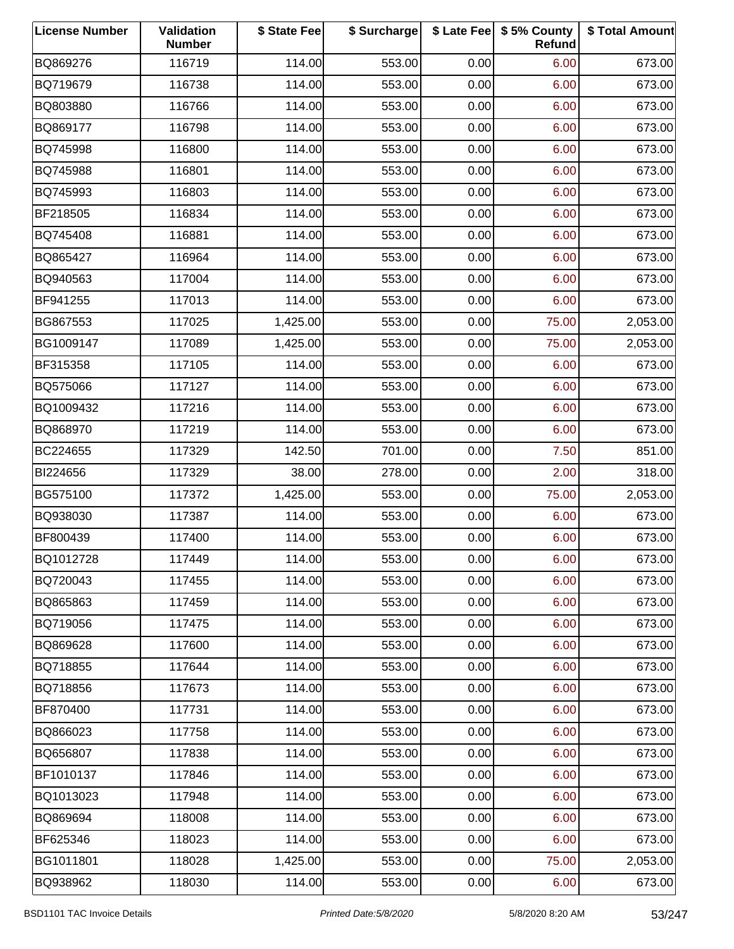| <b>License Number</b> | Validation<br><b>Number</b> | \$ State Fee | \$ Surcharge |      | \$ Late Fee   \$5% County<br>Refund | \$ Total Amount |
|-----------------------|-----------------------------|--------------|--------------|------|-------------------------------------|-----------------|
| BQ869276              | 116719                      | 114.00       | 553.00       | 0.00 | 6.00                                | 673.00          |
| BQ719679              | 116738                      | 114.00       | 553.00       | 0.00 | 6.00                                | 673.00          |
| BQ803880              | 116766                      | 114.00       | 553.00       | 0.00 | 6.00                                | 673.00          |
| BQ869177              | 116798                      | 114.00       | 553.00       | 0.00 | 6.00                                | 673.00          |
| BQ745998              | 116800                      | 114.00       | 553.00       | 0.00 | 6.00                                | 673.00          |
| BQ745988              | 116801                      | 114.00       | 553.00       | 0.00 | 6.00                                | 673.00          |
| BQ745993              | 116803                      | 114.00       | 553.00       | 0.00 | 6.00                                | 673.00          |
| BF218505              | 116834                      | 114.00       | 553.00       | 0.00 | 6.00                                | 673.00          |
| BQ745408              | 116881                      | 114.00       | 553.00       | 0.00 | 6.00                                | 673.00          |
| BQ865427              | 116964                      | 114.00       | 553.00       | 0.00 | 6.00                                | 673.00          |
| BQ940563              | 117004                      | 114.00       | 553.00       | 0.00 | 6.00                                | 673.00          |
| BF941255              | 117013                      | 114.00       | 553.00       | 0.00 | 6.00                                | 673.00          |
| BG867553              | 117025                      | 1,425.00     | 553.00       | 0.00 | 75.00                               | 2,053.00        |
| BG1009147             | 117089                      | 1,425.00     | 553.00       | 0.00 | 75.00                               | 2,053.00        |
| BF315358              | 117105                      | 114.00       | 553.00       | 0.00 | 6.00                                | 673.00          |
| BQ575066              | 117127                      | 114.00       | 553.00       | 0.00 | 6.00                                | 673.00          |
| BQ1009432             | 117216                      | 114.00       | 553.00       | 0.00 | 6.00                                | 673.00          |
| BQ868970              | 117219                      | 114.00       | 553.00       | 0.00 | 6.00                                | 673.00          |
| BC224655              | 117329                      | 142.50       | 701.00       | 0.00 | 7.50                                | 851.00          |
| BI224656              | 117329                      | 38.00        | 278.00       | 0.00 | 2.00                                | 318.00          |
| BG575100              | 117372                      | 1,425.00     | 553.00       | 0.00 | 75.00                               | 2,053.00        |
| BQ938030              | 117387                      | 114.00       | 553.00       | 0.00 | 6.00                                | 673.00          |
| BF800439              | 117400                      | 114.00       | 553.00       | 0.00 | 6.00                                | 673.00          |
| BQ1012728             | 117449                      | 114.00       | 553.00       | 0.00 | 6.00                                | 673.00          |
| BQ720043              | 117455                      | 114.00       | 553.00       | 0.00 | 6.00                                | 673.00          |
| BQ865863              | 117459                      | 114.00       | 553.00       | 0.00 | 6.00                                | 673.00          |
| BQ719056              | 117475                      | 114.00       | 553.00       | 0.00 | 6.00                                | 673.00          |
| BQ869628              | 117600                      | 114.00       | 553.00       | 0.00 | 6.00                                | 673.00          |
| BQ718855              | 117644                      | 114.00       | 553.00       | 0.00 | 6.00                                | 673.00          |
| BQ718856              | 117673                      | 114.00       | 553.00       | 0.00 | 6.00                                | 673.00          |
| BF870400              | 117731                      | 114.00       | 553.00       | 0.00 | 6.00                                | 673.00          |
| BQ866023              | 117758                      | 114.00       | 553.00       | 0.00 | 6.00                                | 673.00          |
| BQ656807              | 117838                      | 114.00       | 553.00       | 0.00 | 6.00                                | 673.00          |
| BF1010137             | 117846                      | 114.00       | 553.00       | 0.00 | 6.00                                | 673.00          |
| BQ1013023             | 117948                      | 114.00       | 553.00       | 0.00 | 6.00                                | 673.00          |
| BQ869694              | 118008                      | 114.00       | 553.00       | 0.00 | 6.00                                | 673.00          |
| BF625346              | 118023                      | 114.00       | 553.00       | 0.00 | 6.00                                | 673.00          |
| BG1011801             | 118028                      | 1,425.00     | 553.00       | 0.00 | 75.00                               | 2,053.00        |
| BQ938962              | 118030                      | 114.00       | 553.00       | 0.00 | 6.00                                | 673.00          |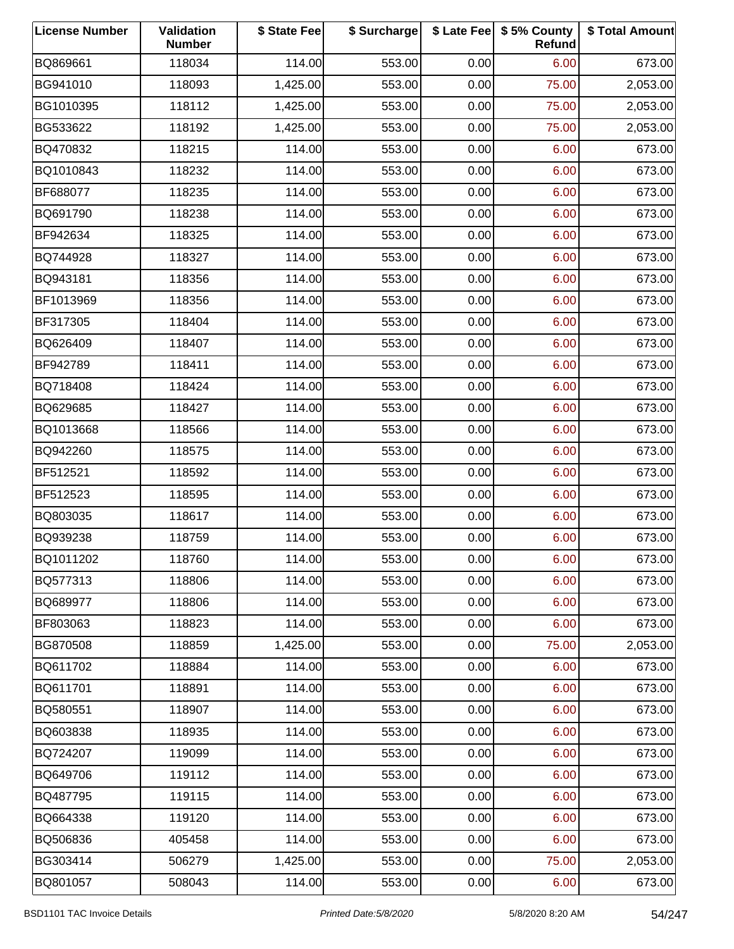| <b>License Number</b> | Validation<br><b>Number</b> | \$ State Fee | \$ Surcharge |      | \$ Late Fee   \$5% County<br>Refund | \$ Total Amount |
|-----------------------|-----------------------------|--------------|--------------|------|-------------------------------------|-----------------|
| BQ869661              | 118034                      | 114.00       | 553.00       | 0.00 | 6.00                                | 673.00          |
| BG941010              | 118093                      | 1,425.00     | 553.00       | 0.00 | 75.00                               | 2,053.00        |
| BG1010395             | 118112                      | 1,425.00     | 553.00       | 0.00 | 75.00                               | 2,053.00        |
| BG533622              | 118192                      | 1,425.00     | 553.00       | 0.00 | 75.00                               | 2,053.00        |
| BQ470832              | 118215                      | 114.00       | 553.00       | 0.00 | 6.00                                | 673.00          |
| BQ1010843             | 118232                      | 114.00       | 553.00       | 0.00 | 6.00                                | 673.00          |
| BF688077              | 118235                      | 114.00       | 553.00       | 0.00 | 6.00                                | 673.00          |
| BQ691790              | 118238                      | 114.00       | 553.00       | 0.00 | 6.00                                | 673.00          |
| BF942634              | 118325                      | 114.00       | 553.00       | 0.00 | 6.00                                | 673.00          |
| BQ744928              | 118327                      | 114.00       | 553.00       | 0.00 | 6.00                                | 673.00          |
| BQ943181              | 118356                      | 114.00       | 553.00       | 0.00 | 6.00                                | 673.00          |
| BF1013969             | 118356                      | 114.00       | 553.00       | 0.00 | 6.00                                | 673.00          |
| BF317305              | 118404                      | 114.00       | 553.00       | 0.00 | 6.00                                | 673.00          |
| BQ626409              | 118407                      | 114.00       | 553.00       | 0.00 | 6.00                                | 673.00          |
| BF942789              | 118411                      | 114.00       | 553.00       | 0.00 | 6.00                                | 673.00          |
| BQ718408              | 118424                      | 114.00       | 553.00       | 0.00 | 6.00                                | 673.00          |
| BQ629685              | 118427                      | 114.00       | 553.00       | 0.00 | 6.00                                | 673.00          |
| BQ1013668             | 118566                      | 114.00       | 553.00       | 0.00 | 6.00                                | 673.00          |
| BQ942260              | 118575                      | 114.00       | 553.00       | 0.00 | 6.00                                | 673.00          |
| BF512521              | 118592                      | 114.00       | 553.00       | 0.00 | 6.00                                | 673.00          |
| BF512523              | 118595                      | 114.00       | 553.00       | 0.00 | 6.00                                | 673.00          |
| BQ803035              | 118617                      | 114.00       | 553.00       | 0.00 | 6.00                                | 673.00          |
| BQ939238              | 118759                      | 114.00       | 553.00       | 0.00 | 6.00                                | 673.00          |
| BQ1011202             | 118760                      | 114.00       | 553.00       | 0.00 | 6.00                                | 673.00          |
| BQ577313              | 118806                      | 114.00       | 553.00       | 0.00 | 6.00                                | 673.00          |
| BQ689977              | 118806                      | 114.00       | 553.00       | 0.00 | 6.00                                | 673.00          |
| BF803063              | 118823                      | 114.00       | 553.00       | 0.00 | 6.00                                | 673.00          |
| BG870508              | 118859                      | 1,425.00     | 553.00       | 0.00 | 75.00                               | 2,053.00        |
| BQ611702              | 118884                      | 114.00       | 553.00       | 0.00 | 6.00                                | 673.00          |
| BQ611701              | 118891                      | 114.00       | 553.00       | 0.00 | 6.00                                | 673.00          |
| BQ580551              | 118907                      | 114.00       | 553.00       | 0.00 | 6.00                                | 673.00          |
| BQ603838              | 118935                      | 114.00       | 553.00       | 0.00 | 6.00                                | 673.00          |
| BQ724207              | 119099                      | 114.00       | 553.00       | 0.00 | 6.00                                | 673.00          |
| BQ649706              | 119112                      | 114.00       | 553.00       | 0.00 | 6.00                                | 673.00          |
| BQ487795              | 119115                      | 114.00       | 553.00       | 0.00 | 6.00                                | 673.00          |
| BQ664338              | 119120                      | 114.00       | 553.00       | 0.00 | 6.00                                | 673.00          |
| BQ506836              | 405458                      | 114.00       | 553.00       | 0.00 | 6.00                                | 673.00          |
| BG303414              | 506279                      | 1,425.00     | 553.00       | 0.00 | 75.00                               | 2,053.00        |
| BQ801057              | 508043                      | 114.00       | 553.00       | 0.00 | 6.00                                | 673.00          |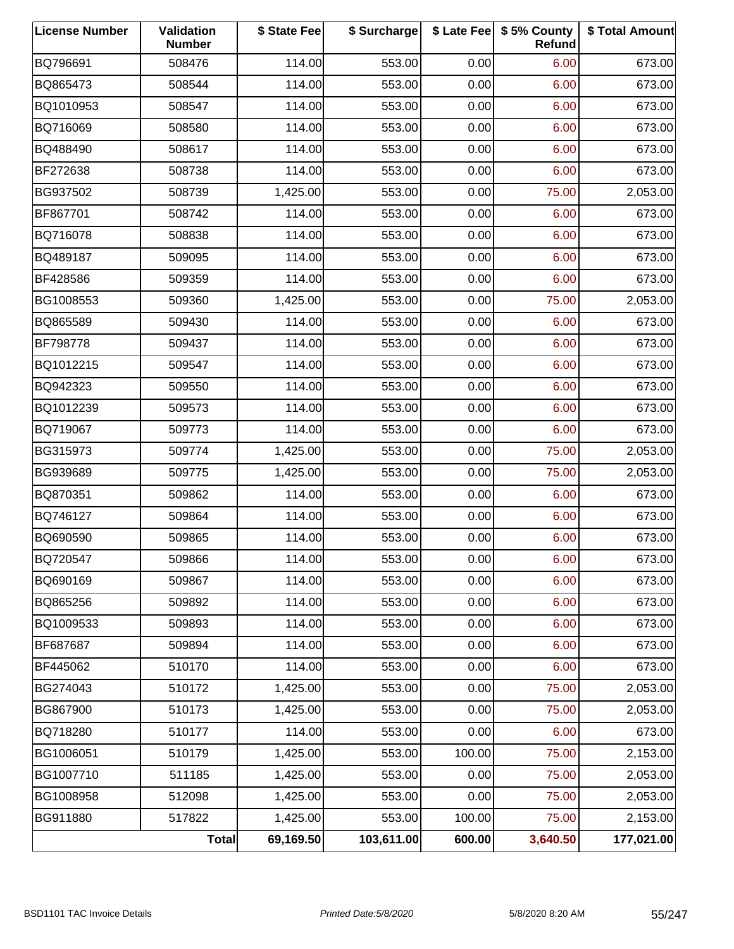| <b>License Number</b> | Validation<br><b>Number</b> | \$ State Fee | \$ Surcharge |        | \$ Late Fee   \$5% County<br>Refund | \$ Total Amount |
|-----------------------|-----------------------------|--------------|--------------|--------|-------------------------------------|-----------------|
| BQ796691              | 508476                      | 114.00       | 553.00       | 0.00   | 6.00                                | 673.00          |
| BQ865473              | 508544                      | 114.00       | 553.00       | 0.00   | 6.00                                | 673.00          |
| BQ1010953             | 508547                      | 114.00       | 553.00       | 0.00   | 6.00                                | 673.00          |
| BQ716069              | 508580                      | 114.00       | 553.00       | 0.00   | 6.00                                | 673.00          |
| BQ488490              | 508617                      | 114.00       | 553.00       | 0.00   | 6.00                                | 673.00          |
| BF272638              | 508738                      | 114.00       | 553.00       | 0.00   | 6.00                                | 673.00          |
| BG937502              | 508739                      | 1,425.00     | 553.00       | 0.00   | 75.00                               | 2,053.00        |
| BF867701              | 508742                      | 114.00       | 553.00       | 0.00   | 6.00                                | 673.00          |
| BQ716078              | 508838                      | 114.00       | 553.00       | 0.00   | 6.00                                | 673.00          |
| BQ489187              | 509095                      | 114.00       | 553.00       | 0.00   | 6.00                                | 673.00          |
| BF428586              | 509359                      | 114.00       | 553.00       | 0.00   | 6.00                                | 673.00          |
| BG1008553             | 509360                      | 1,425.00     | 553.00       | 0.00   | 75.00                               | 2,053.00        |
| BQ865589              | 509430                      | 114.00       | 553.00       | 0.00   | 6.00                                | 673.00          |
| BF798778              | 509437                      | 114.00       | 553.00       | 0.00   | 6.00                                | 673.00          |
| BQ1012215             | 509547                      | 114.00       | 553.00       | 0.00   | 6.00                                | 673.00          |
| BQ942323              | 509550                      | 114.00       | 553.00       | 0.00   | 6.00                                | 673.00          |
| BQ1012239             | 509573                      | 114.00       | 553.00       | 0.00   | 6.00                                | 673.00          |
| BQ719067              | 509773                      | 114.00       | 553.00       | 0.00   | 6.00                                | 673.00          |
| BG315973              | 509774                      | 1,425.00     | 553.00       | 0.00   | 75.00                               | 2,053.00        |
| BG939689              | 509775                      | 1,425.00     | 553.00       | 0.00   | 75.00                               | 2,053.00        |
| BQ870351              | 509862                      | 114.00       | 553.00       | 0.00   | 6.00                                | 673.00          |
| BQ746127              | 509864                      | 114.00       | 553.00       | 0.00   | 6.00                                | 673.00          |
| BQ690590              | 509865                      | 114.00       | 553.00       | 0.00   | 6.00                                | 673.00          |
| BQ720547              | 509866                      | 114.00       | 553.00       | 0.00   | 6.00                                | 673.00          |
| BQ690169              | 509867                      | 114.00       | 553.00       | 0.00   | 6.00                                | 673.00          |
| BQ865256              | 509892                      | 114.00       | 553.00       | 0.00   | 6.00                                | 673.00          |
| BQ1009533             | 509893                      | 114.00       | 553.00       | 0.00   | 6.00                                | 673.00          |
| BF687687              | 509894                      | 114.00       | 553.00       | 0.00   | 6.00                                | 673.00          |
| BF445062              | 510170                      | 114.00       | 553.00       | 0.00   | 6.00                                | 673.00          |
| BG274043              | 510172                      | 1,425.00     | 553.00       | 0.00   | 75.00                               | 2,053.00        |
| BG867900              | 510173                      | 1,425.00     | 553.00       | 0.00   | 75.00                               | 2,053.00        |
| BQ718280              | 510177                      | 114.00       | 553.00       | 0.00   | 6.00                                | 673.00          |
| BG1006051             | 510179                      | 1,425.00     | 553.00       | 100.00 | 75.00                               | 2,153.00        |
| BG1007710             | 511185                      | 1,425.00     | 553.00       | 0.00   | 75.00                               | 2,053.00        |
| BG1008958             | 512098                      | 1,425.00     | 553.00       | 0.00   | 75.00                               | 2,053.00        |
| BG911880              | 517822                      | 1,425.00     | 553.00       | 100.00 | 75.00                               | 2,153.00        |
|                       | Total                       | 69,169.50    | 103,611.00   | 600.00 | 3,640.50                            | 177,021.00      |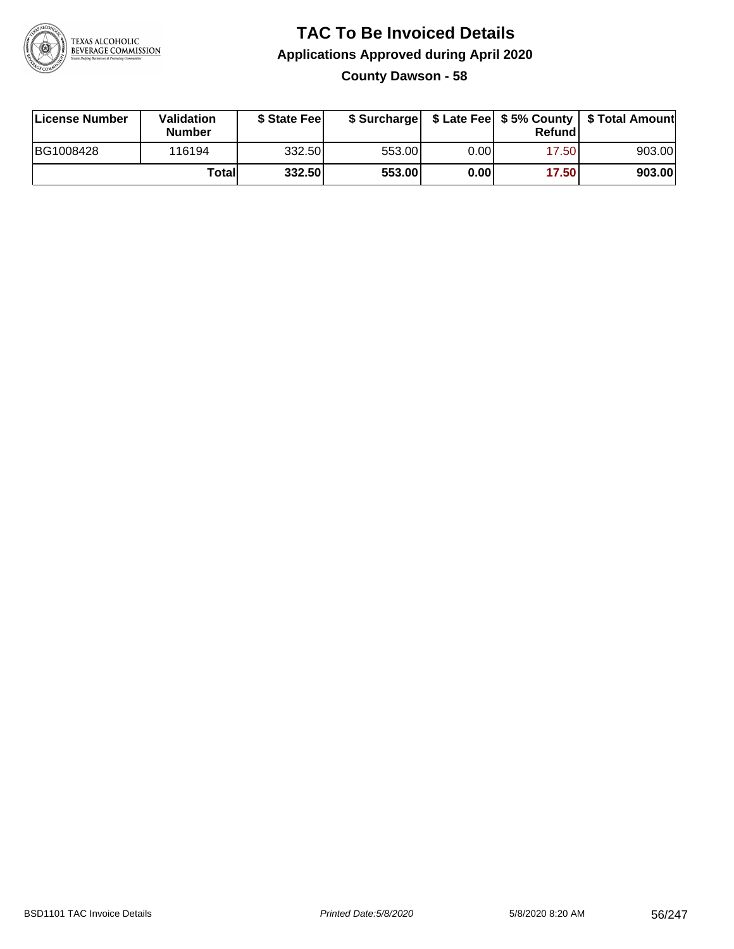

## **TAC To Be Invoiced Details Applications Approved during April 2020 County Dawson - 58**

| License Number | <b>Validation</b><br><b>Number</b> | \$ State Feel |        |      | Refund | \$ Surcharge   \$ Late Fee   \$5% County   \$ Total Amount |
|----------------|------------------------------------|---------------|--------|------|--------|------------------------------------------------------------|
| BG1008428      | 116194                             | 332.50        | 553.00 | 0.00 | 17.50  | 903.00                                                     |
|                | Totall                             | 332.50        | 553.00 | 0.00 | 17.50  | 903.00                                                     |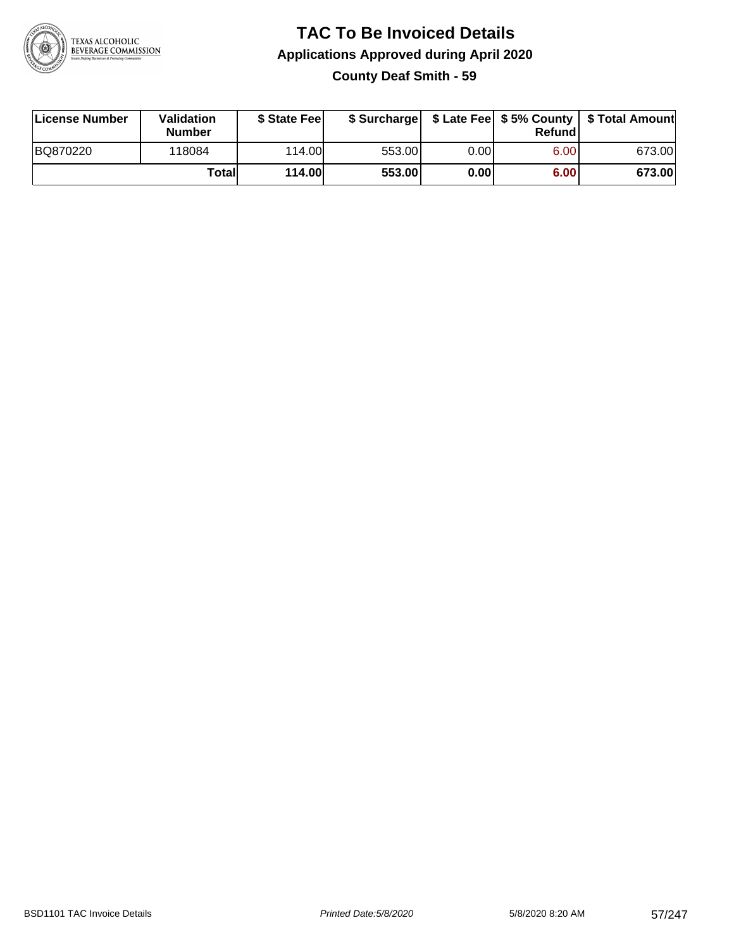

## **TAC To Be Invoiced Details Applications Approved during April 2020 County Deaf Smith - 59**

| License Number | Validation<br><b>Number</b> | \$ State Feel |        |       | Refundl | \$ Surcharge   \$ Late Fee   \$5% County   \$ Total Amount |
|----------------|-----------------------------|---------------|--------|-------|---------|------------------------------------------------------------|
| BQ870220       | 118084                      | 114.00        | 553.00 | 0.00  | 6.00    | 673.00                                                     |
|                | Total                       | <b>114.00</b> | 553.00 | 0.001 | 6.00    | 673.00                                                     |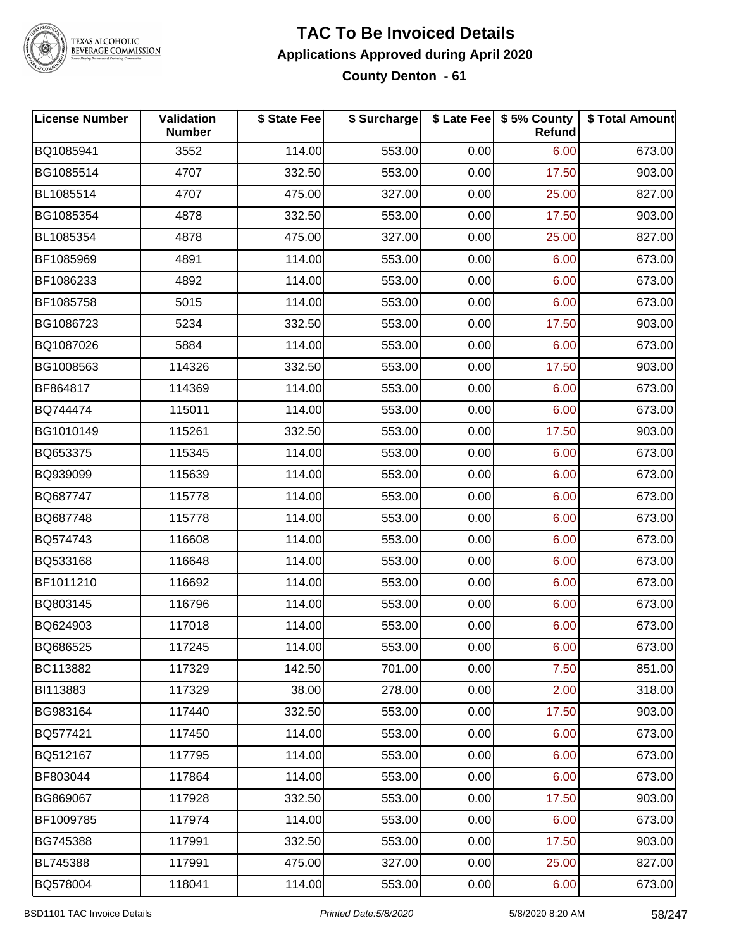

#### **TAC To Be Invoiced Details Applications Approved during April 2020 County Denton - 61**

| <b>License Number</b> | Validation<br><b>Number</b> | \$ State Fee | \$ Surcharge |      | \$ Late Fee   \$5% County<br>Refund | \$ Total Amount |
|-----------------------|-----------------------------|--------------|--------------|------|-------------------------------------|-----------------|
| BQ1085941             | 3552                        | 114.00       | 553.00       | 0.00 | 6.00                                | 673.00          |
| BG1085514             | 4707                        | 332.50       | 553.00       | 0.00 | 17.50                               | 903.00          |
| BL1085514             | 4707                        | 475.00       | 327.00       | 0.00 | 25.00                               | 827.00          |
| BG1085354             | 4878                        | 332.50       | 553.00       | 0.00 | 17.50                               | 903.00          |
| BL1085354             | 4878                        | 475.00       | 327.00       | 0.00 | 25.00                               | 827.00          |
| BF1085969             | 4891                        | 114.00       | 553.00       | 0.00 | 6.00                                | 673.00          |
| BF1086233             | 4892                        | 114.00       | 553.00       | 0.00 | 6.00                                | 673.00          |
| BF1085758             | 5015                        | 114.00       | 553.00       | 0.00 | 6.00                                | 673.00          |
| BG1086723             | 5234                        | 332.50       | 553.00       | 0.00 | 17.50                               | 903.00          |
| BQ1087026             | 5884                        | 114.00       | 553.00       | 0.00 | 6.00                                | 673.00          |
| BG1008563             | 114326                      | 332.50       | 553.00       | 0.00 | 17.50                               | 903.00          |
| BF864817              | 114369                      | 114.00       | 553.00       | 0.00 | 6.00                                | 673.00          |
| BQ744474              | 115011                      | 114.00       | 553.00       | 0.00 | 6.00                                | 673.00          |
| BG1010149             | 115261                      | 332.50       | 553.00       | 0.00 | 17.50                               | 903.00          |
| BQ653375              | 115345                      | 114.00       | 553.00       | 0.00 | 6.00                                | 673.00          |
| BQ939099              | 115639                      | 114.00       | 553.00       | 0.00 | 6.00                                | 673.00          |
| BQ687747              | 115778                      | 114.00       | 553.00       | 0.00 | 6.00                                | 673.00          |
| BQ687748              | 115778                      | 114.00       | 553.00       | 0.00 | 6.00                                | 673.00          |
| BQ574743              | 116608                      | 114.00       | 553.00       | 0.00 | 6.00                                | 673.00          |
| BQ533168              | 116648                      | 114.00       | 553.00       | 0.00 | 6.00                                | 673.00          |
| BF1011210             | 116692                      | 114.00       | 553.00       | 0.00 | 6.00                                | 673.00          |
| BQ803145              | 116796                      | 114.00       | 553.00       | 0.00 | 6.00                                | 673.00          |
| BQ624903              | 117018                      | 114.00       | 553.00       | 0.00 | 6.00                                | 673.00          |
| BQ686525              | 117245                      | 114.00       | 553.00       | 0.00 | 6.00                                | 673.00          |
| BC113882              | 117329                      | 142.50       | 701.00       | 0.00 | 7.50                                | 851.00          |
| BI113883              | 117329                      | 38.00        | 278.00       | 0.00 | 2.00                                | 318.00          |
| BG983164              | 117440                      | 332.50       | 553.00       | 0.00 | 17.50                               | 903.00          |
| BQ577421              | 117450                      | 114.00       | 553.00       | 0.00 | 6.00                                | 673.00          |
| BQ512167              | 117795                      | 114.00       | 553.00       | 0.00 | 6.00                                | 673.00          |
| BF803044              | 117864                      | 114.00       | 553.00       | 0.00 | 6.00                                | 673.00          |
| BG869067              | 117928                      | 332.50       | 553.00       | 0.00 | 17.50                               | 903.00          |
| BF1009785             | 117974                      | 114.00       | 553.00       | 0.00 | 6.00                                | 673.00          |
| BG745388              | 117991                      | 332.50       | 553.00       | 0.00 | 17.50                               | 903.00          |
| BL745388              | 117991                      | 475.00       | 327.00       | 0.00 | 25.00                               | 827.00          |
| BQ578004              | 118041                      | 114.00       | 553.00       | 0.00 | 6.00                                | 673.00          |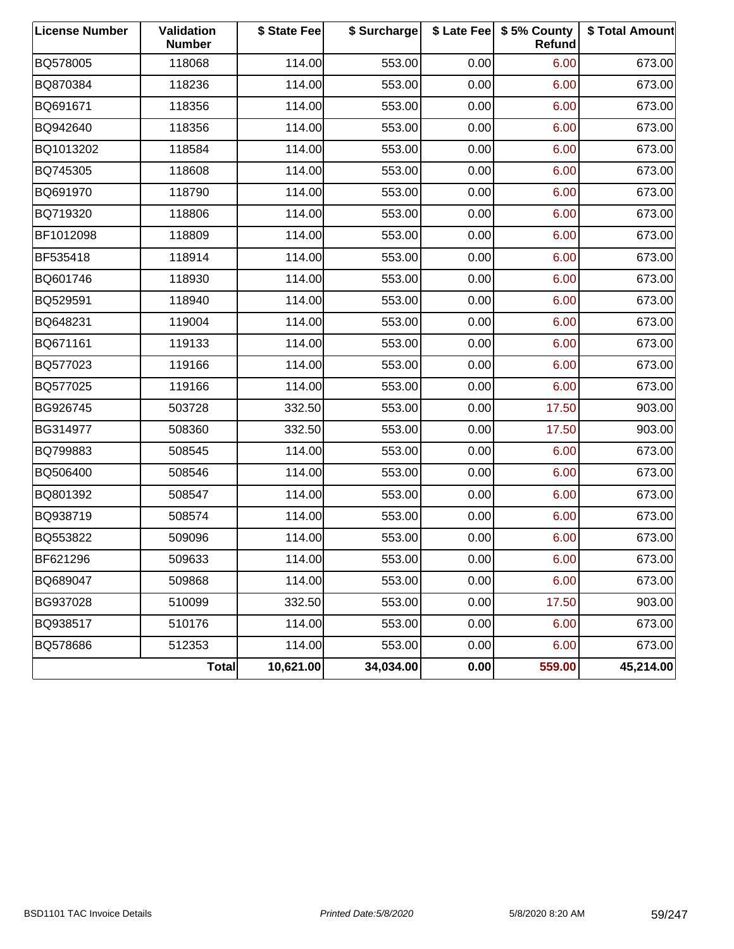| <b>License Number</b> | <b>Validation</b><br><b>Number</b> | \$ State Fee | \$ Surcharge |      | \$ Late Fee   \$5% County<br>Refund | \$ Total Amount |
|-----------------------|------------------------------------|--------------|--------------|------|-------------------------------------|-----------------|
| BQ578005              | 118068                             | 114.00       | 553.00       | 0.00 | 6.00                                | 673.00          |
| BQ870384              | 118236                             | 114.00       | 553.00       | 0.00 | 6.00                                | 673.00          |
| BQ691671              | 118356                             | 114.00       | 553.00       | 0.00 | 6.00                                | 673.00          |
| BQ942640              | 118356                             | 114.00       | 553.00       | 0.00 | 6.00                                | 673.00          |
| BQ1013202             | 118584                             | 114.00       | 553.00       | 0.00 | 6.00                                | 673.00          |
| BQ745305              | 118608                             | 114.00       | 553.00       | 0.00 | 6.00                                | 673.00          |
| BQ691970              | 118790                             | 114.00       | 553.00       | 0.00 | 6.00                                | 673.00          |
| BQ719320              | 118806                             | 114.00       | 553.00       | 0.00 | 6.00                                | 673.00          |
| BF1012098             | 118809                             | 114.00       | 553.00       | 0.00 | 6.00                                | 673.00          |
| BF535418              | 118914                             | 114.00       | 553.00       | 0.00 | 6.00                                | 673.00          |
| BQ601746              | 118930                             | 114.00       | 553.00       | 0.00 | 6.00                                | 673.00          |
| BQ529591              | 118940                             | 114.00       | 553.00       | 0.00 | 6.00                                | 673.00          |
| BQ648231              | 119004                             | 114.00       | 553.00       | 0.00 | 6.00                                | 673.00          |
| BQ671161              | 119133                             | 114.00       | 553.00       | 0.00 | 6.00                                | 673.00          |
| BQ577023              | 119166                             | 114.00       | 553.00       | 0.00 | 6.00                                | 673.00          |
| BQ577025              | 119166                             | 114.00       | 553.00       | 0.00 | 6.00                                | 673.00          |
| BG926745              | 503728                             | 332.50       | 553.00       | 0.00 | 17.50                               | 903.00          |
| BG314977              | 508360                             | 332.50       | 553.00       | 0.00 | 17.50                               | 903.00          |
| BQ799883              | 508545                             | 114.00       | 553.00       | 0.00 | 6.00                                | 673.00          |
| BQ506400              | 508546                             | 114.00       | 553.00       | 0.00 | 6.00                                | 673.00          |
| BQ801392              | 508547                             | 114.00       | 553.00       | 0.00 | 6.00                                | 673.00          |
| BQ938719              | 508574                             | 114.00       | 553.00       | 0.00 | 6.00                                | 673.00          |
| BQ553822              | 509096                             | 114.00       | 553.00       | 0.00 | 6.00                                | 673.00          |
| BF621296              | 509633                             | 114.00       | 553.00       | 0.00 | 6.00                                | 673.00          |
| BQ689047              | 509868                             | 114.00       | 553.00       | 0.00 | 6.00                                | 673.00          |
| BG937028              | 510099                             | 332.50       | 553.00       | 0.00 | 17.50                               | 903.00          |
| BQ938517              | 510176                             | 114.00       | 553.00       | 0.00 | 6.00                                | 673.00          |
| BQ578686              | 512353                             | 114.00       | 553.00       | 0.00 | 6.00                                | 673.00          |
|                       | Total                              | 10,621.00    | 34,034.00    | 0.00 | 559.00                              | 45,214.00       |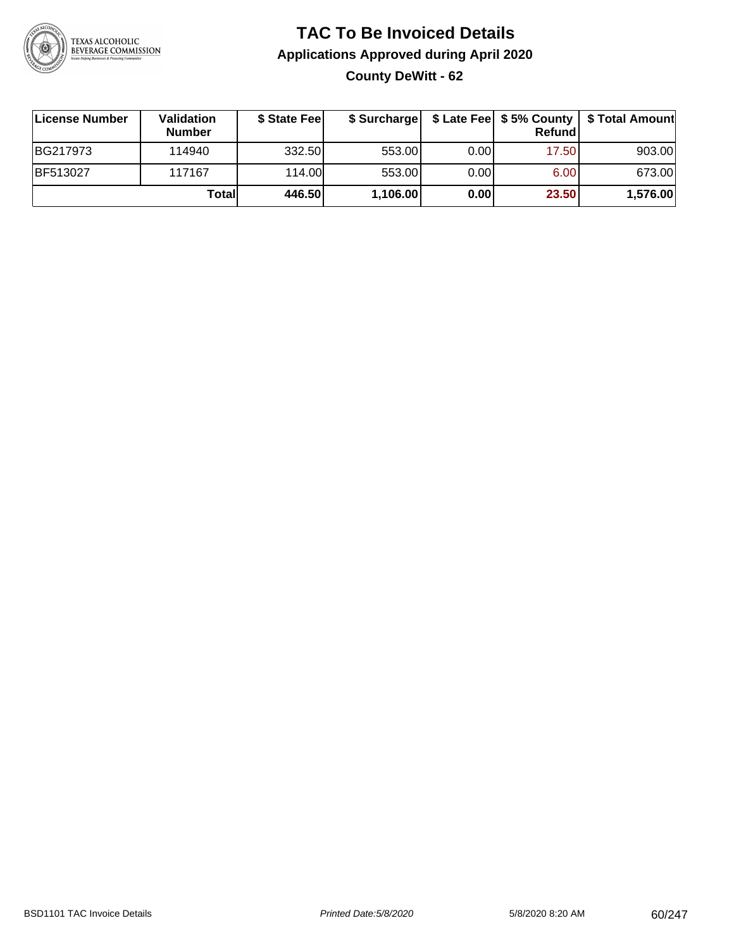

## **TAC To Be Invoiced Details Applications Approved during April 2020 County DeWitt - 62**

| License Number  | Validation<br><b>Number</b> | \$ State Fee | \$ Surcharge |      | Refundl | \$ Late Fee   \$5% County   \$ Total Amount |
|-----------------|-----------------------------|--------------|--------------|------|---------|---------------------------------------------|
| BG217973        | 114940                      | 332.50       | 553.00       | 0.00 | 17.50   | 903.00                                      |
| <b>BF513027</b> | 117167                      | 114.00L      | 553.00       | 0.00 | 6.00    | 673.00                                      |
|                 | Total                       | 446.50       | 1,106.00     | 0.00 | 23.50   | 1,576.00                                    |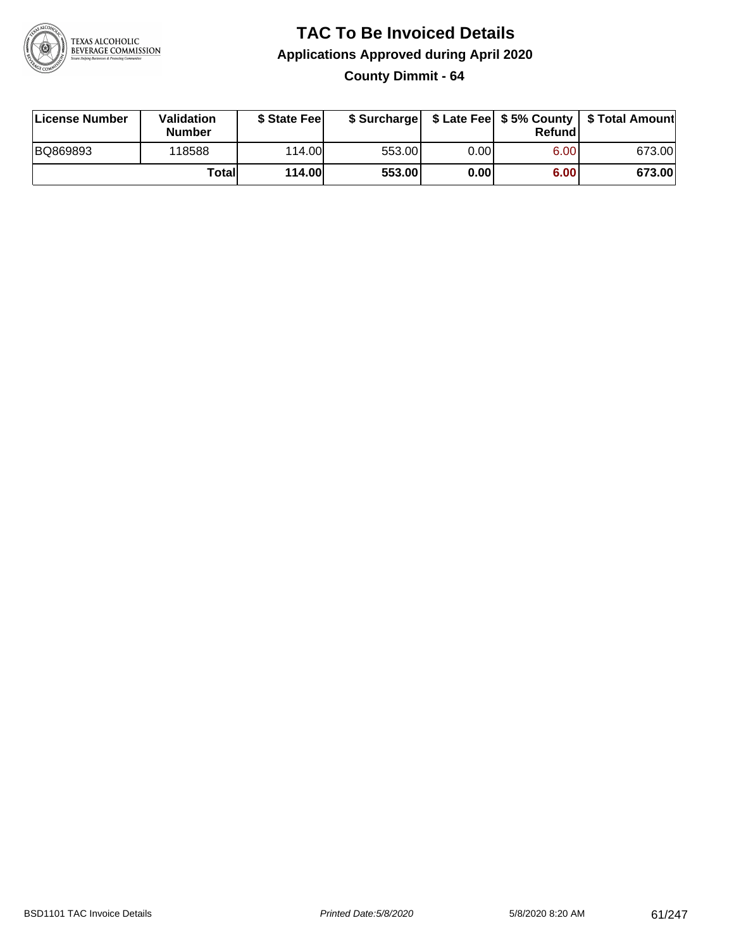

# **TAC To Be Invoiced Details Applications Approved during April 2020**

**County Dimmit - 64**

| License Number | Validation<br><b>Number</b> | \$ State Feel | \$ Surcharge |      | Refundl | \$ Late Fee   \$5% County   \$ Total Amount |
|----------------|-----------------------------|---------------|--------------|------|---------|---------------------------------------------|
| BQ869893       | 118588                      | 114.00        | 553.00       | 0.00 | 6.00    | 673.00                                      |
|                | Totall                      | <b>114.00</b> | 553.00       | 0.00 | 6.00    | 673.00                                      |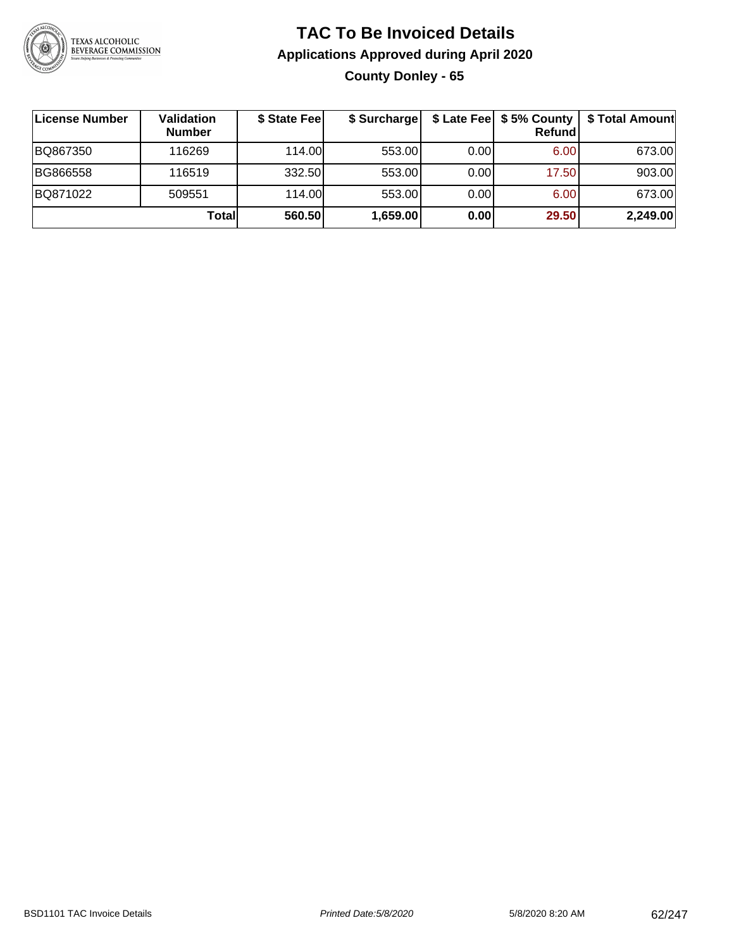

## **TAC To Be Invoiced Details Applications Approved during April 2020 County Donley - 65**

| ∣License Number | Validation<br><b>Number</b> | \$ State Fee | \$ Surcharge |      | \$ Late Fee   \$5% County<br>Refundl | \$ Total Amount |
|-----------------|-----------------------------|--------------|--------------|------|--------------------------------------|-----------------|
| BQ867350        | 116269                      | 114.00       | 553.00       | 0.00 | 6.00                                 | 673.00          |
| BG866558        | 116519                      | 332.50       | 553.00       | 0.00 | 17.50                                | 903.00          |
| BQ871022        | 509551                      | 114.00       | 553.00       | 0.00 | 6.00                                 | 673.00          |
|                 | Totall                      | 560.50       | 1,659.00     | 0.00 | 29.50                                | 2,249.00        |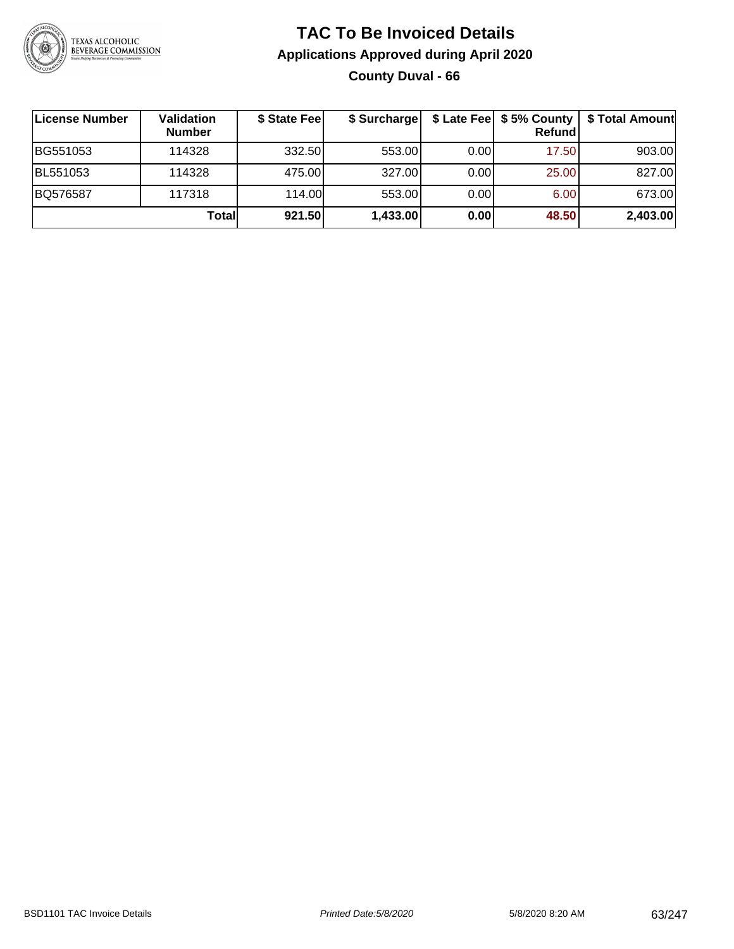

## **TAC To Be Invoiced Details Applications Approved during April 2020 County Duval - 66**

| License Number | Validation<br><b>Number</b> | \$ State Fee | \$ Surcharge |      | $$$ Late Fee $$5%$ County<br><b>Refund</b> | \$ Total Amount |
|----------------|-----------------------------|--------------|--------------|------|--------------------------------------------|-----------------|
| BG551053       | 114328                      | 332.50       | 553.00       | 0.00 | 17.50                                      | 903.00          |
| BL551053       | 114328                      | 475.00       | 327.00       | 0.00 | 25.00                                      | 827.00          |
| BQ576587       | 117318                      | 114.00       | 553.00       | 0.00 | 6.00                                       | 673.00          |
|                | Totall                      | 921.50       | 1,433.00     | 0.00 | 48.50                                      | 2,403.00        |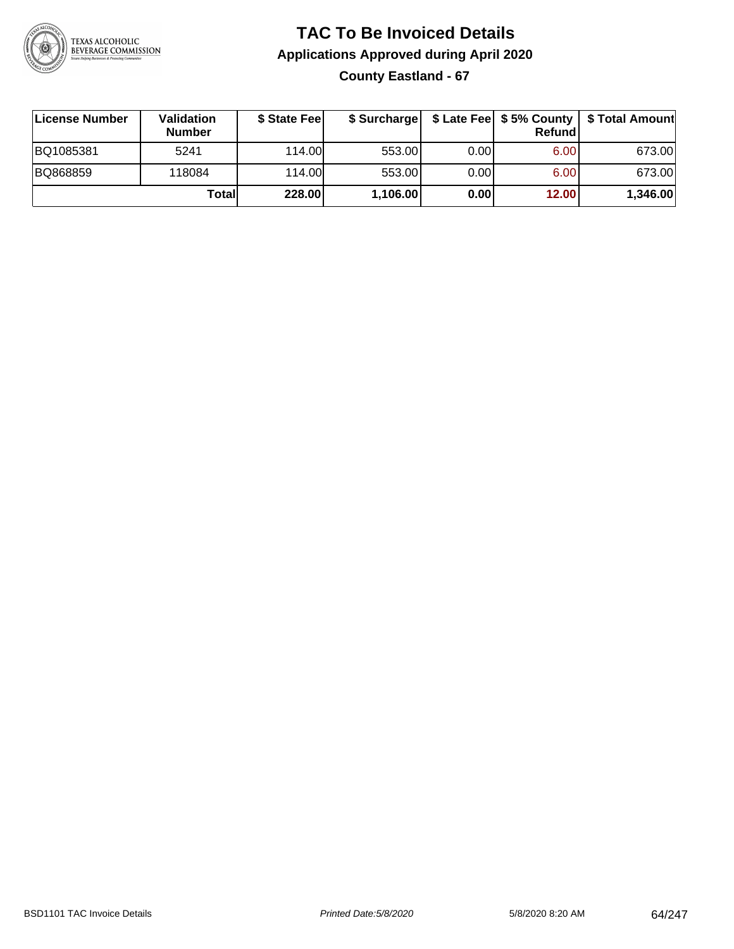

## **TAC To Be Invoiced Details Applications Approved during April 2020 County Eastland - 67**

| License Number | <b>Validation</b><br><b>Number</b> | \$ State Fee |          |       | Refundl | \$ Surcharge   \$ Late Fee   \$5% County   \$ Total Amount |
|----------------|------------------------------------|--------------|----------|-------|---------|------------------------------------------------------------|
| BQ1085381      | 5241                               | 114.00       | 553.00   | 0.001 | 6.00    | 673.00                                                     |
| BQ868859       | 118084                             | 114.00L      | 553.00   | 0.00  | 6.00    | 673.00                                                     |
|                | Totall                             | 228.00       | 1,106.00 | 0.00  | 12.00   | 1,346.00                                                   |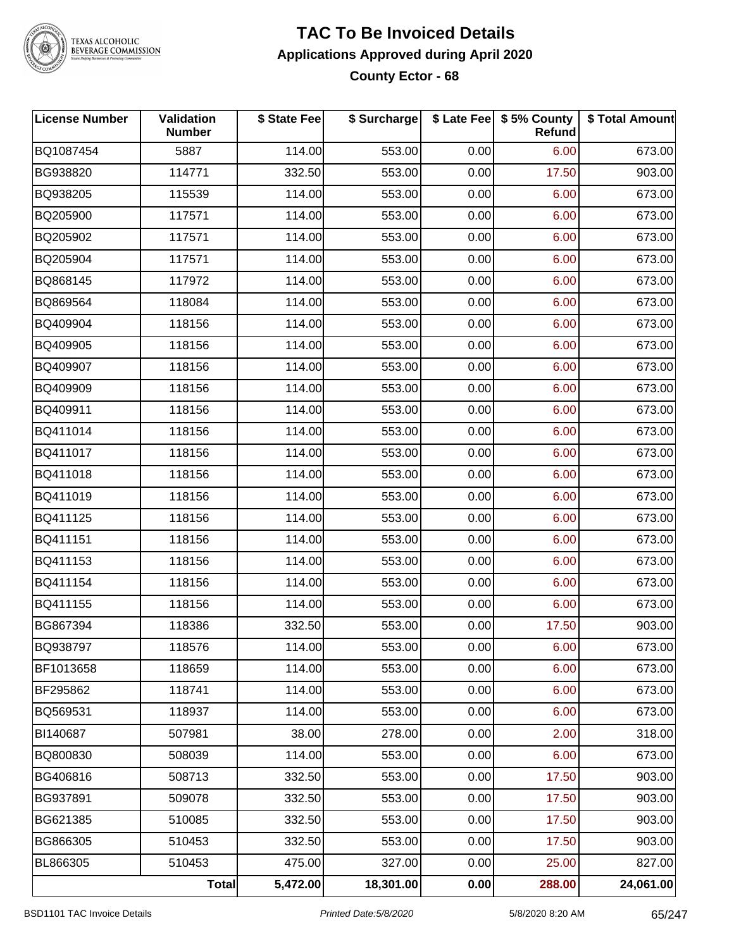

#### **TAC To Be Invoiced Details Applications Approved during April 2020 County Ector - 68**

| <b>License Number</b> | Validation<br><b>Number</b> | \$ State Fee | \$ Surcharge |      | \$ Late Fee \$ 5% County<br>Refund | \$ Total Amount |
|-----------------------|-----------------------------|--------------|--------------|------|------------------------------------|-----------------|
| BQ1087454             | 5887                        | 114.00       | 553.00       | 0.00 | 6.00                               | 673.00          |
| BG938820              | 114771                      | 332.50       | 553.00       | 0.00 | 17.50                              | 903.00          |
| BQ938205              | 115539                      | 114.00       | 553.00       | 0.00 | 6.00                               | 673.00          |
| BQ205900              | 117571                      | 114.00       | 553.00       | 0.00 | 6.00                               | 673.00          |
| BQ205902              | 117571                      | 114.00       | 553.00       | 0.00 | 6.00                               | 673.00          |
| BQ205904              | 117571                      | 114.00       | 553.00       | 0.00 | 6.00                               | 673.00          |
| BQ868145              | 117972                      | 114.00       | 553.00       | 0.00 | 6.00                               | 673.00          |
| BQ869564              | 118084                      | 114.00       | 553.00       | 0.00 | 6.00                               | 673.00          |
| BQ409904              | 118156                      | 114.00       | 553.00       | 0.00 | 6.00                               | 673.00          |
| BQ409905              | 118156                      | 114.00       | 553.00       | 0.00 | 6.00                               | 673.00          |
| BQ409907              | 118156                      | 114.00       | 553.00       | 0.00 | 6.00                               | 673.00          |
| BQ409909              | 118156                      | 114.00       | 553.00       | 0.00 | 6.00                               | 673.00          |
| BQ409911              | 118156                      | 114.00       | 553.00       | 0.00 | 6.00                               | 673.00          |
| BQ411014              | 118156                      | 114.00       | 553.00       | 0.00 | 6.00                               | 673.00          |
| BQ411017              | 118156                      | 114.00       | 553.00       | 0.00 | 6.00                               | 673.00          |
| BQ411018              | 118156                      | 114.00       | 553.00       | 0.00 | 6.00                               | 673.00          |
| BQ411019              | 118156                      | 114.00       | 553.00       | 0.00 | 6.00                               | 673.00          |
| BQ411125              | 118156                      | 114.00       | 553.00       | 0.00 | 6.00                               | 673.00          |
| BQ411151              | 118156                      | 114.00       | 553.00       | 0.00 | 6.00                               | 673.00          |
| BQ411153              | 118156                      | 114.00       | 553.00       | 0.00 | 6.00                               | 673.00          |
| BQ411154              | 118156                      | 114.00       | 553.00       | 0.00 | 6.00                               | 673.00          |
| BQ411155              | 118156                      | 114.00       | 553.00       | 0.00 | 6.00                               | 673.00          |
| BG867394              | 118386                      | 332.50       | 553.00       | 0.00 | 17.50                              | 903.00          |
| BQ938797              | 118576                      | 114.00       | 553.00       | 0.00 | 6.00                               | 673.00          |
| BF1013658             | 118659                      | 114.00       | 553.00       | 0.00 | 6.00                               | 673.00          |
| BF295862              | 118741                      | 114.00       | 553.00       | 0.00 | 6.00                               | 673.00          |
| BQ569531              | 118937                      | 114.00       | 553.00       | 0.00 | 6.00                               | 673.00          |
| BI140687              | 507981                      | 38.00        | 278.00       | 0.00 | 2.00                               | 318.00          |
| BQ800830              | 508039                      | 114.00       | 553.00       | 0.00 | 6.00                               | 673.00          |
| BG406816              | 508713                      | 332.50       | 553.00       | 0.00 | 17.50                              | 903.00          |
| BG937891              | 509078                      | 332.50       | 553.00       | 0.00 | 17.50                              | 903.00          |
| BG621385              | 510085                      | 332.50       | 553.00       | 0.00 | 17.50                              | 903.00          |
| BG866305              | 510453                      | 332.50       | 553.00       | 0.00 | 17.50                              | 903.00          |
| BL866305              | 510453                      | 475.00       | 327.00       | 0.00 | 25.00                              | 827.00          |
|                       | <b>Total</b>                | 5,472.00     | 18,301.00    | 0.00 | 288.00                             | 24,061.00       |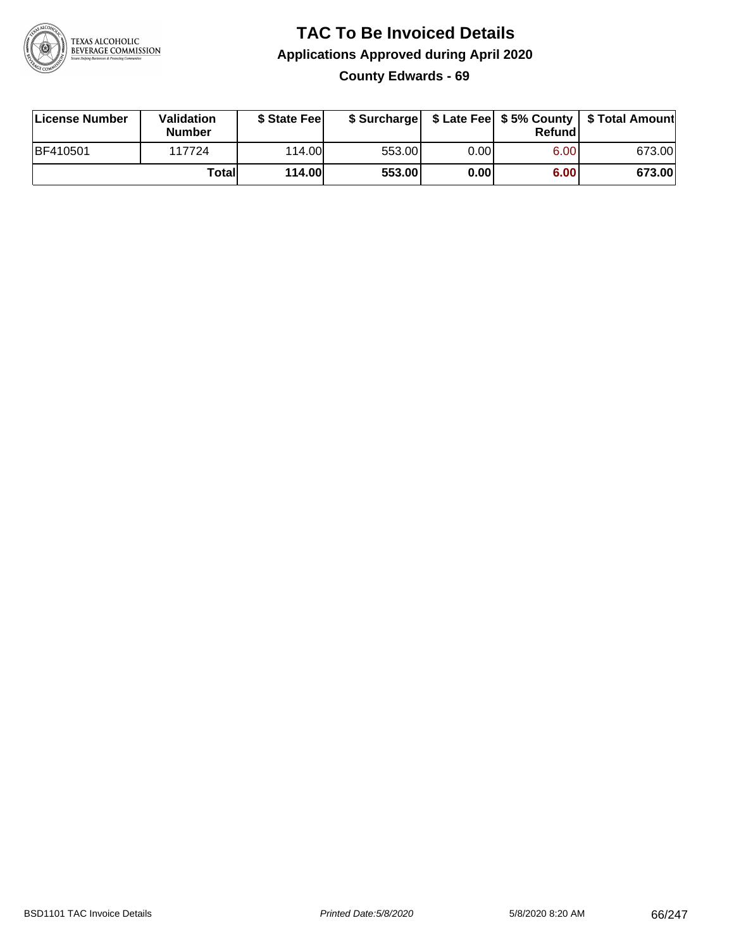

## **TAC To Be Invoiced Details Applications Approved during April 2020 County Edwards - 69**

| License Number  | Validation<br><b>Number</b> | \$ State Fee  |        |      | Refund | \$ Surcharge   \$ Late Fee   \$5% County   \$ Total Amount |
|-----------------|-----------------------------|---------------|--------|------|--------|------------------------------------------------------------|
| <b>BF410501</b> | 117724                      | 114.00        | 553.00 | 0.00 | 6.00   | 673.00                                                     |
|                 | Totall                      | <b>114.00</b> | 553.00 | 0.00 | 6.00   | 673.00                                                     |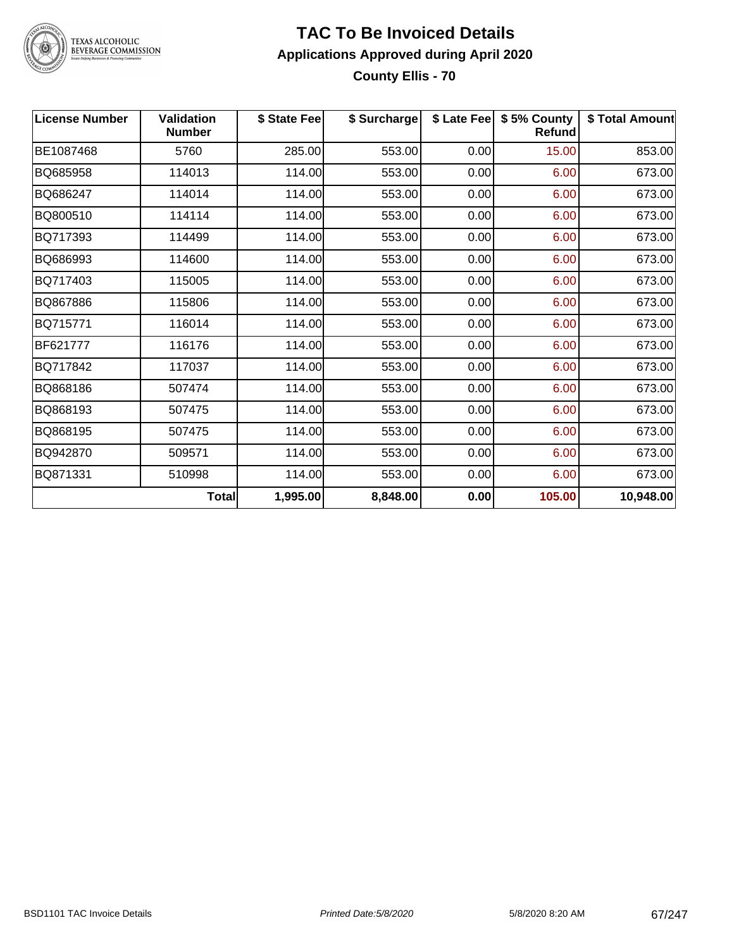

#### **TAC To Be Invoiced Details Applications Approved during April 2020 County Ellis - 70**

| <b>License Number</b> | <b>Validation</b><br><b>Number</b> | \$ State Fee | \$ Surcharge |      | \$ Late Fee   \$5% County<br><b>Refund</b> | \$ Total Amount |
|-----------------------|------------------------------------|--------------|--------------|------|--------------------------------------------|-----------------|
| BE1087468             | 5760                               | 285.00       | 553.00       | 0.00 | 15.00                                      | 853.00          |
| BQ685958              | 114013                             | 114.00       | 553.00       | 0.00 | 6.00                                       | 673.00          |
| BQ686247              | 114014                             | 114.00       | 553.00       | 0.00 | 6.00                                       | 673.00          |
| BQ800510              | 114114                             | 114.00       | 553.00       | 0.00 | 6.00                                       | 673.00          |
| BQ717393              | 114499                             | 114.00       | 553.00       | 0.00 | 6.00                                       | 673.00          |
| BQ686993              | 114600                             | 114.00       | 553.00       | 0.00 | 6.00                                       | 673.00          |
| BQ717403              | 115005                             | 114.00       | 553.00       | 0.00 | 6.00                                       | 673.00          |
| BQ867886              | 115806                             | 114.00       | 553.00       | 0.00 | 6.00                                       | 673.00          |
| BQ715771              | 116014                             | 114.00       | 553.00       | 0.00 | 6.00                                       | 673.00          |
| BF621777              | 116176                             | 114.00       | 553.00       | 0.00 | 6.00                                       | 673.00          |
| BQ717842              | 117037                             | 114.00       | 553.00       | 0.00 | 6.00                                       | 673.00          |
| BQ868186              | 507474                             | 114.00       | 553.00       | 0.00 | 6.00                                       | 673.00          |
| BQ868193              | 507475                             | 114.00       | 553.00       | 0.00 | 6.00                                       | 673.00          |
| BQ868195              | 507475                             | 114.00       | 553.00       | 0.00 | 6.00                                       | 673.00          |
| BQ942870              | 509571                             | 114.00       | 553.00       | 0.00 | 6.00                                       | 673.00          |
| BQ871331              | 510998                             | 114.00       | 553.00       | 0.00 | 6.00                                       | 673.00          |
|                       | <b>Total</b>                       | 1,995.00     | 8,848.00     | 0.00 | 105.00                                     | 10,948.00       |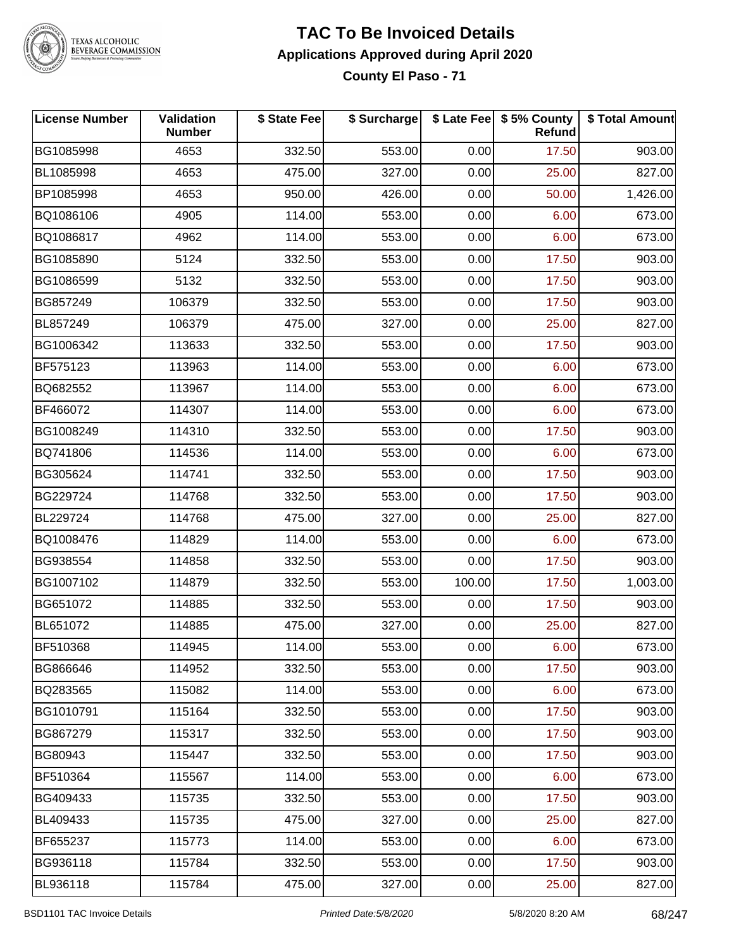

#### **TAC To Be Invoiced Details Applications Approved during April 2020 County El Paso - 71**

| <b>License Number</b> | Validation<br><b>Number</b> | \$ State Fee | \$ Surcharge |        | \$ Late Fee   \$5% County<br><b>Refund</b> | \$ Total Amount |
|-----------------------|-----------------------------|--------------|--------------|--------|--------------------------------------------|-----------------|
| BG1085998             | 4653                        | 332.50       | 553.00       | 0.00   | 17.50                                      | 903.00          |
| BL1085998             | 4653                        | 475.00       | 327.00       | 0.00   | 25.00                                      | 827.00          |
| BP1085998             | 4653                        | 950.00       | 426.00       | 0.00   | 50.00                                      | 1,426.00        |
| BQ1086106             | 4905                        | 114.00       | 553.00       | 0.00   | 6.00                                       | 673.00          |
| BQ1086817             | 4962                        | 114.00       | 553.00       | 0.00   | 6.00                                       | 673.00          |
| BG1085890             | 5124                        | 332.50       | 553.00       | 0.00   | 17.50                                      | 903.00          |
| BG1086599             | 5132                        | 332.50       | 553.00       | 0.00   | 17.50                                      | 903.00          |
| BG857249              | 106379                      | 332.50       | 553.00       | 0.00   | 17.50                                      | 903.00          |
| BL857249              | 106379                      | 475.00       | 327.00       | 0.00   | 25.00                                      | 827.00          |
| BG1006342             | 113633                      | 332.50       | 553.00       | 0.00   | 17.50                                      | 903.00          |
| BF575123              | 113963                      | 114.00       | 553.00       | 0.00   | 6.00                                       | 673.00          |
| BQ682552              | 113967                      | 114.00       | 553.00       | 0.00   | 6.00                                       | 673.00          |
| BF466072              | 114307                      | 114.00       | 553.00       | 0.00   | 6.00                                       | 673.00          |
| BG1008249             | 114310                      | 332.50       | 553.00       | 0.00   | 17.50                                      | 903.00          |
| BQ741806              | 114536                      | 114.00       | 553.00       | 0.00   | 6.00                                       | 673.00          |
| BG305624              | 114741                      | 332.50       | 553.00       | 0.00   | 17.50                                      | 903.00          |
| BG229724              | 114768                      | 332.50       | 553.00       | 0.00   | 17.50                                      | 903.00          |
| BL229724              | 114768                      | 475.00       | 327.00       | 0.00   | 25.00                                      | 827.00          |
| BQ1008476             | 114829                      | 114.00       | 553.00       | 0.00   | 6.00                                       | 673.00          |
| BG938554              | 114858                      | 332.50       | 553.00       | 0.00   | 17.50                                      | 903.00          |
| BG1007102             | 114879                      | 332.50       | 553.00       | 100.00 | 17.50                                      | 1,003.00        |
| BG651072              | 114885                      | 332.50       | 553.00       | 0.00   | 17.50                                      | 903.00          |
| BL651072              | 114885                      | 475.00       | 327.00       | 0.00   | 25.00                                      | 827.00          |
| BF510368              | 114945                      | 114.00       | 553.00       | 0.00   | 6.00                                       | 673.00          |
| BG866646              | 114952                      | 332.50       | 553.00       | 0.00   | 17.50                                      | 903.00          |
| BQ283565              | 115082                      | 114.00       | 553.00       | 0.00   | 6.00                                       | 673.00          |
| BG1010791             | 115164                      | 332.50       | 553.00       | 0.00   | 17.50                                      | 903.00          |
| BG867279              | 115317                      | 332.50       | 553.00       | 0.00   | 17.50                                      | 903.00          |
| BG80943               | 115447                      | 332.50       | 553.00       | 0.00   | 17.50                                      | 903.00          |
| BF510364              | 115567                      | 114.00       | 553.00       | 0.00   | 6.00                                       | 673.00          |
| BG409433              | 115735                      | 332.50       | 553.00       | 0.00   | 17.50                                      | 903.00          |
| BL409433              | 115735                      | 475.00       | 327.00       | 0.00   | 25.00                                      | 827.00          |
| BF655237              | 115773                      | 114.00       | 553.00       | 0.00   | 6.00                                       | 673.00          |
| BG936118              | 115784                      | 332.50       | 553.00       | 0.00   | 17.50                                      | 903.00          |
| BL936118              | 115784                      | 475.00       | 327.00       | 0.00   | 25.00                                      | 827.00          |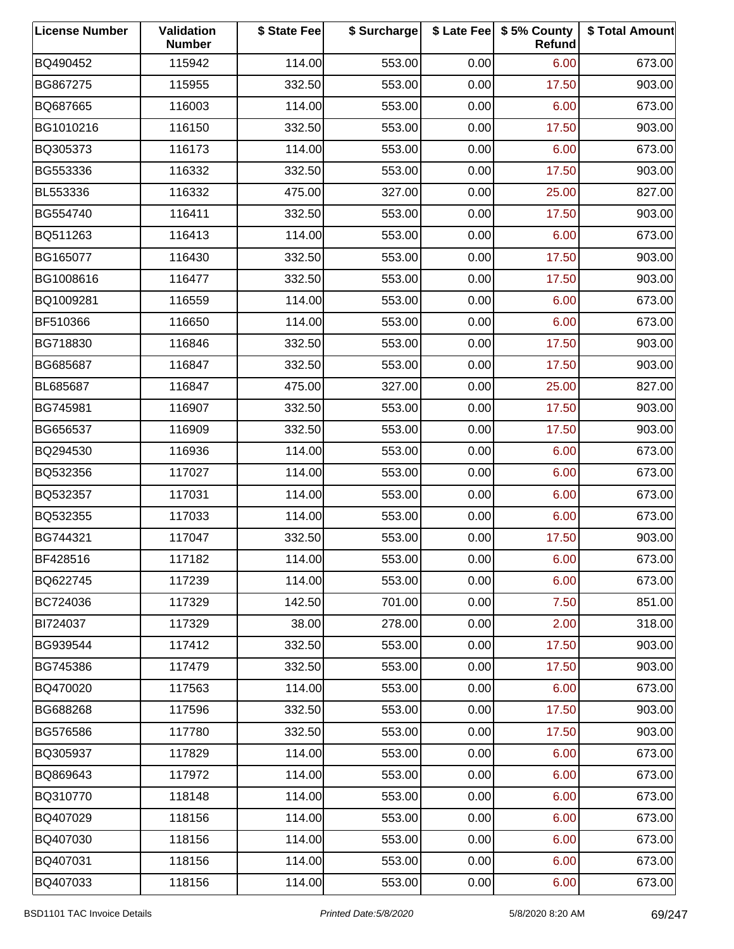| <b>License Number</b> | Validation<br><b>Number</b> | \$ State Fee | \$ Surcharge |      | \$ Late Fee   \$5% County<br>Refund | \$ Total Amount |
|-----------------------|-----------------------------|--------------|--------------|------|-------------------------------------|-----------------|
| BQ490452              | 115942                      | 114.00       | 553.00       | 0.00 | 6.00                                | 673.00          |
| BG867275              | 115955                      | 332.50       | 553.00       | 0.00 | 17.50                               | 903.00          |
| BQ687665              | 116003                      | 114.00       | 553.00       | 0.00 | 6.00                                | 673.00          |
| BG1010216             | 116150                      | 332.50       | 553.00       | 0.00 | 17.50                               | 903.00          |
| BQ305373              | 116173                      | 114.00       | 553.00       | 0.00 | 6.00                                | 673.00          |
| BG553336              | 116332                      | 332.50       | 553.00       | 0.00 | 17.50                               | 903.00          |
| BL553336              | 116332                      | 475.00       | 327.00       | 0.00 | 25.00                               | 827.00          |
| BG554740              | 116411                      | 332.50       | 553.00       | 0.00 | 17.50                               | 903.00          |
| BQ511263              | 116413                      | 114.00       | 553.00       | 0.00 | 6.00                                | 673.00          |
| BG165077              | 116430                      | 332.50       | 553.00       | 0.00 | 17.50                               | 903.00          |
| BG1008616             | 116477                      | 332.50       | 553.00       | 0.00 | 17.50                               | 903.00          |
| BQ1009281             | 116559                      | 114.00       | 553.00       | 0.00 | 6.00                                | 673.00          |
| BF510366              | 116650                      | 114.00       | 553.00       | 0.00 | 6.00                                | 673.00          |
| BG718830              | 116846                      | 332.50       | 553.00       | 0.00 | 17.50                               | 903.00          |
| BG685687              | 116847                      | 332.50       | 553.00       | 0.00 | 17.50                               | 903.00          |
| BL685687              | 116847                      | 475.00       | 327.00       | 0.00 | 25.00                               | 827.00          |
| BG745981              | 116907                      | 332.50       | 553.00       | 0.00 | 17.50                               | 903.00          |
| BG656537              | 116909                      | 332.50       | 553.00       | 0.00 | 17.50                               | 903.00          |
| BQ294530              | 116936                      | 114.00       | 553.00       | 0.00 | 6.00                                | 673.00          |
| BQ532356              | 117027                      | 114.00       | 553.00       | 0.00 | 6.00                                | 673.00          |
| BQ532357              | 117031                      | 114.00       | 553.00       | 0.00 | 6.00                                | 673.00          |
| BQ532355              | 117033                      | 114.00       | 553.00       | 0.00 | 6.00                                | 673.00          |
| BG744321              | 117047                      | 332.50       | 553.00       | 0.00 | 17.50                               | 903.00          |
| BF428516              | 117182                      | 114.00       | 553.00       | 0.00 | 6.00                                | 673.00          |
| BQ622745              | 117239                      | 114.00       | 553.00       | 0.00 | 6.00                                | 673.00          |
| BC724036              | 117329                      | 142.50       | 701.00       | 0.00 | 7.50                                | 851.00          |
| BI724037              | 117329                      | 38.00        | 278.00       | 0.00 | 2.00                                | 318.00          |
| BG939544              | 117412                      | 332.50       | 553.00       | 0.00 | 17.50                               | 903.00          |
| BG745386              | 117479                      | 332.50       | 553.00       | 0.00 | 17.50                               | 903.00          |
| BQ470020              | 117563                      | 114.00       | 553.00       | 0.00 | 6.00                                | 673.00          |
| BG688268              | 117596                      | 332.50       | 553.00       | 0.00 | 17.50                               | 903.00          |
| BG576586              | 117780                      | 332.50       | 553.00       | 0.00 | 17.50                               | 903.00          |
| BQ305937              | 117829                      | 114.00       | 553.00       | 0.00 | 6.00                                | 673.00          |
| BQ869643              | 117972                      | 114.00       | 553.00       | 0.00 | 6.00                                | 673.00          |
| BQ310770              | 118148                      | 114.00       | 553.00       | 0.00 | 6.00                                | 673.00          |
| BQ407029              | 118156                      | 114.00       | 553.00       | 0.00 | 6.00                                | 673.00          |
| BQ407030              | 118156                      | 114.00       | 553.00       | 0.00 | 6.00                                | 673.00          |
| BQ407031              | 118156                      | 114.00       | 553.00       | 0.00 | 6.00                                | 673.00          |
| BQ407033              | 118156                      | 114.00       | 553.00       | 0.00 | 6.00                                | 673.00          |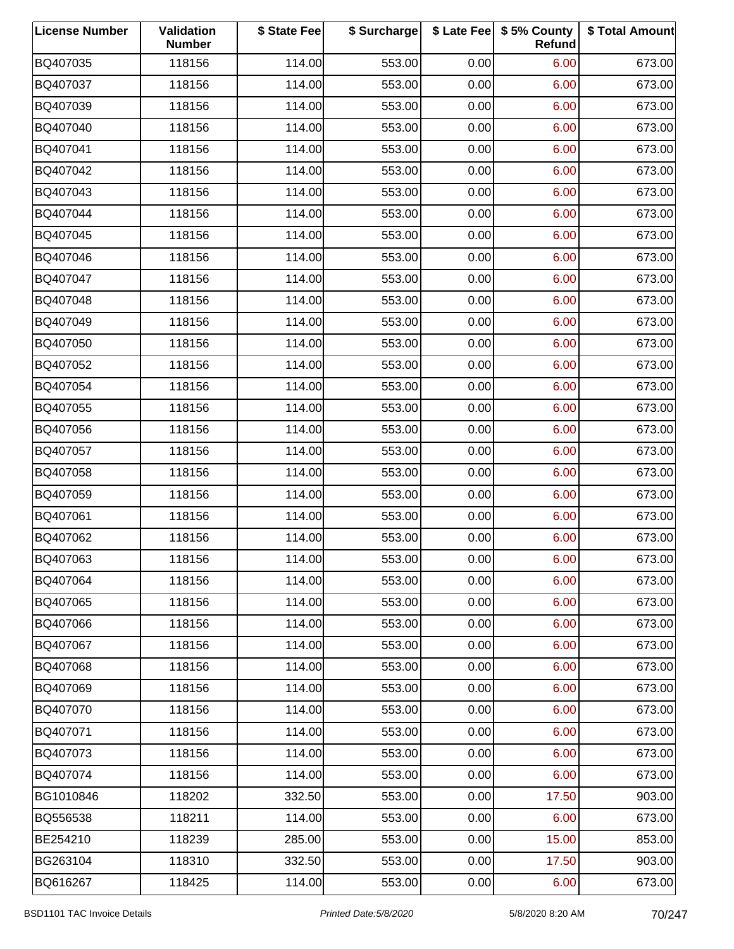| <b>License Number</b> | Validation<br><b>Number</b> | \$ State Fee | \$ Surcharge |      | \$ Late Fee   \$5% County<br>Refund | \$ Total Amount |
|-----------------------|-----------------------------|--------------|--------------|------|-------------------------------------|-----------------|
| BQ407035              | 118156                      | 114.00       | 553.00       | 0.00 | 6.00                                | 673.00          |
| BQ407037              | 118156                      | 114.00       | 553.00       | 0.00 | 6.00                                | 673.00          |
| BQ407039              | 118156                      | 114.00       | 553.00       | 0.00 | 6.00                                | 673.00          |
| BQ407040              | 118156                      | 114.00       | 553.00       | 0.00 | 6.00                                | 673.00          |
| BQ407041              | 118156                      | 114.00       | 553.00       | 0.00 | 6.00                                | 673.00          |
| BQ407042              | 118156                      | 114.00       | 553.00       | 0.00 | 6.00                                | 673.00          |
| BQ407043              | 118156                      | 114.00       | 553.00       | 0.00 | 6.00                                | 673.00          |
| BQ407044              | 118156                      | 114.00       | 553.00       | 0.00 | 6.00                                | 673.00          |
| BQ407045              | 118156                      | 114.00       | 553.00       | 0.00 | 6.00                                | 673.00          |
| BQ407046              | 118156                      | 114.00       | 553.00       | 0.00 | 6.00                                | 673.00          |
| BQ407047              | 118156                      | 114.00       | 553.00       | 0.00 | 6.00                                | 673.00          |
| BQ407048              | 118156                      | 114.00       | 553.00       | 0.00 | 6.00                                | 673.00          |
| BQ407049              | 118156                      | 114.00       | 553.00       | 0.00 | 6.00                                | 673.00          |
| BQ407050              | 118156                      | 114.00       | 553.00       | 0.00 | 6.00                                | 673.00          |
| BQ407052              | 118156                      | 114.00       | 553.00       | 0.00 | 6.00                                | 673.00          |
| BQ407054              | 118156                      | 114.00       | 553.00       | 0.00 | 6.00                                | 673.00          |
| BQ407055              | 118156                      | 114.00       | 553.00       | 0.00 | 6.00                                | 673.00          |
| BQ407056              | 118156                      | 114.00       | 553.00       | 0.00 | 6.00                                | 673.00          |
| BQ407057              | 118156                      | 114.00       | 553.00       | 0.00 | 6.00                                | 673.00          |
| BQ407058              | 118156                      | 114.00       | 553.00       | 0.00 | 6.00                                | 673.00          |
| BQ407059              | 118156                      | 114.00       | 553.00       | 0.00 | 6.00                                | 673.00          |
| BQ407061              | 118156                      | 114.00       | 553.00       | 0.00 | 6.00                                | 673.00          |
| BQ407062              | 118156                      | 114.00       | 553.00       | 0.00 | 6.00                                | 673.00          |
| BQ407063              | 118156                      | 114.00       | 553.00       | 0.00 | 6.00                                | 673.00          |
| BQ407064              | 118156                      | 114.00       | 553.00       | 0.00 | 6.00                                | 673.00          |
| BQ407065              | 118156                      | 114.00       | 553.00       | 0.00 | 6.00                                | 673.00          |
| BQ407066              | 118156                      | 114.00       | 553.00       | 0.00 | 6.00                                | 673.00          |
| BQ407067              | 118156                      | 114.00       | 553.00       | 0.00 | 6.00                                | 673.00          |
| BQ407068              | 118156                      | 114.00       | 553.00       | 0.00 | 6.00                                | 673.00          |
| BQ407069              | 118156                      | 114.00       | 553.00       | 0.00 | 6.00                                | 673.00          |
| BQ407070              | 118156                      | 114.00       | 553.00       | 0.00 | 6.00                                | 673.00          |
| BQ407071              | 118156                      | 114.00       | 553.00       | 0.00 | 6.00                                | 673.00          |
| BQ407073              | 118156                      | 114.00       | 553.00       | 0.00 | 6.00                                | 673.00          |
| BQ407074              | 118156                      | 114.00       | 553.00       | 0.00 | 6.00                                | 673.00          |
| BG1010846             | 118202                      | 332.50       | 553.00       | 0.00 | 17.50                               | 903.00          |
| BQ556538              | 118211                      | 114.00       | 553.00       | 0.00 | 6.00                                | 673.00          |
| BE254210              | 118239                      | 285.00       | 553.00       | 0.00 | 15.00                               | 853.00          |
| BG263104              | 118310                      | 332.50       | 553.00       | 0.00 | 17.50                               | 903.00          |
| BQ616267              | 118425                      | 114.00       | 553.00       | 0.00 | 6.00                                | 673.00          |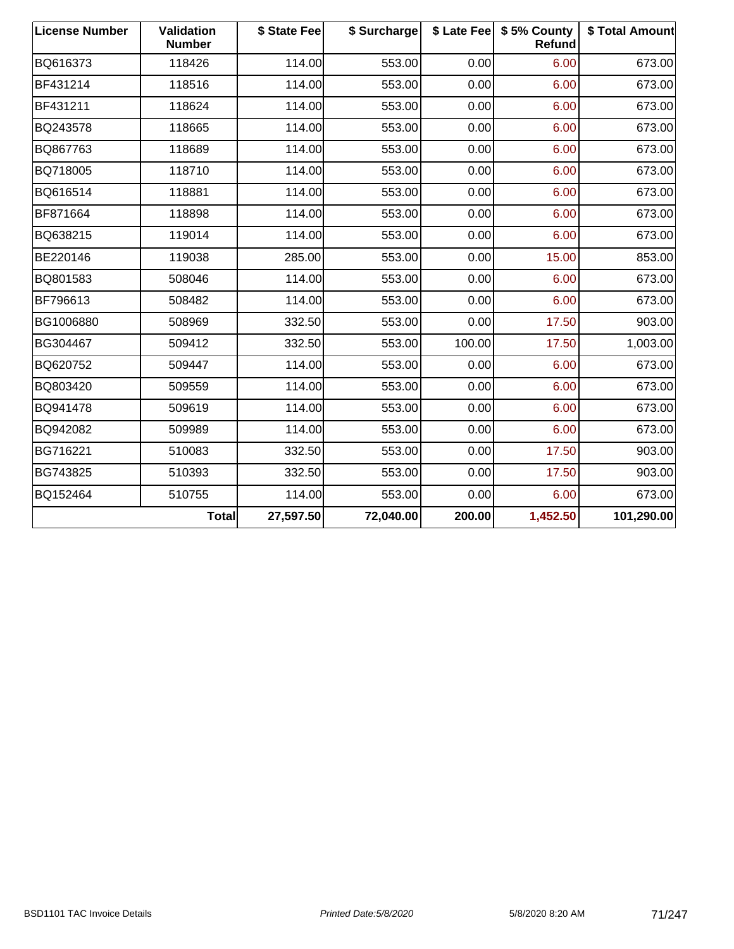| <b>License Number</b> | <b>Validation</b><br><b>Number</b> | \$ State Fee | \$ Surcharge |        | \$ Late Fee \$ 5% County<br>Refund | \$ Total Amount |
|-----------------------|------------------------------------|--------------|--------------|--------|------------------------------------|-----------------|
| BQ616373              | 118426                             | 114.00       | 553.00       | 0.00   | 6.00                               | 673.00          |
| BF431214              | 118516                             | 114.00       | 553.00       | 0.00   | 6.00                               | 673.00          |
| BF431211              | 118624                             | 114.00       | 553.00       | 0.00   | 6.00                               | 673.00          |
| BQ243578              | 118665                             | 114.00       | 553.00       | 0.00   | 6.00                               | 673.00          |
| BQ867763              | 118689                             | 114.00       | 553.00       | 0.00   | 6.00                               | 673.00          |
| BQ718005              | 118710                             | 114.00       | 553.00       | 0.00   | 6.00                               | 673.00          |
| BQ616514              | 118881                             | 114.00       | 553.00       | 0.00   | 6.00                               | 673.00          |
| BF871664              | 118898                             | 114.00       | 553.00       | 0.00   | 6.00                               | 673.00          |
| BQ638215              | 119014                             | 114.00       | 553.00       | 0.00   | 6.00                               | 673.00          |
| BE220146              | 119038                             | 285.00       | 553.00       | 0.00   | 15.00                              | 853.00          |
| BQ801583              | 508046                             | 114.00       | 553.00       | 0.00   | 6.00                               | 673.00          |
| BF796613              | 508482                             | 114.00       | 553.00       | 0.00   | 6.00                               | 673.00          |
| BG1006880             | 508969                             | 332.50       | 553.00       | 0.00   | 17.50                              | 903.00          |
| BG304467              | 509412                             | 332.50       | 553.00       | 100.00 | 17.50                              | 1,003.00        |
| BQ620752              | 509447                             | 114.00       | 553.00       | 0.00   | 6.00                               | 673.00          |
| BQ803420              | 509559                             | 114.00       | 553.00       | 0.00   | 6.00                               | 673.00          |
| BQ941478              | 509619                             | 114.00       | 553.00       | 0.00   | 6.00                               | 673.00          |
| BQ942082              | 509989                             | 114.00       | 553.00       | 0.00   | 6.00                               | 673.00          |
| BG716221              | 510083                             | 332.50       | 553.00       | 0.00   | 17.50                              | 903.00          |
| BG743825              | 510393                             | 332.50       | 553.00       | 0.00   | 17.50                              | 903.00          |
| BQ152464              | 510755                             | 114.00       | 553.00       | 0.00   | 6.00                               | 673.00          |
|                       | Total                              | 27,597.50    | 72,040.00    | 200.00 | 1,452.50                           | 101,290.00      |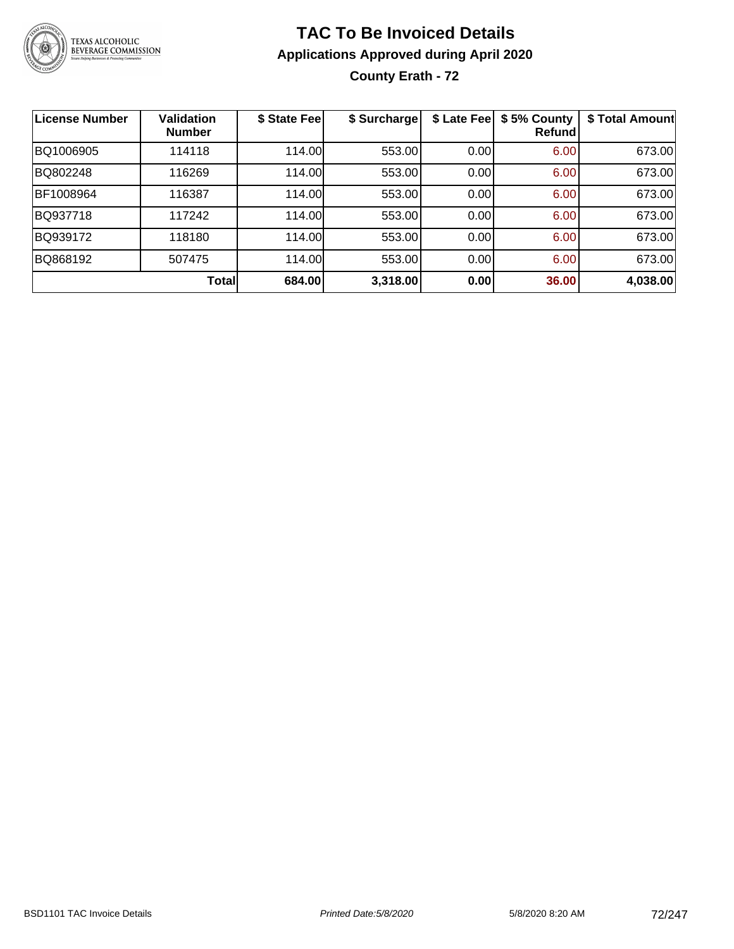

## **TAC To Be Invoiced Details Applications Approved during April 2020 County Erath - 72**

| <b>License Number</b> | <b>Validation</b><br><b>Number</b> | \$ State Fee | \$ Surcharge | \$ Late Fee | \$5% County<br>Refundl | \$ Total Amount |
|-----------------------|------------------------------------|--------------|--------------|-------------|------------------------|-----------------|
| BQ1006905             | 114118                             | 114.00       | 553.00       | 0.00        | 6.00                   | 673.00          |
| BQ802248              | 116269                             | 114.00       | 553.00       | 0.00        | 6.00                   | 673.00          |
| BF1008964             | 116387                             | 114.00       | 553.00       | 0.00        | 6.00                   | 673.00          |
| BQ937718              | 117242                             | 114.00       | 553.00       | 0.00        | 6.00                   | 673.00          |
| BQ939172              | 118180                             | 114.00       | 553.00       | 0.00        | 6.00                   | 673.00          |
| BQ868192              | 507475                             | 114.00       | 553.00       | 0.00        | 6.00                   | 673.00          |
|                       | <b>Total</b>                       | 684.00       | 3,318.00     | 0.00        | 36.00                  | 4,038.00        |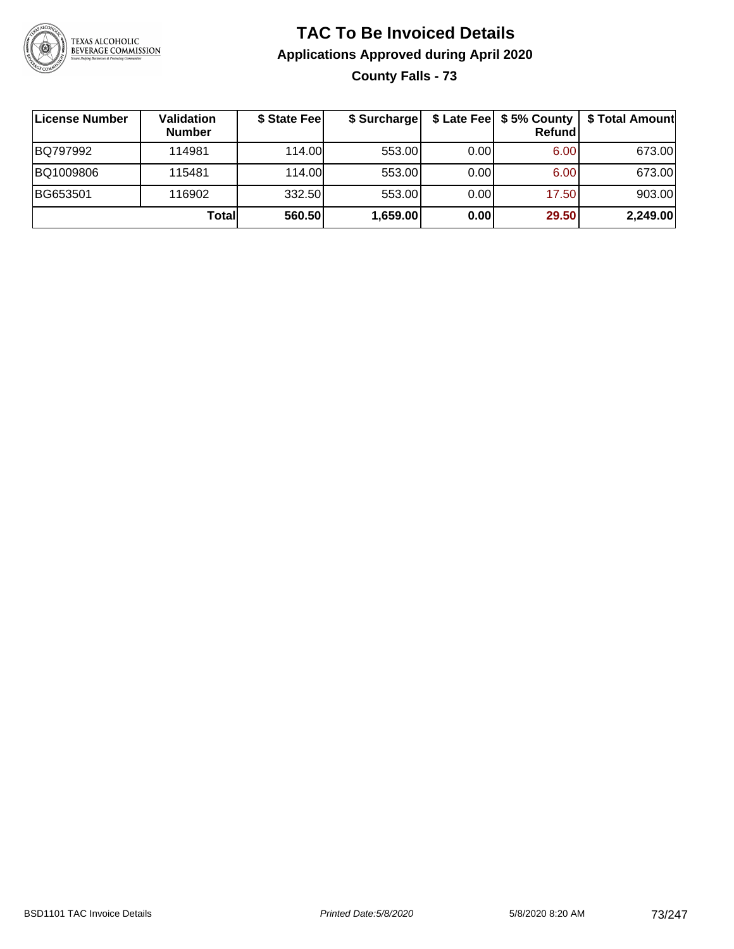

### **TAC To Be Invoiced Details Applications Approved during April 2020 County Falls - 73**

**License Number Validation Number \$ State Fee \$ Surcharge \$ Late Fee \$ 5% County Refund \$ Total Amount** BQ797992 114981 114.00 553.00 0.00 6.00 673.00 BQ1009806 115481 114.00 553.00 0.00 6.00 673.00 BG653501 116902 332.50 553.00 0.00 17.50 903.00 **Total 560.50 1,659.00 0.00 29.50 2,249.00**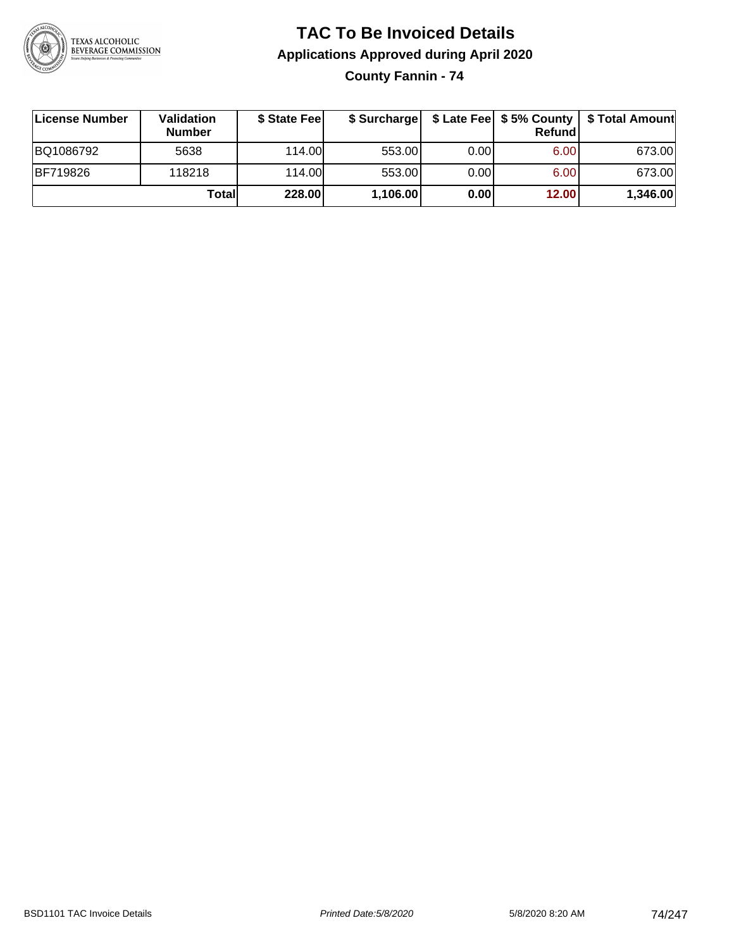

### **TAC To Be Invoiced Details Applications Approved during April 2020**

**County Fannin - 74**

| ∣License Number | Validation<br><b>Number</b> | \$ State Feel | \$ Surcharge |      | Refundl | \$ Late Fee   \$5% County   \$ Total Amount |
|-----------------|-----------------------------|---------------|--------------|------|---------|---------------------------------------------|
| BQ1086792       | 5638                        | 114.00L       | 553.00       | 0.00 | 6.00    | 673.00                                      |
| <b>BF719826</b> | 118218                      | 114.00L       | 553.00       | 0.00 | 6.00    | 673.00                                      |
|                 | Totall                      | 228.00        | 1,106.00     | 0.00 | 12.00   | 1,346.00                                    |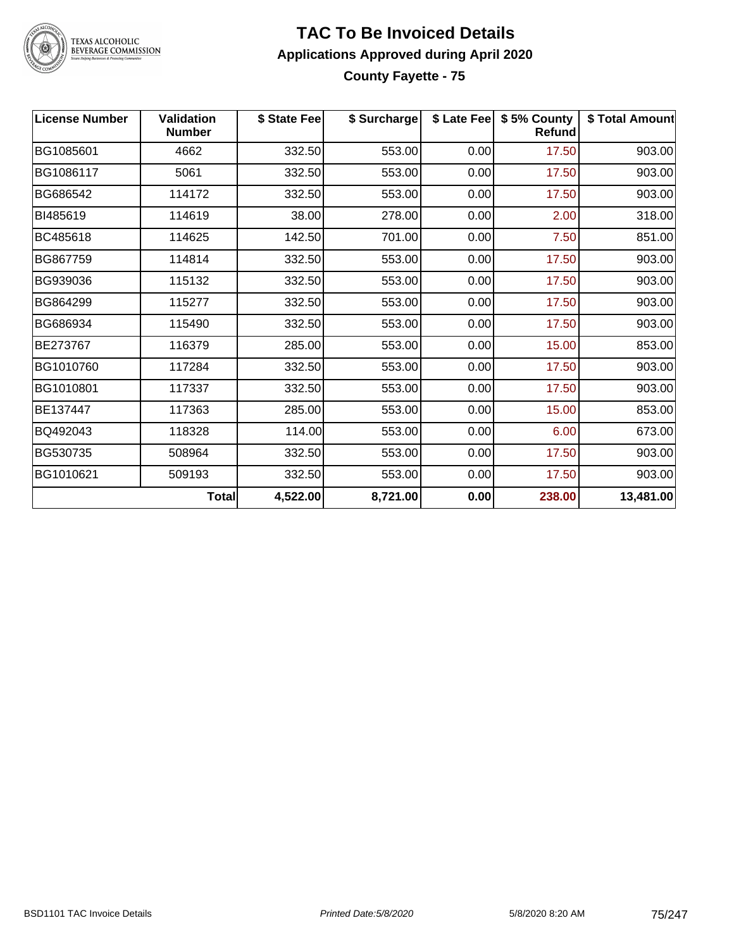

#### **TAC To Be Invoiced Details Applications Approved during April 2020 County Fayette - 75**

| <b>License Number</b> | <b>Validation</b><br><b>Number</b> | \$ State Fee | \$ Surcharge |      | \$ Late Fee   \$5% County<br><b>Refund</b> | \$ Total Amount |
|-----------------------|------------------------------------|--------------|--------------|------|--------------------------------------------|-----------------|
| BG1085601             | 4662                               | 332.50       | 553.00       | 0.00 | 17.50                                      | 903.00          |
| BG1086117             | 5061                               | 332.50       | 553.00       | 0.00 | 17.50                                      | 903.00          |
| BG686542              | 114172                             | 332.50       | 553.00       | 0.00 | 17.50                                      | 903.00          |
| BI485619              | 114619                             | 38.00        | 278.00       | 0.00 | 2.00                                       | 318.00          |
| BC485618              | 114625                             | 142.50       | 701.00       | 0.00 | 7.50                                       | 851.00          |
| BG867759              | 114814                             | 332.50       | 553.00       | 0.00 | 17.50                                      | 903.00          |
| BG939036              | 115132                             | 332.50       | 553.00       | 0.00 | 17.50                                      | 903.00          |
| BG864299              | 115277                             | 332.50       | 553.00       | 0.00 | 17.50                                      | 903.00          |
| BG686934              | 115490                             | 332.50       | 553.00       | 0.00 | 17.50                                      | 903.00          |
| BE273767              | 116379                             | 285.00       | 553.00       | 0.00 | 15.00                                      | 853.00          |
| BG1010760             | 117284                             | 332.50       | 553.00       | 0.00 | 17.50                                      | 903.00          |
| BG1010801             | 117337                             | 332.50       | 553.00       | 0.00 | 17.50                                      | 903.00          |
| BE137447              | 117363                             | 285.00       | 553.00       | 0.00 | 15.00                                      | 853.00          |
| BQ492043              | 118328                             | 114.00       | 553.00       | 0.00 | 6.00                                       | 673.00          |
| BG530735              | 508964                             | 332.50       | 553.00       | 0.00 | 17.50                                      | 903.00          |
| BG1010621             | 509193                             | 332.50       | 553.00       | 0.00 | 17.50                                      | 903.00          |
|                       | <b>Total</b>                       | 4,522.00     | 8,721.00     | 0.00 | 238.00                                     | 13,481.00       |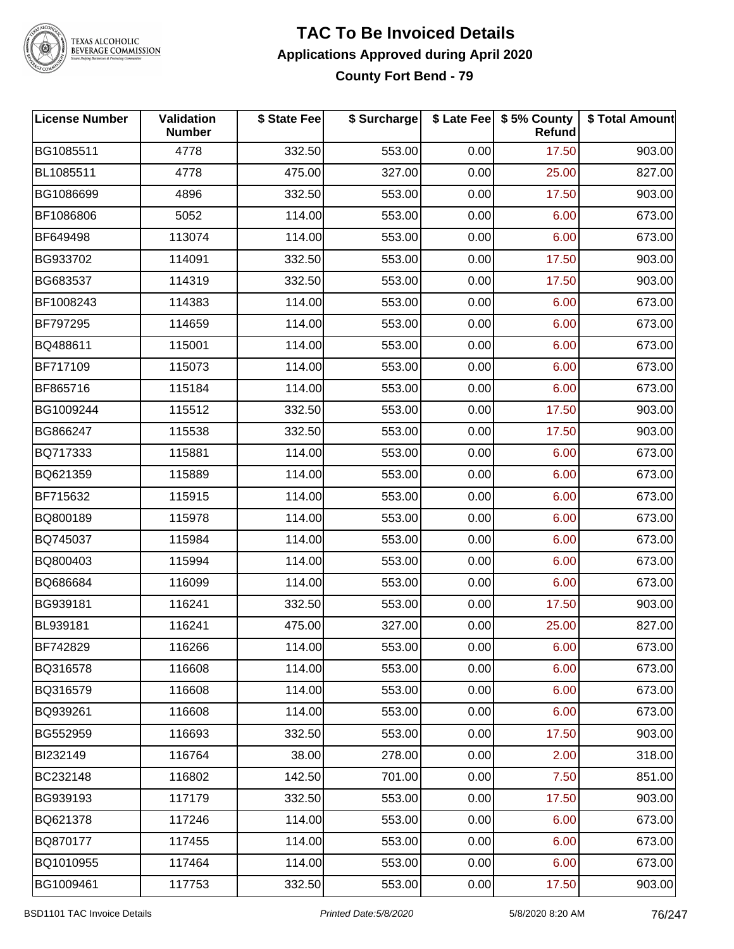

#### **TAC To Be Invoiced Details Applications Approved during April 2020 County Fort Bend - 79**

| <b>License Number</b> | Validation<br><b>Number</b> | \$ State Fee | \$ Surcharge |      | \$ Late Fee   \$5% County<br>Refund | \$ Total Amount |
|-----------------------|-----------------------------|--------------|--------------|------|-------------------------------------|-----------------|
| BG1085511             | 4778                        | 332.50       | 553.00       | 0.00 | 17.50                               | 903.00          |
| BL1085511             | 4778                        | 475.00       | 327.00       | 0.00 | 25.00                               | 827.00          |
| BG1086699             | 4896                        | 332.50       | 553.00       | 0.00 | 17.50                               | 903.00          |
| BF1086806             | 5052                        | 114.00       | 553.00       | 0.00 | 6.00                                | 673.00          |
| BF649498              | 113074                      | 114.00       | 553.00       | 0.00 | 6.00                                | 673.00          |
| BG933702              | 114091                      | 332.50       | 553.00       | 0.00 | 17.50                               | 903.00          |
| BG683537              | 114319                      | 332.50       | 553.00       | 0.00 | 17.50                               | 903.00          |
| BF1008243             | 114383                      | 114.00       | 553.00       | 0.00 | 6.00                                | 673.00          |
| <b>BF797295</b>       | 114659                      | 114.00       | 553.00       | 0.00 | 6.00                                | 673.00          |
| BQ488611              | 115001                      | 114.00       | 553.00       | 0.00 | 6.00                                | 673.00          |
| BF717109              | 115073                      | 114.00       | 553.00       | 0.00 | 6.00                                | 673.00          |
| BF865716              | 115184                      | 114.00       | 553.00       | 0.00 | 6.00                                | 673.00          |
| BG1009244             | 115512                      | 332.50       | 553.00       | 0.00 | 17.50                               | 903.00          |
| BG866247              | 115538                      | 332.50       | 553.00       | 0.00 | 17.50                               | 903.00          |
| BQ717333              | 115881                      | 114.00       | 553.00       | 0.00 | 6.00                                | 673.00          |
| BQ621359              | 115889                      | 114.00       | 553.00       | 0.00 | 6.00                                | 673.00          |
| BF715632              | 115915                      | 114.00       | 553.00       | 0.00 | 6.00                                | 673.00          |
| BQ800189              | 115978                      | 114.00       | 553.00       | 0.00 | 6.00                                | 673.00          |
| BQ745037              | 115984                      | 114.00       | 553.00       | 0.00 | 6.00                                | 673.00          |
| BQ800403              | 115994                      | 114.00       | 553.00       | 0.00 | 6.00                                | 673.00          |
| BQ686684              | 116099                      | 114.00       | 553.00       | 0.00 | 6.00                                | 673.00          |
| BG939181              | 116241                      | 332.50       | 553.00       | 0.00 | 17.50                               | 903.00          |
| BL939181              | 116241                      | 475.00       | 327.00       | 0.00 | 25.00                               | 827.00          |
| BF742829              | 116266                      | 114.00       | 553.00       | 0.00 | 6.00                                | 673.00          |
| BQ316578              | 116608                      | 114.00       | 553.00       | 0.00 | 6.00                                | 673.00          |
| BQ316579              | 116608                      | 114.00       | 553.00       | 0.00 | 6.00                                | 673.00          |
| BQ939261              | 116608                      | 114.00       | 553.00       | 0.00 | 6.00                                | 673.00          |
| BG552959              | 116693                      | 332.50       | 553.00       | 0.00 | 17.50                               | 903.00          |
| BI232149              | 116764                      | 38.00        | 278.00       | 0.00 | 2.00                                | 318.00          |
| BC232148              | 116802                      | 142.50       | 701.00       | 0.00 | 7.50                                | 851.00          |
| BG939193              | 117179                      | 332.50       | 553.00       | 0.00 | 17.50                               | 903.00          |
| BQ621378              | 117246                      | 114.00       | 553.00       | 0.00 | 6.00                                | 673.00          |
| BQ870177              | 117455                      | 114.00       | 553.00       | 0.00 | 6.00                                | 673.00          |
| BQ1010955             | 117464                      | 114.00       | 553.00       | 0.00 | 6.00                                | 673.00          |
| BG1009461             | 117753                      | 332.50       | 553.00       | 0.00 | 17.50                               | 903.00          |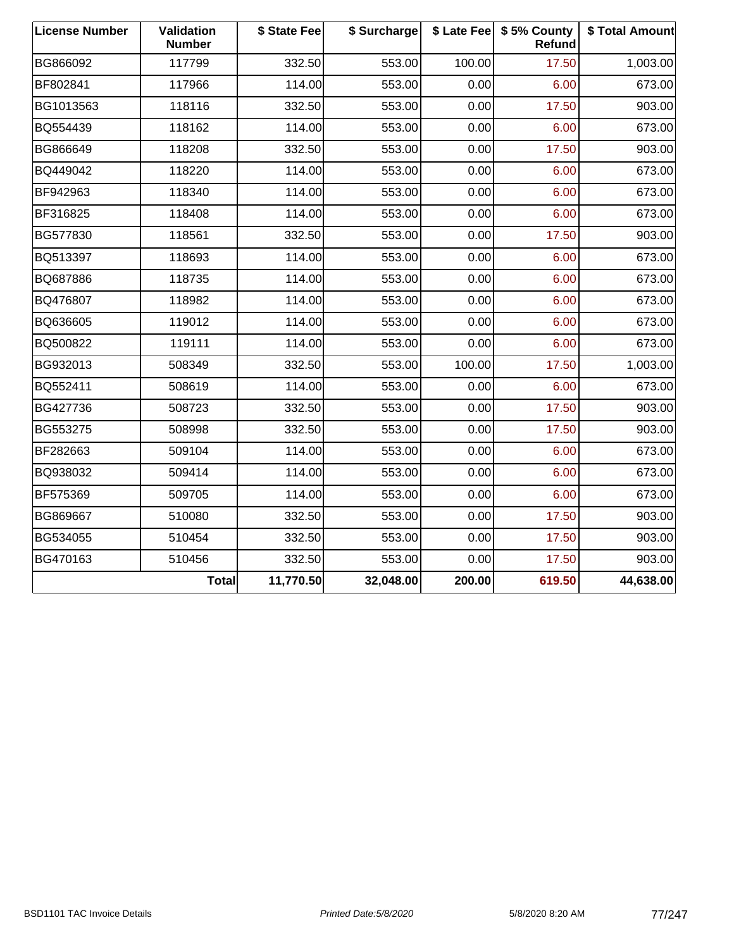| <b>License Number</b> | Validation<br><b>Number</b> | \$ State Fee | \$ Surcharge |        | \$ Late Fee   \$5% County<br><b>Refund</b> | \$ Total Amount |
|-----------------------|-----------------------------|--------------|--------------|--------|--------------------------------------------|-----------------|
| BG866092              | 117799                      | 332.50       | 553.00       | 100.00 | 17.50                                      | 1,003.00        |
| BF802841              | 117966                      | 114.00       | 553.00       | 0.00   | 6.00                                       | 673.00          |
| BG1013563             | 118116                      | 332.50       | 553.00       | 0.00   | 17.50                                      | 903.00          |
| BQ554439              | 118162                      | 114.00       | 553.00       | 0.00   | 6.00                                       | 673.00          |
| BG866649              | 118208                      | 332.50       | 553.00       | 0.00   | 17.50                                      | 903.00          |
| BQ449042              | 118220                      | 114.00       | 553.00       | 0.00   | 6.00                                       | 673.00          |
| BF942963              | 118340                      | 114.00       | 553.00       | 0.00   | 6.00                                       | 673.00          |
| BF316825              | 118408                      | 114.00       | 553.00       | 0.00   | 6.00                                       | 673.00          |
| BG577830              | 118561                      | 332.50       | 553.00       | 0.00   | 17.50                                      | 903.00          |
| BQ513397              | 118693                      | 114.00       | 553.00       | 0.00   | 6.00                                       | 673.00          |
| BQ687886              | 118735                      | 114.00       | 553.00       | 0.00   | 6.00                                       | 673.00          |
| BQ476807              | 118982                      | 114.00       | 553.00       | 0.00   | 6.00                                       | 673.00          |
| BQ636605              | 119012                      | 114.00       | 553.00       | 0.00   | 6.00                                       | 673.00          |
| BQ500822              | 119111                      | 114.00       | 553.00       | 0.00   | 6.00                                       | 673.00          |
| BG932013              | 508349                      | 332.50       | 553.00       | 100.00 | 17.50                                      | 1,003.00        |
| BQ552411              | 508619                      | 114.00       | 553.00       | 0.00   | 6.00                                       | 673.00          |
| BG427736              | 508723                      | 332.50       | 553.00       | 0.00   | 17.50                                      | 903.00          |
| BG553275              | 508998                      | 332.50       | 553.00       | 0.00   | 17.50                                      | 903.00          |
| BF282663              | 509104                      | 114.00       | 553.00       | 0.00   | 6.00                                       | 673.00          |
| BQ938032              | 509414                      | 114.00       | 553.00       | 0.00   | 6.00                                       | 673.00          |
| BF575369              | 509705                      | 114.00       | 553.00       | 0.00   | 6.00                                       | 673.00          |
| BG869667              | 510080                      | 332.50       | 553.00       | 0.00   | 17.50                                      | 903.00          |
| BG534055              | 510454                      | 332.50       | 553.00       | 0.00   | 17.50                                      | 903.00          |
| BG470163              | 510456                      | 332.50       | 553.00       | 0.00   | 17.50                                      | 903.00          |
|                       | <b>Total</b>                | 11,770.50    | 32,048.00    | 200.00 | 619.50                                     | 44,638.00       |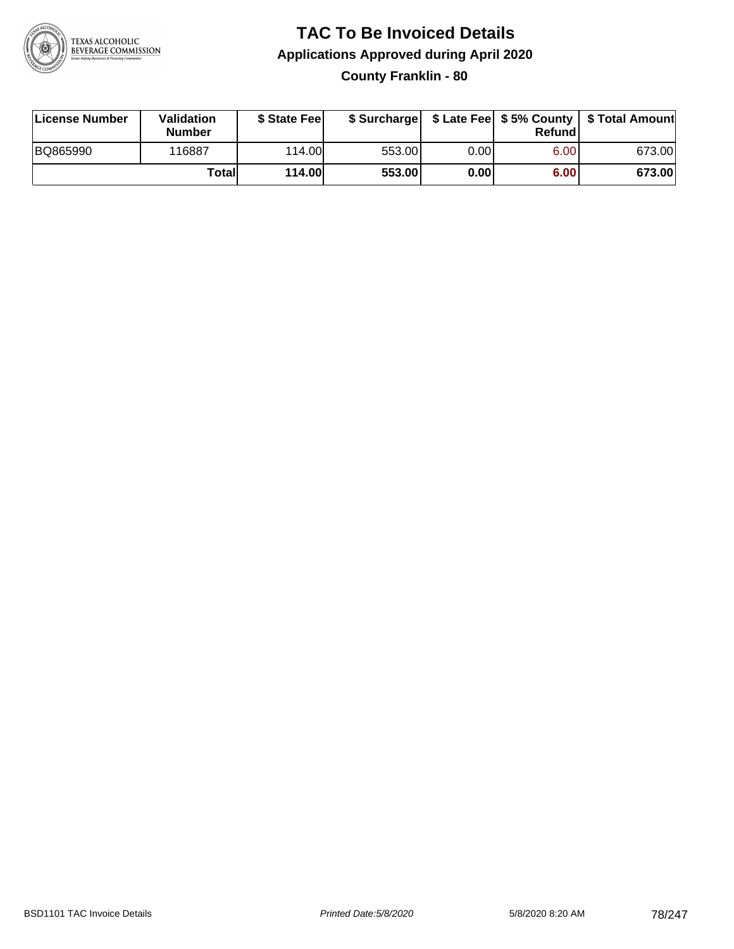

### **TAC To Be Invoiced Details Applications Approved during April 2020 County Franklin - 80**

| License Number | <b>Validation</b><br><b>Number</b> | \$ State Feel |        |      | Refundl | \$ Surcharge   \$ Late Fee   \$5% County   \$ Total Amount |
|----------------|------------------------------------|---------------|--------|------|---------|------------------------------------------------------------|
| BQ865990       | 116887                             | 114.00        | 553.00 | 0.00 | 6.00    | 673.00                                                     |
|                | Totall                             | <b>114.00</b> | 553.00 | 0.00 | 6.00    | 673.00                                                     |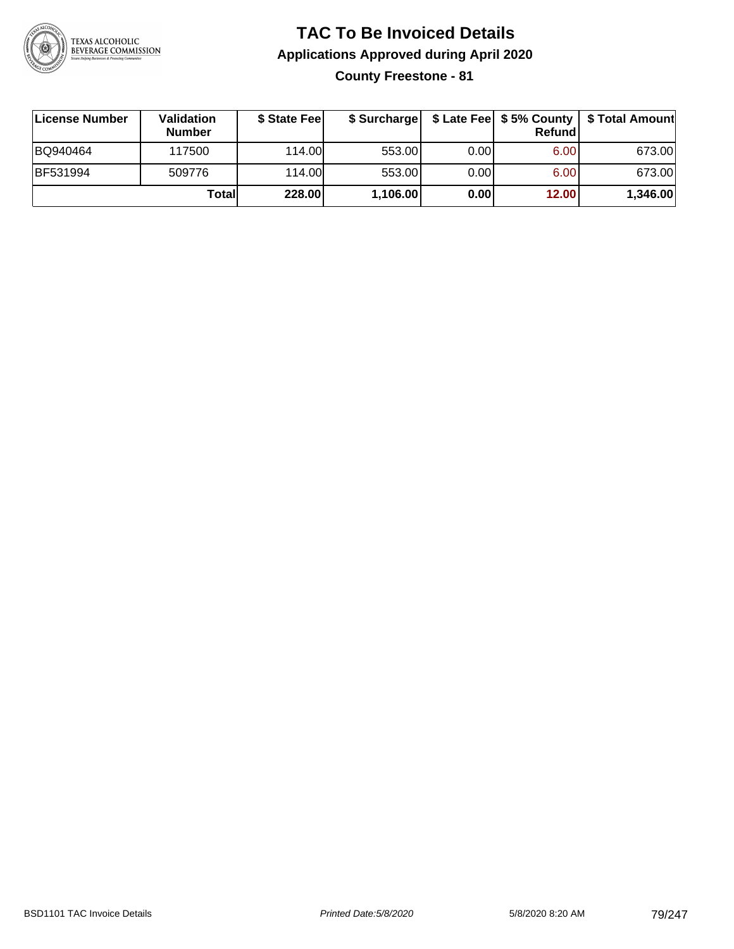

# **TAC To Be Invoiced Details Applications Approved during April 2020**

**County Freestone - 81**

| ∣License Number | Validation<br><b>Number</b> | \$ State Feel | \$ Surcharge |      | Refundl |          |
|-----------------|-----------------------------|---------------|--------------|------|---------|----------|
| BQ940464        | 117500                      | 114.00L       | 553.00       | 0.00 | 6.00    | 673.00   |
| <b>BF531994</b> | 509776                      | 114.00L       | 553.00       | 0.00 | 6.00    | 673.00   |
|                 | Totall                      | 228.00        | 1,106.00     | 0.00 | 12.00   | 1,346.00 |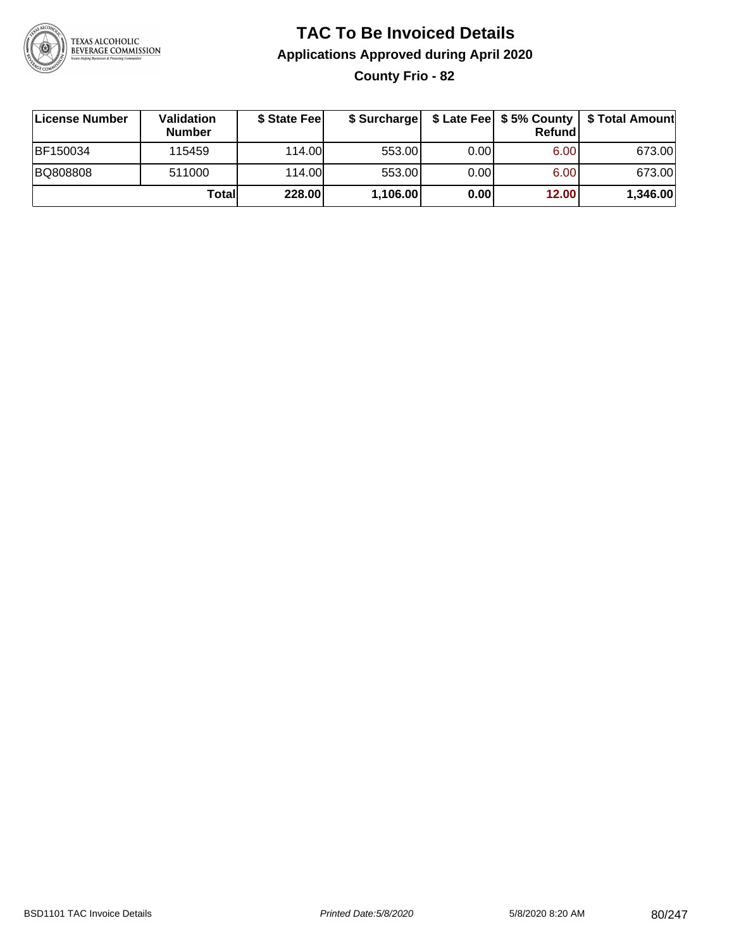

# **TAC To Be Invoiced Details Applications Approved during April 2020**

**County Frio - 82**

| License Number | Validation<br><b>Number</b> | \$ State Fee | \$ Surcharge |       | Refundl | \$ Late Fee   \$5% County   \$ Total Amount |
|----------------|-----------------------------|--------------|--------------|-------|---------|---------------------------------------------|
| BF150034       | 115459                      | 114.00       | 553.00       | 0.00  | 6.00    | 673.00                                      |
| BQ808808       | 511000                      | 114.00       | 553.00       | 0.001 | 6.00    | 673.00                                      |
|                | Totall                      | 228.00       | 1,106.00     | 0.00  | 12.00   | 1,346.00                                    |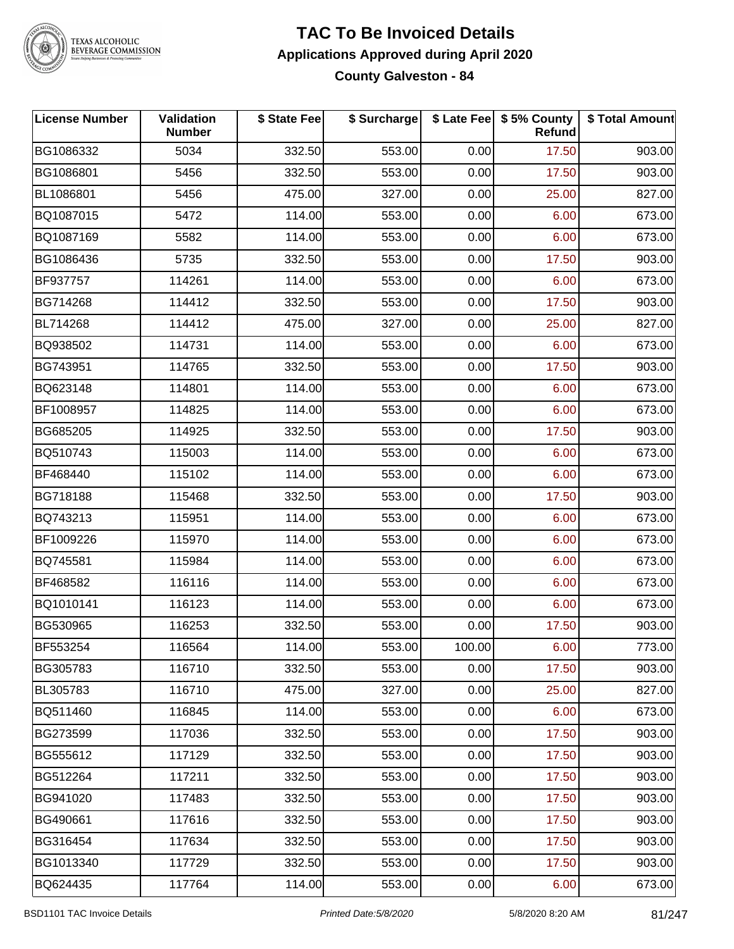

#### **TAC To Be Invoiced Details Applications Approved during April 2020 County Galveston - 84**

| <b>License Number</b> | Validation<br><b>Number</b> | \$ State Fee | \$ Surcharge |        | \$ Late Fee   \$5% County<br>Refund | \$ Total Amount |
|-----------------------|-----------------------------|--------------|--------------|--------|-------------------------------------|-----------------|
| BG1086332             | 5034                        | 332.50       | 553.00       | 0.00   | 17.50                               | 903.00          |
| BG1086801             | 5456                        | 332.50       | 553.00       | 0.00   | 17.50                               | 903.00          |
| BL1086801             | 5456                        | 475.00       | 327.00       | 0.00   | 25.00                               | 827.00          |
| BQ1087015             | 5472                        | 114.00       | 553.00       | 0.00   | 6.00                                | 673.00          |
| BQ1087169             | 5582                        | 114.00       | 553.00       | 0.00   | 6.00                                | 673.00          |
| BG1086436             | 5735                        | 332.50       | 553.00       | 0.00   | 17.50                               | 903.00          |
| BF937757              | 114261                      | 114.00       | 553.00       | 0.00   | 6.00                                | 673.00          |
| BG714268              | 114412                      | 332.50       | 553.00       | 0.00   | 17.50                               | 903.00          |
| BL714268              | 114412                      | 475.00       | 327.00       | 0.00   | 25.00                               | 827.00          |
| BQ938502              | 114731                      | 114.00       | 553.00       | 0.00   | 6.00                                | 673.00          |
| BG743951              | 114765                      | 332.50       | 553.00       | 0.00   | 17.50                               | 903.00          |
| BQ623148              | 114801                      | 114.00       | 553.00       | 0.00   | 6.00                                | 673.00          |
| BF1008957             | 114825                      | 114.00       | 553.00       | 0.00   | 6.00                                | 673.00          |
| BG685205              | 114925                      | 332.50       | 553.00       | 0.00   | 17.50                               | 903.00          |
| BQ510743              | 115003                      | 114.00       | 553.00       | 0.00   | 6.00                                | 673.00          |
| BF468440              | 115102                      | 114.00       | 553.00       | 0.00   | 6.00                                | 673.00          |
| BG718188              | 115468                      | 332.50       | 553.00       | 0.00   | 17.50                               | 903.00          |
| BQ743213              | 115951                      | 114.00       | 553.00       | 0.00   | 6.00                                | 673.00          |
| BF1009226             | 115970                      | 114.00       | 553.00       | 0.00   | 6.00                                | 673.00          |
| BQ745581              | 115984                      | 114.00       | 553.00       | 0.00   | 6.00                                | 673.00          |
| BF468582              | 116116                      | 114.00       | 553.00       | 0.00   | 6.00                                | 673.00          |
| BQ1010141             | 116123                      | 114.00       | 553.00       | 0.00   | 6.00                                | 673.00          |
| BG530965              | 116253                      | 332.50       | 553.00       | 0.00   | 17.50                               | 903.00          |
| <b>BF553254</b>       | 116564                      | 114.00       | 553.00       | 100.00 | 6.00                                | 773.00          |
| BG305783              | 116710                      | 332.50       | 553.00       | 0.00   | 17.50                               | 903.00          |
| BL305783              | 116710                      | 475.00       | 327.00       | 0.00   | 25.00                               | 827.00          |
| BQ511460              | 116845                      | 114.00       | 553.00       | 0.00   | 6.00                                | 673.00          |
| BG273599              | 117036                      | 332.50       | 553.00       | 0.00   | 17.50                               | 903.00          |
| BG555612              | 117129                      | 332.50       | 553.00       | 0.00   | 17.50                               | 903.00          |
| BG512264              | 117211                      | 332.50       | 553.00       | 0.00   | 17.50                               | 903.00          |
| BG941020              | 117483                      | 332.50       | 553.00       | 0.00   | 17.50                               | 903.00          |
| BG490661              | 117616                      | 332.50       | 553.00       | 0.00   | 17.50                               | 903.00          |
| BG316454              | 117634                      | 332.50       | 553.00       | 0.00   | 17.50                               | 903.00          |
| BG1013340             | 117729                      | 332.50       | 553.00       | 0.00   | 17.50                               | 903.00          |
| BQ624435              | 117764                      | 114.00       | 553.00       | 0.00   | 6.00                                | 673.00          |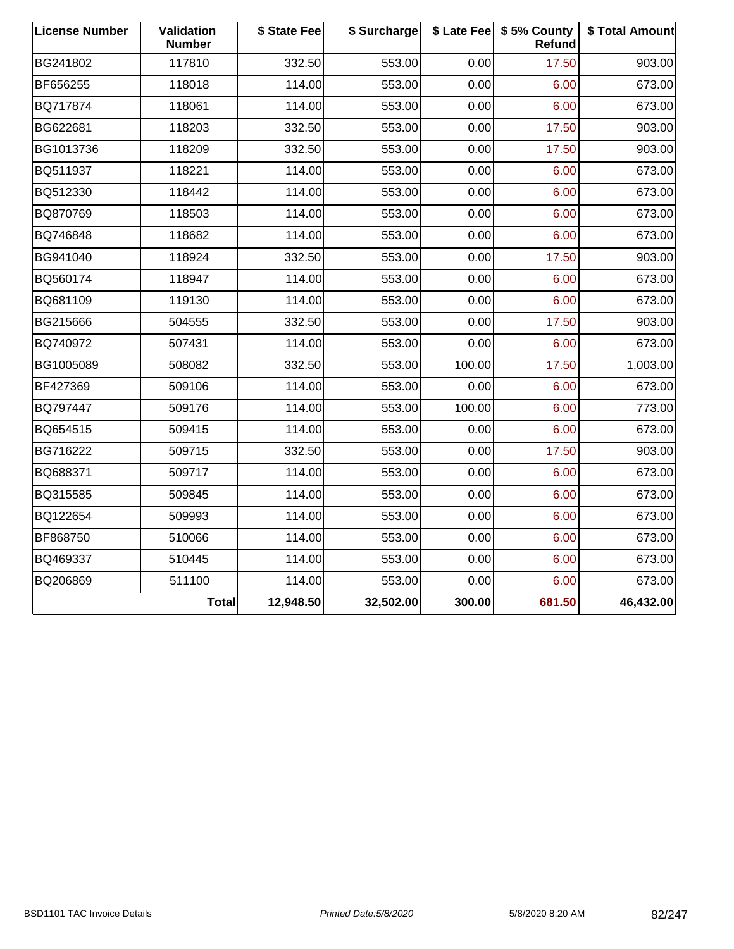| <b>License Number</b> | Validation<br><b>Number</b> | \$ State Fee | \$ Surcharge |        | \$ Late Fee   \$5% County<br>Refund | \$ Total Amount |
|-----------------------|-----------------------------|--------------|--------------|--------|-------------------------------------|-----------------|
| BG241802              | 117810                      | 332.50       | 553.00       | 0.00   | 17.50                               | 903.00          |
| BF656255              | 118018                      | 114.00       | 553.00       | 0.00   | 6.00                                | 673.00          |
| BQ717874              | 118061                      | 114.00       | 553.00       | 0.00   | 6.00                                | 673.00          |
| BG622681              | 118203                      | 332.50       | 553.00       | 0.00   | 17.50                               | 903.00          |
| BG1013736             | 118209                      | 332.50       | 553.00       | 0.00   | 17.50                               | 903.00          |
| BQ511937              | 118221                      | 114.00       | 553.00       | 0.00   | 6.00                                | 673.00          |
| BQ512330              | 118442                      | 114.00       | 553.00       | 0.00   | 6.00                                | 673.00          |
| BQ870769              | 118503                      | 114.00       | 553.00       | 0.00   | 6.00                                | 673.00          |
| BQ746848              | 118682                      | 114.00       | 553.00       | 0.00   | 6.00                                | 673.00          |
| BG941040              | 118924                      | 332.50       | 553.00       | 0.00   | 17.50                               | 903.00          |
| BQ560174              | 118947                      | 114.00       | 553.00       | 0.00   | 6.00                                | 673.00          |
| BQ681109              | 119130                      | 114.00       | 553.00       | 0.00   | 6.00                                | 673.00          |
| BG215666              | 504555                      | 332.50       | 553.00       | 0.00   | 17.50                               | 903.00          |
| BQ740972              | 507431                      | 114.00       | 553.00       | 0.00   | 6.00                                | 673.00          |
| BG1005089             | 508082                      | 332.50       | 553.00       | 100.00 | 17.50                               | 1,003.00        |
| BF427369              | 509106                      | 114.00       | 553.00       | 0.00   | 6.00                                | 673.00          |
| BQ797447              | 509176                      | 114.00       | 553.00       | 100.00 | 6.00                                | 773.00          |
| BQ654515              | 509415                      | 114.00       | 553.00       | 0.00   | 6.00                                | 673.00          |
| BG716222              | 509715                      | 332.50       | 553.00       | 0.00   | 17.50                               | 903.00          |
| BQ688371              | 509717                      | 114.00       | 553.00       | 0.00   | 6.00                                | 673.00          |
| BQ315585              | 509845                      | 114.00       | 553.00       | 0.00   | 6.00                                | 673.00          |
| BQ122654              | 509993                      | 114.00       | 553.00       | 0.00   | 6.00                                | 673.00          |
| BF868750              | 510066                      | 114.00       | 553.00       | 0.00   | 6.00                                | 673.00          |
| BQ469337              | 510445                      | 114.00       | 553.00       | 0.00   | 6.00                                | 673.00          |
| BQ206869              | 511100                      | 114.00       | 553.00       | 0.00   | 6.00                                | 673.00          |
|                       | <b>Total</b>                | 12,948.50    | 32,502.00    | 300.00 | 681.50                              | 46,432.00       |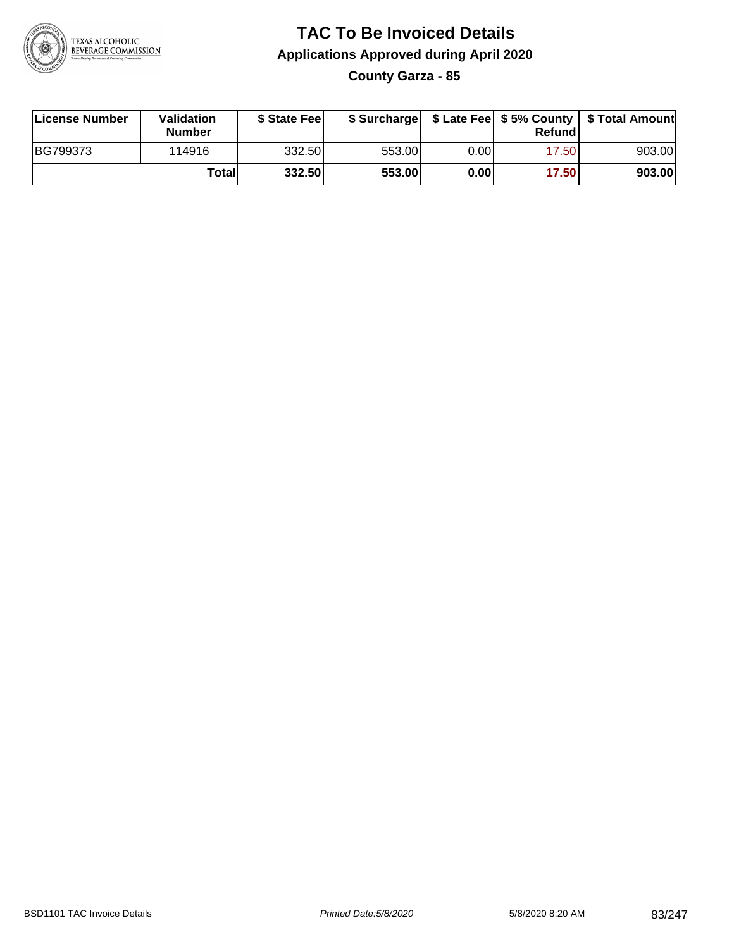

### **TAC To Be Invoiced Details Applications Approved during April 2020 County Garza - 85**

| License Number | <b>Validation</b><br><b>Number</b> | \$ State Feel |        |      | Refund | \$ Surcharge   \$ Late Fee   \$5% County   \$ Total Amount |
|----------------|------------------------------------|---------------|--------|------|--------|------------------------------------------------------------|
| BG799373       | 114916                             | 332.50        | 553.00 | 0.00 | 17.50  | 903.00                                                     |
|                | Totall                             | 332.50        | 553.00 | 0.00 | 17.50  | 903.00                                                     |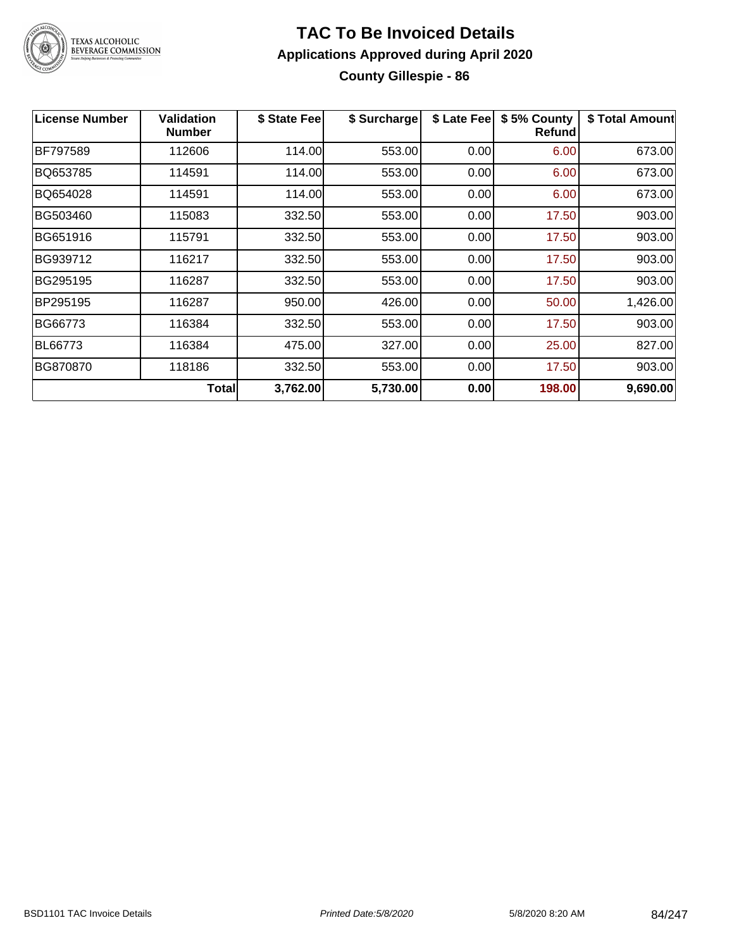

#### **TAC To Be Invoiced Details Applications Approved during April 2020 County Gillespie - 86**

| <b>License Number</b> | <b>Validation</b><br><b>Number</b> | \$ State Fee | \$ Surcharge | \$ Late Fee | \$5% County<br>Refund | \$ Total Amount |
|-----------------------|------------------------------------|--------------|--------------|-------------|-----------------------|-----------------|
| BF797589              | 112606                             | 114.00       | 553.00       | 0.00        | 6.00                  | 673.00          |
| BQ653785              | 114591                             | 114.00       | 553.00       | 0.00        | 6.00                  | 673.00          |
| BQ654028              | 114591                             | 114.00       | 553.00       | 0.00        | 6.00                  | 673.00          |
| BG503460              | 115083                             | 332.50       | 553.00       | 0.00        | 17.50                 | 903.00          |
| BG651916              | 115791                             | 332.50       | 553.00       | 0.00        | 17.50                 | 903.00          |
| BG939712              | 116217                             | 332.50       | 553.00       | 0.00        | 17.50                 | 903.00          |
| BG295195              | 116287                             | 332.50       | 553.00       | 0.00        | 17.50                 | 903.00          |
| BP295195              | 116287                             | 950.00       | 426.00       | 0.00        | 50.00                 | 1,426.00        |
| BG66773               | 116384                             | 332.50       | 553.00       | 0.00        | 17.50                 | 903.00          |
| BL66773               | 116384                             | 475.00       | 327.00       | 0.00        | 25.00                 | 827.00          |
| BG870870              | 118186                             | 332.50       | 553.00       | 0.00        | 17.50                 | 903.00          |
|                       | <b>Total</b>                       | 3,762.00     | 5,730.00     | 0.00        | 198.00                | 9,690.00        |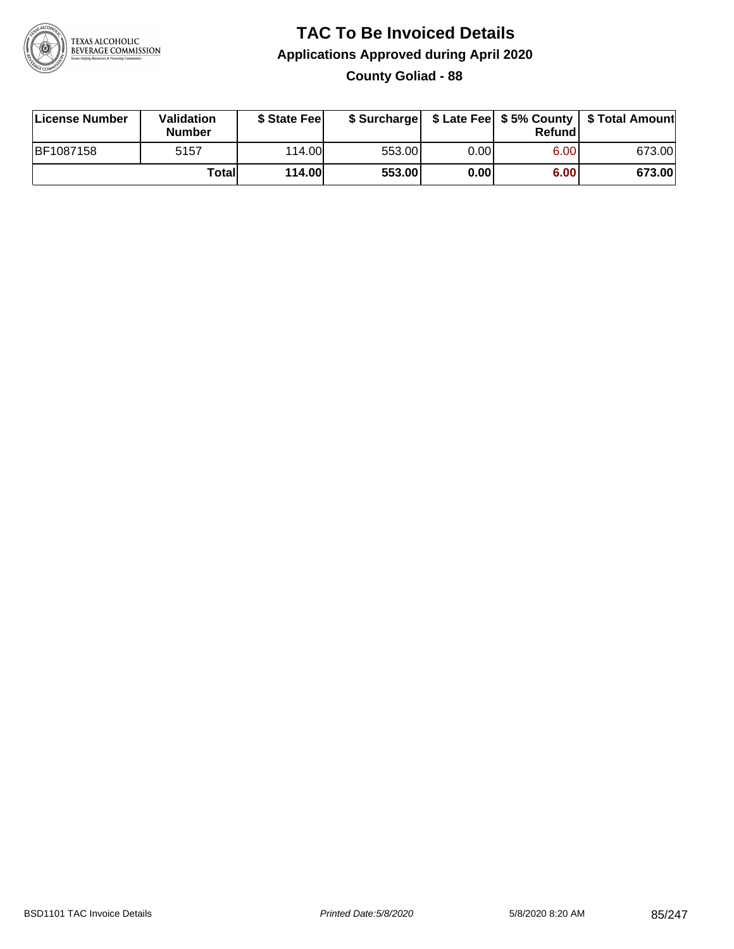

### **TAC To Be Invoiced Details Applications Approved during April 2020 County Goliad - 88**

| License Number   | Validation<br><b>Number</b> | \$ State Fee |        |      | Refundl | \$ Surcharge   \$ Late Fee   \$5% County   \$ Total Amount |
|------------------|-----------------------------|--------------|--------|------|---------|------------------------------------------------------------|
| <b>BF1087158</b> | 5157                        | 114.00       | 553.00 | 0.00 | 6.00    | 673.00                                                     |
|                  | Total                       | 114.00       | 553.00 | 0.00 | 6.00    | 673.00                                                     |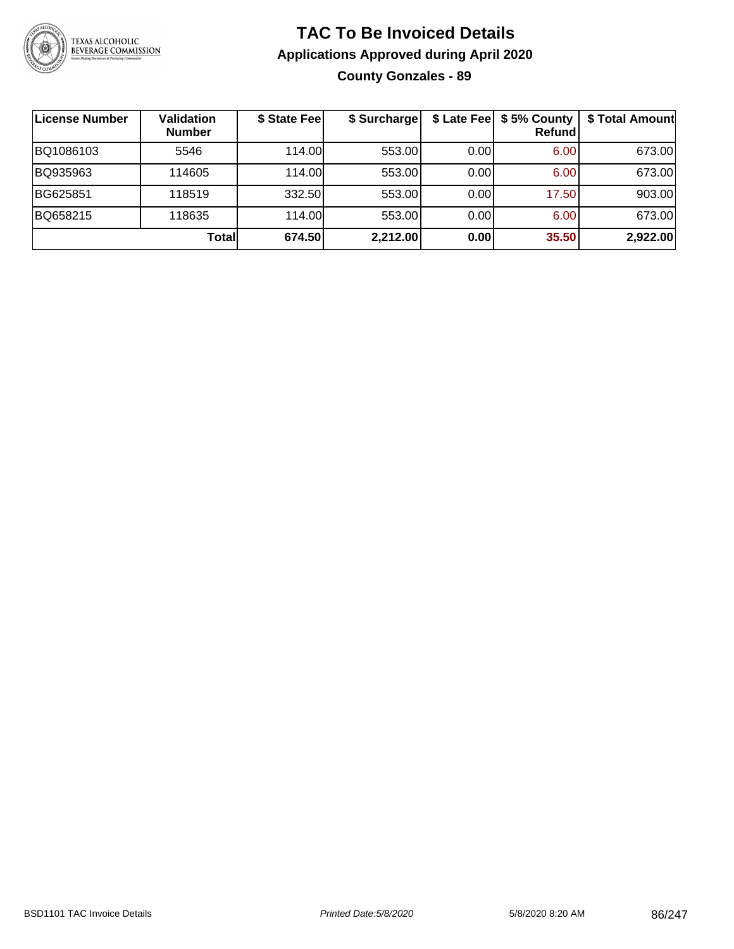

### **TAC To Be Invoiced Details Applications Approved during April 2020 County Gonzales - 89**

| License Number | <b>Validation</b><br><b>Number</b> | \$ State Fee | \$ Surcharge |      | \$ Late Fee   \$5% County<br><b>Refund</b> | \$ Total Amount |
|----------------|------------------------------------|--------------|--------------|------|--------------------------------------------|-----------------|
| BQ1086103      | 5546                               | 114.00       | 553.00       | 0.00 | 6.00                                       | 673.00          |
| BQ935963       | 114605                             | 114.00L      | 553.00       | 0.00 | 6.00                                       | 673.00          |
| BG625851       | 118519                             | 332.50       | 553.00       | 0.00 | 17.50                                      | 903.00          |
| BQ658215       | 118635                             | 114.00L      | 553.00       | 0.00 | 6.00                                       | 673.00          |
|                | Totall                             | 674.50       | 2,212.00     | 0.00 | 35.50                                      | 2,922.00        |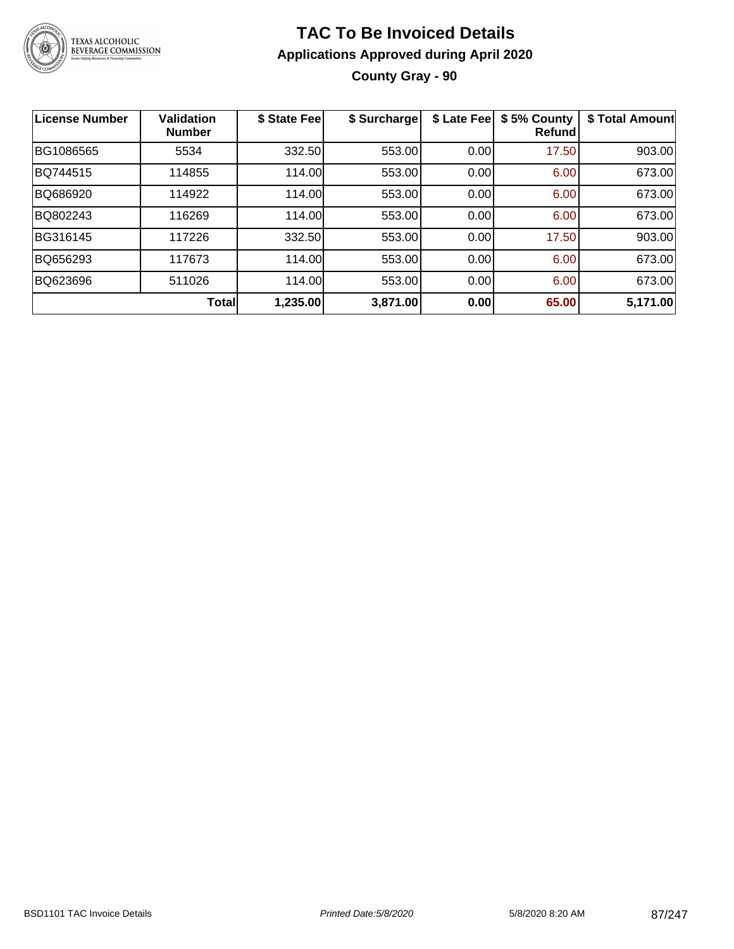

### **TAC To Be Invoiced Details Applications Approved during April 2020 County Gray - 90**

| <b>License Number</b> | <b>Validation</b><br><b>Number</b> | \$ State Fee | \$ Surcharge | \$ Late Fee | \$5% County<br><b>Refund</b> | \$ Total Amount |
|-----------------------|------------------------------------|--------------|--------------|-------------|------------------------------|-----------------|
| BG1086565             | 5534                               | 332.50       | 553.00       | 0.00        | 17.50                        | 903.00          |
| BQ744515              | 114855                             | 114.00       | 553.00       | 0.00        | 6.00                         | 673.00          |
| BQ686920              | 114922                             | 114.00       | 553.00       | 0.00        | 6.00                         | 673.00          |
| BQ802243              | 116269                             | 114.00       | 553.00       | 0.00        | 6.00                         | 673.00          |
| BG316145              | 117226                             | 332.50       | 553.00       | 0.00        | 17.50                        | 903.00          |
| BQ656293              | 117673                             | 114.00       | 553.00       | 0.00        | 6.00                         | 673.00          |
| BQ623696              | 511026                             | 114.00       | 553.00       | 0.00        | 6.00                         | 673.00          |
|                       | Total                              | 1,235.00     | 3,871.00     | 0.00        | 65.00                        | 5,171.00        |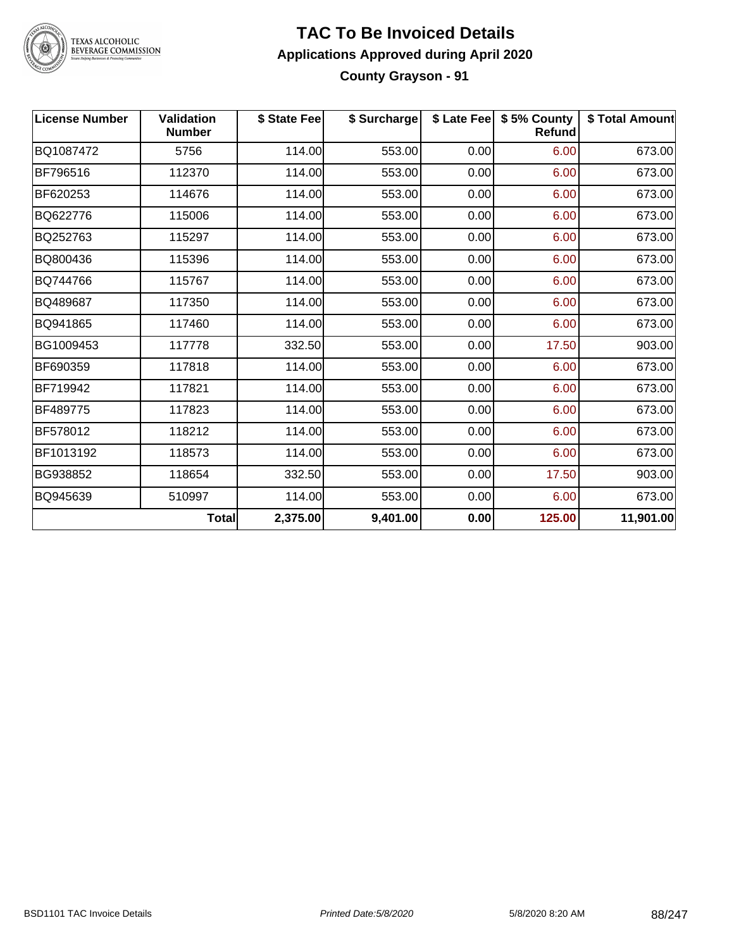

#### **TAC To Be Invoiced Details Applications Approved during April 2020 County Grayson - 91**

| <b>License Number</b> | Validation<br><b>Number</b> | \$ State Fee | \$ Surcharge |      | \$ Late Fee   \$5% County<br>Refund | \$ Total Amount |
|-----------------------|-----------------------------|--------------|--------------|------|-------------------------------------|-----------------|
| BQ1087472             | 5756                        | 114.00       | 553.00       | 0.00 | 6.00                                | 673.00          |
| BF796516              | 112370                      | 114.00       | 553.00       | 0.00 | 6.00                                | 673.00          |
| BF620253              | 114676                      | 114.00       | 553.00       | 0.00 | 6.00                                | 673.00          |
| BQ622776              | 115006                      | 114.00       | 553.00       | 0.00 | 6.00                                | 673.00          |
| BQ252763              | 115297                      | 114.00       | 553.00       | 0.00 | 6.00                                | 673.00          |
| BQ800436              | 115396                      | 114.00       | 553.00       | 0.00 | 6.00                                | 673.00          |
| BQ744766              | 115767                      | 114.00       | 553.00       | 0.00 | 6.00                                | 673.00          |
| BQ489687              | 117350                      | 114.00       | 553.00       | 0.00 | 6.00                                | 673.00          |
| BQ941865              | 117460                      | 114.00       | 553.00       | 0.00 | 6.00                                | 673.00          |
| BG1009453             | 117778                      | 332.50       | 553.00       | 0.00 | 17.50                               | 903.00          |
| BF690359              | 117818                      | 114.00       | 553.00       | 0.00 | 6.00                                | 673.00          |
| BF719942              | 117821                      | 114.00       | 553.00       | 0.00 | 6.00                                | 673.00          |
| BF489775              | 117823                      | 114.00       | 553.00       | 0.00 | 6.00                                | 673.00          |
| BF578012              | 118212                      | 114.00       | 553.00       | 0.00 | 6.00                                | 673.00          |
| BF1013192             | 118573                      | 114.00       | 553.00       | 0.00 | 6.00                                | 673.00          |
| BG938852              | 118654                      | 332.50       | 553.00       | 0.00 | 17.50                               | 903.00          |
| BQ945639              | 510997                      | 114.00       | 553.00       | 0.00 | 6.00                                | 673.00          |
|                       | <b>Total</b>                | 2,375.00     | 9,401.00     | 0.00 | 125.00                              | 11,901.00       |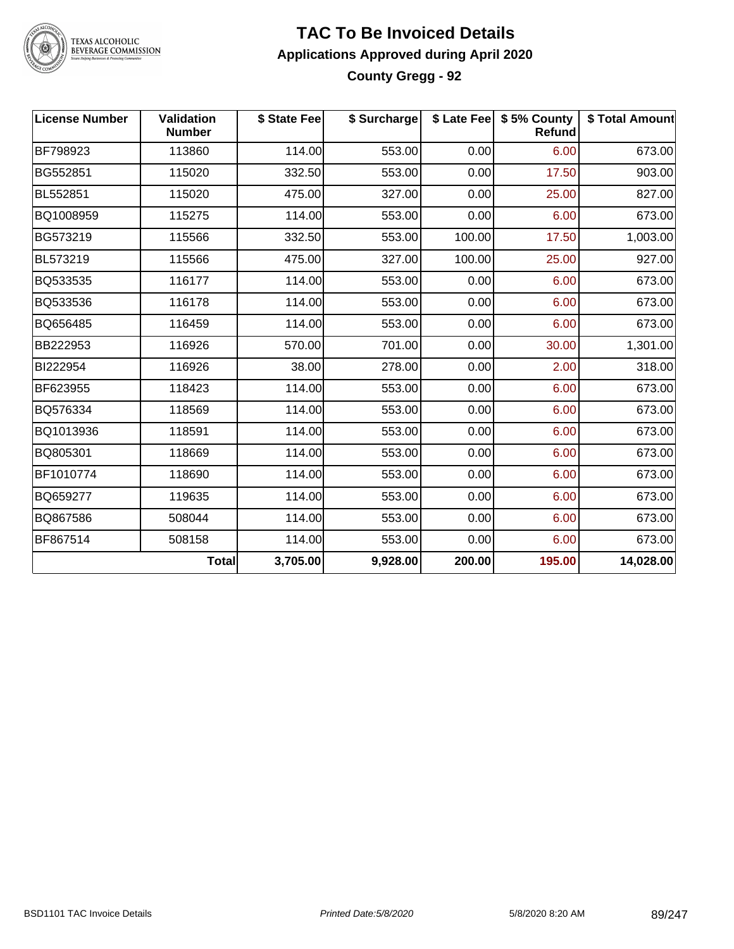

#### **TAC To Be Invoiced Details Applications Approved during April 2020 County Gregg - 92**

| <b>License Number</b> | Validation<br><b>Number</b> | \$ State Fee | \$ Surcharge |        | \$ Late Fee   \$5% County<br><b>Refund</b> | \$ Total Amount |
|-----------------------|-----------------------------|--------------|--------------|--------|--------------------------------------------|-----------------|
| BF798923              | 113860                      | 114.00       | 553.00       | 0.00   | 6.00                                       | 673.00          |
| BG552851              | 115020                      | 332.50       | 553.00       | 0.00   | 17.50                                      | 903.00          |
| BL552851              | 115020                      | 475.00       | 327.00       | 0.00   | 25.00                                      | 827.00          |
| BQ1008959             | 115275                      | 114.00       | 553.00       | 0.00   | 6.00                                       | 673.00          |
| BG573219              | 115566                      | 332.50       | 553.00       | 100.00 | 17.50                                      | 1,003.00        |
| BL573219              | 115566                      | 475.00       | 327.00       | 100.00 | 25.00                                      | 927.00          |
| BQ533535              | 116177                      | 114.00       | 553.00       | 0.00   | 6.00                                       | 673.00          |
| BQ533536              | 116178                      | 114.00       | 553.00       | 0.00   | 6.00                                       | 673.00          |
| BQ656485              | 116459                      | 114.00       | 553.00       | 0.00   | 6.00                                       | 673.00          |
| BB222953              | 116926                      | 570.00       | 701.00       | 0.00   | 30.00                                      | 1,301.00        |
| BI222954              | 116926                      | 38.00        | 278.00       | 0.00   | 2.00                                       | 318.00          |
| BF623955              | 118423                      | 114.00       | 553.00       | 0.00   | 6.00                                       | 673.00          |
| BQ576334              | 118569                      | 114.00       | 553.00       | 0.00   | 6.00                                       | 673.00          |
| BQ1013936             | 118591                      | 114.00       | 553.00       | 0.00   | 6.00                                       | 673.00          |
| BQ805301              | 118669                      | 114.00       | 553.00       | 0.00   | 6.00                                       | 673.00          |
| BF1010774             | 118690                      | 114.00       | 553.00       | 0.00   | 6.00                                       | 673.00          |
| BQ659277              | 119635                      | 114.00       | 553.00       | 0.00   | 6.00                                       | 673.00          |
| BQ867586              | 508044                      | 114.00       | 553.00       | 0.00   | 6.00                                       | 673.00          |
| BF867514              | 508158                      | 114.00       | 553.00       | 0.00   | 6.00                                       | 673.00          |
|                       | <b>Total</b>                | 3,705.00     | 9,928.00     | 200.00 | 195.00                                     | 14,028.00       |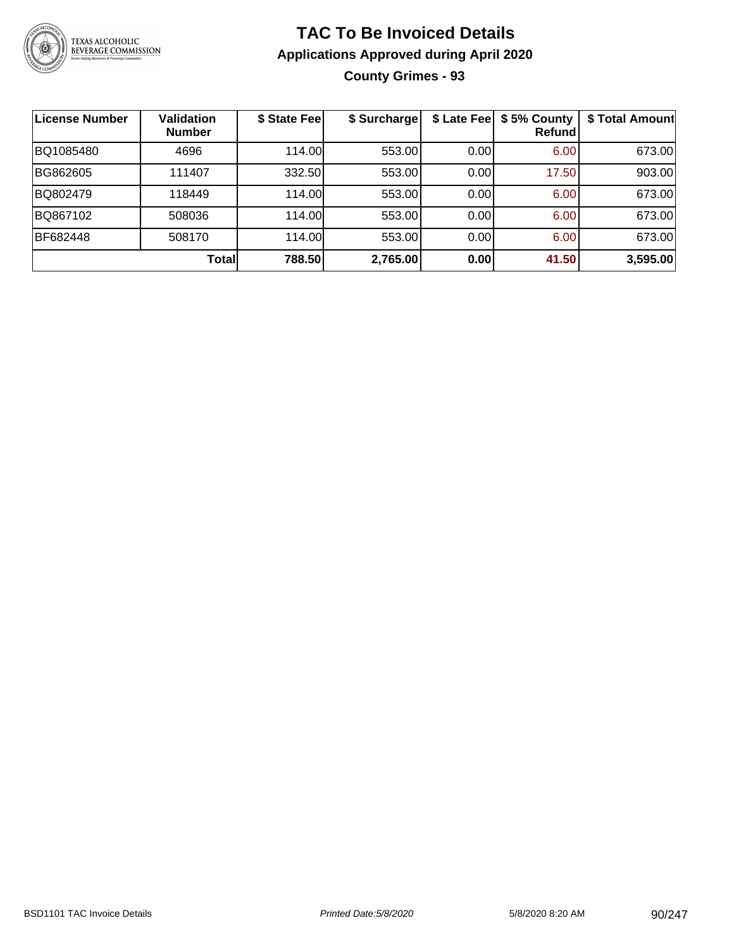

### **TAC To Be Invoiced Details Applications Approved during April 2020 County Grimes - 93**

| License Number | <b>Validation</b><br><b>Number</b> | \$ State Fee | \$ Surcharge |       | \$ Late Fee   \$5% County<br><b>Refund</b> | \$ Total Amount |
|----------------|------------------------------------|--------------|--------------|-------|--------------------------------------------|-----------------|
| BQ1085480      | 4696                               | 114.00       | 553.00       | 0.00  | 6.00                                       | 673.00          |
| BG862605       | 111407                             | 332.50       | 553.00       | 0.001 | 17.50                                      | 903.00          |
| BQ802479       | 118449                             | 114.00       | 553.00       | 0.00  | 6.00                                       | 673.00          |
| BQ867102       | 508036                             | 114.00       | 553.00       | 0.00  | 6.00                                       | 673.00          |
| BF682448       | 508170                             | 114.00       | 553.00       | 0.00  | 6.00                                       | 673.00          |
|                | <b>Total</b>                       | 788.50       | 2,765.00     | 0.00  | 41.50                                      | 3,595.00        |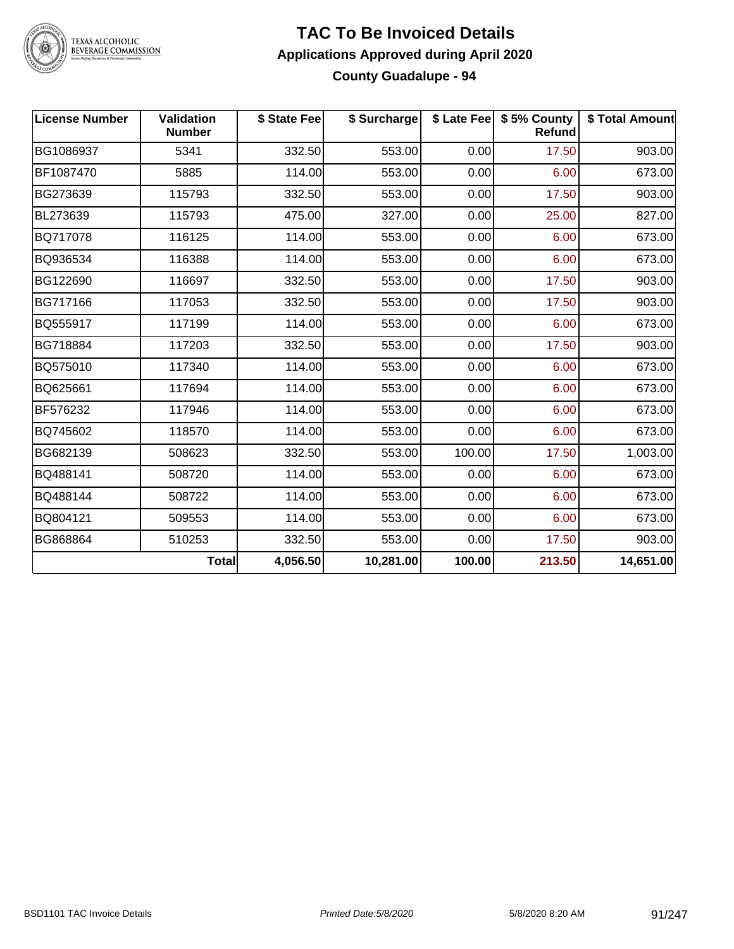

#### **TAC To Be Invoiced Details Applications Approved during April 2020 County Guadalupe - 94**

| <b>License Number</b> | Validation<br><b>Number</b> | \$ State Fee | \$ Surcharge |        | \$ Late Fee   \$5% County<br><b>Refund</b> | \$ Total Amount |
|-----------------------|-----------------------------|--------------|--------------|--------|--------------------------------------------|-----------------|
| BG1086937             | 5341                        | 332.50       | 553.00       | 0.00   | 17.50                                      | 903.00          |
| BF1087470             | 5885                        | 114.00       | 553.00       | 0.00   | 6.00                                       | 673.00          |
| BG273639              | 115793                      | 332.50       | 553.00       | 0.00   | 17.50                                      | 903.00          |
| BL273639              | 115793                      | 475.00       | 327.00       | 0.00   | 25.00                                      | 827.00          |
| BQ717078              | 116125                      | 114.00       | 553.00       | 0.00   | 6.00                                       | 673.00          |
| BQ936534              | 116388                      | 114.00       | 553.00       | 0.00   | 6.00                                       | 673.00          |
| BG122690              | 116697                      | 332.50       | 553.00       | 0.00   | 17.50                                      | 903.00          |
| BG717166              | 117053                      | 332.50       | 553.00       | 0.00   | 17.50                                      | 903.00          |
| BQ555917              | 117199                      | 114.00       | 553.00       | 0.00   | 6.00                                       | 673.00          |
| BG718884              | 117203                      | 332.50       | 553.00       | 0.00   | 17.50                                      | 903.00          |
| BQ575010              | 117340                      | 114.00       | 553.00       | 0.00   | 6.00                                       | 673.00          |
| BQ625661              | 117694                      | 114.00       | 553.00       | 0.00   | 6.00                                       | 673.00          |
| BF576232              | 117946                      | 114.00       | 553.00       | 0.00   | 6.00                                       | 673.00          |
| BQ745602              | 118570                      | 114.00       | 553.00       | 0.00   | 6.00                                       | 673.00          |
| BG682139              | 508623                      | 332.50       | 553.00       | 100.00 | 17.50                                      | 1,003.00        |
| BQ488141              | 508720                      | 114.00       | 553.00       | 0.00   | 6.00                                       | 673.00          |
| BQ488144              | 508722                      | 114.00       | 553.00       | 0.00   | 6.00                                       | 673.00          |
| BQ804121              | 509553                      | 114.00       | 553.00       | 0.00   | 6.00                                       | 673.00          |
| BG868864              | 510253                      | 332.50       | 553.00       | 0.00   | 17.50                                      | 903.00          |
|                       | <b>Total</b>                | 4,056.50     | 10,281.00    | 100.00 | 213.50                                     | 14,651.00       |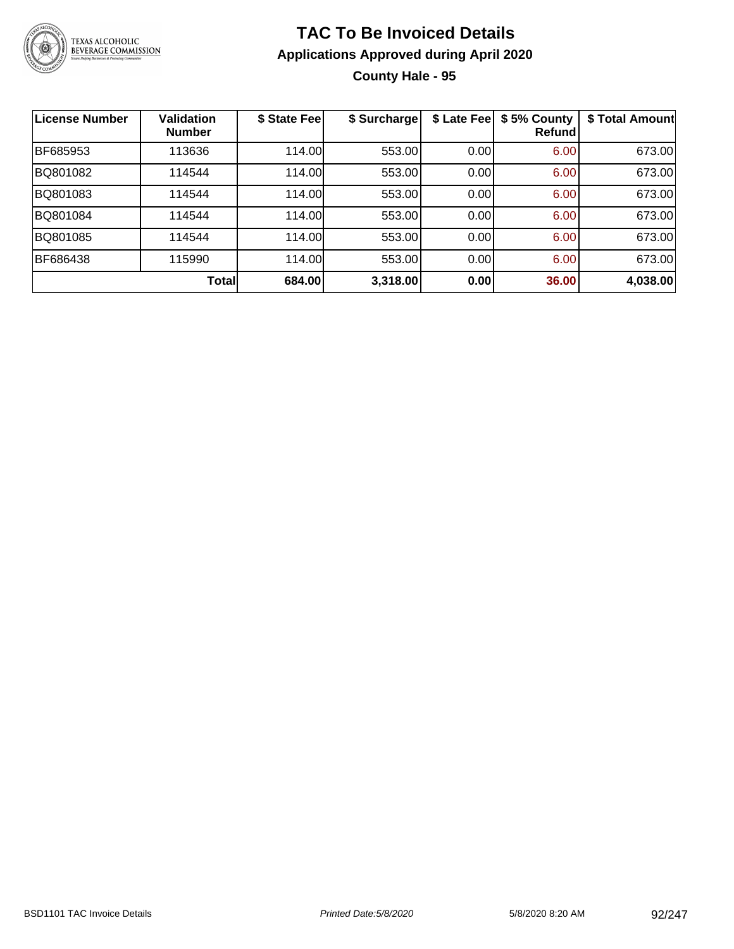

### **TAC To Be Invoiced Details Applications Approved during April 2020 County Hale - 95**

| <b>License Number</b> | <b>Validation</b><br><b>Number</b> | \$ State Fee | \$ Surcharge | \$ Late Fee | \$5% County<br>Refundl | \$ Total Amount |
|-----------------------|------------------------------------|--------------|--------------|-------------|------------------------|-----------------|
| BF685953              | 113636                             | 114.00       | 553.00       | 0.00        | 6.00                   | 673.00          |
| BQ801082              | 114544                             | 114.00       | 553.00       | 0.00        | 6.00                   | 673.00          |
| BQ801083              | 114544                             | 114.00       | 553.00       | 0.00        | 6.00                   | 673.00          |
| BQ801084              | 114544                             | 114.00       | 553.00       | 0.00        | 6.00                   | 673.00          |
| BQ801085              | 114544                             | 114.00       | 553.00       | 0.00        | 6.00                   | 673.00          |
| BF686438              | 115990                             | 114.00       | 553.00       | 0.00        | 6.00                   | 673.00          |
|                       | Total                              | 684.00       | 3,318.00     | 0.00        | 36.00                  | 4,038.00        |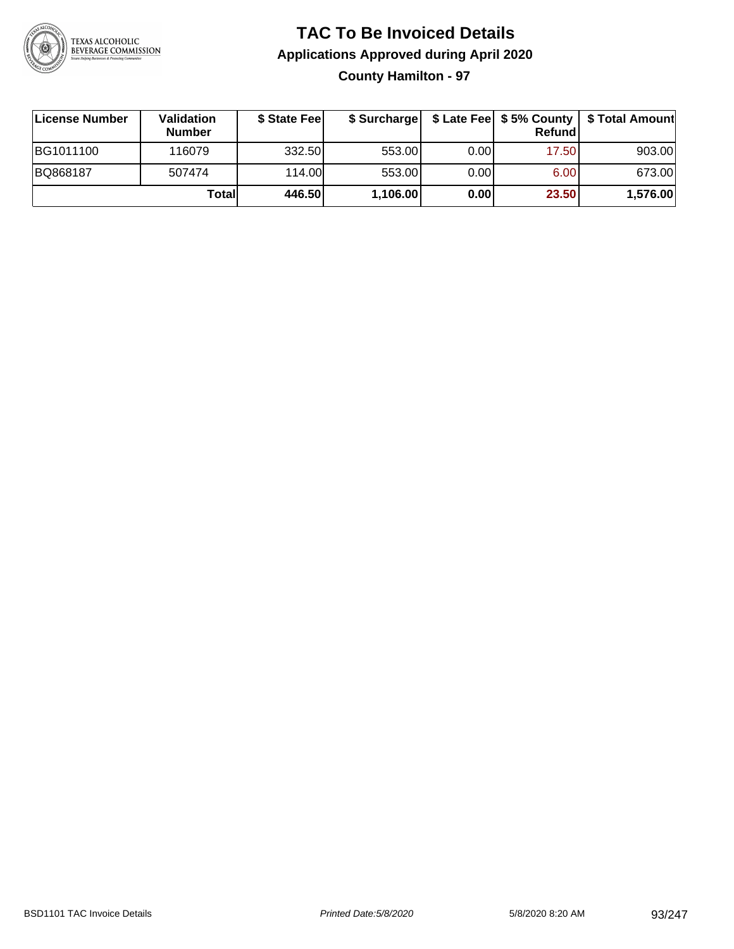

### **TAC To Be Invoiced Details Applications Approved during April 2020 County Hamilton - 97**

| ∣License Number | Validation<br><b>Number</b> | \$ State Fee | \$ Surcharge |      | Refund | \$ Late Fee   \$5% County   \$ Total Amount |
|-----------------|-----------------------------|--------------|--------------|------|--------|---------------------------------------------|
| BG1011100       | 116079                      | 332.50       | 553.00       | 0.00 | 17.50  | 903.00                                      |
| BQ868187        | 507474                      | 114.00       | 553.00       | 0.00 | 6.00   | 673.00                                      |
|                 | Totall                      | 446.50       | 1,106.00     | 0.00 | 23.50  | 1,576.00                                    |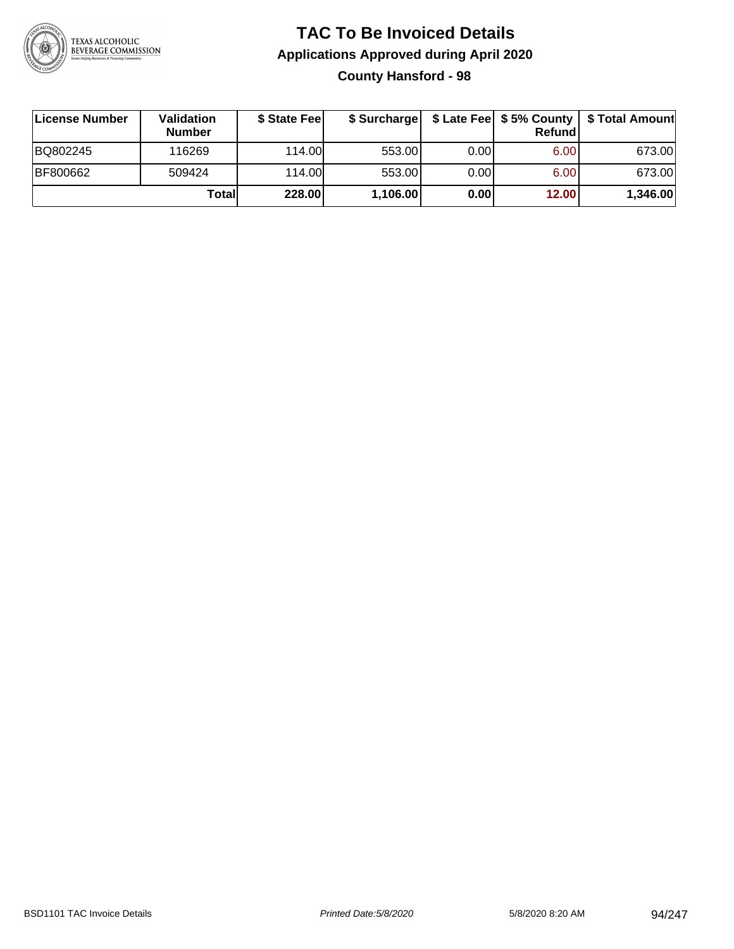

### **TAC To Be Invoiced Details Applications Approved during April 2020 County Hansford - 98**

| License Number | <b>Validation</b><br><b>Number</b> | \$ State Fee | \$ Surcharge |      | <b>Refund</b> | \$ Late Fee   \$5% County   \$ Total Amount |
|----------------|------------------------------------|--------------|--------------|------|---------------|---------------------------------------------|
| BQ802245       | 116269                             | 114.00L      | 553.00       | 0.00 | 6.00          | 673.00                                      |
| BF800662       | 509424                             | 114.00       | 553.00       | 0.00 | 6.00          | 673.00                                      |
|                | Totall                             | 228.00       | 1,106.00     | 0.00 | 12.00         | 1,346.00                                    |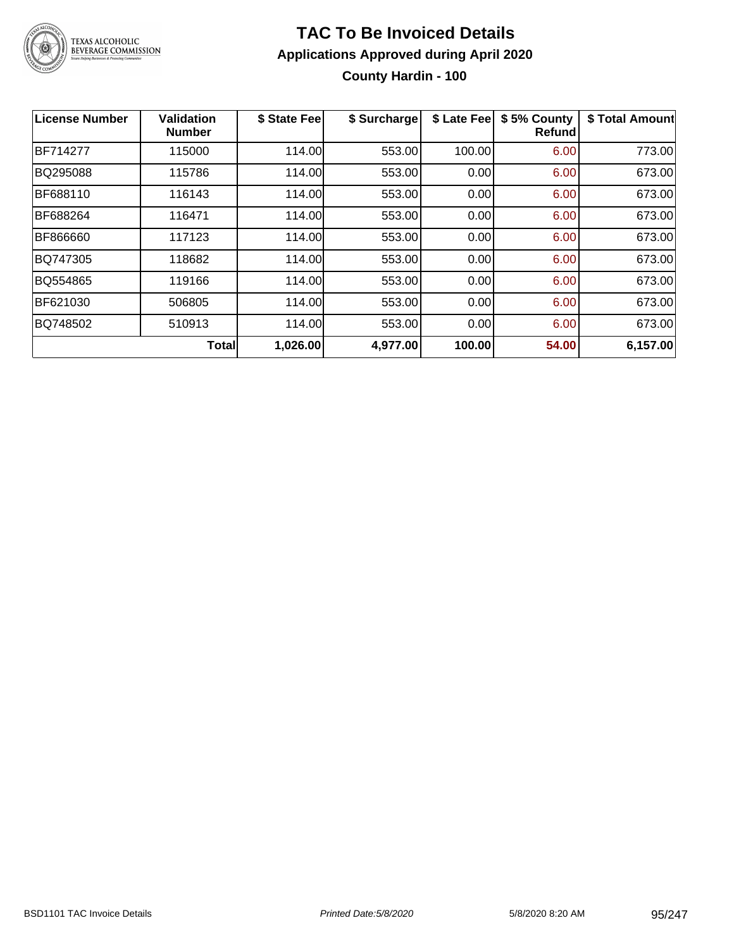

#### **TAC To Be Invoiced Details Applications Approved during April 2020 County Hardin - 100**

| <b>License Number</b> | <b>Validation</b><br><b>Number</b> | \$ State Fee | \$ Surcharge | \$ Late Fee | \$5% County<br>Refund | \$ Total Amount |
|-----------------------|------------------------------------|--------------|--------------|-------------|-----------------------|-----------------|
| <b>BF714277</b>       | 115000                             | 114.00       | 553.00       | 100.00      | 6.00                  | 773.00          |
| BQ295088              | 115786                             | 114.00       | 553.00       | 0.00        | 6.00                  | 673.00          |
| BF688110              | 116143                             | 114.00       | 553.00       | 0.00        | 6.00                  | 673.00          |
| BF688264              | 116471                             | 114.00       | 553.00       | 0.00        | 6.00                  | 673.00          |
| BF866660              | 117123                             | 114.00       | 553.00       | 0.00        | 6.00                  | 673.00          |
| BQ747305              | 118682                             | 114.00       | 553.00       | 0.00        | 6.00                  | 673.00          |
| BQ554865              | 119166                             | 114.00       | 553.00       | 0.00        | 6.00                  | 673.00          |
| BF621030              | 506805                             | 114.00       | 553.00       | 0.00        | 6.00                  | 673.00          |
| BQ748502              | 510913                             | 114.00       | 553.00       | 0.00        | 6.00                  | 673.00          |
|                       | <b>Total</b>                       | 1,026.00     | 4,977.00     | 100.00      | 54.00                 | 6,157.00        |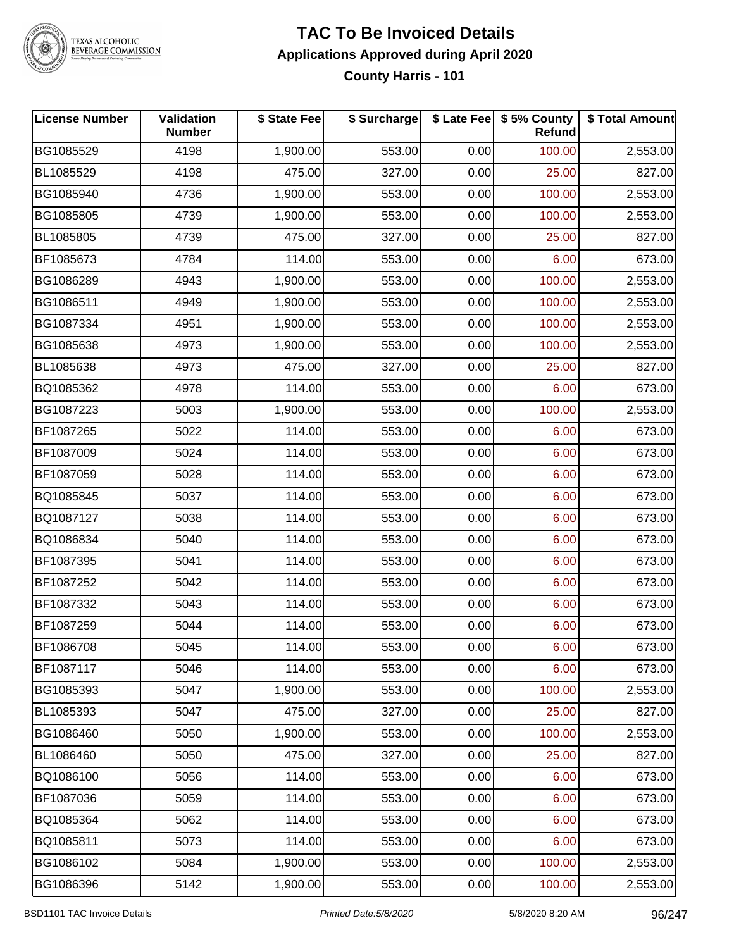

#### **TAC To Be Invoiced Details Applications Approved during April 2020 County Harris - 101**

| <b>License Number</b> | <b>Validation</b><br><b>Number</b> | \$ State Fee | \$ Surcharge |      | \$ Late Fee   \$5% County<br>Refund | \$ Total Amount |
|-----------------------|------------------------------------|--------------|--------------|------|-------------------------------------|-----------------|
| BG1085529             | 4198                               | 1,900.00     | 553.00       | 0.00 | 100.00                              | 2,553.00        |
| BL1085529             | 4198                               | 475.00       | 327.00       | 0.00 | 25.00                               | 827.00          |
| BG1085940             | 4736                               | 1,900.00     | 553.00       | 0.00 | 100.00                              | 2,553.00        |
| BG1085805             | 4739                               | 1,900.00     | 553.00       | 0.00 | 100.00                              | 2,553.00        |
| BL1085805             | 4739                               | 475.00       | 327.00       | 0.00 | 25.00                               | 827.00          |
| BF1085673             | 4784                               | 114.00       | 553.00       | 0.00 | 6.00                                | 673.00          |
| BG1086289             | 4943                               | 1,900.00     | 553.00       | 0.00 | 100.00                              | 2,553.00        |
| BG1086511             | 4949                               | 1,900.00     | 553.00       | 0.00 | 100.00                              | 2,553.00        |
| BG1087334             | 4951                               | 1,900.00     | 553.00       | 0.00 | 100.00                              | 2,553.00        |
| BG1085638             | 4973                               | 1,900.00     | 553.00       | 0.00 | 100.00                              | 2,553.00        |
| BL1085638             | 4973                               | 475.00       | 327.00       | 0.00 | 25.00                               | 827.00          |
| BQ1085362             | 4978                               | 114.00       | 553.00       | 0.00 | 6.00                                | 673.00          |
| BG1087223             | 5003                               | 1,900.00     | 553.00       | 0.00 | 100.00                              | 2,553.00        |
| BF1087265             | 5022                               | 114.00       | 553.00       | 0.00 | 6.00                                | 673.00          |
| BF1087009             | 5024                               | 114.00       | 553.00       | 0.00 | 6.00                                | 673.00          |
| BF1087059             | 5028                               | 114.00       | 553.00       | 0.00 | 6.00                                | 673.00          |
| BQ1085845             | 5037                               | 114.00       | 553.00       | 0.00 | 6.00                                | 673.00          |
| BQ1087127             | 5038                               | 114.00       | 553.00       | 0.00 | 6.00                                | 673.00          |
| BQ1086834             | 5040                               | 114.00       | 553.00       | 0.00 | 6.00                                | 673.00          |
| BF1087395             | 5041                               | 114.00       | 553.00       | 0.00 | 6.00                                | 673.00          |
| BF1087252             | 5042                               | 114.00       | 553.00       | 0.00 | 6.00                                | 673.00          |
| BF1087332             | 5043                               | 114.00       | 553.00       | 0.00 | 6.00                                | 673.00          |
| BF1087259             | 5044                               | 114.00       | 553.00       | 0.00 | 6.00                                | 673.00          |
| BF1086708             | 5045                               | 114.00       | 553.00       | 0.00 | 6.00                                | 673.00          |
| BF1087117             | 5046                               | 114.00       | 553.00       | 0.00 | 6.00                                | 673.00          |
| BG1085393             | 5047                               | 1,900.00     | 553.00       | 0.00 | 100.00                              | 2,553.00        |
| BL1085393             | 5047                               | 475.00       | 327.00       | 0.00 | 25.00                               | 827.00          |
| BG1086460             | 5050                               | 1,900.00     | 553.00       | 0.00 | 100.00                              | 2,553.00        |
| BL1086460             | 5050                               | 475.00       | 327.00       | 0.00 | 25.00                               | 827.00          |
| BQ1086100             | 5056                               | 114.00       | 553.00       | 0.00 | 6.00                                | 673.00          |
| BF1087036             | 5059                               | 114.00       | 553.00       | 0.00 | 6.00                                | 673.00          |
| BQ1085364             | 5062                               | 114.00       | 553.00       | 0.00 | 6.00                                | 673.00          |
| BQ1085811             | 5073                               | 114.00       | 553.00       | 0.00 | 6.00                                | 673.00          |
| BG1086102             | 5084                               | 1,900.00     | 553.00       | 0.00 | 100.00                              | 2,553.00        |
| BG1086396             | 5142                               | 1,900.00     | 553.00       | 0.00 | 100.00                              | 2,553.00        |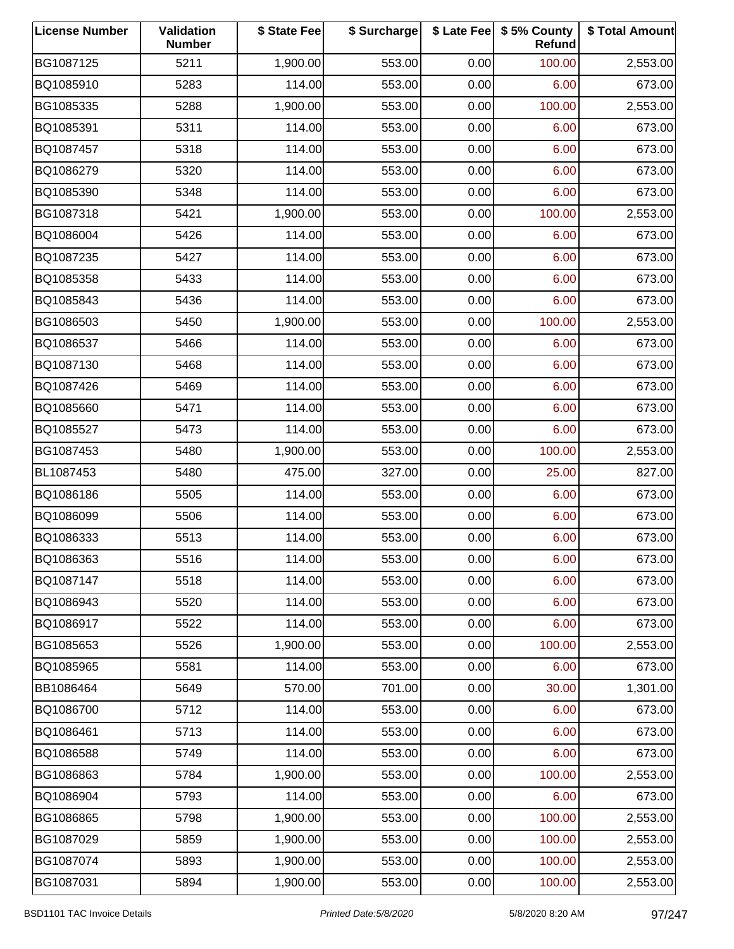| <b>License Number</b> | Validation<br><b>Number</b> | \$ State Fee | \$ Surcharge |      | \$ Late Fee   \$5% County<br>Refund | \$ Total Amount |
|-----------------------|-----------------------------|--------------|--------------|------|-------------------------------------|-----------------|
| BG1087125             | 5211                        | 1,900.00     | 553.00       | 0.00 | 100.00                              | 2,553.00        |
| BQ1085910             | 5283                        | 114.00       | 553.00       | 0.00 | 6.00                                | 673.00          |
| BG1085335             | 5288                        | 1,900.00     | 553.00       | 0.00 | 100.00                              | 2,553.00        |
| BQ1085391             | 5311                        | 114.00       | 553.00       | 0.00 | 6.00                                | 673.00          |
| BQ1087457             | 5318                        | 114.00       | 553.00       | 0.00 | 6.00                                | 673.00          |
| BQ1086279             | 5320                        | 114.00       | 553.00       | 0.00 | 6.00                                | 673.00          |
| BQ1085390             | 5348                        | 114.00       | 553.00       | 0.00 | 6.00                                | 673.00          |
| BG1087318             | 5421                        | 1,900.00     | 553.00       | 0.00 | 100.00                              | 2,553.00        |
| BQ1086004             | 5426                        | 114.00       | 553.00       | 0.00 | 6.00                                | 673.00          |
| BQ1087235             | 5427                        | 114.00       | 553.00       | 0.00 | 6.00                                | 673.00          |
| BQ1085358             | 5433                        | 114.00       | 553.00       | 0.00 | 6.00                                | 673.00          |
| BQ1085843             | 5436                        | 114.00       | 553.00       | 0.00 | 6.00                                | 673.00          |
| BG1086503             | 5450                        | 1,900.00     | 553.00       | 0.00 | 100.00                              | 2,553.00        |
| BQ1086537             | 5466                        | 114.00       | 553.00       | 0.00 | 6.00                                | 673.00          |
| BQ1087130             | 5468                        | 114.00       | 553.00       | 0.00 | 6.00                                | 673.00          |
| BQ1087426             | 5469                        | 114.00       | 553.00       | 0.00 | 6.00                                | 673.00          |
| BQ1085660             | 5471                        | 114.00       | 553.00       | 0.00 | 6.00                                | 673.00          |
| BQ1085527             | 5473                        | 114.00       | 553.00       | 0.00 | 6.00                                | 673.00          |
| BG1087453             | 5480                        | 1,900.00     | 553.00       | 0.00 | 100.00                              | 2,553.00        |
| BL1087453             | 5480                        | 475.00       | 327.00       | 0.00 | 25.00                               | 827.00          |
| BQ1086186             | 5505                        | 114.00       | 553.00       | 0.00 | 6.00                                | 673.00          |
| BQ1086099             | 5506                        | 114.00       | 553.00       | 0.00 | 6.00                                | 673.00          |
| BQ1086333             | 5513                        | 114.00       | 553.00       | 0.00 | 6.00                                | 673.00          |
| BQ1086363             | 5516                        | 114.00       | 553.00       | 0.00 | 6.00                                | 673.00          |
| BQ1087147             | 5518                        | 114.00       | 553.00       | 0.00 | 6.00                                | 673.00          |
| BQ1086943             | 5520                        | 114.00       | 553.00       | 0.00 | 6.00                                | 673.00          |
| BQ1086917             | 5522                        | 114.00       | 553.00       | 0.00 | 6.00                                | 673.00          |
| BG1085653             | 5526                        | 1,900.00     | 553.00       | 0.00 | 100.00                              | 2,553.00        |
| BQ1085965             | 5581                        | 114.00       | 553.00       | 0.00 | 6.00                                | 673.00          |
| BB1086464             | 5649                        | 570.00       | 701.00       | 0.00 | 30.00                               | 1,301.00        |
| BQ1086700             | 5712                        | 114.00       | 553.00       | 0.00 | 6.00                                | 673.00          |
| BQ1086461             | 5713                        | 114.00       | 553.00       | 0.00 | 6.00                                | 673.00          |
| BQ1086588             | 5749                        | 114.00       | 553.00       | 0.00 | 6.00                                | 673.00          |
| BG1086863             | 5784                        | 1,900.00     | 553.00       | 0.00 | 100.00                              | 2,553.00        |
| BQ1086904             | 5793                        | 114.00       | 553.00       | 0.00 | 6.00                                | 673.00          |
| BG1086865             | 5798                        | 1,900.00     | 553.00       | 0.00 | 100.00                              | 2,553.00        |
| BG1087029             | 5859                        | 1,900.00     | 553.00       | 0.00 | 100.00                              | 2,553.00        |
| BG1087074             | 5893                        | 1,900.00     | 553.00       | 0.00 | 100.00                              | 2,553.00        |
| BG1087031             | 5894                        | 1,900.00     | 553.00       | 0.00 | 100.00                              | 2,553.00        |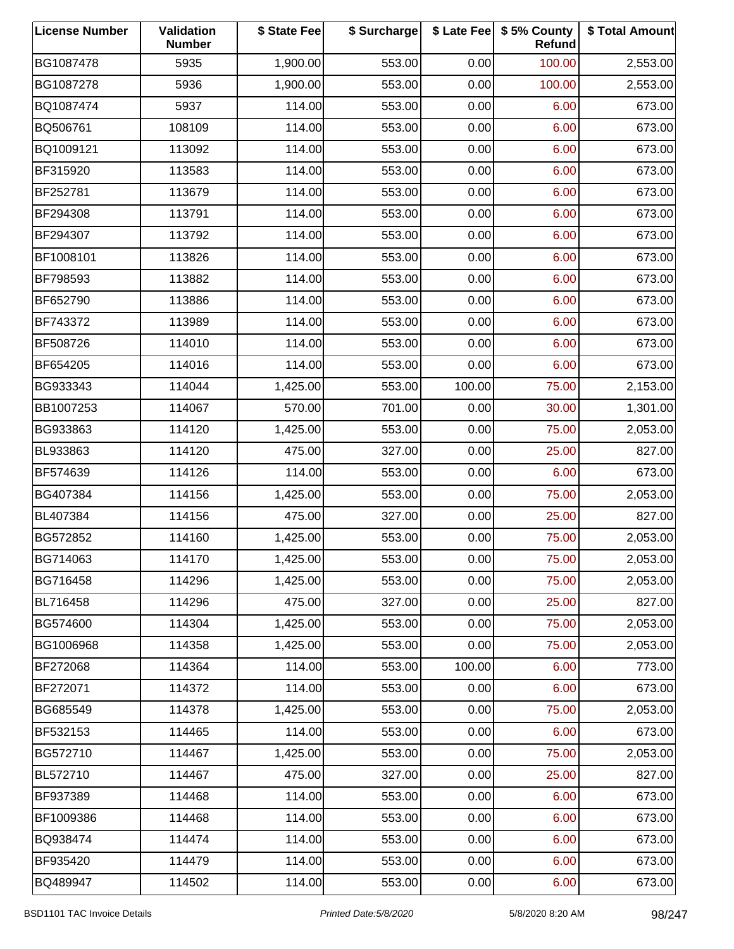| <b>License Number</b> | Validation<br><b>Number</b> | \$ State Fee | \$ Surcharge |        | \$ Late Fee   \$5% County<br>Refund | \$ Total Amount |
|-----------------------|-----------------------------|--------------|--------------|--------|-------------------------------------|-----------------|
| BG1087478             | 5935                        | 1,900.00     | 553.00       | 0.00   | 100.00                              | 2,553.00        |
| BG1087278             | 5936                        | 1,900.00     | 553.00       | 0.00   | 100.00                              | 2,553.00        |
| BQ1087474             | 5937                        | 114.00       | 553.00       | 0.00   | 6.00                                | 673.00          |
| BQ506761              | 108109                      | 114.00       | 553.00       | 0.00   | 6.00                                | 673.00          |
| BQ1009121             | 113092                      | 114.00       | 553.00       | 0.00   | 6.00                                | 673.00          |
| BF315920              | 113583                      | 114.00       | 553.00       | 0.00   | 6.00                                | 673.00          |
| BF252781              | 113679                      | 114.00       | 553.00       | 0.00   | 6.00                                | 673.00          |
| BF294308              | 113791                      | 114.00       | 553.00       | 0.00   | 6.00                                | 673.00          |
| BF294307              | 113792                      | 114.00       | 553.00       | 0.00   | 6.00                                | 673.00          |
| BF1008101             | 113826                      | 114.00       | 553.00       | 0.00   | 6.00                                | 673.00          |
| BF798593              | 113882                      | 114.00       | 553.00       | 0.00   | 6.00                                | 673.00          |
| BF652790              | 113886                      | 114.00       | 553.00       | 0.00   | 6.00                                | 673.00          |
| BF743372              | 113989                      | 114.00       | 553.00       | 0.00   | 6.00                                | 673.00          |
| BF508726              | 114010                      | 114.00       | 553.00       | 0.00   | 6.00                                | 673.00          |
| BF654205              | 114016                      | 114.00       | 553.00       | 0.00   | 6.00                                | 673.00          |
| BG933343              | 114044                      | 1,425.00     | 553.00       | 100.00 | 75.00                               | 2,153.00        |
| BB1007253             | 114067                      | 570.00       | 701.00       | 0.00   | 30.00                               | 1,301.00        |
| BG933863              | 114120                      | 1,425.00     | 553.00       | 0.00   | 75.00                               | 2,053.00        |
| BL933863              | 114120                      | 475.00       | 327.00       | 0.00   | 25.00                               | 827.00          |
| BF574639              | 114126                      | 114.00       | 553.00       | 0.00   | 6.00                                | 673.00          |
| BG407384              | 114156                      | 1,425.00     | 553.00       | 0.00   | 75.00                               | 2,053.00        |
| BL407384              | 114156                      | 475.00       | 327.00       | 0.00   | 25.00                               | 827.00          |
| BG572852              | 114160                      | 1,425.00     | 553.00       | 0.00   | 75.00                               | 2,053.00        |
| BG714063              | 114170                      | 1,425.00     | 553.00       | 0.00   | 75.00                               | 2,053.00        |
| BG716458              | 114296                      | 1,425.00     | 553.00       | 0.00   | 75.00                               | 2,053.00        |
| BL716458              | 114296                      | 475.00       | 327.00       | 0.00   | 25.00                               | 827.00          |
| BG574600              | 114304                      | 1,425.00     | 553.00       | 0.00   | 75.00                               | 2,053.00        |
| BG1006968             | 114358                      | 1,425.00     | 553.00       | 0.00   | 75.00                               | 2,053.00        |
| BF272068              | 114364                      | 114.00       | 553.00       | 100.00 | 6.00                                | 773.00          |
| BF272071              | 114372                      | 114.00       | 553.00       | 0.00   | 6.00                                | 673.00          |
| BG685549              | 114378                      | 1,425.00     | 553.00       | 0.00   | 75.00                               | 2,053.00        |
| BF532153              | 114465                      | 114.00       | 553.00       | 0.00   | 6.00                                | 673.00          |
| BG572710              | 114467                      | 1,425.00     | 553.00       | 0.00   | 75.00                               | 2,053.00        |
| BL572710              | 114467                      | 475.00       | 327.00       | 0.00   | 25.00                               | 827.00          |
| BF937389              | 114468                      | 114.00       | 553.00       | 0.00   | 6.00                                | 673.00          |
| BF1009386             | 114468                      | 114.00       | 553.00       | 0.00   | 6.00                                | 673.00          |
| BQ938474              | 114474                      | 114.00       | 553.00       | 0.00   | 6.00                                | 673.00          |
| BF935420              | 114479                      | 114.00       | 553.00       | 0.00   | 6.00                                | 673.00          |
| BQ489947              | 114502                      | 114.00       | 553.00       | 0.00   | 6.00                                | 673.00          |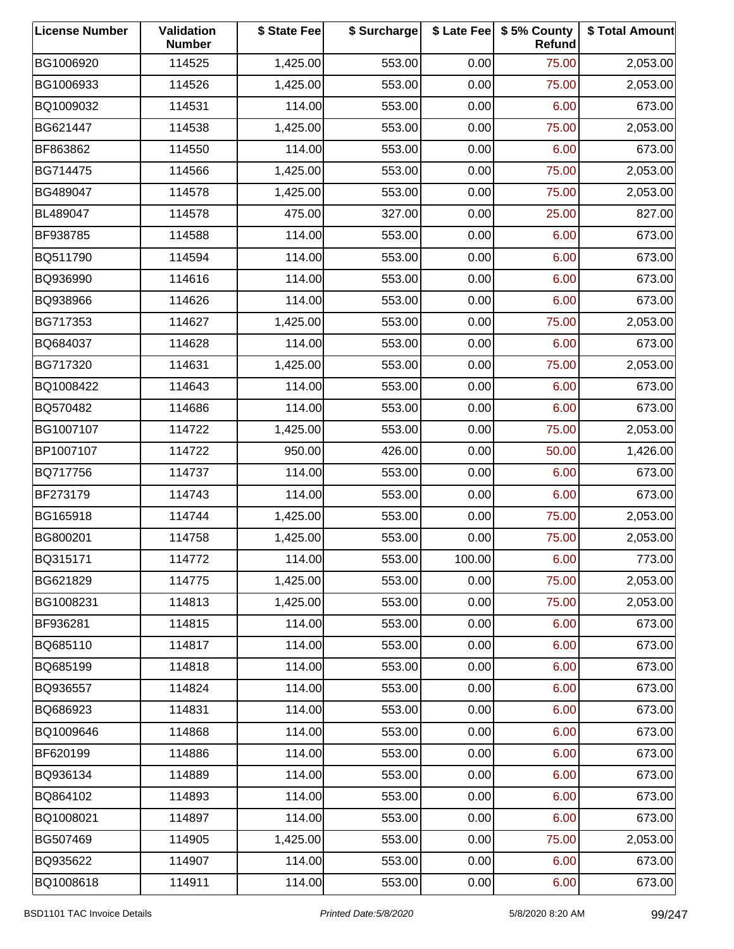| <b>License Number</b> | Validation<br><b>Number</b> | \$ State Fee | \$ Surcharge |        | \$ Late Fee   \$5% County<br>Refund | \$ Total Amount |
|-----------------------|-----------------------------|--------------|--------------|--------|-------------------------------------|-----------------|
| BG1006920             | 114525                      | 1,425.00     | 553.00       | 0.00   | 75.00                               | 2,053.00        |
| BG1006933             | 114526                      | 1,425.00     | 553.00       | 0.00   | 75.00                               | 2,053.00        |
| BQ1009032             | 114531                      | 114.00       | 553.00       | 0.00   | 6.00                                | 673.00          |
| BG621447              | 114538                      | 1,425.00     | 553.00       | 0.00   | 75.00                               | 2,053.00        |
| BF863862              | 114550                      | 114.00       | 553.00       | 0.00   | 6.00                                | 673.00          |
| BG714475              | 114566                      | 1,425.00     | 553.00       | 0.00   | 75.00                               | 2,053.00        |
| BG489047              | 114578                      | 1,425.00     | 553.00       | 0.00   | 75.00                               | 2,053.00        |
| BL489047              | 114578                      | 475.00       | 327.00       | 0.00   | 25.00                               | 827.00          |
| BF938785              | 114588                      | 114.00       | 553.00       | 0.00   | 6.00                                | 673.00          |
| BQ511790              | 114594                      | 114.00       | 553.00       | 0.00   | 6.00                                | 673.00          |
| BQ936990              | 114616                      | 114.00       | 553.00       | 0.00   | 6.00                                | 673.00          |
| BQ938966              | 114626                      | 114.00       | 553.00       | 0.00   | 6.00                                | 673.00          |
| BG717353              | 114627                      | 1,425.00     | 553.00       | 0.00   | 75.00                               | 2,053.00        |
| BQ684037              | 114628                      | 114.00       | 553.00       | 0.00   | 6.00                                | 673.00          |
| BG717320              | 114631                      | 1,425.00     | 553.00       | 0.00   | 75.00                               | 2,053.00        |
| BQ1008422             | 114643                      | 114.00       | 553.00       | 0.00   | 6.00                                | 673.00          |
| BQ570482              | 114686                      | 114.00       | 553.00       | 0.00   | 6.00                                | 673.00          |
| BG1007107             | 114722                      | 1,425.00     | 553.00       | 0.00   | 75.00                               | 2,053.00        |
| BP1007107             | 114722                      | 950.00       | 426.00       | 0.00   | 50.00                               | 1,426.00        |
| BQ717756              | 114737                      | 114.00       | 553.00       | 0.00   | 6.00                                | 673.00          |
| BF273179              | 114743                      | 114.00       | 553.00       | 0.00   | 6.00                                | 673.00          |
| BG165918              | 114744                      | 1,425.00     | 553.00       | 0.00   | 75.00                               | 2,053.00        |
| BG800201              | 114758                      | 1,425.00     | 553.00       | 0.00   | 75.00                               | 2,053.00        |
| BQ315171              | 114772                      | 114.00       | 553.00       | 100.00 | 6.00                                | 773.00          |
| BG621829              | 114775                      | 1,425.00     | 553.00       | 0.00   | 75.00                               | 2,053.00        |
| BG1008231             | 114813                      | 1,425.00     | 553.00       | 0.00   | 75.00                               | 2,053.00        |
| BF936281              | 114815                      | 114.00       | 553.00       | 0.00   | 6.00                                | 673.00          |
| BQ685110              | 114817                      | 114.00       | 553.00       | 0.00   | 6.00                                | 673.00          |
| BQ685199              | 114818                      | 114.00       | 553.00       | 0.00   | 6.00                                | 673.00          |
| BQ936557              | 114824                      | 114.00       | 553.00       | 0.00   | 6.00                                | 673.00          |
| BQ686923              | 114831                      | 114.00       | 553.00       | 0.00   | 6.00                                | 673.00          |
| BQ1009646             | 114868                      | 114.00       | 553.00       | 0.00   | 6.00                                | 673.00          |
| BF620199              | 114886                      | 114.00       | 553.00       | 0.00   | 6.00                                | 673.00          |
| BQ936134              | 114889                      | 114.00       | 553.00       | 0.00   | 6.00                                | 673.00          |
| BQ864102              | 114893                      | 114.00       | 553.00       | 0.00   | 6.00                                | 673.00          |
| BQ1008021             | 114897                      | 114.00       | 553.00       | 0.00   | 6.00                                | 673.00          |
| BG507469              | 114905                      | 1,425.00     | 553.00       | 0.00   | 75.00                               | 2,053.00        |
| BQ935622              | 114907                      | 114.00       | 553.00       | 0.00   | 6.00                                | 673.00          |
| BQ1008618             | 114911                      | 114.00       | 553.00       | 0.00   | 6.00                                | 673.00          |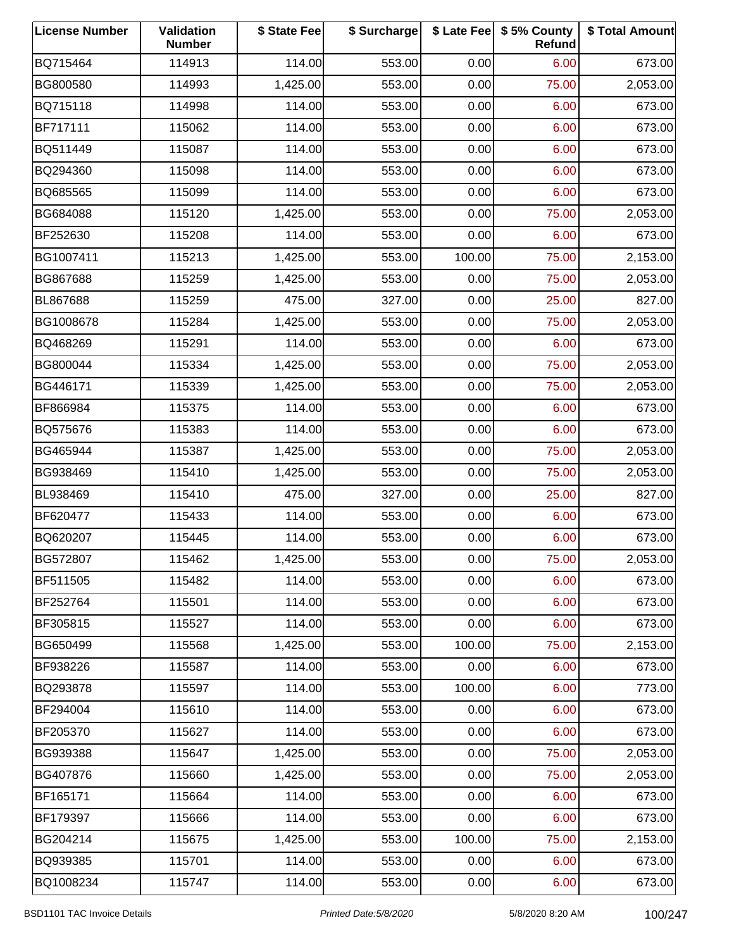| <b>License Number</b> | Validation<br><b>Number</b> | \$ State Fee | \$ Surcharge |        | \$ Late Fee   \$5% County<br>Refund | \$ Total Amount |
|-----------------------|-----------------------------|--------------|--------------|--------|-------------------------------------|-----------------|
| BQ715464              | 114913                      | 114.00       | 553.00       | 0.00   | 6.00                                | 673.00          |
| BG800580              | 114993                      | 1,425.00     | 553.00       | 0.00   | 75.00                               | 2,053.00        |
| BQ715118              | 114998                      | 114.00       | 553.00       | 0.00   | 6.00                                | 673.00          |
| BF717111              | 115062                      | 114.00       | 553.00       | 0.00   | 6.00                                | 673.00          |
| BQ511449              | 115087                      | 114.00       | 553.00       | 0.00   | 6.00                                | 673.00          |
| BQ294360              | 115098                      | 114.00       | 553.00       | 0.00   | 6.00                                | 673.00          |
| BQ685565              | 115099                      | 114.00       | 553.00       | 0.00   | 6.00                                | 673.00          |
| BG684088              | 115120                      | 1,425.00     | 553.00       | 0.00   | 75.00                               | 2,053.00        |
| BF252630              | 115208                      | 114.00       | 553.00       | 0.00   | 6.00                                | 673.00          |
| BG1007411             | 115213                      | 1,425.00     | 553.00       | 100.00 | 75.00                               | 2,153.00        |
| BG867688              | 115259                      | 1,425.00     | 553.00       | 0.00   | 75.00                               | 2,053.00        |
| BL867688              | 115259                      | 475.00       | 327.00       | 0.00   | 25.00                               | 827.00          |
| BG1008678             | 115284                      | 1,425.00     | 553.00       | 0.00   | 75.00                               | 2,053.00        |
| BQ468269              | 115291                      | 114.00       | 553.00       | 0.00   | 6.00                                | 673.00          |
| BG800044              | 115334                      | 1,425.00     | 553.00       | 0.00   | 75.00                               | 2,053.00        |
| BG446171              | 115339                      | 1,425.00     | 553.00       | 0.00   | 75.00                               | 2,053.00        |
| BF866984              | 115375                      | 114.00       | 553.00       | 0.00   | 6.00                                | 673.00          |
| BQ575676              | 115383                      | 114.00       | 553.00       | 0.00   | 6.00                                | 673.00          |
| BG465944              | 115387                      | 1,425.00     | 553.00       | 0.00   | 75.00                               | 2,053.00        |
| BG938469              | 115410                      | 1,425.00     | 553.00       | 0.00   | 75.00                               | 2,053.00        |
| BL938469              | 115410                      | 475.00       | 327.00       | 0.00   | 25.00                               | 827.00          |
| BF620477              | 115433                      | 114.00       | 553.00       | 0.00   | 6.00                                | 673.00          |
| BQ620207              | 115445                      | 114.00       | 553.00       | 0.00   | 6.00                                | 673.00          |
| BG572807              | 115462                      | 1,425.00     | 553.00       | 0.00   | 75.00                               | 2,053.00        |
| BF511505              | 115482                      | 114.00       | 553.00       | 0.00   | 6.00                                | 673.00          |
| BF252764              | 115501                      | 114.00       | 553.00       | 0.00   | 6.00                                | 673.00          |
| BF305815              | 115527                      | 114.00       | 553.00       | 0.00   | 6.00                                | 673.00          |
| BG650499              | 115568                      | 1,425.00     | 553.00       | 100.00 | 75.00                               | 2,153.00        |
| BF938226              | 115587                      | 114.00       | 553.00       | 0.00   | 6.00                                | 673.00          |
| BQ293878              | 115597                      | 114.00       | 553.00       | 100.00 | 6.00                                | 773.00          |
| BF294004              | 115610                      | 114.00       | 553.00       | 0.00   | 6.00                                | 673.00          |
| BF205370              | 115627                      | 114.00       | 553.00       | 0.00   | 6.00                                | 673.00          |
| BG939388              | 115647                      | 1,425.00     | 553.00       | 0.00   | 75.00                               | 2,053.00        |
| BG407876              | 115660                      | 1,425.00     | 553.00       | 0.00   | 75.00                               | 2,053.00        |
| BF165171              | 115664                      | 114.00       | 553.00       | 0.00   | 6.00                                | 673.00          |
| BF179397              | 115666                      | 114.00       | 553.00       | 0.00   | 6.00                                | 673.00          |
| BG204214              | 115675                      | 1,425.00     | 553.00       | 100.00 | 75.00                               | 2,153.00        |
| BQ939385              | 115701                      | 114.00       | 553.00       | 0.00   | 6.00                                | 673.00          |
| BQ1008234             | 115747                      | 114.00       | 553.00       | 0.00   | 6.00                                | 673.00          |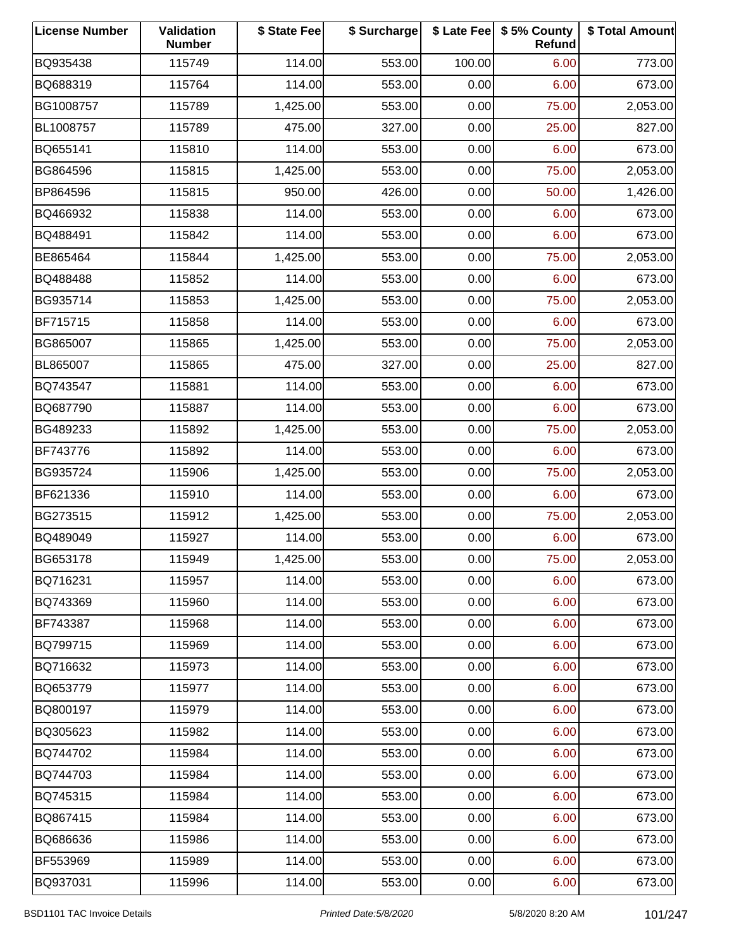| <b>License Number</b> | Validation<br><b>Number</b> | \$ State Fee | \$ Surcharge |        | \$ Late Fee   \$5% County<br>Refund | \$ Total Amount |
|-----------------------|-----------------------------|--------------|--------------|--------|-------------------------------------|-----------------|
| BQ935438              | 115749                      | 114.00       | 553.00       | 100.00 | 6.00                                | 773.00          |
| BQ688319              | 115764                      | 114.00       | 553.00       | 0.00   | 6.00                                | 673.00          |
| BG1008757             | 115789                      | 1,425.00     | 553.00       | 0.00   | 75.00                               | 2,053.00        |
| BL1008757             | 115789                      | 475.00       | 327.00       | 0.00   | 25.00                               | 827.00          |
| BQ655141              | 115810                      | 114.00       | 553.00       | 0.00   | 6.00                                | 673.00          |
| BG864596              | 115815                      | 1,425.00     | 553.00       | 0.00   | 75.00                               | 2,053.00        |
| BP864596              | 115815                      | 950.00       | 426.00       | 0.00   | 50.00                               | 1,426.00        |
| BQ466932              | 115838                      | 114.00       | 553.00       | 0.00   | 6.00                                | 673.00          |
| BQ488491              | 115842                      | 114.00       | 553.00       | 0.00   | 6.00                                | 673.00          |
| BE865464              | 115844                      | 1,425.00     | 553.00       | 0.00   | 75.00                               | 2,053.00        |
| BQ488488              | 115852                      | 114.00       | 553.00       | 0.00   | 6.00                                | 673.00          |
| BG935714              | 115853                      | 1,425.00     | 553.00       | 0.00   | 75.00                               | 2,053.00        |
| BF715715              | 115858                      | 114.00       | 553.00       | 0.00   | 6.00                                | 673.00          |
| BG865007              | 115865                      | 1,425.00     | 553.00       | 0.00   | 75.00                               | 2,053.00        |
| BL865007              | 115865                      | 475.00       | 327.00       | 0.00   | 25.00                               | 827.00          |
| BQ743547              | 115881                      | 114.00       | 553.00       | 0.00   | 6.00                                | 673.00          |
| BQ687790              | 115887                      | 114.00       | 553.00       | 0.00   | 6.00                                | 673.00          |
| BG489233              | 115892                      | 1,425.00     | 553.00       | 0.00   | 75.00                               | 2,053.00        |
| BF743776              | 115892                      | 114.00       | 553.00       | 0.00   | 6.00                                | 673.00          |
| BG935724              | 115906                      | 1,425.00     | 553.00       | 0.00   | 75.00                               | 2,053.00        |
| BF621336              | 115910                      | 114.00       | 553.00       | 0.00   | 6.00                                | 673.00          |
| BG273515              | 115912                      | 1,425.00     | 553.00       | 0.00   | 75.00                               | 2,053.00        |
| BQ489049              | 115927                      | 114.00       | 553.00       | 0.00   | 6.00                                | 673.00          |
| BG653178              | 115949                      | 1,425.00     | 553.00       | 0.00   | 75.00                               | 2,053.00        |
| BQ716231              | 115957                      | 114.00       | 553.00       | 0.00   | 6.00                                | 673.00          |
| BQ743369              | 115960                      | 114.00       | 553.00       | 0.00   | 6.00                                | 673.00          |
| BF743387              | 115968                      | 114.00       | 553.00       | 0.00   | 6.00                                | 673.00          |
| BQ799715              | 115969                      | 114.00       | 553.00       | 0.00   | 6.00                                | 673.00          |
| BQ716632              | 115973                      | 114.00       | 553.00       | 0.00   | 6.00                                | 673.00          |
| BQ653779              | 115977                      | 114.00       | 553.00       | 0.00   | 6.00                                | 673.00          |
| BQ800197              | 115979                      | 114.00       | 553.00       | 0.00   | 6.00                                | 673.00          |
| BQ305623              | 115982                      | 114.00       | 553.00       | 0.00   | 6.00                                | 673.00          |
| BQ744702              | 115984                      | 114.00       | 553.00       | 0.00   | 6.00                                | 673.00          |
| BQ744703              | 115984                      | 114.00       | 553.00       | 0.00   | 6.00                                | 673.00          |
| BQ745315              | 115984                      | 114.00       | 553.00       | 0.00   | 6.00                                | 673.00          |
| BQ867415              | 115984                      | 114.00       | 553.00       | 0.00   | 6.00                                | 673.00          |
| BQ686636              | 115986                      | 114.00       | 553.00       | 0.00   | 6.00                                | 673.00          |
| BF553969              | 115989                      | 114.00       | 553.00       | 0.00   | 6.00                                | 673.00          |
| BQ937031              | 115996                      | 114.00       | 553.00       | 0.00   | 6.00                                | 673.00          |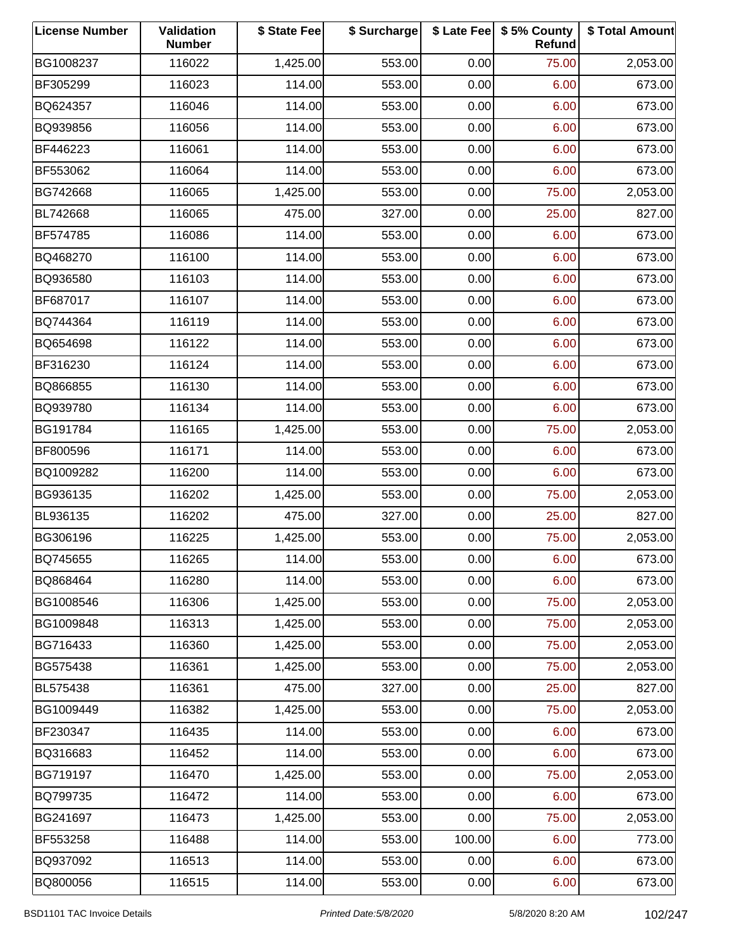| <b>License Number</b> | Validation<br><b>Number</b> | \$ State Fee | \$ Surcharge |        | \$ Late Fee   \$5% County<br>Refund | \$ Total Amount |
|-----------------------|-----------------------------|--------------|--------------|--------|-------------------------------------|-----------------|
| BG1008237             | 116022                      | 1,425.00     | 553.00       | 0.00   | 75.00                               | 2,053.00        |
| BF305299              | 116023                      | 114.00       | 553.00       | 0.00   | 6.00                                | 673.00          |
| BQ624357              | 116046                      | 114.00       | 553.00       | 0.00   | 6.00                                | 673.00          |
| BQ939856              | 116056                      | 114.00       | 553.00       | 0.00   | 6.00                                | 673.00          |
| BF446223              | 116061                      | 114.00       | 553.00       | 0.00   | 6.00                                | 673.00          |
| BF553062              | 116064                      | 114.00       | 553.00       | 0.00   | 6.00                                | 673.00          |
| BG742668              | 116065                      | 1,425.00     | 553.00       | 0.00   | 75.00                               | 2,053.00        |
| BL742668              | 116065                      | 475.00       | 327.00       | 0.00   | 25.00                               | 827.00          |
| BF574785              | 116086                      | 114.00       | 553.00       | 0.00   | 6.00                                | 673.00          |
| BQ468270              | 116100                      | 114.00       | 553.00       | 0.00   | 6.00                                | 673.00          |
| BQ936580              | 116103                      | 114.00       | 553.00       | 0.00   | 6.00                                | 673.00          |
| BF687017              | 116107                      | 114.00       | 553.00       | 0.00   | 6.00                                | 673.00          |
| BQ744364              | 116119                      | 114.00       | 553.00       | 0.00   | 6.00                                | 673.00          |
| BQ654698              | 116122                      | 114.00       | 553.00       | 0.00   | 6.00                                | 673.00          |
| BF316230              | 116124                      | 114.00       | 553.00       | 0.00   | 6.00                                | 673.00          |
| BQ866855              | 116130                      | 114.00       | 553.00       | 0.00   | 6.00                                | 673.00          |
| BQ939780              | 116134                      | 114.00       | 553.00       | 0.00   | 6.00                                | 673.00          |
| BG191784              | 116165                      | 1,425.00     | 553.00       | 0.00   | 75.00                               | 2,053.00        |
| BF800596              | 116171                      | 114.00       | 553.00       | 0.00   | 6.00                                | 673.00          |
| BQ1009282             | 116200                      | 114.00       | 553.00       | 0.00   | 6.00                                | 673.00          |
| BG936135              | 116202                      | 1,425.00     | 553.00       | 0.00   | 75.00                               | 2,053.00        |
| BL936135              | 116202                      | 475.00       | 327.00       | 0.00   | 25.00                               | 827.00          |
| BG306196              | 116225                      | 1,425.00     | 553.00       | 0.00   | 75.00                               | 2,053.00        |
| BQ745655              | 116265                      | 114.00       | 553.00       | 0.00   | 6.00                                | 673.00          |
| BQ868464              | 116280                      | 114.00       | 553.00       | 0.00   | 6.00                                | 673.00          |
| BG1008546             | 116306                      | 1,425.00     | 553.00       | 0.00   | 75.00                               | 2,053.00        |
| BG1009848             | 116313                      | 1,425.00     | 553.00       | 0.00   | 75.00                               | 2,053.00        |
| BG716433              | 116360                      | 1,425.00     | 553.00       | 0.00   | 75.00                               | 2,053.00        |
| BG575438              | 116361                      | 1,425.00     | 553.00       | 0.00   | 75.00                               | 2,053.00        |
| BL575438              | 116361                      | 475.00       | 327.00       | 0.00   | 25.00                               | 827.00          |
| BG1009449             | 116382                      | 1,425.00     | 553.00       | 0.00   | 75.00                               | 2,053.00        |
| BF230347              | 116435                      | 114.00       | 553.00       | 0.00   | 6.00                                | 673.00          |
| BQ316683              | 116452                      | 114.00       | 553.00       | 0.00   | 6.00                                | 673.00          |
| BG719197              | 116470                      | 1,425.00     | 553.00       | 0.00   | 75.00                               | 2,053.00        |
| BQ799735              | 116472                      | 114.00       | 553.00       | 0.00   | 6.00                                | 673.00          |
| BG241697              | 116473                      | 1,425.00     | 553.00       | 0.00   | 75.00                               | 2,053.00        |
| BF553258              | 116488                      | 114.00       | 553.00       | 100.00 | 6.00                                | 773.00          |
| BQ937092              | 116513                      | 114.00       | 553.00       | 0.00   | 6.00                                | 673.00          |
| BQ800056              | 116515                      | 114.00       | 553.00       | 0.00   | 6.00                                | 673.00          |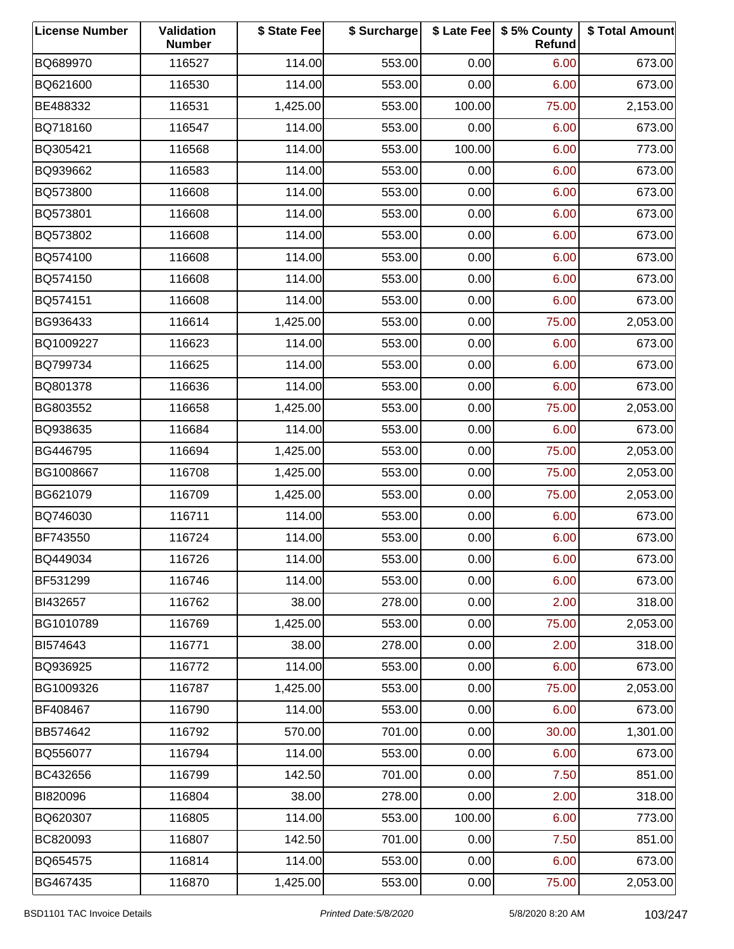| <b>License Number</b> | Validation<br><b>Number</b> | \$ State Fee | \$ Surcharge |        | \$ Late Fee   \$5% County<br>Refund | \$ Total Amount |
|-----------------------|-----------------------------|--------------|--------------|--------|-------------------------------------|-----------------|
| BQ689970              | 116527                      | 114.00       | 553.00       | 0.00   | 6.00                                | 673.00          |
| BQ621600              | 116530                      | 114.00       | 553.00       | 0.00   | 6.00                                | 673.00          |
| BE488332              | 116531                      | 1,425.00     | 553.00       | 100.00 | 75.00                               | 2,153.00        |
| BQ718160              | 116547                      | 114.00       | 553.00       | 0.00   | 6.00                                | 673.00          |
| BQ305421              | 116568                      | 114.00       | 553.00       | 100.00 | 6.00                                | 773.00          |
| BQ939662              | 116583                      | 114.00       | 553.00       | 0.00   | 6.00                                | 673.00          |
| BQ573800              | 116608                      | 114.00       | 553.00       | 0.00   | 6.00                                | 673.00          |
| BQ573801              | 116608                      | 114.00       | 553.00       | 0.00   | 6.00                                | 673.00          |
| BQ573802              | 116608                      | 114.00       | 553.00       | 0.00   | 6.00                                | 673.00          |
| BQ574100              | 116608                      | 114.00       | 553.00       | 0.00   | 6.00                                | 673.00          |
| BQ574150              | 116608                      | 114.00       | 553.00       | 0.00   | 6.00                                | 673.00          |
| BQ574151              | 116608                      | 114.00       | 553.00       | 0.00   | 6.00                                | 673.00          |
| BG936433              | 116614                      | 1,425.00     | 553.00       | 0.00   | 75.00                               | 2,053.00        |
| BQ1009227             | 116623                      | 114.00       | 553.00       | 0.00   | 6.00                                | 673.00          |
| BQ799734              | 116625                      | 114.00       | 553.00       | 0.00   | 6.00                                | 673.00          |
| BQ801378              | 116636                      | 114.00       | 553.00       | 0.00   | 6.00                                | 673.00          |
| BG803552              | 116658                      | 1,425.00     | 553.00       | 0.00   | 75.00                               | 2,053.00        |
| BQ938635              | 116684                      | 114.00       | 553.00       | 0.00   | 6.00                                | 673.00          |
| BG446795              | 116694                      | 1,425.00     | 553.00       | 0.00   | 75.00                               | 2,053.00        |
| BG1008667             | 116708                      | 1,425.00     | 553.00       | 0.00   | 75.00                               | 2,053.00        |
| BG621079              | 116709                      | 1,425.00     | 553.00       | 0.00   | 75.00                               | 2,053.00        |
| BQ746030              | 116711                      | 114.00       | 553.00       | 0.00   | 6.00                                | 673.00          |
| BF743550              | 116724                      | 114.00       | 553.00       | 0.00   | 6.00                                | 673.00          |
| BQ449034              | 116726                      | 114.00       | 553.00       | 0.00   | 6.00                                | 673.00          |
| BF531299              | 116746                      | 114.00       | 553.00       | 0.00   | 6.00                                | 673.00          |
| BI432657              | 116762                      | 38.00        | 278.00       | 0.00   | 2.00                                | 318.00          |
| BG1010789             | 116769                      | 1,425.00     | 553.00       | 0.00   | 75.00                               | 2,053.00        |
| BI574643              | 116771                      | 38.00        | 278.00       | 0.00   | 2.00                                | 318.00          |
| BQ936925              | 116772                      | 114.00       | 553.00       | 0.00   | 6.00                                | 673.00          |
| BG1009326             | 116787                      | 1,425.00     | 553.00       | 0.00   | 75.00                               | 2,053.00        |
| BF408467              | 116790                      | 114.00       | 553.00       | 0.00   | 6.00                                | 673.00          |
| BB574642              | 116792                      | 570.00       | 701.00       | 0.00   | 30.00                               | 1,301.00        |
| BQ556077              | 116794                      | 114.00       | 553.00       | 0.00   | 6.00                                | 673.00          |
| BC432656              | 116799                      | 142.50       | 701.00       | 0.00   | 7.50                                | 851.00          |
| BI820096              | 116804                      | 38.00        | 278.00       | 0.00   | 2.00                                | 318.00          |
| BQ620307              | 116805                      | 114.00       | 553.00       | 100.00 | 6.00                                | 773.00          |
| BC820093              | 116807                      | 142.50       | 701.00       | 0.00   | 7.50                                | 851.00          |
| BQ654575              | 116814                      | 114.00       | 553.00       | 0.00   | 6.00                                | 673.00          |
| BG467435              | 116870                      | 1,425.00     | 553.00       | 0.00   | 75.00                               | 2,053.00        |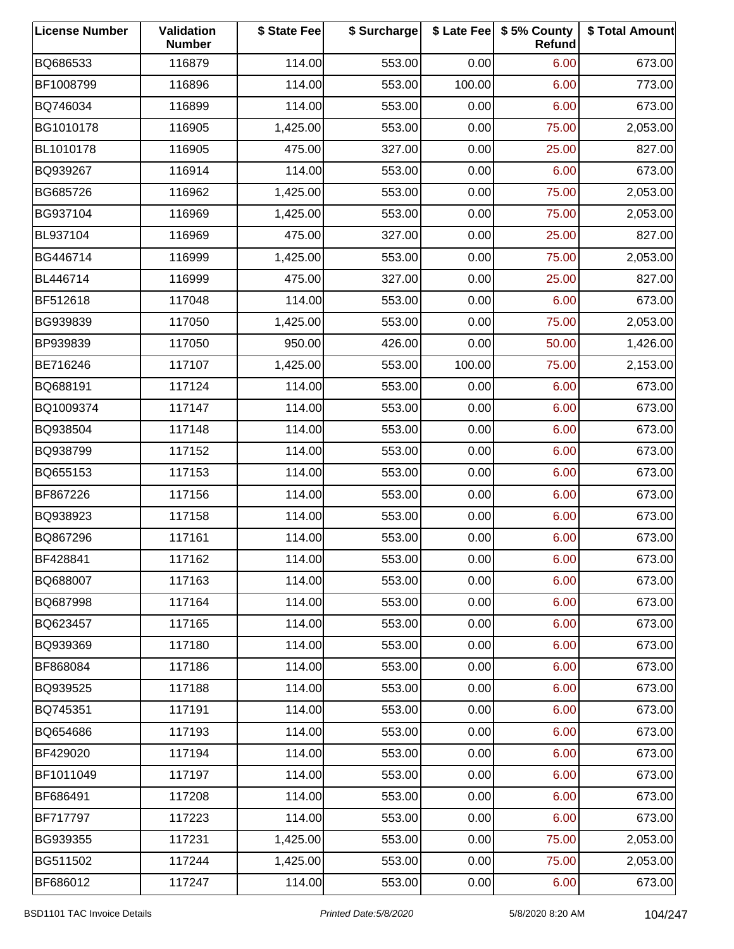| <b>License Number</b> | Validation<br><b>Number</b> | \$ State Fee | \$ Surcharge |        | \$ Late Fee   \$5% County<br>Refund | \$ Total Amount |
|-----------------------|-----------------------------|--------------|--------------|--------|-------------------------------------|-----------------|
| BQ686533              | 116879                      | 114.00       | 553.00       | 0.00   | 6.00                                | 673.00          |
| BF1008799             | 116896                      | 114.00       | 553.00       | 100.00 | 6.00                                | 773.00          |
| BQ746034              | 116899                      | 114.00       | 553.00       | 0.00   | 6.00                                | 673.00          |
| BG1010178             | 116905                      | 1,425.00     | 553.00       | 0.00   | 75.00                               | 2,053.00        |
| BL1010178             | 116905                      | 475.00       | 327.00       | 0.00   | 25.00                               | 827.00          |
| BQ939267              | 116914                      | 114.00       | 553.00       | 0.00   | 6.00                                | 673.00          |
| BG685726              | 116962                      | 1,425.00     | 553.00       | 0.00   | 75.00                               | 2,053.00        |
| BG937104              | 116969                      | 1,425.00     | 553.00       | 0.00   | 75.00                               | 2,053.00        |
| BL937104              | 116969                      | 475.00       | 327.00       | 0.00   | 25.00                               | 827.00          |
| BG446714              | 116999                      | 1,425.00     | 553.00       | 0.00   | 75.00                               | 2,053.00        |
| BL446714              | 116999                      | 475.00       | 327.00       | 0.00   | 25.00                               | 827.00          |
| BF512618              | 117048                      | 114.00       | 553.00       | 0.00   | 6.00                                | 673.00          |
| BG939839              | 117050                      | 1,425.00     | 553.00       | 0.00   | 75.00                               | 2,053.00        |
| BP939839              | 117050                      | 950.00       | 426.00       | 0.00   | 50.00                               | 1,426.00        |
| BE716246              | 117107                      | 1,425.00     | 553.00       | 100.00 | 75.00                               | 2,153.00        |
| BQ688191              | 117124                      | 114.00       | 553.00       | 0.00   | 6.00                                | 673.00          |
| BQ1009374             | 117147                      | 114.00       | 553.00       | 0.00   | 6.00                                | 673.00          |
| BQ938504              | 117148                      | 114.00       | 553.00       | 0.00   | 6.00                                | 673.00          |
| BQ938799              | 117152                      | 114.00       | 553.00       | 0.00   | 6.00                                | 673.00          |
| BQ655153              | 117153                      | 114.00       | 553.00       | 0.00   | 6.00                                | 673.00          |
| BF867226              | 117156                      | 114.00       | 553.00       | 0.00   | 6.00                                | 673.00          |
| BQ938923              | 117158                      | 114.00       | 553.00       | 0.00   | 6.00                                | 673.00          |
| BQ867296              | 117161                      | 114.00       | 553.00       | 0.00   | 6.00                                | 673.00          |
| BF428841              | 117162                      | 114.00       | 553.00       | 0.00   | 6.00                                | 673.00          |
| BQ688007              | 117163                      | 114.00       | 553.00       | 0.00   | 6.00                                | 673.00          |
| BQ687998              | 117164                      | 114.00       | 553.00       | 0.00   | 6.00                                | 673.00          |
| BQ623457              | 117165                      | 114.00       | 553.00       | 0.00   | 6.00                                | 673.00          |
| BQ939369              | 117180                      | 114.00       | 553.00       | 0.00   | 6.00                                | 673.00          |
| BF868084              | 117186                      | 114.00       | 553.00       | 0.00   | 6.00                                | 673.00          |
| BQ939525              | 117188                      | 114.00       | 553.00       | 0.00   | 6.00                                | 673.00          |
| BQ745351              | 117191                      | 114.00       | 553.00       | 0.00   | 6.00                                | 673.00          |
| BQ654686              | 117193                      | 114.00       | 553.00       | 0.00   | 6.00                                | 673.00          |
| BF429020              | 117194                      | 114.00       | 553.00       | 0.00   | 6.00                                | 673.00          |
| BF1011049             | 117197                      | 114.00       | 553.00       | 0.00   | 6.00                                | 673.00          |
| BF686491              | 117208                      | 114.00       | 553.00       | 0.00   | 6.00                                | 673.00          |
| BF717797              | 117223                      | 114.00       | 553.00       | 0.00   | 6.00                                | 673.00          |
| BG939355              | 117231                      | 1,425.00     | 553.00       | 0.00   | 75.00                               | 2,053.00        |
| BG511502              | 117244                      | 1,425.00     | 553.00       | 0.00   | 75.00                               | 2,053.00        |
| BF686012              | 117247                      | 114.00       | 553.00       | 0.00   | 6.00                                | 673.00          |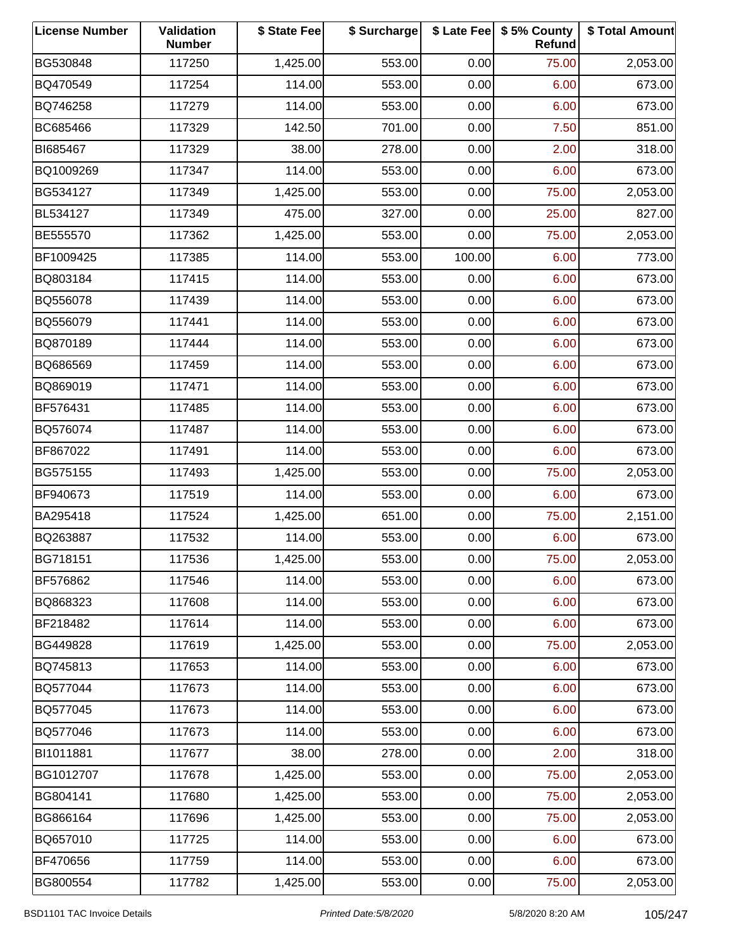| <b>License Number</b> | Validation<br><b>Number</b> | \$ State Fee | \$ Surcharge |        | \$ Late Fee   \$5% County<br>Refund | \$ Total Amount |
|-----------------------|-----------------------------|--------------|--------------|--------|-------------------------------------|-----------------|
| BG530848              | 117250                      | 1,425.00     | 553.00       | 0.00   | 75.00                               | 2,053.00        |
| BQ470549              | 117254                      | 114.00       | 553.00       | 0.00   | 6.00                                | 673.00          |
| BQ746258              | 117279                      | 114.00       | 553.00       | 0.00   | 6.00                                | 673.00          |
| BC685466              | 117329                      | 142.50       | 701.00       | 0.00   | 7.50                                | 851.00          |
| BI685467              | 117329                      | 38.00        | 278.00       | 0.00   | 2.00                                | 318.00          |
| BQ1009269             | 117347                      | 114.00       | 553.00       | 0.00   | 6.00                                | 673.00          |
| BG534127              | 117349                      | 1,425.00     | 553.00       | 0.00   | 75.00                               | 2,053.00        |
| BL534127              | 117349                      | 475.00       | 327.00       | 0.00   | 25.00                               | 827.00          |
| BE555570              | 117362                      | 1,425.00     | 553.00       | 0.00   | 75.00                               | 2,053.00        |
| BF1009425             | 117385                      | 114.00       | 553.00       | 100.00 | 6.00                                | 773.00          |
| BQ803184              | 117415                      | 114.00       | 553.00       | 0.00   | 6.00                                | 673.00          |
| BQ556078              | 117439                      | 114.00       | 553.00       | 0.00   | 6.00                                | 673.00          |
| BQ556079              | 117441                      | 114.00       | 553.00       | 0.00   | 6.00                                | 673.00          |
| BQ870189              | 117444                      | 114.00       | 553.00       | 0.00   | 6.00                                | 673.00          |
| BQ686569              | 117459                      | 114.00       | 553.00       | 0.00   | 6.00                                | 673.00          |
| BQ869019              | 117471                      | 114.00       | 553.00       | 0.00   | 6.00                                | 673.00          |
| BF576431              | 117485                      | 114.00       | 553.00       | 0.00   | 6.00                                | 673.00          |
| BQ576074              | 117487                      | 114.00       | 553.00       | 0.00   | 6.00                                | 673.00          |
| BF867022              | 117491                      | 114.00       | 553.00       | 0.00   | 6.00                                | 673.00          |
| BG575155              | 117493                      | 1,425.00     | 553.00       | 0.00   | 75.00                               | 2,053.00        |
| BF940673              | 117519                      | 114.00       | 553.00       | 0.00   | 6.00                                | 673.00          |
| BA295418              | 117524                      | 1,425.00     | 651.00       | 0.00   | 75.00                               | 2,151.00        |
| BQ263887              | 117532                      | 114.00       | 553.00       | 0.00   | 6.00                                | 673.00          |
| BG718151              | 117536                      | 1,425.00     | 553.00       | 0.00   | 75.00                               | 2,053.00        |
| BF576862              | 117546                      | 114.00       | 553.00       | 0.00   | 6.00                                | 673.00          |
| BQ868323              | 117608                      | 114.00       | 553.00       | 0.00   | 6.00                                | 673.00          |
| BF218482              | 117614                      | 114.00       | 553.00       | 0.00   | 6.00                                | 673.00          |
| BG449828              | 117619                      | 1,425.00     | 553.00       | 0.00   | 75.00                               | 2,053.00        |
| BQ745813              | 117653                      | 114.00       | 553.00       | 0.00   | 6.00                                | 673.00          |
| BQ577044              | 117673                      | 114.00       | 553.00       | 0.00   | 6.00                                | 673.00          |
| BQ577045              | 117673                      | 114.00       | 553.00       | 0.00   | 6.00                                | 673.00          |
| BQ577046              | 117673                      | 114.00       | 553.00       | 0.00   | 6.00                                | 673.00          |
| BI1011881             | 117677                      | 38.00        | 278.00       | 0.00   | 2.00                                | 318.00          |
| BG1012707             | 117678                      | 1,425.00     | 553.00       | 0.00   | 75.00                               | 2,053.00        |
| BG804141              | 117680                      | 1,425.00     | 553.00       | 0.00   | 75.00                               | 2,053.00        |
| BG866164              | 117696                      | 1,425.00     | 553.00       | 0.00   | 75.00                               | 2,053.00        |
| BQ657010              | 117725                      | 114.00       | 553.00       | 0.00   | 6.00                                | 673.00          |
| BF470656              | 117759                      | 114.00       | 553.00       | 0.00   | 6.00                                | 673.00          |
| BG800554              | 117782                      | 1,425.00     | 553.00       | 0.00   | 75.00                               | 2,053.00        |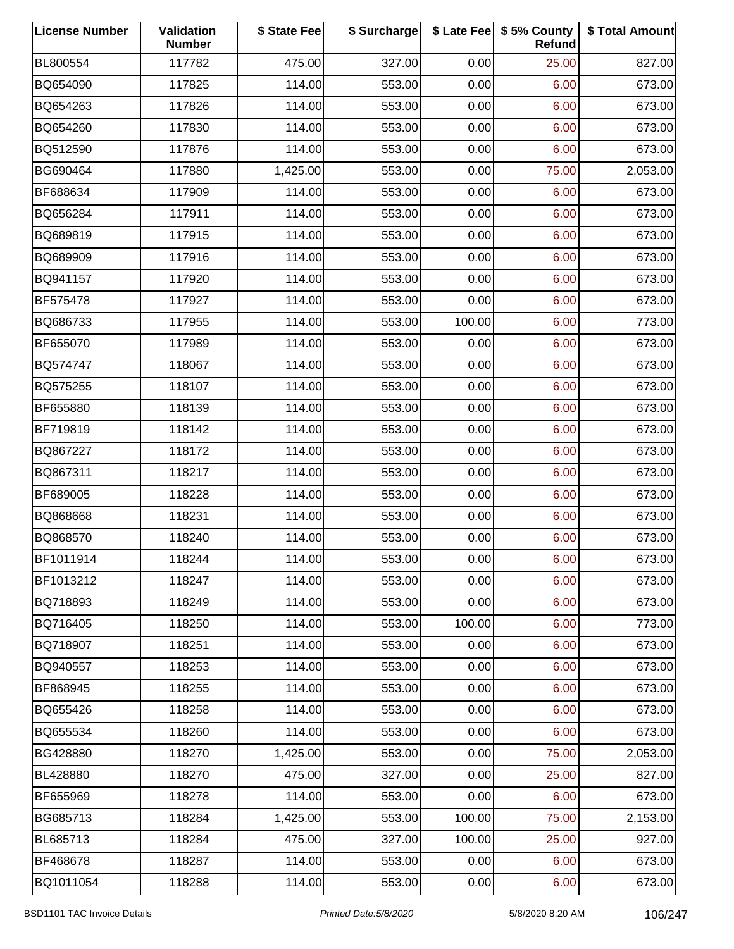| <b>License Number</b> | Validation<br><b>Number</b> | \$ State Fee | \$ Surcharge |        | \$ Late Fee   \$5% County<br>Refund | \$ Total Amount |
|-----------------------|-----------------------------|--------------|--------------|--------|-------------------------------------|-----------------|
| BL800554              | 117782                      | 475.00       | 327.00       | 0.00   | 25.00                               | 827.00          |
| BQ654090              | 117825                      | 114.00       | 553.00       | 0.00   | 6.00                                | 673.00          |
| BQ654263              | 117826                      | 114.00       | 553.00       | 0.00   | 6.00                                | 673.00          |
| BQ654260              | 117830                      | 114.00       | 553.00       | 0.00   | 6.00                                | 673.00          |
| BQ512590              | 117876                      | 114.00       | 553.00       | 0.00   | 6.00                                | 673.00          |
| BG690464              | 117880                      | 1,425.00     | 553.00       | 0.00   | 75.00                               | 2,053.00        |
| BF688634              | 117909                      | 114.00       | 553.00       | 0.00   | 6.00                                | 673.00          |
| BQ656284              | 117911                      | 114.00       | 553.00       | 0.00   | 6.00                                | 673.00          |
| BQ689819              | 117915                      | 114.00       | 553.00       | 0.00   | 6.00                                | 673.00          |
| BQ689909              | 117916                      | 114.00       | 553.00       | 0.00   | 6.00                                | 673.00          |
| BQ941157              | 117920                      | 114.00       | 553.00       | 0.00   | 6.00                                | 673.00          |
| BF575478              | 117927                      | 114.00       | 553.00       | 0.00   | 6.00                                | 673.00          |
| BQ686733              | 117955                      | 114.00       | 553.00       | 100.00 | 6.00                                | 773.00          |
| BF655070              | 117989                      | 114.00       | 553.00       | 0.00   | 6.00                                | 673.00          |
| BQ574747              | 118067                      | 114.00       | 553.00       | 0.00   | 6.00                                | 673.00          |
| BQ575255              | 118107                      | 114.00       | 553.00       | 0.00   | 6.00                                | 673.00          |
| BF655880              | 118139                      | 114.00       | 553.00       | 0.00   | 6.00                                | 673.00          |
| BF719819              | 118142                      | 114.00       | 553.00       | 0.00   | 6.00                                | 673.00          |
| BQ867227              | 118172                      | 114.00       | 553.00       | 0.00   | 6.00                                | 673.00          |
| BQ867311              | 118217                      | 114.00       | 553.00       | 0.00   | 6.00                                | 673.00          |
| BF689005              | 118228                      | 114.00       | 553.00       | 0.00   | 6.00                                | 673.00          |
| BQ868668              | 118231                      | 114.00       | 553.00       | 0.00   | 6.00                                | 673.00          |
| BQ868570              | 118240                      | 114.00       | 553.00       | 0.00   | 6.00                                | 673.00          |
| BF1011914             | 118244                      | 114.00       | 553.00       | 0.00   | 6.00                                | 673.00          |
| BF1013212             | 118247                      | 114.00       | 553.00       | 0.00   | 6.00                                | 673.00          |
| BQ718893              | 118249                      | 114.00       | 553.00       | 0.00   | 6.00                                | 673.00          |
| BQ716405              | 118250                      | 114.00       | 553.00       | 100.00 | 6.00                                | 773.00          |
| BQ718907              | 118251                      | 114.00       | 553.00       | 0.00   | 6.00                                | 673.00          |
| BQ940557              | 118253                      | 114.00       | 553.00       | 0.00   | 6.00                                | 673.00          |
| BF868945              | 118255                      | 114.00       | 553.00       | 0.00   | 6.00                                | 673.00          |
| BQ655426              | 118258                      | 114.00       | 553.00       | 0.00   | 6.00                                | 673.00          |
| BQ655534              | 118260                      | 114.00       | 553.00       | 0.00   | 6.00                                | 673.00          |
| BG428880              | 118270                      | 1,425.00     | 553.00       | 0.00   | 75.00                               | 2,053.00        |
| BL428880              | 118270                      | 475.00       | 327.00       | 0.00   | 25.00                               | 827.00          |
| BF655969              | 118278                      | 114.00       | 553.00       | 0.00   | 6.00                                | 673.00          |
| BG685713              | 118284                      | 1,425.00     | 553.00       | 100.00 | 75.00                               | 2,153.00        |
| BL685713              | 118284                      | 475.00       | 327.00       | 100.00 | 25.00                               | 927.00          |
| BF468678              | 118287                      | 114.00       | 553.00       | 0.00   | 6.00                                | 673.00          |
| BQ1011054             | 118288                      | 114.00       | 553.00       | 0.00   | 6.00                                | 673.00          |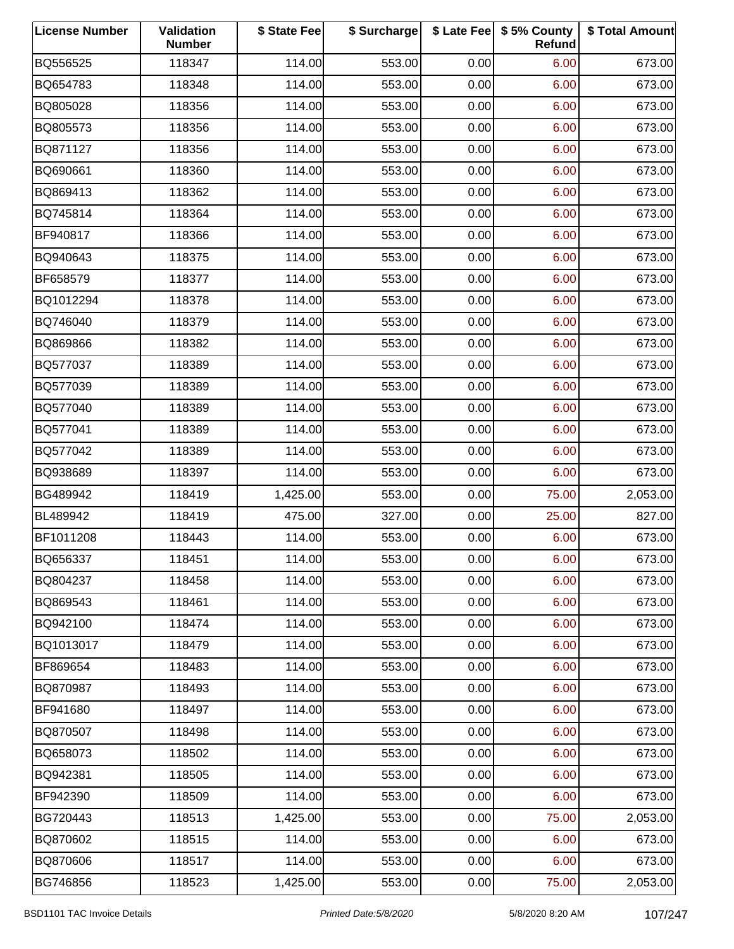| <b>License Number</b> | Validation<br><b>Number</b> | \$ State Fee | \$ Surcharge |      | \$ Late Fee   \$5% County<br>Refund | \$ Total Amount |
|-----------------------|-----------------------------|--------------|--------------|------|-------------------------------------|-----------------|
| BQ556525              | 118347                      | 114.00       | 553.00       | 0.00 | 6.00                                | 673.00          |
| BQ654783              | 118348                      | 114.00       | 553.00       | 0.00 | 6.00                                | 673.00          |
| BQ805028              | 118356                      | 114.00       | 553.00       | 0.00 | 6.00                                | 673.00          |
| BQ805573              | 118356                      | 114.00       | 553.00       | 0.00 | 6.00                                | 673.00          |
| BQ871127              | 118356                      | 114.00       | 553.00       | 0.00 | 6.00                                | 673.00          |
| BQ690661              | 118360                      | 114.00       | 553.00       | 0.00 | 6.00                                | 673.00          |
| BQ869413              | 118362                      | 114.00       | 553.00       | 0.00 | 6.00                                | 673.00          |
| BQ745814              | 118364                      | 114.00       | 553.00       | 0.00 | 6.00                                | 673.00          |
| BF940817              | 118366                      | 114.00       | 553.00       | 0.00 | 6.00                                | 673.00          |
| BQ940643              | 118375                      | 114.00       | 553.00       | 0.00 | 6.00                                | 673.00          |
| BF658579              | 118377                      | 114.00       | 553.00       | 0.00 | 6.00                                | 673.00          |
| BQ1012294             | 118378                      | 114.00       | 553.00       | 0.00 | 6.00                                | 673.00          |
| BQ746040              | 118379                      | 114.00       | 553.00       | 0.00 | 6.00                                | 673.00          |
| BQ869866              | 118382                      | 114.00       | 553.00       | 0.00 | 6.00                                | 673.00          |
| BQ577037              | 118389                      | 114.00       | 553.00       | 0.00 | 6.00                                | 673.00          |
| BQ577039              | 118389                      | 114.00       | 553.00       | 0.00 | 6.00                                | 673.00          |
| BQ577040              | 118389                      | 114.00       | 553.00       | 0.00 | 6.00                                | 673.00          |
| BQ577041              | 118389                      | 114.00       | 553.00       | 0.00 | 6.00                                | 673.00          |
| BQ577042              | 118389                      | 114.00       | 553.00       | 0.00 | 6.00                                | 673.00          |
| BQ938689              | 118397                      | 114.00       | 553.00       | 0.00 | 6.00                                | 673.00          |
| BG489942              | 118419                      | 1,425.00     | 553.00       | 0.00 | 75.00                               | 2,053.00        |
| BL489942              | 118419                      | 475.00       | 327.00       | 0.00 | 25.00                               | 827.00          |
| BF1011208             | 118443                      | 114.00       | 553.00       | 0.00 | 6.00                                | 673.00          |
| BQ656337              | 118451                      | 114.00       | 553.00       | 0.00 | 6.00                                | 673.00          |
| BQ804237              | 118458                      | 114.00       | 553.00       | 0.00 | 6.00                                | 673.00          |
| BQ869543              | 118461                      | 114.00       | 553.00       | 0.00 | 6.00                                | 673.00          |
| BQ942100              | 118474                      | 114.00       | 553.00       | 0.00 | 6.00                                | 673.00          |
| BQ1013017             | 118479                      | 114.00       | 553.00       | 0.00 | 6.00                                | 673.00          |
| BF869654              | 118483                      | 114.00       | 553.00       | 0.00 | 6.00                                | 673.00          |
| BQ870987              | 118493                      | 114.00       | 553.00       | 0.00 | 6.00                                | 673.00          |
| BF941680              | 118497                      | 114.00       | 553.00       | 0.00 | 6.00                                | 673.00          |
| BQ870507              | 118498                      | 114.00       | 553.00       | 0.00 | 6.00                                | 673.00          |
| BQ658073              | 118502                      | 114.00       | 553.00       | 0.00 | 6.00                                | 673.00          |
| BQ942381              | 118505                      | 114.00       | 553.00       | 0.00 | 6.00                                | 673.00          |
| BF942390              | 118509                      | 114.00       | 553.00       | 0.00 | 6.00                                | 673.00          |
| BG720443              | 118513                      | 1,425.00     | 553.00       | 0.00 | 75.00                               | 2,053.00        |
| BQ870602              | 118515                      | 114.00       | 553.00       | 0.00 | 6.00                                | 673.00          |
| BQ870606              | 118517                      | 114.00       | 553.00       | 0.00 | 6.00                                | 673.00          |
| BG746856              | 118523                      | 1,425.00     | 553.00       | 0.00 | 75.00                               | 2,053.00        |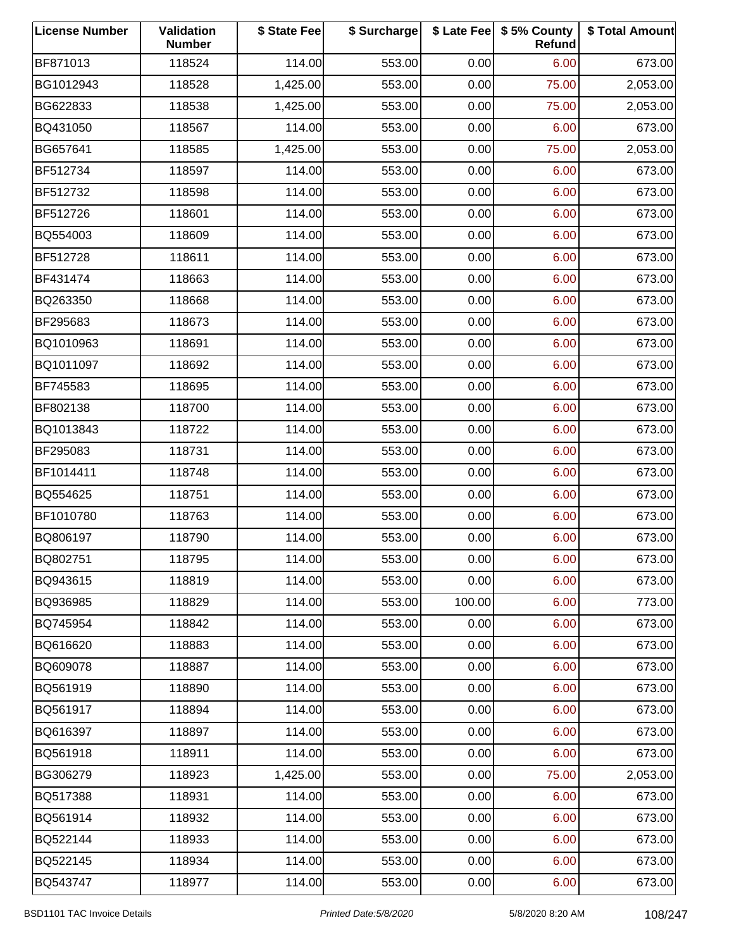| <b>License Number</b> | Validation<br><b>Number</b> | \$ State Fee | \$ Surcharge |        | \$ Late Fee   \$5% County<br>Refund | \$ Total Amount |
|-----------------------|-----------------------------|--------------|--------------|--------|-------------------------------------|-----------------|
| BF871013              | 118524                      | 114.00       | 553.00       | 0.00   | 6.00                                | 673.00          |
| BG1012943             | 118528                      | 1,425.00     | 553.00       | 0.00   | 75.00                               | 2,053.00        |
| BG622833              | 118538                      | 1,425.00     | 553.00       | 0.00   | 75.00                               | 2,053.00        |
| BQ431050              | 118567                      | 114.00       | 553.00       | 0.00   | 6.00                                | 673.00          |
| BG657641              | 118585                      | 1,425.00     | 553.00       | 0.00   | 75.00                               | 2,053.00        |
| BF512734              | 118597                      | 114.00       | 553.00       | 0.00   | 6.00                                | 673.00          |
| BF512732              | 118598                      | 114.00       | 553.00       | 0.00   | 6.00                                | 673.00          |
| BF512726              | 118601                      | 114.00       | 553.00       | 0.00   | 6.00                                | 673.00          |
| BQ554003              | 118609                      | 114.00       | 553.00       | 0.00   | 6.00                                | 673.00          |
| BF512728              | 118611                      | 114.00       | 553.00       | 0.00   | 6.00                                | 673.00          |
| BF431474              | 118663                      | 114.00       | 553.00       | 0.00   | 6.00                                | 673.00          |
| BQ263350              | 118668                      | 114.00       | 553.00       | 0.00   | 6.00                                | 673.00          |
| BF295683              | 118673                      | 114.00       | 553.00       | 0.00   | 6.00                                | 673.00          |
| BQ1010963             | 118691                      | 114.00       | 553.00       | 0.00   | 6.00                                | 673.00          |
| BQ1011097             | 118692                      | 114.00       | 553.00       | 0.00   | 6.00                                | 673.00          |
| BF745583              | 118695                      | 114.00       | 553.00       | 0.00   | 6.00                                | 673.00          |
| BF802138              | 118700                      | 114.00       | 553.00       | 0.00   | 6.00                                | 673.00          |
| BQ1013843             | 118722                      | 114.00       | 553.00       | 0.00   | 6.00                                | 673.00          |
| BF295083              | 118731                      | 114.00       | 553.00       | 0.00   | 6.00                                | 673.00          |
| BF1014411             | 118748                      | 114.00       | 553.00       | 0.00   | 6.00                                | 673.00          |
| BQ554625              | 118751                      | 114.00       | 553.00       | 0.00   | 6.00                                | 673.00          |
| BF1010780             | 118763                      | 114.00       | 553.00       | 0.00   | 6.00                                | 673.00          |
| BQ806197              | 118790                      | 114.00       | 553.00       | 0.00   | 6.00                                | 673.00          |
| BQ802751              | 118795                      | 114.00       | 553.00       | 0.00   | 6.00                                | 673.00          |
| BQ943615              | 118819                      | 114.00       | 553.00       | 0.00   | 6.00                                | 673.00          |
| BQ936985              | 118829                      | 114.00       | 553.00       | 100.00 | 6.00                                | 773.00          |
| BQ745954              | 118842                      | 114.00       | 553.00       | 0.00   | 6.00                                | 673.00          |
| BQ616620              | 118883                      | 114.00       | 553.00       | 0.00   | 6.00                                | 673.00          |
| BQ609078              | 118887                      | 114.00       | 553.00       | 0.00   | 6.00                                | 673.00          |
| BQ561919              | 118890                      | 114.00       | 553.00       | 0.00   | 6.00                                | 673.00          |
| BQ561917              | 118894                      | 114.00       | 553.00       | 0.00   | 6.00                                | 673.00          |
| BQ616397              | 118897                      | 114.00       | 553.00       | 0.00   | 6.00                                | 673.00          |
| BQ561918              | 118911                      | 114.00       | 553.00       | 0.00   | 6.00                                | 673.00          |
| BG306279              | 118923                      | 1,425.00     | 553.00       | 0.00   | 75.00                               | 2,053.00        |
| BQ517388              | 118931                      | 114.00       | 553.00       | 0.00   | 6.00                                | 673.00          |
| BQ561914              | 118932                      | 114.00       | 553.00       | 0.00   | 6.00                                | 673.00          |
| BQ522144              | 118933                      | 114.00       | 553.00       | 0.00   | 6.00                                | 673.00          |
| BQ522145              | 118934                      | 114.00       | 553.00       | 0.00   | 6.00                                | 673.00          |
| BQ543747              | 118977                      | 114.00       | 553.00       | 0.00   | 6.00                                | 673.00          |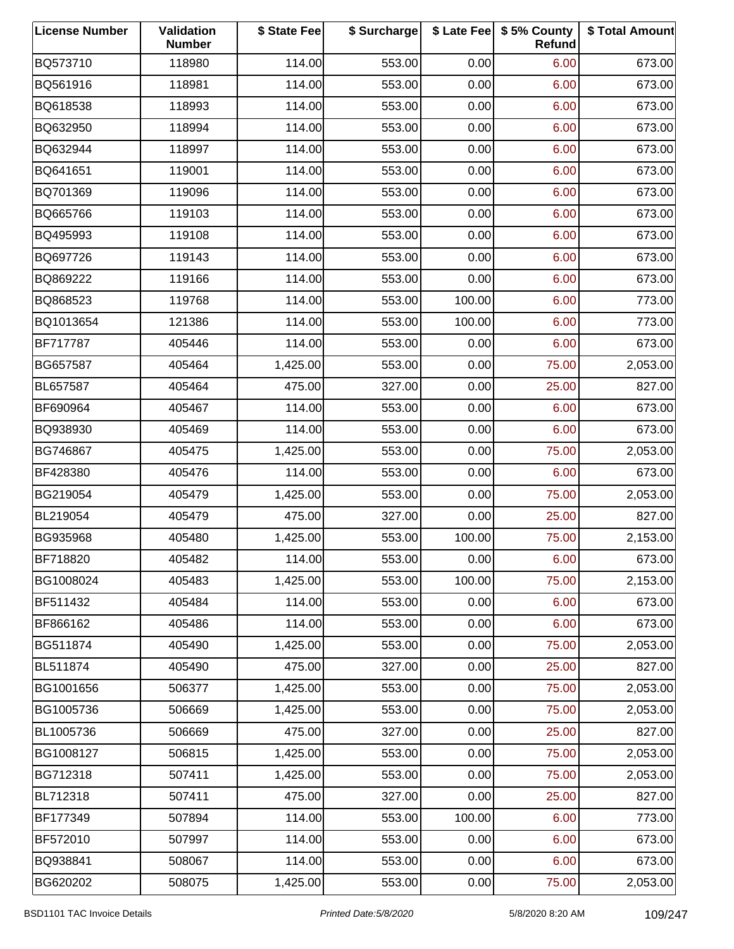| <b>License Number</b> | Validation<br><b>Number</b> | \$ State Fee | \$ Surcharge |        | \$ Late Fee   \$5% County<br>Refund | \$ Total Amount |
|-----------------------|-----------------------------|--------------|--------------|--------|-------------------------------------|-----------------|
| BQ573710              | 118980                      | 114.00       | 553.00       | 0.00   | 6.00                                | 673.00          |
| BQ561916              | 118981                      | 114.00       | 553.00       | 0.00   | 6.00                                | 673.00          |
| BQ618538              | 118993                      | 114.00       | 553.00       | 0.00   | 6.00                                | 673.00          |
| BQ632950              | 118994                      | 114.00       | 553.00       | 0.00   | 6.00                                | 673.00          |
| BQ632944              | 118997                      | 114.00       | 553.00       | 0.00   | 6.00                                | 673.00          |
| BQ641651              | 119001                      | 114.00       | 553.00       | 0.00   | 6.00                                | 673.00          |
| BQ701369              | 119096                      | 114.00       | 553.00       | 0.00   | 6.00                                | 673.00          |
| BQ665766              | 119103                      | 114.00       | 553.00       | 0.00   | 6.00                                | 673.00          |
| BQ495993              | 119108                      | 114.00       | 553.00       | 0.00   | 6.00                                | 673.00          |
| BQ697726              | 119143                      | 114.00       | 553.00       | 0.00   | 6.00                                | 673.00          |
| BQ869222              | 119166                      | 114.00       | 553.00       | 0.00   | 6.00                                | 673.00          |
| BQ868523              | 119768                      | 114.00       | 553.00       | 100.00 | 6.00                                | 773.00          |
| BQ1013654             | 121386                      | 114.00       | 553.00       | 100.00 | 6.00                                | 773.00          |
| BF717787              | 405446                      | 114.00       | 553.00       | 0.00   | 6.00                                | 673.00          |
| BG657587              | 405464                      | 1,425.00     | 553.00       | 0.00   | 75.00                               | 2,053.00        |
| BL657587              | 405464                      | 475.00       | 327.00       | 0.00   | 25.00                               | 827.00          |
| BF690964              | 405467                      | 114.00       | 553.00       | 0.00   | 6.00                                | 673.00          |
| BQ938930              | 405469                      | 114.00       | 553.00       | 0.00   | 6.00                                | 673.00          |
| BG746867              | 405475                      | 1,425.00     | 553.00       | 0.00   | 75.00                               | 2,053.00        |
| BF428380              | 405476                      | 114.00       | 553.00       | 0.00   | 6.00                                | 673.00          |
| BG219054              | 405479                      | 1,425.00     | 553.00       | 0.00   | 75.00                               | 2,053.00        |
| BL219054              | 405479                      | 475.00       | 327.00       | 0.00   | 25.00                               | 827.00          |
| BG935968              | 405480                      | 1,425.00     | 553.00       | 100.00 | 75.00                               | 2,153.00        |
| BF718820              | 405482                      | 114.00       | 553.00       | 0.00   | 6.00                                | 673.00          |
| BG1008024             | 405483                      | 1,425.00     | 553.00       | 100.00 | 75.00                               | 2,153.00        |
| BF511432              | 405484                      | 114.00       | 553.00       | 0.00   | 6.00                                | 673.00          |
| BF866162              | 405486                      | 114.00       | 553.00       | 0.00   | 6.00                                | 673.00          |
| BG511874              | 405490                      | 1,425.00     | 553.00       | 0.00   | 75.00                               | 2,053.00        |
| BL511874              | 405490                      | 475.00       | 327.00       | 0.00   | 25.00                               | 827.00          |
| BG1001656             | 506377                      | 1,425.00     | 553.00       | 0.00   | 75.00                               | 2,053.00        |
| BG1005736             | 506669                      | 1,425.00     | 553.00       | 0.00   | 75.00                               | 2,053.00        |
| BL1005736             | 506669                      | 475.00       | 327.00       | 0.00   | 25.00                               | 827.00          |
| BG1008127             | 506815                      | 1,425.00     | 553.00       | 0.00   | 75.00                               | 2,053.00        |
| BG712318              | 507411                      | 1,425.00     | 553.00       | 0.00   | 75.00                               | 2,053.00        |
| BL712318              | 507411                      | 475.00       | 327.00       | 0.00   | 25.00                               | 827.00          |
| BF177349              | 507894                      | 114.00       | 553.00       | 100.00 | 6.00                                | 773.00          |
| BF572010              | 507997                      | 114.00       | 553.00       | 0.00   | 6.00                                | 673.00          |
| BQ938841              | 508067                      | 114.00       | 553.00       | 0.00   | 6.00                                | 673.00          |
| BG620202              | 508075                      | 1,425.00     | 553.00       | 0.00   | 75.00                               | 2,053.00        |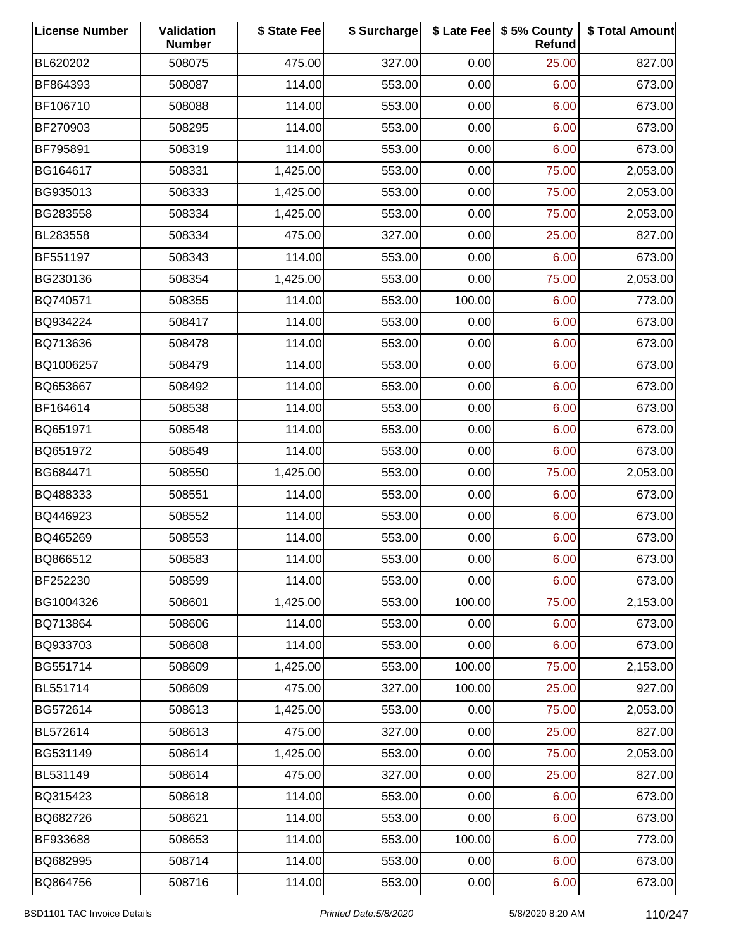| <b>License Number</b> | Validation<br><b>Number</b> | \$ State Fee | \$ Surcharge |        | \$ Late Fee   \$5% County<br>Refund | \$ Total Amount |
|-----------------------|-----------------------------|--------------|--------------|--------|-------------------------------------|-----------------|
| BL620202              | 508075                      | 475.00       | 327.00       | 0.00   | 25.00                               | 827.00          |
| BF864393              | 508087                      | 114.00       | 553.00       | 0.00   | 6.00                                | 673.00          |
| BF106710              | 508088                      | 114.00       | 553.00       | 0.00   | 6.00                                | 673.00          |
| BF270903              | 508295                      | 114.00       | 553.00       | 0.00   | 6.00                                | 673.00          |
| BF795891              | 508319                      | 114.00       | 553.00       | 0.00   | 6.00                                | 673.00          |
| BG164617              | 508331                      | 1,425.00     | 553.00       | 0.00   | 75.00                               | 2,053.00        |
| BG935013              | 508333                      | 1,425.00     | 553.00       | 0.00   | 75.00                               | 2,053.00        |
| BG283558              | 508334                      | 1,425.00     | 553.00       | 0.00   | 75.00                               | 2,053.00        |
| BL283558              | 508334                      | 475.00       | 327.00       | 0.00   | 25.00                               | 827.00          |
| BF551197              | 508343                      | 114.00       | 553.00       | 0.00   | 6.00                                | 673.00          |
| BG230136              | 508354                      | 1,425.00     | 553.00       | 0.00   | 75.00                               | 2,053.00        |
| BQ740571              | 508355                      | 114.00       | 553.00       | 100.00 | 6.00                                | 773.00          |
| BQ934224              | 508417                      | 114.00       | 553.00       | 0.00   | 6.00                                | 673.00          |
| BQ713636              | 508478                      | 114.00       | 553.00       | 0.00   | 6.00                                | 673.00          |
| BQ1006257             | 508479                      | 114.00       | 553.00       | 0.00   | 6.00                                | 673.00          |
| BQ653667              | 508492                      | 114.00       | 553.00       | 0.00   | 6.00                                | 673.00          |
| BF164614              | 508538                      | 114.00       | 553.00       | 0.00   | 6.00                                | 673.00          |
| BQ651971              | 508548                      | 114.00       | 553.00       | 0.00   | 6.00                                | 673.00          |
| BQ651972              | 508549                      | 114.00       | 553.00       | 0.00   | 6.00                                | 673.00          |
| BG684471              | 508550                      | 1,425.00     | 553.00       | 0.00   | 75.00                               | 2,053.00        |
| BQ488333              | 508551                      | 114.00       | 553.00       | 0.00   | 6.00                                | 673.00          |
| BQ446923              | 508552                      | 114.00       | 553.00       | 0.00   | 6.00                                | 673.00          |
| BQ465269              | 508553                      | 114.00       | 553.00       | 0.00   | 6.00                                | 673.00          |
| BQ866512              | 508583                      | 114.00       | 553.00       | 0.00   | 6.00                                | 673.00          |
| BF252230              | 508599                      | 114.00       | 553.00       | 0.00   | 6.00                                | 673.00          |
| BG1004326             | 508601                      | 1,425.00     | 553.00       | 100.00 | 75.00                               | 2,153.00        |
| BQ713864              | 508606                      | 114.00       | 553.00       | 0.00   | 6.00                                | 673.00          |
| BQ933703              | 508608                      | 114.00       | 553.00       | 0.00   | 6.00                                | 673.00          |
| BG551714              | 508609                      | 1,425.00     | 553.00       | 100.00 | 75.00                               | 2,153.00        |
| BL551714              | 508609                      | 475.00       | 327.00       | 100.00 | 25.00                               | 927.00          |
| BG572614              | 508613                      | 1,425.00     | 553.00       | 0.00   | 75.00                               | 2,053.00        |
| BL572614              | 508613                      | 475.00       | 327.00       | 0.00   | 25.00                               | 827.00          |
| BG531149              | 508614                      | 1,425.00     | 553.00       | 0.00   | 75.00                               | 2,053.00        |
| BL531149              | 508614                      | 475.00       | 327.00       | 0.00   | 25.00                               | 827.00          |
| BQ315423              | 508618                      | 114.00       | 553.00       | 0.00   | 6.00                                | 673.00          |
| BQ682726              | 508621                      | 114.00       | 553.00       | 0.00   | 6.00                                | 673.00          |
| BF933688              | 508653                      | 114.00       | 553.00       | 100.00 | 6.00                                | 773.00          |
| BQ682995              | 508714                      | 114.00       | 553.00       | 0.00   | 6.00                                | 673.00          |
| BQ864756              | 508716                      | 114.00       | 553.00       | 0.00   | 6.00                                | 673.00          |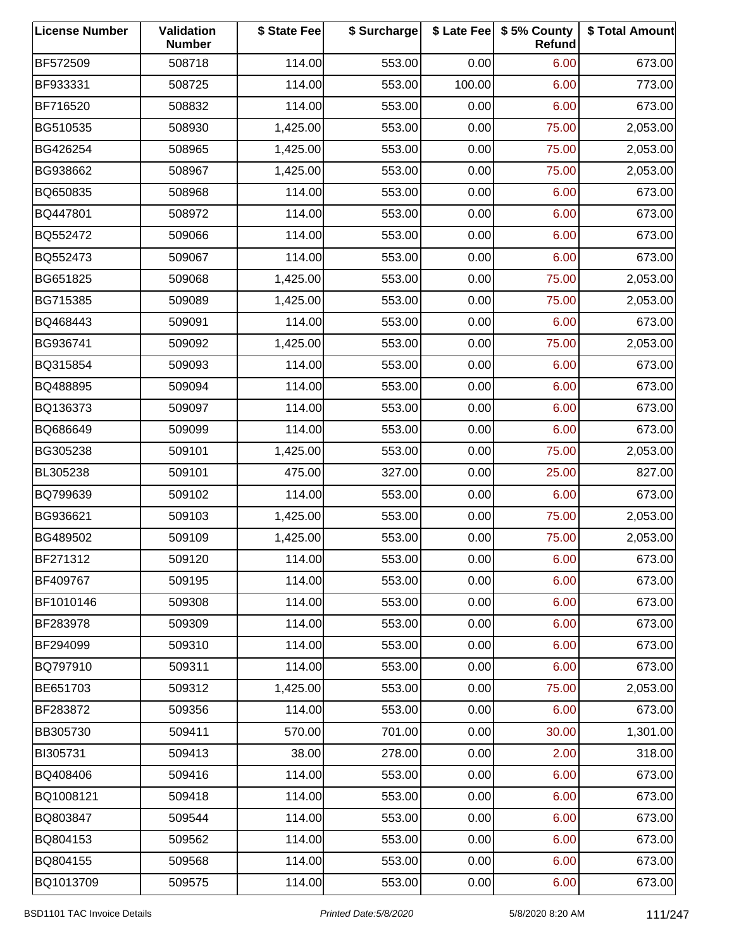| <b>License Number</b> | Validation<br><b>Number</b> | \$ State Fee | \$ Surcharge |        | \$ Late Fee   \$5% County<br>Refund | \$ Total Amount |
|-----------------------|-----------------------------|--------------|--------------|--------|-------------------------------------|-----------------|
| BF572509              | 508718                      | 114.00       | 553.00       | 0.00   | 6.00                                | 673.00          |
| BF933331              | 508725                      | 114.00       | 553.00       | 100.00 | 6.00                                | 773.00          |
| BF716520              | 508832                      | 114.00       | 553.00       | 0.00   | 6.00                                | 673.00          |
| BG510535              | 508930                      | 1,425.00     | 553.00       | 0.00   | 75.00                               | 2,053.00        |
| BG426254              | 508965                      | 1,425.00     | 553.00       | 0.00   | 75.00                               | 2,053.00        |
| BG938662              | 508967                      | 1,425.00     | 553.00       | 0.00   | 75.00                               | 2,053.00        |
| BQ650835              | 508968                      | 114.00       | 553.00       | 0.00   | 6.00                                | 673.00          |
| BQ447801              | 508972                      | 114.00       | 553.00       | 0.00   | 6.00                                | 673.00          |
| BQ552472              | 509066                      | 114.00       | 553.00       | 0.00   | 6.00                                | 673.00          |
| BQ552473              | 509067                      | 114.00       | 553.00       | 0.00   | 6.00                                | 673.00          |
| BG651825              | 509068                      | 1,425.00     | 553.00       | 0.00   | 75.00                               | 2,053.00        |
| BG715385              | 509089                      | 1,425.00     | 553.00       | 0.00   | 75.00                               | 2,053.00        |
| BQ468443              | 509091                      | 114.00       | 553.00       | 0.00   | 6.00                                | 673.00          |
| BG936741              | 509092                      | 1,425.00     | 553.00       | 0.00   | 75.00                               | 2,053.00        |
| BQ315854              | 509093                      | 114.00       | 553.00       | 0.00   | 6.00                                | 673.00          |
| BQ488895              | 509094                      | 114.00       | 553.00       | 0.00   | 6.00                                | 673.00          |
| BQ136373              | 509097                      | 114.00       | 553.00       | 0.00   | 6.00                                | 673.00          |
| BQ686649              | 509099                      | 114.00       | 553.00       | 0.00   | 6.00                                | 673.00          |
| BG305238              | 509101                      | 1,425.00     | 553.00       | 0.00   | 75.00                               | 2,053.00        |
| BL305238              | 509101                      | 475.00       | 327.00       | 0.00   | 25.00                               | 827.00          |
| BQ799639              | 509102                      | 114.00       | 553.00       | 0.00   | 6.00                                | 673.00          |
| BG936621              | 509103                      | 1,425.00     | 553.00       | 0.00   | 75.00                               | 2,053.00        |
| BG489502              | 509109                      | 1,425.00     | 553.00       | 0.00   | 75.00                               | 2,053.00        |
| BF271312              | 509120                      | 114.00       | 553.00       | 0.00   | 6.00                                | 673.00          |
| BF409767              | 509195                      | 114.00       | 553.00       | 0.00   | 6.00                                | 673.00          |
| BF1010146             | 509308                      | 114.00       | 553.00       | 0.00   | 6.00                                | 673.00          |
| BF283978              | 509309                      | 114.00       | 553.00       | 0.00   | 6.00                                | 673.00          |
| BF294099              | 509310                      | 114.00       | 553.00       | 0.00   | 6.00                                | 673.00          |
| BQ797910              | 509311                      | 114.00       | 553.00       | 0.00   | 6.00                                | 673.00          |
| BE651703              | 509312                      | 1,425.00     | 553.00       | 0.00   | 75.00                               | 2,053.00        |
| BF283872              | 509356                      | 114.00       | 553.00       | 0.00   | 6.00                                | 673.00          |
| BB305730              | 509411                      | 570.00       | 701.00       | 0.00   | 30.00                               | 1,301.00        |
| BI305731              | 509413                      | 38.00        | 278.00       | 0.00   | 2.00                                | 318.00          |
| BQ408406              | 509416                      | 114.00       | 553.00       | 0.00   | 6.00                                | 673.00          |
| BQ1008121             | 509418                      | 114.00       | 553.00       | 0.00   | 6.00                                | 673.00          |
| BQ803847              | 509544                      | 114.00       | 553.00       | 0.00   | 6.00                                | 673.00          |
| BQ804153              | 509562                      | 114.00       | 553.00       | 0.00   | 6.00                                | 673.00          |
| BQ804155              | 509568                      | 114.00       | 553.00       | 0.00   | 6.00                                | 673.00          |
| BQ1013709             | 509575                      | 114.00       | 553.00       | 0.00   | 6.00                                | 673.00          |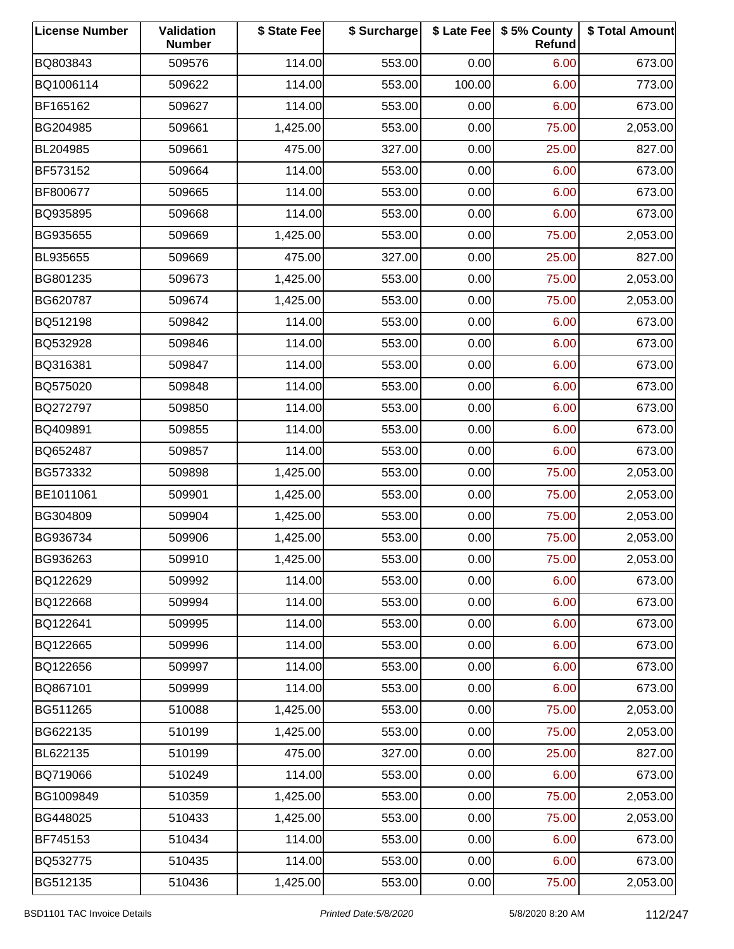| <b>License Number</b> | Validation<br><b>Number</b> | \$ State Fee | \$ Surcharge |        | \$ Late Fee   \$5% County<br>Refund | \$ Total Amount |
|-----------------------|-----------------------------|--------------|--------------|--------|-------------------------------------|-----------------|
| BQ803843              | 509576                      | 114.00       | 553.00       | 0.00   | 6.00                                | 673.00          |
| BQ1006114             | 509622                      | 114.00       | 553.00       | 100.00 | 6.00                                | 773.00          |
| BF165162              | 509627                      | 114.00       | 553.00       | 0.00   | 6.00                                | 673.00          |
| BG204985              | 509661                      | 1,425.00     | 553.00       | 0.00   | 75.00                               | 2,053.00        |
| BL204985              | 509661                      | 475.00       | 327.00       | 0.00   | 25.00                               | 827.00          |
| BF573152              | 509664                      | 114.00       | 553.00       | 0.00   | 6.00                                | 673.00          |
| BF800677              | 509665                      | 114.00       | 553.00       | 0.00   | 6.00                                | 673.00          |
| BQ935895              | 509668                      | 114.00       | 553.00       | 0.00   | 6.00                                | 673.00          |
| BG935655              | 509669                      | 1,425.00     | 553.00       | 0.00   | 75.00                               | 2,053.00        |
| BL935655              | 509669                      | 475.00       | 327.00       | 0.00   | 25.00                               | 827.00          |
| BG801235              | 509673                      | 1,425.00     | 553.00       | 0.00   | 75.00                               | 2,053.00        |
| BG620787              | 509674                      | 1,425.00     | 553.00       | 0.00   | 75.00                               | 2,053.00        |
| BQ512198              | 509842                      | 114.00       | 553.00       | 0.00   | 6.00                                | 673.00          |
| BQ532928              | 509846                      | 114.00       | 553.00       | 0.00   | 6.00                                | 673.00          |
| BQ316381              | 509847                      | 114.00       | 553.00       | 0.00   | 6.00                                | 673.00          |
| BQ575020              | 509848                      | 114.00       | 553.00       | 0.00   | 6.00                                | 673.00          |
| BQ272797              | 509850                      | 114.00       | 553.00       | 0.00   | 6.00                                | 673.00          |
| BQ409891              | 509855                      | 114.00       | 553.00       | 0.00   | 6.00                                | 673.00          |
| BQ652487              | 509857                      | 114.00       | 553.00       | 0.00   | 6.00                                | 673.00          |
| BG573332              | 509898                      | 1,425.00     | 553.00       | 0.00   | 75.00                               | 2,053.00        |
| BE1011061             | 509901                      | 1,425.00     | 553.00       | 0.00   | 75.00                               | 2,053.00        |
| BG304809              | 509904                      | 1,425.00     | 553.00       | 0.00   | 75.00                               | 2,053.00        |
| BG936734              | 509906                      | 1,425.00     | 553.00       | 0.00   | 75.00                               | 2,053.00        |
| BG936263              | 509910                      | 1,425.00     | 553.00       | 0.00   | 75.00                               | 2,053.00        |
| BQ122629              | 509992                      | 114.00       | 553.00       | 0.00   | 6.00                                | 673.00          |
| BQ122668              | 509994                      | 114.00       | 553.00       | 0.00   | 6.00                                | 673.00          |
| BQ122641              | 509995                      | 114.00       | 553.00       | 0.00   | 6.00                                | 673.00          |
| BQ122665              | 509996                      | 114.00       | 553.00       | 0.00   | 6.00                                | 673.00          |
| BQ122656              | 509997                      | 114.00       | 553.00       | 0.00   | 6.00                                | 673.00          |
| BQ867101              | 509999                      | 114.00       | 553.00       | 0.00   | 6.00                                | 673.00          |
| BG511265              | 510088                      | 1,425.00     | 553.00       | 0.00   | 75.00                               | 2,053.00        |
| BG622135              | 510199                      | 1,425.00     | 553.00       | 0.00   | 75.00                               | 2,053.00        |
| BL622135              | 510199                      | 475.00       | 327.00       | 0.00   | 25.00                               | 827.00          |
| BQ719066              | 510249                      | 114.00       | 553.00       | 0.00   | 6.00                                | 673.00          |
| BG1009849             | 510359                      | 1,425.00     | 553.00       | 0.00   | 75.00                               | 2,053.00        |
| BG448025              | 510433                      | 1,425.00     | 553.00       | 0.00   | 75.00                               | 2,053.00        |
| BF745153              | 510434                      | 114.00       | 553.00       | 0.00   | 6.00                                | 673.00          |
| BQ532775              | 510435                      | 114.00       | 553.00       | 0.00   | 6.00                                | 673.00          |
| BG512135              | 510436                      | 1,425.00     | 553.00       | 0.00   | 75.00                               | 2,053.00        |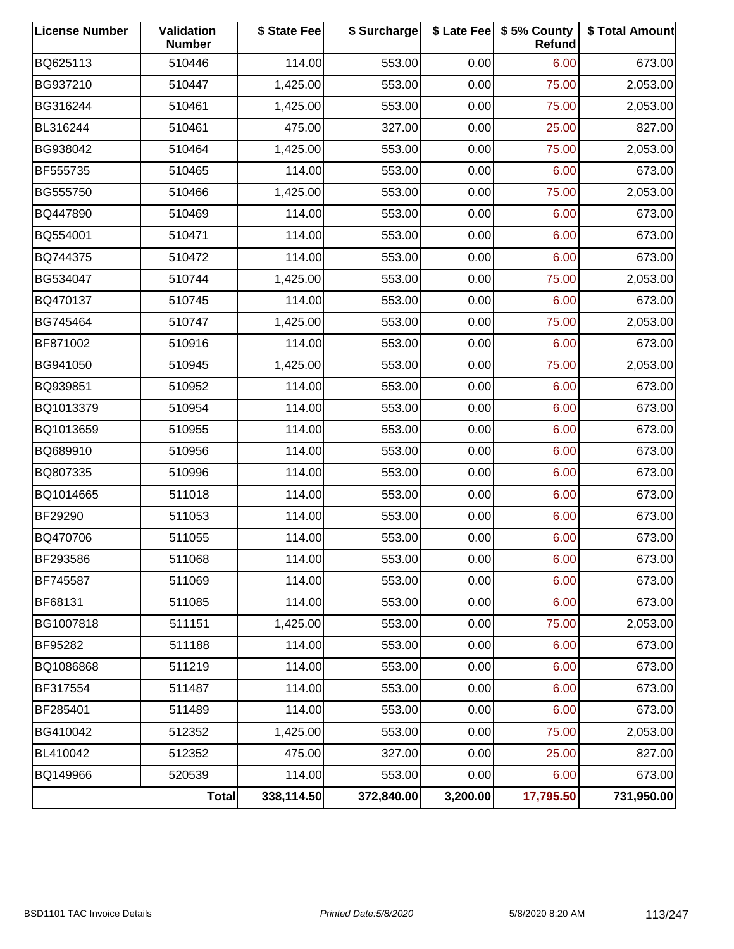| <b>License Number</b> | Validation<br><b>Number</b> | \$ State Fee | \$ Surcharge |          | \$ Late Fee   \$5% County<br><b>Refund</b> | \$ Total Amount |
|-----------------------|-----------------------------|--------------|--------------|----------|--------------------------------------------|-----------------|
| BQ625113              | 510446                      | 114.00       | 553.00       | 0.00     | 6.00                                       | 673.00          |
| BG937210              | 510447                      | 1,425.00     | 553.00       | 0.00     | 75.00                                      | 2,053.00        |
| BG316244              | 510461                      | 1,425.00     | 553.00       | 0.00     | 75.00                                      | 2,053.00        |
| BL316244              | 510461                      | 475.00       | 327.00       | 0.00     | 25.00                                      | 827.00          |
| BG938042              | 510464                      | 1,425.00     | 553.00       | 0.00     | 75.00                                      | 2,053.00        |
| BF555735              | 510465                      | 114.00       | 553.00       | 0.00     | 6.00                                       | 673.00          |
| BG555750              | 510466                      | 1,425.00     | 553.00       | 0.00     | 75.00                                      | 2,053.00        |
| BQ447890              | 510469                      | 114.00       | 553.00       | 0.00     | 6.00                                       | 673.00          |
| BQ554001              | 510471                      | 114.00       | 553.00       | 0.00     | 6.00                                       | 673.00          |
| BQ744375              | 510472                      | 114.00       | 553.00       | 0.00     | 6.00                                       | 673.00          |
| BG534047              | 510744                      | 1,425.00     | 553.00       | 0.00     | 75.00                                      | 2,053.00        |
| BQ470137              | 510745                      | 114.00       | 553.00       | 0.00     | 6.00                                       | 673.00          |
| BG745464              | 510747                      | 1,425.00     | 553.00       | 0.00     | 75.00                                      | 2,053.00        |
| BF871002              | 510916                      | 114.00       | 553.00       | 0.00     | 6.00                                       | 673.00          |
| BG941050              | 510945                      | 1,425.00     | 553.00       | 0.00     | 75.00                                      | 2,053.00        |
| BQ939851              | 510952                      | 114.00       | 553.00       | 0.00     | 6.00                                       | 673.00          |
| BQ1013379             | 510954                      | 114.00       | 553.00       | 0.00     | 6.00                                       | 673.00          |
| BQ1013659             | 510955                      | 114.00       | 553.00       | 0.00     | 6.00                                       | 673.00          |
| BQ689910              | 510956                      | 114.00       | 553.00       | 0.00     | 6.00                                       | 673.00          |
| BQ807335              | 510996                      | 114.00       | 553.00       | 0.00     | 6.00                                       | 673.00          |
| BQ1014665             | 511018                      | 114.00       | 553.00       | 0.00     | 6.00                                       | 673.00          |
| BF29290               | 511053                      | 114.00       | 553.00       | 0.00     | 6.00                                       | 673.00          |
| BQ470706              | 511055                      | 114.00       | 553.00       | 0.00     | 6.00                                       | 673.00          |
| BF293586              | 511068                      | 114.00       | 553.00       | 0.00     | 6.00                                       | 673.00          |
| BF745587              | 511069                      | 114.00       | 553.00       | 0.00     | 6.00                                       | 673.00          |
| BF68131               | 511085                      | 114.00       | 553.00       | 0.00     | 6.00                                       | 673.00          |
| BG1007818             | 511151                      | 1,425.00     | 553.00       | 0.00     | 75.00                                      | 2,053.00        |
| BF95282               | 511188                      | 114.00       | 553.00       | 0.00     | 6.00                                       | 673.00          |
| BQ1086868             | 511219                      | 114.00       | 553.00       | 0.00     | 6.00                                       | 673.00          |
| BF317554              | 511487                      | 114.00       | 553.00       | 0.00     | 6.00                                       | 673.00          |
| BF285401              | 511489                      | 114.00       | 553.00       | 0.00     | 6.00                                       | 673.00          |
| BG410042              | 512352                      | 1,425.00     | 553.00       | 0.00     | 75.00                                      | 2,053.00        |
| BL410042              | 512352                      | 475.00       | 327.00       | 0.00     | 25.00                                      | 827.00          |
| BQ149966              | 520539                      | 114.00       | 553.00       | 0.00     | 6.00                                       | 673.00          |
|                       | <b>Total</b>                | 338,114.50   | 372,840.00   | 3,200.00 | 17,795.50                                  | 731,950.00      |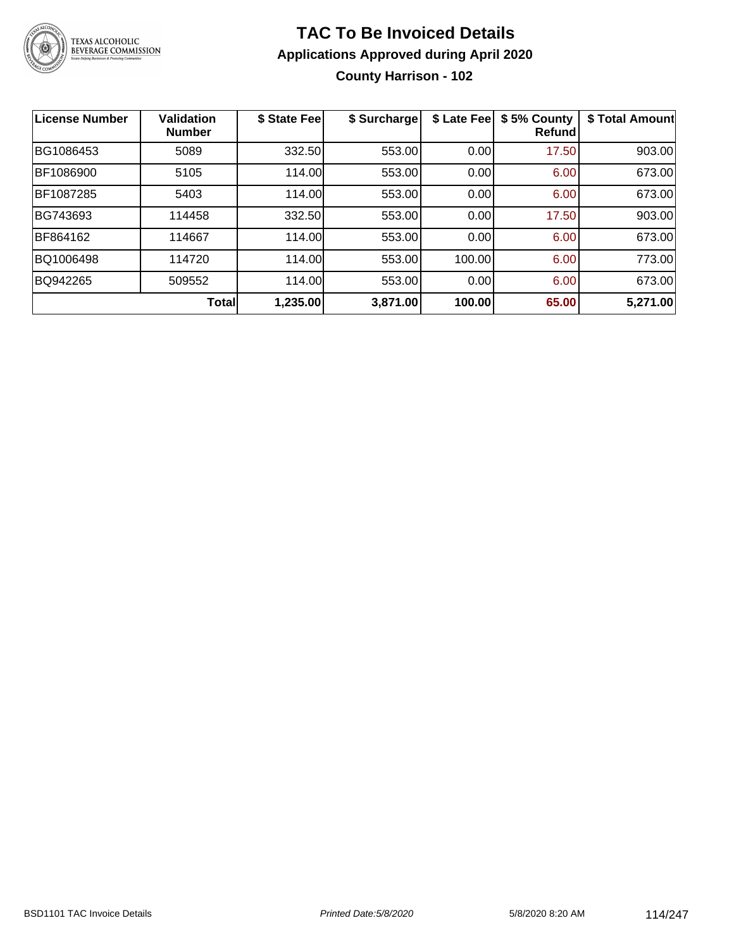

### **TAC To Be Invoiced Details Applications Approved during April 2020 County Harrison - 102**

| <b>License Number</b> | <b>Validation</b><br><b>Number</b> | \$ State Fee | \$ Surcharge | \$ Late Fee | \$5% County<br><b>Refund</b> | \$ Total Amount |
|-----------------------|------------------------------------|--------------|--------------|-------------|------------------------------|-----------------|
| BG1086453             | 5089                               | 332.50       | 553.00       | 0.00        | 17.50                        | 903.00          |
| BF1086900             | 5105                               | 114.00       | 553.00       | 0.00        | 6.00                         | 673.00          |
| BF1087285             | 5403                               | 114.00       | 553.00       | 0.00        | 6.00                         | 673.00          |
| BG743693              | 114458                             | 332.50       | 553.00       | 0.00        | 17.50                        | 903.00          |
| BF864162              | 114667                             | 114.00       | 553.00       | 0.00        | 6.00                         | 673.00          |
| BQ1006498             | 114720                             | 114.00       | 553.00       | 100.00      | 6.00                         | 773.00          |
| BQ942265              | 509552                             | 114.00       | 553.00       | 0.00        | 6.00                         | 673.00          |
|                       | <b>Total</b>                       | 1,235.00     | 3,871.00     | 100.00      | 65.00                        | 5,271.00        |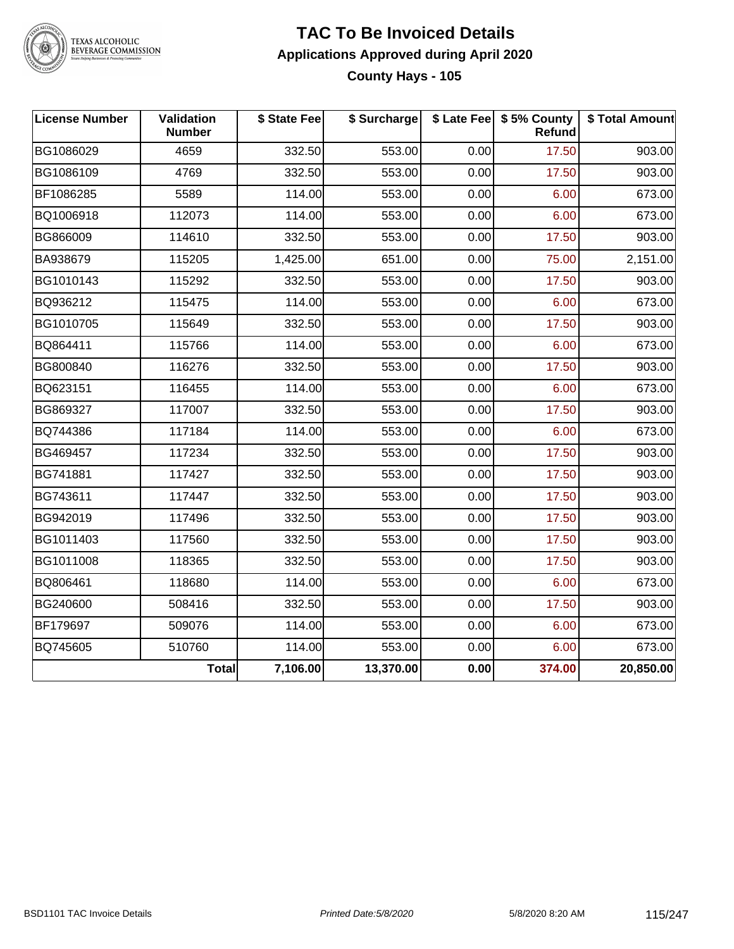

TEXAS ALCOHOLIC<br>BEVERAGE COMMISSION

### **TAC To Be Invoiced Details Applications Approved during April 2020 County Hays - 105**

| <b>License Number</b> | Validation<br><b>Number</b> | \$ State Fee | \$ Surcharge |      | \$ Late Fee   \$5% County<br><b>Refund</b> | \$ Total Amount |
|-----------------------|-----------------------------|--------------|--------------|------|--------------------------------------------|-----------------|
| BG1086029             | 4659                        | 332.50       | 553.00       | 0.00 | 17.50                                      | 903.00          |
| BG1086109             | 4769                        | 332.50       | 553.00       | 0.00 | 17.50                                      | 903.00          |
| BF1086285             | 5589                        | 114.00       | 553.00       | 0.00 | 6.00                                       | 673.00          |
| BQ1006918             | 112073                      | 114.00       | 553.00       | 0.00 | 6.00                                       | 673.00          |
| BG866009              | 114610                      | 332.50       | 553.00       | 0.00 | 17.50                                      | 903.00          |
| BA938679              | 115205                      | 1,425.00     | 651.00       | 0.00 | 75.00                                      | 2,151.00        |
| BG1010143             | 115292                      | 332.50       | 553.00       | 0.00 | 17.50                                      | 903.00          |
| BQ936212              | 115475                      | 114.00       | 553.00       | 0.00 | 6.00                                       | 673.00          |
| BG1010705             | 115649                      | 332.50       | 553.00       | 0.00 | 17.50                                      | 903.00          |
| BQ864411              | 115766                      | 114.00       | 553.00       | 0.00 | 6.00                                       | 673.00          |
| BG800840              | 116276                      | 332.50       | 553.00       | 0.00 | 17.50                                      | 903.00          |
| BQ623151              | 116455                      | 114.00       | 553.00       | 0.00 | 6.00                                       | 673.00          |
| BG869327              | 117007                      | 332.50       | 553.00       | 0.00 | 17.50                                      | 903.00          |
| BQ744386              | 117184                      | 114.00       | 553.00       | 0.00 | 6.00                                       | 673.00          |
| BG469457              | 117234                      | 332.50       | 553.00       | 0.00 | 17.50                                      | 903.00          |
| BG741881              | 117427                      | 332.50       | 553.00       | 0.00 | 17.50                                      | 903.00          |
| BG743611              | 117447                      | 332.50       | 553.00       | 0.00 | 17.50                                      | 903.00          |
| BG942019              | 117496                      | 332.50       | 553.00       | 0.00 | 17.50                                      | 903.00          |
| BG1011403             | 117560                      | 332.50       | 553.00       | 0.00 | 17.50                                      | 903.00          |
| BG1011008             | 118365                      | 332.50       | 553.00       | 0.00 | 17.50                                      | 903.00          |
| BQ806461              | 118680                      | 114.00       | 553.00       | 0.00 | 6.00                                       | 673.00          |
| BG240600              | 508416                      | 332.50       | 553.00       | 0.00 | 17.50                                      | 903.00          |
| BF179697              | 509076                      | 114.00       | 553.00       | 0.00 | 6.00                                       | 673.00          |
| BQ745605              | 510760                      | 114.00       | 553.00       | 0.00 | 6.00                                       | 673.00          |
|                       | Total                       | 7,106.00     | 13,370.00    | 0.00 | 374.00                                     | 20,850.00       |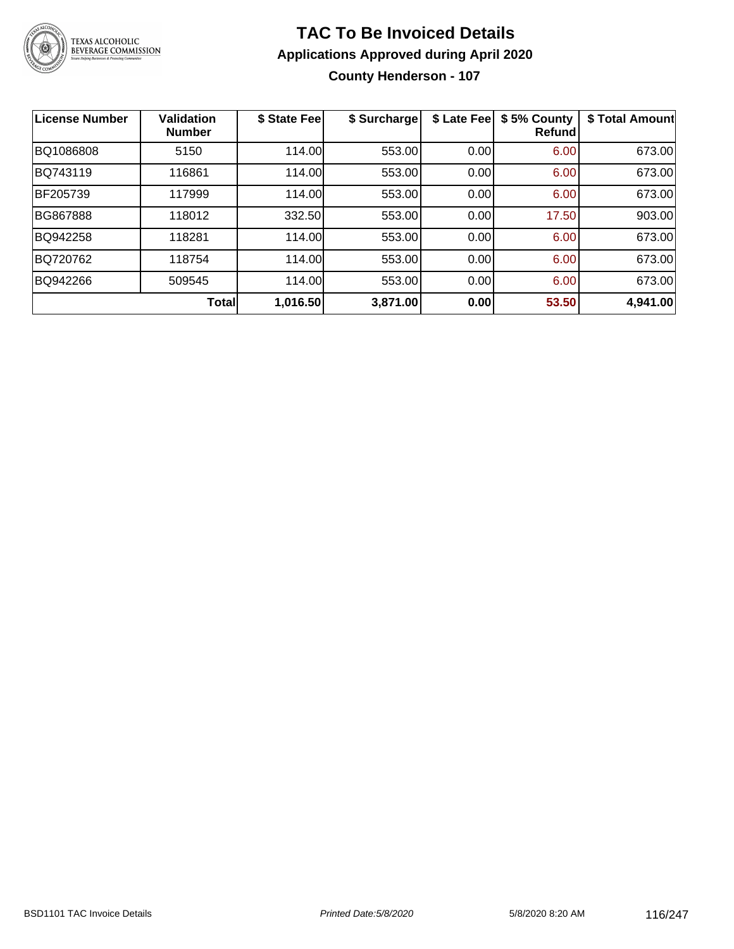

### **TAC To Be Invoiced Details Applications Approved during April 2020 County Henderson - 107**

| <b>License Number</b> | <b>Validation</b><br><b>Number</b> | \$ State Fee | \$ Surcharge | \$ Late Fee | \$5% County<br><b>Refund</b> | \$ Total Amount |
|-----------------------|------------------------------------|--------------|--------------|-------------|------------------------------|-----------------|
| BQ1086808             | 5150                               | 114.00       | 553.00       | 0.00        | 6.00                         | 673.00          |
| BQ743119              | 116861                             | 114.00       | 553.00       | 0.00        | 6.00                         | 673.00          |
| BF205739              | 117999                             | 114.00       | 553.00       | 0.00        | 6.00                         | 673.00          |
| <b>BG867888</b>       | 118012                             | 332.50       | 553.00       | 0.00        | 17.50                        | 903.00          |
| BQ942258              | 118281                             | 114.00       | 553.00       | 0.00        | 6.00                         | 673.00          |
| BQ720762              | 118754                             | 114.00       | 553.00       | 0.00        | 6.00                         | 673.00          |
| BQ942266              | 509545                             | 114.00       | 553.00       | 0.00        | 6.00                         | 673.00          |
|                       | <b>Total</b>                       | 1,016.50     | 3,871.00     | 0.00        | 53.50                        | 4,941.00        |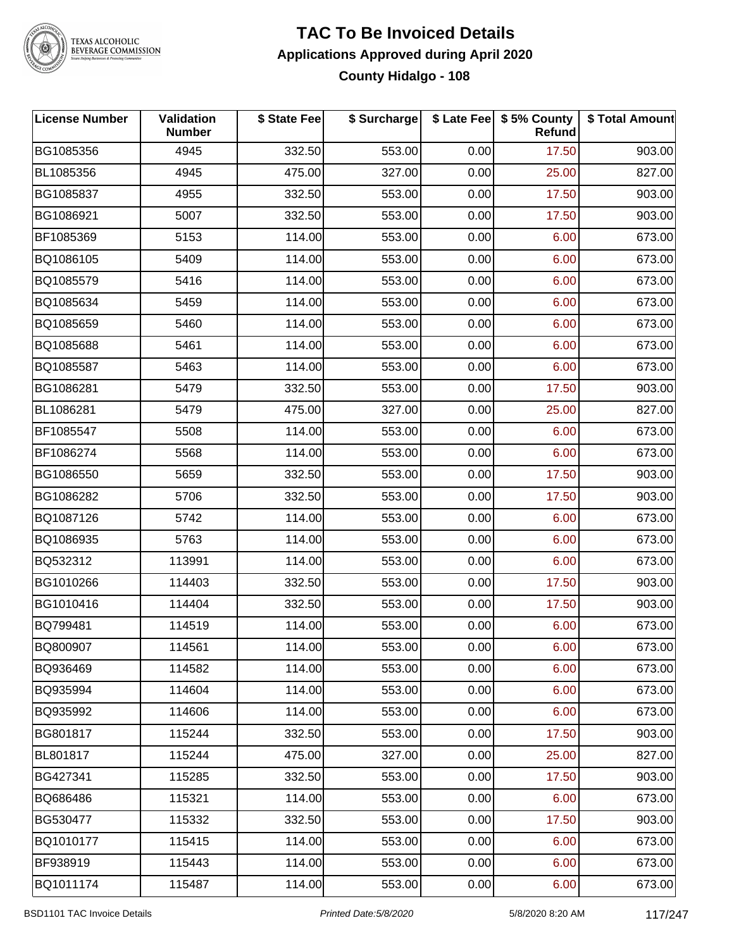

# TEXAS ALCOHOLIC<br>BEVERAGE COMMISSION

### **TAC To Be Invoiced Details Applications Approved during April 2020 County Hidalgo - 108**

| <b>License Number</b> | Validation<br><b>Number</b> | \$ State Fee | \$ Surcharge |      | \$ Late Fee   \$5% County<br>Refund | \$ Total Amount |
|-----------------------|-----------------------------|--------------|--------------|------|-------------------------------------|-----------------|
| BG1085356             | 4945                        | 332.50       | 553.00       | 0.00 | 17.50                               | 903.00          |
| BL1085356             | 4945                        | 475.00       | 327.00       | 0.00 | 25.00                               | 827.00          |
| BG1085837             | 4955                        | 332.50       | 553.00       | 0.00 | 17.50                               | 903.00          |
| BG1086921             | 5007                        | 332.50       | 553.00       | 0.00 | 17.50                               | 903.00          |
| BF1085369             | 5153                        | 114.00       | 553.00       | 0.00 | 6.00                                | 673.00          |
| BQ1086105             | 5409                        | 114.00       | 553.00       | 0.00 | 6.00                                | 673.00          |
| BQ1085579             | 5416                        | 114.00       | 553.00       | 0.00 | 6.00                                | 673.00          |
| BQ1085634             | 5459                        | 114.00       | 553.00       | 0.00 | 6.00                                | 673.00          |
| BQ1085659             | 5460                        | 114.00       | 553.00       | 0.00 | 6.00                                | 673.00          |
| BQ1085688             | 5461                        | 114.00       | 553.00       | 0.00 | 6.00                                | 673.00          |
| BQ1085587             | 5463                        | 114.00       | 553.00       | 0.00 | 6.00                                | 673.00          |
| BG1086281             | 5479                        | 332.50       | 553.00       | 0.00 | 17.50                               | 903.00          |
| BL1086281             | 5479                        | 475.00       | 327.00       | 0.00 | 25.00                               | 827.00          |
| BF1085547             | 5508                        | 114.00       | 553.00       | 0.00 | 6.00                                | 673.00          |
| BF1086274             | 5568                        | 114.00       | 553.00       | 0.00 | 6.00                                | 673.00          |
| BG1086550             | 5659                        | 332.50       | 553.00       | 0.00 | 17.50                               | 903.00          |
| BG1086282             | 5706                        | 332.50       | 553.00       | 0.00 | 17.50                               | 903.00          |
| BQ1087126             | 5742                        | 114.00       | 553.00       | 0.00 | 6.00                                | 673.00          |
| BQ1086935             | 5763                        | 114.00       | 553.00       | 0.00 | 6.00                                | 673.00          |
| BQ532312              | 113991                      | 114.00       | 553.00       | 0.00 | 6.00                                | 673.00          |
| BG1010266             | 114403                      | 332.50       | 553.00       | 0.00 | 17.50                               | 903.00          |
| BG1010416             | 114404                      | 332.50       | 553.00       | 0.00 | 17.50                               | 903.00          |
| BQ799481              | 114519                      | 114.00       | 553.00       | 0.00 | 6.00                                | 673.00          |
| BQ800907              | 114561                      | 114.00       | 553.00       | 0.00 | 6.00                                | 673.00          |
| BQ936469              | 114582                      | 114.00       | 553.00       | 0.00 | 6.00                                | 673.00          |
| BQ935994              | 114604                      | 114.00       | 553.00       | 0.00 | 6.00                                | 673.00          |
| BQ935992              | 114606                      | 114.00       | 553.00       | 0.00 | 6.00                                | 673.00          |
| BG801817              | 115244                      | 332.50       | 553.00       | 0.00 | 17.50                               | 903.00          |
| BL801817              | 115244                      | 475.00       | 327.00       | 0.00 | 25.00                               | 827.00          |
| BG427341              | 115285                      | 332.50       | 553.00       | 0.00 | 17.50                               | 903.00          |
| BQ686486              | 115321                      | 114.00       | 553.00       | 0.00 | 6.00                                | 673.00          |
| BG530477              | 115332                      | 332.50       | 553.00       | 0.00 | 17.50                               | 903.00          |
| BQ1010177             | 115415                      | 114.00       | 553.00       | 0.00 | 6.00                                | 673.00          |
| BF938919              | 115443                      | 114.00       | 553.00       | 0.00 | 6.00                                | 673.00          |
| BQ1011174             | 115487                      | 114.00       | 553.00       | 0.00 | 6.00                                | 673.00          |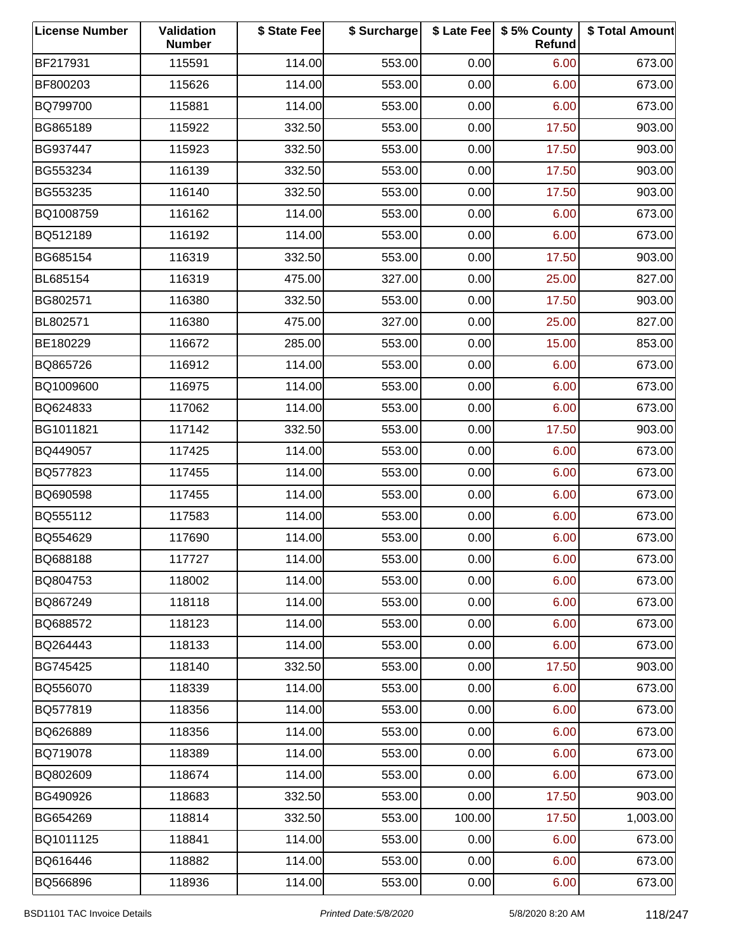| <b>License Number</b> | Validation<br><b>Number</b> | \$ State Fee | \$ Surcharge |        | \$ Late Fee   \$5% County<br>Refund | \$ Total Amount |
|-----------------------|-----------------------------|--------------|--------------|--------|-------------------------------------|-----------------|
| BF217931              | 115591                      | 114.00       | 553.00       | 0.00   | 6.00                                | 673.00          |
| BF800203              | 115626                      | 114.00       | 553.00       | 0.00   | 6.00                                | 673.00          |
| BQ799700              | 115881                      | 114.00       | 553.00       | 0.00   | 6.00                                | 673.00          |
| BG865189              | 115922                      | 332.50       | 553.00       | 0.00   | 17.50                               | 903.00          |
| BG937447              | 115923                      | 332.50       | 553.00       | 0.00   | 17.50                               | 903.00          |
| BG553234              | 116139                      | 332.50       | 553.00       | 0.00   | 17.50                               | 903.00          |
| BG553235              | 116140                      | 332.50       | 553.00       | 0.00   | 17.50                               | 903.00          |
| BQ1008759             | 116162                      | 114.00       | 553.00       | 0.00   | 6.00                                | 673.00          |
| BQ512189              | 116192                      | 114.00       | 553.00       | 0.00   | 6.00                                | 673.00          |
| BG685154              | 116319                      | 332.50       | 553.00       | 0.00   | 17.50                               | 903.00          |
| BL685154              | 116319                      | 475.00       | 327.00       | 0.00   | 25.00                               | 827.00          |
| BG802571              | 116380                      | 332.50       | 553.00       | 0.00   | 17.50                               | 903.00          |
| BL802571              | 116380                      | 475.00       | 327.00       | 0.00   | 25.00                               | 827.00          |
| BE180229              | 116672                      | 285.00       | 553.00       | 0.00   | 15.00                               | 853.00          |
| BQ865726              | 116912                      | 114.00       | 553.00       | 0.00   | 6.00                                | 673.00          |
| BQ1009600             | 116975                      | 114.00       | 553.00       | 0.00   | 6.00                                | 673.00          |
| BQ624833              | 117062                      | 114.00       | 553.00       | 0.00   | 6.00                                | 673.00          |
| BG1011821             | 117142                      | 332.50       | 553.00       | 0.00   | 17.50                               | 903.00          |
| BQ449057              | 117425                      | 114.00       | 553.00       | 0.00   | 6.00                                | 673.00          |
| BQ577823              | 117455                      | 114.00       | 553.00       | 0.00   | 6.00                                | 673.00          |
| BQ690598              | 117455                      | 114.00       | 553.00       | 0.00   | 6.00                                | 673.00          |
| BQ555112              | 117583                      | 114.00       | 553.00       | 0.00   | 6.00                                | 673.00          |
| BQ554629              | 117690                      | 114.00       | 553.00       | 0.00   | 6.00                                | 673.00          |
| BQ688188              | 117727                      | 114.00       | 553.00       | 0.00   | 6.00                                | 673.00          |
| BQ804753              | 118002                      | 114.00       | 553.00       | 0.00   | 6.00                                | 673.00          |
| BQ867249              | 118118                      | 114.00       | 553.00       | 0.00   | 6.00                                | 673.00          |
| BQ688572              | 118123                      | 114.00       | 553.00       | 0.00   | 6.00                                | 673.00          |
| BQ264443              | 118133                      | 114.00       | 553.00       | 0.00   | 6.00                                | 673.00          |
| BG745425              | 118140                      | 332.50       | 553.00       | 0.00   | 17.50                               | 903.00          |
| BQ556070              | 118339                      | 114.00       | 553.00       | 0.00   | 6.00                                | 673.00          |
| BQ577819              | 118356                      | 114.00       | 553.00       | 0.00   | 6.00                                | 673.00          |
| BQ626889              | 118356                      | 114.00       | 553.00       | 0.00   | 6.00                                | 673.00          |
| BQ719078              | 118389                      | 114.00       | 553.00       | 0.00   | 6.00                                | 673.00          |
| BQ802609              | 118674                      | 114.00       | 553.00       | 0.00   | 6.00                                | 673.00          |
| BG490926              | 118683                      | 332.50       | 553.00       | 0.00   | 17.50                               | 903.00          |
| BG654269              | 118814                      | 332.50       | 553.00       | 100.00 | 17.50                               | 1,003.00        |
| BQ1011125             | 118841                      | 114.00       | 553.00       | 0.00   | 6.00                                | 673.00          |
| BQ616446              | 118882                      | 114.00       | 553.00       | 0.00   | 6.00                                | 673.00          |
| BQ566896              | 118936                      | 114.00       | 553.00       | 0.00   | 6.00                                | 673.00          |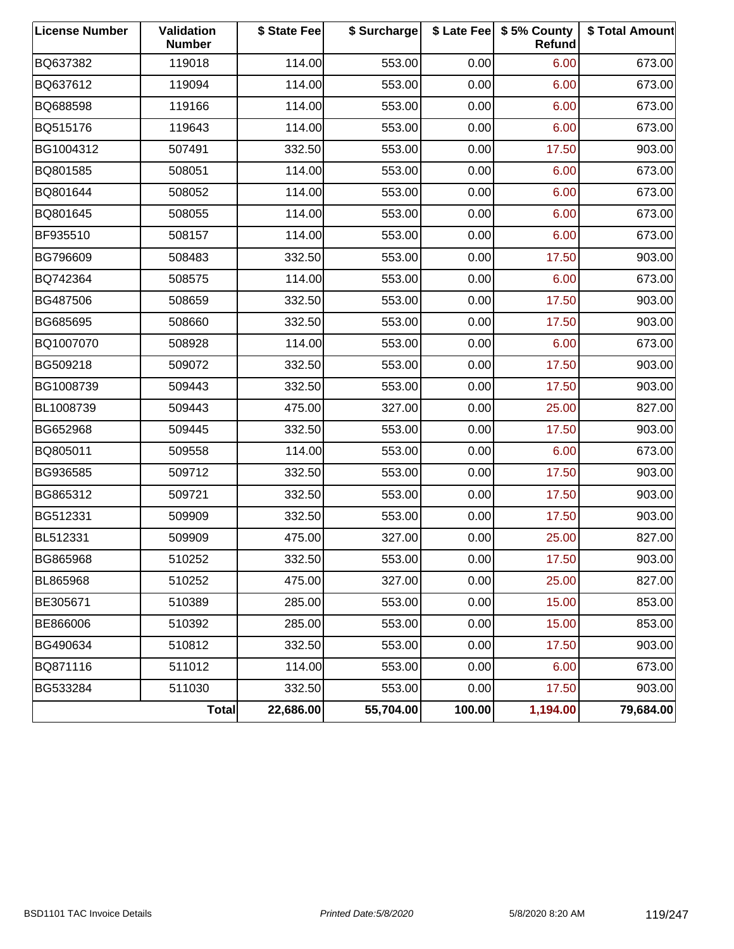| <b>License Number</b> | Validation<br><b>Number</b> | \$ State Fee | \$ Surcharge |        | \$ Late Fee   \$5% County<br>Refund | \$ Total Amount |
|-----------------------|-----------------------------|--------------|--------------|--------|-------------------------------------|-----------------|
| BQ637382              | 119018                      | 114.00       | 553.00       | 0.00   | 6.00                                | 673.00          |
| BQ637612              | 119094                      | 114.00       | 553.00       | 0.00   | 6.00                                | 673.00          |
| BQ688598              | 119166                      | 114.00       | 553.00       | 0.00   | 6.00                                | 673.00          |
| BQ515176              | 119643                      | 114.00       | 553.00       | 0.00   | 6.00                                | 673.00          |
| BG1004312             | 507491                      | 332.50       | 553.00       | 0.00   | 17.50                               | 903.00          |
| BQ801585              | 508051                      | 114.00       | 553.00       | 0.00   | 6.00                                | 673.00          |
| BQ801644              | 508052                      | 114.00       | 553.00       | 0.00   | 6.00                                | 673.00          |
| BQ801645              | 508055                      | 114.00       | 553.00       | 0.00   | 6.00                                | 673.00          |
| BF935510              | 508157                      | 114.00       | 553.00       | 0.00   | 6.00                                | 673.00          |
| BG796609              | 508483                      | 332.50       | 553.00       | 0.00   | 17.50                               | 903.00          |
| BQ742364              | 508575                      | 114.00       | 553.00       | 0.00   | 6.00                                | 673.00          |
| BG487506              | 508659                      | 332.50       | 553.00       | 0.00   | 17.50                               | 903.00          |
| BG685695              | 508660                      | 332.50       | 553.00       | 0.00   | 17.50                               | 903.00          |
| BQ1007070             | 508928                      | 114.00       | 553.00       | 0.00   | 6.00                                | 673.00          |
| BG509218              | 509072                      | 332.50       | 553.00       | 0.00   | 17.50                               | 903.00          |
| BG1008739             | 509443                      | 332.50       | 553.00       | 0.00   | 17.50                               | 903.00          |
| BL1008739             | 509443                      | 475.00       | 327.00       | 0.00   | 25.00                               | 827.00          |
| BG652968              | 509445                      | 332.50       | 553.00       | 0.00   | 17.50                               | 903.00          |
| BQ805011              | 509558                      | 114.00       | 553.00       | 0.00   | 6.00                                | 673.00          |
| BG936585              | 509712                      | 332.50       | 553.00       | 0.00   | 17.50                               | 903.00          |
| BG865312              | 509721                      | 332.50       | 553.00       | 0.00   | 17.50                               | 903.00          |
| BG512331              | 509909                      | 332.50       | 553.00       | 0.00   | 17.50                               | 903.00          |
| BL512331              | 509909                      | 475.00       | 327.00       | 0.00   | 25.00                               | 827.00          |
| BG865968              | 510252                      | 332.50       | 553.00       | 0.00   | 17.50                               | 903.00          |
| BL865968              | 510252                      | 475.00       | 327.00       | 0.00   | 25.00                               | 827.00          |
| BE305671              | 510389                      | 285.00       | 553.00       | 0.00   | 15.00                               | 853.00          |
| BE866006              | 510392                      | 285.00       | 553.00       | 0.00   | 15.00                               | 853.00          |
| BG490634              | 510812                      | 332.50       | 553.00       | 0.00   | 17.50                               | 903.00          |
| BQ871116              | 511012                      | 114.00       | 553.00       | 0.00   | 6.00                                | 673.00          |
| BG533284              | 511030                      | 332.50       | 553.00       | 0.00   | 17.50                               | 903.00          |
|                       | Total                       | 22,686.00    | 55,704.00    | 100.00 | 1,194.00                            | 79,684.00       |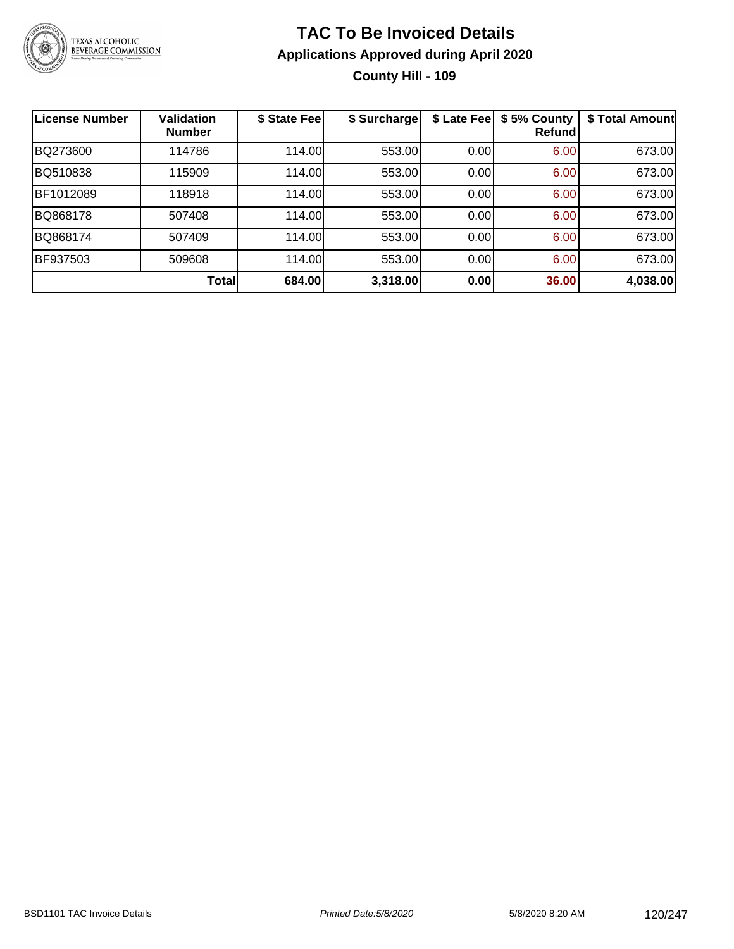

### **TAC To Be Invoiced Details Applications Approved during April 2020 County Hill - 109**

| <b>License Number</b> | <b>Validation</b><br><b>Number</b> | \$ State Fee | \$ Surcharge | \$ Late Fee | \$5% County<br>Refund | \$ Total Amount |
|-----------------------|------------------------------------|--------------|--------------|-------------|-----------------------|-----------------|
| BQ273600              | 114786                             | 114.00       | 553.00       | 0.00        | 6.00                  | 673.00          |
| BQ510838              | 115909                             | 114.00       | 553.00       | 0.00        | 6.00                  | 673.00          |
| BF1012089             | 118918                             | 114.00       | 553.00       | 0.00        | 6.00                  | 673.00          |
| BQ868178              | 507408                             | 114.00       | 553.00       | 0.00        | 6.00                  | 673.00          |
| BQ868174              | 507409                             | 114.00       | 553.00       | 0.00        | 6.00                  | 673.00          |
| BF937503              | 509608                             | 114.00       | 553.00       | 0.00        | 6.00                  | 673.00          |
|                       | <b>Total</b>                       | 684.00       | 3,318.00     | 0.00        | 36.00                 | 4,038.00        |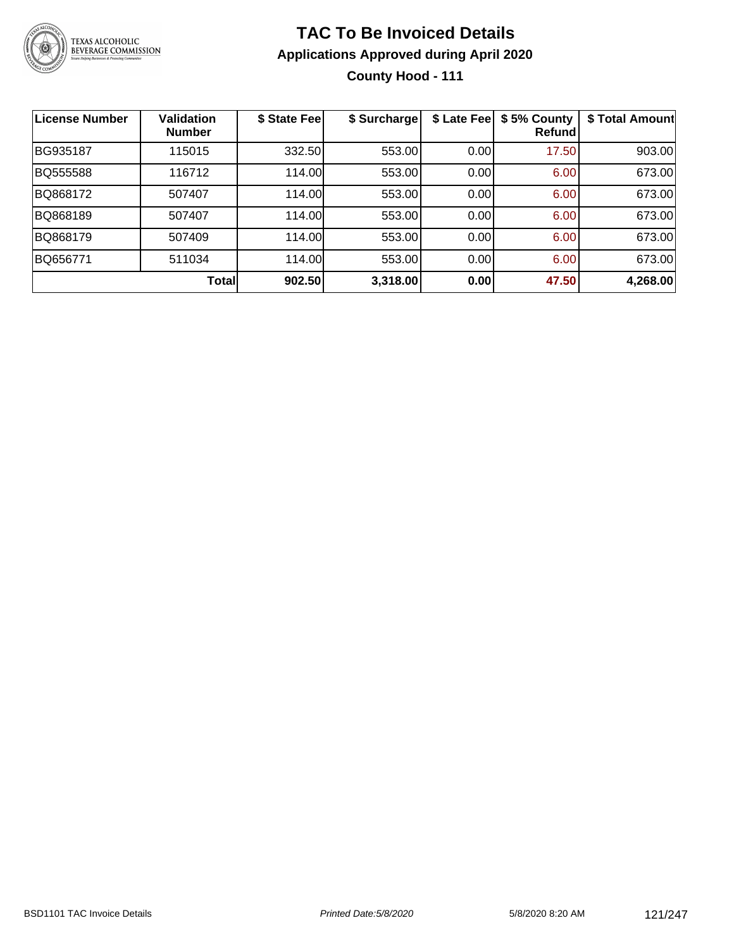

### **TAC To Be Invoiced Details Applications Approved during April 2020 County Hood - 111**

| <b>License Number</b> | <b>Validation</b><br><b>Number</b> | \$ State Fee | \$ Surcharge | \$ Late Fee | \$5% County<br>Refund | \$ Total Amount |
|-----------------------|------------------------------------|--------------|--------------|-------------|-----------------------|-----------------|
| BG935187              | 115015                             | 332.50       | 553.00       | 0.00        | 17.50                 | 903.00          |
| BQ555588              | 116712                             | 114.00       | 553.00       | 0.00        | 6.00                  | 673.00          |
| BQ868172              | 507407                             | 114.00       | 553.00       | 0.00        | 6.00                  | 673.00          |
| BQ868189              | 507407                             | 114.00       | 553.00       | 0.00        | 6.00                  | 673.00          |
| BQ868179              | 507409                             | 114.00       | 553.00       | 0.00        | 6.00                  | 673.00          |
| BQ656771              | 511034                             | 114.00       | 553.00       | 0.00        | 6.00                  | 673.00          |
|                       | Total                              | 902.50       | 3,318.00     | 0.00        | 47.50                 | 4,268.00        |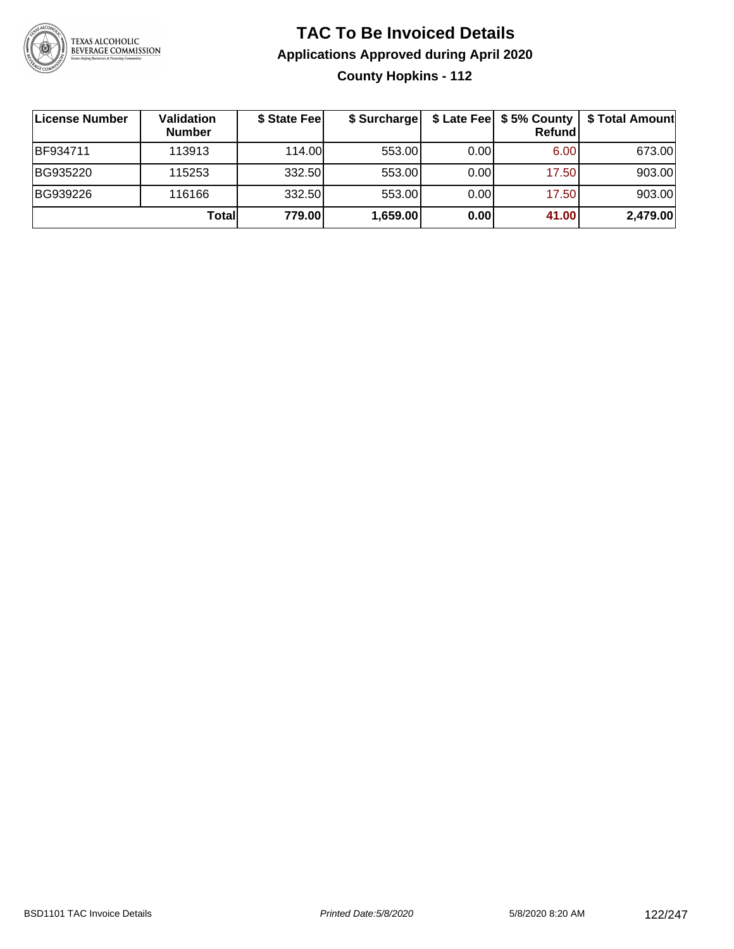

### **TAC To Be Invoiced Details Applications Approved during April 2020 County Hopkins - 112**

| ∣License Number | Validation<br><b>Number</b> | \$ State Fee | \$ Surcharge |      | \$ Late Fee   \$5% County<br>Refundl | \$ Total Amount |
|-----------------|-----------------------------|--------------|--------------|------|--------------------------------------|-----------------|
| <b>BF934711</b> | 113913                      | 114.00L      | 553.00       | 0.00 | 6.00                                 | 673.00          |
| BG935220        | 115253                      | 332.50       | 553.00       | 0.00 | 17.50                                | 903.00          |
| BG939226        | 116166                      | 332.50       | 553.00       | 0.00 | 17.50                                | 903.00          |
|                 | <b>Total</b>                | 779.00       | 1,659.00     | 0.00 | 41.00                                | 2,479.00        |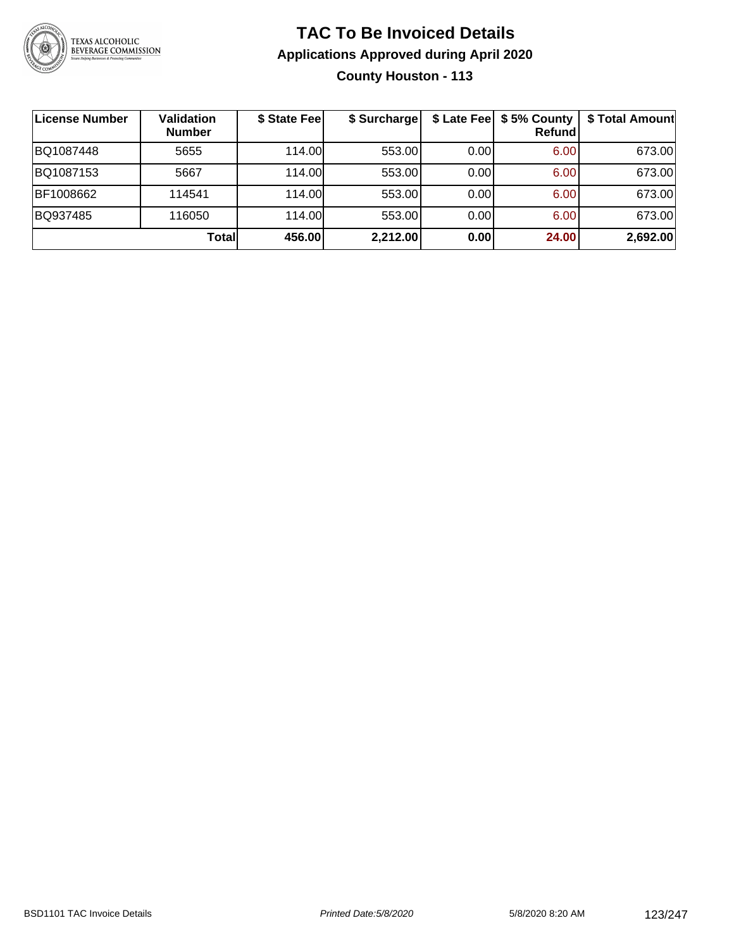

### **TAC To Be Invoiced Details Applications Approved during April 2020 County Houston - 113**

| <b>License Number</b> | Validation<br><b>Number</b> | \$ State Fee | \$ Surcharge |      | \$ Late Fee   \$5% County<br>Refundl | \$ Total Amount |
|-----------------------|-----------------------------|--------------|--------------|------|--------------------------------------|-----------------|
| BQ1087448             | 5655                        | 114.00L      | 553.00       | 0.00 | 6.00                                 | 673.00          |
| BQ1087153             | 5667                        | 114.00       | 553.00       | 0.00 | 6.00                                 | 673.00          |
| BF1008662             | 114541                      | 114.00       | 553.00       | 0.00 | 6.00                                 | 673.00          |
| BQ937485              | 116050                      | 114.00       | 553.00       | 0.00 | 6.00                                 | 673.00          |
|                       | Totall                      | 456.00       | 2,212.00     | 0.00 | 24.00                                | 2,692.00        |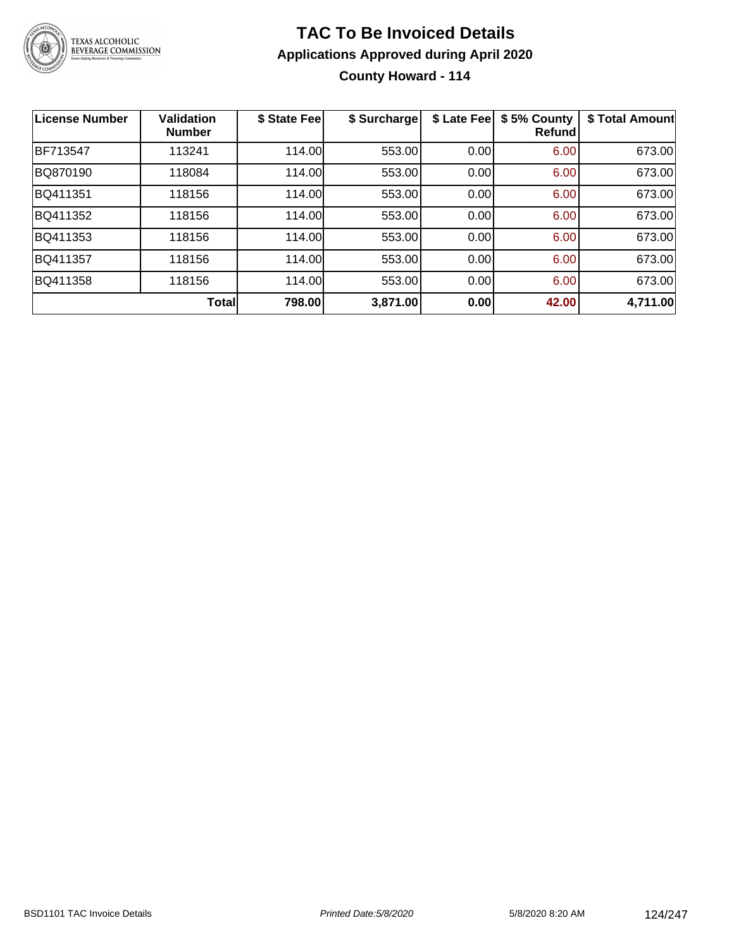

### **TAC To Be Invoiced Details Applications Approved during April 2020 County Howard - 114**

| <b>License Number</b> | <b>Validation</b><br><b>Number</b> | \$ State Fee | \$ Surcharge | \$ Late Fee | \$5% County<br>Refundl | \$ Total Amount |
|-----------------------|------------------------------------|--------------|--------------|-------------|------------------------|-----------------|
| BF713547              | 113241                             | 114.00       | 553.00       | 0.00        | 6.00                   | 673.00          |
| BQ870190              | 118084                             | 114.00       | 553.00       | 0.00        | 6.00                   | 673.00          |
| BQ411351              | 118156                             | 114.00       | 553.00       | 0.00        | 6.00                   | 673.00          |
| BQ411352              | 118156                             | 114.00       | 553.00       | 0.00        | 6.00                   | 673.00          |
| BQ411353              | 118156                             | 114.00       | 553.00       | 0.00        | 6.00                   | 673.00          |
| BQ411357              | 118156                             | 114.00       | 553.00       | 0.00        | 6.00                   | 673.00          |
| BQ411358              | 118156                             | 114.00       | 553.00       | 0.00        | 6.00                   | 673.00          |
|                       | Total                              | 798.00       | 3,871.00     | 0.00        | 42.00                  | 4,711.00        |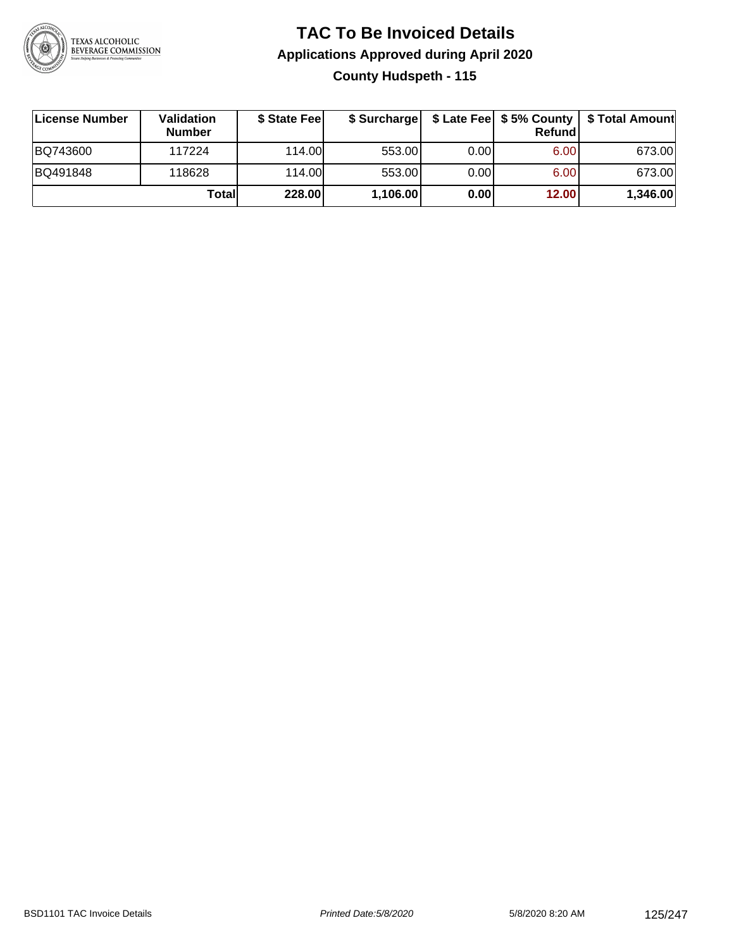

### **TAC To Be Invoiced Details Applications Approved during April 2020 County Hudspeth - 115**

| License Number | <b>Validation</b><br><b>Number</b> | \$ State Feel |          |       | <b>Refund</b> | \$ Surcharge   \$ Late Fee   \$5% County   \$ Total Amount |
|----------------|------------------------------------|---------------|----------|-------|---------------|------------------------------------------------------------|
| BQ743600       | 117224                             | 114.00        | 553.00   | 0.001 | 6.00          | 673.00                                                     |
| BQ491848       | 118628                             | 114.00        | 553.00   | 0.00  | 6.00          | 673.00                                                     |
|                | Totall                             | 228.00        | 1,106.00 | 0.00  | 12.00         | 1,346.00                                                   |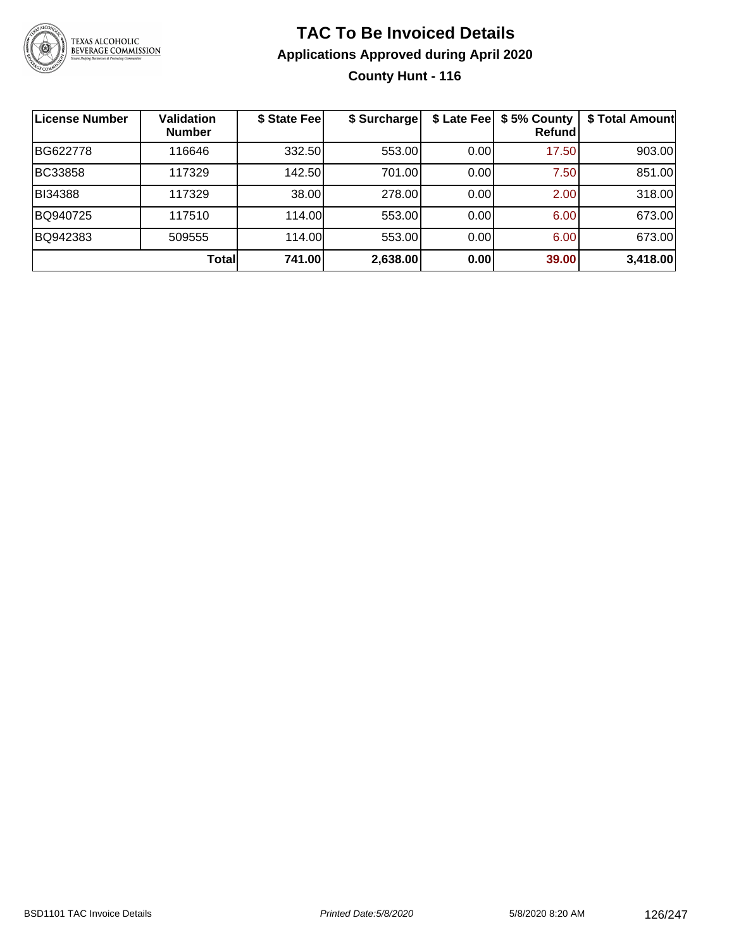

### **TAC To Be Invoiced Details Applications Approved during April 2020 County Hunt - 116**

| <b>License Number</b> | Validation<br><b>Number</b> | \$ State Fee | \$ Surcharge | \$ Late Fee | \$5% County<br>Refundl | \$ Total Amount |
|-----------------------|-----------------------------|--------------|--------------|-------------|------------------------|-----------------|
| BG622778              | 116646                      | 332.50       | 553.00       | 0.00        | 17.50                  | 903.00          |
| <b>BC33858</b>        | 117329                      | 142.50       | 701.00       | 0.00        | 7.50                   | 851.00          |
| BI34388               | 117329                      | 38.00        | 278.00       | 0.00        | 2.00                   | 318.00          |
| BQ940725              | 117510                      | 114.00       | 553.00       | 0.00        | 6.00                   | 673.00          |
| BQ942383              | 509555                      | 114.00       | 553.00       | 0.00        | 6.00                   | 673.00          |
|                       | Total                       | 741.00       | 2,638.00     | 0.00        | 39.00                  | 3,418.00        |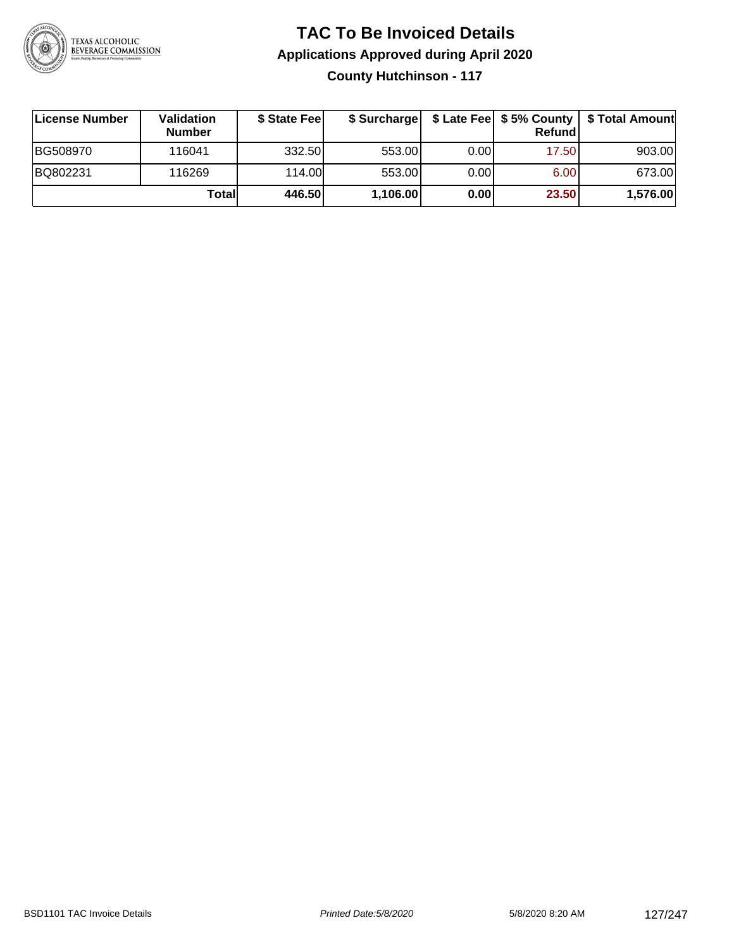

### **TAC To Be Invoiced Details Applications Approved during April 2020 County Hutchinson - 117**

| License Number | <b>Validation</b><br><b>Number</b> | \$ State Feel | \$ Surcharge |      | Refund | \$ Late Fee   \$5% County   \$ Total Amount |
|----------------|------------------------------------|---------------|--------------|------|--------|---------------------------------------------|
| BG508970       | 116041                             | 332.50        | 553.00       | 0.00 | 17.50  | 903.00                                      |
| BQ802231       | 116269                             | 114.00L       | 553.00       | 0.00 | 6.00   | 673.00                                      |
|                | Totall                             | 446.50        | 1,106.00     | 0.00 | 23.50  | 1,576.00                                    |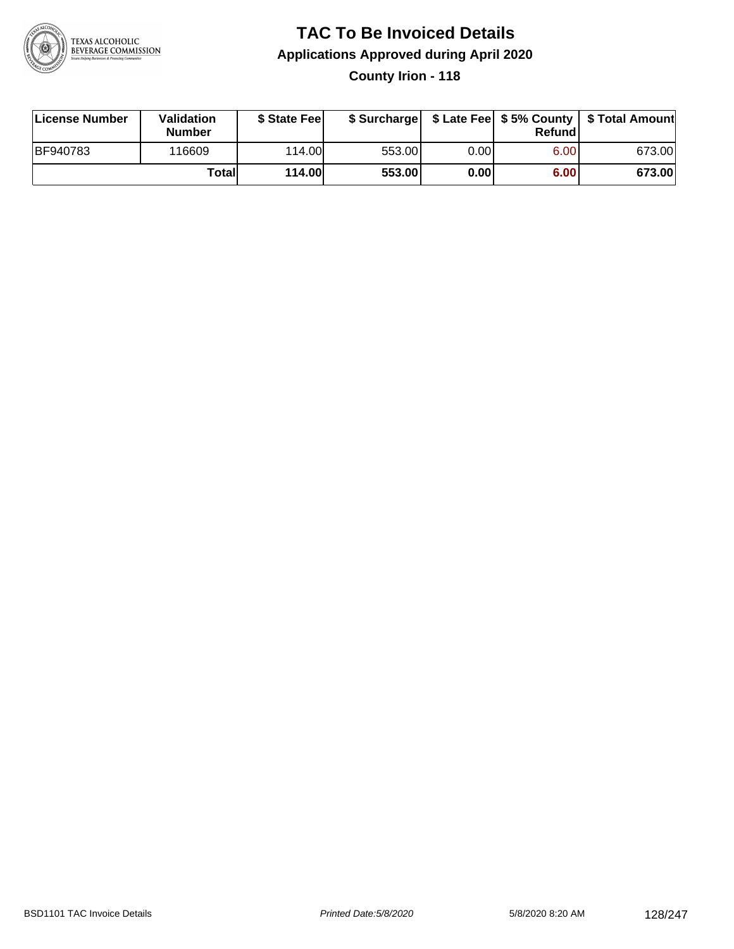

### **TAC To Be Invoiced Details Applications Approved during April 2020 County Irion - 118**

| License Number  | Validation<br><b>Number</b> | \$ State Fee  |        |      | Refund | \$ Surcharge   \$ Late Fee   \$5% County   \$ Total Amount |
|-----------------|-----------------------------|---------------|--------|------|--------|------------------------------------------------------------|
| <b>BF940783</b> | 116609                      | 114.00        | 553.00 | 0.00 | 6.00   | 673.00                                                     |
|                 | Totall                      | <b>114.00</b> | 553.00 | 0.00 | 6.00   | 673.00                                                     |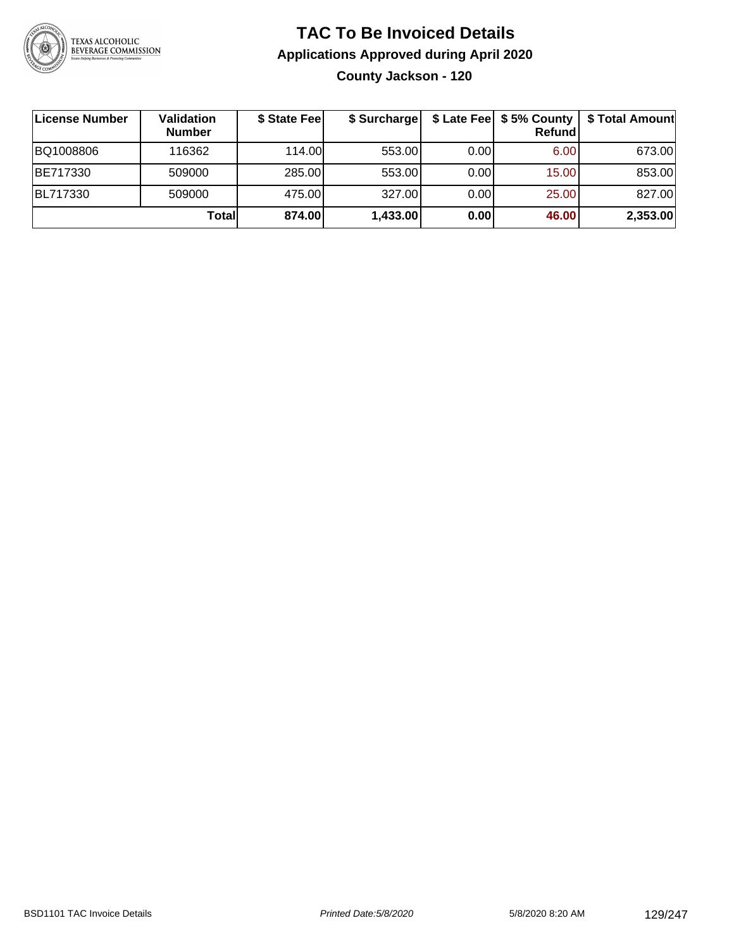

### **TAC To Be Invoiced Details Applications Approved during April 2020 County Jackson - 120**

| License Number | Validation<br><b>Number</b> | \$ State Fee | \$ Surcharge |      | \$ Late Fee   \$5% County<br>Refundl | \$ Total Amount |
|----------------|-----------------------------|--------------|--------------|------|--------------------------------------|-----------------|
| BQ1008806      | 116362                      | 114.00       | 553.00       | 0.00 | 6.00                                 | 673.00          |
| BE717330       | 509000                      | 285.00       | 553.00       | 0.00 | 15.00                                | 853.00          |
| BL717330       | 509000                      | 475.00       | 327.00       | 0.00 | 25.00                                | 827.00          |
|                | Total                       | 874.00       | 1,433.00     | 0.00 | 46.00                                | 2,353.00        |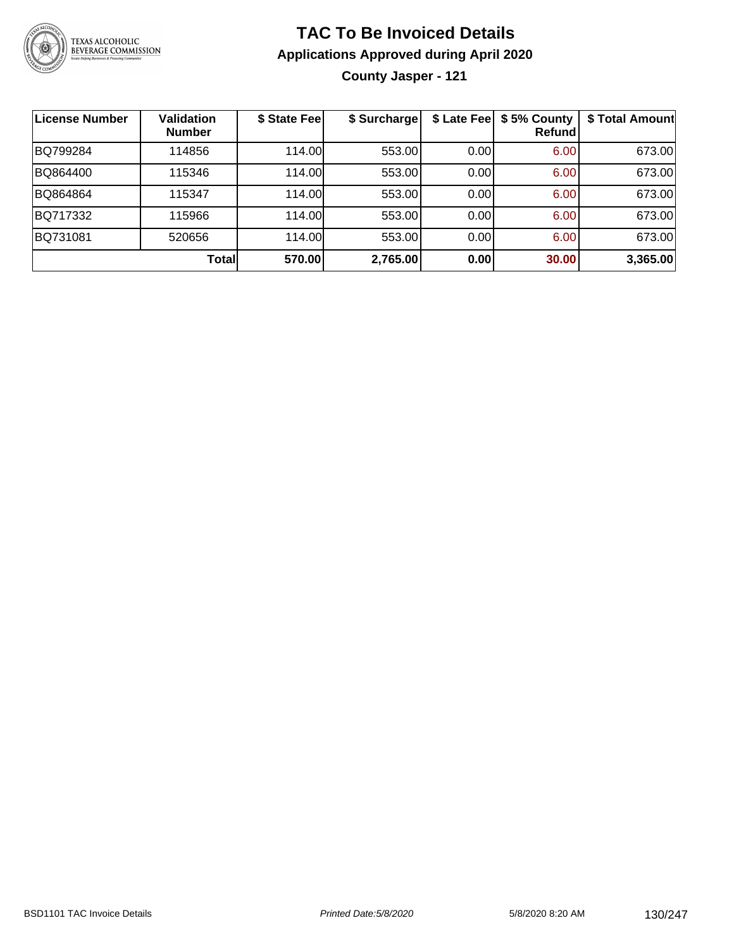

### **TAC To Be Invoiced Details Applications Approved during April 2020**

**County Jasper - 121**

| License Number | <b>Validation</b><br><b>Number</b> | \$ State Fee | \$ Surcharge |       | \$ Late Fee   \$5% County<br>Refundl | \$ Total Amount |
|----------------|------------------------------------|--------------|--------------|-------|--------------------------------------|-----------------|
| BQ799284       | 114856                             | 114.00       | 553.00       | 0.00  | 6.00                                 | 673.00          |
| BQ864400       | 115346                             | 114.00       | 553.00       | 0.00  | 6.00                                 | 673.00          |
| BQ864864       | 115347                             | 114.00       | 553.00       | 0.00  | 6.00                                 | 673.00          |
| BQ717332       | 115966                             | 114.00       | 553.00       | 0.001 | 6.00                                 | 673.00          |
| BQ731081       | 520656                             | 114.00       | 553.00       | 0.001 | 6.00                                 | 673.00          |
|                | Totall                             | 570.00       | 2,765.00     | 0.00  | 30.00                                | 3,365.00        |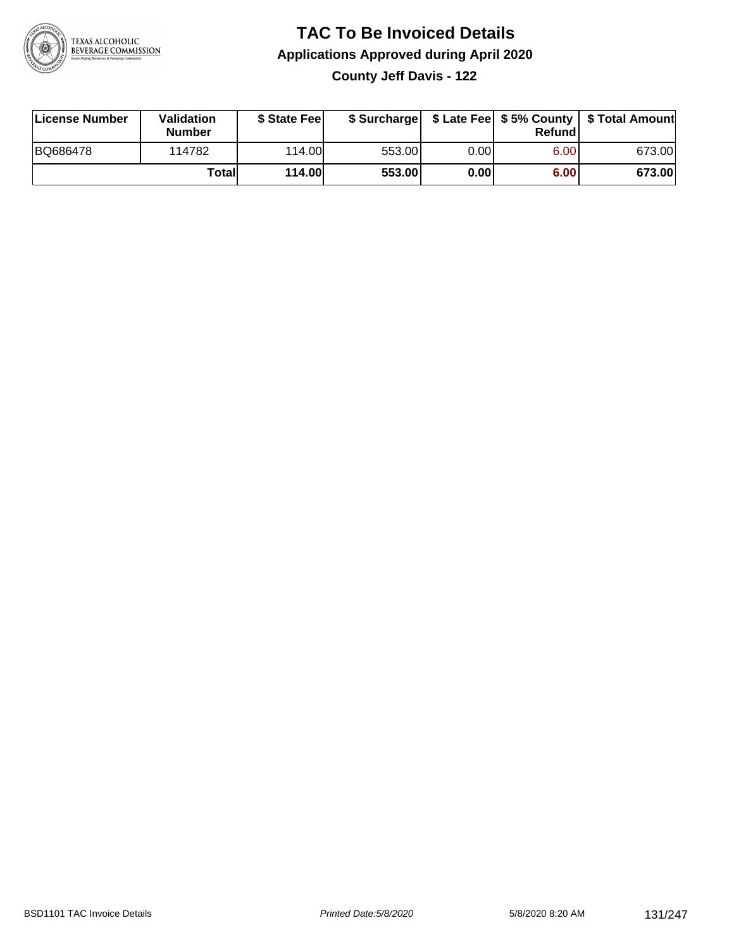

## **TAC To Be Invoiced Details Applications Approved during April 2020**

**County Jeff Davis - 122**

| License Number | <b>Validation</b><br><b>Number</b> | \$ State Feel |        |      | Refundl | \$ Surcharge   \$ Late Fee   \$5% County   \$ Total Amount |
|----------------|------------------------------------|---------------|--------|------|---------|------------------------------------------------------------|
| BQ686478       | 114782                             | 114.00L       | 553.00 | 0.00 | 6.00    | 673.00                                                     |
|                | Totall                             | <b>114.00</b> | 553.00 | 0.00 | 6.00    | 673.00                                                     |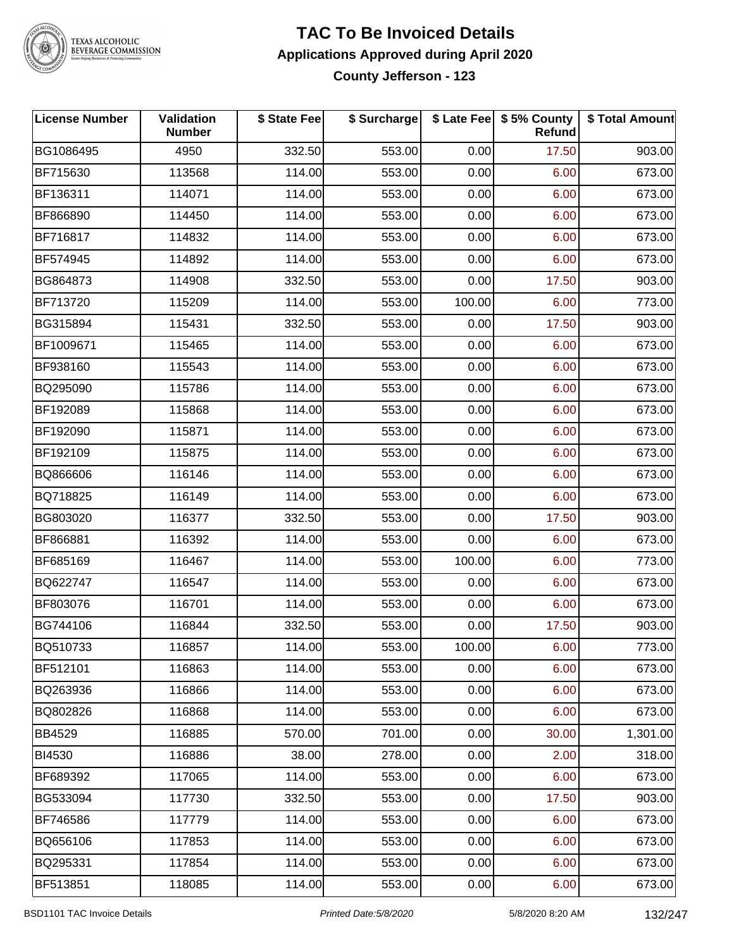

# TEXAS ALCOHOLIC<br>BEVERAGE COMMISSION

### **TAC To Be Invoiced Details Applications Approved during April 2020 County Jefferson - 123**

| <b>License Number</b> | Validation<br><b>Number</b> | \$ State Fee | \$ Surcharge |        | \$ Late Fee   \$5% County<br>Refund | \$ Total Amount |
|-----------------------|-----------------------------|--------------|--------------|--------|-------------------------------------|-----------------|
| BG1086495             | 4950                        | 332.50       | 553.00       | 0.00   | 17.50                               | 903.00          |
| BF715630              | 113568                      | 114.00       | 553.00       | 0.00   | 6.00                                | 673.00          |
| BF136311              | 114071                      | 114.00       | 553.00       | 0.00   | 6.00                                | 673.00          |
| BF866890              | 114450                      | 114.00       | 553.00       | 0.00   | 6.00                                | 673.00          |
| BF716817              | 114832                      | 114.00       | 553.00       | 0.00   | 6.00                                | 673.00          |
| BF574945              | 114892                      | 114.00       | 553.00       | 0.00   | 6.00                                | 673.00          |
| BG864873              | 114908                      | 332.50       | 553.00       | 0.00   | 17.50                               | 903.00          |
| BF713720              | 115209                      | 114.00       | 553.00       | 100.00 | 6.00                                | 773.00          |
| BG315894              | 115431                      | 332.50       | 553.00       | 0.00   | 17.50                               | 903.00          |
| BF1009671             | 115465                      | 114.00       | 553.00       | 0.00   | 6.00                                | 673.00          |
| BF938160              | 115543                      | 114.00       | 553.00       | 0.00   | 6.00                                | 673.00          |
| BQ295090              | 115786                      | 114.00       | 553.00       | 0.00   | 6.00                                | 673.00          |
| BF192089              | 115868                      | 114.00       | 553.00       | 0.00   | 6.00                                | 673.00          |
| BF192090              | 115871                      | 114.00       | 553.00       | 0.00   | 6.00                                | 673.00          |
| BF192109              | 115875                      | 114.00       | 553.00       | 0.00   | 6.00                                | 673.00          |
| BQ866606              | 116146                      | 114.00       | 553.00       | 0.00   | 6.00                                | 673.00          |
| BQ718825              | 116149                      | 114.00       | 553.00       | 0.00   | 6.00                                | 673.00          |
| BG803020              | 116377                      | 332.50       | 553.00       | 0.00   | 17.50                               | 903.00          |
| BF866881              | 116392                      | 114.00       | 553.00       | 0.00   | 6.00                                | 673.00          |
| BF685169              | 116467                      | 114.00       | 553.00       | 100.00 | 6.00                                | 773.00          |
| BQ622747              | 116547                      | 114.00       | 553.00       | 0.00   | 6.00                                | 673.00          |
| BF803076              | 116701                      | 114.00       | 553.00       | 0.00   | 6.00                                | 673.00          |
| BG744106              | 116844                      | 332.50       | 553.00       | 0.00   | 17.50                               | 903.00          |
| BQ510733              | 116857                      | 114.00       | 553.00       | 100.00 | 6.00                                | 773.00          |
| BF512101              | 116863                      | 114.00       | 553.00       | 0.00   | 6.00                                | 673.00          |
| BQ263936              | 116866                      | 114.00       | 553.00       | 0.00   | 6.00                                | 673.00          |
| BQ802826              | 116868                      | 114.00       | 553.00       | 0.00   | 6.00                                | 673.00          |
| <b>BB4529</b>         | 116885                      | 570.00       | 701.00       | 0.00   | 30.00                               | 1,301.00        |
| BI4530                | 116886                      | 38.00        | 278.00       | 0.00   | 2.00                                | 318.00          |
| BF689392              | 117065                      | 114.00       | 553.00       | 0.00   | 6.00                                | 673.00          |
| BG533094              | 117730                      | 332.50       | 553.00       | 0.00   | 17.50                               | 903.00          |
| BF746586              | 117779                      | 114.00       | 553.00       | 0.00   | 6.00                                | 673.00          |
| BQ656106              | 117853                      | 114.00       | 553.00       | 0.00   | 6.00                                | 673.00          |
| BQ295331              | 117854                      | 114.00       | 553.00       | 0.00   | 6.00                                | 673.00          |
| BF513851              | 118085                      | 114.00       | 553.00       | 0.00   | 6.00                                | 673.00          |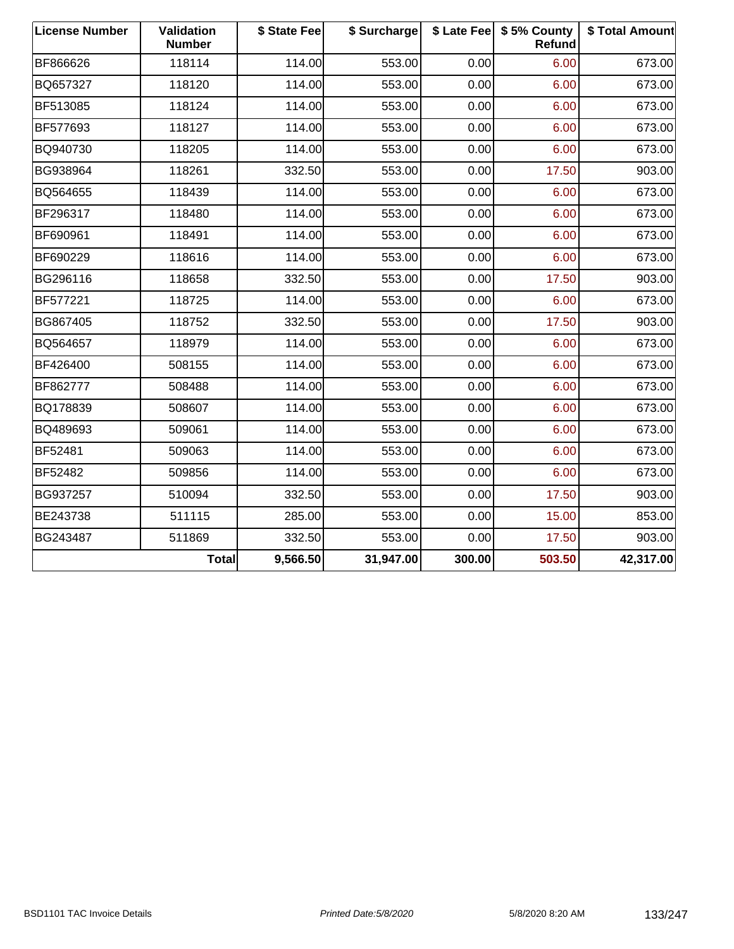| <b>License Number</b> | Validation<br><b>Number</b> | \$ State Fee | \$ Surcharge |        | \$ Late Fee   \$5% County<br>Refund | \$ Total Amount |
|-----------------------|-----------------------------|--------------|--------------|--------|-------------------------------------|-----------------|
| BF866626              | 118114                      | 114.00       | 553.00       | 0.00   | 6.00                                | 673.00          |
| BQ657327              | 118120                      | 114.00       | 553.00       | 0.00   | 6.00                                | 673.00          |
| BF513085              | 118124                      | 114.00       | 553.00       | 0.00   | 6.00                                | 673.00          |
| BF577693              | 118127                      | 114.00       | 553.00       | 0.00   | 6.00                                | 673.00          |
| BQ940730              | 118205                      | 114.00       | 553.00       | 0.00   | 6.00                                | 673.00          |
| BG938964              | 118261                      | 332.50       | 553.00       | 0.00   | 17.50                               | 903.00          |
| BQ564655              | 118439                      | 114.00       | 553.00       | 0.00   | 6.00                                | 673.00          |
| BF296317              | 118480                      | 114.00       | 553.00       | 0.00   | 6.00                                | 673.00          |
| BF690961              | 118491                      | 114.00       | 553.00       | 0.00   | 6.00                                | 673.00          |
| BF690229              | 118616                      | 114.00       | 553.00       | 0.00   | 6.00                                | 673.00          |
| BG296116              | 118658                      | 332.50       | 553.00       | 0.00   | 17.50                               | 903.00          |
| BF577221              | 118725                      | 114.00       | 553.00       | 0.00   | 6.00                                | 673.00          |
| BG867405              | 118752                      | 332.50       | 553.00       | 0.00   | 17.50                               | 903.00          |
| BQ564657              | 118979                      | 114.00       | 553.00       | 0.00   | 6.00                                | 673.00          |
| BF426400              | 508155                      | 114.00       | 553.00       | 0.00   | 6.00                                | 673.00          |
| BF862777              | 508488                      | 114.00       | 553.00       | 0.00   | 6.00                                | 673.00          |
| BQ178839              | 508607                      | 114.00       | 553.00       | 0.00   | 6.00                                | 673.00          |
| BQ489693              | 509061                      | 114.00       | 553.00       | 0.00   | 6.00                                | 673.00          |
| <b>BF52481</b>        | 509063                      | 114.00       | 553.00       | 0.00   | 6.00                                | 673.00          |
| BF52482               | 509856                      | 114.00       | 553.00       | 0.00   | 6.00                                | 673.00          |
| BG937257              | 510094                      | 332.50       | 553.00       | 0.00   | 17.50                               | 903.00          |
| BE243738              | 511115                      | 285.00       | 553.00       | 0.00   | 15.00                               | 853.00          |
| BG243487              | 511869                      | 332.50       | 553.00       | 0.00   | 17.50                               | 903.00          |
|                       | <b>Total</b>                | 9,566.50     | 31,947.00    | 300.00 | 503.50                              | 42,317.00       |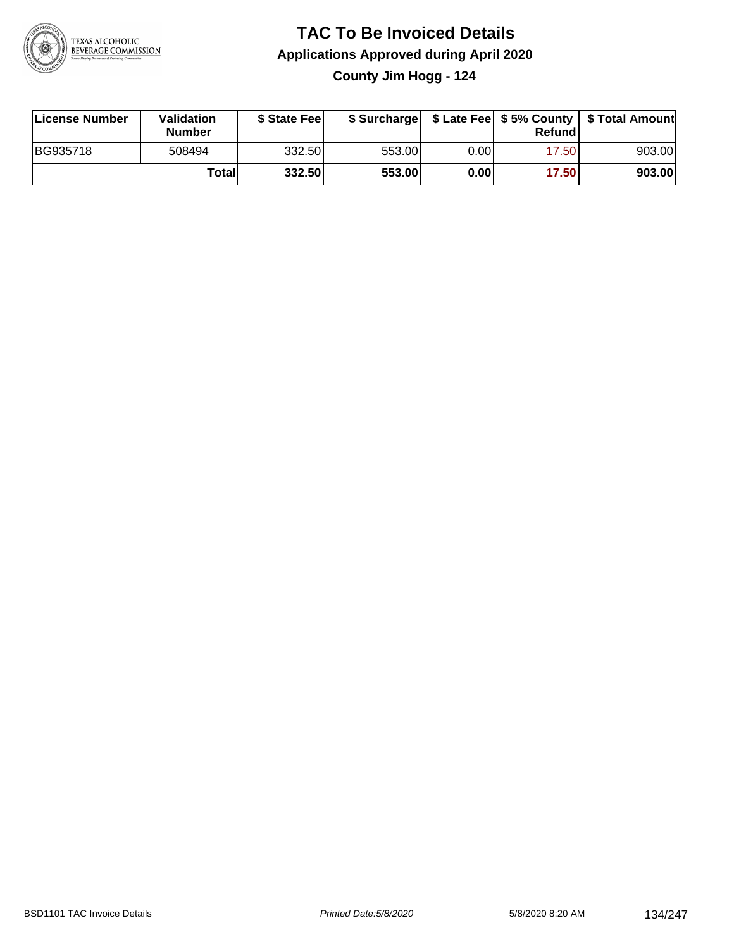

### **TAC To Be Invoiced Details Applications Approved during April 2020 County Jim Hogg - 124**

| License Number | Validation<br><b>Number</b> | \$ State Feel |        |      | Refund | \$ Surcharge   \$ Late Fee   \$5% County   \$ Total Amount |
|----------------|-----------------------------|---------------|--------|------|--------|------------------------------------------------------------|
| BG935718       | 508494                      | 332.50l       | 553.00 | 0.00 | 17.50  | 903.00                                                     |
|                | Totall                      | 332.50        | 553.00 | 0.00 | 17.50  | 903.00                                                     |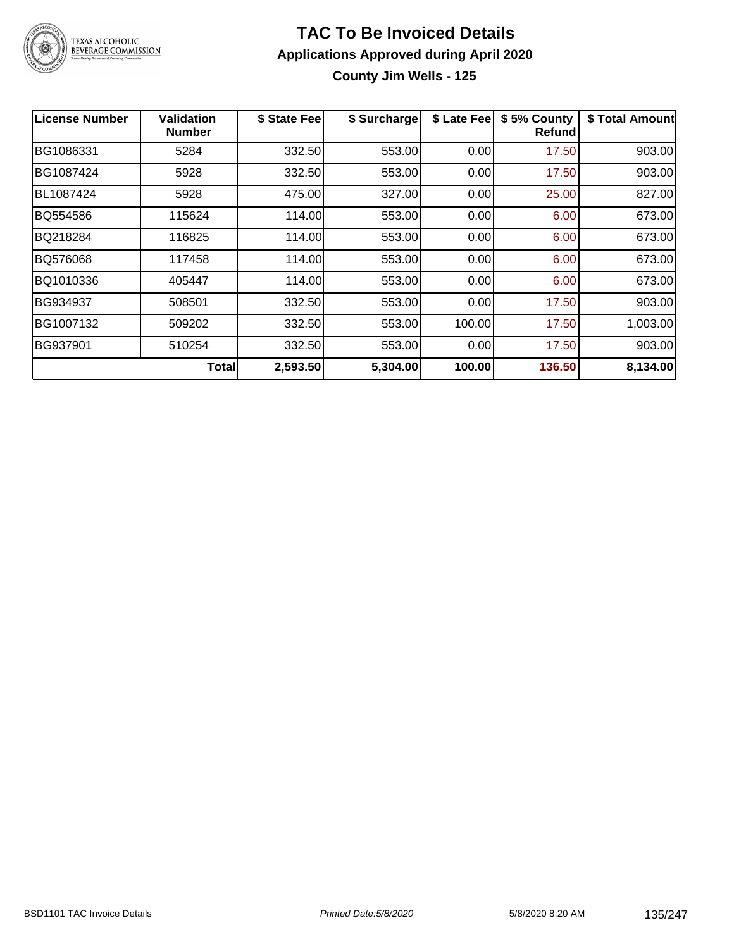

## **TAC To Be Invoiced Details Applications Approved during April 2020**

**County Jim Wells - 125**

| <b>License Number</b> | <b>Validation</b><br><b>Number</b> | \$ State Fee | \$ Surcharge | \$ Late Fee | \$5% County<br><b>Refund</b> | \$ Total Amount |
|-----------------------|------------------------------------|--------------|--------------|-------------|------------------------------|-----------------|
| BG1086331             | 5284                               | 332.50       | 553.00       | 0.00        | 17.50                        | 903.00          |
| BG1087424             | 5928                               | 332.50       | 553.00       | 0.00        | 17.50                        | 903.00          |
| BL1087424             | 5928                               | 475.00       | 327.00       | 0.00        | 25.00                        | 827.00          |
| BQ554586              | 115624                             | 114.00       | 553.00       | 0.00        | 6.00                         | 673.00          |
| BQ218284              | 116825                             | 114.00       | 553.00       | 0.00        | 6.00                         | 673.00          |
| <b>BQ576068</b>       | 117458                             | 114.00       | 553.00       | 0.00        | 6.00                         | 673.00          |
| BQ1010336             | 405447                             | 114.00       | 553.00       | 0.00        | 6.00                         | 673.00          |
| BG934937              | 508501                             | 332.50       | 553.00       | 0.00        | 17.50                        | 903.00          |
| BG1007132             | 509202                             | 332.50       | 553.00       | 100.00      | 17.50                        | 1,003.00        |
| BG937901              | 510254                             | 332.50       | 553.00       | 0.00        | 17.50                        | 903.00          |
|                       | Total                              | 2,593.50     | 5,304.00     | 100.00      | 136.50                       | 8,134.00        |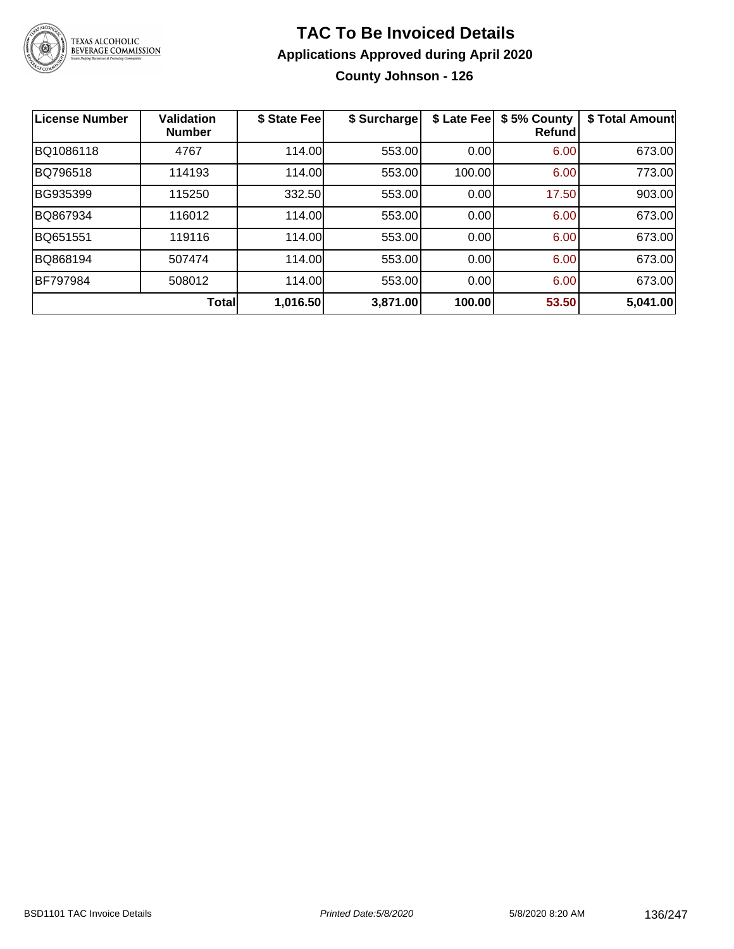

### **TAC To Be Invoiced Details Applications Approved during April 2020 County Johnson - 126**

| <b>License Number</b> | <b>Validation</b><br><b>Number</b> | \$ State Fee | \$ Surcharge | \$ Late Fee | \$5% County<br>Refundl | \$ Total Amount |
|-----------------------|------------------------------------|--------------|--------------|-------------|------------------------|-----------------|
| BQ1086118             | 4767                               | 114.00       | 553.00       | 0.00        | 6.00                   | 673.00          |
| BQ796518              | 114193                             | 114.00       | 553.00       | 100.00      | 6.00                   | 773.00          |
| BG935399              | 115250                             | 332.50       | 553.00       | 0.00        | 17.50                  | 903.00          |
| BQ867934              | 116012                             | 114.00       | 553.00       | 0.00        | 6.00                   | 673.00          |
| BQ651551              | 119116                             | 114.00       | 553.00       | 0.00        | 6.00                   | 673.00          |
| BQ868194              | 507474                             | 114.00       | 553.00       | 0.00        | 6.00                   | 673.00          |
| <b>BF797984</b>       | 508012                             | 114.00       | 553.00       | 0.00        | 6.00                   | 673.00          |
|                       | <b>Total</b>                       | 1,016.50     | 3,871.00     | 100.00      | 53.50                  | 5,041.00        |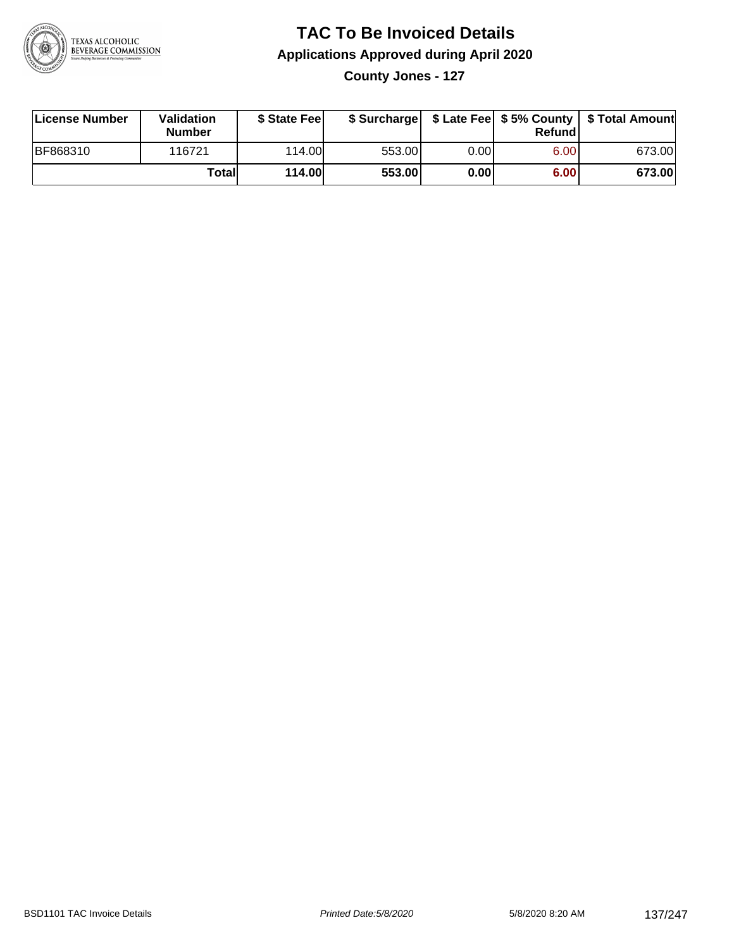

### **TAC To Be Invoiced Details Applications Approved during April 2020**

**County Jones - 127**

| License Number | <b>Validation</b><br><b>Number</b> | \$ State Feel |        |      | Refundl | \$ Surcharge   \$ Late Fee   \$5% County   \$ Total Amount |
|----------------|------------------------------------|---------------|--------|------|---------|------------------------------------------------------------|
| BF868310       | 116721                             | 114.00L       | 553.00 | 0.00 | 6.00    | 673.00                                                     |
|                | Totall                             | <b>114.00</b> | 553.00 | 0.00 | 6.00    | 673.00                                                     |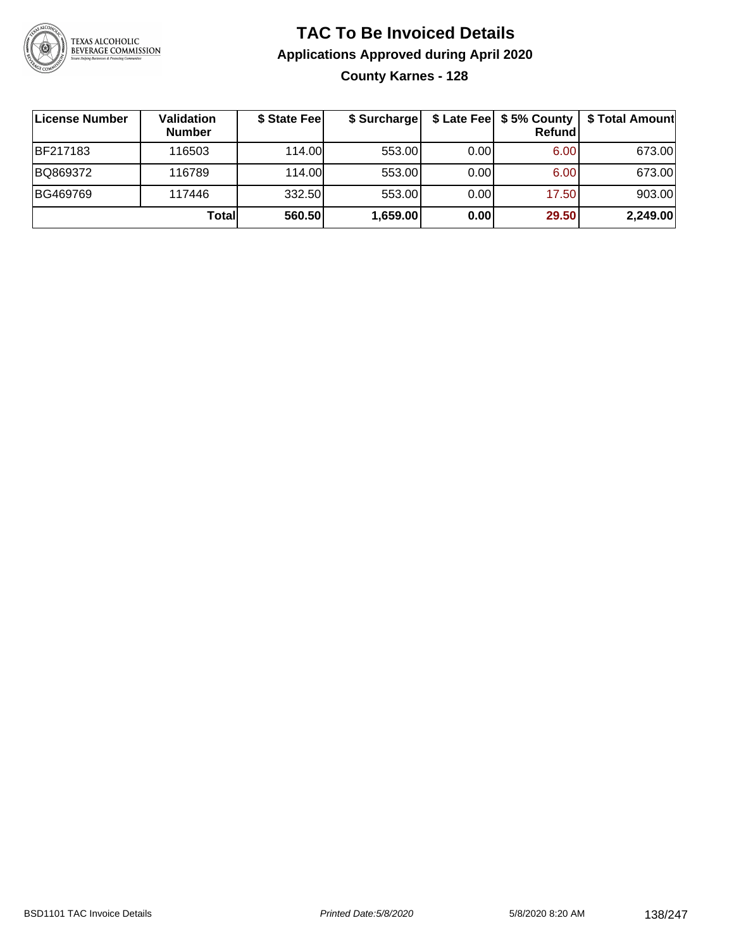

### **TAC To Be Invoiced Details Applications Approved during April 2020 County Karnes - 128**

| License Number  | Validation<br><b>Number</b> | \$ State Feel | \$ Surcharge |      | Refund | \$ Late Fee   \$5% County   \$ Total Amount |
|-----------------|-----------------------------|---------------|--------------|------|--------|---------------------------------------------|
| <b>BF217183</b> | 116503                      | 114.00L       | 553.00       | 0.00 | 6.00   | 673.00                                      |
| BQ869372        | 116789                      | 114.00L       | 553.00       | 0.00 | 6.00   | 673.00                                      |
| BG469769        | 117446                      | 332.50        | 553.00       | 0.00 | 17.50  | 903.00                                      |
|                 | Total                       | 560.50        | 1,659.00     | 0.00 | 29.50  | 2,249.00                                    |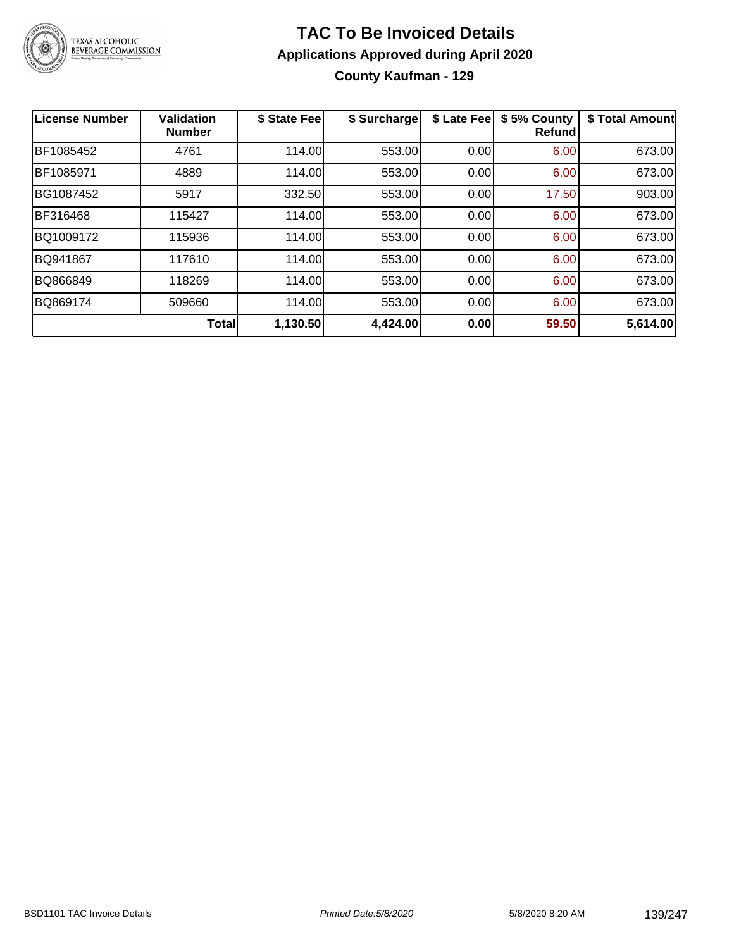

### **TAC To Be Invoiced Details Applications Approved during April 2020 County Kaufman - 129**

| <b>License Number</b> | <b>Validation</b><br><b>Number</b> | \$ State Fee | \$ Surcharge | \$ Late Fee | \$5% County<br><b>Refund</b> | \$ Total Amount |
|-----------------------|------------------------------------|--------------|--------------|-------------|------------------------------|-----------------|
| BF1085452             | 4761                               | 114.00       | 553.00       | 0.00        | 6.00                         | 673.00          |
| BF1085971             | 4889                               | 114.00       | 553.00       | 0.00        | 6.00                         | 673.00          |
| BG1087452             | 5917                               | 332.50       | 553.00       | 0.00        | 17.50                        | 903.00          |
| BF316468              | 115427                             | 114.00       | 553.00       | 0.00        | 6.00                         | 673.00          |
| BQ1009172             | 115936                             | 114.00       | 553.00       | 0.00        | 6.00                         | 673.00          |
| BQ941867              | 117610                             | 114.00       | 553.00       | 0.00        | 6.00                         | 673.00          |
| BQ866849              | 118269                             | 114.00       | 553.00       | 0.00        | 6.00                         | 673.00          |
| BQ869174              | 509660                             | 114.00       | 553.00       | 0.00        | 6.00                         | 673.00          |
|                       | <b>Total</b>                       | 1,130.50     | 4,424.00     | 0.00        | 59.50                        | 5,614.00        |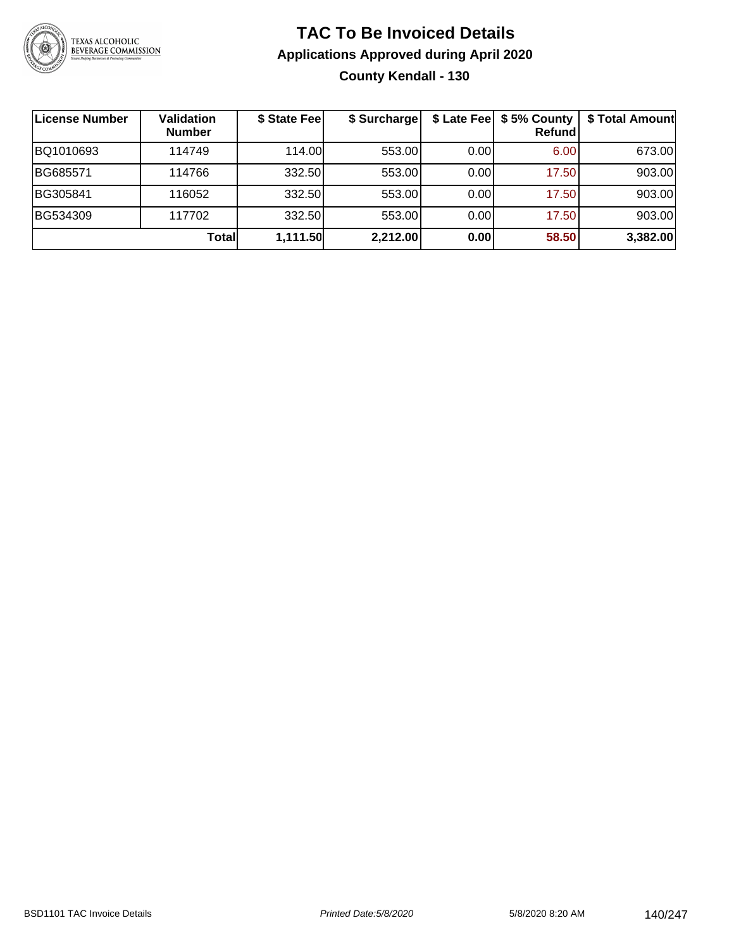

### **TAC To Be Invoiced Details Applications Approved during April 2020 County Kendall - 130**

| License Number | Validation<br><b>Number</b> | \$ State Fee | \$ Surcharge |      | \$ Late Fee   \$5% County  <br><b>Refund</b> | \$ Total Amount |
|----------------|-----------------------------|--------------|--------------|------|----------------------------------------------|-----------------|
| BQ1010693      | 114749                      | 114.00       | 553.00       | 0.00 | 6.00                                         | 673.00          |
| BG685571       | 114766                      | 332.50       | 553.00       | 0.00 | 17.50                                        | 903.00          |
| BG305841       | 116052                      | 332.50       | 553.00       | 0.00 | 17.50                                        | 903.00          |
| BG534309       | 117702                      | 332.50       | 553.00       | 0.00 | 17.50                                        | 903.00          |
|                | Totall                      | 1,111.50     | 2,212.00     | 0.00 | 58.50                                        | 3,382.00        |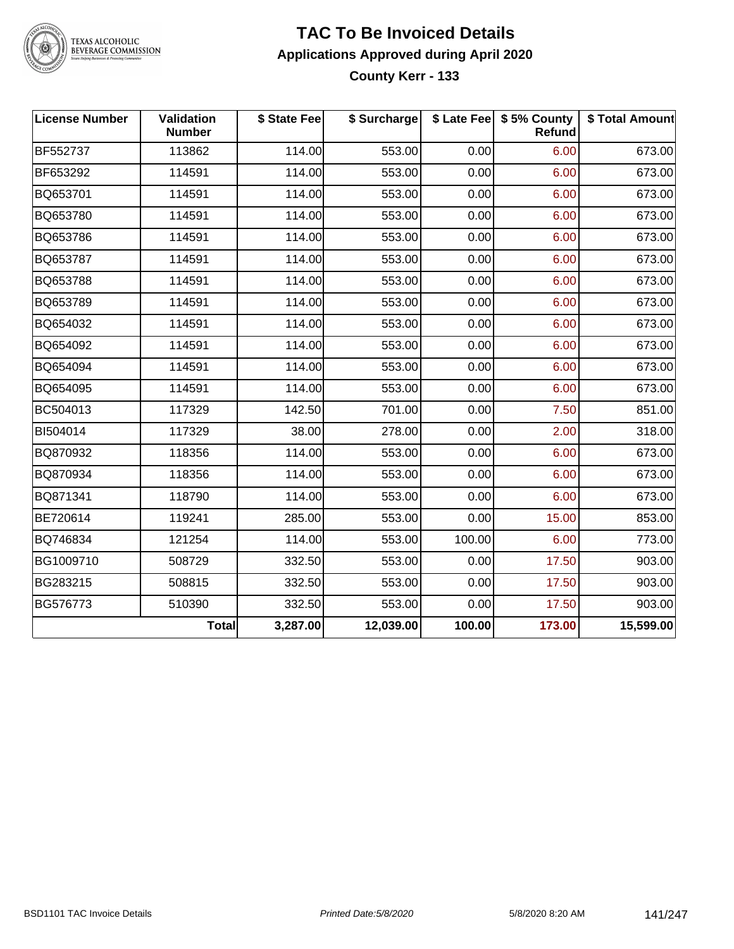

TEXAS ALCOHOLIC<br>BEVERAGE COMMISSION

### **TAC To Be Invoiced Details Applications Approved during April 2020 County Kerr - 133**

| <b>License Number</b> | Validation<br><b>Number</b> | \$ State Fee | \$ Surcharge |        | \$ Late Fee   \$5% County  <br>Refund | \$ Total Amount |
|-----------------------|-----------------------------|--------------|--------------|--------|---------------------------------------|-----------------|
| BF552737              | 113862                      | 114.00       | 553.00       | 0.00   | 6.00                                  | 673.00          |
| BF653292              | 114591                      | 114.00       | 553.00       | 0.00   | 6.00                                  | 673.00          |
| BQ653701              | 114591                      | 114.00       | 553.00       | 0.00   | 6.00                                  | 673.00          |
| BQ653780              | 114591                      | 114.00       | 553.00       | 0.00   | 6.00                                  | 673.00          |
| BQ653786              | 114591                      | 114.00       | 553.00       | 0.00   | 6.00                                  | 673.00          |
| BQ653787              | 114591                      | 114.00       | 553.00       | 0.00   | 6.00                                  | 673.00          |
| BQ653788              | 114591                      | 114.00       | 553.00       | 0.00   | 6.00                                  | 673.00          |
| BQ653789              | 114591                      | 114.00       | 553.00       | 0.00   | 6.00                                  | 673.00          |
| BQ654032              | 114591                      | 114.00       | 553.00       | 0.00   | 6.00                                  | 673.00          |
| BQ654092              | 114591                      | 114.00       | 553.00       | 0.00   | 6.00                                  | 673.00          |
| BQ654094              | 114591                      | 114.00       | 553.00       | 0.00   | 6.00                                  | 673.00          |
| BQ654095              | 114591                      | 114.00       | 553.00       | 0.00   | 6.00                                  | 673.00          |
| BC504013              | 117329                      | 142.50       | 701.00       | 0.00   | 7.50                                  | 851.00          |
| BI504014              | 117329                      | 38.00        | 278.00       | 0.00   | 2.00                                  | 318.00          |
| BQ870932              | 118356                      | 114.00       | 553.00       | 0.00   | 6.00                                  | 673.00          |
| BQ870934              | 118356                      | 114.00       | 553.00       | 0.00   | 6.00                                  | 673.00          |
| BQ871341              | 118790                      | 114.00       | 553.00       | 0.00   | 6.00                                  | 673.00          |
| BE720614              | 119241                      | 285.00       | 553.00       | 0.00   | 15.00                                 | 853.00          |
| BQ746834              | 121254                      | 114.00       | 553.00       | 100.00 | 6.00                                  | 773.00          |
| BG1009710             | 508729                      | 332.50       | 553.00       | 0.00   | 17.50                                 | 903.00          |
| BG283215              | 508815                      | 332.50       | 553.00       | 0.00   | 17.50                                 | 903.00          |
| BG576773              | 510390                      | 332.50       | 553.00       | 0.00   | 17.50                                 | 903.00          |
|                       | Total                       | 3,287.00     | 12,039.00    | 100.00 | 173.00                                | 15,599.00       |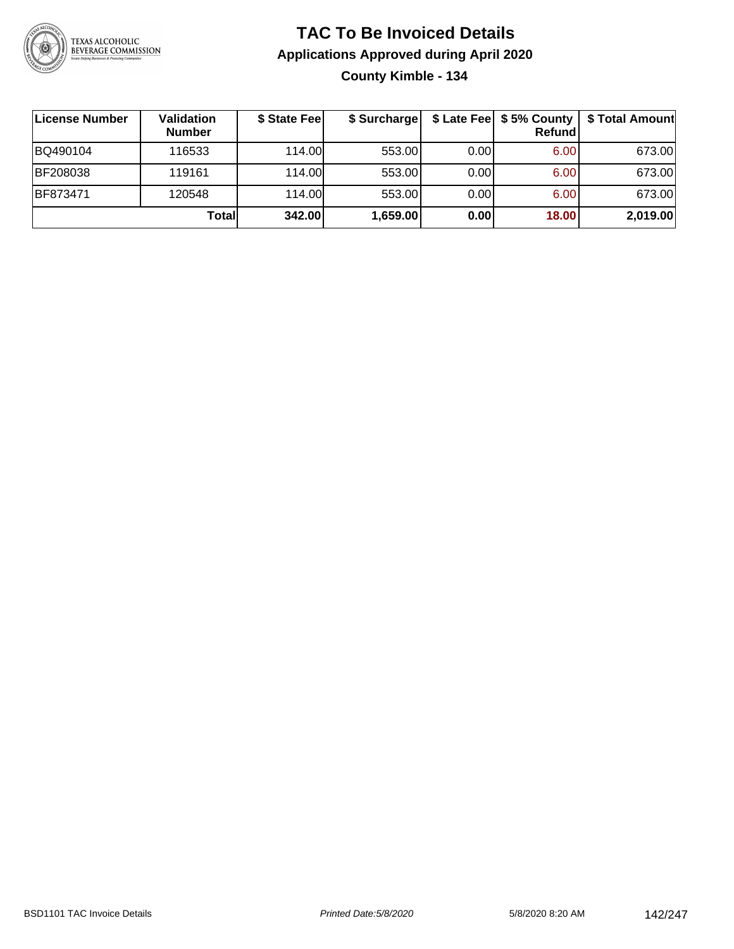

### **TAC To Be Invoiced Details Applications Approved during April 2020 County Kimble - 134**

| License Number | Validation<br><b>Number</b> | \$ State Fee | \$ Surcharge |      | $$$ Late Fee $$5%$ County<br>Refund | \$ Total Amount |
|----------------|-----------------------------|--------------|--------------|------|-------------------------------------|-----------------|
| BQ490104       | 116533                      | 114.00L      | 553.00       | 0.00 | 6.00                                | 673.00          |
| BF208038       | 119161                      | 114.00L      | 553.00       | 0.00 | 6.00                                | 673.00          |
| BF873471       | 120548                      | 114.00L      | 553.00       | 0.00 | 6.00                                | 673.00          |
|                | Totall                      | 342.00       | 1,659.00     | 0.00 | 18.00                               | 2,019.00        |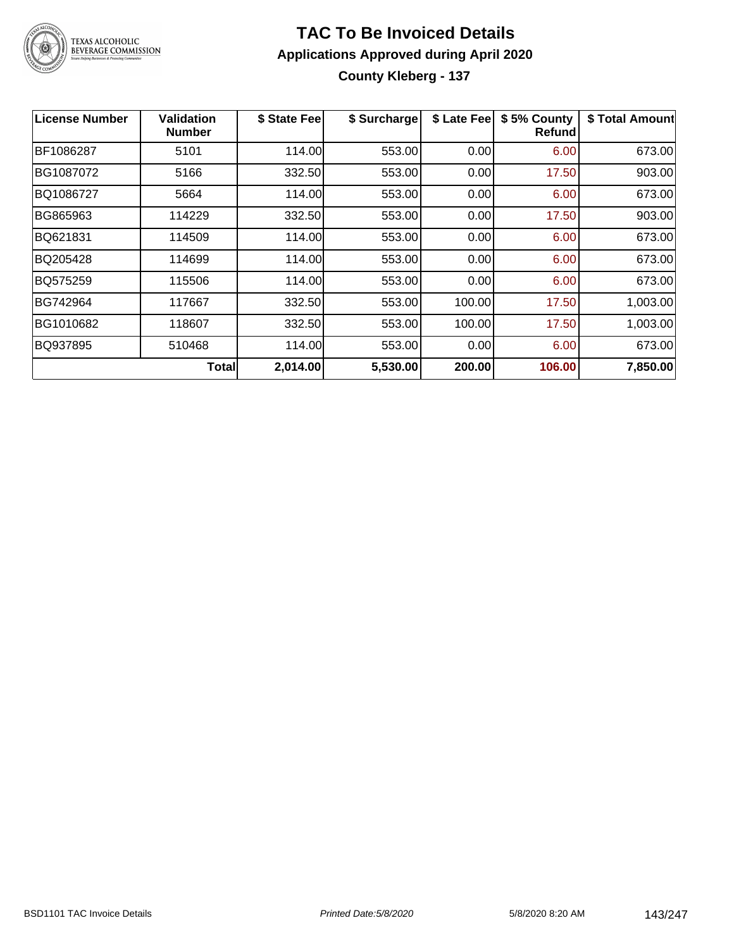

### **TAC To Be Invoiced Details Applications Approved during April 2020 County Kleberg - 137**

| License Number | <b>Validation</b><br><b>Number</b> | \$ State Fee | \$ Surcharge | \$ Late Fee | \$5% County<br><b>Refund</b> | \$ Total Amount |
|----------------|------------------------------------|--------------|--------------|-------------|------------------------------|-----------------|
| BF1086287      | 5101                               | 114.00       | 553.00       | 0.00        | 6.00                         | 673.00          |
| BG1087072      | 5166                               | 332.50       | 553.00       | 0.00        | 17.50                        | 903.00          |
| BQ1086727      | 5664                               | 114.00       | 553.00       | 0.00        | 6.00                         | 673.00          |
| BG865963       | 114229                             | 332.50       | 553.00       | 0.00        | 17.50                        | 903.00          |
| BQ621831       | 114509                             | 114.00       | 553.00       | 0.00        | 6.00                         | 673.00          |
| BQ205428       | 114699                             | 114.00       | 553.00       | 0.00        | 6.00                         | 673.00          |
| BQ575259       | 115506                             | 114.00       | 553.00       | 0.00        | 6.00                         | 673.00          |
| BG742964       | 117667                             | 332.50       | 553.00       | 100.00      | 17.50                        | 1,003.00        |
| BG1010682      | 118607                             | 332.50       | 553.00       | 100.00      | 17.50                        | 1,003.00        |
| BQ937895       | 510468                             | 114.00       | 553.00       | 0.00        | 6.00                         | 673.00          |
|                | <b>Total</b>                       | 2,014.00     | 5,530.00     | 200.00      | 106.00                       | 7,850.00        |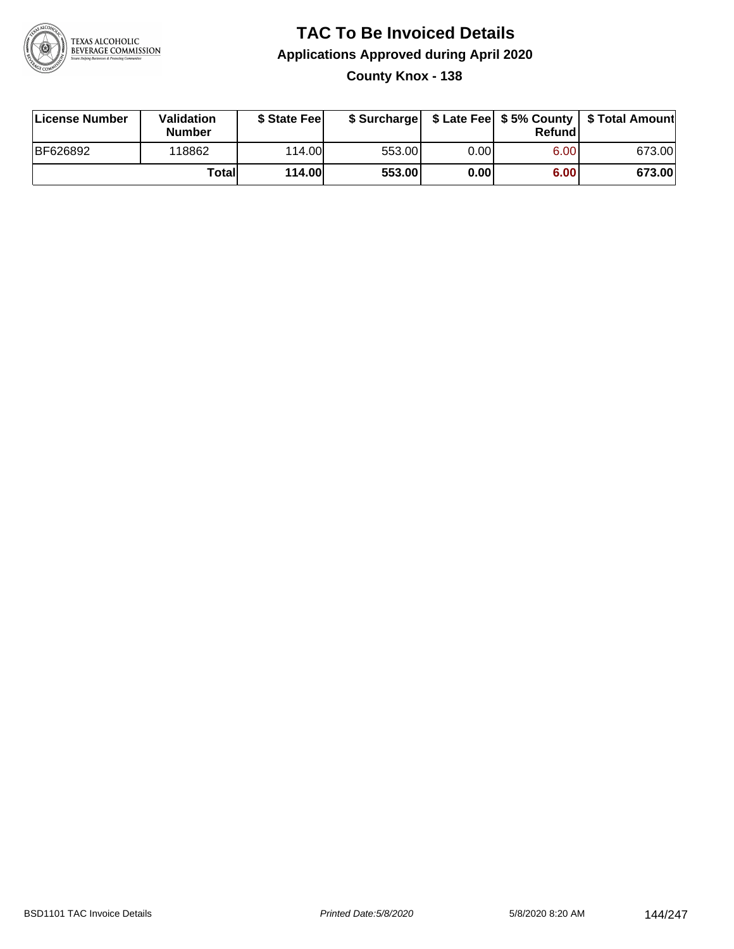

### **TAC To Be Invoiced Details Applications Approved during April 2020 County Knox - 138**

| License Number  | Validation<br><b>Number</b> | \$ State Fee  |        |      | Refund | \$ Surcharge   \$ Late Fee   \$5% County   \$ Total Amount |
|-----------------|-----------------------------|---------------|--------|------|--------|------------------------------------------------------------|
| <b>BF626892</b> | 118862                      | 114.00        | 553.00 | 0.00 | 6.00   | 673.00                                                     |
|                 | Totall                      | <b>114.00</b> | 553.00 | 0.00 | 6.00   | 673.00                                                     |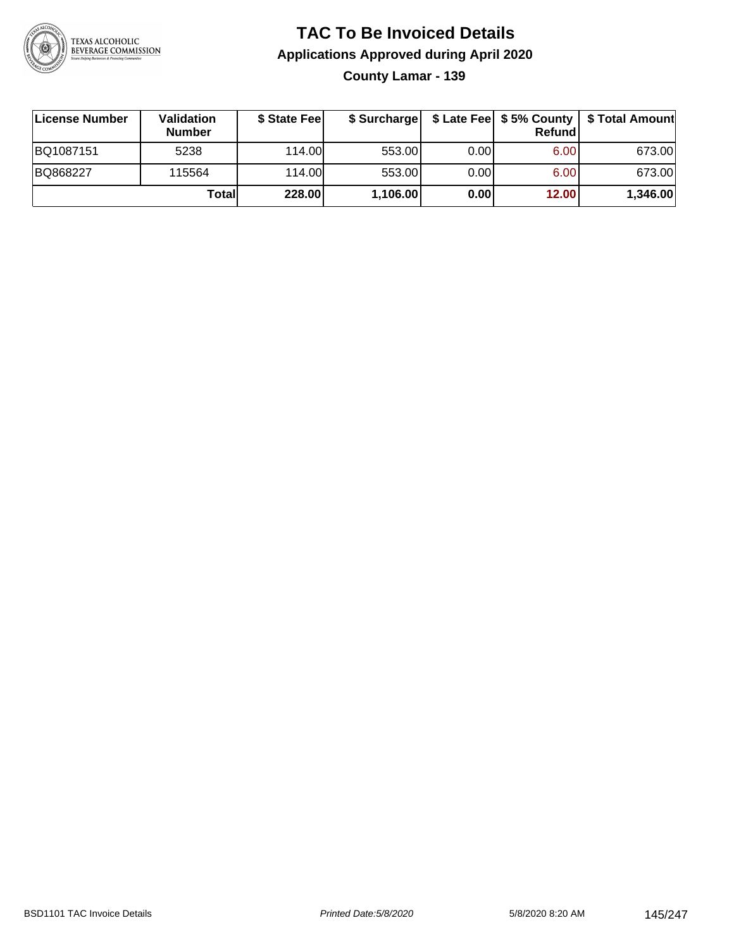

**County Lamar - 139**

| License Number | <b>Validation</b><br><b>Number</b> | \$ State Fee | \$ Surcharge |       | Refundl | \$ Late Fee   \$5% County   \$ Total Amount |
|----------------|------------------------------------|--------------|--------------|-------|---------|---------------------------------------------|
| BQ1087151      | 5238                               | 114.00       | 553.00       | 0.001 | 6.00    | 673.00                                      |
| BQ868227       | 115564                             | 114.00       | 553.00       | 0.001 | 6.00    | 673.00                                      |
|                | Totall                             | 228.00       | 1,106.00     | 0.00  | 12.00   | 1,346.00                                    |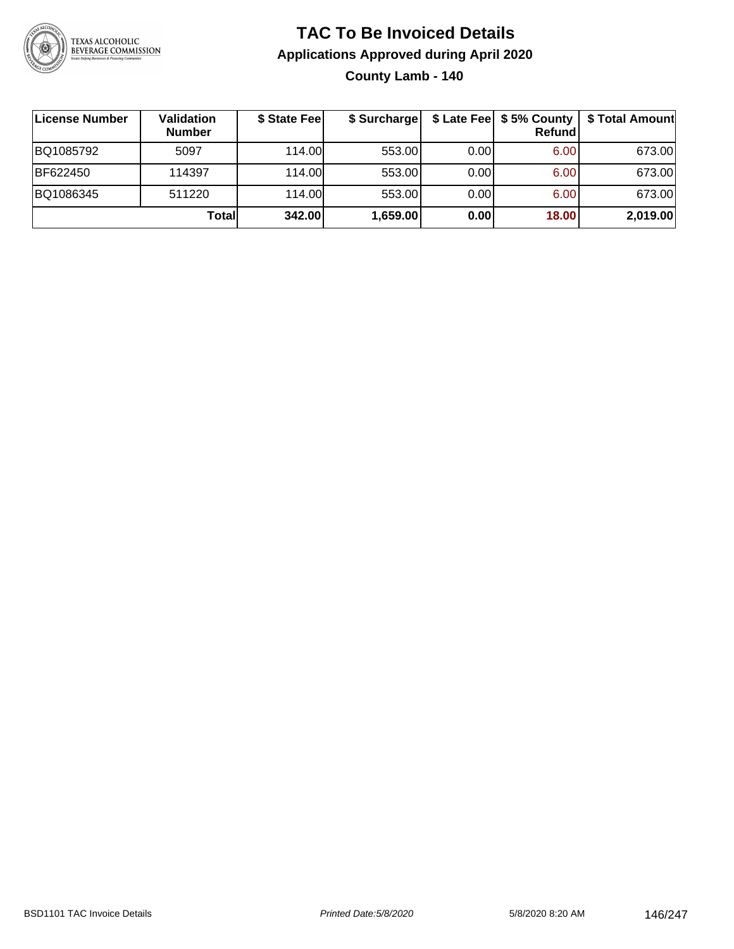

### **TAC To Be Invoiced Details Applications Approved during April 2020 County Lamb - 140**

**License Number Validation Number \$ State Fee \$ Surcharge \$ Late Fee \$ 5% County Refund \$ Total Amount** BQ1085792 5097 114.00 553.00 0.00 6.00 673.00 BF622450 114397 114.00 553.00 0.00 6.00 673.00 BQ1086345 511220 114.00 553.00 0.00 6.00 673.00 **Total 342.00 1,659.00 0.00 18.00 2,019.00**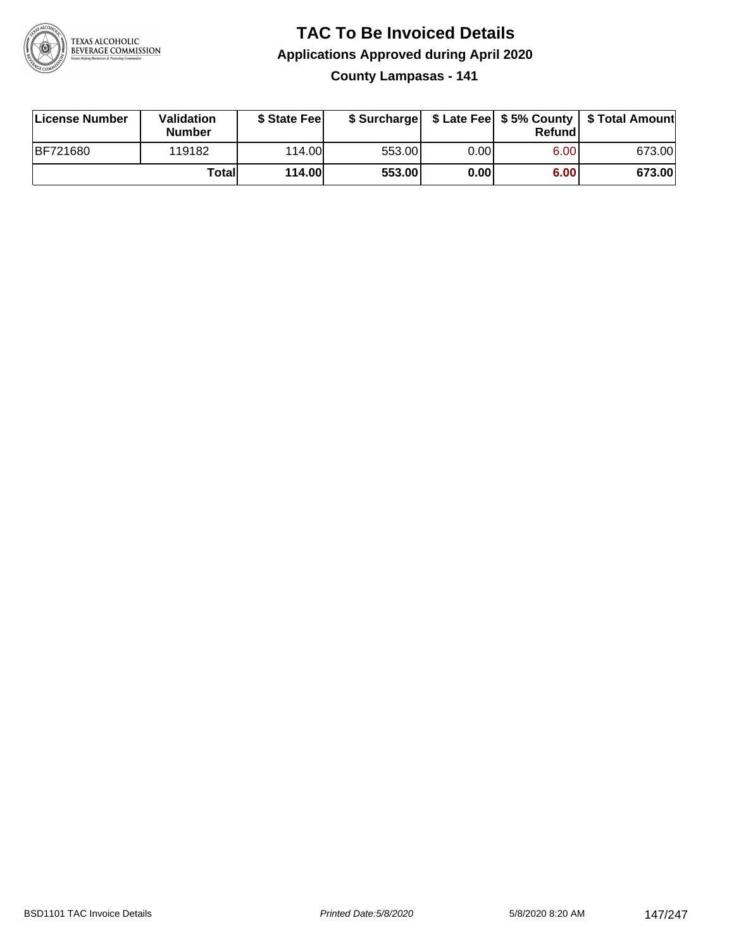

**County Lampasas - 141**

| License Number | <b>Validation</b><br><b>Number</b> | \$ State Fee  | \$ Surcharge |       | Refundl |        |
|----------------|------------------------------------|---------------|--------------|-------|---------|--------|
| BF721680       | 119182                             | 114.00L       | 553.00       | 0.001 | 6.00    | 673.00 |
|                | Totall                             | <b>114.00</b> | 553.00       | 0.00  | 6.00    | 673.00 |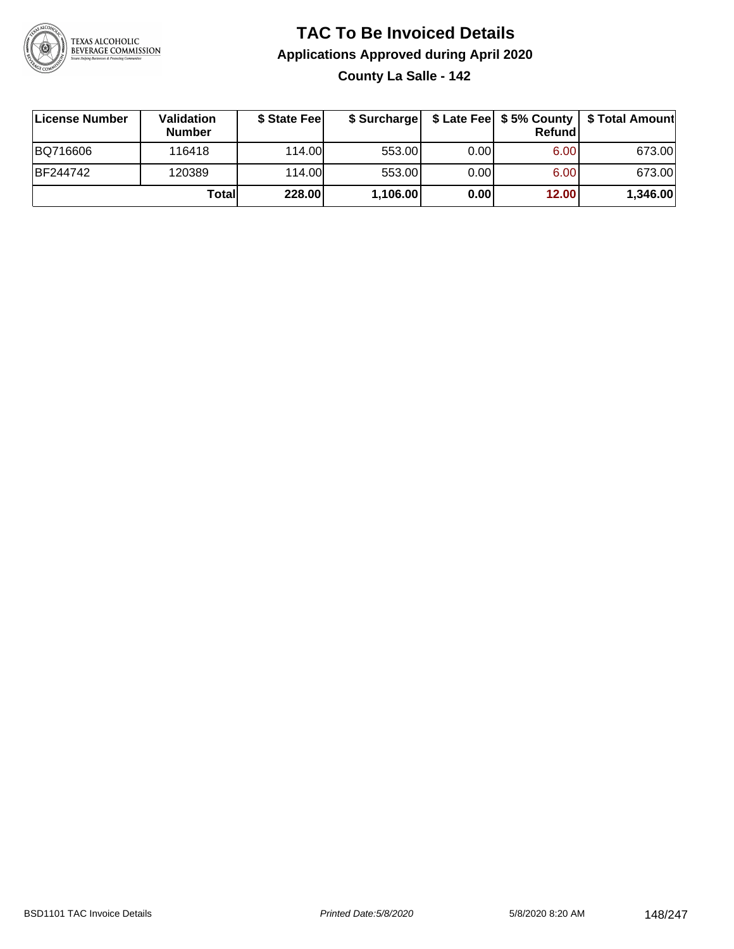

**County La Salle - 142**

| License Number | <b>Validation</b><br><b>Number</b> | \$ State Feel |          |      | Refundl | \$ Surcharge   \$ Late Fee   \$5% County   \$ Total Amount |
|----------------|------------------------------------|---------------|----------|------|---------|------------------------------------------------------------|
| BQ716606       | 116418                             | 114.00L       | 553.00   | 0.00 | 6.00    | 673.00                                                     |
| BF244742       | 120389                             | 114.00L       | 553.00   | 0.00 | 6.00    | 673.00                                                     |
|                | Totall                             | 228.00        | 1,106.00 | 0.00 | 12.00   | 1,346.00                                                   |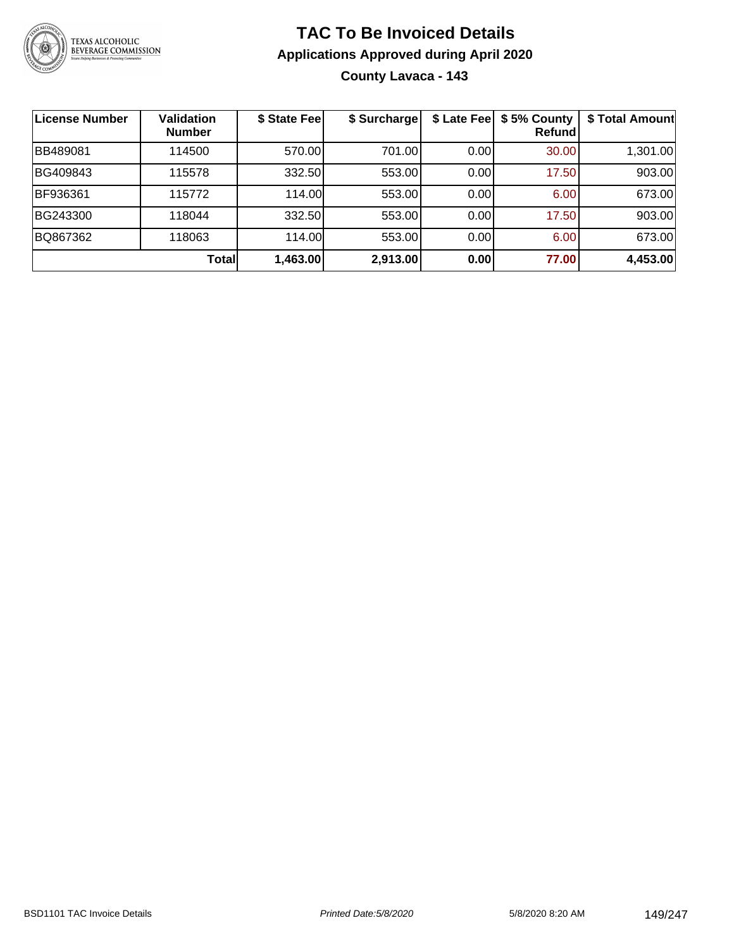

### **TAC To Be Invoiced Details Applications Approved during April 2020 County Lavaca - 143**

| License Number  | <b>Validation</b><br><b>Number</b> | \$ State Fee | \$ Surcharge |      | \$ Late Fee   \$5% County<br><b>Refund</b> | \$ Total Amount |
|-----------------|------------------------------------|--------------|--------------|------|--------------------------------------------|-----------------|
| <b>BB489081</b> | 114500                             | 570.00       | 701.00       | 0.00 | 30.00                                      | 1,301.00        |
| BG409843        | 115578                             | 332.50       | 553.00       | 0.00 | 17.50                                      | 903.00          |
| BF936361        | 115772                             | 114.00       | 553.00       | 0.00 | 6.00                                       | 673.00          |
| BG243300        | 118044                             | 332.50       | 553.00       | 0.00 | 17.50                                      | 903.00          |
| BQ867362        | 118063                             | 114.00       | 553.00       | 0.00 | 6.00                                       | 673.00          |
|                 | <b>Total</b>                       | 1,463.00     | 2,913.00     | 0.00 | 77.00                                      | 4,453.00        |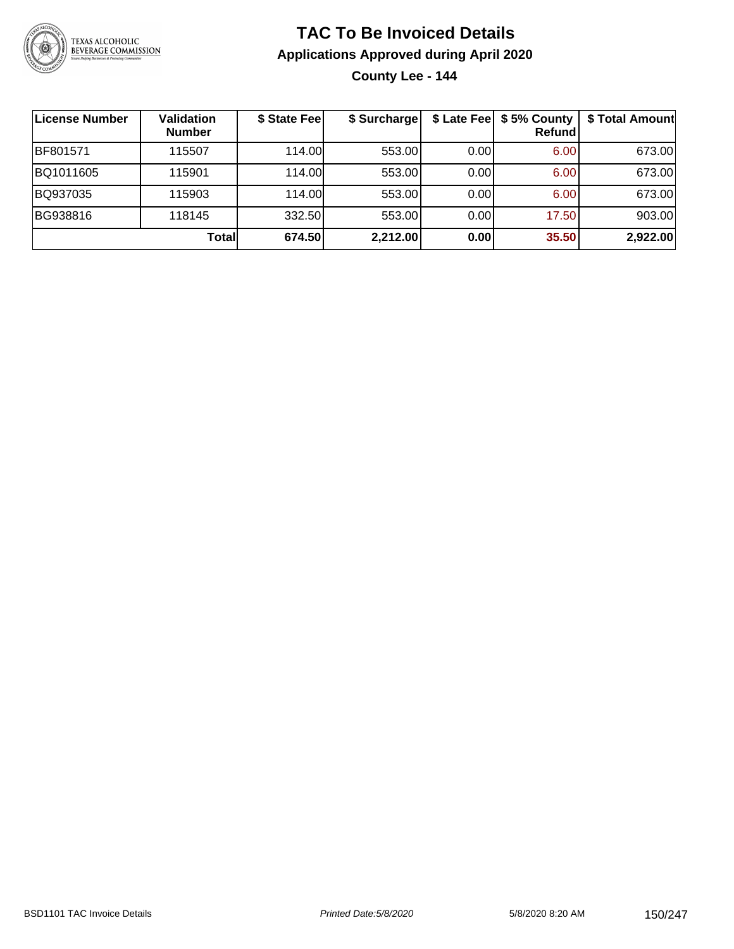

**County Lee - 144**

| License Number | Validation<br><b>Number</b> | \$ State Fee | \$ Surcharge |      | \$ Late Fee   \$5% County  <br>Refundl | \$ Total Amount |
|----------------|-----------------------------|--------------|--------------|------|----------------------------------------|-----------------|
| BF801571       | 115507                      | 114.00       | 553.00       | 0.00 | 6.00                                   | 673.00          |
| BQ1011605      | 115901                      | 114.00L      | 553.00       | 0.00 | 6.00                                   | 673.00          |
| BQ937035       | 115903                      | 114.00       | 553.00       | 0.00 | 6.00                                   | 673.00          |
| BG938816       | 118145                      | 332.50       | 553.00       | 0.00 | 17.50                                  | 903.00          |
|                | Totall                      | 674.50       | 2,212.00     | 0.00 | 35.50                                  | 2,922.00        |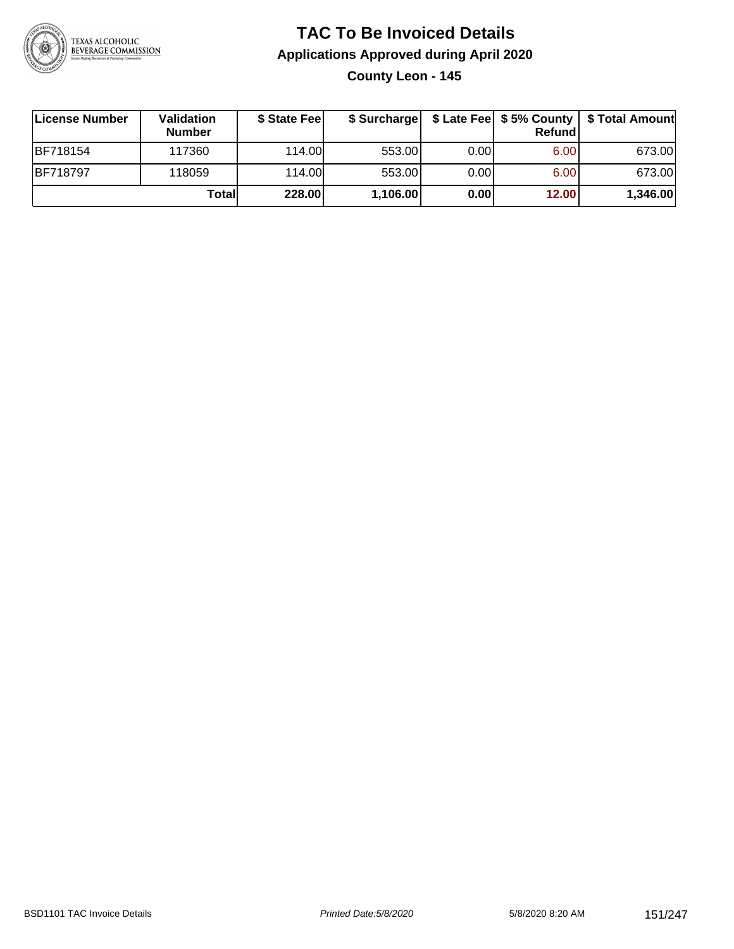

### **TAC To Be Invoiced Details Applications Approved during April 2020 County Leon - 145**

| License Number  | Validation<br><b>Number</b> | \$ State Feel |          |       | <b>Refund</b> | \$ Surcharge   \$ Late Fee   \$5% County   \$ Total Amount |
|-----------------|-----------------------------|---------------|----------|-------|---------------|------------------------------------------------------------|
| <b>BF718154</b> | 117360                      | 114.00        | 553.00   | 0.001 | 6.00          | 673.00                                                     |
| <b>BF718797</b> | 118059                      | 114.00        | 553.00   | 0.00  | 6.00          | 673.00                                                     |
|                 | Totall                      | 228.00        | 1,106.00 | 0.00  | 12.00         | 1,346.00                                                   |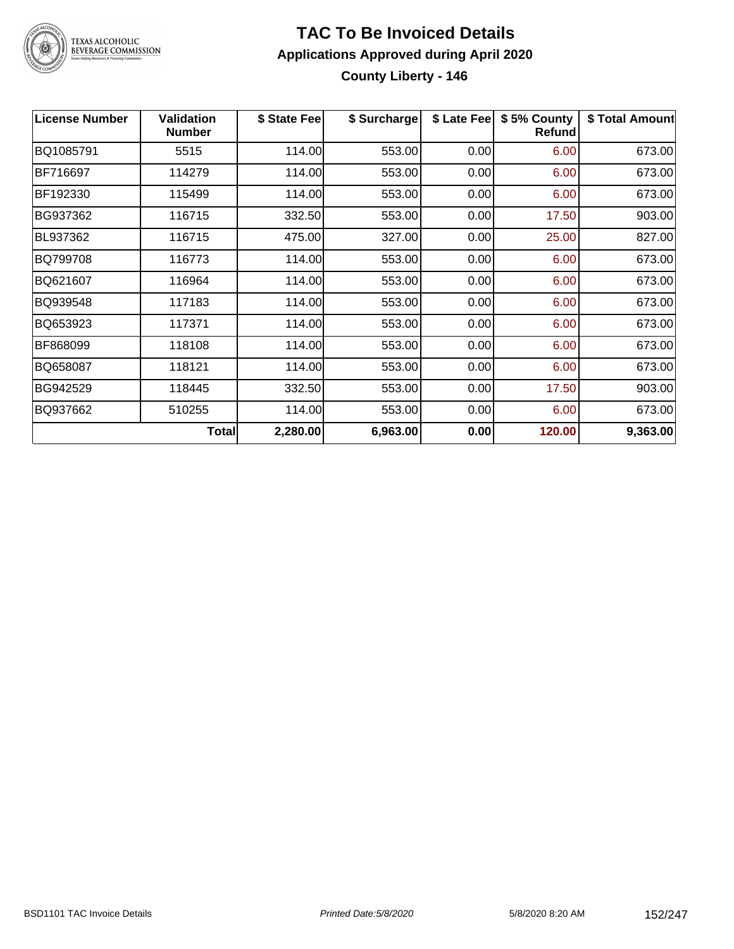

### **TAC To Be Invoiced Details Applications Approved during April 2020 County Liberty - 146**

| <b>License Number</b> | <b>Validation</b><br><b>Number</b> | \$ State Fee | \$ Surcharge | \$ Late Fee | \$5% County<br><b>Refund</b> | \$ Total Amount |
|-----------------------|------------------------------------|--------------|--------------|-------------|------------------------------|-----------------|
| BQ1085791             | 5515                               | 114.00       | 553.00       | 0.00        | 6.00                         | 673.00          |
| BF716697              | 114279                             | 114.00       | 553.00       | 0.00        | 6.00                         | 673.00          |
| BF192330              | 115499                             | 114.00       | 553.00       | 0.00        | 6.00                         | 673.00          |
| BG937362              | 116715                             | 332.50       | 553.00       | 0.00        | 17.50                        | 903.00          |
| BL937362              | 116715                             | 475.00       | 327.00       | 0.00        | 25.00                        | 827.00          |
| BQ799708              | 116773                             | 114.00       | 553.00       | 0.00        | 6.00                         | 673.00          |
| BQ621607              | 116964                             | 114.00       | 553.00       | 0.00        | 6.00                         | 673.00          |
| BQ939548              | 117183                             | 114.00       | 553.00       | 0.00        | 6.00                         | 673.00          |
| BQ653923              | 117371                             | 114.00       | 553.00       | 0.00        | 6.00                         | 673.00          |
| BF868099              | 118108                             | 114.00       | 553.00       | 0.00        | 6.00                         | 673.00          |
| BQ658087              | 118121                             | 114.00       | 553.00       | 0.00        | 6.00                         | 673.00          |
| BG942529              | 118445                             | 332.50       | 553.00       | 0.00        | 17.50                        | 903.00          |
| BQ937662              | 510255                             | 114.00       | 553.00       | 0.00        | 6.00                         | 673.00          |
|                       | <b>Total</b>                       | 2,280.00     | 6,963.00     | 0.00        | 120.00                       | 9,363.00        |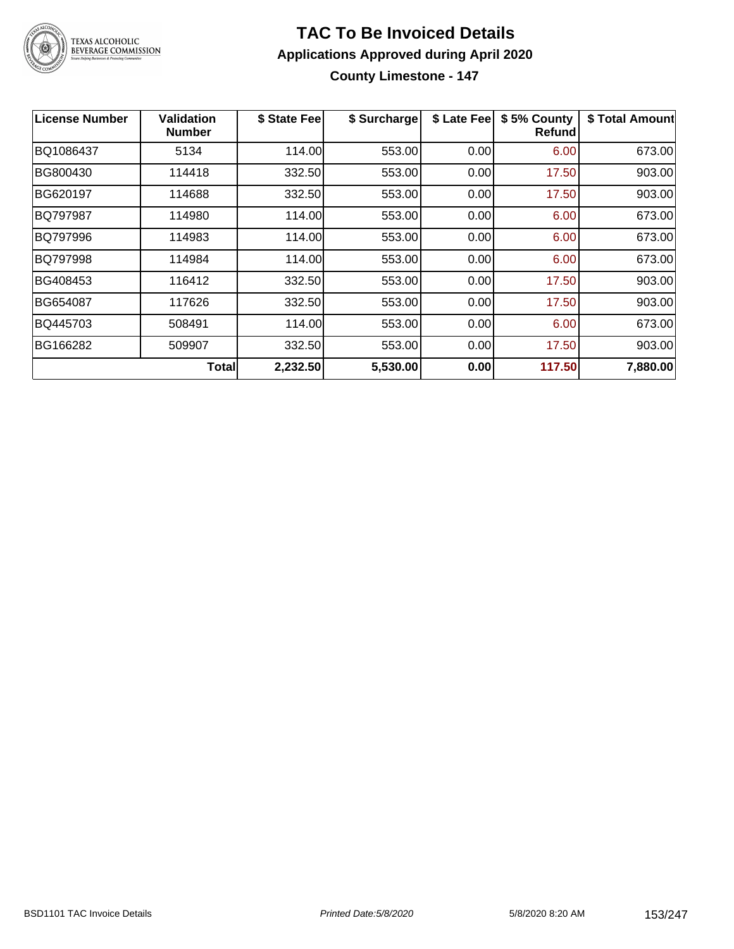

#### **TAC To Be Invoiced Details Applications Approved during April 2020 County Limestone - 147**

**License Number Validation Number \$ State Fee \$ Surcharge \$ Late Fee \$ 5% County Refund \$ Total Amount** BQ1086437 5134 114.00 553.00 0.00 6.00 673.00 BG800430 | 114418 | 332.50| 553.00| 0.00| 17.50| 903.00 BG620197 | 114688 | 332.50| 553.00| 0.00| 17.50| 903.00 BQ797987 | 114980 | 114.00| 553.00| 0.00| 6.00| 673.00 BQ797996 | 114983 | 114.00| 553.00| 0.00| 6.00| 673.00 BQ797998 114984 114.00 553.00 0.00 6.00 673.00 BG408453 | 116412 | 332.50| 553.00| 0.00| 17.50| 903.00 BG654087 | 117626 | 332.50| 553.00| 0.00| 17.50| 903.00 BQ445703 508491 114.00 553.00 0.00 6.00 673.00 BG166282 | 509907 | 332.50| 553.00| 0.00| 17.50| 903.00 **Total 2,232.50 5,530.00 0.00 117.50 7,880.00**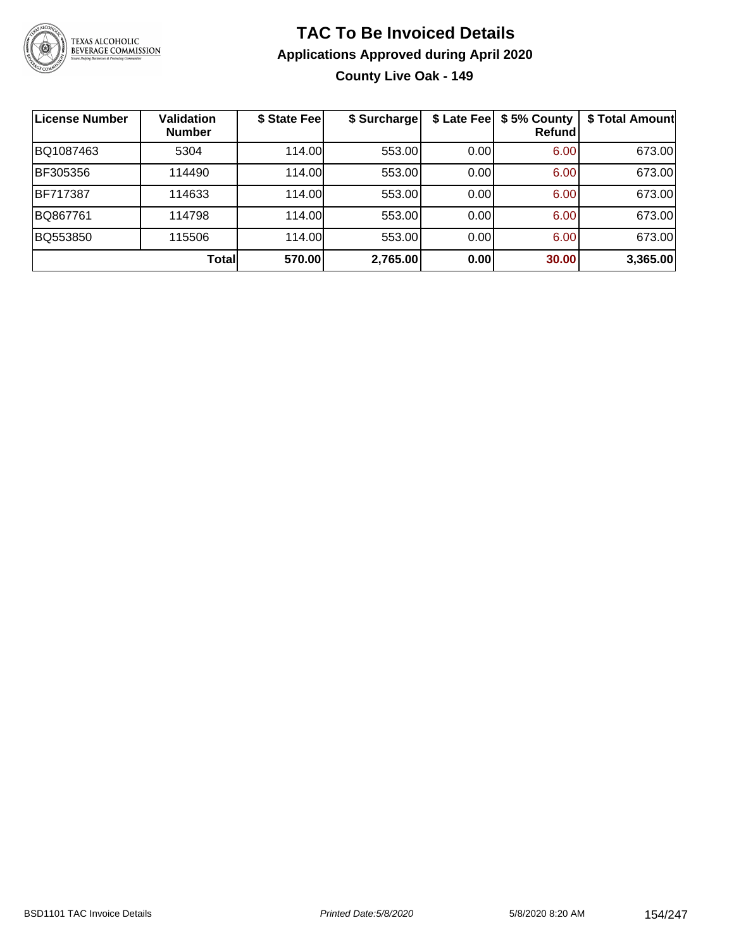

**County Live Oak - 149**

| License Number  | <b>Validation</b><br><b>Number</b> | \$ State Fee | \$ Surcharge | \$ Late Fee | \$5% County<br>Refundl | \$ Total Amount |
|-----------------|------------------------------------|--------------|--------------|-------------|------------------------|-----------------|
| BQ1087463       | 5304                               | 114.00       | 553.00       | 0.00        | 6.00                   | 673.00          |
| BF305356        | 114490                             | 114.00L      | 553.00       | 0.00        | 6.00                   | 673.00          |
| <b>BF717387</b> | 114633                             | 114.00       | 553.00       | 0.00        | 6.00                   | 673.00          |
| BQ867761        | 114798                             | 114.00       | 553.00       | 0.00        | 6.00                   | 673.00          |
| BQ553850        | 115506                             | 114.00       | 553.00       | 0.00        | 6.00                   | 673.00          |
|                 | Totall                             | 570.00       | 2,765.00     | 0.00        | 30.00                  | 3,365.00        |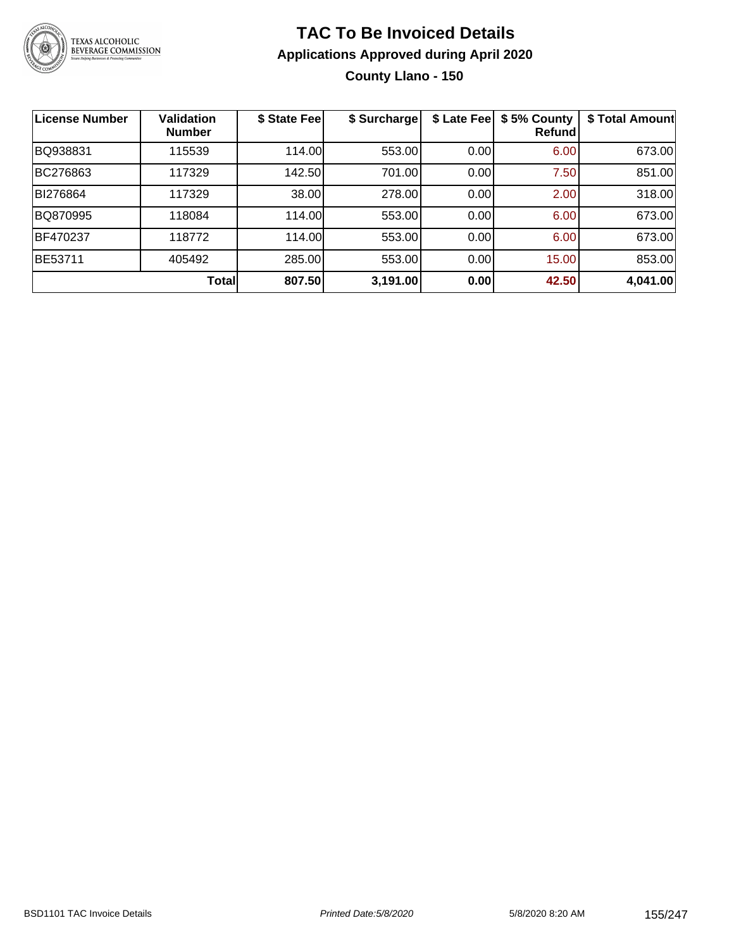

### **TAC To Be Invoiced Details Applications Approved during April 2020 County Llano - 150**

| <b>License Number</b> | <b>Validation</b><br><b>Number</b> | \$ State Fee | \$ Surcharge | \$ Late Fee | \$5% County<br>Refundl | \$ Total Amount |
|-----------------------|------------------------------------|--------------|--------------|-------------|------------------------|-----------------|
| BQ938831              | 115539                             | 114.00       | 553.00       | 0.00        | 6.00                   | 673.00          |
| BC276863              | 117329                             | 142.50       | 701.00       | 0.00        | 7.50                   | 851.00          |
| BI276864              | 117329                             | 38.00        | 278.00       | 0.00        | 2.00                   | 318.00          |
| BQ870995              | 118084                             | 114.00       | 553.00       | 0.00        | 6.00                   | 673.00          |
| BF470237              | 118772                             | 114.00       | 553.00       | 0.00        | 6.00                   | 673.00          |
| BE53711               | 405492                             | 285.00       | 553.00       | 0.00        | 15.00                  | 853.00          |
|                       | <b>Total</b>                       | 807.50       | 3,191.00     | 0.00        | 42.50                  | 4,041.00        |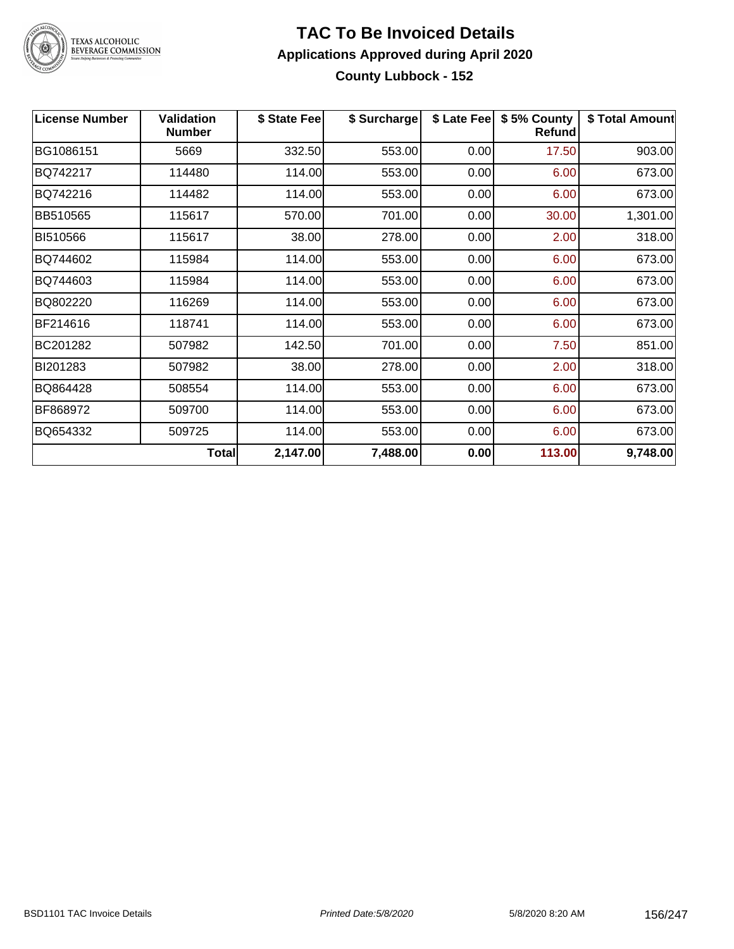

### **TAC To Be Invoiced Details Applications Approved during April 2020 County Lubbock - 152**

| <b>License Number</b> | <b>Validation</b><br><b>Number</b> | \$ State Fee | \$ Surcharge | \$ Late Fee | \$5% County<br><b>Refund</b> | \$ Total Amount |
|-----------------------|------------------------------------|--------------|--------------|-------------|------------------------------|-----------------|
| BG1086151             | 5669                               | 332.50       | 553.00       | 0.00        | 17.50                        | 903.00          |
| BQ742217              | 114480                             | 114.00       | 553.00       | 0.00        | 6.00                         | 673.00          |
| BQ742216              | 114482                             | 114.00       | 553.00       | 0.00        | 6.00                         | 673.00          |
| BB510565              | 115617                             | 570.00       | 701.00       | 0.00        | 30.00                        | 1,301.00        |
| BI510566              | 115617                             | 38.00        | 278.00       | 0.00        | 2.00                         | 318.00          |
| BQ744602              | 115984                             | 114.00       | 553.00       | 0.00        | 6.00                         | 673.00          |
| BQ744603              | 115984                             | 114.00       | 553.00       | 0.00        | 6.00                         | 673.00          |
| BQ802220              | 116269                             | 114.00       | 553.00       | 0.00        | 6.00                         | 673.00          |
| BF214616              | 118741                             | 114.00       | 553.00       | 0.00        | 6.00                         | 673.00          |
| BC201282              | 507982                             | 142.50       | 701.00       | 0.00        | 7.50                         | 851.00          |
| BI201283              | 507982                             | 38.00        | 278.00       | 0.00        | 2.00                         | 318.00          |
| BQ864428              | 508554                             | 114.00       | 553.00       | 0.00        | 6.00                         | 673.00          |
| BF868972              | 509700                             | 114.00       | 553.00       | 0.00        | 6.00                         | 673.00          |
| BQ654332              | 509725                             | 114.00       | 553.00       | 0.00        | 6.00                         | 673.00          |
|                       | <b>Total</b>                       | 2,147.00     | 7,488.00     | 0.00        | 113.00                       | 9,748.00        |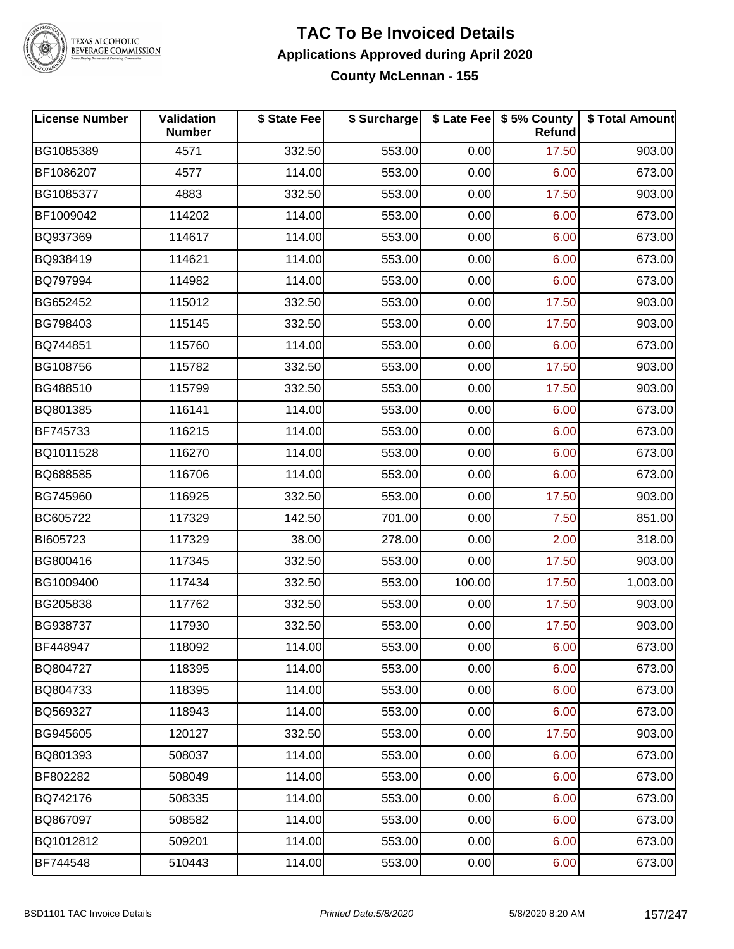

# TEXAS ALCOHOLIC<br>BEVERAGE COMMISSION

#### **TAC To Be Invoiced Details Applications Approved during April 2020 County McLennan - 155**

| <b>License Number</b> | Validation<br><b>Number</b> | \$ State Fee | \$ Surcharge |        | \$ Late Fee   \$5% County<br>Refund | \$ Total Amount |
|-----------------------|-----------------------------|--------------|--------------|--------|-------------------------------------|-----------------|
| BG1085389             | 4571                        | 332.50       | 553.00       | 0.00   | 17.50                               | 903.00          |
| BF1086207             | 4577                        | 114.00       | 553.00       | 0.00   | 6.00                                | 673.00          |
| BG1085377             | 4883                        | 332.50       | 553.00       | 0.00   | 17.50                               | 903.00          |
| BF1009042             | 114202                      | 114.00       | 553.00       | 0.00   | 6.00                                | 673.00          |
| BQ937369              | 114617                      | 114.00       | 553.00       | 0.00   | 6.00                                | 673.00          |
| BQ938419              | 114621                      | 114.00       | 553.00       | 0.00   | 6.00                                | 673.00          |
| BQ797994              | 114982                      | 114.00       | 553.00       | 0.00   | 6.00                                | 673.00          |
| BG652452              | 115012                      | 332.50       | 553.00       | 0.00   | 17.50                               | 903.00          |
| BG798403              | 115145                      | 332.50       | 553.00       | 0.00   | 17.50                               | 903.00          |
| BQ744851              | 115760                      | 114.00       | 553.00       | 0.00   | 6.00                                | 673.00          |
| BG108756              | 115782                      | 332.50       | 553.00       | 0.00   | 17.50                               | 903.00          |
| BG488510              | 115799                      | 332.50       | 553.00       | 0.00   | 17.50                               | 903.00          |
| BQ801385              | 116141                      | 114.00       | 553.00       | 0.00   | 6.00                                | 673.00          |
| BF745733              | 116215                      | 114.00       | 553.00       | 0.00   | 6.00                                | 673.00          |
| BQ1011528             | 116270                      | 114.00       | 553.00       | 0.00   | 6.00                                | 673.00          |
| BQ688585              | 116706                      | 114.00       | 553.00       | 0.00   | 6.00                                | 673.00          |
| BG745960              | 116925                      | 332.50       | 553.00       | 0.00   | 17.50                               | 903.00          |
| BC605722              | 117329                      | 142.50       | 701.00       | 0.00   | 7.50                                | 851.00          |
| BI605723              | 117329                      | 38.00        | 278.00       | 0.00   | 2.00                                | 318.00          |
| BG800416              | 117345                      | 332.50       | 553.00       | 0.00   | 17.50                               | 903.00          |
| BG1009400             | 117434                      | 332.50       | 553.00       | 100.00 | 17.50                               | 1,003.00        |
| BG205838              | 117762                      | 332.50       | 553.00       | 0.00   | 17.50                               | 903.00          |
| BG938737              | 117930                      | 332.50       | 553.00       | 0.00   | 17.50                               | 903.00          |
| BF448947              | 118092                      | 114.00       | 553.00       | 0.00   | 6.00                                | 673.00          |
| BQ804727              | 118395                      | 114.00       | 553.00       | 0.00   | 6.00                                | 673.00          |
| BQ804733              | 118395                      | 114.00       | 553.00       | 0.00   | 6.00                                | 673.00          |
| BQ569327              | 118943                      | 114.00       | 553.00       | 0.00   | 6.00                                | 673.00          |
| BG945605              | 120127                      | 332.50       | 553.00       | 0.00   | 17.50                               | 903.00          |
| BQ801393              | 508037                      | 114.00       | 553.00       | 0.00   | 6.00                                | 673.00          |
| BF802282              | 508049                      | 114.00       | 553.00       | 0.00   | 6.00                                | 673.00          |
| BQ742176              | 508335                      | 114.00       | 553.00       | 0.00   | 6.00                                | 673.00          |
| BQ867097              | 508582                      | 114.00       | 553.00       | 0.00   | 6.00                                | 673.00          |
| BQ1012812             | 509201                      | 114.00       | 553.00       | 0.00   | 6.00                                | 673.00          |
| BF744548              | 510443                      | 114.00       | 553.00       | 0.00   | 6.00                                | 673.00          |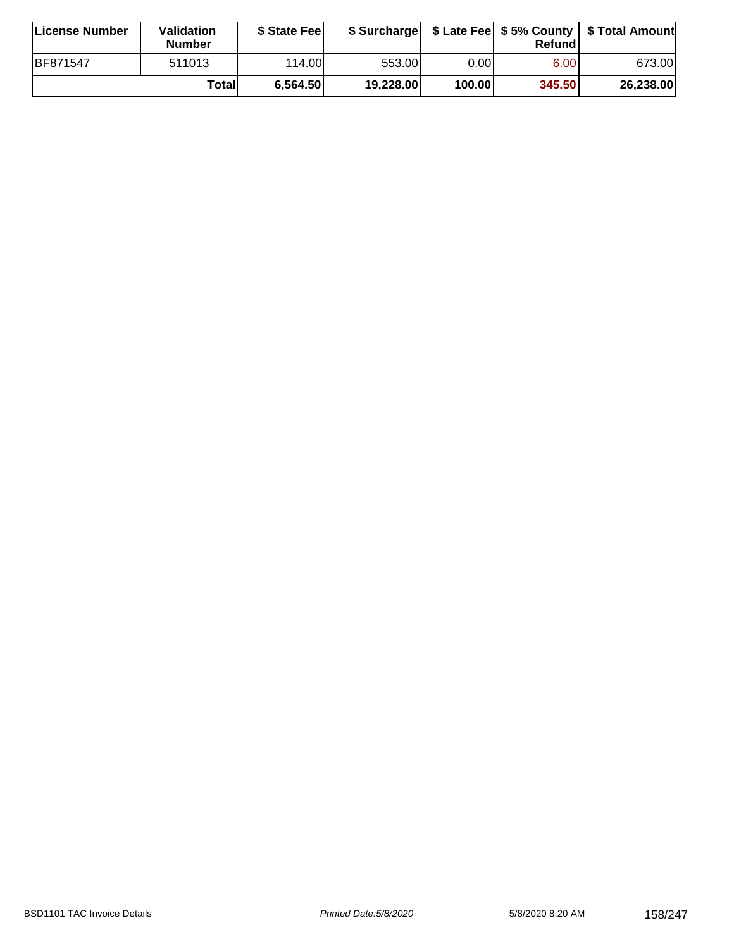| License Number | <b>Validation</b><br><b>Number</b> | \$ State Fee | \$ Surcharge |        | Refundl           | \$ Late Fee   \$5% County   \$ Total Amount |
|----------------|------------------------------------|--------------|--------------|--------|-------------------|---------------------------------------------|
| BF871547       | 511013                             | 114.00L      | 553.00       | 0.00   | 6.00 <sub>1</sub> | 673.00                                      |
|                | Totall                             | 6,564.50     | 19,228.00    | 100.00 | 345.50            | 26,238.00                                   |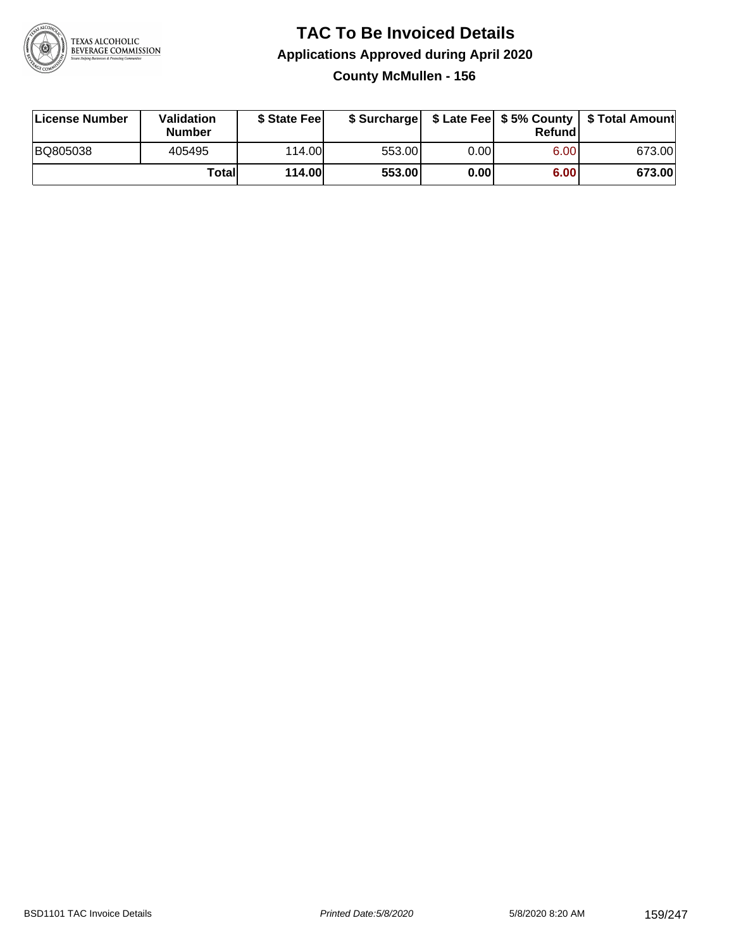

### **TAC To Be Invoiced Details Applications Approved during April 2020 County McMullen - 156**

| License Number | Validation<br><b>Number</b> | \$ State Fee | \$ Surcharge |      | Refundl | \$ Late Fee   \$5% County   \$ Total Amount |
|----------------|-----------------------------|--------------|--------------|------|---------|---------------------------------------------|
| BQ805038       | 405495                      | 114.00       | 553.00       | 0.00 | 6.00    | 673.00                                      |
|                | Totall                      | 114.00       | 553.00       | 0.00 | 6.00    | 673.00                                      |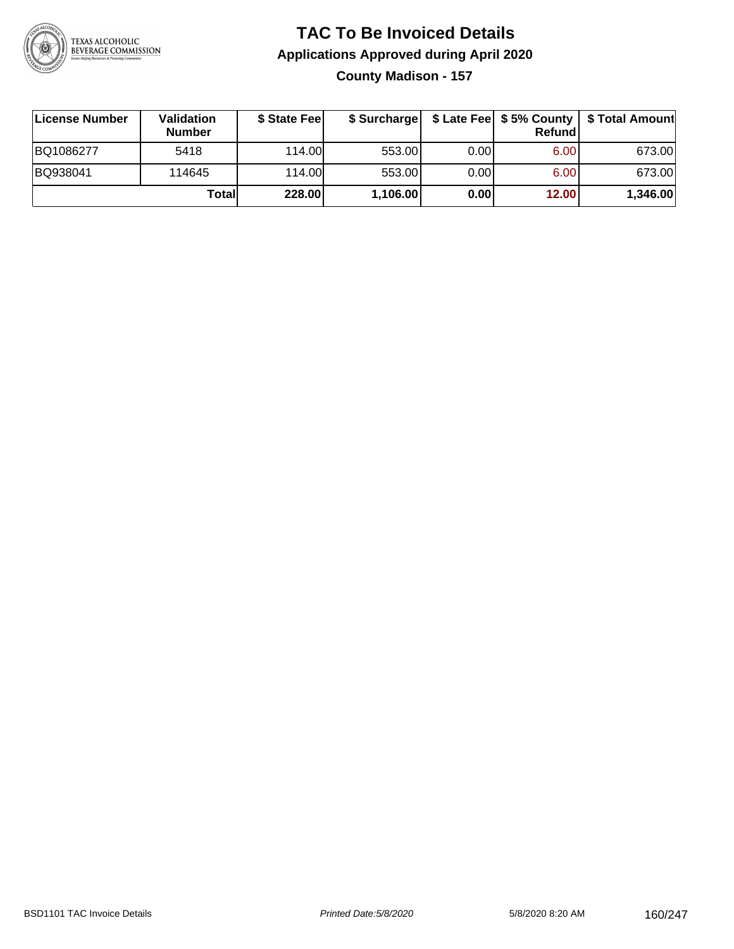

### **TAC To Be Invoiced Details Applications Approved during April 2020 County Madison - 157**

| License Number | Validation<br><b>Number</b> | \$ State Fee |          |      | Refundl | \$ Surcharge   \$ Late Fee   \$5% County   \$ Total Amount |
|----------------|-----------------------------|--------------|----------|------|---------|------------------------------------------------------------|
| BQ1086277      | 5418                        | 114.00L      | 553.00   | 0.00 | 6.00    | 673.00                                                     |
| BQ938041       | 114645                      | 114.00L      | 553.00   | 0.00 | 6.00    | 673.00                                                     |
|                | Totall                      | 228.00       | 1,106.00 | 0.00 | 12.00   | 1,346.00                                                   |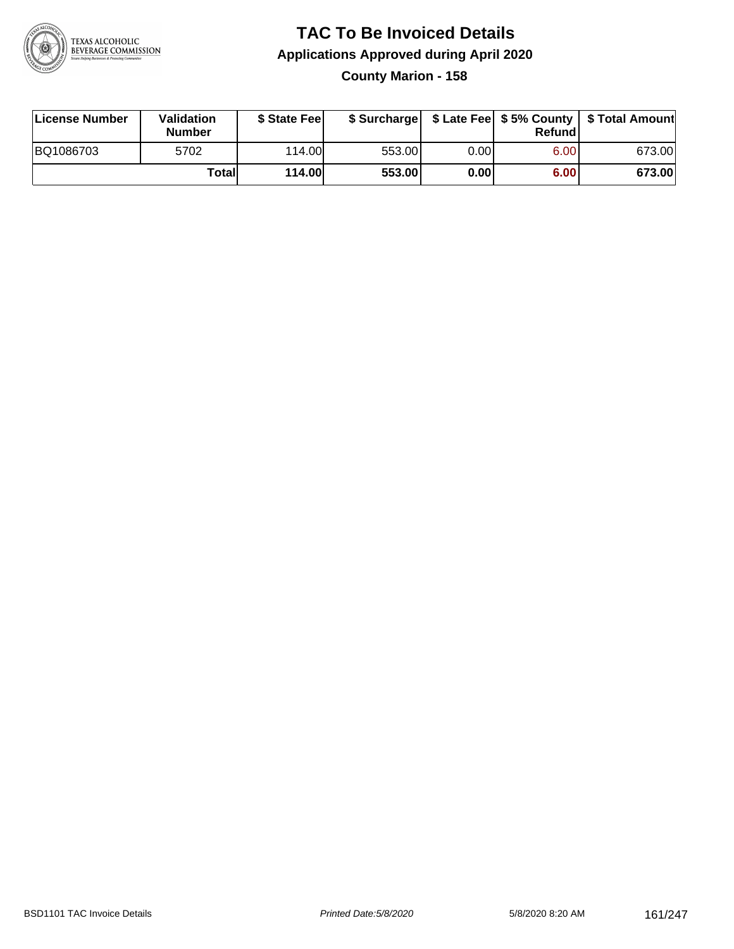

### **TAC To Be Invoiced Details Applications Approved during April 2020 County Marion - 158**

| License Number | Validation<br>Number | \$ State Feel |        |      | Refund | \$ Surcharge   \$ Late Fee   \$5% County   \$ Total Amount |
|----------------|----------------------|---------------|--------|------|--------|------------------------------------------------------------|
| BQ1086703      | 5702                 | 114.00        | 553.00 | 0.00 | 6.00   | 673.00                                                     |
|                | Totall               | <b>114.00</b> | 553.00 | 0.00 | 6.00   | 673.00                                                     |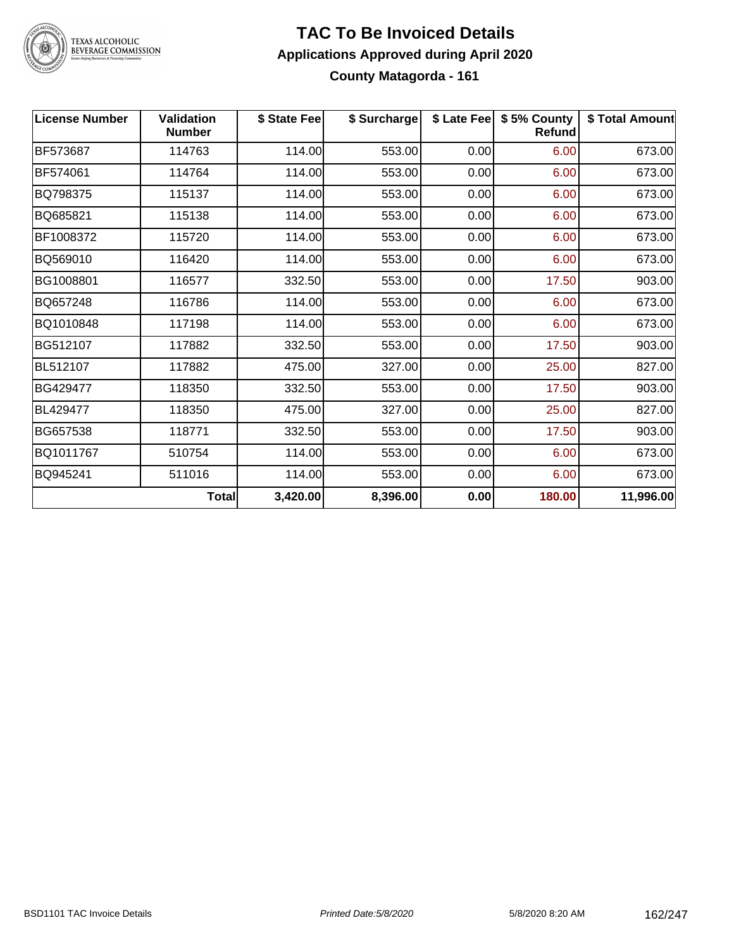

# TEXAS ALCOHOLIC<br>BEVERAGE COMMISSION

#### **TAC To Be Invoiced Details Applications Approved during April 2020 County Matagorda - 161**

| <b>License Number</b> | <b>Validation</b><br><b>Number</b> | \$ State Fee | \$ Surcharge |      | \$ Late Fee   \$5% County<br><b>Refund</b> | \$ Total Amount |
|-----------------------|------------------------------------|--------------|--------------|------|--------------------------------------------|-----------------|
| BF573687              | 114763                             | 114.00       | 553.00       | 0.00 | 6.00                                       | 673.00          |
| BF574061              | 114764                             | 114.00       | 553.00       | 0.00 | 6.00                                       | 673.00          |
| BQ798375              | 115137                             | 114.00       | 553.00       | 0.00 | 6.00                                       | 673.00          |
| BQ685821              | 115138                             | 114.00       | 553.00       | 0.00 | 6.00                                       | 673.00          |
| BF1008372             | 115720                             | 114.00       | 553.00       | 0.00 | 6.00                                       | 673.00          |
| BQ569010              | 116420                             | 114.00       | 553.00       | 0.00 | 6.00                                       | 673.00          |
| BG1008801             | 116577                             | 332.50       | 553.00       | 0.00 | 17.50                                      | 903.00          |
| BQ657248              | 116786                             | 114.00       | 553.00       | 0.00 | 6.00                                       | 673.00          |
| BQ1010848             | 117198                             | 114.00       | 553.00       | 0.00 | 6.00                                       | 673.00          |
| BG512107              | 117882                             | 332.50       | 553.00       | 0.00 | 17.50                                      | 903.00          |
| BL512107              | 117882                             | 475.00       | 327.00       | 0.00 | 25.00                                      | 827.00          |
| BG429477              | 118350                             | 332.50       | 553.00       | 0.00 | 17.50                                      | 903.00          |
| BL429477              | 118350                             | 475.00       | 327.00       | 0.00 | 25.00                                      | 827.00          |
| BG657538              | 118771                             | 332.50       | 553.00       | 0.00 | 17.50                                      | 903.00          |
| BQ1011767             | 510754                             | 114.00       | 553.00       | 0.00 | 6.00                                       | 673.00          |
| BQ945241              | 511016                             | 114.00       | 553.00       | 0.00 | 6.00                                       | 673.00          |
|                       | <b>Total</b>                       | 3,420.00     | 8,396.00     | 0.00 | 180.00                                     | 11,996.00       |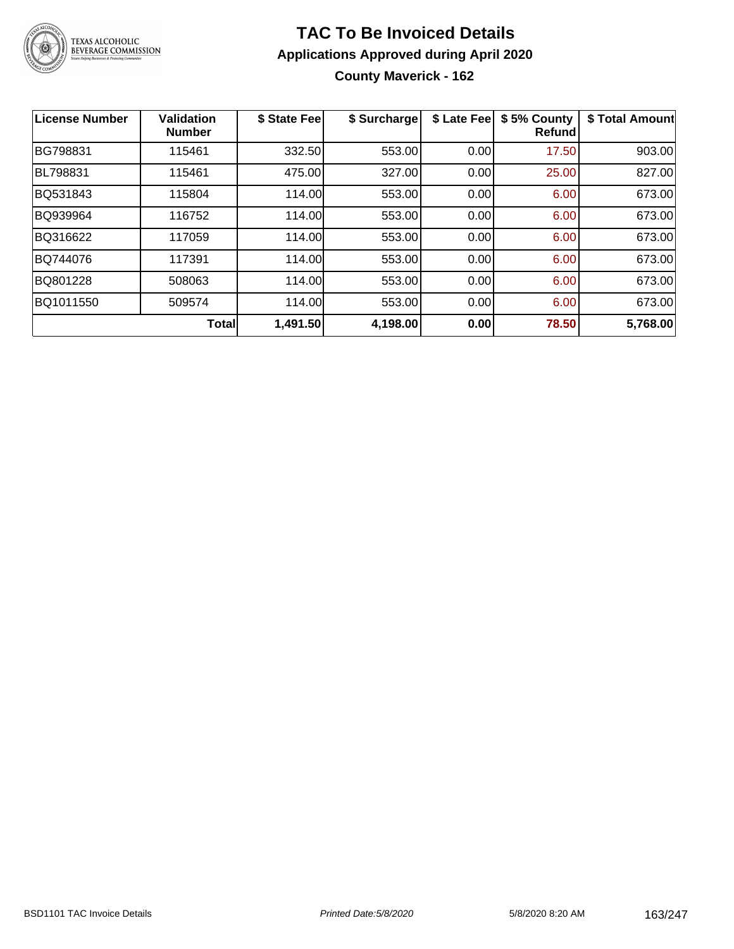

### **TAC To Be Invoiced Details Applications Approved during April 2020 County Maverick - 162**

| <b>License Number</b> | <b>Validation</b><br><b>Number</b> | \$ State Fee | \$ Surcharge | \$ Late Fee | \$5% County<br><b>Refund</b> | \$ Total Amount |
|-----------------------|------------------------------------|--------------|--------------|-------------|------------------------------|-----------------|
| BG798831              | 115461                             | 332.50       | 553.00       | 0.00        | 17.50                        | 903.00          |
| BL798831              | 115461                             | 475.00       | 327.00       | 0.00        | 25.00                        | 827.00          |
| BQ531843              | 115804                             | 114.00       | 553.00       | 0.00        | 6.00                         | 673.00          |
| BQ939964              | 116752                             | 114.00       | 553.00       | 0.00        | 6.00                         | 673.00          |
| BQ316622              | 117059                             | 114.00       | 553.00       | 0.00        | 6.00                         | 673.00          |
| BQ744076              | 117391                             | 114.00       | 553.00       | 0.00        | 6.00                         | 673.00          |
| BQ801228              | 508063                             | 114.00       | 553.00       | 0.00        | 6.00                         | 673.00          |
| BQ1011550             | 509574                             | 114.00       | 553.00       | 0.00        | 6.00                         | 673.00          |
|                       | <b>Total</b>                       | 1,491.50     | 4,198.00     | 0.00        | 78.50                        | 5,768.00        |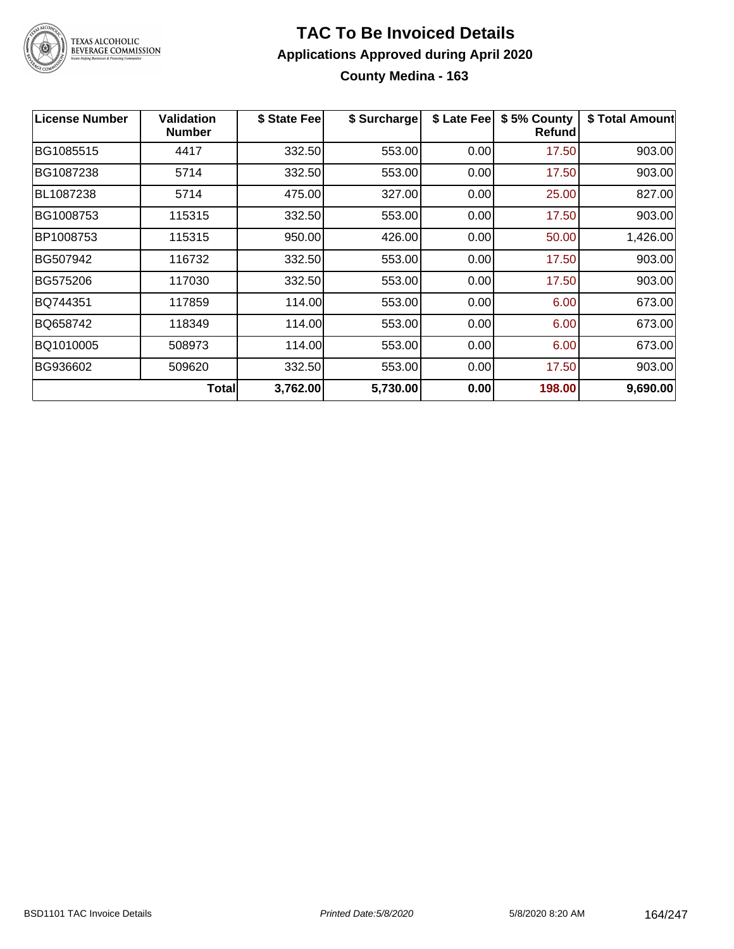

### **TAC To Be Invoiced Details Applications Approved during April 2020 County Medina - 163**

| <b>License Number</b> | <b>Validation</b><br><b>Number</b> | \$ State Fee | \$ Surcharge | \$ Late Fee | \$5% County<br><b>Refund</b> | \$ Total Amount |
|-----------------------|------------------------------------|--------------|--------------|-------------|------------------------------|-----------------|
| BG1085515             | 4417                               | 332.50       | 553.00       | 0.00        | 17.50                        | 903.00          |
| BG1087238             | 5714                               | 332.50       | 553.00       | 0.00        | 17.50                        | 903.00          |
| BL1087238             | 5714                               | 475.00       | 327.00       | 0.00        | 25.00                        | 827.00          |
| BG1008753             | 115315                             | 332.50       | 553.00       | 0.00        | 17.50                        | 903.00          |
| BP1008753             | 115315                             | 950.00       | 426.00       | 0.00        | 50.00                        | 1,426.00        |
| BG507942              | 116732                             | 332.50       | 553.00       | 0.00        | 17.50                        | 903.00          |
| BG575206              | 117030                             | 332.50       | 553.00       | 0.00        | 17.50                        | 903.00          |
| BQ744351              | 117859                             | 114.00       | 553.00       | 0.00        | 6.00                         | 673.00          |
| BQ658742              | 118349                             | 114.00       | 553.00       | 0.00        | 6.00                         | 673.00          |
| BQ1010005             | 508973                             | 114.00       | 553.00       | 0.00        | 6.00                         | 673.00          |
| BG936602              | 509620                             | 332.50       | 553.00       | 0.00        | 17.50                        | 903.00          |
|                       | <b>Total</b>                       | 3,762.00     | 5,730.00     | 0.00        | 198.00                       | 9,690.00        |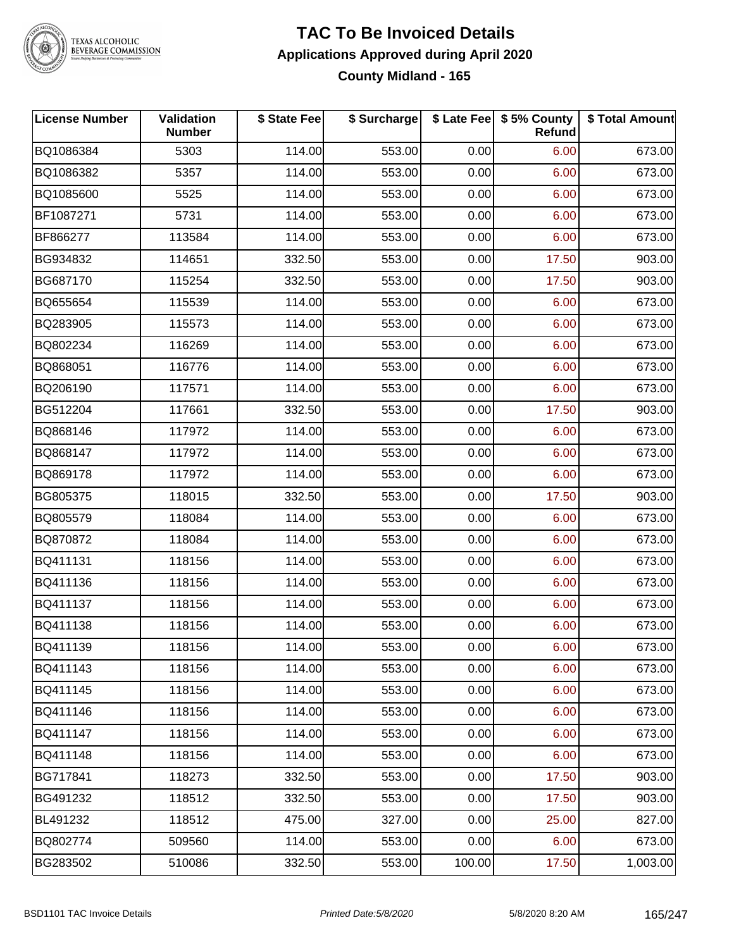

# TEXAS ALCOHOLIC<br>BEVERAGE COMMISSION

#### **TAC To Be Invoiced Details Applications Approved during April 2020 County Midland - 165**

| <b>License Number</b> | Validation<br><b>Number</b> | \$ State Fee | \$ Surcharge |        | \$ Late Fee   \$5% County<br><b>Refund</b> | \$ Total Amount |
|-----------------------|-----------------------------|--------------|--------------|--------|--------------------------------------------|-----------------|
| BQ1086384             | 5303                        | 114.00       | 553.00       | 0.00   | 6.00                                       | 673.00          |
| BQ1086382             | 5357                        | 114.00       | 553.00       | 0.00   | 6.00                                       | 673.00          |
| BQ1085600             | 5525                        | 114.00       | 553.00       | 0.00   | 6.00                                       | 673.00          |
| BF1087271             | 5731                        | 114.00       | 553.00       | 0.00   | 6.00                                       | 673.00          |
| BF866277              | 113584                      | 114.00       | 553.00       | 0.00   | 6.00                                       | 673.00          |
| BG934832              | 114651                      | 332.50       | 553.00       | 0.00   | 17.50                                      | 903.00          |
| BG687170              | 115254                      | 332.50       | 553.00       | 0.00   | 17.50                                      | 903.00          |
| BQ655654              | 115539                      | 114.00       | 553.00       | 0.00   | 6.00                                       | 673.00          |
| BQ283905              | 115573                      | 114.00       | 553.00       | 0.00   | 6.00                                       | 673.00          |
| BQ802234              | 116269                      | 114.00       | 553.00       | 0.00   | 6.00                                       | 673.00          |
| BQ868051              | 116776                      | 114.00       | 553.00       | 0.00   | 6.00                                       | 673.00          |
| BQ206190              | 117571                      | 114.00       | 553.00       | 0.00   | 6.00                                       | 673.00          |
| BG512204              | 117661                      | 332.50       | 553.00       | 0.00   | 17.50                                      | 903.00          |
| BQ868146              | 117972                      | 114.00       | 553.00       | 0.00   | 6.00                                       | 673.00          |
| BQ868147              | 117972                      | 114.00       | 553.00       | 0.00   | 6.00                                       | 673.00          |
| BQ869178              | 117972                      | 114.00       | 553.00       | 0.00   | 6.00                                       | 673.00          |
| BG805375              | 118015                      | 332.50       | 553.00       | 0.00   | 17.50                                      | 903.00          |
| BQ805579              | 118084                      | 114.00       | 553.00       | 0.00   | 6.00                                       | 673.00          |
| BQ870872              | 118084                      | 114.00       | 553.00       | 0.00   | 6.00                                       | 673.00          |
| BQ411131              | 118156                      | 114.00       | 553.00       | 0.00   | 6.00                                       | 673.00          |
| BQ411136              | 118156                      | 114.00       | 553.00       | 0.00   | 6.00                                       | 673.00          |
| BQ411137              | 118156                      | 114.00       | 553.00       | 0.00   | 6.00                                       | 673.00          |
| BQ411138              | 118156                      | 114.00       | 553.00       | 0.00   | 6.00                                       | 673.00          |
| BQ411139              | 118156                      | 114.00       | 553.00       | 0.00   | 6.00                                       | 673.00          |
| BQ411143              | 118156                      | 114.00       | 553.00       | 0.00   | 6.00                                       | 673.00          |
| BQ411145              | 118156                      | 114.00       | 553.00       | 0.00   | 6.00                                       | 673.00          |
| BQ411146              | 118156                      | 114.00       | 553.00       | 0.00   | 6.00                                       | 673.00          |
| BQ411147              | 118156                      | 114.00       | 553.00       | 0.00   | 6.00                                       | 673.00          |
| BQ411148              | 118156                      | 114.00       | 553.00       | 0.00   | 6.00                                       | 673.00          |
| BG717841              | 118273                      | 332.50       | 553.00       | 0.00   | 17.50                                      | 903.00          |
| BG491232              | 118512                      | 332.50       | 553.00       | 0.00   | 17.50                                      | 903.00          |
| BL491232              | 118512                      | 475.00       | 327.00       | 0.00   | 25.00                                      | 827.00          |
| BQ802774              | 509560                      | 114.00       | 553.00       | 0.00   | 6.00                                       | 673.00          |
| BG283502              | 510086                      | 332.50       | 553.00       | 100.00 | 17.50                                      | 1,003.00        |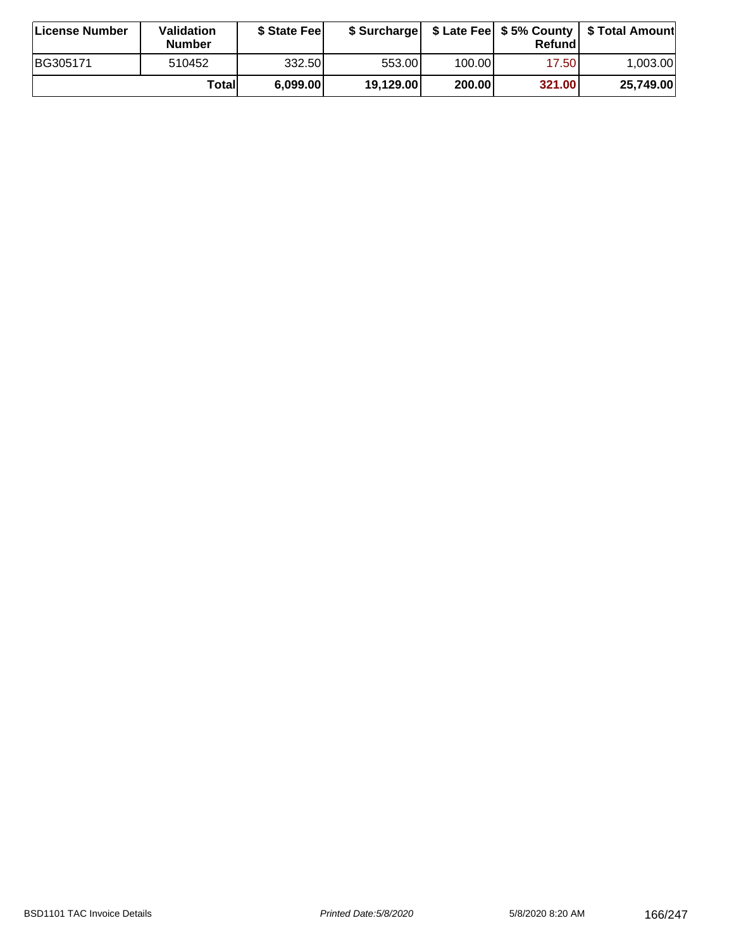| ∣License Number | <b>Validation</b><br><b>Number</b> | \$ State Fee |           |        | Refundl | \$ Surcharge   \$ Late Fee   \$5% County   \$ Total Amount |
|-----------------|------------------------------------|--------------|-----------|--------|---------|------------------------------------------------------------|
| BG305171        | 510452                             | 332.501      | 553.00I   | 100.00 | 17.50   | 1.003.00                                                   |
|                 | Totall                             | 6,099.00     | 19,129.00 | 200.00 | 321.00  | 25,749.00                                                  |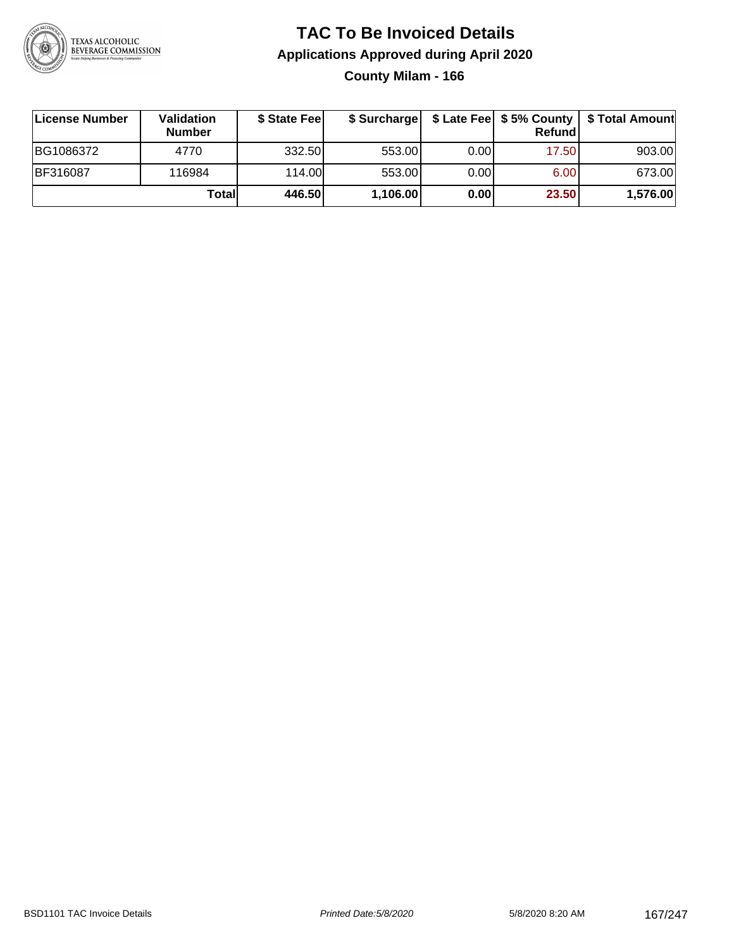

**County Milam - 166**

| ∣License Number | <b>Validation</b><br><b>Number</b> | \$ State Fee | \$ Surcharge |       | Refundl | \$ Late Fee   \$5% County   \$ Total Amount |
|-----------------|------------------------------------|--------------|--------------|-------|---------|---------------------------------------------|
| BG1086372       | 4770                               | 332.50       | 553.00       | 0.001 | 17.50   | 903.00                                      |
| BF316087        | 116984                             | 114.00       | 553.00       | 0.001 | 6.00    | 673.00                                      |
|                 | Totall                             | 446.50       | 1,106.00     | 0.00  | 23.50   | 1,576.00                                    |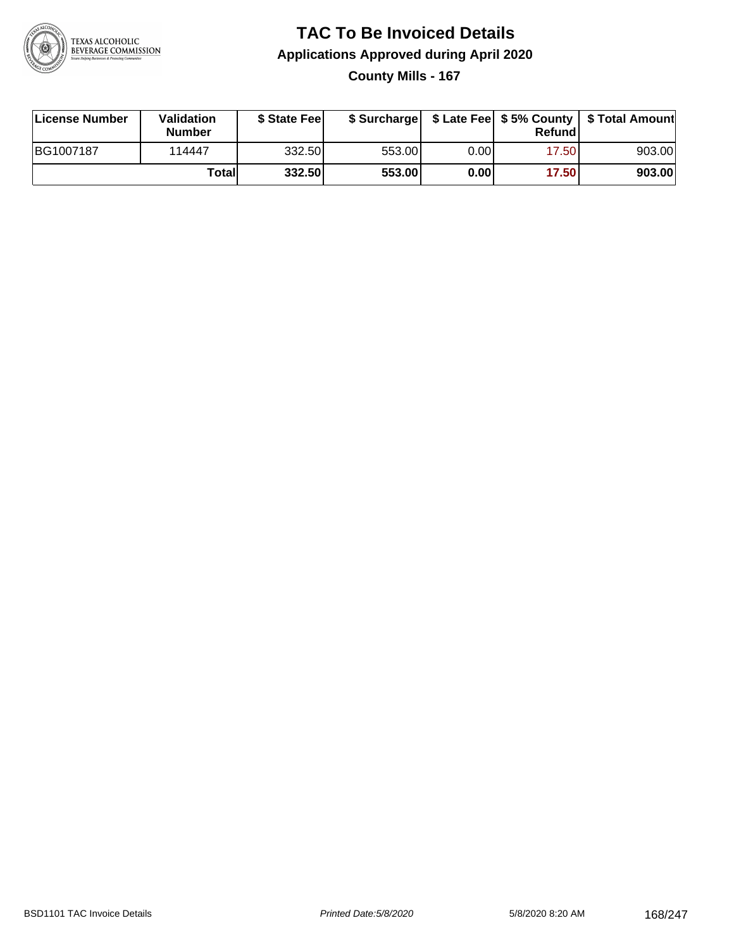

### **TAC To Be Invoiced Details Applications Approved during April 2020 County Mills - 167**

| License Number | Validation<br>Number | \$ State Fee |        |      | Refundl | \$ Surcharge   \$ Late Fee   \$5% County   \$ Total Amount |
|----------------|----------------------|--------------|--------|------|---------|------------------------------------------------------------|
| BG1007187      | 114447               | 332.50       | 553.00 | 0.00 | 17.50   | 903.00                                                     |
|                | Totall               | 332.50       | 553.00 | 0.00 | 17.50   | 903.00                                                     |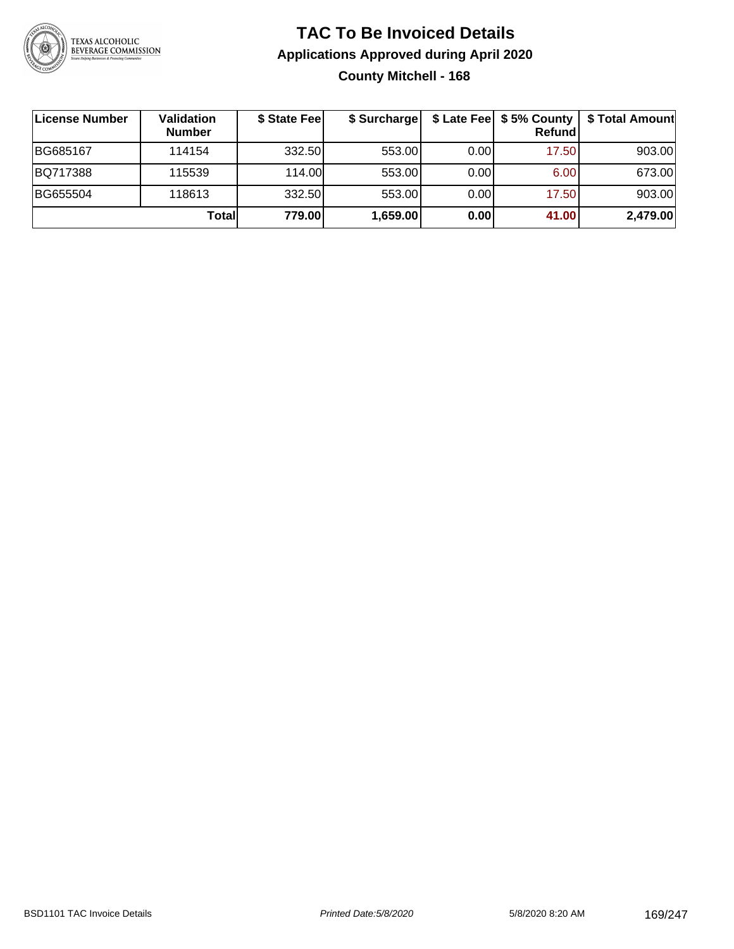

### **TAC To Be Invoiced Details Applications Approved during April 2020 County Mitchell - 168**

| License Number | Validation<br><b>Number</b> | \$ State Fee | \$ Surcharge |      | $$$ Late Fee $$5%$ County<br><b>Refund</b> | \$ Total Amount |
|----------------|-----------------------------|--------------|--------------|------|--------------------------------------------|-----------------|
| BG685167       | 114154                      | 332.50       | 553.00       | 0.00 | 17.50                                      | 903.00          |
| BQ717388       | 115539                      | 114.00       | 553.00       | 0.00 | 6.00                                       | 673.00          |
| BG655504       | 118613                      | 332.50       | 553.00       | 0.00 | 17.50                                      | 903.00          |
|                | Total                       | 779.00       | 1,659.00     | 0.00 | 41.00                                      | 2,479.00        |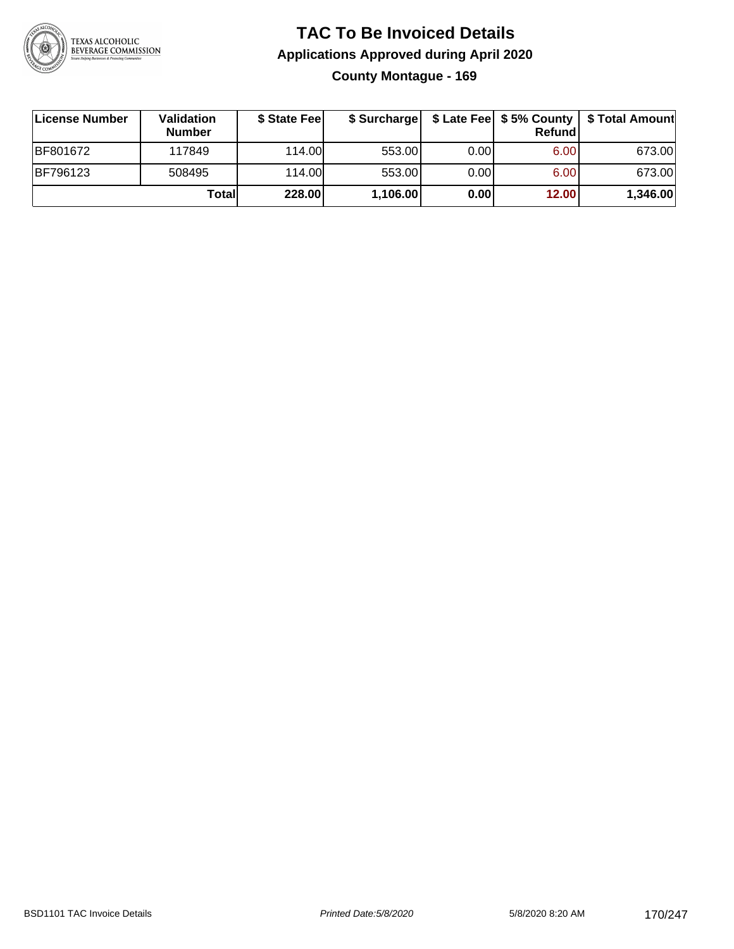

### **TAC To Be Invoiced Details Applications Approved during April 2020 County Montague - 169**

| License Number | <b>Validation</b><br><b>Number</b> | \$ State Feel |          |       | Refund | \$ Surcharge   \$ Late Fee   \$5% County   \$ Total Amount |
|----------------|------------------------------------|---------------|----------|-------|--------|------------------------------------------------------------|
| BF801672       | 117849                             | 114.00L       | 553.00   | 0.001 | 6.00   | 673.00                                                     |
| BF796123       | 508495                             | 114.00        | 553.00   | 0.001 | 6.00   | 673.00                                                     |
|                | Totall                             | 228.00        | 1,106.00 | 0.00  | 12.00  | 1,346.00                                                   |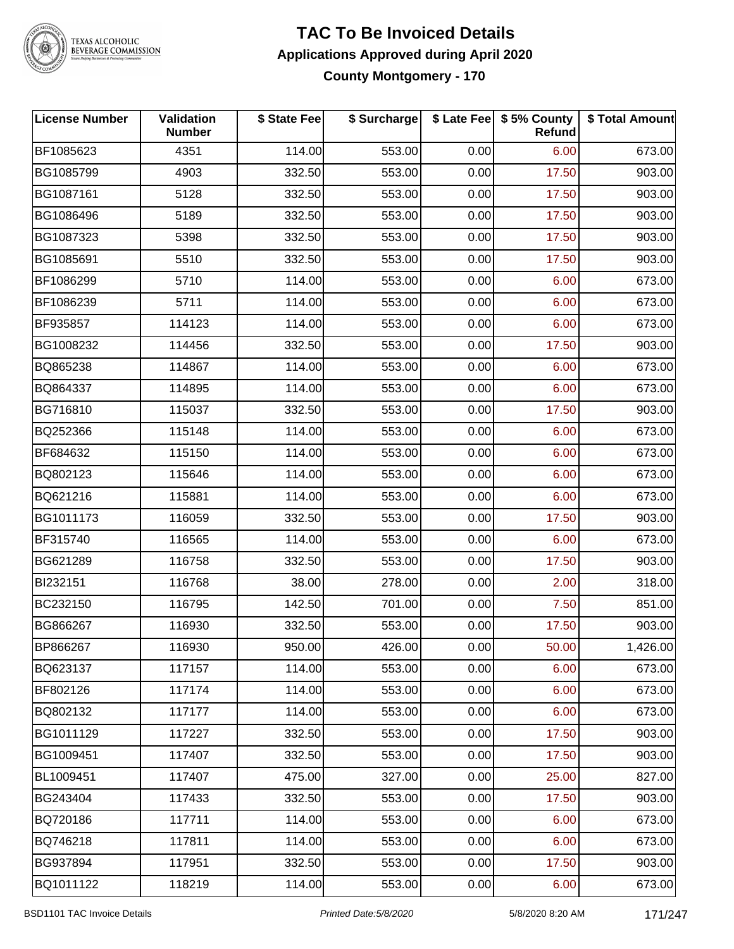

# TEXAS ALCOHOLIC<br>BEVERAGE COMMISSION

#### **TAC To Be Invoiced Details Applications Approved during April 2020 County Montgomery - 170**

| License Number | Validation<br><b>Number</b> | \$ State Fee | \$ Surcharge |      | \$ Late Fee   \$5% County<br><b>Refund</b> | \$ Total Amount |
|----------------|-----------------------------|--------------|--------------|------|--------------------------------------------|-----------------|
| BF1085623      | 4351                        | 114.00       | 553.00       | 0.00 | 6.00                                       | 673.00          |
| BG1085799      | 4903                        | 332.50       | 553.00       | 0.00 | 17.50                                      | 903.00          |
| BG1087161      | 5128                        | 332.50       | 553.00       | 0.00 | 17.50                                      | 903.00          |
| BG1086496      | 5189                        | 332.50       | 553.00       | 0.00 | 17.50                                      | 903.00          |
| BG1087323      | 5398                        | 332.50       | 553.00       | 0.00 | 17.50                                      | 903.00          |
| BG1085691      | 5510                        | 332.50       | 553.00       | 0.00 | 17.50                                      | 903.00          |
| BF1086299      | 5710                        | 114.00       | 553.00       | 0.00 | 6.00                                       | 673.00          |
| BF1086239      | 5711                        | 114.00       | 553.00       | 0.00 | 6.00                                       | 673.00          |
| BF935857       | 114123                      | 114.00       | 553.00       | 0.00 | 6.00                                       | 673.00          |
| BG1008232      | 114456                      | 332.50       | 553.00       | 0.00 | 17.50                                      | 903.00          |
| BQ865238       | 114867                      | 114.00       | 553.00       | 0.00 | 6.00                                       | 673.00          |
| BQ864337       | 114895                      | 114.00       | 553.00       | 0.00 | 6.00                                       | 673.00          |
| BG716810       | 115037                      | 332.50       | 553.00       | 0.00 | 17.50                                      | 903.00          |
| BQ252366       | 115148                      | 114.00       | 553.00       | 0.00 | 6.00                                       | 673.00          |
| BF684632       | 115150                      | 114.00       | 553.00       | 0.00 | 6.00                                       | 673.00          |
| BQ802123       | 115646                      | 114.00       | 553.00       | 0.00 | 6.00                                       | 673.00          |
| BQ621216       | 115881                      | 114.00       | 553.00       | 0.00 | 6.00                                       | 673.00          |
| BG1011173      | 116059                      | 332.50       | 553.00       | 0.00 | 17.50                                      | 903.00          |
| BF315740       | 116565                      | 114.00       | 553.00       | 0.00 | 6.00                                       | 673.00          |
| BG621289       | 116758                      | 332.50       | 553.00       | 0.00 | 17.50                                      | 903.00          |
| BI232151       | 116768                      | 38.00        | 278.00       | 0.00 | 2.00                                       | 318.00          |
| BC232150       | 116795                      | 142.50       | 701.00       | 0.00 | 7.50                                       | 851.00          |
| BG866267       | 116930                      | 332.50       | 553.00       | 0.00 | 17.50                                      | 903.00          |
| BP866267       | 116930                      | 950.00       | 426.00       | 0.00 | 50.00                                      | 1,426.00        |
| BQ623137       | 117157                      | 114.00       | 553.00       | 0.00 | 6.00                                       | 673.00          |
| BF802126       | 117174                      | 114.00       | 553.00       | 0.00 | 6.00                                       | 673.00          |
| BQ802132       | 117177                      | 114.00       | 553.00       | 0.00 | 6.00                                       | 673.00          |
| BG1011129      | 117227                      | 332.50       | 553.00       | 0.00 | 17.50                                      | 903.00          |
| BG1009451      | 117407                      | 332.50       | 553.00       | 0.00 | 17.50                                      | 903.00          |
| BL1009451      | 117407                      | 475.00       | 327.00       | 0.00 | 25.00                                      | 827.00          |
| BG243404       | 117433                      | 332.50       | 553.00       | 0.00 | 17.50                                      | 903.00          |
| BQ720186       | 117711                      | 114.00       | 553.00       | 0.00 | 6.00                                       | 673.00          |
| BQ746218       | 117811                      | 114.00       | 553.00       | 0.00 | 6.00                                       | 673.00          |
| BG937894       | 117951                      | 332.50       | 553.00       | 0.00 | 17.50                                      | 903.00          |
| BQ1011122      | 118219                      | 114.00       | 553.00       | 0.00 | 6.00                                       | 673.00          |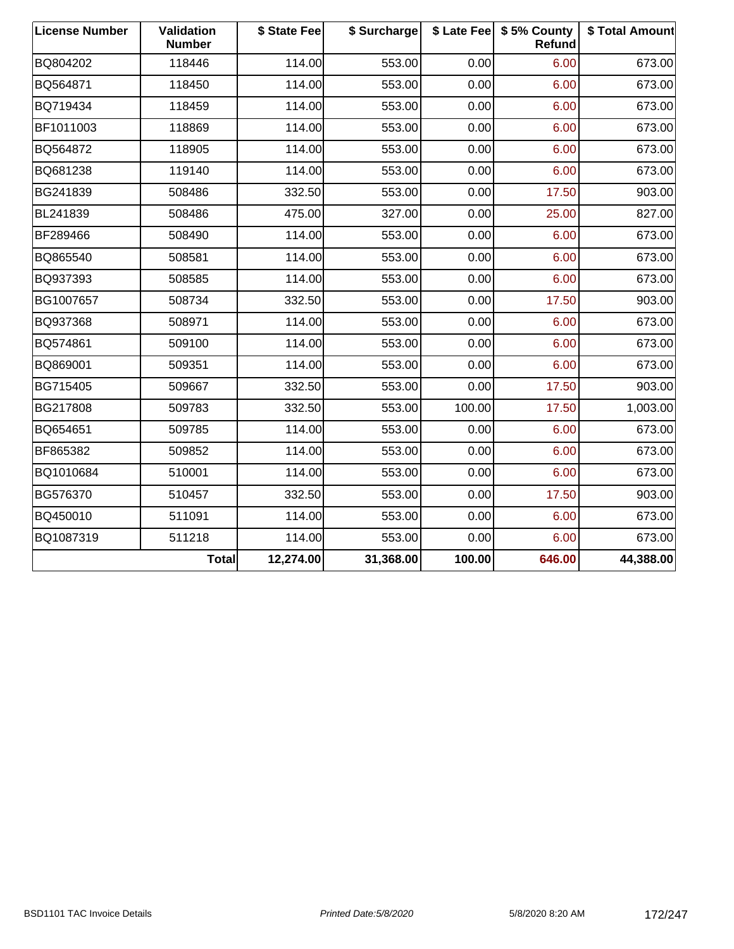| <b>License Number</b> | <b>Validation</b><br><b>Number</b> | \$ State Fee | \$ Surcharge |        | \$ Late Fee   \$5% County<br>Refund | \$ Total Amount |
|-----------------------|------------------------------------|--------------|--------------|--------|-------------------------------------|-----------------|
| BQ804202              | 118446                             | 114.00       | 553.00       | 0.00   | 6.00                                | 673.00          |
| BQ564871              | 118450                             | 114.00       | 553.00       | 0.00   | 6.00                                | 673.00          |
| BQ719434              | 118459                             | 114.00       | 553.00       | 0.00   | 6.00                                | 673.00          |
| BF1011003             | 118869                             | 114.00       | 553.00       | 0.00   | 6.00                                | 673.00          |
| BQ564872              | 118905                             | 114.00       | 553.00       | 0.00   | 6.00                                | 673.00          |
| BQ681238              | 119140                             | 114.00       | 553.00       | 0.00   | 6.00                                | 673.00          |
| BG241839              | 508486                             | 332.50       | 553.00       | 0.00   | 17.50                               | 903.00          |
| BL241839              | 508486                             | 475.00       | 327.00       | 0.00   | 25.00                               | 827.00          |
| BF289466              | 508490                             | 114.00       | 553.00       | 0.00   | 6.00                                | 673.00          |
| BQ865540              | 508581                             | 114.00       | 553.00       | 0.00   | 6.00                                | 673.00          |
| BQ937393              | 508585                             | 114.00       | 553.00       | 0.00   | 6.00                                | 673.00          |
| BG1007657             | 508734                             | 332.50       | 553.00       | 0.00   | 17.50                               | 903.00          |
| BQ937368              | 508971                             | 114.00       | 553.00       | 0.00   | 6.00                                | 673.00          |
| BQ574861              | 509100                             | 114.00       | 553.00       | 0.00   | 6.00                                | 673.00          |
| BQ869001              | 509351                             | 114.00       | 553.00       | 0.00   | 6.00                                | 673.00          |
| BG715405              | 509667                             | 332.50       | 553.00       | 0.00   | 17.50                               | 903.00          |
| BG217808              | 509783                             | 332.50       | 553.00       | 100.00 | 17.50                               | 1,003.00        |
| BQ654651              | 509785                             | 114.00       | 553.00       | 0.00   | 6.00                                | 673.00          |
| BF865382              | 509852                             | 114.00       | 553.00       | 0.00   | 6.00                                | 673.00          |
| BQ1010684             | 510001                             | 114.00       | 553.00       | 0.00   | 6.00                                | 673.00          |
| BG576370              | 510457                             | 332.50       | 553.00       | 0.00   | 17.50                               | 903.00          |
| BQ450010              | 511091                             | 114.00       | 553.00       | 0.00   | 6.00                                | 673.00          |
| BQ1087319             | 511218                             | 114.00       | 553.00       | 0.00   | 6.00                                | 673.00          |
|                       | Total                              | 12,274.00    | 31,368.00    | 100.00 | 646.00                              | 44,388.00       |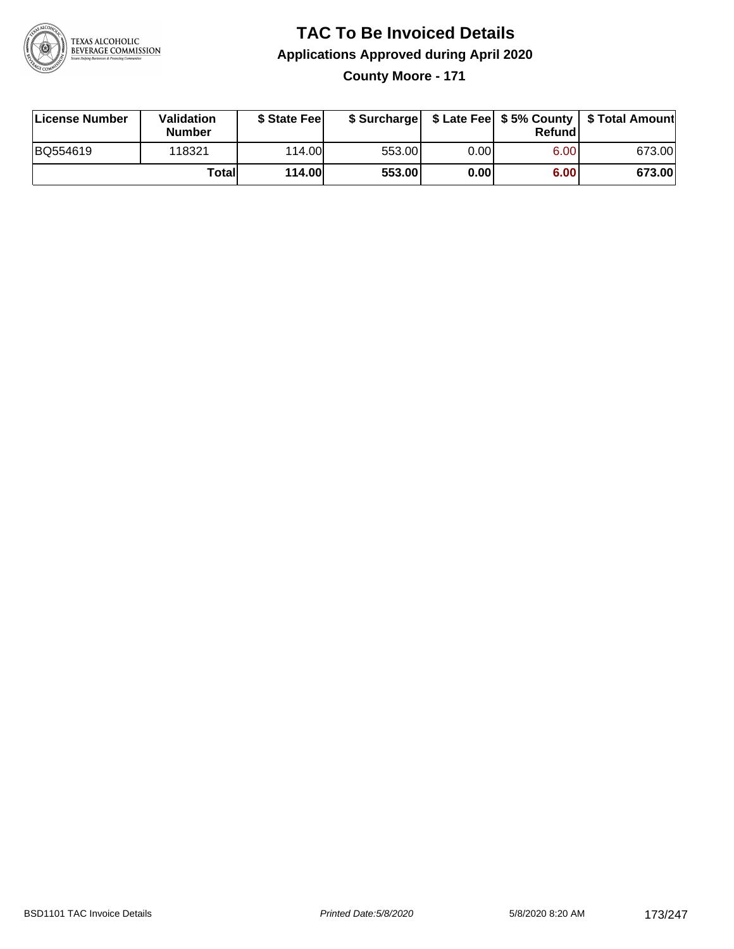

### **TAC To Be Invoiced Details Applications Approved during April 2020 County Moore - 171**

| License Number | Validation<br><b>Number</b> | \$ State Feel |        |      | Refund | \$ Surcharge   \$ Late Fee   \$5% County   \$ Total Amount |
|----------------|-----------------------------|---------------|--------|------|--------|------------------------------------------------------------|
| BQ554619       | 118321                      | 114.00        | 553.00 | 0.00 | 6.00   | 673.00                                                     |
|                | Totall                      | 114.00        | 553.00 | 0.00 | 6.00   | 673.00                                                     |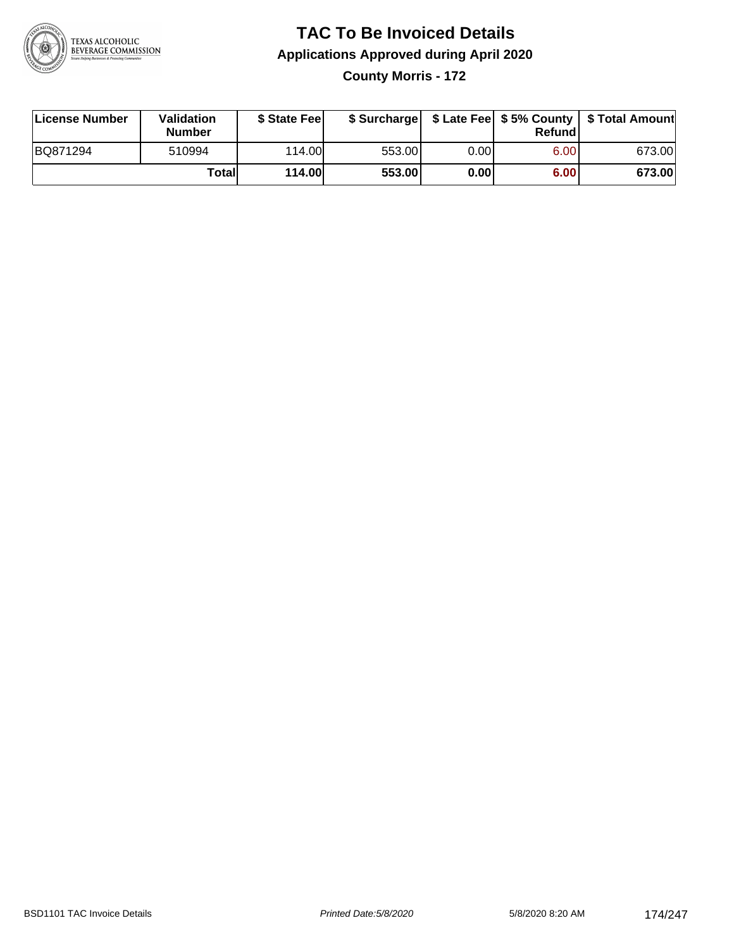

### **TAC To Be Invoiced Details Applications Approved during April 2020 County Morris - 172**

| License Number | <b>Validation</b><br><b>Number</b> | \$ State Feel |        |      | Refund | \$ Surcharge   \$ Late Fee   \$5% County   \$ Total Amount |
|----------------|------------------------------------|---------------|--------|------|--------|------------------------------------------------------------|
| BQ871294       | 510994                             | 114.00L       | 553.00 | 0.00 | 6.00   | 673.00                                                     |
|                | Totall                             | <b>114.00</b> | 553.00 | 0.00 | 6.00   | 673.00                                                     |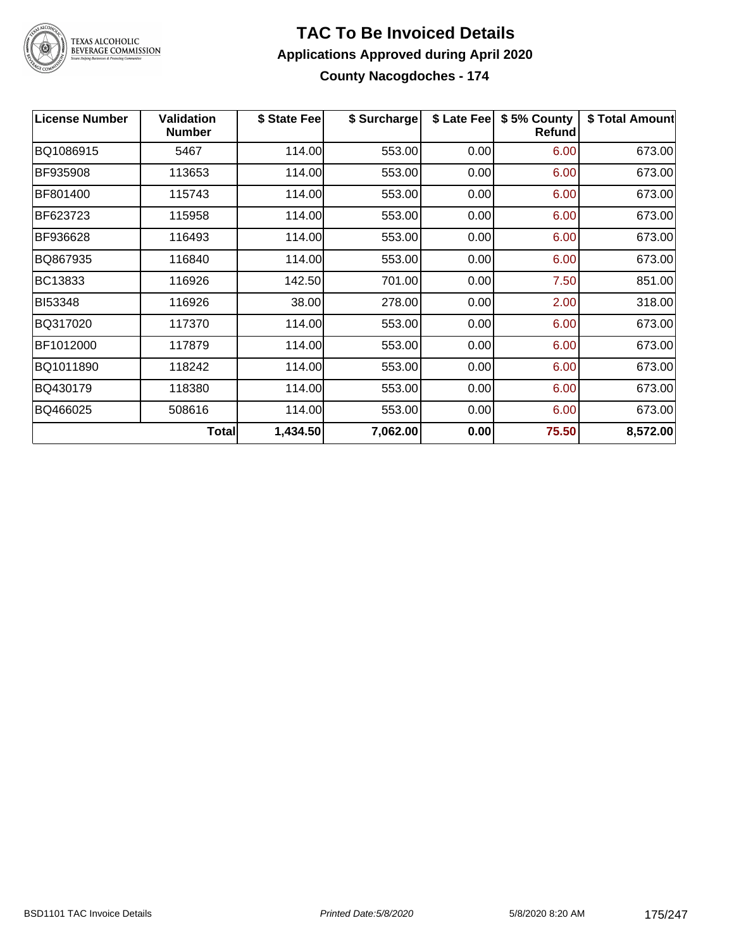

#### **TAC To Be Invoiced Details Applications Approved during April 2020 County Nacogdoches - 174**

**License Number Validation Number \$ State Fee \$ Surcharge \$ Late Fee \$ 5% County Refund \$ Total Amount** BQ1086915 5467 114.00 553.00 0.00 6.00 673.00 BF935908 | 113653 | 114.00| 553.00| 0.00| 6.00| 673.00 BF801400 115743 114.00 553.00 0.00 6.00 673.00 BF623723 | 115958 | 114.00| 553.00| 0.00| 6.00| 673.00 BF936628 116493 114.00 553.00 0.00 6.00 673.00 BQ867935 116840 114.00 553.00 0.00 6.00 673.00 BC13833 | 116926 | 142.50| 701.00| 0.00| 7.50| 851.00 BI53348 116926 38.00 278.00 0.00 2.00 318.00 BQ317020 117370 114.00 553.00 0.00 6.00 673.00 BF1012000 117879 114.00 553.00 0.00 6.00 673.00 BQ1011890 118242 114.00 553.00 0.00 6.00 673.00 BQ430179 | 118380 | 114.00| 553.00| 0.00| 6.00| 673.00 BQ466025 | 508616 | 114.00| 553.00| 0.00| 6.00| 673.00 **Total 1,434.50 7,062.00 0.00 75.50 8,572.00**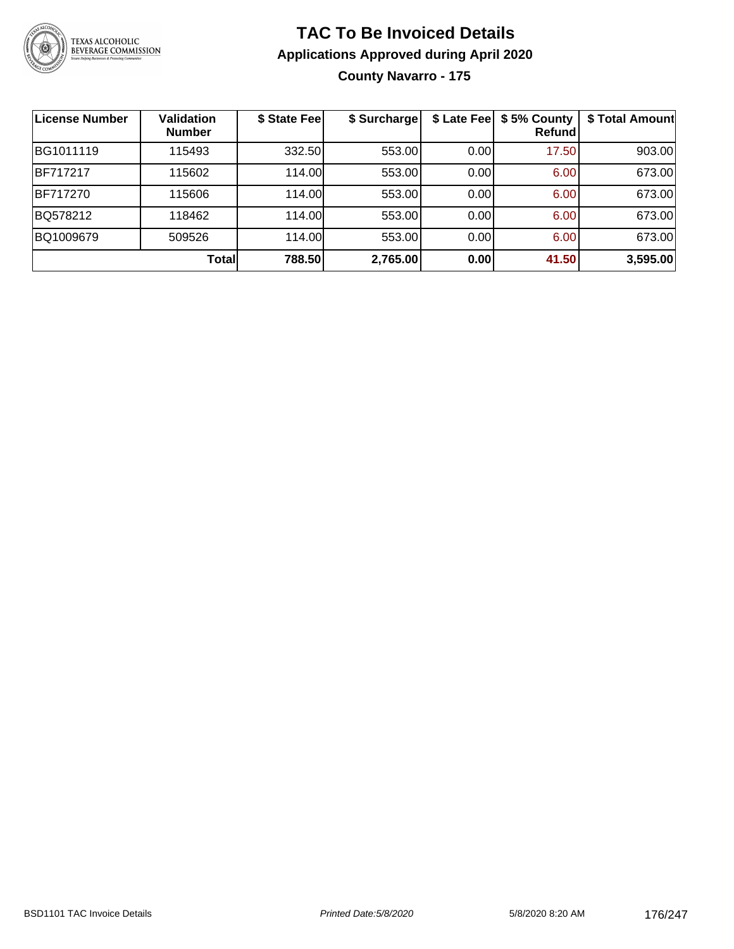

### **TAC To Be Invoiced Details Applications Approved during April 2020 County Navarro - 175**

| <b>License Number</b> | <b>Validation</b><br><b>Number</b> | \$ State Fee | \$ Surcharge |      | \$ Late Fee   \$5% County<br>Refundl | \$ Total Amount |
|-----------------------|------------------------------------|--------------|--------------|------|--------------------------------------|-----------------|
| BG1011119             | 115493                             | 332.50       | 553.00       | 0.00 | 17.50                                | 903.00          |
| <b>BF717217</b>       | 115602                             | 114.00       | 553.00       | 0.00 | 6.00                                 | 673.00          |
| BF717270              | 115606                             | 114.00       | 553.00       | 0.00 | 6.00                                 | 673.00          |
| BQ578212              | 118462                             | 114.00       | 553.00       | 0.00 | 6.00                                 | 673.00          |
| BQ1009679             | 509526                             | 114.00       | 553.00       | 0.00 | 6.00                                 | 673.00          |
|                       | Total                              | 788.50       | 2,765.00     | 0.00 | 41.50                                | 3,595.00        |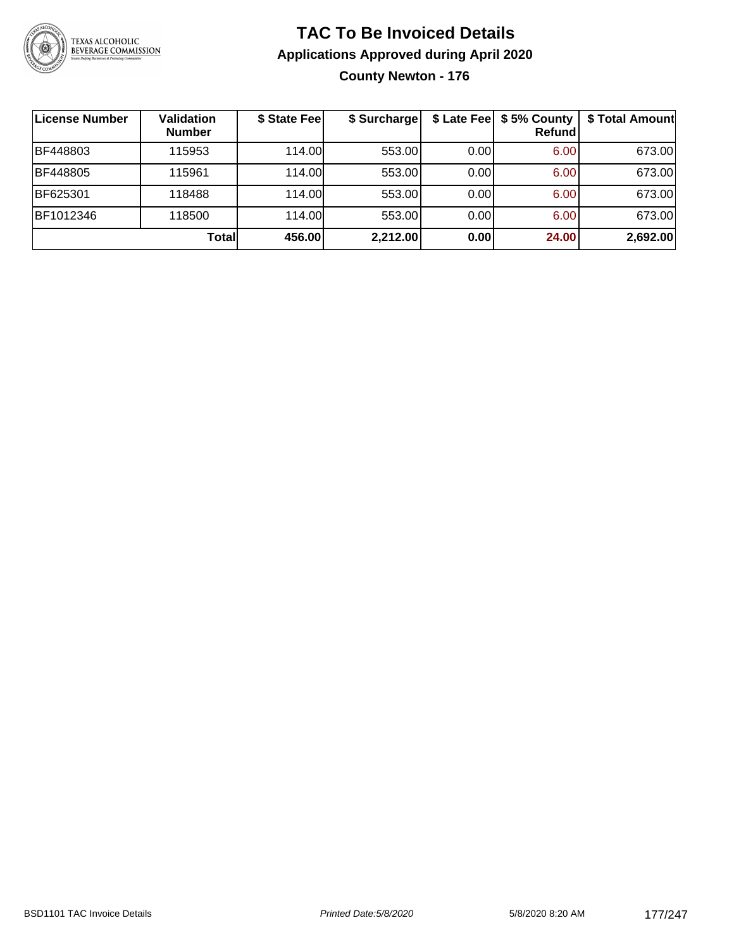

### **TAC To Be Invoiced Details Applications Approved during April 2020 County Newton - 176**

| License Number | <b>Validation</b><br><b>Number</b> | \$ State Fee | \$ Surcharge |      | \$ Late Fee   \$5% County<br><b>Refund</b> | \$ Total Amount |
|----------------|------------------------------------|--------------|--------------|------|--------------------------------------------|-----------------|
| BF448803       | 115953                             | 114.00       | 553.00       | 0.00 | 6.00                                       | 673.00          |
| BF448805       | 115961                             | 114.00L      | 553.00       | 0.00 | 6.00                                       | 673.00          |
| BF625301       | 118488                             | 114.00       | 553.00       | 0.00 | 6.00                                       | 673.00          |
| BF1012346      | 118500                             | 114.00L      | 553.00       | 0.00 | 6.00                                       | 673.00          |
|                | Totall                             | 456.00       | 2,212.00     | 0.00 | 24.00                                      | 2,692.00        |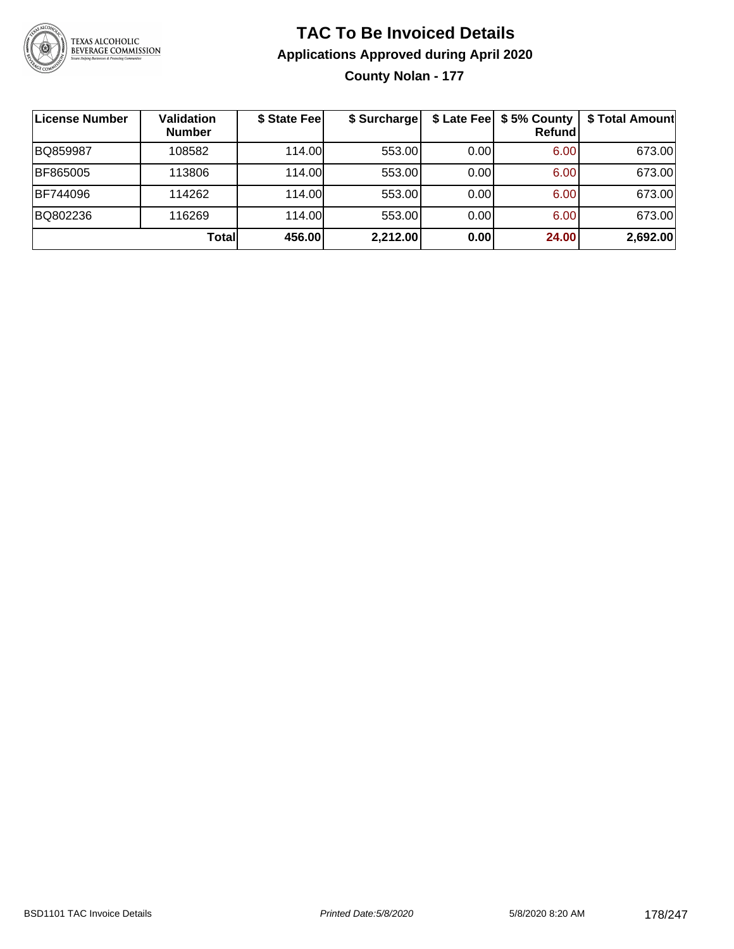

**County Nolan - 177**

| ∣License Number | Validation<br><b>Number</b> | \$ State Fee | \$ Surcharge |      | \$ Late Fee   \$5% County  <br><b>Refund</b> | \$ Total Amount |
|-----------------|-----------------------------|--------------|--------------|------|----------------------------------------------|-----------------|
| BQ859987        | 108582                      | 114.00       | 553.00       | 0.00 | 6.00                                         | 673.00          |
| BF865005        | 113806                      | 114.00       | 553.00       | 0.00 | 6.00                                         | 673.00          |
| BF744096        | 114262                      | 114.00L      | 553.00       | 0.00 | 6.00                                         | 673.00          |
| BQ802236        | 116269                      | 114.00L      | 553.00       | 0.00 | 6.00                                         | 673.00          |
|                 | Total                       | 456.00       | 2,212.00     | 0.00 | 24.00                                        | 2,692.00        |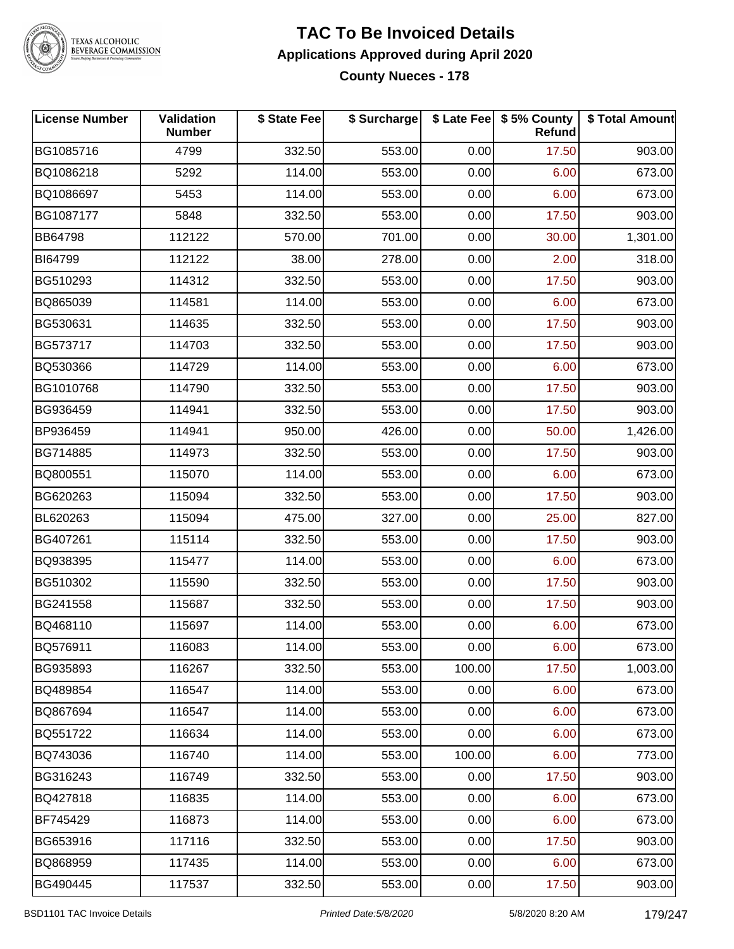

TEXAS ALCOHOLIC<br>BEVERAGE COMMISSION

#### **TAC To Be Invoiced Details Applications Approved during April 2020 County Nueces - 178**

| <b>License Number</b> | Validation<br><b>Number</b> | \$ State Fee | \$ Surcharge |        | \$ Late Fee \$ 5% County<br>Refund | \$ Total Amount |
|-----------------------|-----------------------------|--------------|--------------|--------|------------------------------------|-----------------|
| BG1085716             | 4799                        | 332.50       | 553.00       | 0.00   | 17.50                              | 903.00          |
| BQ1086218             | 5292                        | 114.00       | 553.00       | 0.00   | 6.00                               | 673.00          |
| BQ1086697             | 5453                        | 114.00       | 553.00       | 0.00   | 6.00                               | 673.00          |
| BG1087177             | 5848                        | 332.50       | 553.00       | 0.00   | 17.50                              | 903.00          |
| BB64798               | 112122                      | 570.00       | 701.00       | 0.00   | 30.00                              | 1,301.00        |
| BI64799               | 112122                      | 38.00        | 278.00       | 0.00   | 2.00                               | 318.00          |
| BG510293              | 114312                      | 332.50       | 553.00       | 0.00   | 17.50                              | 903.00          |
| BQ865039              | 114581                      | 114.00       | 553.00       | 0.00   | 6.00                               | 673.00          |
| BG530631              | 114635                      | 332.50       | 553.00       | 0.00   | 17.50                              | 903.00          |
| BG573717              | 114703                      | 332.50       | 553.00       | 0.00   | 17.50                              | 903.00          |
| BQ530366              | 114729                      | 114.00       | 553.00       | 0.00   | 6.00                               | 673.00          |
| BG1010768             | 114790                      | 332.50       | 553.00       | 0.00   | 17.50                              | 903.00          |
| BG936459              | 114941                      | 332.50       | 553.00       | 0.00   | 17.50                              | 903.00          |
| BP936459              | 114941                      | 950.00       | 426.00       | 0.00   | 50.00                              | 1,426.00        |
| BG714885              | 114973                      | 332.50       | 553.00       | 0.00   | 17.50                              | 903.00          |
| BQ800551              | 115070                      | 114.00       | 553.00       | 0.00   | 6.00                               | 673.00          |
| BG620263              | 115094                      | 332.50       | 553.00       | 0.00   | 17.50                              | 903.00          |
| BL620263              | 115094                      | 475.00       | 327.00       | 0.00   | 25.00                              | 827.00          |
| BG407261              | 115114                      | 332.50       | 553.00       | 0.00   | 17.50                              | 903.00          |
| BQ938395              | 115477                      | 114.00       | 553.00       | 0.00   | 6.00                               | 673.00          |
| BG510302              | 115590                      | 332.50       | 553.00       | 0.00   | 17.50                              | 903.00          |
| BG241558              | 115687                      | 332.50       | 553.00       | 0.00   | 17.50                              | 903.00          |
| BQ468110              | 115697                      | 114.00       | 553.00       | 0.00   | 6.00                               | 673.00          |
| BQ576911              | 116083                      | 114.00       | 553.00       | 0.00   | 6.00                               | 673.00          |
| BG935893              | 116267                      | 332.50       | 553.00       | 100.00 | 17.50                              | 1,003.00        |
| BQ489854              | 116547                      | 114.00       | 553.00       | 0.00   | 6.00                               | 673.00          |
| BQ867694              | 116547                      | 114.00       | 553.00       | 0.00   | 6.00                               | 673.00          |
| BQ551722              | 116634                      | 114.00       | 553.00       | 0.00   | 6.00                               | 673.00          |
| BQ743036              | 116740                      | 114.00       | 553.00       | 100.00 | 6.00                               | 773.00          |
| BG316243              | 116749                      | 332.50       | 553.00       | 0.00   | 17.50                              | 903.00          |
| BQ427818              | 116835                      | 114.00       | 553.00       | 0.00   | 6.00                               | 673.00          |
| BF745429              | 116873                      | 114.00       | 553.00       | 0.00   | 6.00                               | 673.00          |
| BG653916              | 117116                      | 332.50       | 553.00       | 0.00   | 17.50                              | 903.00          |
| BQ868959              | 117435                      | 114.00       | 553.00       | 0.00   | 6.00                               | 673.00          |
| BG490445              | 117537                      | 332.50       | 553.00       | 0.00   | 17.50                              | 903.00          |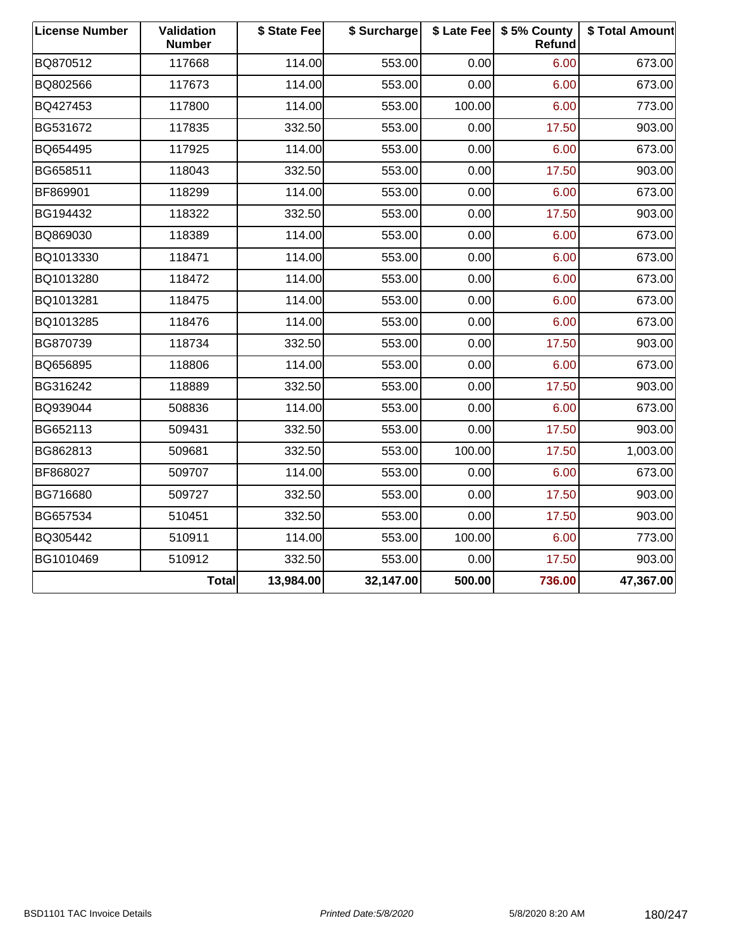| <b>License Number</b> | Validation<br><b>Number</b> | \$ State Fee | \$ Surcharge |        | \$ Late Fee   \$5% County<br>Refund | \$ Total Amount |
|-----------------------|-----------------------------|--------------|--------------|--------|-------------------------------------|-----------------|
| BQ870512              | 117668                      | 114.00       | 553.00       | 0.00   | 6.00                                | 673.00          |
| BQ802566              | 117673                      | 114.00       | 553.00       | 0.00   | 6.00                                | 673.00          |
| BQ427453              | 117800                      | 114.00       | 553.00       | 100.00 | 6.00                                | 773.00          |
| BG531672              | 117835                      | 332.50       | 553.00       | 0.00   | 17.50                               | 903.00          |
| BQ654495              | 117925                      | 114.00       | 553.00       | 0.00   | 6.00                                | 673.00          |
| BG658511              | 118043                      | 332.50       | 553.00       | 0.00   | 17.50                               | 903.00          |
| BF869901              | 118299                      | 114.00       | 553.00       | 0.00   | 6.00                                | 673.00          |
| BG194432              | 118322                      | 332.50       | 553.00       | 0.00   | 17.50                               | 903.00          |
| BQ869030              | 118389                      | 114.00       | 553.00       | 0.00   | 6.00                                | 673.00          |
| BQ1013330             | 118471                      | 114.00       | 553.00       | 0.00   | 6.00                                | 673.00          |
| BQ1013280             | 118472                      | 114.00       | 553.00       | 0.00   | 6.00                                | 673.00          |
| BQ1013281             | 118475                      | 114.00       | 553.00       | 0.00   | 6.00                                | 673.00          |
| BQ1013285             | 118476                      | 114.00       | 553.00       | 0.00   | 6.00                                | 673.00          |
| BG870739              | 118734                      | 332.50       | 553.00       | 0.00   | 17.50                               | 903.00          |
| BQ656895              | 118806                      | 114.00       | 553.00       | 0.00   | 6.00                                | 673.00          |
| BG316242              | 118889                      | 332.50       | 553.00       | 0.00   | 17.50                               | 903.00          |
| BQ939044              | 508836                      | 114.00       | 553.00       | 0.00   | 6.00                                | 673.00          |
| BG652113              | 509431                      | 332.50       | 553.00       | 0.00   | 17.50                               | 903.00          |
| BG862813              | 509681                      | 332.50       | 553.00       | 100.00 | 17.50                               | 1,003.00        |
| BF868027              | 509707                      | 114.00       | 553.00       | 0.00   | 6.00                                | 673.00          |
| BG716680              | 509727                      | 332.50       | 553.00       | 0.00   | 17.50                               | 903.00          |
| BG657534              | 510451                      | 332.50       | 553.00       | 0.00   | 17.50                               | 903.00          |
| BQ305442              | 510911                      | 114.00       | 553.00       | 100.00 | 6.00                                | 773.00          |
| BG1010469             | 510912                      | 332.50       | 553.00       | 0.00   | 17.50                               | 903.00          |
|                       | <b>Total</b>                | 13,984.00    | 32,147.00    | 500.00 | 736.00                              | 47,367.00       |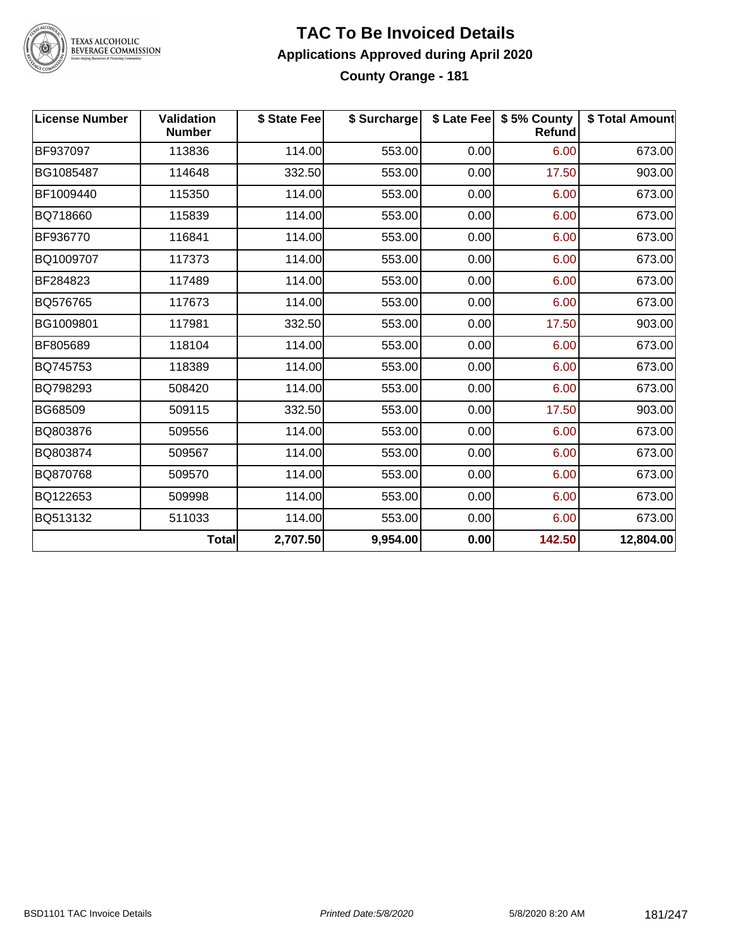

#### **TAC To Be Invoiced Details Applications Approved during April 2020 County Orange - 181**

| <b>License Number</b> | <b>Validation</b><br><b>Number</b> | \$ State Fee | \$ Surcharge |      | \$ Late Fee   \$5% County<br>Refund | \$ Total Amount |
|-----------------------|------------------------------------|--------------|--------------|------|-------------------------------------|-----------------|
| BF937097              | 113836                             | 114.00       | 553.00       | 0.00 | 6.00                                | 673.00          |
| BG1085487             | 114648                             | 332.50       | 553.00       | 0.00 | 17.50                               | 903.00          |
| BF1009440             | 115350                             | 114.00       | 553.00       | 0.00 | 6.00                                | 673.00          |
| BQ718660              | 115839                             | 114.00       | 553.00       | 0.00 | 6.00                                | 673.00          |
| BF936770              | 116841                             | 114.00       | 553.00       | 0.00 | 6.00                                | 673.00          |
| BQ1009707             | 117373                             | 114.00       | 553.00       | 0.00 | 6.00                                | 673.00          |
| BF284823              | 117489                             | 114.00       | 553.00       | 0.00 | 6.00                                | 673.00          |
| BQ576765              | 117673                             | 114.00       | 553.00       | 0.00 | 6.00                                | 673.00          |
| BG1009801             | 117981                             | 332.50       | 553.00       | 0.00 | 17.50                               | 903.00          |
| BF805689              | 118104                             | 114.00       | 553.00       | 0.00 | 6.00                                | 673.00          |
| BQ745753              | 118389                             | 114.00       | 553.00       | 0.00 | 6.00                                | 673.00          |
| BQ798293              | 508420                             | 114.00       | 553.00       | 0.00 | 6.00                                | 673.00          |
| BG68509               | 509115                             | 332.50       | 553.00       | 0.00 | 17.50                               | 903.00          |
| BQ803876              | 509556                             | 114.00       | 553.00       | 0.00 | 6.00                                | 673.00          |
| BQ803874              | 509567                             | 114.00       | 553.00       | 0.00 | 6.00                                | 673.00          |
| BQ870768              | 509570                             | 114.00       | 553.00       | 0.00 | 6.00                                | 673.00          |
| BQ122653              | 509998                             | 114.00       | 553.00       | 0.00 | 6.00                                | 673.00          |
| BQ513132              | 511033                             | 114.00       | 553.00       | 0.00 | 6.00                                | 673.00          |
|                       | <b>Total</b>                       | 2,707.50     | 9,954.00     | 0.00 | 142.50                              | 12,804.00       |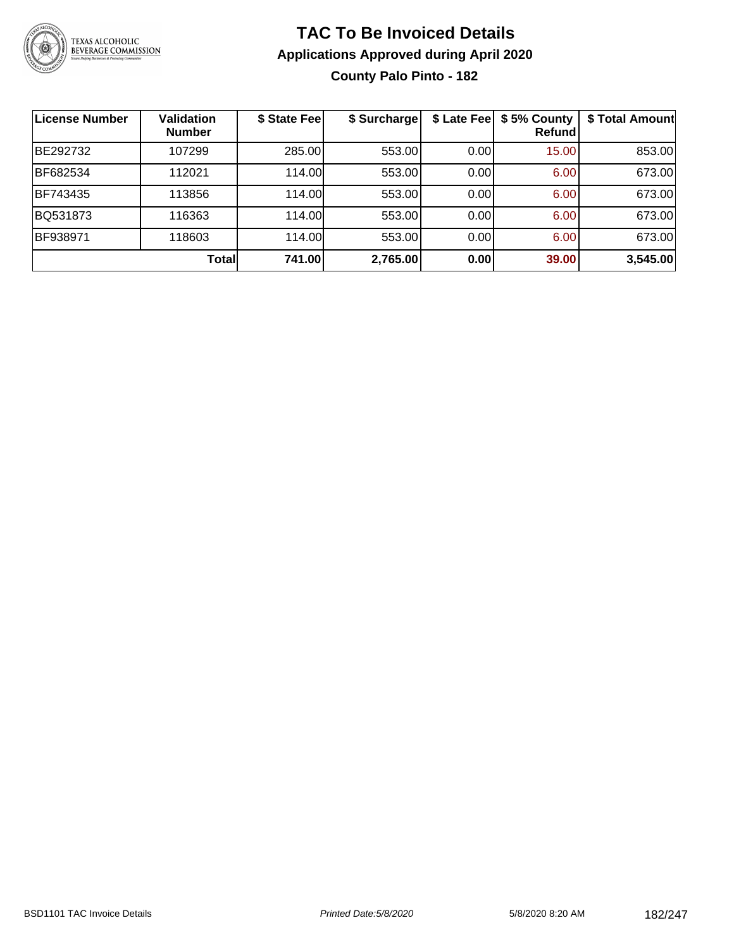

### **TAC To Be Invoiced Details Applications Approved during April 2020 County Palo Pinto - 182**

| License Number | <b>Validation</b><br><b>Number</b> | \$ State Fee | \$ Surcharge | \$ Late Fee | \$5% County<br>Refundl | \$ Total Amount |
|----------------|------------------------------------|--------------|--------------|-------------|------------------------|-----------------|
| BE292732       | 107299                             | 285.00       | 553.00       | 0.00        | 15.00                  | 853.00          |
| BF682534       | 112021                             | 114.00       | 553.00       | 0.00        | 6.00                   | 673.00          |
| BF743435       | 113856                             | 114.00       | 553.00       | 0.00        | 6.00                   | 673.00          |
| BQ531873       | 116363                             | 114.00       | 553.00       | 0.00        | 6.00                   | 673.00          |
| BF938971       | 118603                             | 114.00       | 553.00       | 0.00        | 6.00                   | 673.00          |
|                | Total                              | 741.00       | 2,765.00     | 0.00        | 39.00                  | 3,545.00        |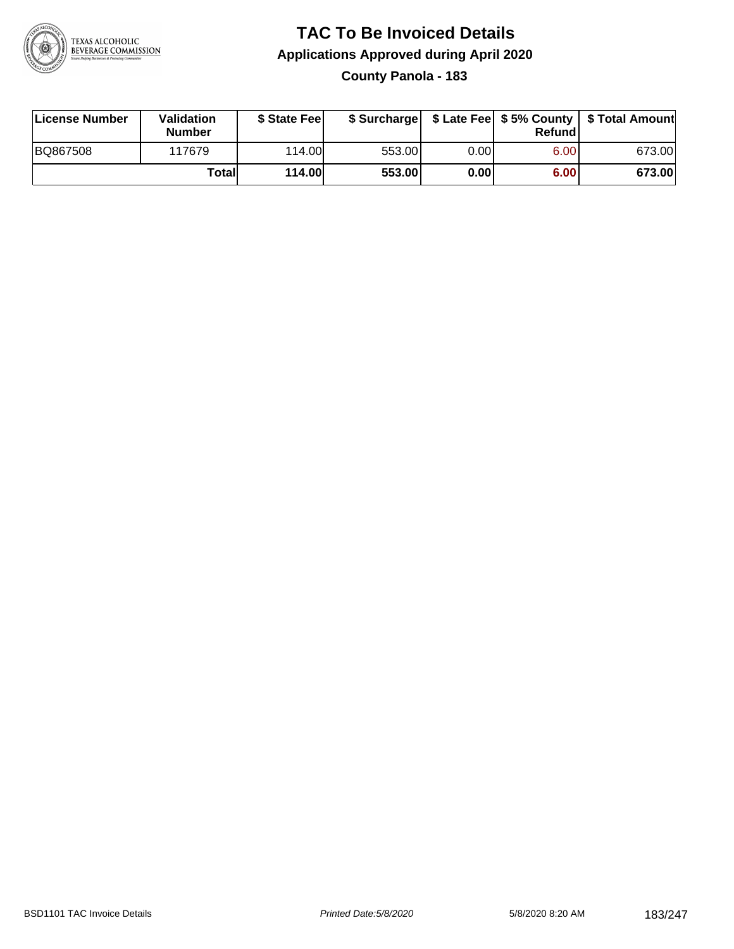

### **TAC To Be Invoiced Details Applications Approved during April 2020 County Panola - 183**

| License Number | Validation<br><b>Number</b> | \$ State Feel |        |       | Refundl | \$ Surcharge   \$ Late Fee   \$5% County   \$ Total Amount |
|----------------|-----------------------------|---------------|--------|-------|---------|------------------------------------------------------------|
| BQ867508       | 117679                      | 114.00L       | 553.00 | 0.001 | 6.00    | 673.00                                                     |
|                | Totall                      | <b>114.00</b> | 553.00 | 0.00  | 6.00    | 673.00                                                     |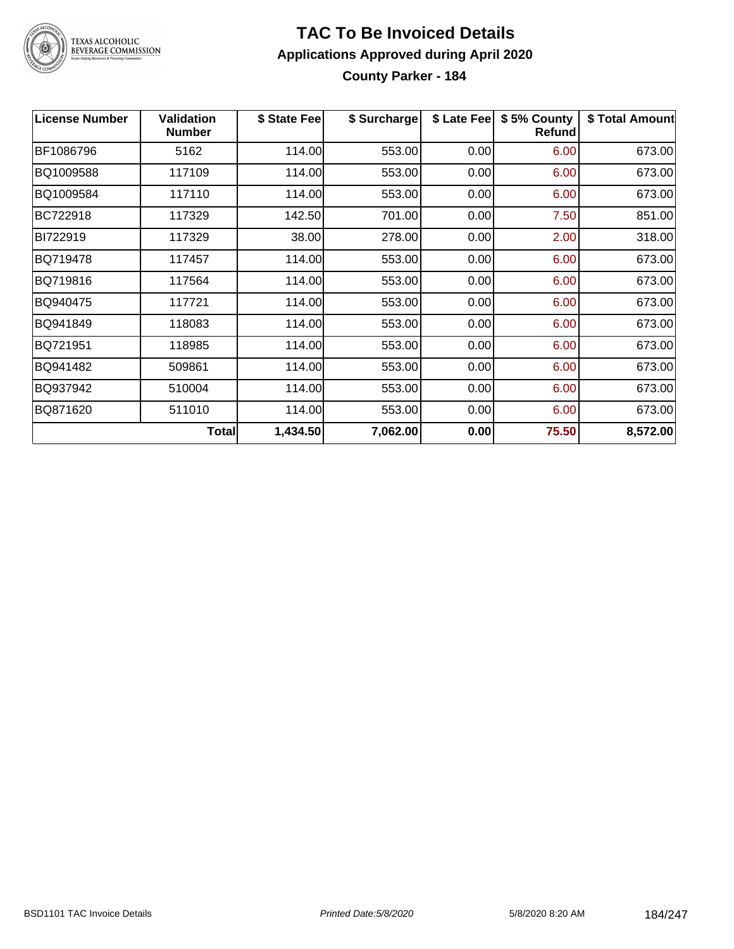

#### **TAC To Be Invoiced Details Applications Approved during April 2020 County Parker - 184**

| <b>License Number</b> | <b>Validation</b><br><b>Number</b> | \$ State Fee | \$ Surcharge | \$ Late Fee | \$5% County<br><b>Refund</b> | \$ Total Amount |
|-----------------------|------------------------------------|--------------|--------------|-------------|------------------------------|-----------------|
| BF1086796             | 5162                               | 114.00       | 553.00       | 0.00        | 6.00                         | 673.00          |
| BQ1009588             | 117109                             | 114.00       | 553.00       | 0.00        | 6.00                         | 673.00          |
| BQ1009584             | 117110                             | 114.00       | 553.00       | 0.00        | 6.00                         | 673.00          |
| BC722918              | 117329                             | 142.50       | 701.00       | 0.00        | 7.50                         | 851.00          |
| BI722919              | 117329                             | 38.00        | 278.00       | 0.00        | 2.00                         | 318.00          |
| BQ719478              | 117457                             | 114.00       | 553.00       | 0.00        | 6.00                         | 673.00          |
| BQ719816              | 117564                             | 114.00       | 553.00       | 0.00        | 6.00                         | 673.00          |
| BQ940475              | 117721                             | 114.00       | 553.00       | 0.00        | 6.00                         | 673.00          |
| BQ941849              | 118083                             | 114.00       | 553.00       | 0.00        | 6.00                         | 673.00          |
| BQ721951              | 118985                             | 114.00       | 553.00       | 0.00        | 6.00                         | 673.00          |
| BQ941482              | 509861                             | 114.00       | 553.00       | 0.00        | 6.00                         | 673.00          |
| BQ937942              | 510004                             | 114.00       | 553.00       | 0.00        | 6.00                         | 673.00          |
| BQ871620              | 511010                             | 114.00       | 553.00       | 0.00        | 6.00                         | 673.00          |
|                       | Total                              | 1,434.50     | 7,062.00     | 0.00        | 75.50                        | 8,572.00        |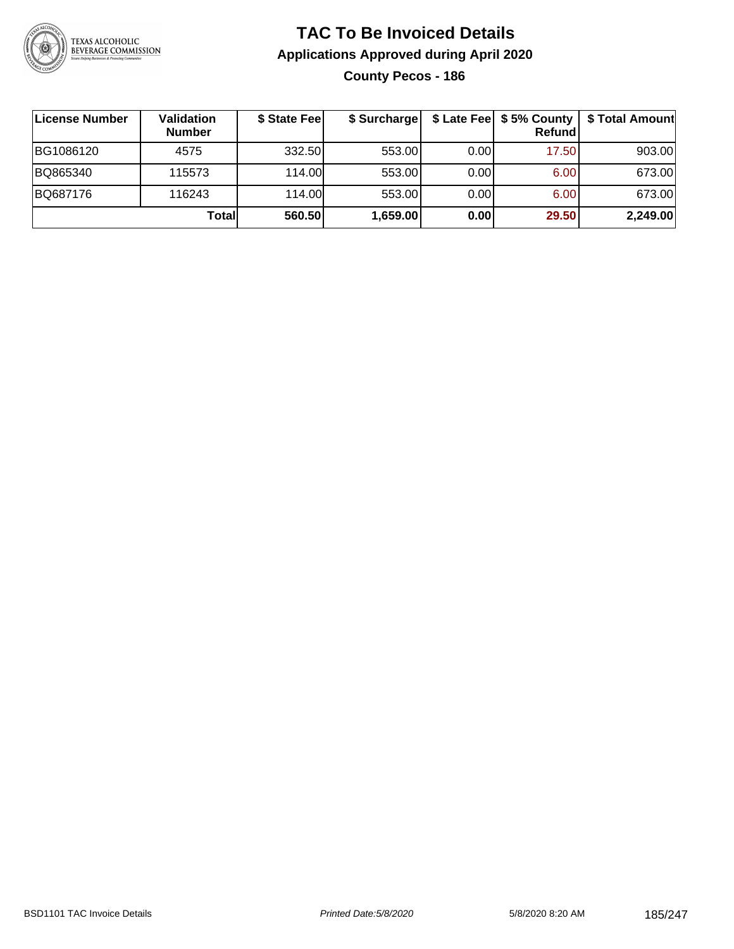

### **TAC To Be Invoiced Details Applications Approved during April 2020 County Pecos - 186**

| License Number | Validation<br><b>Number</b> | \$ State Fee | \$ Surcharge |       | \$ Late Fee   \$5% County  <br>Refund | \$ Total Amount |
|----------------|-----------------------------|--------------|--------------|-------|---------------------------------------|-----------------|
| BG1086120      | 4575                        | 332.50       | 553.00       | 0.001 | 17.50                                 | 903.00          |
| BQ865340       | 115573                      | 114.00       | 553.00       | 0.00  | 6.00                                  | 673.00          |
| BQ687176       | 116243                      | 114.00       | 553.00       | 0.00  | 6.00                                  | 673.00          |
|                | Totall                      | 560.50       | 1,659.00     | 0.00  | 29.50                                 | 2,249.00        |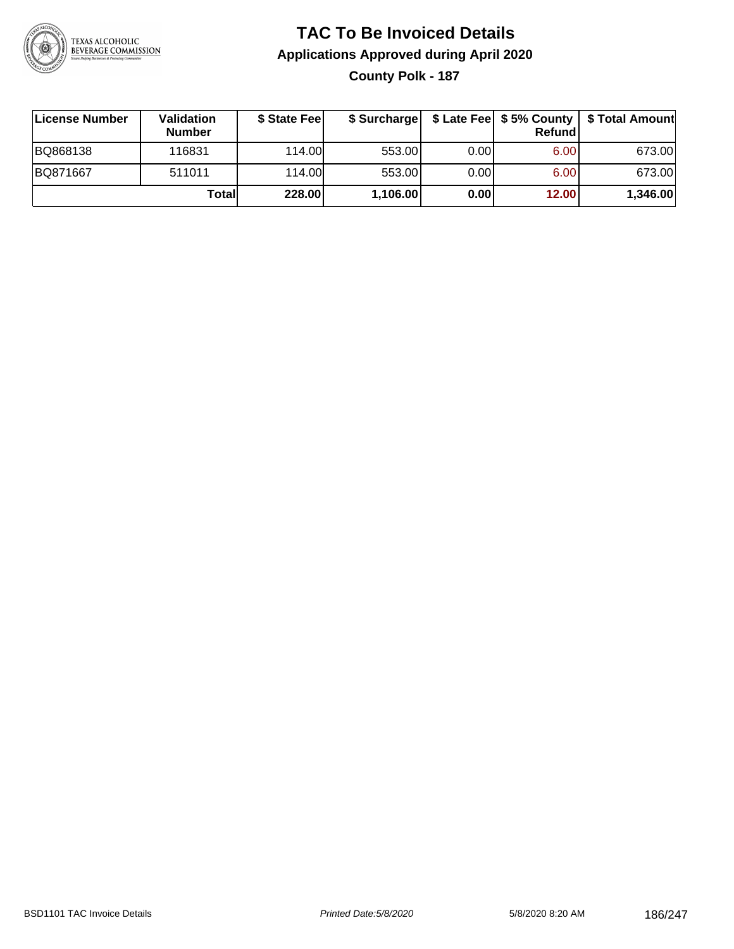

### **TAC To Be Invoiced Details Applications Approved during April 2020 County Polk - 187**

| License Number | Validation<br><b>Number</b> | \$ State Fee |          |      | Refund            | \$ Surcharge   \$ Late Fee   \$5% County   \$ Total Amount |
|----------------|-----------------------------|--------------|----------|------|-------------------|------------------------------------------------------------|
| BQ868138       | 116831                      | 114.00       | 553.00   | 0.00 | 6.00 <sub>1</sub> | 673.00                                                     |
| BQ871667       | 511011                      | 114.00       | 553.00   | 0.00 | 6.00 <sub>1</sub> | 673.00                                                     |
|                | Totall                      | 228.00       | 1,106.00 | 0.00 | 12.00             | 1,346.00                                                   |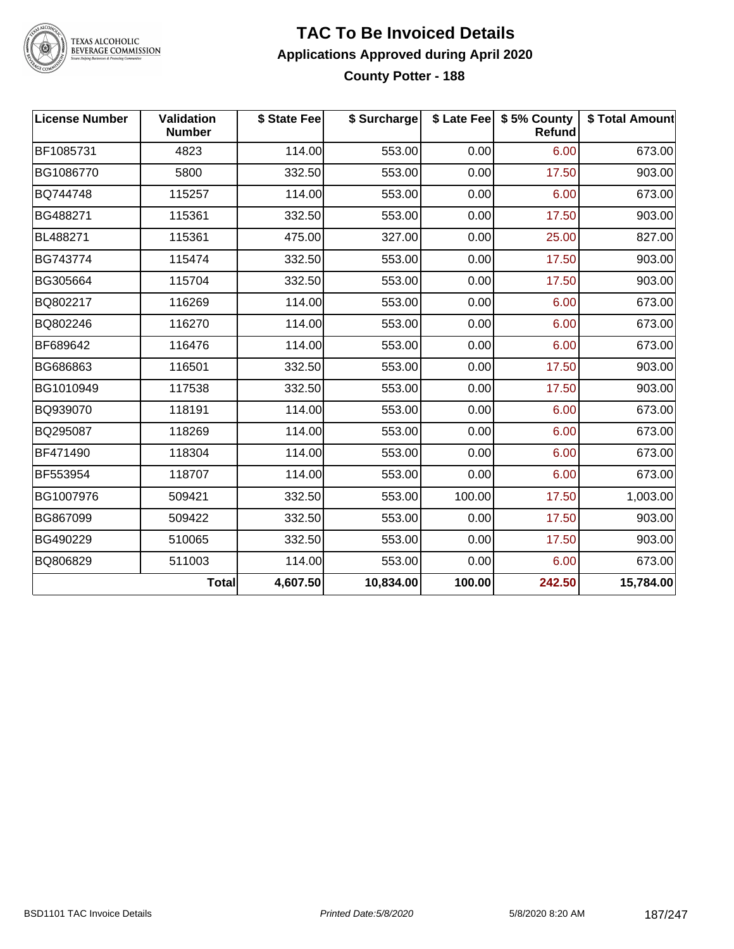

#### **TAC To Be Invoiced Details Applications Approved during April 2020 County Potter - 188**

| <b>License Number</b> | Validation<br><b>Number</b> | \$ State Fee | \$ Surcharge |        | \$ Late Fee   \$5% County<br>Refund | \$ Total Amount |
|-----------------------|-----------------------------|--------------|--------------|--------|-------------------------------------|-----------------|
| BF1085731             | 4823                        | 114.00       | 553.00       | 0.00   | 6.00                                | 673.00          |
| BG1086770             | 5800                        | 332.50       | 553.00       | 0.00   | 17.50                               | 903.00          |
| BQ744748              | 115257                      | 114.00       | 553.00       | 0.00   | 6.00                                | 673.00          |
| BG488271              | 115361                      | 332.50       | 553.00       | 0.00   | 17.50                               | 903.00          |
| BL488271              | 115361                      | 475.00       | 327.00       | 0.00   | 25.00                               | 827.00          |
| BG743774              | 115474                      | 332.50       | 553.00       | 0.00   | 17.50                               | 903.00          |
| BG305664              | 115704                      | 332.50       | 553.00       | 0.00   | 17.50                               | 903.00          |
| BQ802217              | 116269                      | 114.00       | 553.00       | 0.00   | 6.00                                | 673.00          |
| BQ802246              | 116270                      | 114.00       | 553.00       | 0.00   | 6.00                                | 673.00          |
| BF689642              | 116476                      | 114.00       | 553.00       | 0.00   | 6.00                                | 673.00          |
| BG686863              | 116501                      | 332.50       | 553.00       | 0.00   | 17.50                               | 903.00          |
| BG1010949             | 117538                      | 332.50       | 553.00       | 0.00   | 17.50                               | 903.00          |
| BQ939070              | 118191                      | 114.00       | 553.00       | 0.00   | 6.00                                | 673.00          |
| BQ295087              | 118269                      | 114.00       | 553.00       | 0.00   | 6.00                                | 673.00          |
| BF471490              | 118304                      | 114.00       | 553.00       | 0.00   | 6.00                                | 673.00          |
| BF553954              | 118707                      | 114.00       | 553.00       | 0.00   | 6.00                                | 673.00          |
| BG1007976             | 509421                      | 332.50       | 553.00       | 100.00 | 17.50                               | 1,003.00        |
| BG867099              | 509422                      | 332.50       | 553.00       | 0.00   | 17.50                               | 903.00          |
| BG490229              | 510065                      | 332.50       | 553.00       | 0.00   | 17.50                               | 903.00          |
| BQ806829              | 511003                      | 114.00       | 553.00       | 0.00   | 6.00                                | 673.00          |
|                       | <b>Total</b>                | 4,607.50     | 10,834.00    | 100.00 | 242.50                              | 15,784.00       |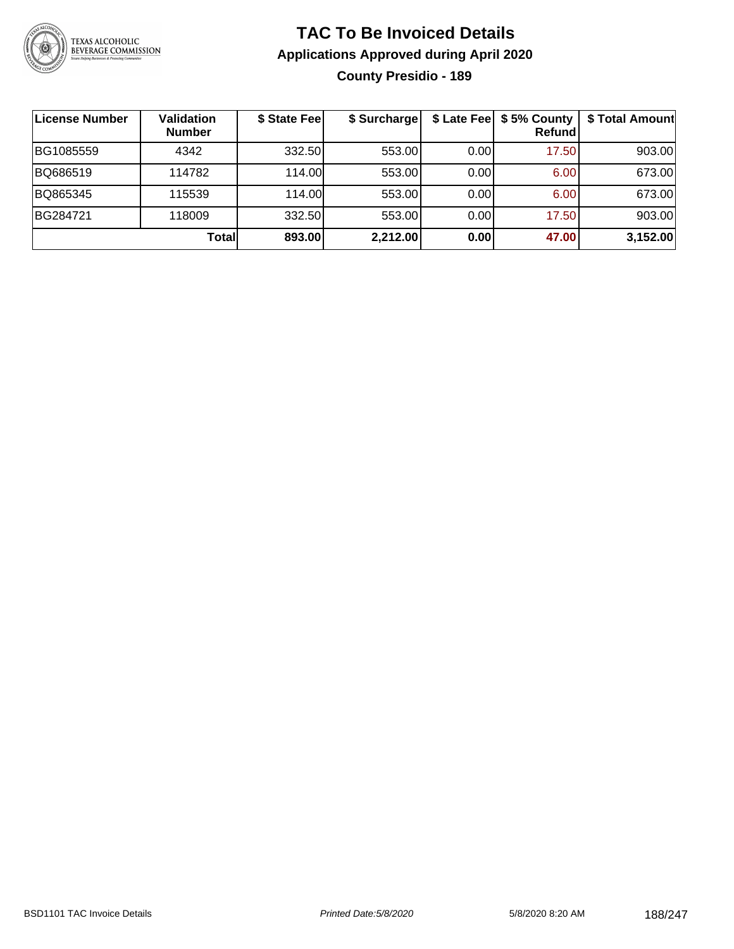

### **TAC To Be Invoiced Details Applications Approved during April 2020 County Presidio - 189**

| License Number | <b>Validation</b><br><b>Number</b> | \$ State Fee | \$ Surcharge |      | \$ Late Fee   \$5% County<br>Refundl | \$ Total Amount |
|----------------|------------------------------------|--------------|--------------|------|--------------------------------------|-----------------|
| BG1085559      | 4342                               | 332.50       | 553.00       | 0.00 | 17.50                                | 903.00          |
| BQ686519       | 114782                             | 114.00       | 553.00       | 0.00 | 6.00                                 | 673.00          |
| BQ865345       | 115539                             | 114.00       | 553.00       | 0.00 | 6.00                                 | 673.00          |
| BG284721       | 118009                             | 332.50       | 553.00       | 0.00 | 17.50                                | 903.00          |
|                | Totall                             | 893.00       | 2,212.00     | 0.00 | 47.00                                | 3,152.00        |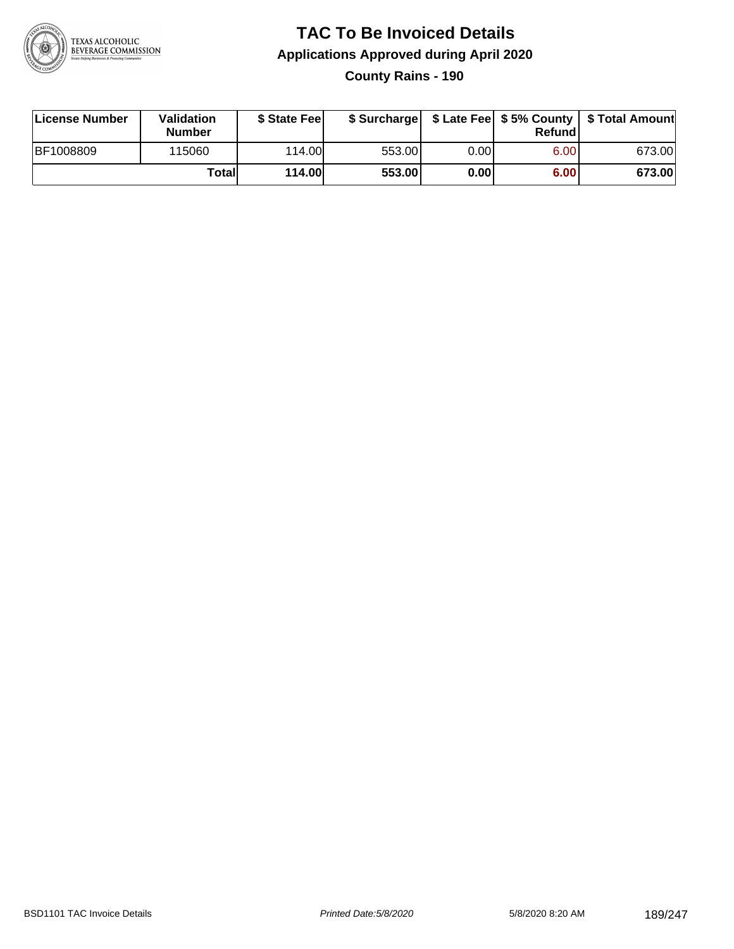

# **TAC To Be Invoiced Details Applications Approved during April 2020**

**County Rains - 190**

| License Number | Validation<br><b>Number</b> | \$ State Feel | \$ Surcharge |      | Refundl | \$ Late Fee   \$5% County   \$ Total Amount |
|----------------|-----------------------------|---------------|--------------|------|---------|---------------------------------------------|
| BF1008809      | 115060                      | 114.00        | 553.00       | 0.00 | 6.00    | 673.00                                      |
|                | Totall                      | 114.00        | 553.00       | 0.00 | 6.00    | 673.00                                      |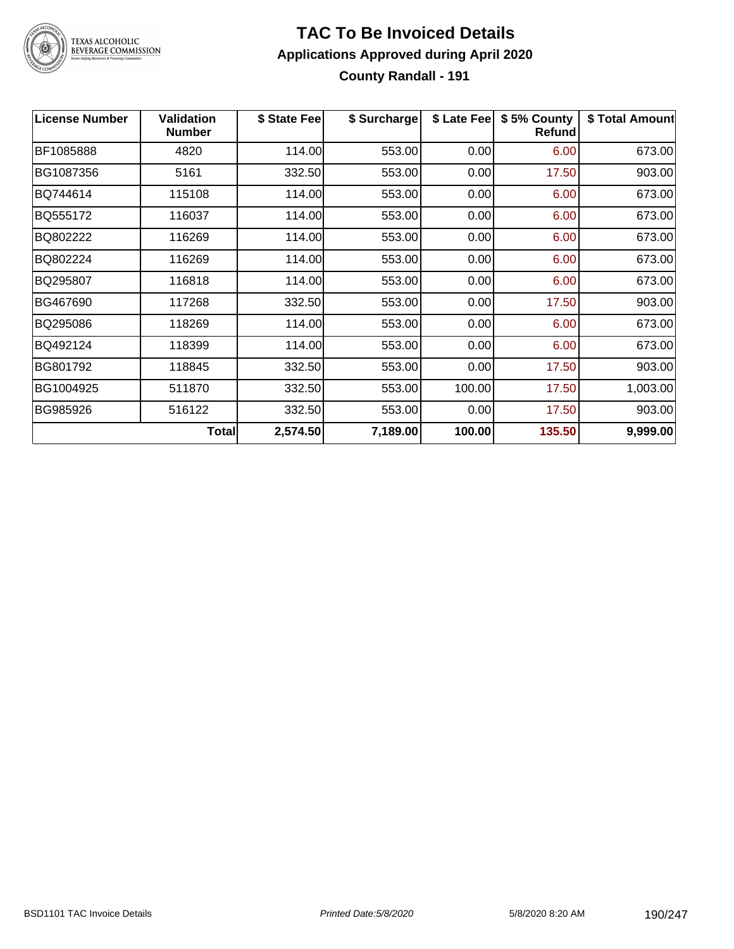

### **TAC To Be Invoiced Details Applications Approved during April 2020 County Randall - 191**

| <b>License Number</b> | <b>Validation</b><br><b>Number</b> | \$ State Fee | \$ Surcharge | \$ Late Fee | \$5% County<br><b>Refund</b> | \$ Total Amount |
|-----------------------|------------------------------------|--------------|--------------|-------------|------------------------------|-----------------|
| BF1085888             | 4820                               | 114.00       | 553.00       | 0.00        | 6.00                         | 673.00          |
| BG1087356             | 5161                               | 332.50       | 553.00       | 0.00        | 17.50                        | 903.00          |
| BQ744614              | 115108                             | 114.00       | 553.00       | 0.00        | 6.00                         | 673.00          |
| BQ555172              | 116037                             | 114.00       | 553.00       | 0.00        | 6.00                         | 673.00          |
| BQ802222              | 116269                             | 114.00       | 553.00       | 0.00        | 6.00                         | 673.00          |
| BQ802224              | 116269                             | 114.00       | 553.00       | 0.00        | 6.00                         | 673.00          |
| BQ295807              | 116818                             | 114.00       | 553.00       | 0.00        | 6.00                         | 673.00          |
| BG467690              | 117268                             | 332.50       | 553.00       | 0.00        | 17.50                        | 903.00          |
| BQ295086              | 118269                             | 114.00       | 553.00       | 0.00        | 6.00                         | 673.00          |
| BQ492124              | 118399                             | 114.00       | 553.00       | 0.00        | 6.00                         | 673.00          |
| BG801792              | 118845                             | 332.50       | 553.00       | 0.00        | 17.50                        | 903.00          |
| BG1004925             | 511870                             | 332.50       | 553.00       | 100.00      | 17.50                        | 1,003.00        |
| BG985926              | 516122                             | 332.50       | 553.00       | 0.00        | 17.50                        | 903.00          |
|                       | <b>Total</b>                       | 2,574.50     | 7,189.00     | 100.00      | 135.50                       | 9,999.00        |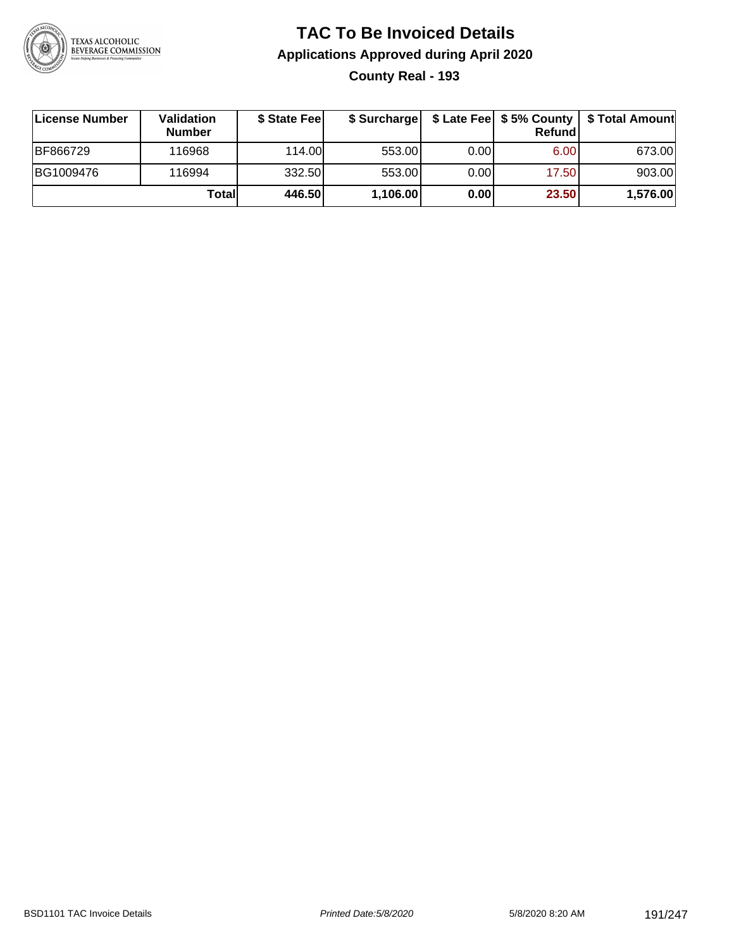

### **TAC To Be Invoiced Details Applications Approved during April 2020 County Real - 193**

| License Number | Validation<br><b>Number</b> | \$ State Feel | \$ Surcharge |      | Refundl | \$ Late Fee   \$5% County   \$ Total Amount |
|----------------|-----------------------------|---------------|--------------|------|---------|---------------------------------------------|
| BF866729       | 116968                      | 114.00L       | 553.00       | 0.00 | 6.00    | 673.00                                      |
| BG1009476      | 116994                      | 332.50        | 553.00       | 0.00 | 17.50   | 903.00                                      |
|                | Totall                      | 446.50        | 1,106.00     | 0.00 | 23.50   | 1,576.00                                    |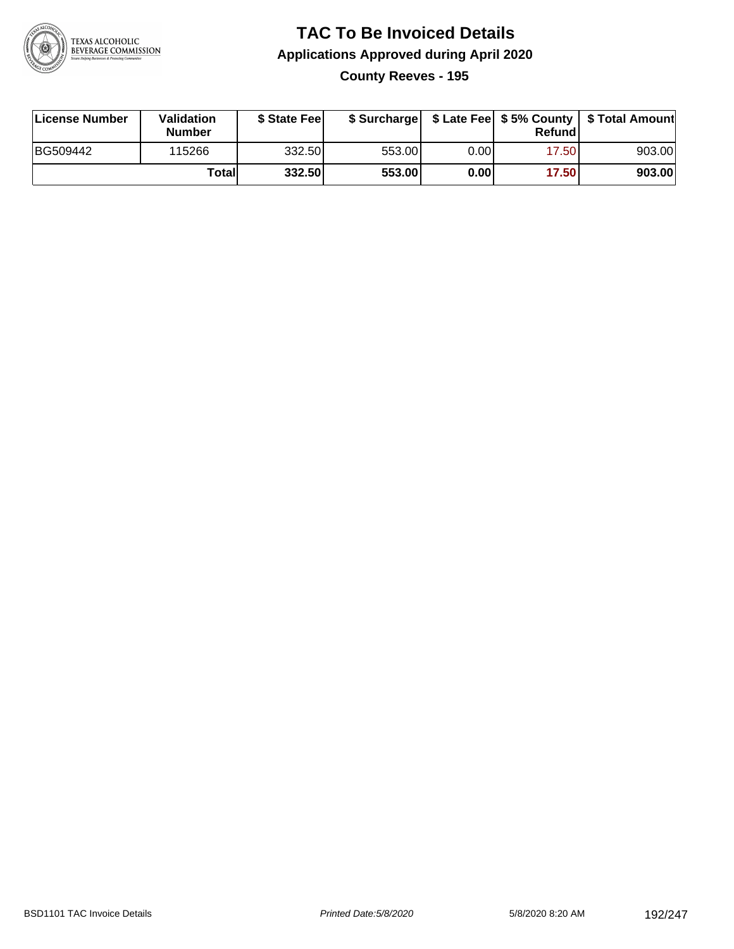

### **TAC To Be Invoiced Details Applications Approved during April 2020 County Reeves - 195**

| License Number | Validation<br><b>Number</b> | \$ State Fee |        |      | Refund | \$ Surcharge   \$ Late Fee   \$5% County   \$ Total Amount |
|----------------|-----------------------------|--------------|--------|------|--------|------------------------------------------------------------|
| BG509442       | 115266                      | 332.50       | 553.00 | 0.00 | 17.50  | 903.00                                                     |
|                | Total                       | 332.50       | 553.00 | 0.00 | 17.50  | 903.00                                                     |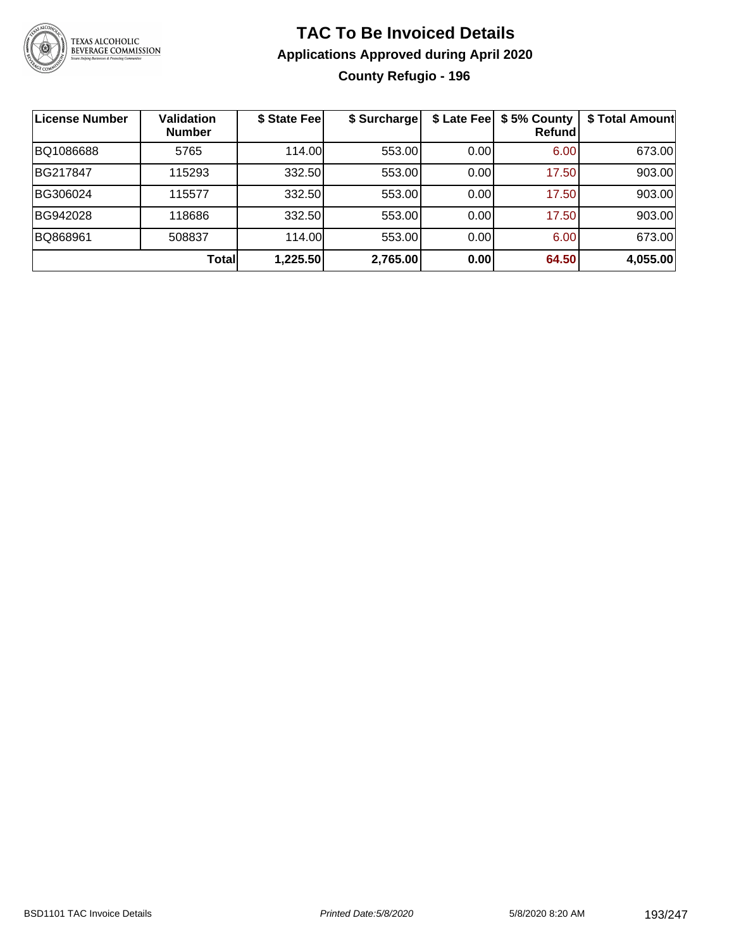

## **TAC To Be Invoiced Details Applications Approved during April 2020 County Refugio - 196**

| License Number | <b>Validation</b><br><b>Number</b> | \$ State Fee | \$ Surcharge |      | \$ Late Fee   \$5% County<br><b>Refund</b> | \$ Total Amount |
|----------------|------------------------------------|--------------|--------------|------|--------------------------------------------|-----------------|
| BQ1086688      | 5765                               | 114.00       | 553.00       | 0.00 | 6.00                                       | 673.00          |
| BG217847       | 115293                             | 332.50       | 553.00       | 0.00 | 17.50                                      | 903.00          |
| BG306024       | 115577                             | 332.50       | 553.00       | 0.00 | 17.50                                      | 903.00          |
| BG942028       | 118686                             | 332.50       | 553.00       | 0.00 | 17.50                                      | 903.00          |
| BQ868961       | 508837                             | 114.00       | 553.00       | 0.00 | 6.00                                       | 673.00          |
|                | Total                              | 1,225.50     | 2,765.00     | 0.00 | 64.50                                      | 4,055.00        |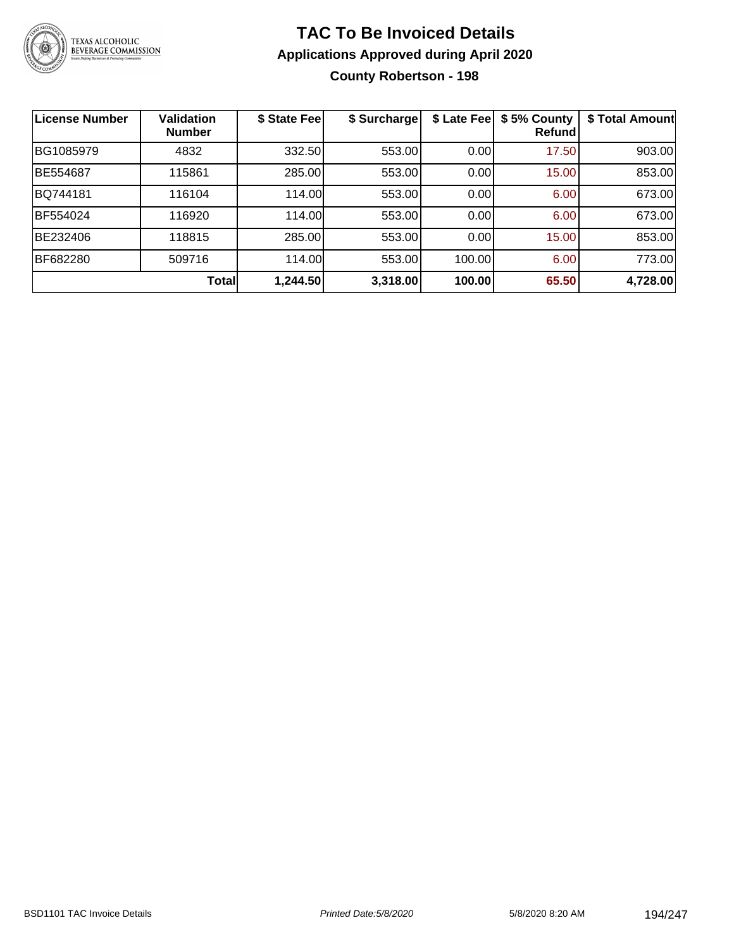

### **TAC To Be Invoiced Details Applications Approved during April 2020 County Robertson - 198**

| <b>License Number</b> | <b>Validation</b><br><b>Number</b> | \$ State Fee | \$ Surcharge | \$ Late Fee | \$5% County<br>Refund | \$ Total Amount |
|-----------------------|------------------------------------|--------------|--------------|-------------|-----------------------|-----------------|
| BG1085979             | 4832                               | 332.50       | 553.00       | 0.00        | 17.50                 | 903.00          |
| <b>BE554687</b>       | 115861                             | 285.00       | 553.00       | 0.00        | 15.00                 | 853.00          |
| BQ744181              | 116104                             | 114.00       | 553.00       | 0.00        | 6.00                  | 673.00          |
| BF554024              | 116920                             | 114.00       | 553.00       | 0.00        | 6.00                  | 673.00          |
| BE232406              | 118815                             | 285.00       | 553.00       | 0.00        | 15.00                 | 853.00          |
| BF682280              | 509716                             | 114.00       | 553.00       | 100.00      | 6.00                  | 773.00          |
|                       | <b>Total</b>                       | 1,244.50     | 3,318.00     | 100.00      | 65.50                 | 4,728.00        |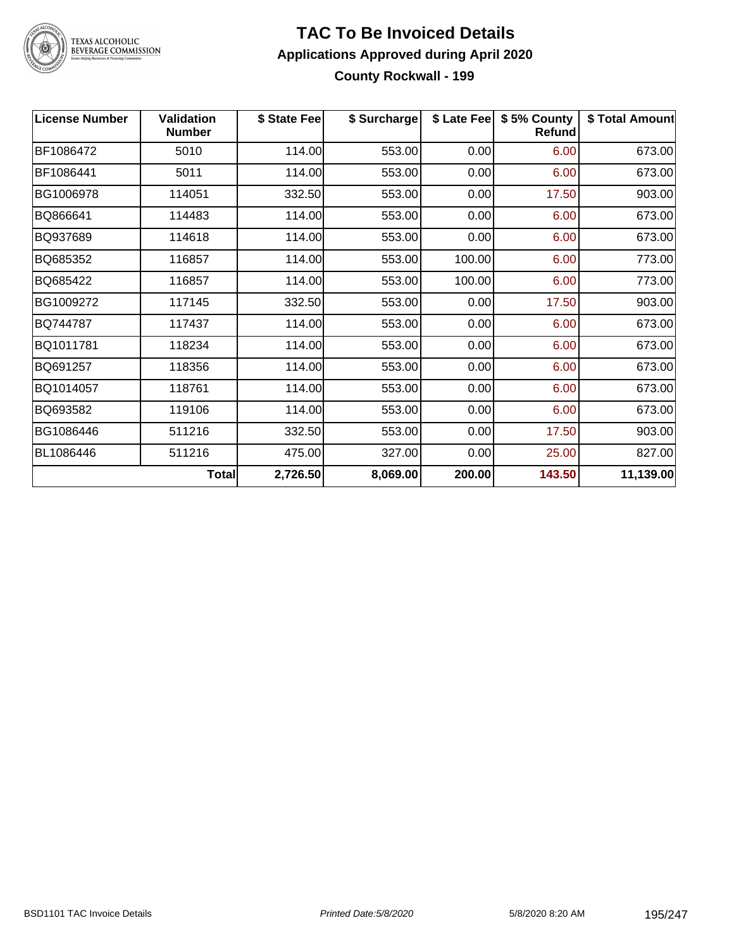

#### **TAC To Be Invoiced Details Applications Approved during April 2020 County Rockwall - 199**

| <b>License Number</b> | <b>Validation</b><br><b>Number</b> | \$ State Fee | \$ Surcharge |        | \$ Late Fee   \$5% County<br><b>Refund</b> | \$ Total Amount |
|-----------------------|------------------------------------|--------------|--------------|--------|--------------------------------------------|-----------------|
| BF1086472             | 5010                               | 114.00       | 553.00       | 0.00   | 6.00                                       | 673.00          |
| BF1086441             | 5011                               | 114.00       | 553.00       | 0.00   | 6.00                                       | 673.00          |
| BG1006978             | 114051                             | 332.50       | 553.00       | 0.00   | 17.50                                      | 903.00          |
| BQ866641              | 114483                             | 114.00       | 553.00       | 0.00   | 6.00                                       | 673.00          |
| BQ937689              | 114618                             | 114.00       | 553.00       | 0.00   | 6.00                                       | 673.00          |
| BQ685352              | 116857                             | 114.00       | 553.00       | 100.00 | 6.00                                       | 773.00          |
| BQ685422              | 116857                             | 114.00       | 553.00       | 100.00 | 6.00                                       | 773.00          |
| BG1009272             | 117145                             | 332.50       | 553.00       | 0.00   | 17.50                                      | 903.00          |
| BQ744787              | 117437                             | 114.00       | 553.00       | 0.00   | 6.00                                       | 673.00          |
| BQ1011781             | 118234                             | 114.00       | 553.00       | 0.00   | 6.00                                       | 673.00          |
| BQ691257              | 118356                             | 114.00       | 553.00       | 0.00   | 6.00                                       | 673.00          |
| BQ1014057             | 118761                             | 114.00       | 553.00       | 0.00   | 6.00                                       | 673.00          |
| BQ693582              | 119106                             | 114.00       | 553.00       | 0.00   | 6.00                                       | 673.00          |
| BG1086446             | 511216                             | 332.50       | 553.00       | 0.00   | 17.50                                      | 903.00          |
| BL1086446             | 511216                             | 475.00       | 327.00       | 0.00   | 25.00                                      | 827.00          |
|                       | <b>Total</b>                       | 2,726.50     | 8,069.00     | 200.00 | 143.50                                     | 11,139.00       |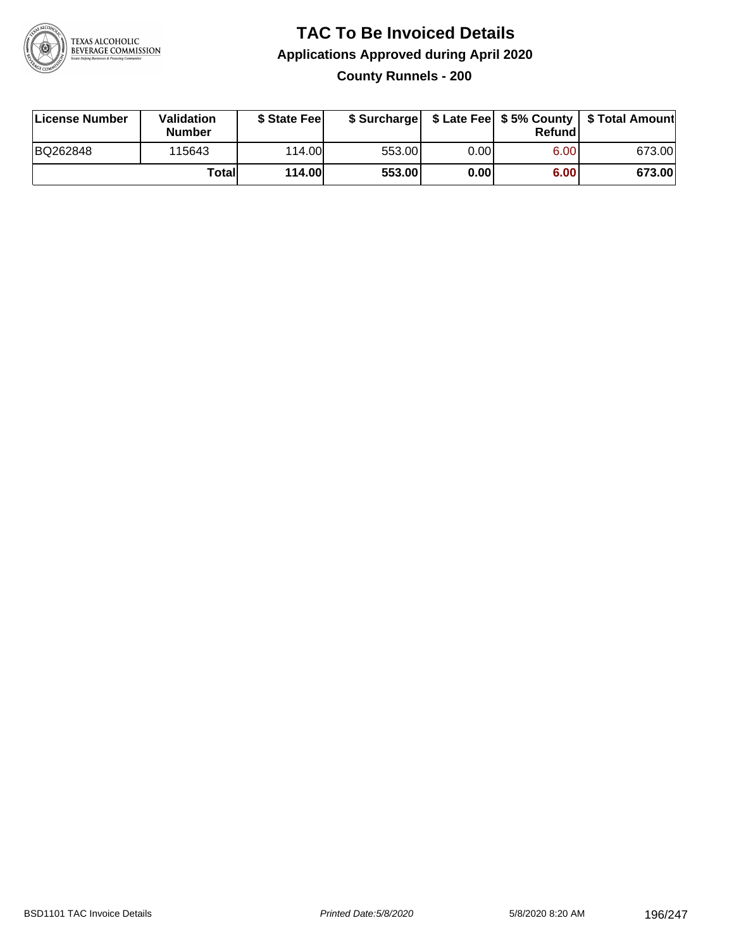

### **TAC To Be Invoiced Details Applications Approved during April 2020 County Runnels - 200**

| <b>License Number</b> | Validation<br><b>Number</b> | \$ State Fee |        |      | Refund | \$ Surcharge   \$ Late Fee   \$5% County   \$ Total Amount |
|-----------------------|-----------------------------|--------------|--------|------|--------|------------------------------------------------------------|
| BQ262848              | 115643                      | 114.00       | 553.00 | 0.00 | 6.00   | 673.00                                                     |
|                       | Totall                      | 114.00       | 553.00 | 0.00 | 6.00   | 673.00                                                     |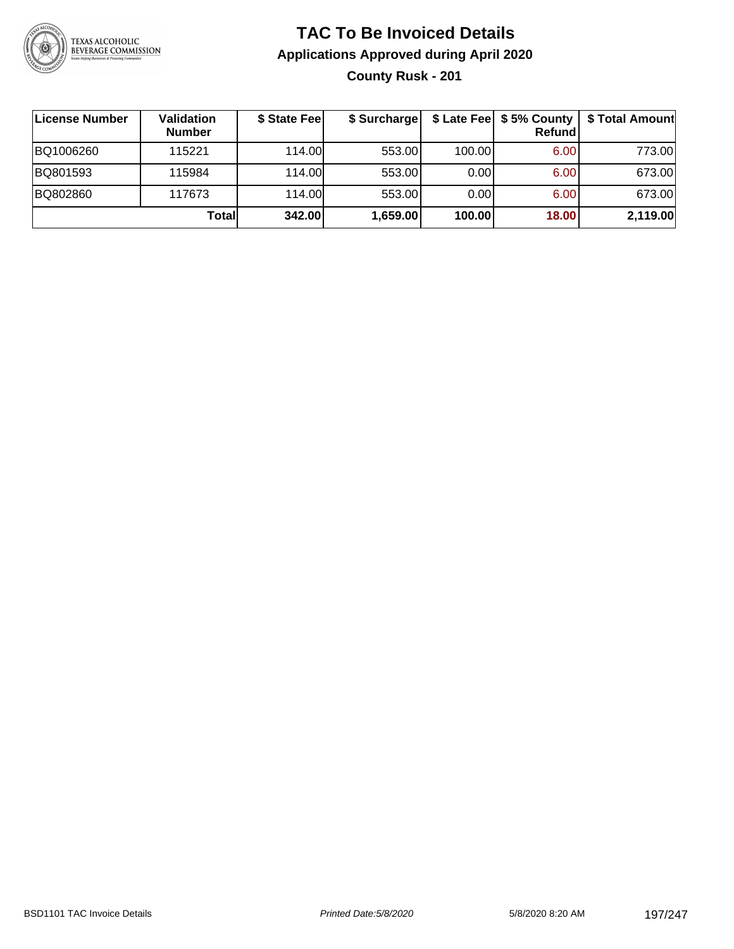

### **TAC To Be Invoiced Details Applications Approved during April 2020 County Rusk - 201**

| License Number | Validation<br><b>Number</b> | \$ State Fee | \$ Surcharge |        | \$ Late Fee   \$5% County<br>Refund | \$ Total Amount |
|----------------|-----------------------------|--------------|--------------|--------|-------------------------------------|-----------------|
| BQ1006260      | 115221                      | 114.00       | 553.00       | 100.00 | 6.00                                | 773.00          |
| BQ801593       | 115984                      | 114.00       | 553.00       | 0.00   | 6.00                                | 673.00          |
| BQ802860       | 117673                      | 114.00       | 553.00       | 0.00   | 6.00                                | 673.00          |
|                | Totall                      | 342.00       | 1,659.00     | 100.00 | 18.00                               | 2,119.00        |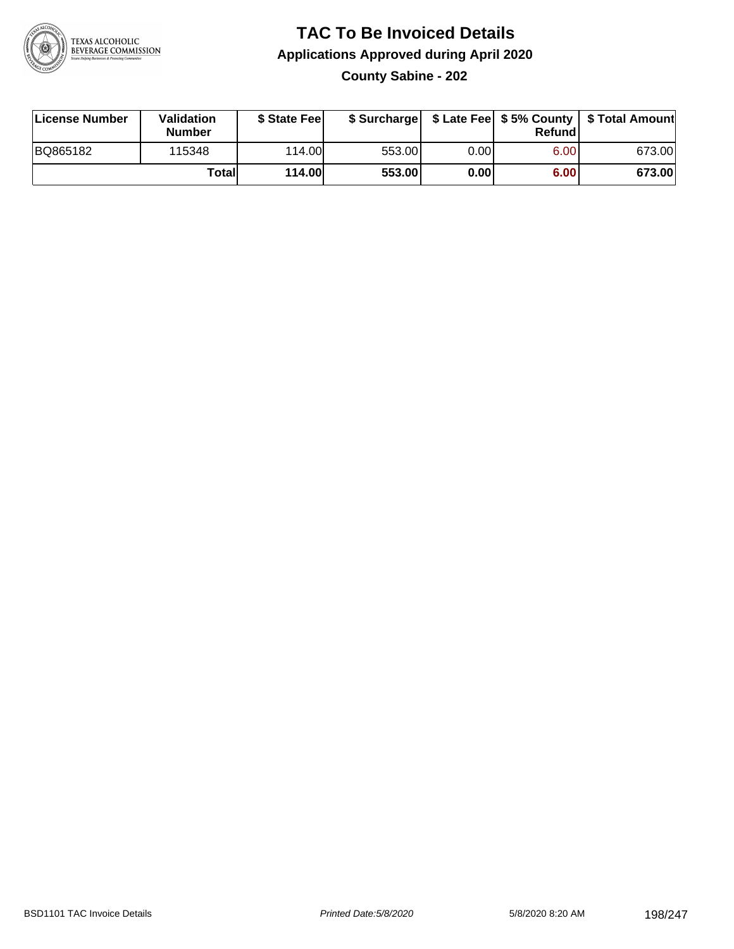

### **TAC To Be Invoiced Details Applications Approved during April 2020 County Sabine - 202**

| License Number | Validation<br><b>Number</b> | \$ State Fee |        |      | Refundl | \$ Surcharge   \$ Late Fee   \$5% County   \$ Total Amount |
|----------------|-----------------------------|--------------|--------|------|---------|------------------------------------------------------------|
| BQ865182       | 115348                      | 114.00       | 553.00 | 0.00 | 6.00    | 673.00                                                     |
|                | Totall                      | 114.00       | 553.00 | 0.00 | 6.00    | 673.00                                                     |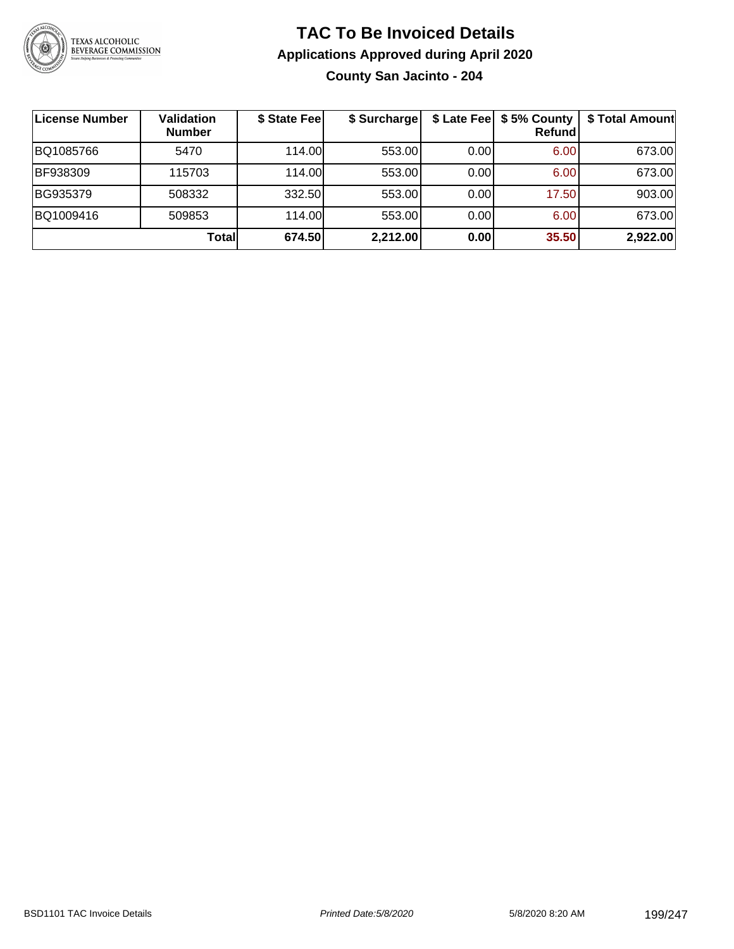

### **TAC To Be Invoiced Details Applications Approved during April 2020 County San Jacinto - 204**

| License Number | <b>Validation</b><br><b>Number</b> | \$ State Fee | \$ Surcharge |      | \$ Late Fee   \$5% County<br><b>Refund</b> | \$ Total Amount |
|----------------|------------------------------------|--------------|--------------|------|--------------------------------------------|-----------------|
| BQ1085766      | 5470                               | 114.00L      | 553.00       | 0.00 | 6.00                                       | 673.00          |
| BF938309       | 115703                             | 114.00       | 553.00       | 0.00 | 6.00                                       | 673.00          |
| BG935379       | 508332                             | 332.50       | 553.00       | 0.00 | 17.50                                      | 903.00          |
| BQ1009416      | 509853                             | 114.00       | 553.00       | 0.00 | 6.00                                       | 673.00          |
|                | Totall                             | 674.50       | 2,212.00     | 0.00 | 35.50                                      | 2,922.00        |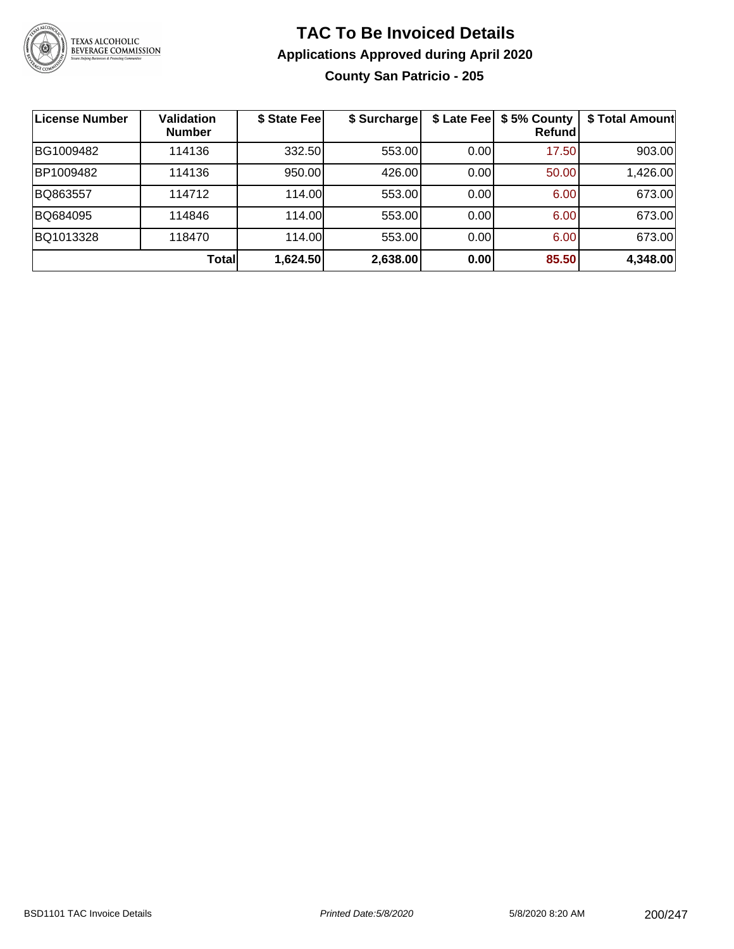

### **TAC To Be Invoiced Details Applications Approved during April 2020 County San Patricio - 205**

| License Number | <b>Validation</b><br><b>Number</b> | \$ State Fee | \$ Surcharge |       | \$ Late Fee   \$5% County<br>Refund | \$ Total Amount |
|----------------|------------------------------------|--------------|--------------|-------|-------------------------------------|-----------------|
| BG1009482      | 114136                             | 332.50       | 553.00       | 0.00  | 17.50                               | 903.00          |
| BP1009482      | 114136                             | 950.00       | 426.00       | 0.001 | 50.00                               | 1,426.00        |
| BQ863557       | 114712                             | 114.00       | 553.00       | 0.00  | 6.00                                | 673.00          |
| BQ684095       | 114846                             | 114.00       | 553.00       | 0.00  | 6.00                                | 673.00          |
| BQ1013328      | 118470                             | 114.00L      | 553.00       | 0.00  | 6.00                                | 673.00          |
|                | Total                              | 1,624.50     | 2,638.00     | 0.00  | 85.50                               | 4,348.00        |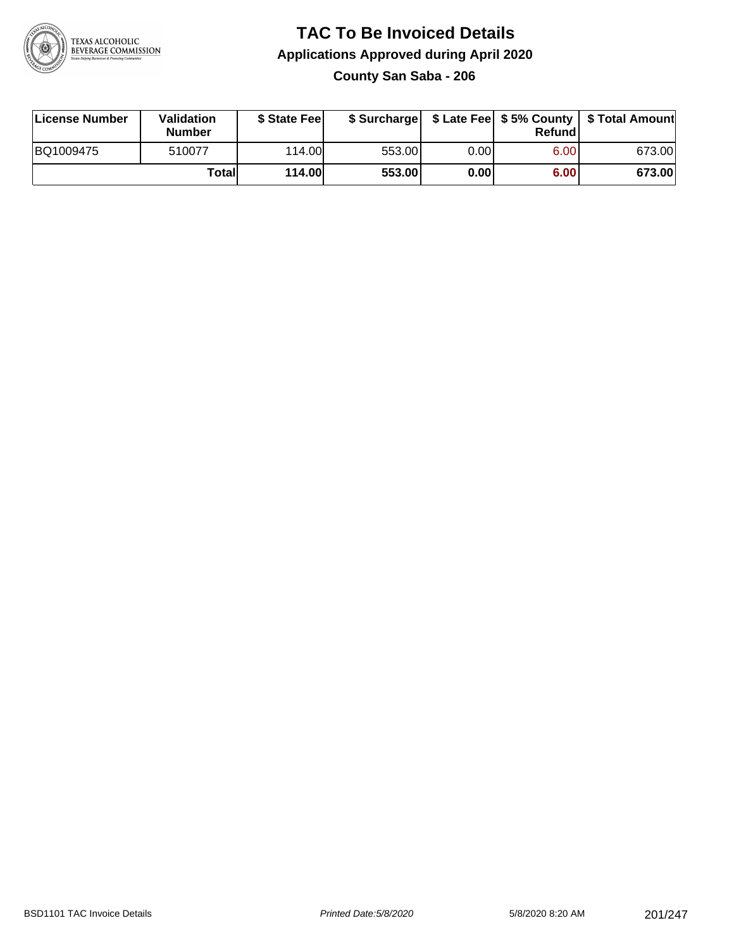

### **TAC To Be Invoiced Details Applications Approved during April 2020 County San Saba - 206**

| License Number | Validation<br><b>Number</b> | \$ State Fee |        |      | Refundl | \$ Surcharge   \$ Late Fee   \$5% County   \$ Total Amount |
|----------------|-----------------------------|--------------|--------|------|---------|------------------------------------------------------------|
| BQ1009475      | 510077                      | 114.00       | 553.00 | 0.00 | 6.00    | 673.00                                                     |
|                | Totall                      | 114.00       | 553.00 | 0.00 | 6.00    | 673.00                                                     |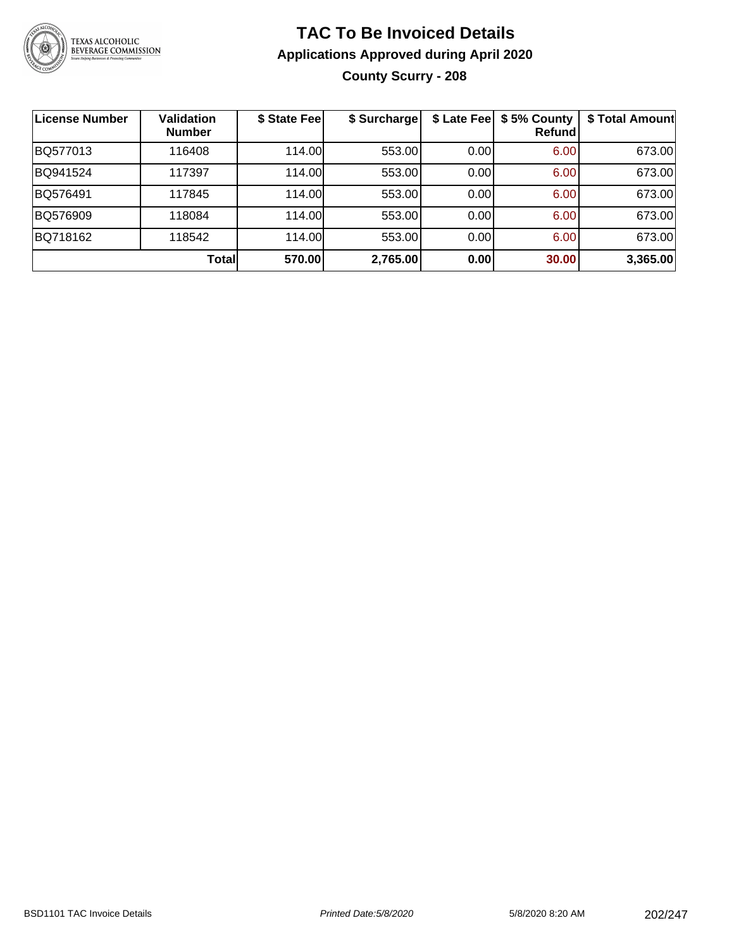

## **TAC To Be Invoiced Details Applications Approved during April 2020 County Scurry - 208**

| <b>License Number</b> | <b>Validation</b><br><b>Number</b> | \$ State Fee | \$ Surcharge |      | \$ Late Fee   \$5% County<br><b>Refund</b> | \$ Total Amount |
|-----------------------|------------------------------------|--------------|--------------|------|--------------------------------------------|-----------------|
| BQ577013              | 116408                             | 114.00       | 553.00       | 0.00 | 6.00                                       | 673.00          |
| BQ941524              | 117397                             | 114.00       | 553.00       | 0.00 | 6.00                                       | 673.00          |
| BQ576491              | 117845                             | 114.00       | 553.00       | 0.00 | 6.00                                       | 673.00          |
| BQ576909              | 118084                             | 114.00       | 553.00       | 0.00 | 6.00                                       | 673.00          |
| BQ718162              | 118542                             | 114.00       | 553.00       | 0.00 | 6.00                                       | 673.00          |
|                       | Total                              | 570.00       | 2,765.00     | 0.00 | 30.00                                      | 3,365.00        |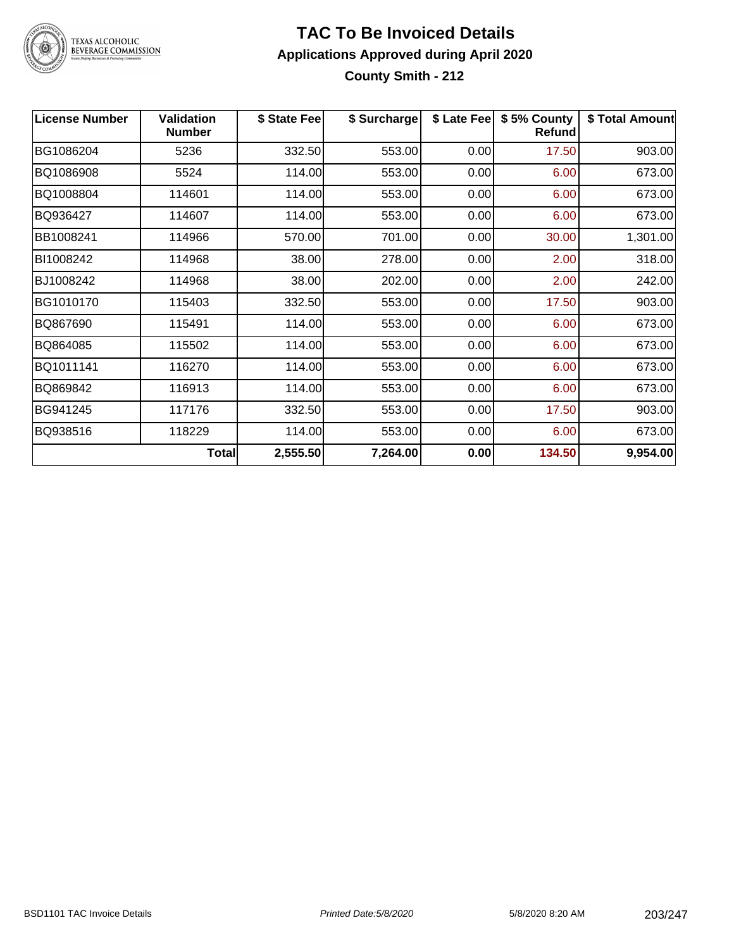

#### **TAC To Be Invoiced Details Applications Approved during April 2020 County Smith - 212**

| <b>License Number</b> | <b>Validation</b><br><b>Number</b> | \$ State Fee | \$ Surcharge | \$ Late Fee | \$5% County<br><b>Refund</b> | \$ Total Amount |
|-----------------------|------------------------------------|--------------|--------------|-------------|------------------------------|-----------------|
| BG1086204             | 5236                               | 332.50       | 553.00       | 0.00        | 17.50                        | 903.00          |
| BQ1086908             | 5524                               | 114.00       | 553.00       | 0.00        | 6.00                         | 673.00          |
| BQ1008804             | 114601                             | 114.00       | 553.00       | 0.00        | 6.00                         | 673.00          |
| BQ936427              | 114607                             | 114.00       | 553.00       | 0.00        | 6.00                         | 673.00          |
| BB1008241             | 114966                             | 570.00       | 701.00       | 0.00        | 30.00                        | 1,301.00        |
| BI1008242             | 114968                             | 38.00        | 278.00       | 0.00        | 2.00                         | 318.00          |
| BJ1008242             | 114968                             | 38.00        | 202.00       | 0.00        | 2.00                         | 242.00          |
| BG1010170             | 115403                             | 332.50       | 553.00       | 0.00        | 17.50                        | 903.00          |
| BQ867690              | 115491                             | 114.00       | 553.00       | 0.00        | 6.00                         | 673.00          |
| BQ864085              | 115502                             | 114.00       | 553.00       | 0.00        | 6.00                         | 673.00          |
| BQ1011141             | 116270                             | 114.00       | 553.00       | 0.00        | 6.00                         | 673.00          |
| BQ869842              | 116913                             | 114.00       | 553.00       | 0.00        | 6.00                         | 673.00          |
| BG941245              | 117176                             | 332.50       | 553.00       | 0.00        | 17.50                        | 903.00          |
| BQ938516              | 118229                             | 114.00       | 553.00       | 0.00        | 6.00                         | 673.00          |
|                       | <b>Total</b>                       | 2,555.50     | 7,264.00     | 0.00        | 134.50                       | 9,954.00        |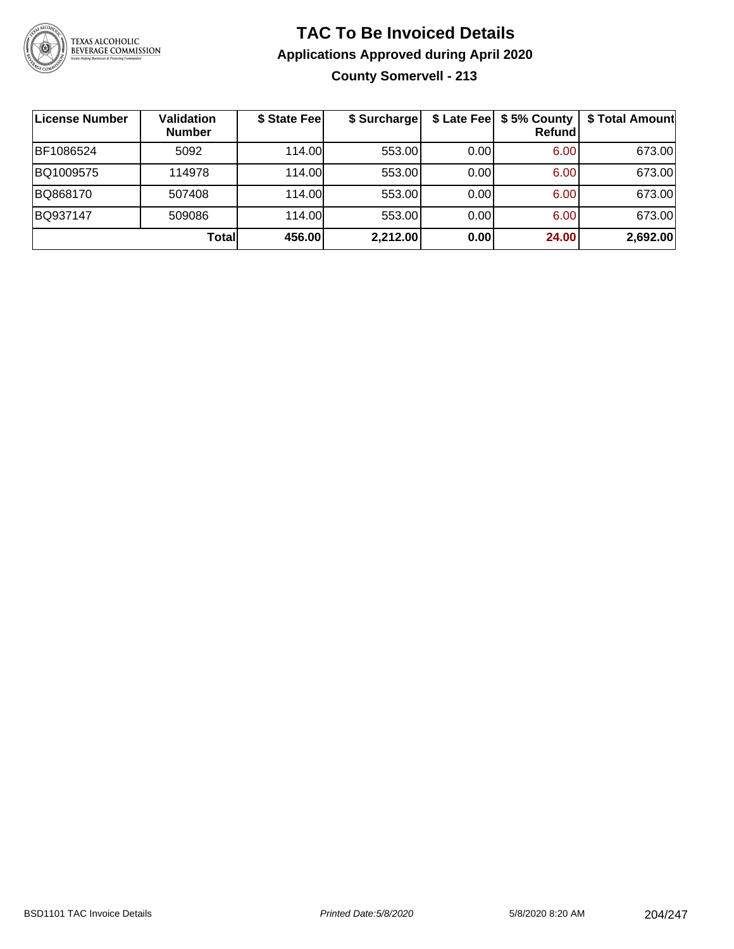

### **TAC To Be Invoiced Details Applications Approved during April 2020 County Somervell - 213**

| License Number | <b>Validation</b><br><b>Number</b> | \$ State Fee | \$ Surcharge |      | \$ Late Fee   \$5% County<br><b>Refund</b> | \$ Total Amount |
|----------------|------------------------------------|--------------|--------------|------|--------------------------------------------|-----------------|
| BF1086524      | 5092                               | 114.00       | 553.00       | 0.00 | 6.00                                       | 673.00          |
| BQ1009575      | 114978                             | 114.00L      | 553.00       | 0.00 | 6.00                                       | 673.00          |
| BQ868170       | 507408                             | 114.00       | 553.00       | 0.00 | 6.00                                       | 673.00          |
| BQ937147       | 509086                             | 114.00L      | 553.00       | 0.00 | 6.00                                       | 673.00          |
|                | Totall                             | 456.00       | 2,212.00     | 0.00 | 24.00                                      | 2,692.00        |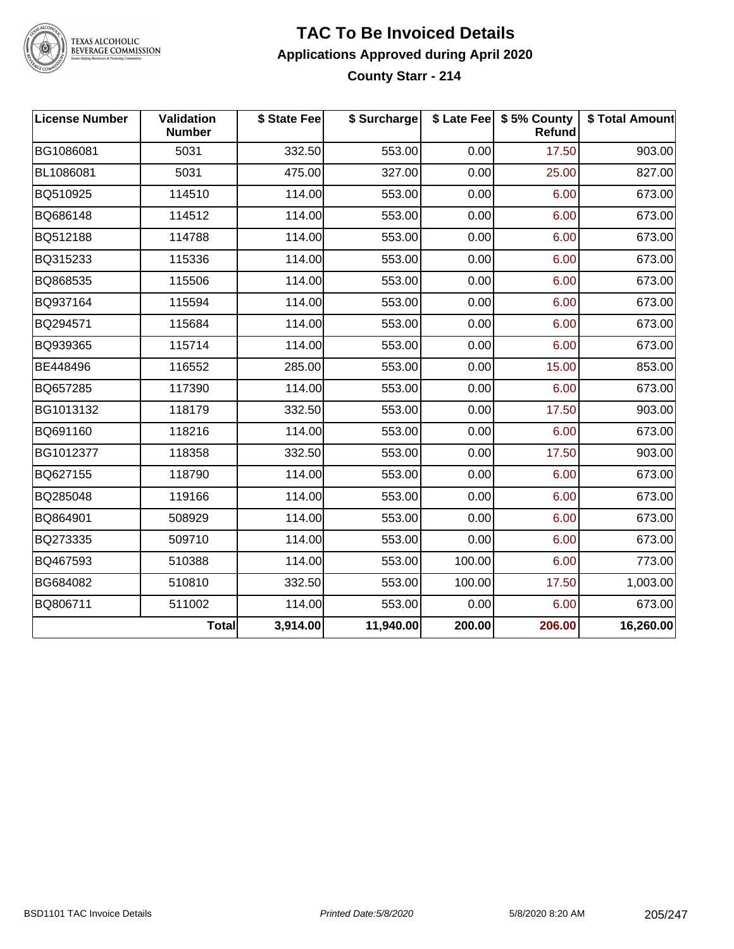

#### **TAC To Be Invoiced Details Applications Approved during April 2020 County Starr - 214**

| <b>License Number</b> | Validation<br><b>Number</b> | \$ State Fee | \$ Surcharge |        | \$ Late Fee   \$5% County<br>Refund | \$ Total Amount |
|-----------------------|-----------------------------|--------------|--------------|--------|-------------------------------------|-----------------|
| BG1086081             | 5031                        | 332.50       | 553.00       | 0.00   | 17.50                               | 903.00          |
| BL1086081             | 5031                        | 475.00       | 327.00       | 0.00   | 25.00                               | 827.00          |
| BQ510925              | 114510                      | 114.00       | 553.00       | 0.00   | 6.00                                | 673.00          |
| BQ686148              | 114512                      | 114.00       | 553.00       | 0.00   | 6.00                                | 673.00          |
| BQ512188              | 114788                      | 114.00       | 553.00       | 0.00   | 6.00                                | 673.00          |
| BQ315233              | 115336                      | 114.00       | 553.00       | 0.00   | 6.00                                | 673.00          |
| BQ868535              | 115506                      | 114.00       | 553.00       | 0.00   | 6.00                                | 673.00          |
| BQ937164              | 115594                      | 114.00       | 553.00       | 0.00   | 6.00                                | 673.00          |
| BQ294571              | 115684                      | 114.00       | 553.00       | 0.00   | 6.00                                | 673.00          |
| BQ939365              | 115714                      | 114.00       | 553.00       | 0.00   | 6.00                                | 673.00          |
| BE448496              | 116552                      | 285.00       | 553.00       | 0.00   | 15.00                               | 853.00          |
| BQ657285              | 117390                      | 114.00       | 553.00       | 0.00   | 6.00                                | 673.00          |
| BG1013132             | 118179                      | 332.50       | 553.00       | 0.00   | 17.50                               | 903.00          |
| BQ691160              | 118216                      | 114.00       | 553.00       | 0.00   | 6.00                                | 673.00          |
| BG1012377             | 118358                      | 332.50       | 553.00       | 0.00   | 17.50                               | 903.00          |
| BQ627155              | 118790                      | 114.00       | 553.00       | 0.00   | 6.00                                | 673.00          |
| BQ285048              | 119166                      | 114.00       | 553.00       | 0.00   | 6.00                                | 673.00          |
| BQ864901              | 508929                      | 114.00       | 553.00       | 0.00   | 6.00                                | 673.00          |
| BQ273335              | 509710                      | 114.00       | 553.00       | 0.00   | 6.00                                | 673.00          |
| BQ467593              | 510388                      | 114.00       | 553.00       | 100.00 | 6.00                                | 773.00          |
| BG684082              | 510810                      | 332.50       | 553.00       | 100.00 | 17.50                               | 1,003.00        |
| BQ806711              | 511002                      | 114.00       | 553.00       | 0.00   | 6.00                                | 673.00          |
|                       | <b>Total</b>                | 3,914.00     | 11,940.00    | 200.00 | 206.00                              | 16,260.00       |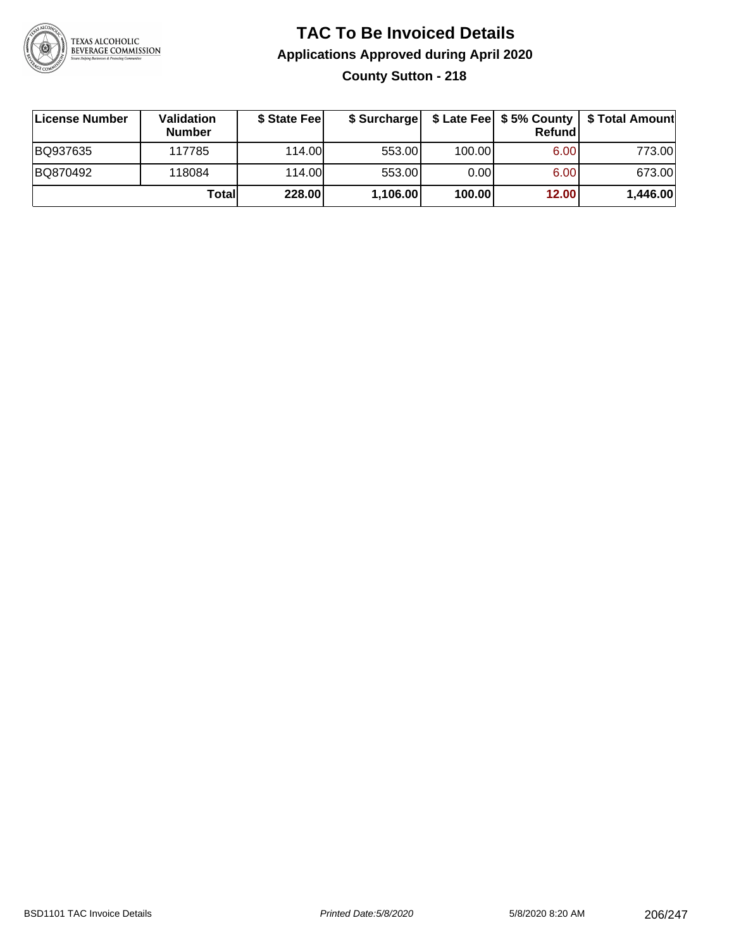

### **TAC To Be Invoiced Details Applications Approved during April 2020 County Sutton - 218**

| License Number | Validation<br><b>Number</b> | \$ State Fee |          |        | Refundl | \$ Surcharge   \$ Late Fee   \$5% County   \$ Total Amount |
|----------------|-----------------------------|--------------|----------|--------|---------|------------------------------------------------------------|
| BQ937635       | 117785                      | 114.00       | 553.00   | 100.00 | 6.00    | 773.00                                                     |
| BQ870492       | 118084                      | 114.00       | 553.00   | 0.00   | 6.00    | 673.00                                                     |
|                | Totall                      | 228.00       | 1,106.00 | 100.00 | 12.00   | 1,446.00                                                   |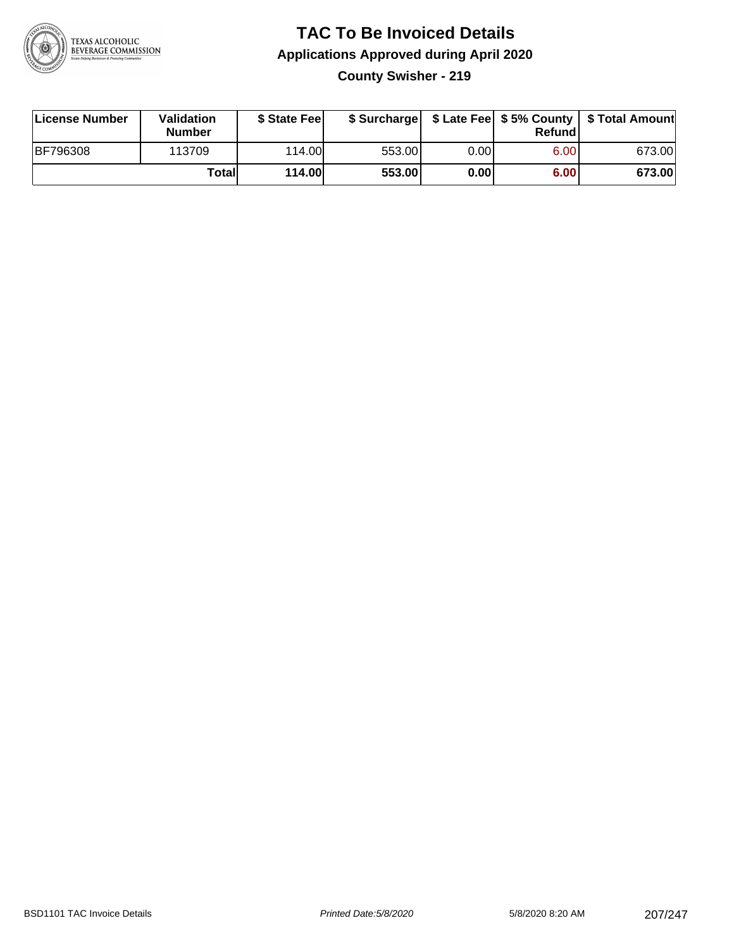

### **TAC To Be Invoiced Details Applications Approved during April 2020 County Swisher - 219**

| License Number  | Validation<br><b>Number</b> | \$ State Fee |        |       | Refundl | \$ Surcharge   \$ Late Fee   \$5% County   \$ Total Amount |
|-----------------|-----------------------------|--------------|--------|-------|---------|------------------------------------------------------------|
| <b>BF796308</b> | 113709                      | 114.00       | 553.00 | 0.001 | 6.00    | 673.00                                                     |
|                 | Totall                      | 114.00       | 553.00 | 0.00  | 6.00    | 673.00                                                     |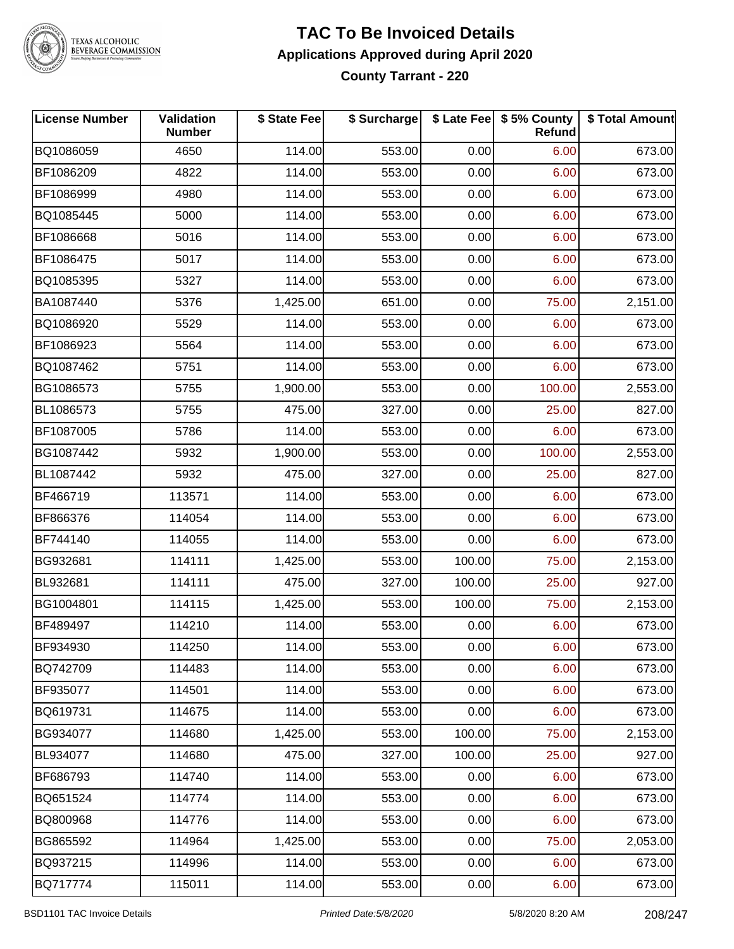

#### **TAC To Be Invoiced Details Applications Approved during April 2020 County Tarrant - 220**

| <b>License Number</b> | Validation<br><b>Number</b> | \$ State Fee | \$ Surcharge |        | \$ Late Fee \$ 5% County<br>Refund | \$ Total Amount |
|-----------------------|-----------------------------|--------------|--------------|--------|------------------------------------|-----------------|
| BQ1086059             | 4650                        | 114.00       | 553.00       | 0.00   | 6.00                               | 673.00          |
| BF1086209             | 4822                        | 114.00       | 553.00       | 0.00   | 6.00                               | 673.00          |
| BF1086999             | 4980                        | 114.00       | 553.00       | 0.00   | 6.00                               | 673.00          |
| BQ1085445             | 5000                        | 114.00       | 553.00       | 0.00   | 6.00                               | 673.00          |
| BF1086668             | 5016                        | 114.00       | 553.00       | 0.00   | 6.00                               | 673.00          |
| BF1086475             | 5017                        | 114.00       | 553.00       | 0.00   | 6.00                               | 673.00          |
| BQ1085395             | 5327                        | 114.00       | 553.00       | 0.00   | 6.00                               | 673.00          |
| BA1087440             | 5376                        | 1,425.00     | 651.00       | 0.00   | 75.00                              | 2,151.00        |
| BQ1086920             | 5529                        | 114.00       | 553.00       | 0.00   | 6.00                               | 673.00          |
| BF1086923             | 5564                        | 114.00       | 553.00       | 0.00   | 6.00                               | 673.00          |
| BQ1087462             | 5751                        | 114.00       | 553.00       | 0.00   | 6.00                               | 673.00          |
| BG1086573             | 5755                        | 1,900.00     | 553.00       | 0.00   | 100.00                             | 2,553.00        |
| BL1086573             | 5755                        | 475.00       | 327.00       | 0.00   | 25.00                              | 827.00          |
| BF1087005             | 5786                        | 114.00       | 553.00       | 0.00   | 6.00                               | 673.00          |
| BG1087442             | 5932                        | 1,900.00     | 553.00       | 0.00   | 100.00                             | 2,553.00        |
| BL1087442             | 5932                        | 475.00       | 327.00       | 0.00   | 25.00                              | 827.00          |
| BF466719              | 113571                      | 114.00       | 553.00       | 0.00   | 6.00                               | 673.00          |
| BF866376              | 114054                      | 114.00       | 553.00       | 0.00   | 6.00                               | 673.00          |
| BF744140              | 114055                      | 114.00       | 553.00       | 0.00   | 6.00                               | 673.00          |
| BG932681              | 114111                      | 1,425.00     | 553.00       | 100.00 | 75.00                              | 2,153.00        |
| BL932681              | 114111                      | 475.00       | 327.00       | 100.00 | 25.00                              | 927.00          |
| BG1004801             | 114115                      | 1,425.00     | 553.00       | 100.00 | 75.00                              | 2,153.00        |
| BF489497              | 114210                      | 114.00       | 553.00       | 0.00   | 6.00                               | 673.00          |
| BF934930              | 114250                      | 114.00       | 553.00       | 0.00   | 6.00                               | 673.00          |
| BQ742709              | 114483                      | 114.00       | 553.00       | 0.00   | 6.00                               | 673.00          |
| BF935077              | 114501                      | 114.00       | 553.00       | 0.00   | 6.00                               | 673.00          |
| BQ619731              | 114675                      | 114.00       | 553.00       | 0.00   | 6.00                               | 673.00          |
| BG934077              | 114680                      | 1,425.00     | 553.00       | 100.00 | 75.00                              | 2,153.00        |
| BL934077              | 114680                      | 475.00       | 327.00       | 100.00 | 25.00                              | 927.00          |
| BF686793              | 114740                      | 114.00       | 553.00       | 0.00   | 6.00                               | 673.00          |
| BQ651524              | 114774                      | 114.00       | 553.00       | 0.00   | 6.00                               | 673.00          |
| BQ800968              | 114776                      | 114.00       | 553.00       | 0.00   | 6.00                               | 673.00          |
| BG865592              | 114964                      | 1,425.00     | 553.00       | 0.00   | 75.00                              | 2,053.00        |
| BQ937215              | 114996                      | 114.00       | 553.00       | 0.00   | 6.00                               | 673.00          |
| BQ717774              | 115011                      | 114.00       | 553.00       | 0.00   | 6.00                               | 673.00          |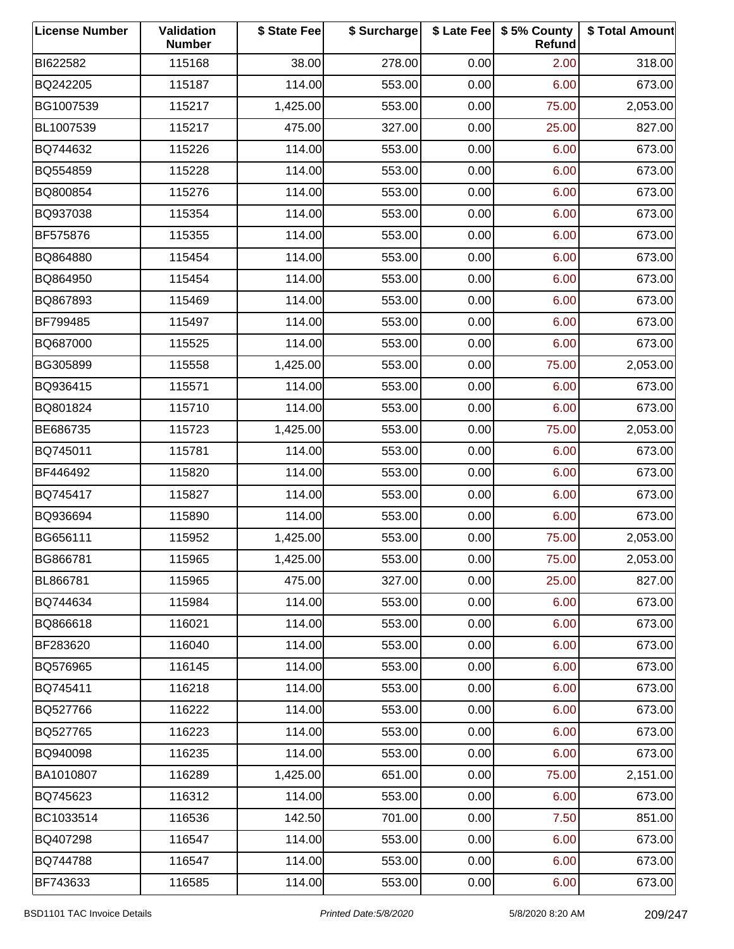| <b>License Number</b> | Validation<br><b>Number</b> | \$ State Fee | \$ Surcharge |      | \$ Late Fee   \$5% County<br>Refund | \$ Total Amount |
|-----------------------|-----------------------------|--------------|--------------|------|-------------------------------------|-----------------|
| BI622582              | 115168                      | 38.00        | 278.00       | 0.00 | 2.00                                | 318.00          |
| BQ242205              | 115187                      | 114.00       | 553.00       | 0.00 | 6.00                                | 673.00          |
| BG1007539             | 115217                      | 1,425.00     | 553.00       | 0.00 | 75.00                               | 2,053.00        |
| BL1007539             | 115217                      | 475.00       | 327.00       | 0.00 | 25.00                               | 827.00          |
| BQ744632              | 115226                      | 114.00       | 553.00       | 0.00 | 6.00                                | 673.00          |
| BQ554859              | 115228                      | 114.00       | 553.00       | 0.00 | 6.00                                | 673.00          |
| BQ800854              | 115276                      | 114.00       | 553.00       | 0.00 | 6.00                                | 673.00          |
| BQ937038              | 115354                      | 114.00       | 553.00       | 0.00 | 6.00                                | 673.00          |
| BF575876              | 115355                      | 114.00       | 553.00       | 0.00 | 6.00                                | 673.00          |
| BQ864880              | 115454                      | 114.00       | 553.00       | 0.00 | 6.00                                | 673.00          |
| BQ864950              | 115454                      | 114.00       | 553.00       | 0.00 | 6.00                                | 673.00          |
| BQ867893              | 115469                      | 114.00       | 553.00       | 0.00 | 6.00                                | 673.00          |
| BF799485              | 115497                      | 114.00       | 553.00       | 0.00 | 6.00                                | 673.00          |
| BQ687000              | 115525                      | 114.00       | 553.00       | 0.00 | 6.00                                | 673.00          |
| BG305899              | 115558                      | 1,425.00     | 553.00       | 0.00 | 75.00                               | 2,053.00        |
| BQ936415              | 115571                      | 114.00       | 553.00       | 0.00 | 6.00                                | 673.00          |
| BQ801824              | 115710                      | 114.00       | 553.00       | 0.00 | 6.00                                | 673.00          |
| BE686735              | 115723                      | 1,425.00     | 553.00       | 0.00 | 75.00                               | 2,053.00        |
| BQ745011              | 115781                      | 114.00       | 553.00       | 0.00 | 6.00                                | 673.00          |
| BF446492              | 115820                      | 114.00       | 553.00       | 0.00 | 6.00                                | 673.00          |
| BQ745417              | 115827                      | 114.00       | 553.00       | 0.00 | 6.00                                | 673.00          |
| BQ936694              | 115890                      | 114.00       | 553.00       | 0.00 | 6.00                                | 673.00          |
| BG656111              | 115952                      | 1,425.00     | 553.00       | 0.00 | 75.00                               | 2,053.00        |
| BG866781              | 115965                      | 1,425.00     | 553.00       | 0.00 | 75.00                               | 2,053.00        |
| BL866781              | 115965                      | 475.00       | 327.00       | 0.00 | 25.00                               | 827.00          |
| BQ744634              | 115984                      | 114.00       | 553.00       | 0.00 | 6.00                                | 673.00          |
| BQ866618              | 116021                      | 114.00       | 553.00       | 0.00 | 6.00                                | 673.00          |
| BF283620              | 116040                      | 114.00       | 553.00       | 0.00 | 6.00                                | 673.00          |
| BQ576965              | 116145                      | 114.00       | 553.00       | 0.00 | 6.00                                | 673.00          |
| BQ745411              | 116218                      | 114.00       | 553.00       | 0.00 | 6.00                                | 673.00          |
| BQ527766              | 116222                      | 114.00       | 553.00       | 0.00 | 6.00                                | 673.00          |
| BQ527765              | 116223                      | 114.00       | 553.00       | 0.00 | 6.00                                | 673.00          |
| BQ940098              | 116235                      | 114.00       | 553.00       | 0.00 | 6.00                                | 673.00          |
| BA1010807             | 116289                      | 1,425.00     | 651.00       | 0.00 | 75.00                               | 2,151.00        |
| BQ745623              | 116312                      | 114.00       | 553.00       | 0.00 | 6.00                                | 673.00          |
| BC1033514             | 116536                      | 142.50       | 701.00       | 0.00 | 7.50                                | 851.00          |
| BQ407298              | 116547                      | 114.00       | 553.00       | 0.00 | 6.00                                | 673.00          |
| BQ744788              | 116547                      | 114.00       | 553.00       | 0.00 | 6.00                                | 673.00          |
| BF743633              | 116585                      | 114.00       | 553.00       | 0.00 | 6.00                                | 673.00          |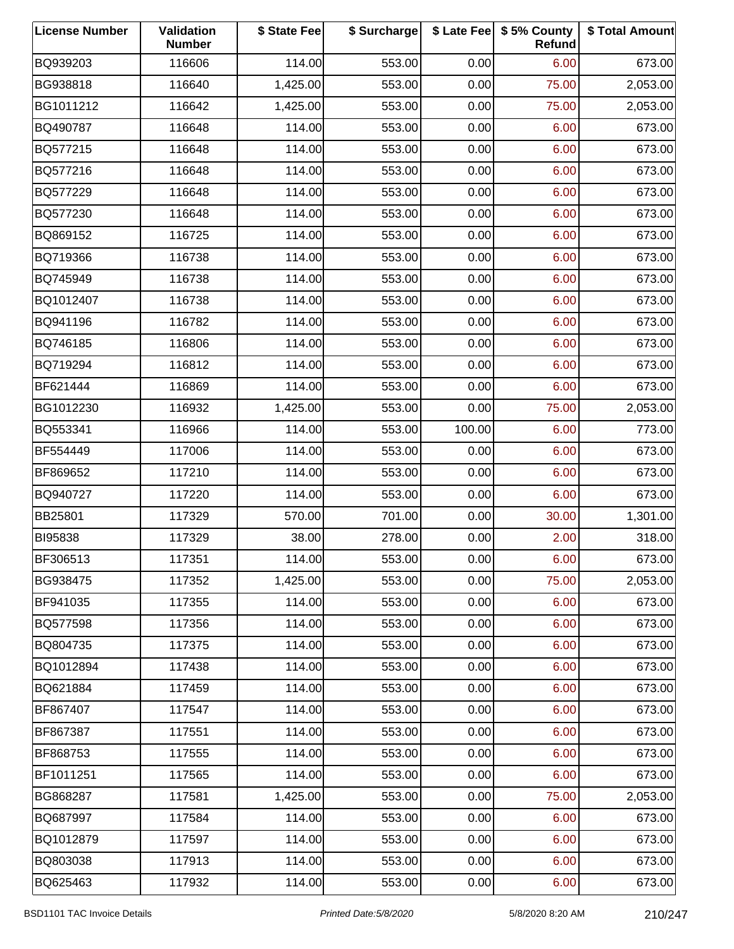| <b>License Number</b> | Validation<br><b>Number</b> | \$ State Fee | \$ Surcharge |        | \$ Late Fee   \$5% County<br>Refund | \$ Total Amount |
|-----------------------|-----------------------------|--------------|--------------|--------|-------------------------------------|-----------------|
| BQ939203              | 116606                      | 114.00       | 553.00       | 0.00   | 6.00                                | 673.00          |
| BG938818              | 116640                      | 1,425.00     | 553.00       | 0.00   | 75.00                               | 2,053.00        |
| BG1011212             | 116642                      | 1,425.00     | 553.00       | 0.00   | 75.00                               | 2,053.00        |
| BQ490787              | 116648                      | 114.00       | 553.00       | 0.00   | 6.00                                | 673.00          |
| BQ577215              | 116648                      | 114.00       | 553.00       | 0.00   | 6.00                                | 673.00          |
| BQ577216              | 116648                      | 114.00       | 553.00       | 0.00   | 6.00                                | 673.00          |
| BQ577229              | 116648                      | 114.00       | 553.00       | 0.00   | 6.00                                | 673.00          |
| BQ577230              | 116648                      | 114.00       | 553.00       | 0.00   | 6.00                                | 673.00          |
| BQ869152              | 116725                      | 114.00       | 553.00       | 0.00   | 6.00                                | 673.00          |
| BQ719366              | 116738                      | 114.00       | 553.00       | 0.00   | 6.00                                | 673.00          |
| BQ745949              | 116738                      | 114.00       | 553.00       | 0.00   | 6.00                                | 673.00          |
| BQ1012407             | 116738                      | 114.00       | 553.00       | 0.00   | 6.00                                | 673.00          |
| BQ941196              | 116782                      | 114.00       | 553.00       | 0.00   | 6.00                                | 673.00          |
| BQ746185              | 116806                      | 114.00       | 553.00       | 0.00   | 6.00                                | 673.00          |
| BQ719294              | 116812                      | 114.00       | 553.00       | 0.00   | 6.00                                | 673.00          |
| BF621444              | 116869                      | 114.00       | 553.00       | 0.00   | 6.00                                | 673.00          |
| BG1012230             | 116932                      | 1,425.00     | 553.00       | 0.00   | 75.00                               | 2,053.00        |
| BQ553341              | 116966                      | 114.00       | 553.00       | 100.00 | 6.00                                | 773.00          |
| BF554449              | 117006                      | 114.00       | 553.00       | 0.00   | 6.00                                | 673.00          |
| BF869652              | 117210                      | 114.00       | 553.00       | 0.00   | 6.00                                | 673.00          |
| BQ940727              | 117220                      | 114.00       | 553.00       | 0.00   | 6.00                                | 673.00          |
| BB25801               | 117329                      | 570.00       | 701.00       | 0.00   | 30.00                               | 1,301.00        |
| BI95838               | 117329                      | 38.00        | 278.00       | 0.00   | 2.00                                | 318.00          |
| BF306513              | 117351                      | 114.00       | 553.00       | 0.00   | 6.00                                | 673.00          |
| BG938475              | 117352                      | 1,425.00     | 553.00       | 0.00   | 75.00                               | 2,053.00        |
| BF941035              | 117355                      | 114.00       | 553.00       | 0.00   | 6.00                                | 673.00          |
| BQ577598              | 117356                      | 114.00       | 553.00       | 0.00   | 6.00                                | 673.00          |
| BQ804735              | 117375                      | 114.00       | 553.00       | 0.00   | 6.00                                | 673.00          |
| BQ1012894             | 117438                      | 114.00       | 553.00       | 0.00   | 6.00                                | 673.00          |
| BQ621884              | 117459                      | 114.00       | 553.00       | 0.00   | 6.00                                | 673.00          |
| BF867407              | 117547                      | 114.00       | 553.00       | 0.00   | 6.00                                | 673.00          |
| BF867387              | 117551                      | 114.00       | 553.00       | 0.00   | 6.00                                | 673.00          |
| BF868753              | 117555                      | 114.00       | 553.00       | 0.00   | 6.00                                | 673.00          |
| BF1011251             | 117565                      | 114.00       | 553.00       | 0.00   | 6.00                                | 673.00          |
| BG868287              | 117581                      | 1,425.00     | 553.00       | 0.00   | 75.00                               | 2,053.00        |
| BQ687997              | 117584                      | 114.00       | 553.00       | 0.00   | 6.00                                | 673.00          |
| BQ1012879             | 117597                      | 114.00       | 553.00       | 0.00   | 6.00                                | 673.00          |
| BQ803038              | 117913                      | 114.00       | 553.00       | 0.00   | 6.00                                | 673.00          |
| BQ625463              | 117932                      | 114.00       | 553.00       | 0.00   | 6.00                                | 673.00          |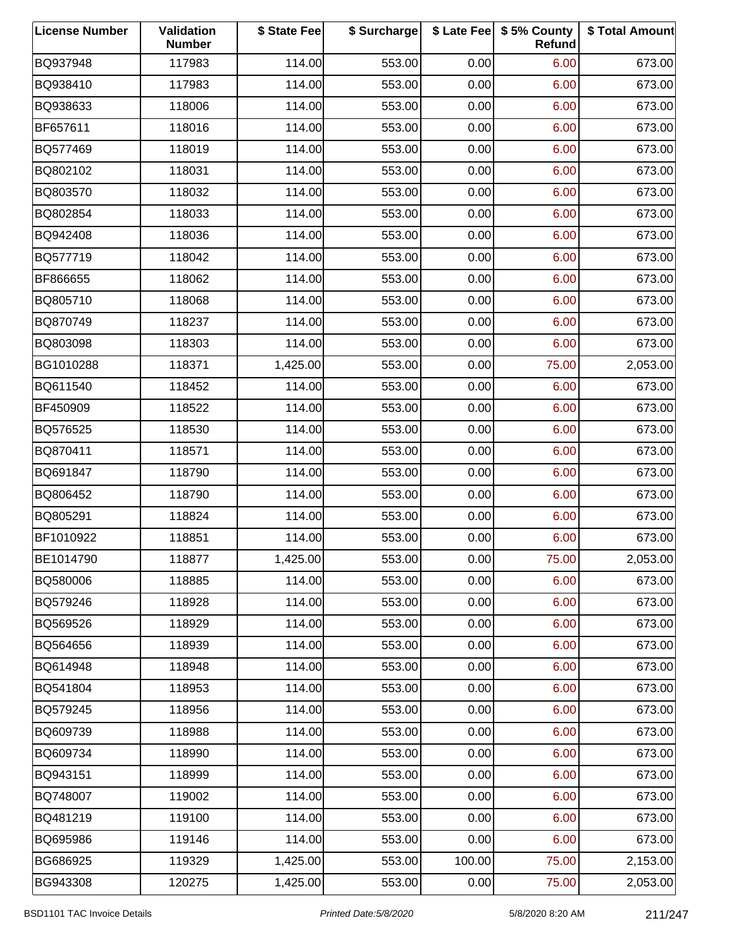| <b>License Number</b> | Validation<br><b>Number</b> | \$ State Fee | \$ Surcharge |        | \$ Late Fee   \$5% County<br>Refund | \$ Total Amount |
|-----------------------|-----------------------------|--------------|--------------|--------|-------------------------------------|-----------------|
| BQ937948              | 117983                      | 114.00       | 553.00       | 0.00   | 6.00                                | 673.00          |
| BQ938410              | 117983                      | 114.00       | 553.00       | 0.00   | 6.00                                | 673.00          |
| BQ938633              | 118006                      | 114.00       | 553.00       | 0.00   | 6.00                                | 673.00          |
| BF657611              | 118016                      | 114.00       | 553.00       | 0.00   | 6.00                                | 673.00          |
| BQ577469              | 118019                      | 114.00       | 553.00       | 0.00   | 6.00                                | 673.00          |
| BQ802102              | 118031                      | 114.00       | 553.00       | 0.00   | 6.00                                | 673.00          |
| BQ803570              | 118032                      | 114.00       | 553.00       | 0.00   | 6.00                                | 673.00          |
| BQ802854              | 118033                      | 114.00       | 553.00       | 0.00   | 6.00                                | 673.00          |
| BQ942408              | 118036                      | 114.00       | 553.00       | 0.00   | 6.00                                | 673.00          |
| BQ577719              | 118042                      | 114.00       | 553.00       | 0.00   | 6.00                                | 673.00          |
| BF866655              | 118062                      | 114.00       | 553.00       | 0.00   | 6.00                                | 673.00          |
| BQ805710              | 118068                      | 114.00       | 553.00       | 0.00   | 6.00                                | 673.00          |
| BQ870749              | 118237                      | 114.00       | 553.00       | 0.00   | 6.00                                | 673.00          |
| BQ803098              | 118303                      | 114.00       | 553.00       | 0.00   | 6.00                                | 673.00          |
| BG1010288             | 118371                      | 1,425.00     | 553.00       | 0.00   | 75.00                               | 2,053.00        |
| BQ611540              | 118452                      | 114.00       | 553.00       | 0.00   | 6.00                                | 673.00          |
| BF450909              | 118522                      | 114.00       | 553.00       | 0.00   | 6.00                                | 673.00          |
| BQ576525              | 118530                      | 114.00       | 553.00       | 0.00   | 6.00                                | 673.00          |
| BQ870411              | 118571                      | 114.00       | 553.00       | 0.00   | 6.00                                | 673.00          |
| BQ691847              | 118790                      | 114.00       | 553.00       | 0.00   | 6.00                                | 673.00          |
| BQ806452              | 118790                      | 114.00       | 553.00       | 0.00   | 6.00                                | 673.00          |
| BQ805291              | 118824                      | 114.00       | 553.00       | 0.00   | 6.00                                | 673.00          |
| BF1010922             | 118851                      | 114.00       | 553.00       | 0.00   | 6.00                                | 673.00          |
| BE1014790             | 118877                      | 1,425.00     | 553.00       | 0.00   | 75.00                               | 2,053.00        |
| BQ580006              | 118885                      | 114.00       | 553.00       | 0.00   | 6.00                                | 673.00          |
| BQ579246              | 118928                      | 114.00       | 553.00       | 0.00   | 6.00                                | 673.00          |
| BQ569526              | 118929                      | 114.00       | 553.00       | 0.00   | 6.00                                | 673.00          |
| BQ564656              | 118939                      | 114.00       | 553.00       | 0.00   | 6.00                                | 673.00          |
| BQ614948              | 118948                      | 114.00       | 553.00       | 0.00   | 6.00                                | 673.00          |
| BQ541804              | 118953                      | 114.00       | 553.00       | 0.00   | 6.00                                | 673.00          |
| BQ579245              | 118956                      | 114.00       | 553.00       | 0.00   | 6.00                                | 673.00          |
| BQ609739              | 118988                      | 114.00       | 553.00       | 0.00   | 6.00                                | 673.00          |
| BQ609734              | 118990                      | 114.00       | 553.00       | 0.00   | 6.00                                | 673.00          |
| BQ943151              | 118999                      | 114.00       | 553.00       | 0.00   | 6.00                                | 673.00          |
| BQ748007              | 119002                      | 114.00       | 553.00       | 0.00   | 6.00                                | 673.00          |
| BQ481219              | 119100                      | 114.00       | 553.00       | 0.00   | 6.00                                | 673.00          |
| BQ695986              | 119146                      | 114.00       | 553.00       | 0.00   | 6.00                                | 673.00          |
| BG686925              | 119329                      | 1,425.00     | 553.00       | 100.00 | 75.00                               | 2,153.00        |
| BG943308              | 120275                      | 1,425.00     | 553.00       | 0.00   | 75.00                               | 2,053.00        |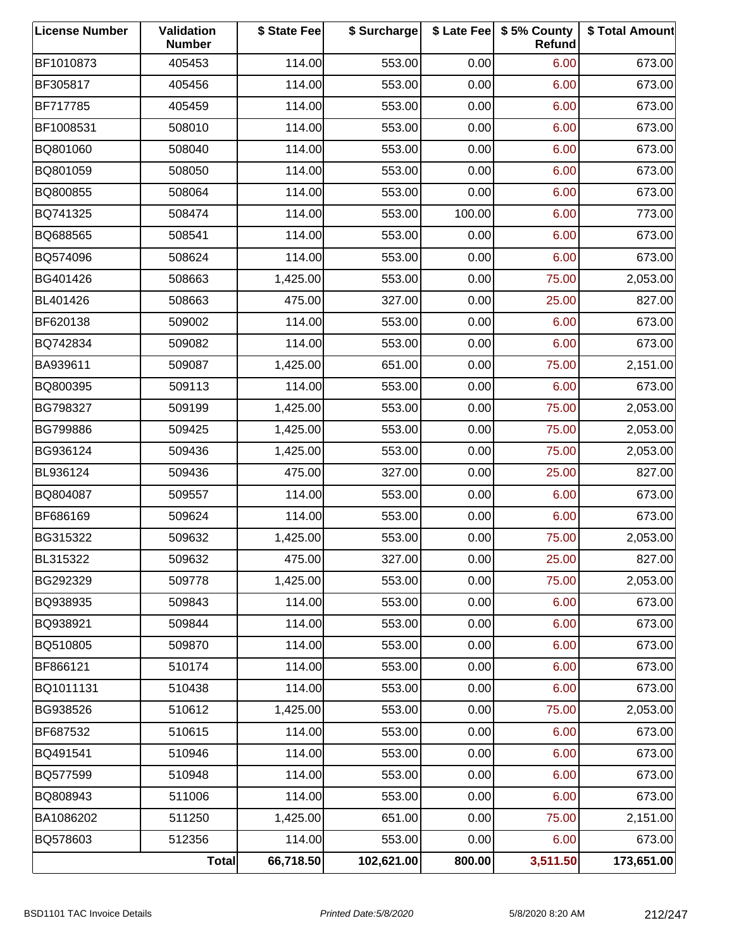| <b>License Number</b> | Validation<br><b>Number</b> | \$ State Fee | \$ Surcharge |        | \$ Late Fee   \$5% County<br>Refund | \$ Total Amount |
|-----------------------|-----------------------------|--------------|--------------|--------|-------------------------------------|-----------------|
| BF1010873             | 405453                      | 114.00       | 553.00       | 0.00   | 6.00                                | 673.00          |
| BF305817              | 405456                      | 114.00       | 553.00       | 0.00   | 6.00                                | 673.00          |
| BF717785              | 405459                      | 114.00       | 553.00       | 0.00   | 6.00                                | 673.00          |
| BF1008531             | 508010                      | 114.00       | 553.00       | 0.00   | 6.00                                | 673.00          |
| BQ801060              | 508040                      | 114.00       | 553.00       | 0.00   | 6.00                                | 673.00          |
| BQ801059              | 508050                      | 114.00       | 553.00       | 0.00   | 6.00                                | 673.00          |
| BQ800855              | 508064                      | 114.00       | 553.00       | 0.00   | 6.00                                | 673.00          |
| BQ741325              | 508474                      | 114.00       | 553.00       | 100.00 | 6.00                                | 773.00          |
| BQ688565              | 508541                      | 114.00       | 553.00       | 0.00   | 6.00                                | 673.00          |
| BQ574096              | 508624                      | 114.00       | 553.00       | 0.00   | 6.00                                | 673.00          |
| BG401426              | 508663                      | 1,425.00     | 553.00       | 0.00   | 75.00                               | 2,053.00        |
| BL401426              | 508663                      | 475.00       | 327.00       | 0.00   | 25.00                               | 827.00          |
| BF620138              | 509002                      | 114.00       | 553.00       | 0.00   | 6.00                                | 673.00          |
| BQ742834              | 509082                      | 114.00       | 553.00       | 0.00   | 6.00                                | 673.00          |
| BA939611              | 509087                      | 1,425.00     | 651.00       | 0.00   | 75.00                               | 2,151.00        |
| BQ800395              | 509113                      | 114.00       | 553.00       | 0.00   | 6.00                                | 673.00          |
| BG798327              | 509199                      | 1,425.00     | 553.00       | 0.00   | 75.00                               | 2,053.00        |
| <b>BG799886</b>       | 509425                      | 1,425.00     | 553.00       | 0.00   | 75.00                               | 2,053.00        |
| BG936124              | 509436                      | 1,425.00     | 553.00       | 0.00   | 75.00                               | 2,053.00        |
| BL936124              | 509436                      | 475.00       | 327.00       | 0.00   | 25.00                               | 827.00          |
| BQ804087              | 509557                      | 114.00       | 553.00       | 0.00   | 6.00                                | 673.00          |
| BF686169              | 509624                      | 114.00       | 553.00       | 0.00   | 6.00                                | 673.00          |
| BG315322              | 509632                      | 1,425.00     | 553.00       | 0.00   | 75.00                               | 2,053.00        |
| BL315322              | 509632                      | 475.00       | 327.00       | 0.00   | 25.00                               | 827.00          |
| BG292329              | 509778                      | 1,425.00     | 553.00       | 0.00   | 75.00                               | 2,053.00        |
| BQ938935              | 509843                      | 114.00       | 553.00       | 0.00   | 6.00                                | 673.00          |
| BQ938921              | 509844                      | 114.00       | 553.00       | 0.00   | 6.00                                | 673.00          |
| BQ510805              | 509870                      | 114.00       | 553.00       | 0.00   | 6.00                                | 673.00          |
| BF866121              | 510174                      | 114.00       | 553.00       | 0.00   | 6.00                                | 673.00          |
| BQ1011131             | 510438                      | 114.00       | 553.00       | 0.00   | 6.00                                | 673.00          |
| BG938526              | 510612                      | 1,425.00     | 553.00       | 0.00   | 75.00                               | 2,053.00        |
| BF687532              | 510615                      | 114.00       | 553.00       | 0.00   | 6.00                                | 673.00          |
| BQ491541              | 510946                      | 114.00       | 553.00       | 0.00   | 6.00                                | 673.00          |
| BQ577599              | 510948                      | 114.00       | 553.00       | 0.00   | 6.00                                | 673.00          |
| BQ808943              | 511006                      | 114.00       | 553.00       | 0.00   | 6.00                                | 673.00          |
| BA1086202             | 511250                      | 1,425.00     | 651.00       | 0.00   | 75.00                               | 2,151.00        |
| BQ578603              | 512356                      | 114.00       | 553.00       | 0.00   | 6.00                                | 673.00          |
|                       | Total                       | 66,718.50    | 102,621.00   | 800.00 | 3,511.50                            | 173,651.00      |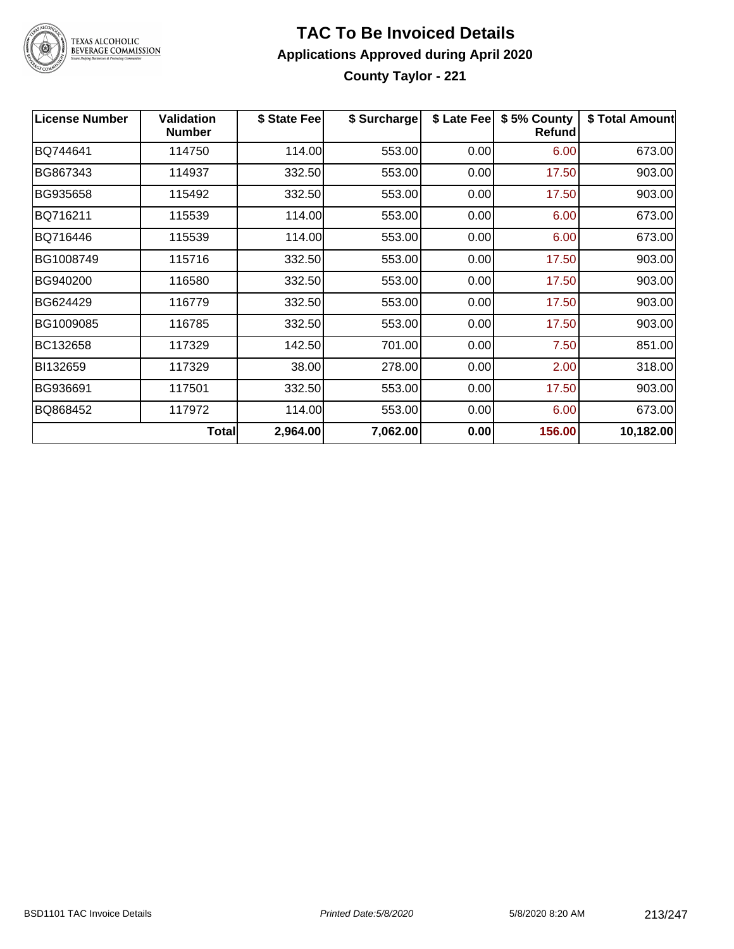

#### **TAC To Be Invoiced Details Applications Approved during April 2020 County Taylor - 221**

| <b>License Number</b> | <b>Validation</b><br><b>Number</b> | \$ State Fee | \$ Surcharge | \$ Late Fee | \$5% County<br><b>Refund</b> | \$ Total Amount |
|-----------------------|------------------------------------|--------------|--------------|-------------|------------------------------|-----------------|
| BQ744641              | 114750                             | 114.00       | 553.00       | 0.00        | 6.00                         | 673.00          |
| BG867343              | 114937                             | 332.50       | 553.00       | 0.00        | 17.50                        | 903.00          |
| BG935658              | 115492                             | 332.50       | 553.00       | 0.00        | 17.50                        | 903.00          |
| BQ716211              | 115539                             | 114.00       | 553.00       | 0.00        | 6.00                         | 673.00          |
| BQ716446              | 115539                             | 114.00       | 553.00       | 0.00        | 6.00                         | 673.00          |
| BG1008749             | 115716                             | 332.50       | 553.00       | 0.00        | 17.50                        | 903.00          |
| BG940200              | 116580                             | 332.50       | 553.00       | 0.00        | 17.50                        | 903.00          |
| BG624429              | 116779                             | 332.50       | 553.00       | 0.00        | 17.50                        | 903.00          |
| BG1009085             | 116785                             | 332.50       | 553.00       | 0.00        | 17.50                        | 903.00          |
| BC132658              | 117329                             | 142.50       | 701.00       | 0.00        | 7.50                         | 851.00          |
| BI132659              | 117329                             | 38.00        | 278.00       | 0.00        | 2.00                         | 318.00          |
| BG936691              | 117501                             | 332.50       | 553.00       | 0.00        | 17.50                        | 903.00          |
| BQ868452              | 117972                             | 114.00       | 553.00       | 0.00        | 6.00                         | 673.00          |
|                       | Total                              | 2,964.00     | 7,062.00     | 0.00        | 156.00                       | 10,182.00       |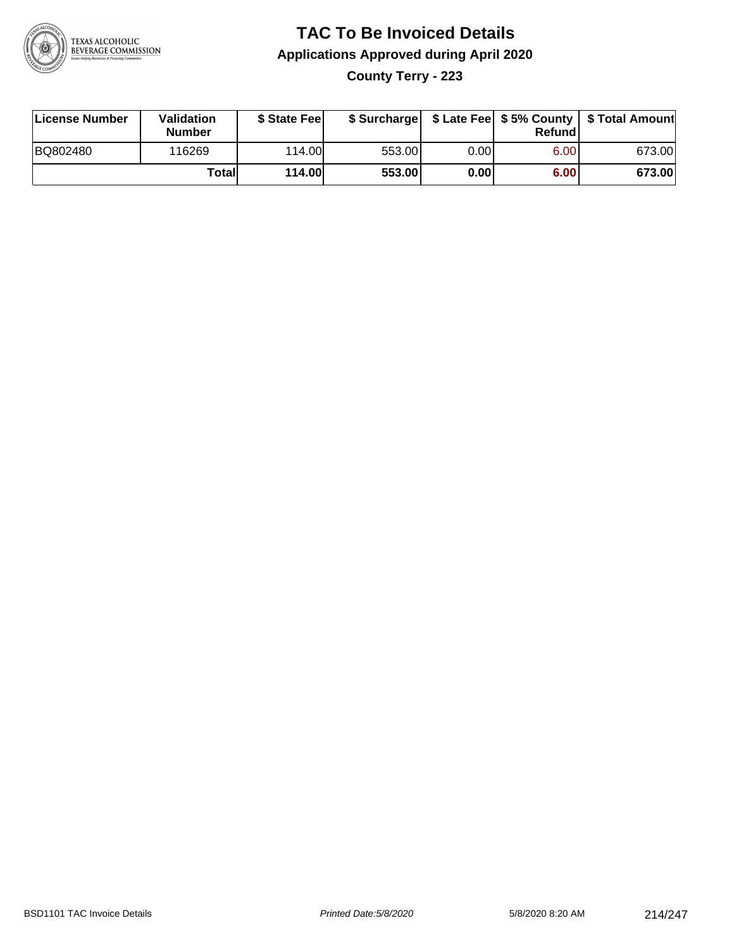

### **TAC To Be Invoiced Details Applications Approved during April 2020 County Terry - 223**

| License Number | Validation<br><b>Number</b> | \$ State Feel |        |      | Refundl | \$ Surcharge   \$ Late Fee   \$5% County   \$ Total Amount |
|----------------|-----------------------------|---------------|--------|------|---------|------------------------------------------------------------|
| BQ802480       | 116269                      | 114.00L       | 553.00 | 0.00 | 6.00    | 673.00                                                     |
|                | Total                       | 114.00        | 553.00 | 0.00 | 6.00    | 673.00                                                     |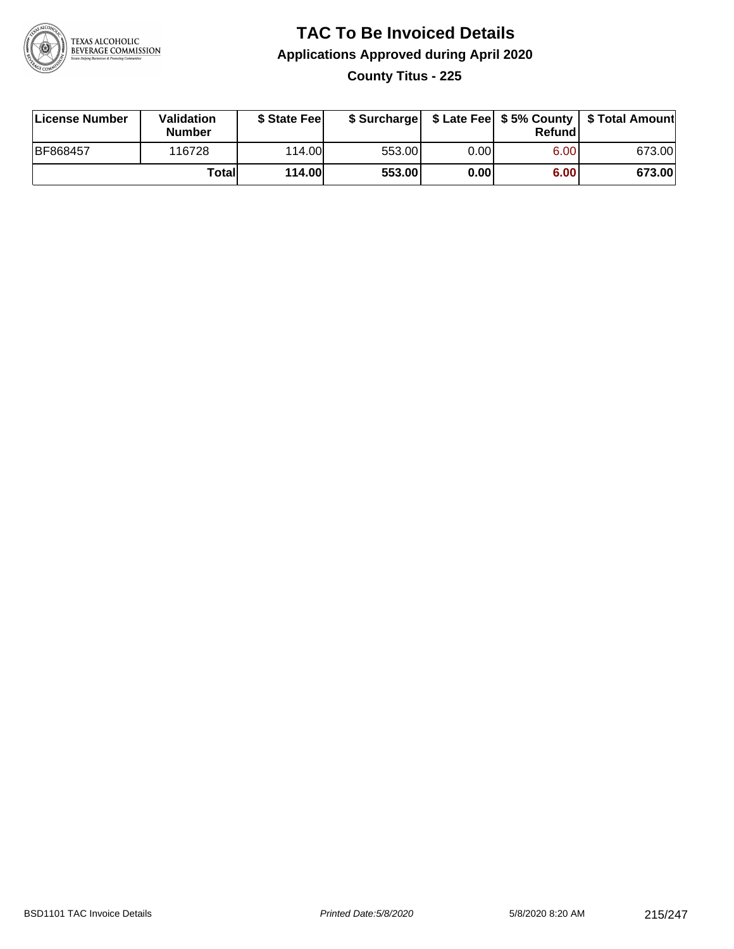

### **TAC To Be Invoiced Details Applications Approved during April 2020 County Titus - 225**

| License Number | <b>Validation</b><br><b>Number</b> | \$ State Feel |        |       | Refund | \$ Surcharge   \$ Late Fee   \$5% County   \$ Total Amount |
|----------------|------------------------------------|---------------|--------|-------|--------|------------------------------------------------------------|
| BF868457       | 116728                             | 114.00        | 553.00 | 0.001 | 6.00   | 673.00                                                     |
|                | Totall                             | 114.00        | 553.00 | 0.00  | 6.00   | 673.00                                                     |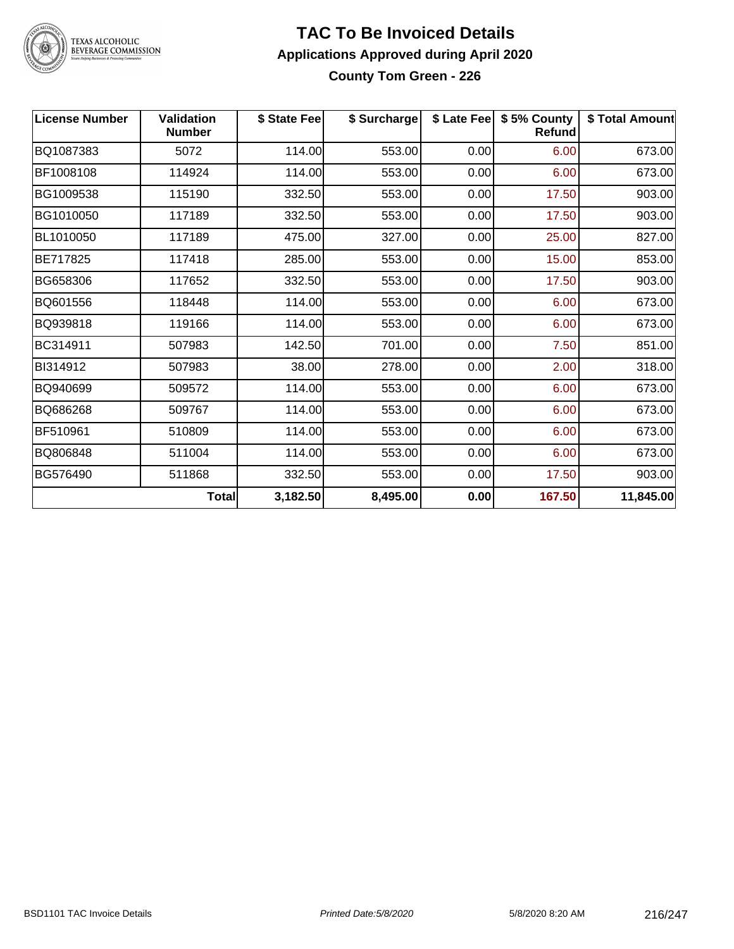

#### **TAC To Be Invoiced Details Applications Approved during April 2020 County Tom Green - 226**

| <b>License Number</b> | <b>Validation</b><br><b>Number</b> | \$ State Fee | \$ Surcharge |      | \$ Late Fee   \$5% County<br><b>Refund</b> | \$ Total Amount |
|-----------------------|------------------------------------|--------------|--------------|------|--------------------------------------------|-----------------|
| BQ1087383             | 5072                               | 114.00       | 553.00       | 0.00 | 6.00                                       | 673.00          |
| BF1008108             | 114924                             | 114.00       | 553.00       | 0.00 | 6.00                                       | 673.00          |
| BG1009538             | 115190                             | 332.50       | 553.00       | 0.00 | 17.50                                      | 903.00          |
| BG1010050             | 117189                             | 332.50       | 553.00       | 0.00 | 17.50                                      | 903.00          |
| BL1010050             | 117189                             | 475.00       | 327.00       | 0.00 | 25.00                                      | 827.00          |
| BE717825              | 117418                             | 285.00       | 553.00       | 0.00 | 15.00                                      | 853.00          |
| BG658306              | 117652                             | 332.50       | 553.00       | 0.00 | 17.50                                      | 903.00          |
| BQ601556              | 118448                             | 114.00       | 553.00       | 0.00 | 6.00                                       | 673.00          |
| BQ939818              | 119166                             | 114.00       | 553.00       | 0.00 | 6.00                                       | 673.00          |
| BC314911              | 507983                             | 142.50       | 701.00       | 0.00 | 7.50                                       | 851.00          |
| BI314912              | 507983                             | 38.00        | 278.00       | 0.00 | 2.00                                       | 318.00          |
| BQ940699              | 509572                             | 114.00       | 553.00       | 0.00 | 6.00                                       | 673.00          |
| BQ686268              | 509767                             | 114.00       | 553.00       | 0.00 | 6.00                                       | 673.00          |
| BF510961              | 510809                             | 114.00       | 553.00       | 0.00 | 6.00                                       | 673.00          |
| BQ806848              | 511004                             | 114.00       | 553.00       | 0.00 | 6.00                                       | 673.00          |
| BG576490              | 511868                             | 332.50       | 553.00       | 0.00 | 17.50                                      | 903.00          |
|                       | <b>Total</b>                       | 3,182.50     | 8,495.00     | 0.00 | 167.50                                     | 11,845.00       |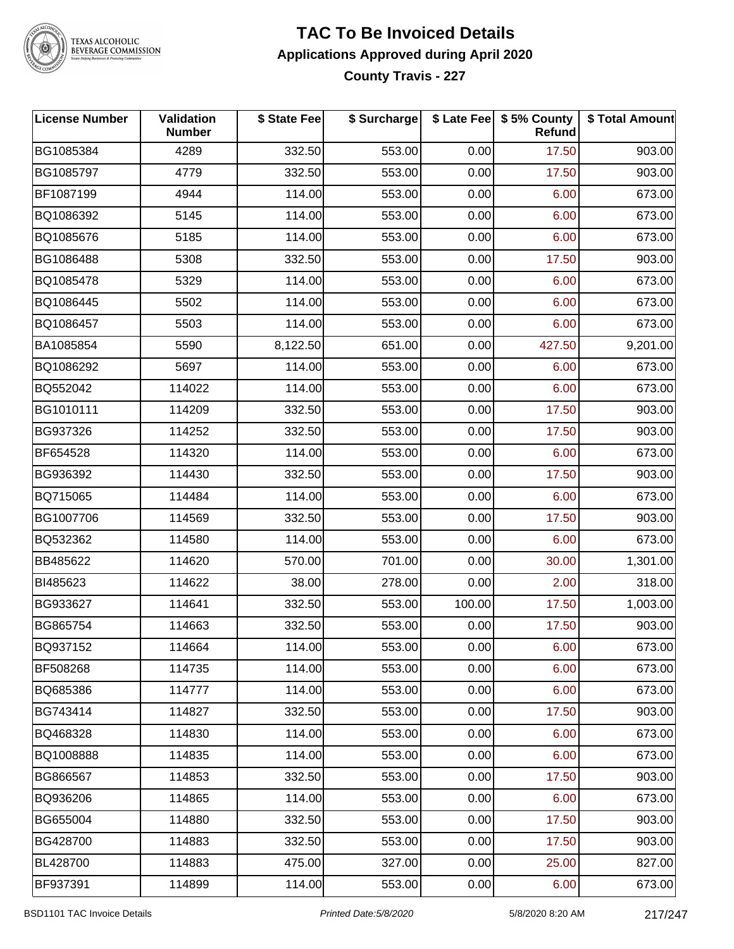

#### **TEXAS ALCOHOLIC BEVERAGE COMMISSION**

#### **TAC To Be Invoiced Details Applications Approved during April 2020 County Travis - 227**

**License Number Validation Number \$ State Fee \$ Surcharge \$ Late Fee \$ 5% County Refund \$ Total Amount** BG1085384 | 4289 | 332.50| 553.00| 0.00| 17.50| 903.00 BG1085797 4779 332.50 553.00 0.00 17.50 903.00 BF1087199 4944 114.00 553.00 0.00 6.00 673.00 BQ1086392 5145 114.00 553.00 0.00 6.00 673.00 BQ1085676 5185 114.00 553.00 0.00 6.00 673.00 BG1086488 | 5308 | 332.50| 553.00| 0.00| 17.50| 903.00 BQ1085478 5329 114.00 553.00 0.00 6.00 673.00 BQ1086445 5502 114.00 553.00 0.00 6.00 673.00 BQ1086457 5503 114.00 553.00 0.00 6.00 673.00 BA1085854 5590 8,122.50 651.00 0.00 427.50 9,201.00 BQ1086292 5697 114.00 553.00 0.00 6.00 673.00 BQ552042 114022 114.00 553.00 0.00 6.00 673.00 BG1010111 114209 332.50 553.00 0.00 17.50 903.00 BG937326 | 114252 | 332.50| 553.00| 0.00| 17.50| 903.00 BF654528 114320 114.00 553.00 0.00 6.00 673.00 BG936392 | 114430 | 332.50| 553.00| 0.00| 17.50| 903.00 BQ715065 | 114484 | 114.00| 553.00| 0.00| 6.00| 673.00 BG1007706 | 114569 | 332.50| 553.00| 0.00| 17.50| 903.00 BQ532362 114580 114.00 553.00 0.00 6.00 673.00 BB485622 114620 570.00 701.00 0.00 30.00 1,301.00 BI485623 | 114622 | 38.00| 278.00| 0.00| 2.00| 318.00 BG933627 114641 332.50 553.00 100.00 17.50 1,003.00 BG865754 | 114663 | 332.50| 553.00| 0.00| 17.50| 903.00 BQ937152 114664 114.00 553.00 0.00 6.00 673.00 BF508268 114735 114.00 553.00 0.00 6.00 673.00 BQ685386 114777 114.00 553.00 0.00 6.00 673.00 BG743414 114827 332.50 553.00 0.00 17.50 903.00 BQ468328 114830 114.00 553.00 0.00 6.00 673.00 BQ1008888 | 114835 | 114.00| 553.00| 0.00| 6.00| 673.00 BG866567 | 114853 | 332.50| 553.00| 0.00| 17.50| 903.00 BQ936206 | 114865 | 114.00| 553.00| 0.00| 6.00| 673.00 BG655004 114880 332.50 553.00 0.00 17.50 903.00 BG428700 | 114883 | 332.50| 553.00| 0.00| 17.50| 903.00 BL428700 114883 475.00 327.00 0.00 25.00 827.00 BF937391 | 114899 | 114.00| 553.00| 0.00| 6.00| 673.00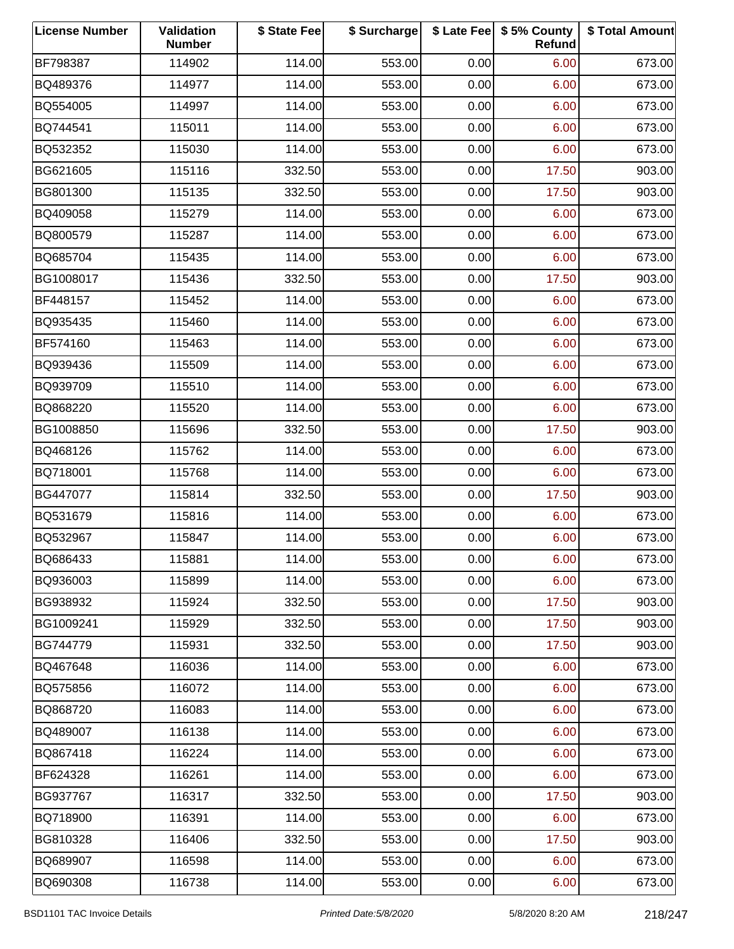| <b>License Number</b> | Validation<br><b>Number</b> | \$ State Fee | \$ Surcharge |      | \$ Late Fee   \$5% County<br>Refund | \$ Total Amount |
|-----------------------|-----------------------------|--------------|--------------|------|-------------------------------------|-----------------|
| BF798387              | 114902                      | 114.00       | 553.00       | 0.00 | 6.00                                | 673.00          |
| BQ489376              | 114977                      | 114.00       | 553.00       | 0.00 | 6.00                                | 673.00          |
| BQ554005              | 114997                      | 114.00       | 553.00       | 0.00 | 6.00                                | 673.00          |
| BQ744541              | 115011                      | 114.00       | 553.00       | 0.00 | 6.00                                | 673.00          |
| BQ532352              | 115030                      | 114.00       | 553.00       | 0.00 | 6.00                                | 673.00          |
| BG621605              | 115116                      | 332.50       | 553.00       | 0.00 | 17.50                               | 903.00          |
| BG801300              | 115135                      | 332.50       | 553.00       | 0.00 | 17.50                               | 903.00          |
| BQ409058              | 115279                      | 114.00       | 553.00       | 0.00 | 6.00                                | 673.00          |
| BQ800579              | 115287                      | 114.00       | 553.00       | 0.00 | 6.00                                | 673.00          |
| BQ685704              | 115435                      | 114.00       | 553.00       | 0.00 | 6.00                                | 673.00          |
| BG1008017             | 115436                      | 332.50       | 553.00       | 0.00 | 17.50                               | 903.00          |
| BF448157              | 115452                      | 114.00       | 553.00       | 0.00 | 6.00                                | 673.00          |
| BQ935435              | 115460                      | 114.00       | 553.00       | 0.00 | 6.00                                | 673.00          |
| BF574160              | 115463                      | 114.00       | 553.00       | 0.00 | 6.00                                | 673.00          |
| BQ939436              | 115509                      | 114.00       | 553.00       | 0.00 | 6.00                                | 673.00          |
| BQ939709              | 115510                      | 114.00       | 553.00       | 0.00 | 6.00                                | 673.00          |
| BQ868220              | 115520                      | 114.00       | 553.00       | 0.00 | 6.00                                | 673.00          |
| BG1008850             | 115696                      | 332.50       | 553.00       | 0.00 | 17.50                               | 903.00          |
| BQ468126              | 115762                      | 114.00       | 553.00       | 0.00 | 6.00                                | 673.00          |
| BQ718001              | 115768                      | 114.00       | 553.00       | 0.00 | 6.00                                | 673.00          |
| BG447077              | 115814                      | 332.50       | 553.00       | 0.00 | 17.50                               | 903.00          |
| BQ531679              | 115816                      | 114.00       | 553.00       | 0.00 | 6.00                                | 673.00          |
| BQ532967              | 115847                      | 114.00       | 553.00       | 0.00 | 6.00                                | 673.00          |
| BQ686433              | 115881                      | 114.00       | 553.00       | 0.00 | 6.00                                | 673.00          |
| BQ936003              | 115899                      | 114.00       | 553.00       | 0.00 | 6.00                                | 673.00          |
| BG938932              | 115924                      | 332.50       | 553.00       | 0.00 | 17.50                               | 903.00          |
| BG1009241             | 115929                      | 332.50       | 553.00       | 0.00 | 17.50                               | 903.00          |
| BG744779              | 115931                      | 332.50       | 553.00       | 0.00 | 17.50                               | 903.00          |
| BQ467648              | 116036                      | 114.00       | 553.00       | 0.00 | 6.00                                | 673.00          |
| BQ575856              | 116072                      | 114.00       | 553.00       | 0.00 | 6.00                                | 673.00          |
| BQ868720              | 116083                      | 114.00       | 553.00       | 0.00 | 6.00                                | 673.00          |
| BQ489007              | 116138                      | 114.00       | 553.00       | 0.00 | 6.00                                | 673.00          |
| BQ867418              | 116224                      | 114.00       | 553.00       | 0.00 | 6.00                                | 673.00          |
| BF624328              | 116261                      | 114.00       | 553.00       | 0.00 | 6.00                                | 673.00          |
| BG937767              | 116317                      | 332.50       | 553.00       | 0.00 | 17.50                               | 903.00          |
| BQ718900              | 116391                      | 114.00       | 553.00       | 0.00 | 6.00                                | 673.00          |
| BG810328              | 116406                      | 332.50       | 553.00       | 0.00 | 17.50                               | 903.00          |
| BQ689907              | 116598                      | 114.00       | 553.00       | 0.00 | 6.00                                | 673.00          |
| BQ690308              | 116738                      | 114.00       | 553.00       | 0.00 | 6.00                                | 673.00          |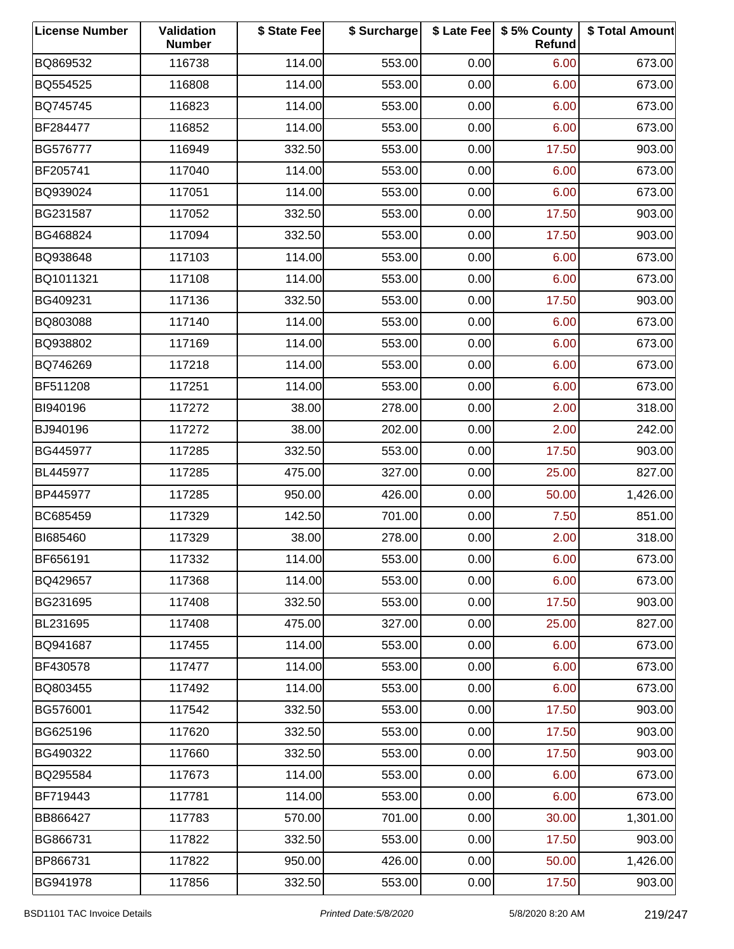| <b>License Number</b> | Validation<br><b>Number</b> | \$ State Fee | \$ Surcharge |      | \$ Late Fee   \$5% County<br>Refund | \$ Total Amount |
|-----------------------|-----------------------------|--------------|--------------|------|-------------------------------------|-----------------|
| BQ869532              | 116738                      | 114.00       | 553.00       | 0.00 | 6.00                                | 673.00          |
| BQ554525              | 116808                      | 114.00       | 553.00       | 0.00 | 6.00                                | 673.00          |
| BQ745745              | 116823                      | 114.00       | 553.00       | 0.00 | 6.00                                | 673.00          |
| BF284477              | 116852                      | 114.00       | 553.00       | 0.00 | 6.00                                | 673.00          |
| BG576777              | 116949                      | 332.50       | 553.00       | 0.00 | 17.50                               | 903.00          |
| BF205741              | 117040                      | 114.00       | 553.00       | 0.00 | 6.00                                | 673.00          |
| BQ939024              | 117051                      | 114.00       | 553.00       | 0.00 | 6.00                                | 673.00          |
| BG231587              | 117052                      | 332.50       | 553.00       | 0.00 | 17.50                               | 903.00          |
| BG468824              | 117094                      | 332.50       | 553.00       | 0.00 | 17.50                               | 903.00          |
| BQ938648              | 117103                      | 114.00       | 553.00       | 0.00 | 6.00                                | 673.00          |
| BQ1011321             | 117108                      | 114.00       | 553.00       | 0.00 | 6.00                                | 673.00          |
| BG409231              | 117136                      | 332.50       | 553.00       | 0.00 | 17.50                               | 903.00          |
| BQ803088              | 117140                      | 114.00       | 553.00       | 0.00 | 6.00                                | 673.00          |
| BQ938802              | 117169                      | 114.00       | 553.00       | 0.00 | 6.00                                | 673.00          |
| BQ746269              | 117218                      | 114.00       | 553.00       | 0.00 | 6.00                                | 673.00          |
| BF511208              | 117251                      | 114.00       | 553.00       | 0.00 | 6.00                                | 673.00          |
| BI940196              | 117272                      | 38.00        | 278.00       | 0.00 | 2.00                                | 318.00          |
| BJ940196              | 117272                      | 38.00        | 202.00       | 0.00 | 2.00                                | 242.00          |
| BG445977              | 117285                      | 332.50       | 553.00       | 0.00 | 17.50                               | 903.00          |
| BL445977              | 117285                      | 475.00       | 327.00       | 0.00 | 25.00                               | 827.00          |
| BP445977              | 117285                      | 950.00       | 426.00       | 0.00 | 50.00                               | 1,426.00        |
| BC685459              | 117329                      | 142.50       | 701.00       | 0.00 | 7.50                                | 851.00          |
| BI685460              | 117329                      | 38.00        | 278.00       | 0.00 | 2.00                                | 318.00          |
| BF656191              | 117332                      | 114.00       | 553.00       | 0.00 | 6.00                                | 673.00          |
| BQ429657              | 117368                      | 114.00       | 553.00       | 0.00 | 6.00                                | 673.00          |
| BG231695              | 117408                      | 332.50       | 553.00       | 0.00 | 17.50                               | 903.00          |
| BL231695              | 117408                      | 475.00       | 327.00       | 0.00 | 25.00                               | 827.00          |
| BQ941687              | 117455                      | 114.00       | 553.00       | 0.00 | 6.00                                | 673.00          |
| BF430578              | 117477                      | 114.00       | 553.00       | 0.00 | 6.00                                | 673.00          |
| BQ803455              | 117492                      | 114.00       | 553.00       | 0.00 | 6.00                                | 673.00          |
| BG576001              | 117542                      | 332.50       | 553.00       | 0.00 | 17.50                               | 903.00          |
| BG625196              | 117620                      | 332.50       | 553.00       | 0.00 | 17.50                               | 903.00          |
| BG490322              | 117660                      | 332.50       | 553.00       | 0.00 | 17.50                               | 903.00          |
| BQ295584              | 117673                      | 114.00       | 553.00       | 0.00 | 6.00                                | 673.00          |
| BF719443              | 117781                      | 114.00       | 553.00       | 0.00 | 6.00                                | 673.00          |
| BB866427              | 117783                      | 570.00       | 701.00       | 0.00 | 30.00                               | 1,301.00        |
| BG866731              | 117822                      | 332.50       | 553.00       | 0.00 | 17.50                               | 903.00          |
| BP866731              | 117822                      | 950.00       | 426.00       | 0.00 | 50.00                               | 1,426.00        |
| BG941978              | 117856                      | 332.50       | 553.00       | 0.00 | 17.50                               | 903.00          |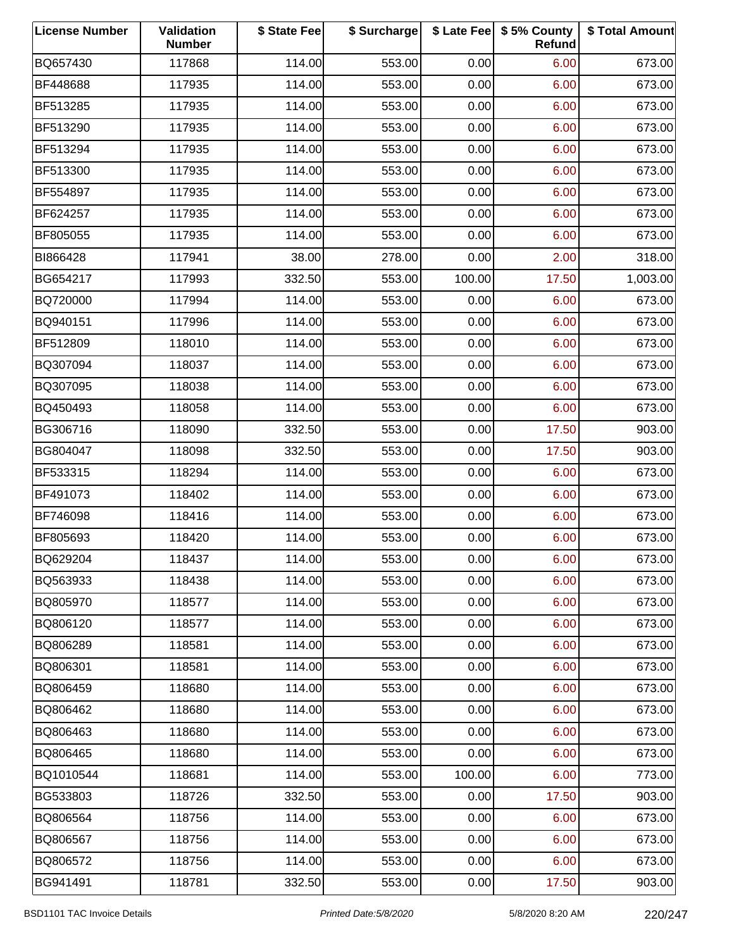| <b>License Number</b> | Validation<br><b>Number</b> | \$ State Fee | \$ Surcharge |        | \$ Late Fee   \$5% County<br>Refund | \$ Total Amount |
|-----------------------|-----------------------------|--------------|--------------|--------|-------------------------------------|-----------------|
| BQ657430              | 117868                      | 114.00       | 553.00       | 0.00   | 6.00                                | 673.00          |
| BF448688              | 117935                      | 114.00       | 553.00       | 0.00   | 6.00                                | 673.00          |
| BF513285              | 117935                      | 114.00       | 553.00       | 0.00   | 6.00                                | 673.00          |
| BF513290              | 117935                      | 114.00       | 553.00       | 0.00   | 6.00                                | 673.00          |
| BF513294              | 117935                      | 114.00       | 553.00       | 0.00   | 6.00                                | 673.00          |
| BF513300              | 117935                      | 114.00       | 553.00       | 0.00   | 6.00                                | 673.00          |
| BF554897              | 117935                      | 114.00       | 553.00       | 0.00   | 6.00                                | 673.00          |
| BF624257              | 117935                      | 114.00       | 553.00       | 0.00   | 6.00                                | 673.00          |
| BF805055              | 117935                      | 114.00       | 553.00       | 0.00   | 6.00                                | 673.00          |
| BI866428              | 117941                      | 38.00        | 278.00       | 0.00   | 2.00                                | 318.00          |
| BG654217              | 117993                      | 332.50       | 553.00       | 100.00 | 17.50                               | 1,003.00        |
| BQ720000              | 117994                      | 114.00       | 553.00       | 0.00   | 6.00                                | 673.00          |
| BQ940151              | 117996                      | 114.00       | 553.00       | 0.00   | 6.00                                | 673.00          |
| BF512809              | 118010                      | 114.00       | 553.00       | 0.00   | 6.00                                | 673.00          |
| BQ307094              | 118037                      | 114.00       | 553.00       | 0.00   | 6.00                                | 673.00          |
| BQ307095              | 118038                      | 114.00       | 553.00       | 0.00   | 6.00                                | 673.00          |
| BQ450493              | 118058                      | 114.00       | 553.00       | 0.00   | 6.00                                | 673.00          |
| BG306716              | 118090                      | 332.50       | 553.00       | 0.00   | 17.50                               | 903.00          |
| BG804047              | 118098                      | 332.50       | 553.00       | 0.00   | 17.50                               | 903.00          |
| BF533315              | 118294                      | 114.00       | 553.00       | 0.00   | 6.00                                | 673.00          |
| BF491073              | 118402                      | 114.00       | 553.00       | 0.00   | 6.00                                | 673.00          |
| BF746098              | 118416                      | 114.00       | 553.00       | 0.00   | 6.00                                | 673.00          |
| BF805693              | 118420                      | 114.00       | 553.00       | 0.00   | 6.00                                | 673.00          |
| BQ629204              | 118437                      | 114.00       | 553.00       | 0.00   | 6.00                                | 673.00          |
| BQ563933              | 118438                      | 114.00       | 553.00       | 0.00   | 6.00                                | 673.00          |
| BQ805970              | 118577                      | 114.00       | 553.00       | 0.00   | 6.00                                | 673.00          |
| BQ806120              | 118577                      | 114.00       | 553.00       | 0.00   | 6.00                                | 673.00          |
| BQ806289              | 118581                      | 114.00       | 553.00       | 0.00   | 6.00                                | 673.00          |
| BQ806301              | 118581                      | 114.00       | 553.00       | 0.00   | 6.00                                | 673.00          |
| BQ806459              | 118680                      | 114.00       | 553.00       | 0.00   | 6.00                                | 673.00          |
| BQ806462              | 118680                      | 114.00       | 553.00       | 0.00   | 6.00                                | 673.00          |
| BQ806463              | 118680                      | 114.00       | 553.00       | 0.00   | 6.00                                | 673.00          |
| BQ806465              | 118680                      | 114.00       | 553.00       | 0.00   | 6.00                                | 673.00          |
| BQ1010544             | 118681                      | 114.00       | 553.00       | 100.00 | 6.00                                | 773.00          |
| BG533803              | 118726                      | 332.50       | 553.00       | 0.00   | 17.50                               | 903.00          |
| BQ806564              | 118756                      | 114.00       | 553.00       | 0.00   | 6.00                                | 673.00          |
| BQ806567              | 118756                      | 114.00       | 553.00       | 0.00   | 6.00                                | 673.00          |
| BQ806572              | 118756                      | 114.00       | 553.00       | 0.00   | 6.00                                | 673.00          |
| BG941491              | 118781                      | 332.50       | 553.00       | 0.00   | 17.50                               | 903.00          |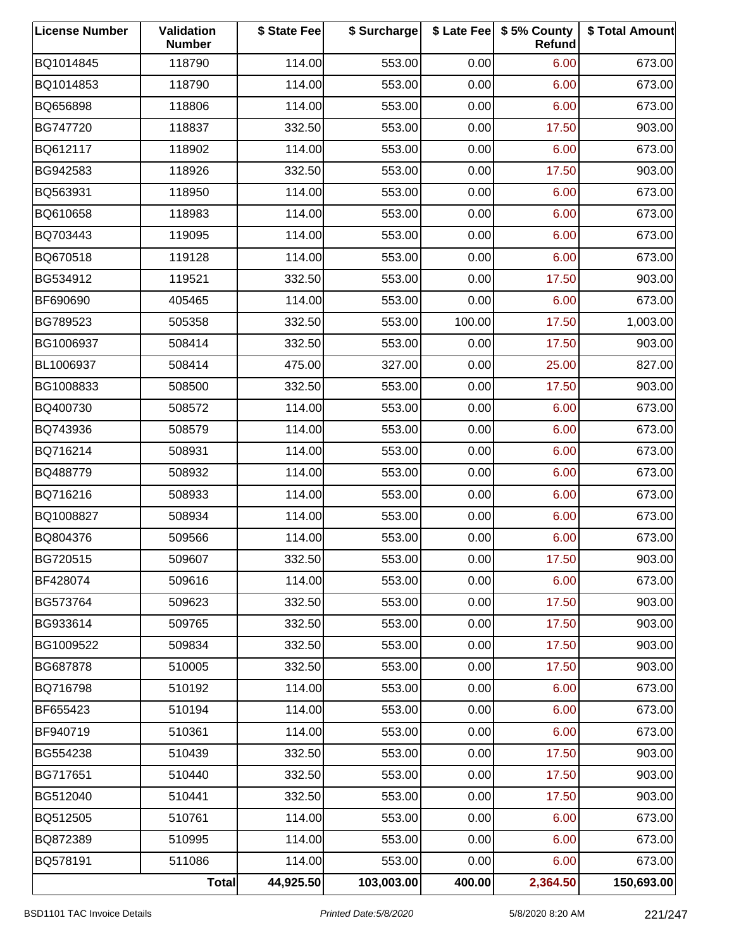| <b>License Number</b> | Validation<br><b>Number</b> | \$ State Fee | \$ Surcharge |        | \$ Late Fee   \$5% County<br><b>Refund</b> | \$ Total Amount |
|-----------------------|-----------------------------|--------------|--------------|--------|--------------------------------------------|-----------------|
| BQ1014845             | 118790                      | 114.00       | 553.00       | 0.00   | 6.00                                       | 673.00          |
| BQ1014853             | 118790                      | 114.00       | 553.00       | 0.00   | 6.00                                       | 673.00          |
| BQ656898              | 118806                      | 114.00       | 553.00       | 0.00   | 6.00                                       | 673.00          |
| BG747720              | 118837                      | 332.50       | 553.00       | 0.00   | 17.50                                      | 903.00          |
| BQ612117              | 118902                      | 114.00       | 553.00       | 0.00   | 6.00                                       | 673.00          |
| BG942583              | 118926                      | 332.50       | 553.00       | 0.00   | 17.50                                      | 903.00          |
| BQ563931              | 118950                      | 114.00       | 553.00       | 0.00   | 6.00                                       | 673.00          |
| BQ610658              | 118983                      | 114.00       | 553.00       | 0.00   | 6.00                                       | 673.00          |
| BQ703443              | 119095                      | 114.00       | 553.00       | 0.00   | 6.00                                       | 673.00          |
| BQ670518              | 119128                      | 114.00       | 553.00       | 0.00   | 6.00                                       | 673.00          |
| BG534912              | 119521                      | 332.50       | 553.00       | 0.00   | 17.50                                      | 903.00          |
| BF690690              | 405465                      | 114.00       | 553.00       | 0.00   | 6.00                                       | 673.00          |
| BG789523              | 505358                      | 332.50       | 553.00       | 100.00 | 17.50                                      | 1,003.00        |
| BG1006937             | 508414                      | 332.50       | 553.00       | 0.00   | 17.50                                      | 903.00          |
| BL1006937             | 508414                      | 475.00       | 327.00       | 0.00   | 25.00                                      | 827.00          |
| BG1008833             | 508500                      | 332.50       | 553.00       | 0.00   | 17.50                                      | 903.00          |
| BQ400730              | 508572                      | 114.00       | 553.00       | 0.00   | 6.00                                       | 673.00          |
| BQ743936              | 508579                      | 114.00       | 553.00       | 0.00   | 6.00                                       | 673.00          |
| BQ716214              | 508931                      | 114.00       | 553.00       | 0.00   | 6.00                                       | 673.00          |
| BQ488779              | 508932                      | 114.00       | 553.00       | 0.00   | 6.00                                       | 673.00          |
| BQ716216              | 508933                      | 114.00       | 553.00       | 0.00   | 6.00                                       | 673.00          |
| BQ1008827             | 508934                      | 114.00       | 553.00       | 0.00   | 6.00                                       | 673.00          |
| BQ804376              | 509566                      | 114.00       | 553.00       | 0.00   | 6.00                                       | 673.00          |
| BG720515              | 509607                      | 332.50       | 553.00       | 0.00   | 17.50                                      | 903.00          |
| BF428074              | 509616                      | 114.00       | 553.00       | 0.00   | 6.00                                       | 673.00          |
| BG573764              | 509623                      | 332.50       | 553.00       | 0.00   | 17.50                                      | 903.00          |
| BG933614              | 509765                      | 332.50       | 553.00       | 0.00   | 17.50                                      | 903.00          |
| BG1009522             | 509834                      | 332.50       | 553.00       | 0.00   | 17.50                                      | 903.00          |
| BG687878              | 510005                      | 332.50       | 553.00       | 0.00   | 17.50                                      | 903.00          |
| BQ716798              | 510192                      | 114.00       | 553.00       | 0.00   | 6.00                                       | 673.00          |
| BF655423              | 510194                      | 114.00       | 553.00       | 0.00   | 6.00                                       | 673.00          |
| BF940719              | 510361                      | 114.00       | 553.00       | 0.00   | 6.00                                       | 673.00          |
| BG554238              | 510439                      | 332.50       | 553.00       | 0.00   | 17.50                                      | 903.00          |
| BG717651              | 510440                      | 332.50       | 553.00       | 0.00   | 17.50                                      | 903.00          |
| BG512040              | 510441                      | 332.50       | 553.00       | 0.00   | 17.50                                      | 903.00          |
| BQ512505              | 510761                      | 114.00       | 553.00       | 0.00   | 6.00                                       | 673.00          |
| BQ872389              | 510995                      | 114.00       | 553.00       | 0.00   | 6.00                                       | 673.00          |
| BQ578191              | 511086                      | 114.00       | 553.00       | 0.00   | 6.00                                       | 673.00          |
|                       | <b>Total</b>                | 44,925.50    | 103,003.00   | 400.00 | 2,364.50                                   | 150,693.00      |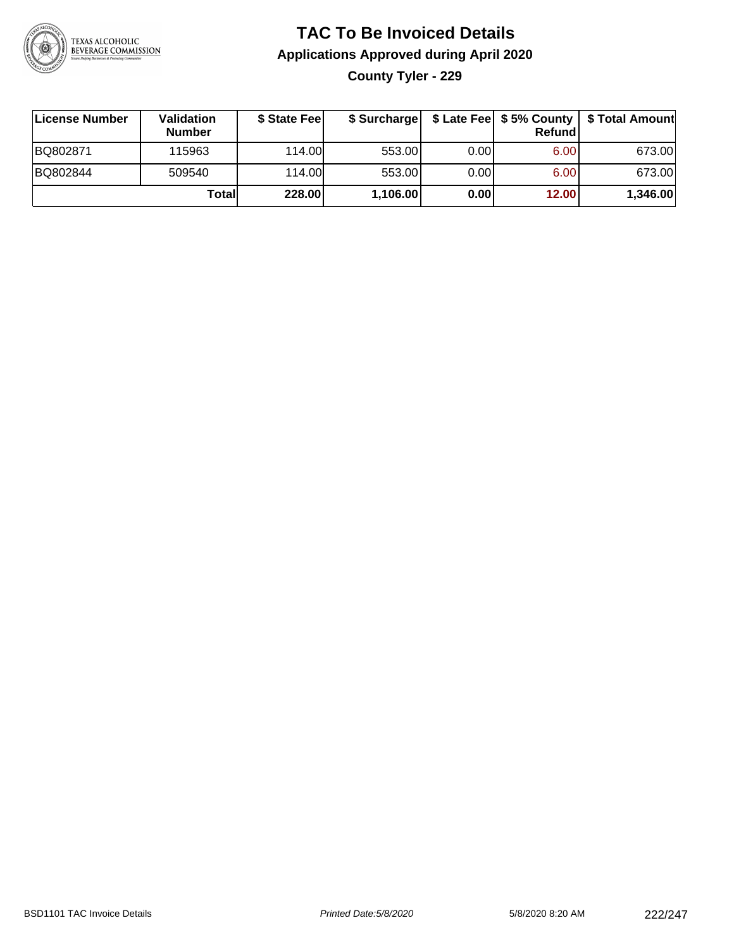

### **TAC To Be Invoiced Details Applications Approved during April 2020 County Tyler - 229**

| ∣License Number | Validation<br><b>Number</b> | \$ State Feel | \$ Surcharge |      | Refund | \$ Late Fee   \$5% County   \$ Total Amount |
|-----------------|-----------------------------|---------------|--------------|------|--------|---------------------------------------------|
| BQ802871        | 115963                      | 114.00L       | 553.00       | 0.00 | 6.00   | 673.00                                      |
| BQ802844        | 509540                      | 114.00        | 553.00       | 0.00 | 6.00   | 673.00                                      |
|                 | Totall                      | 228.00        | 1,106.00     | 0.00 | 12.00  | 1,346.00                                    |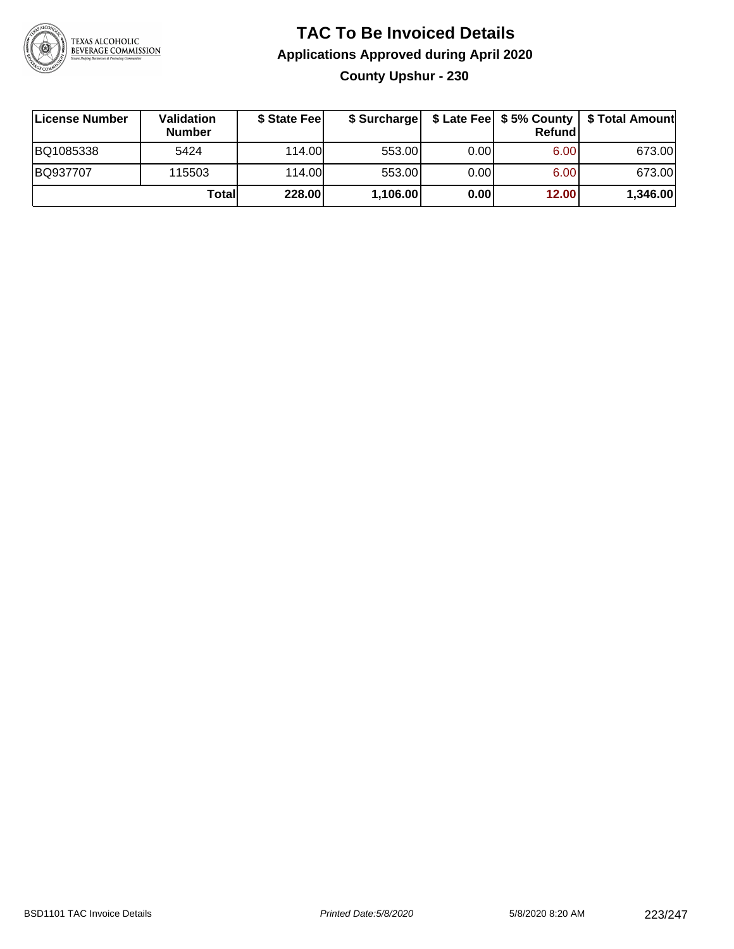

### **TAC To Be Invoiced Details Applications Approved during April 2020 County Upshur - 230**

| <b>License Number</b> | Validation<br><b>Number</b> | \$ State Fee | \$ Surcharge |      | Refundl | \$ Late Fee   \$5% County   \$ Total Amount |
|-----------------------|-----------------------------|--------------|--------------|------|---------|---------------------------------------------|
| BQ1085338             | 5424                        | 114.00L      | 553.00       | 0.00 | 6.00    | 673.00                                      |
| BQ937707              | 115503                      | 114.00       | 553.00       | 0.00 | 6.00    | 673.00                                      |
|                       | Totall                      | 228.00       | 1,106.00     | 0.00 | 12.00   | 1,346.00                                    |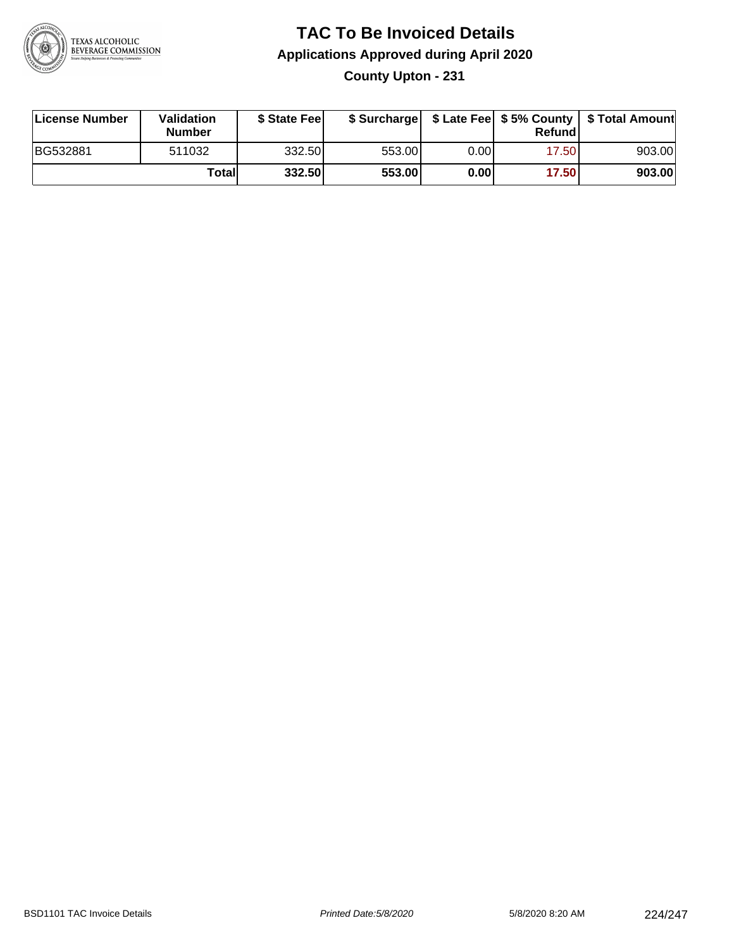

### **TAC To Be Invoiced Details Applications Approved during April 2020 County Upton - 231**

| License Number | Validation<br><b>Number</b> | \$ State Fee |        |      | Refund | \$ Surcharge   \$ Late Fee   \$5% County   \$ Total Amount |
|----------------|-----------------------------|--------------|--------|------|--------|------------------------------------------------------------|
| BG532881       | 511032                      | 332.50       | 553.00 | 0.00 | 17.50  | 903.00                                                     |
|                | Totall                      | 332.50       | 553.00 | 0.00 | 17.50  | 903.00                                                     |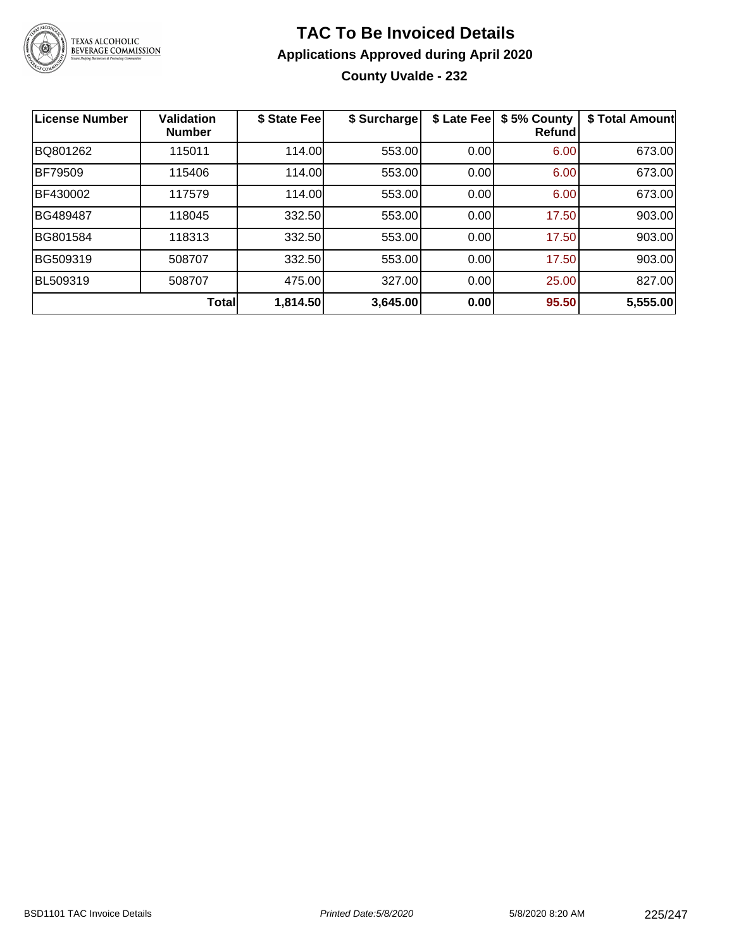

### **TAC To Be Invoiced Details Applications Approved during April 2020 County Uvalde - 232**

| <b>License Number</b> | <b>Validation</b><br><b>Number</b> | \$ State Fee | \$ Surcharge | \$ Late Fee | \$5% County<br><b>Refund</b> | \$ Total Amount |
|-----------------------|------------------------------------|--------------|--------------|-------------|------------------------------|-----------------|
| BQ801262              | 115011                             | 114.00       | 553.00       | 0.00        | 6.00                         | 673.00          |
| <b>BF79509</b>        | 115406                             | 114.00       | 553.00       | 0.00        | 6.00                         | 673.00          |
| BF430002              | 117579                             | 114.00       | 553.00       | 0.00        | 6.00                         | 673.00          |
| BG489487              | 118045                             | 332.50       | 553.00       | 0.00        | 17.50                        | 903.00          |
| BG801584              | 118313                             | 332.50       | 553.00       | 0.00        | 17.50                        | 903.00          |
| BG509319              | 508707                             | 332.50       | 553.00       | 0.00        | 17.50                        | 903.00          |
| BL509319              | 508707                             | 475.00       | 327.00       | 0.00        | 25.00                        | 827.00          |
|                       | Total                              | 1,814.50     | 3,645.00     | 0.00        | 95.50                        | 5,555.00        |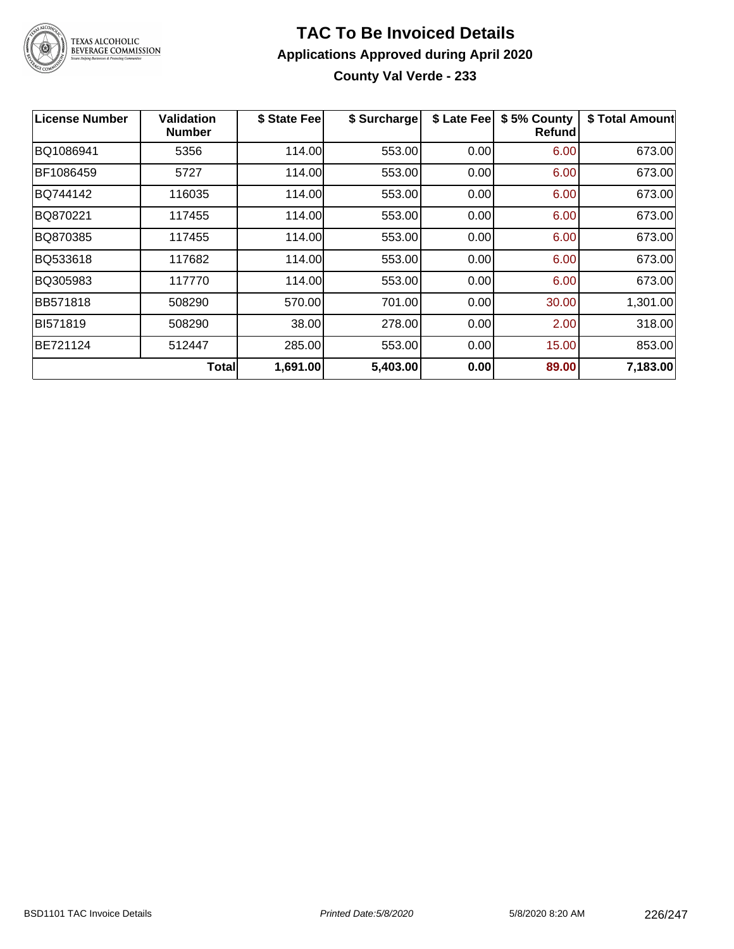

### **TAC To Be Invoiced Details Applications Approved during April 2020 County Val Verde - 233**

| <b>License Number</b> | Validation<br><b>Number</b> | \$ State Fee | \$ Surcharge | \$ Late Fee | \$5% County<br>Refund | \$ Total Amount |
|-----------------------|-----------------------------|--------------|--------------|-------------|-----------------------|-----------------|
| BQ1086941             | 5356                        | 114.00       | 553.00       | 0.00        | 6.00                  | 673.00          |
| BF1086459             | 5727                        | 114.00       | 553.00       | 0.00        | 6.00                  | 673.00          |
| BQ744142              | 116035                      | 114.00       | 553.00       | 0.00        | 6.00                  | 673.00          |
| BQ870221              | 117455                      | 114.00       | 553.00       | 0.00        | 6.00                  | 673.00          |
| BQ870385              | 117455                      | 114.00       | 553.00       | 0.00        | 6.00                  | 673.00          |
| BQ533618              | 117682                      | 114.00       | 553.00       | 0.00        | 6.00                  | 673.00          |
| BQ305983              | 117770                      | 114.00       | 553.00       | 0.00        | 6.00                  | 673.00          |
| <b>BB571818</b>       | 508290                      | 570.00       | 701.00       | 0.00        | 30.00                 | 1,301.00        |
| BI571819              | 508290                      | 38.00        | 278.00       | 0.00        | 2.00                  | 318.00          |
| BE721124              | 512447                      | 285.00       | 553.00       | 0.00        | 15.00                 | 853.00          |
|                       | Total∣                      | 1,691.00     | 5,403.00     | 0.00        | 89.00                 | 7,183.00        |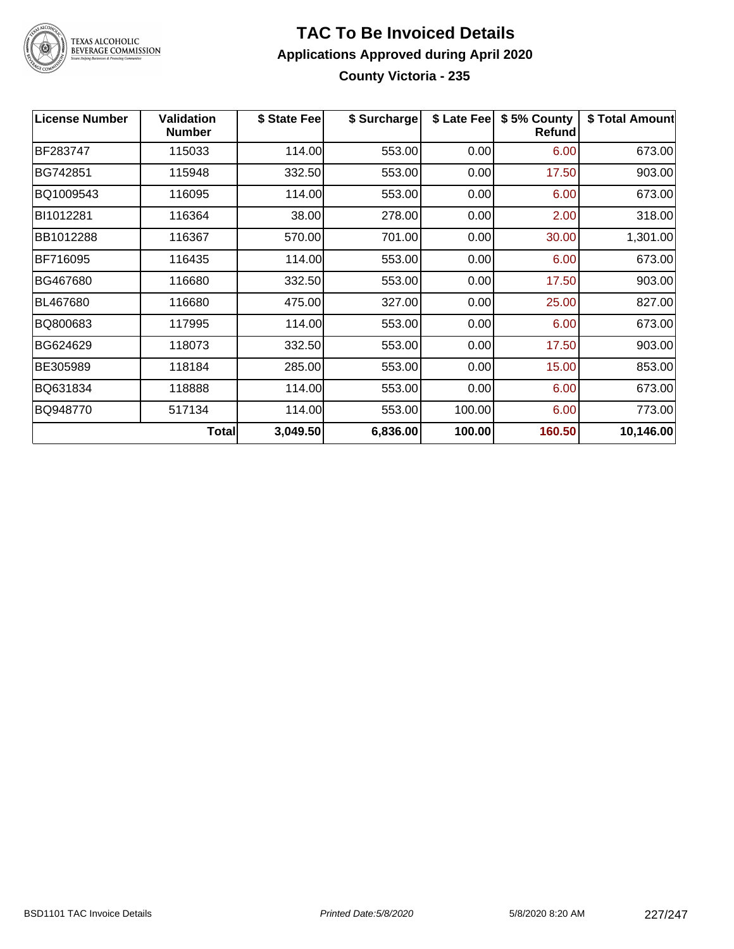

### **TAC To Be Invoiced Details Applications Approved during April 2020 County Victoria - 235**

| <b>License Number</b> | Validation<br><b>Number</b> | \$ State Fee | \$ Surcharge | \$ Late Fee | \$5% County<br><b>Refund</b> | \$ Total Amount |
|-----------------------|-----------------------------|--------------|--------------|-------------|------------------------------|-----------------|
| BF283747              | 115033                      | 114.00       | 553.00       | 0.00        | 6.00                         | 673.00          |
| BG742851              | 115948                      | 332.50       | 553.00       | 0.00        | 17.50                        | 903.00          |
| BQ1009543             | 116095                      | 114.00       | 553.00       | 0.00        | 6.00                         | 673.00          |
| BI1012281             | 116364                      | 38.00        | 278.00       | 0.00        | 2.00                         | 318.00          |
| BB1012288             | 116367                      | 570.00       | 701.00       | 0.00        | 30.00                        | 1,301.00        |
| BF716095              | 116435                      | 114.00       | 553.00       | 0.00        | 6.00                         | 673.00          |
| BG467680              | 116680                      | 332.50       | 553.00       | 0.00        | 17.50                        | 903.00          |
| BL467680              | 116680                      | 475.00       | 327.00       | 0.00        | 25.00                        | 827.00          |
| BQ800683              | 117995                      | 114.00       | 553.00       | 0.00        | 6.00                         | 673.00          |
| BG624629              | 118073                      | 332.50       | 553.00       | 0.00        | 17.50                        | 903.00          |
| BE305989              | 118184                      | 285.00       | 553.00       | 0.00        | 15.00                        | 853.00          |
| BQ631834              | 118888                      | 114.00       | 553.00       | 0.00        | 6.00                         | 673.00          |
| BQ948770              | 517134                      | 114.00       | 553.00       | 100.00      | 6.00                         | 773.00          |
|                       | Total                       | 3,049.50     | 6,836.00     | 100.00      | 160.50                       | 10,146.00       |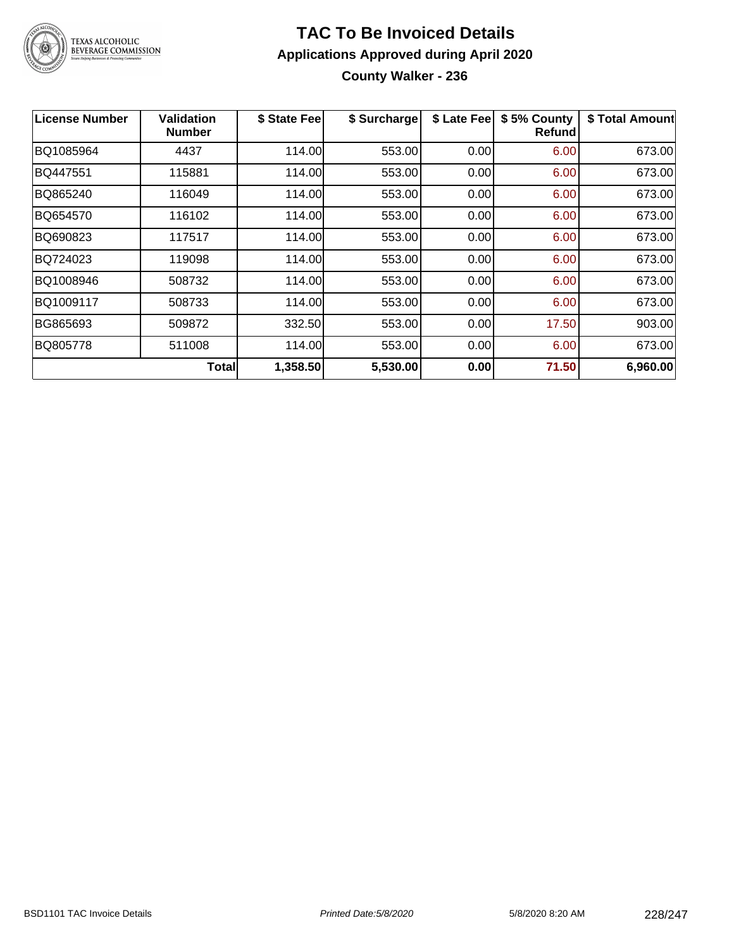

### **TAC To Be Invoiced Details Applications Approved during April 2020 County Walker - 236**

| <b>License Number</b> | Validation<br><b>Number</b> | \$ State Fee | \$ Surcharge | \$ Late Fee | \$5% County<br>Refund | \$ Total Amount |
|-----------------------|-----------------------------|--------------|--------------|-------------|-----------------------|-----------------|
| BQ1085964             | 4437                        | 114.00       | 553.00       | 0.00        | 6.00                  | 673.00          |
| BQ447551              | 115881                      | 114.00       | 553.00       | 0.00        | 6.00                  | 673.00          |
| BQ865240              | 116049                      | 114.00       | 553.00       | 0.00        | 6.00                  | 673.00          |
| BQ654570              | 116102                      | 114.00       | 553.00       | 0.00        | 6.00                  | 673.00          |
| BQ690823              | 117517                      | 114.00       | 553.00       | 0.00        | 6.00                  | 673.00          |
| BQ724023              | 119098                      | 114.00       | 553.00       | 0.00        | 6.00                  | 673.00          |
| BQ1008946             | 508732                      | 114.00       | 553.00       | 0.00        | 6.00                  | 673.00          |
| BQ1009117             | 508733                      | 114.00       | 553.00       | 0.00        | 6.00                  | 673.00          |
| BG865693              | 509872                      | 332.50       | 553.00       | 0.00        | 17.50                 | 903.00          |
| BQ805778              | 511008                      | 114.00       | 553.00       | 0.00        | 6.00                  | 673.00          |
|                       | Total∣                      | 1,358.50     | 5,530.00     | 0.00        | 71.50                 | 6,960.00        |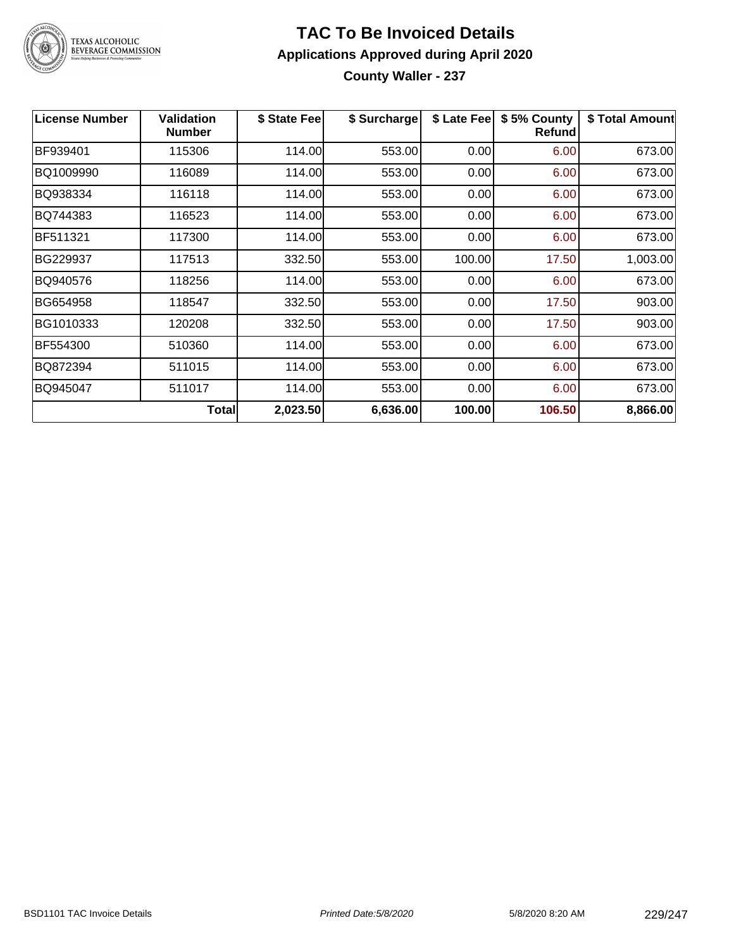

TEXAS ALCOHOLIC<br>BEVERAGE COMMISSION

### **TAC To Be Invoiced Details Applications Approved during April 2020 County Waller - 237**

**License Number Validation Number \$ State Fee \$ Surcharge \$ Late Fee \$ 5% County Refund \$ Total Amount** BF939401 | 115306 | 114.00| 553.00| 0.00| 6.00| 673.00 BQ1009990 116089 114.00 553.00 0.00 6.00 673.00 BQ938334 116118 114.00 553.00 0.00 6.00 673.00 BQ744383 116523 114.00 553.00 0.00 6.00 673.00 BF511321 | 117300 | 114.00| 553.00| 0.00| 6.00| 673.00 BG229937 | 117513 | 332.50| 553.00| 100.00| 17.50| 1,003.00 BQ940576 | 118256 | 114.00| 553.00| 0.00| 6.00| 673.00 BG654958 | 118547 | 332.50| 553.00| 0.00| 17.50| 903.00 BG1010333 120208 332.50 553.00 0.00 17.50 903.00 BF554300 | 510360 | 114.00| 553.00| 0.00| 6.00| 673.00 BQ872394 511015 114.00 553.00 0.00 6.00 673.00 BQ945047 511017 114.00 553.00 0.00 6.00 673.00 **Total 2,023.50 6,636.00 100.00 106.50 8,866.00**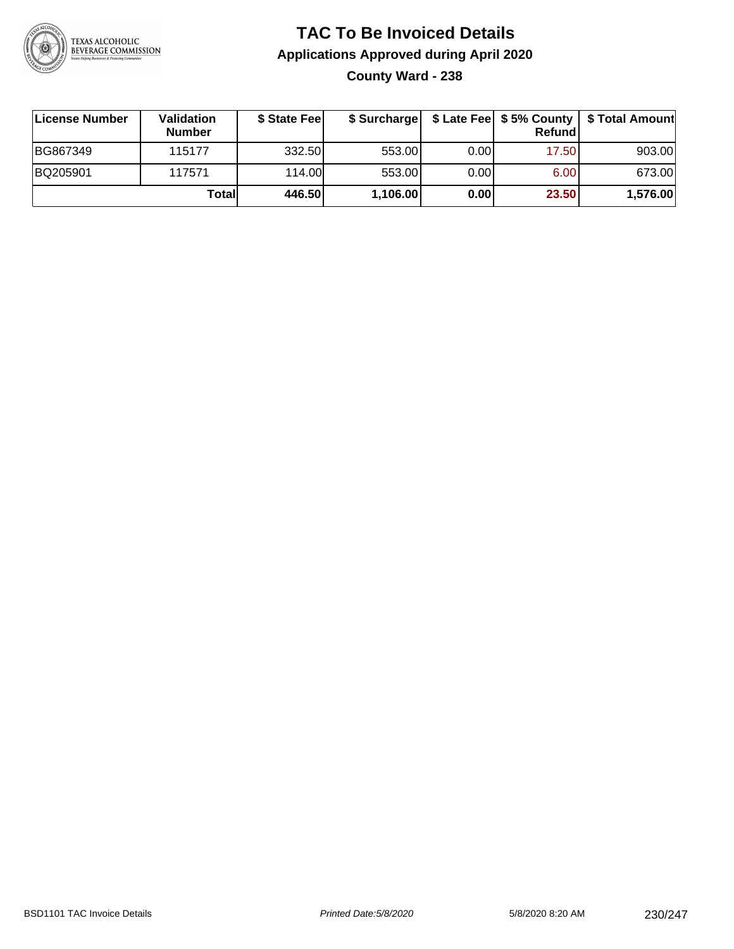

### **TAC To Be Invoiced Details Applications Approved during April 2020 County Ward - 238**

| <b>∣License Number</b> | <b>Validation</b><br><b>Number</b> | \$ State Fee |          |      | <b>Refund</b> | \$ Surcharge   \$ Late Fee   \$5% County   \$ Total Amount |
|------------------------|------------------------------------|--------------|----------|------|---------------|------------------------------------------------------------|
| BG867349               | 115177                             | 332.50       | 553.00   | 0.00 | 17.50         | 903.00                                                     |
| BQ205901               | 117571                             | 114.00       | 553.00   | 0.00 | 6.00          | 673.00                                                     |
|                        | Totall                             | 446.50       | 1,106.00 | 0.00 | 23.50         | 1,576.00                                                   |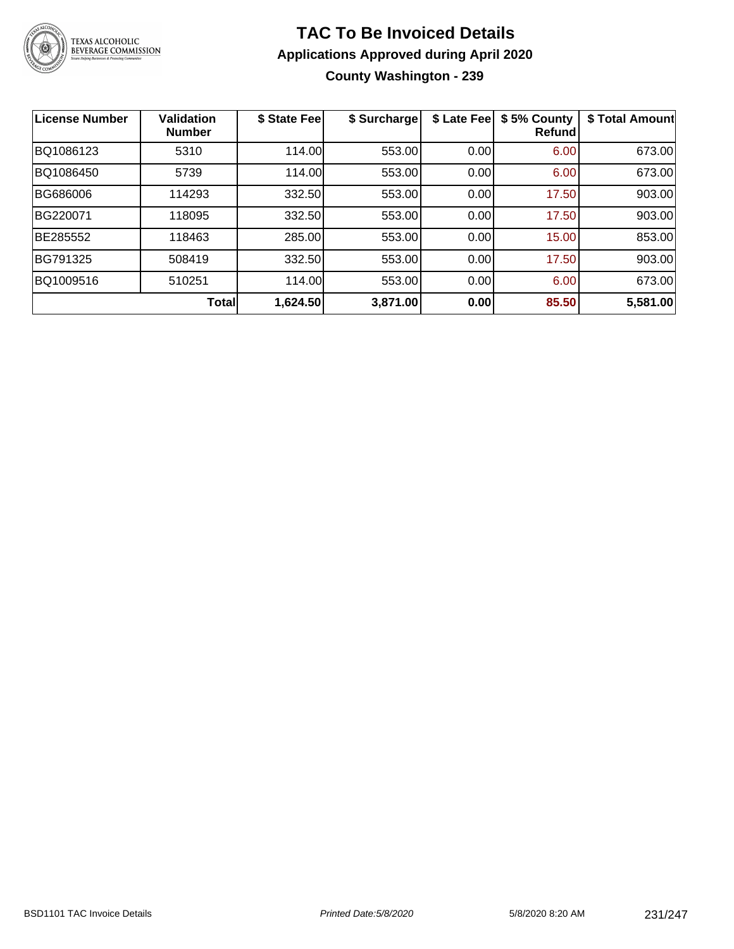

### **TAC To Be Invoiced Details Applications Approved during April 2020 County Washington - 239**

| <b>License Number</b> | <b>Validation</b><br><b>Number</b> | \$ State Fee | \$ Surcharge | \$ Late Fee | \$5% County<br><b>Refund</b> | \$ Total Amount |
|-----------------------|------------------------------------|--------------|--------------|-------------|------------------------------|-----------------|
| BQ1086123             | 5310                               | 114.00       | 553.00       | 0.00        | 6.00                         | 673.00          |
| BQ1086450             | 5739                               | 114.00       | 553.00       | 0.00        | 6.00                         | 673.00          |
| BG686006              | 114293                             | 332.50       | 553.00       | 0.00        | 17.50                        | 903.00          |
| BG220071              | 118095                             | 332.50       | 553.00       | 0.00        | 17.50                        | 903.00          |
| BE285552              | 118463                             | 285.00       | 553.00       | 0.00        | 15.00                        | 853.00          |
| BG791325              | 508419                             | 332.50       | 553.00       | 0.00        | 17.50                        | 903.00          |
| BQ1009516             | 510251                             | 114.00       | 553.00       | 0.00        | 6.00                         | 673.00          |
|                       | Total                              | 1,624.50     | 3,871.00     | 0.00        | 85.50                        | 5,581.00        |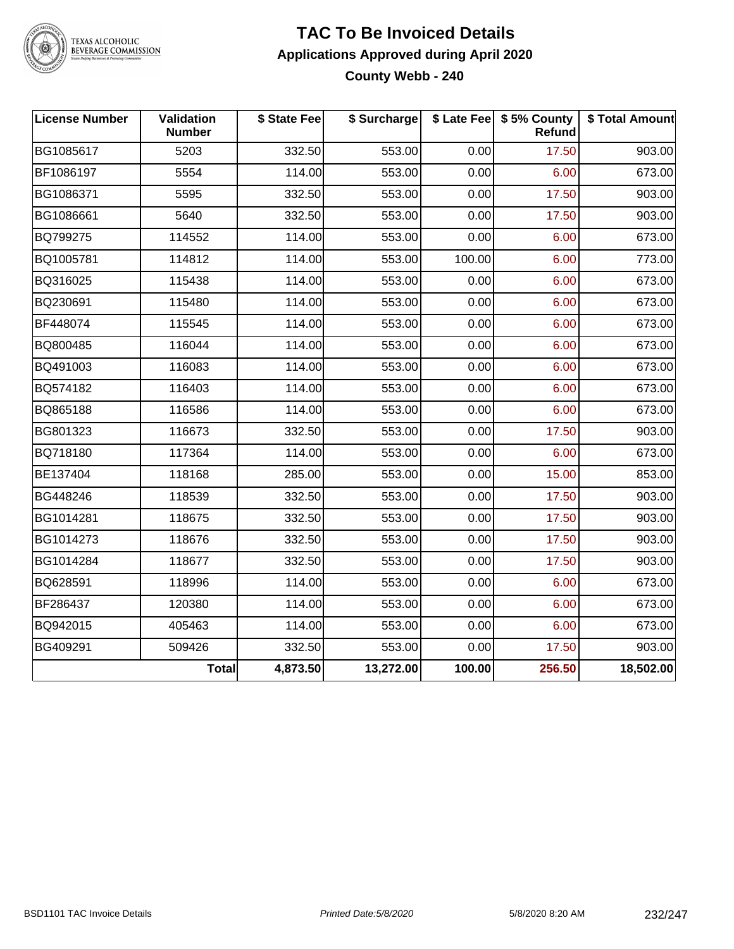

TEXAS ALCOHOLIC<br>BEVERAGE COMMISSION

### **TAC To Be Invoiced Details Applications Approved during April 2020 County Webb - 240**

| <b>License Number</b> | Validation<br><b>Number</b> | \$ State Fee | \$ Surcharge |        | \$ Late Fee   \$5% County<br>Refund | \$ Total Amount |
|-----------------------|-----------------------------|--------------|--------------|--------|-------------------------------------|-----------------|
| BG1085617             | 5203                        | 332.50       | 553.00       | 0.00   | 17.50                               | 903.00          |
| BF1086197             | 5554                        | 114.00       | 553.00       | 0.00   | 6.00                                | 673.00          |
| BG1086371             | 5595                        | 332.50       | 553.00       | 0.00   | 17.50                               | 903.00          |
| BG1086661             | 5640                        | 332.50       | 553.00       | 0.00   | 17.50                               | 903.00          |
| BQ799275              | 114552                      | 114.00       | 553.00       | 0.00   | 6.00                                | 673.00          |
| BQ1005781             | 114812                      | 114.00       | 553.00       | 100.00 | 6.00                                | 773.00          |
| BQ316025              | 115438                      | 114.00       | 553.00       | 0.00   | 6.00                                | 673.00          |
| BQ230691              | 115480                      | 114.00       | 553.00       | 0.00   | 6.00                                | 673.00          |
| BF448074              | 115545                      | 114.00       | 553.00       | 0.00   | 6.00                                | 673.00          |
| BQ800485              | 116044                      | 114.00       | 553.00       | 0.00   | 6.00                                | 673.00          |
| BQ491003              | 116083                      | 114.00       | 553.00       | 0.00   | 6.00                                | 673.00          |
| BQ574182              | 116403                      | 114.00       | 553.00       | 0.00   | 6.00                                | 673.00          |
| BQ865188              | 116586                      | 114.00       | 553.00       | 0.00   | 6.00                                | 673.00          |
| BG801323              | 116673                      | 332.50       | 553.00       | 0.00   | 17.50                               | 903.00          |
| BQ718180              | 117364                      | 114.00       | 553.00       | 0.00   | 6.00                                | 673.00          |
| BE137404              | 118168                      | 285.00       | 553.00       | 0.00   | 15.00                               | 853.00          |
| BG448246              | 118539                      | 332.50       | 553.00       | 0.00   | 17.50                               | 903.00          |
| BG1014281             | 118675                      | 332.50       | 553.00       | 0.00   | 17.50                               | 903.00          |
| BG1014273             | 118676                      | 332.50       | 553.00       | 0.00   | 17.50                               | 903.00          |
| BG1014284             | 118677                      | 332.50       | 553.00       | 0.00   | 17.50                               | 903.00          |
| BQ628591              | 118996                      | 114.00       | 553.00       | 0.00   | 6.00                                | 673.00          |
| BF286437              | 120380                      | 114.00       | 553.00       | 0.00   | 6.00                                | 673.00          |
| BQ942015              | 405463                      | 114.00       | 553.00       | 0.00   | 6.00                                | 673.00          |
| BG409291              | 509426                      | 332.50       | 553.00       | 0.00   | 17.50                               | 903.00          |
|                       | <b>Total</b>                | 4,873.50     | 13,272.00    | 100.00 | 256.50                              | 18,502.00       |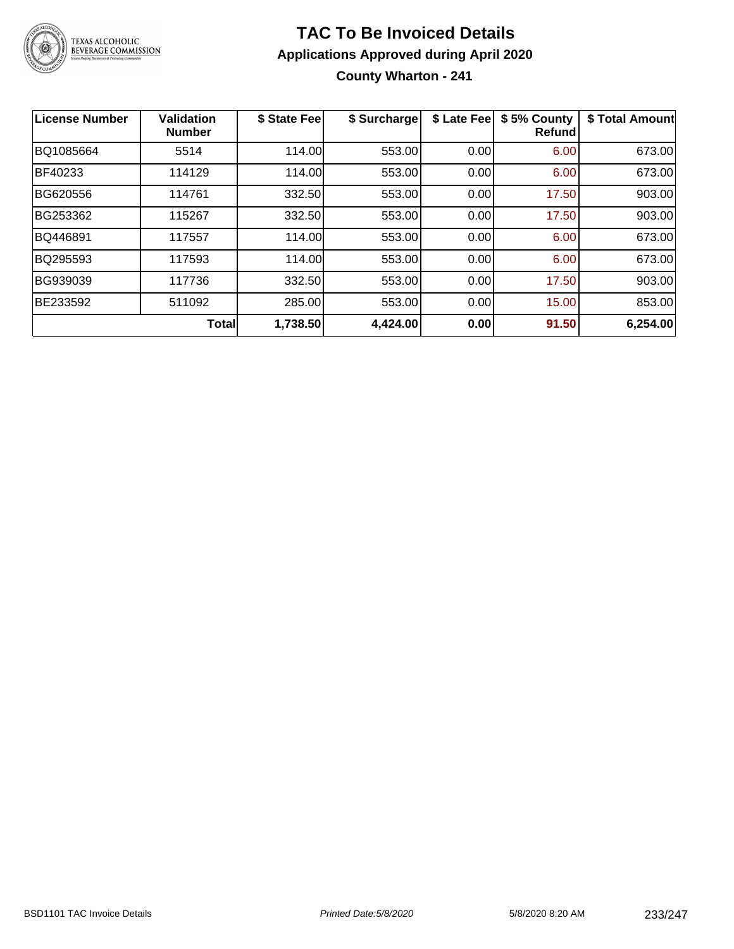

### **TAC To Be Invoiced Details Applications Approved during April 2020 County Wharton - 241**

| <b>License Number</b> | <b>Validation</b><br><b>Number</b> | \$ State Fee | \$ Surcharge | \$ Late Fee | \$5% County<br>Refund | \$ Total Amount |
|-----------------------|------------------------------------|--------------|--------------|-------------|-----------------------|-----------------|
| BQ1085664             | 5514                               | 114.00       | 553.00       | 0.00        | 6.00                  | 673.00          |
| BF40233               | 114129                             | 114.00       | 553.00       | 0.00        | 6.00                  | 673.00          |
| BG620556              | 114761                             | 332.50       | 553.00       | 0.00        | 17.50                 | 903.00          |
| BG253362              | 115267                             | 332.50       | 553.00       | 0.00        | 17.50                 | 903.00          |
| BQ446891              | 117557                             | 114.00       | 553.00       | 0.00        | 6.00                  | 673.00          |
| BQ295593              | 117593                             | 114.00       | 553.00       | 0.00        | 6.00                  | 673.00          |
| BG939039              | 117736                             | 332.50       | 553.00       | 0.00        | 17.50                 | 903.00          |
| BE233592              | 511092                             | 285.00       | 553.00       | 0.00        | 15.00                 | 853.00          |
|                       | Total                              | 1,738.50     | 4,424.00     | 0.00        | 91.50                 | 6,254.00        |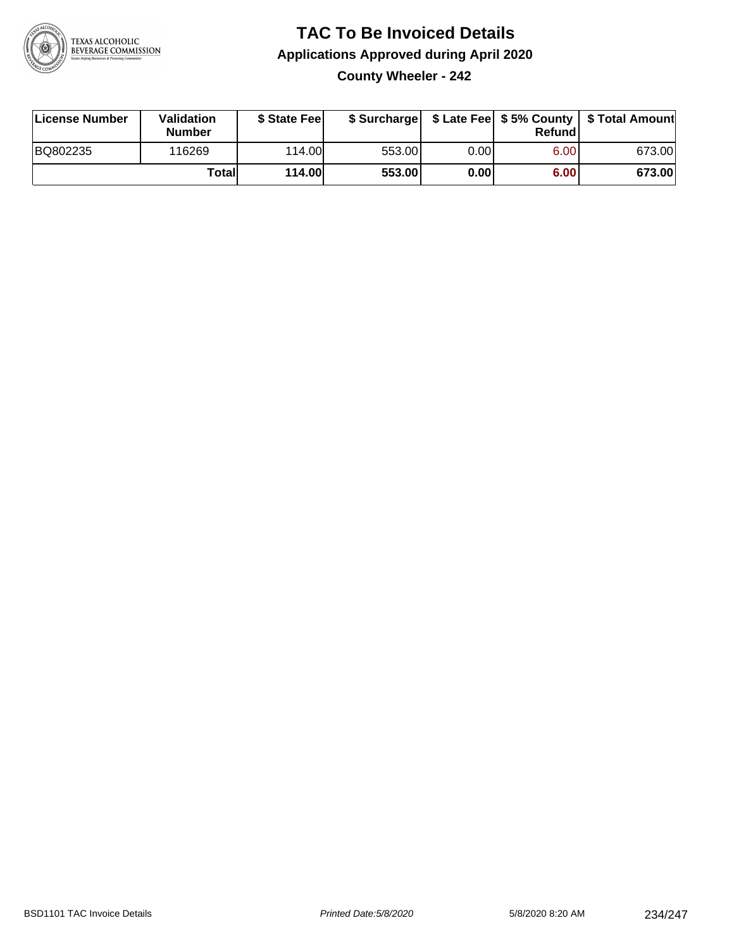

### **TAC To Be Invoiced Details Applications Approved during April 2020 County Wheeler - 242**

| License Number | Validation<br><b>Number</b> | \$ State Fee  |        |      | Refund | \$ Surcharge   \$ Late Fee   \$5% County   \$ Total Amount |
|----------------|-----------------------------|---------------|--------|------|--------|------------------------------------------------------------|
| BQ802235       | 116269                      | 114.00        | 553.00 | 0.00 | 6.00   | 673.00                                                     |
|                | Totall                      | <b>114.00</b> | 553.00 | 0.00 | 6.00   | 673.00                                                     |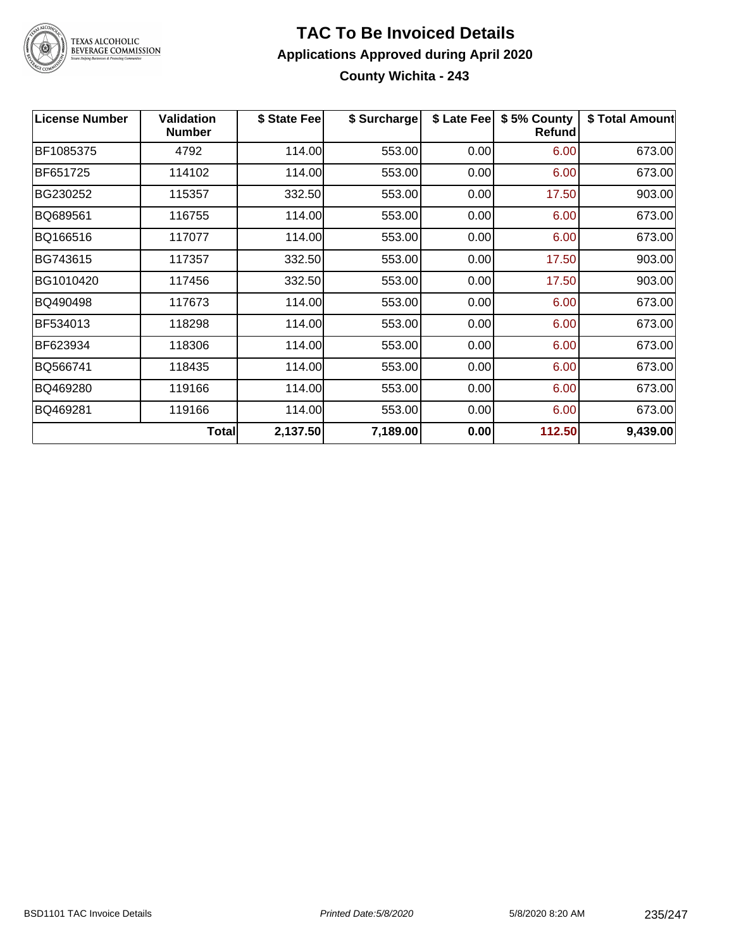

### TEXAS ALCOHOLIC<br>BEVERAGE COMMISSION

### **TAC To Be Invoiced Details Applications Approved during April 2020 County Wichita - 243**

| <b>License Number</b> | <b>Validation</b><br><b>Number</b> | \$ State Fee | \$ Surcharge | \$ Late Fee | \$5% County<br>Refund | \$ Total Amount |
|-----------------------|------------------------------------|--------------|--------------|-------------|-----------------------|-----------------|
| BF1085375             | 4792                               | 114.00       | 553.00       | 0.00        | 6.00                  | 673.00          |
| BF651725              | 114102                             | 114.00       | 553.00       | 0.00        | 6.00                  | 673.00          |
| BG230252              | 115357                             | 332.50       | 553.00       | 0.00        | 17.50                 | 903.00          |
| BQ689561              | 116755                             | 114.00       | 553.00       | 0.00        | 6.00                  | 673.00          |
| BQ166516              | 117077                             | 114.00       | 553.00       | 0.00        | 6.00                  | 673.00          |
| BG743615              | 117357                             | 332.50       | 553.00       | 0.00        | 17.50                 | 903.00          |
| BG1010420             | 117456                             | 332.50       | 553.00       | 0.00        | 17.50                 | 903.00          |
| BQ490498              | 117673                             | 114.00       | 553.00       | 0.00        | 6.00                  | 673.00          |
| BF534013              | 118298                             | 114.00       | 553.00       | 0.00        | 6.00                  | 673.00          |
| BF623934              | 118306                             | 114.00       | 553.00       | 0.00        | 6.00                  | 673.00          |
| BQ566741              | 118435                             | 114.00       | 553.00       | 0.00        | 6.00                  | 673.00          |
| BQ469280              | 119166                             | 114.00       | 553.00       | 0.00        | 6.00                  | 673.00          |
| BQ469281              | 119166                             | 114.00       | 553.00       | 0.00        | 6.00                  | 673.00          |
|                       | Total                              | 2,137.50     | 7,189.00     | 0.00        | 112.50                | 9,439.00        |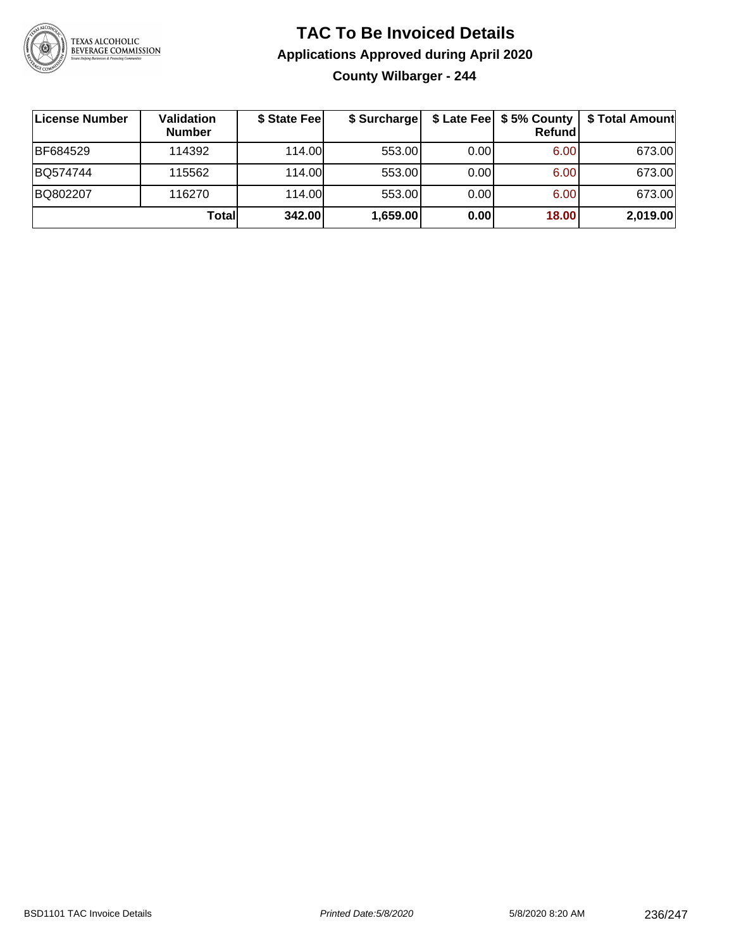

### **TAC To Be Invoiced Details Applications Approved during April 2020 County Wilbarger - 244**

| License Number | Validation<br><b>Number</b> | \$ State Fee | \$ Surcharge |      | $$$ Late Fee $$$ 5% County $ $<br><b>Refund</b> | \$ Total Amount |
|----------------|-----------------------------|--------------|--------------|------|-------------------------------------------------|-----------------|
| BF684529       | 114392                      | 114.00L      | 553.00       | 0.00 | 6.00                                            | 673.00          |
| BQ574744       | 115562                      | 114.00L      | 553.00       | 0.00 | 6.00                                            | 673.00          |
| BQ802207       | 116270                      | 114.00L      | 553.00       | 0.00 | 6.00                                            | 673.00          |
|                | Totall                      | 342.00       | 1,659.00     | 0.00 | 18.00                                           | 2,019.00        |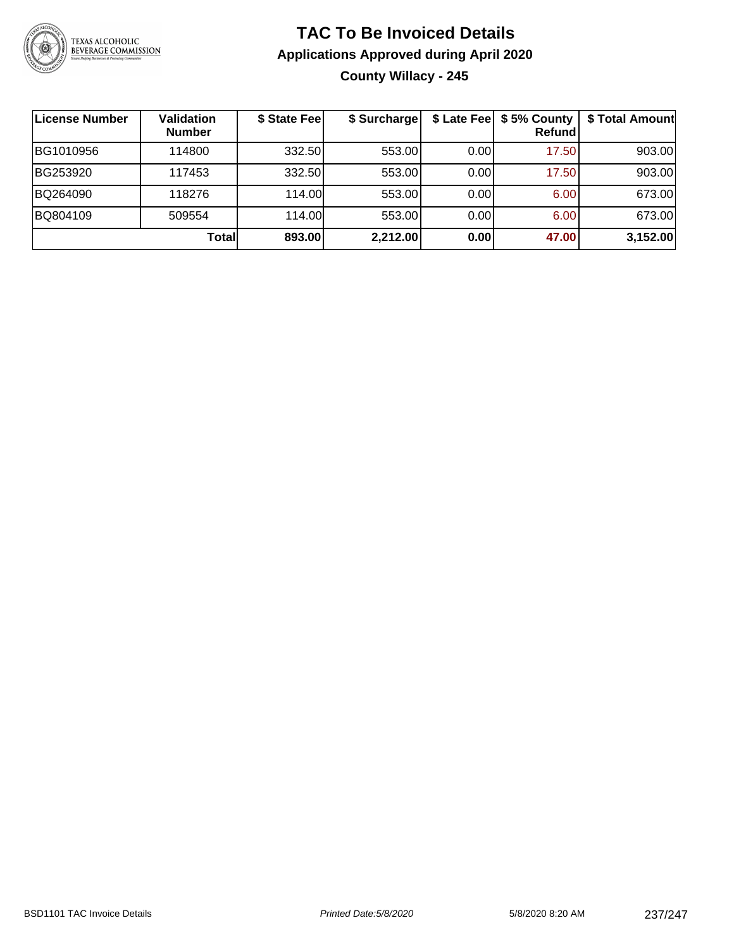

### **TAC To Be Invoiced Details Applications Approved during April 2020 County Willacy - 245**

| License Number | <b>Validation</b><br><b>Number</b> | \$ State Fee | \$ Surcharge |      | \$ Late Fee   \$5% County<br><b>Refund</b> | \$ Total Amount |
|----------------|------------------------------------|--------------|--------------|------|--------------------------------------------|-----------------|
| BG1010956      | 114800                             | 332.50       | 553.00       | 0.00 | 17.50                                      | 903.00          |
| BG253920       | 117453                             | 332.50       | 553.00       | 0.00 | 17.50                                      | 903.00          |
| BQ264090       | 118276                             | 114.00       | 553.00       | 0.00 | 6.00                                       | 673.00          |
| BQ804109       | 509554                             | 114.00L      | 553.00       | 0.00 | 6.00                                       | 673.00          |
|                | Totall                             | 893.00       | 2,212.00     | 0.00 | 47.00                                      | 3,152.00        |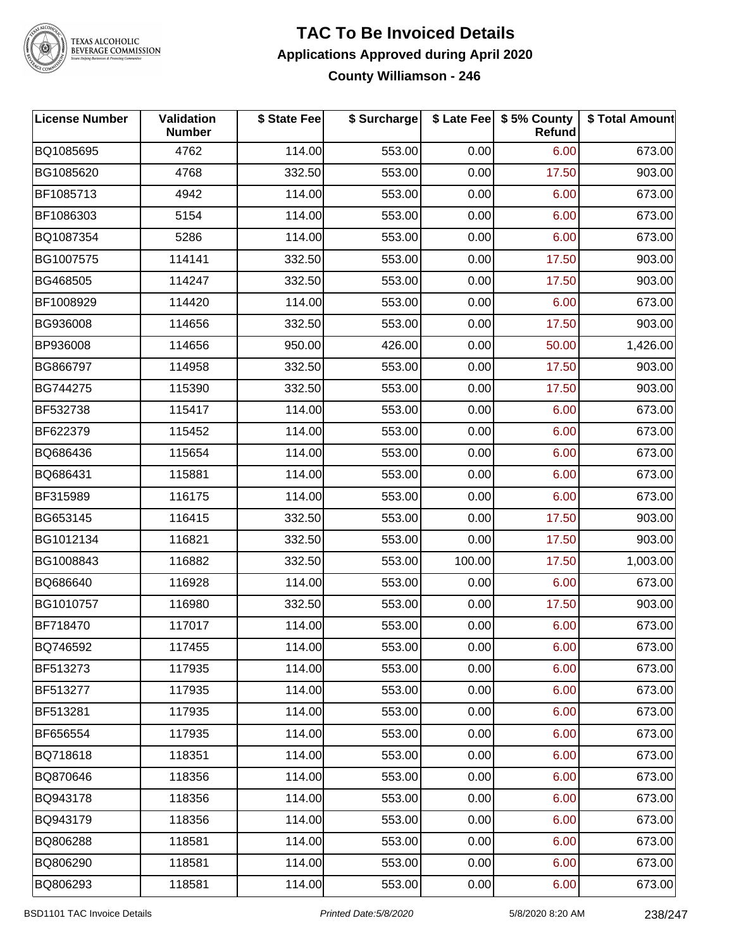

# TEXAS ALCOHOLIC<br>BEVERAGE COMMISSION

### **TAC To Be Invoiced Details Applications Approved during April 2020 County Williamson - 246**

| <b>License Number</b> | Validation<br><b>Number</b> | \$ State Fee | \$ Surcharge |        | \$ Late Fee   \$5% County<br><b>Refund</b> | \$ Total Amount |
|-----------------------|-----------------------------|--------------|--------------|--------|--------------------------------------------|-----------------|
| BQ1085695             | 4762                        | 114.00       | 553.00       | 0.00   | 6.00                                       | 673.00          |
| BG1085620             | 4768                        | 332.50       | 553.00       | 0.00   | 17.50                                      | 903.00          |
| BF1085713             | 4942                        | 114.00       | 553.00       | 0.00   | 6.00                                       | 673.00          |
| BF1086303             | 5154                        | 114.00       | 553.00       | 0.00   | 6.00                                       | 673.00          |
| BQ1087354             | 5286                        | 114.00       | 553.00       | 0.00   | 6.00                                       | 673.00          |
| BG1007575             | 114141                      | 332.50       | 553.00       | 0.00   | 17.50                                      | 903.00          |
| BG468505              | 114247                      | 332.50       | 553.00       | 0.00   | 17.50                                      | 903.00          |
| BF1008929             | 114420                      | 114.00       | 553.00       | 0.00   | 6.00                                       | 673.00          |
| BG936008              | 114656                      | 332.50       | 553.00       | 0.00   | 17.50                                      | 903.00          |
| BP936008              | 114656                      | 950.00       | 426.00       | 0.00   | 50.00                                      | 1,426.00        |
| BG866797              | 114958                      | 332.50       | 553.00       | 0.00   | 17.50                                      | 903.00          |
| BG744275              | 115390                      | 332.50       | 553.00       | 0.00   | 17.50                                      | 903.00          |
| BF532738              | 115417                      | 114.00       | 553.00       | 0.00   | 6.00                                       | 673.00          |
| BF622379              | 115452                      | 114.00       | 553.00       | 0.00   | 6.00                                       | 673.00          |
| BQ686436              | 115654                      | 114.00       | 553.00       | 0.00   | 6.00                                       | 673.00          |
| BQ686431              | 115881                      | 114.00       | 553.00       | 0.00   | 6.00                                       | 673.00          |
| BF315989              | 116175                      | 114.00       | 553.00       | 0.00   | 6.00                                       | 673.00          |
| BG653145              | 116415                      | 332.50       | 553.00       | 0.00   | 17.50                                      | 903.00          |
| BG1012134             | 116821                      | 332.50       | 553.00       | 0.00   | 17.50                                      | 903.00          |
| BG1008843             | 116882                      | 332.50       | 553.00       | 100.00 | 17.50                                      | 1,003.00        |
| BQ686640              | 116928                      | 114.00       | 553.00       | 0.00   | 6.00                                       | 673.00          |
| BG1010757             | 116980                      | 332.50       | 553.00       | 0.00   | 17.50                                      | 903.00          |
| BF718470              | 117017                      | 114.00       | 553.00       | 0.00   | 6.00                                       | 673.00          |
| BQ746592              | 117455                      | 114.00       | 553.00       | 0.00   | 6.00                                       | 673.00          |
| BF513273              | 117935                      | 114.00       | 553.00       | 0.00   | 6.00                                       | 673.00          |
| BF513277              | 117935                      | 114.00       | 553.00       | 0.00   | 6.00                                       | 673.00          |
| BF513281              | 117935                      | 114.00       | 553.00       | 0.00   | 6.00                                       | 673.00          |
| BF656554              | 117935                      | 114.00       | 553.00       | 0.00   | 6.00                                       | 673.00          |
| BQ718618              | 118351                      | 114.00       | 553.00       | 0.00   | 6.00                                       | 673.00          |
| BQ870646              | 118356                      | 114.00       | 553.00       | 0.00   | 6.00                                       | 673.00          |
| BQ943178              | 118356                      | 114.00       | 553.00       | 0.00   | 6.00                                       | 673.00          |
| BQ943179              | 118356                      | 114.00       | 553.00       | 0.00   | 6.00                                       | 673.00          |
| BQ806288              | 118581                      | 114.00       | 553.00       | 0.00   | 6.00                                       | 673.00          |
| BQ806290              | 118581                      | 114.00       | 553.00       | 0.00   | 6.00                                       | 673.00          |
| BQ806293              | 118581                      | 114.00       | 553.00       | 0.00   | 6.00                                       | 673.00          |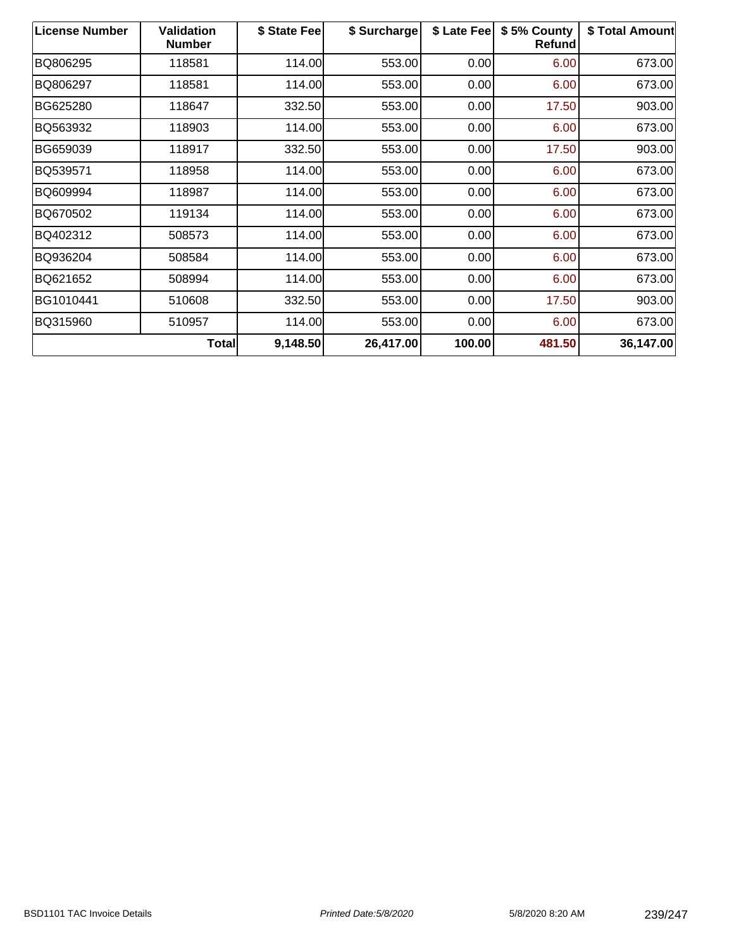| <b>License Number</b> | <b>Validation</b><br><b>Number</b> | \$ State Fee | \$ Surcharge | \$ Late Fee | \$5% County<br>Refund | \$ Total Amount |
|-----------------------|------------------------------------|--------------|--------------|-------------|-----------------------|-----------------|
| BQ806295              | 118581                             | 114.00       | 553.00       | 0.00        | 6.00                  | 673.00          |
| BQ806297              | 118581                             | 114.00       | 553.00       | 0.00        | 6.00                  | 673.00          |
| BG625280              | 118647                             | 332.50       | 553.00       | 0.00        | 17.50                 | 903.00          |
| BQ563932              | 118903                             | 114.00       | 553.00       | 0.00        | 6.00                  | 673.00          |
| BG659039              | 118917                             | 332.50       | 553.00       | 0.00        | 17.50                 | 903.00          |
| BQ539571              | 118958                             | 114.00       | 553.00       | 0.00        | 6.00                  | 673.00          |
| BQ609994              | 118987                             | 114.00       | 553.00       | 0.00        | 6.00                  | 673.00          |
| BQ670502              | 119134                             | 114.00       | 553.00       | 0.00        | 6.00                  | 673.00          |
| BQ402312              | 508573                             | 114.00       | 553.00       | 0.00        | 6.00                  | 673.00          |
| BQ936204              | 508584                             | 114.00       | 553.00       | 0.00        | 6.00                  | 673.00          |
| BQ621652              | 508994                             | 114.00       | 553.00       | 0.00        | 6.00                  | 673.00          |
| BG1010441             | 510608                             | 332.50       | 553.00       | 0.00        | 17.50                 | 903.00          |
| BQ315960              | 510957                             | 114.00       | 553.00       | 0.00        | 6.00                  | 673.00          |
|                       | <b>Total</b>                       | 9,148.50     | 26,417.00    | 100.00      | 481.50                | 36,147.00       |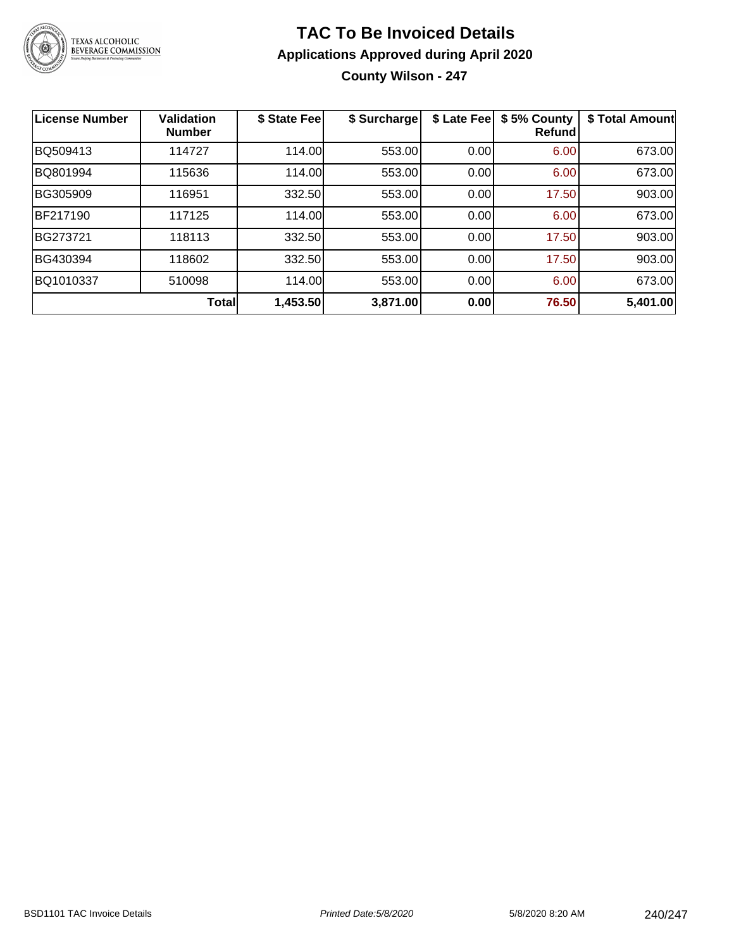

### **TAC To Be Invoiced Details Applications Approved during April 2020 County Wilson - 247**

| <b>License Number</b> | <b>Validation</b><br><b>Number</b> | \$ State Fee | \$ Surcharge | \$ Late Fee | \$5% County<br><b>Refund</b> | \$ Total Amount |
|-----------------------|------------------------------------|--------------|--------------|-------------|------------------------------|-----------------|
| BQ509413              | 114727                             | 114.00       | 553.00       | 0.00        | 6.00                         | 673.00          |
| BQ801994              | 115636                             | 114.00       | 553.00       | 0.00        | 6.00                         | 673.00          |
| BG305909              | 116951                             | 332.50       | 553.00       | 0.00        | 17.50                        | 903.00          |
| BF217190              | 117125                             | 114.00       | 553.00       | 0.00        | 6.00                         | 673.00          |
| BG273721              | 118113                             | 332.50       | 553.00       | 0.00        | 17.50                        | 903.00          |
| BG430394              | 118602                             | 332.50       | 553.00       | 0.00        | 17.50                        | 903.00          |
| BQ1010337             | 510098                             | 114.00       | 553.00       | 0.00        | 6.00                         | 673.00          |
|                       | <b>Total</b>                       | 1,453.50     | 3,871.00     | 0.00        | 76.50                        | 5,401.00        |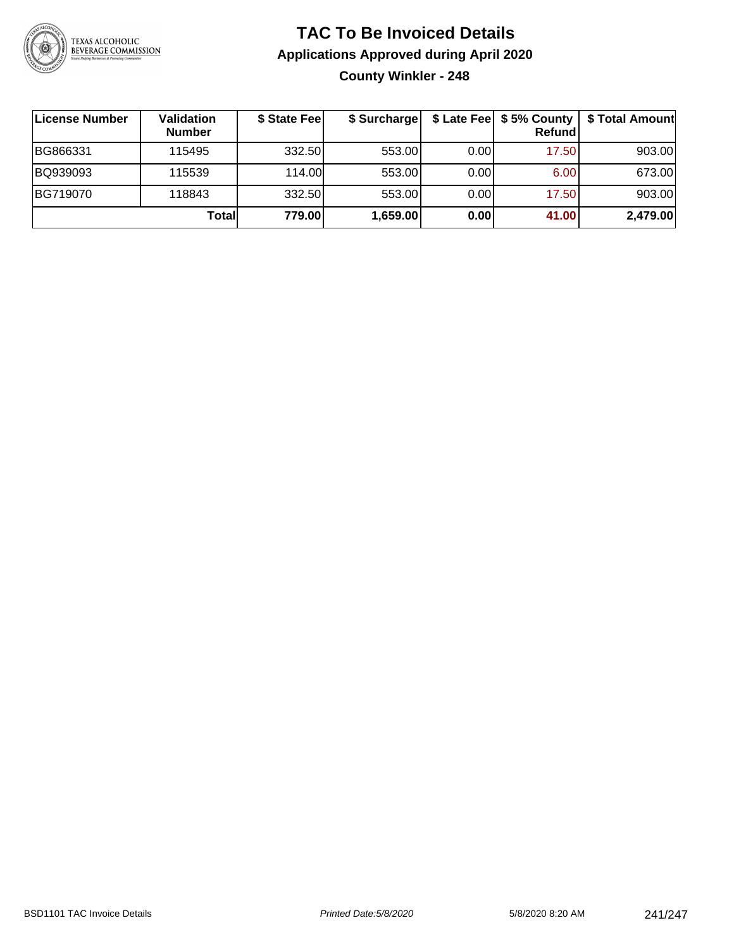

### **TAC To Be Invoiced Details Applications Approved during April 2020 County Winkler - 248**

| License Number | Validation<br><b>Number</b> | \$ State Fee | \$ Surcharge |      | \$ Late Fee   \$5% County<br>Refund | \$ Total Amount |
|----------------|-----------------------------|--------------|--------------|------|-------------------------------------|-----------------|
| BG866331       | 115495                      | 332.50       | 553.00       | 0.00 | 17.50                               | 903.00          |
| BQ939093       | 115539                      | 114.00       | 553.00       | 0.00 | 6.00                                | 673.00          |
| BG719070       | 118843                      | 332.50       | 553.00       | 0.00 | 17.50                               | 903.00          |
|                | Totall                      | 779.00       | 1,659.00     | 0.00 | 41.00                               | 2,479.00        |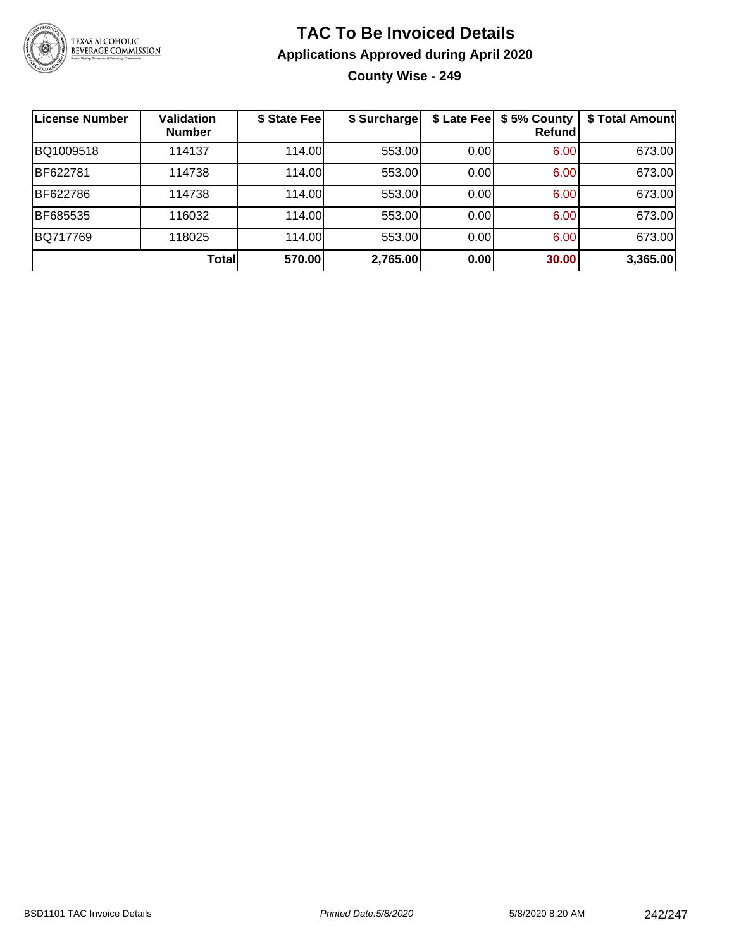

### **TAC To Be Invoiced Details Applications Approved during April 2020 County Wise - 249**

| <b>License Number</b> | <b>Validation</b><br><b>Number</b> | \$ State Fee | \$ Surcharge |      | \$ Late Fee   \$5% County<br>Refund | \$ Total Amount |
|-----------------------|------------------------------------|--------------|--------------|------|-------------------------------------|-----------------|
| BQ1009518             | 114137                             | 114.00       | 553.00       | 0.00 | 6.00                                | 673.00          |
| BF622781              | 114738                             | 114.00       | 553.00       | 0.00 | 6.00                                | 673.00          |
| BF622786              | 114738                             | 114.00       | 553.00       | 0.00 | 6.00                                | 673.00          |
| BF685535              | 116032                             | 114.00       | 553.00       | 0.00 | 6.00                                | 673.00          |
| BQ717769              | 118025                             | 114.00       | 553.00       | 0.00 | 6.00                                | 673.00          |
|                       | Total                              | 570.00       | 2,765.00     | 0.00 | 30.00                               | 3,365.00        |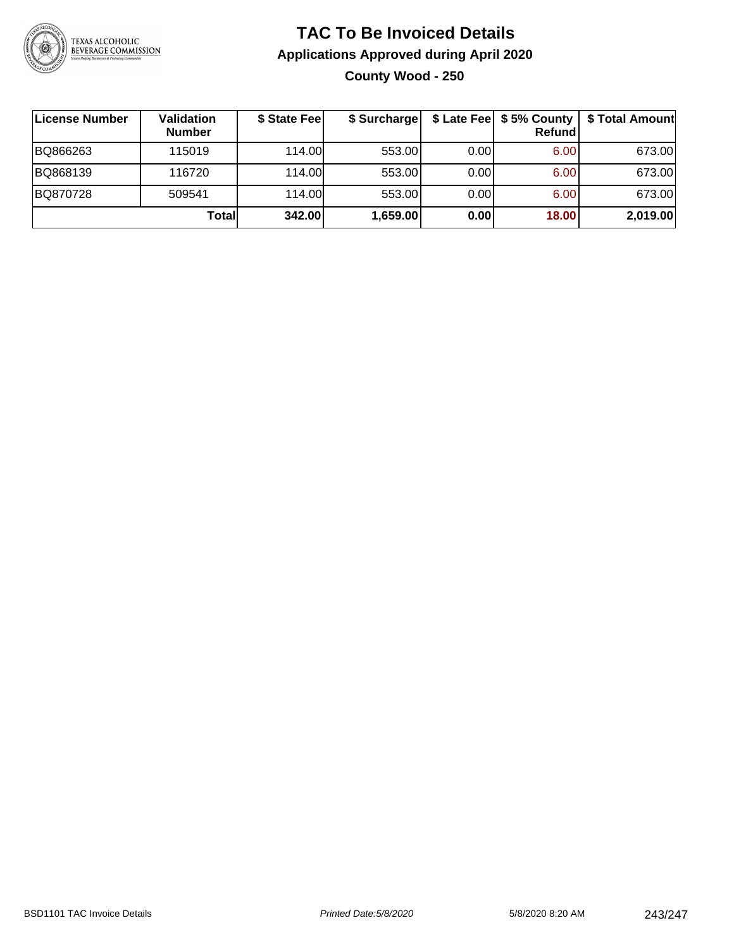

### **TAC To Be Invoiced Details Applications Approved during April 2020 County Wood - 250**

| License Number | Validation<br><b>Number</b> | \$ State Fee | \$ Surcharge |      | $$$ Late Fee $$5%$ County<br><b>Refund</b> | \$ Total Amount |
|----------------|-----------------------------|--------------|--------------|------|--------------------------------------------|-----------------|
| BQ866263       | 115019                      | 114.00L      | 553.00       | 0.00 | 6.00                                       | 673.00          |
| BQ868139       | 116720                      | 114.00L      | 553.00       | 0.00 | 6.00                                       | 673.00          |
| BQ870728       | 509541                      | 114.00L      | 553.00       | 0.00 | 6.00                                       | 673.00          |
|                | Totall                      | 342.00       | 1,659.00     | 0.00 | 18.00                                      | 2,019.00        |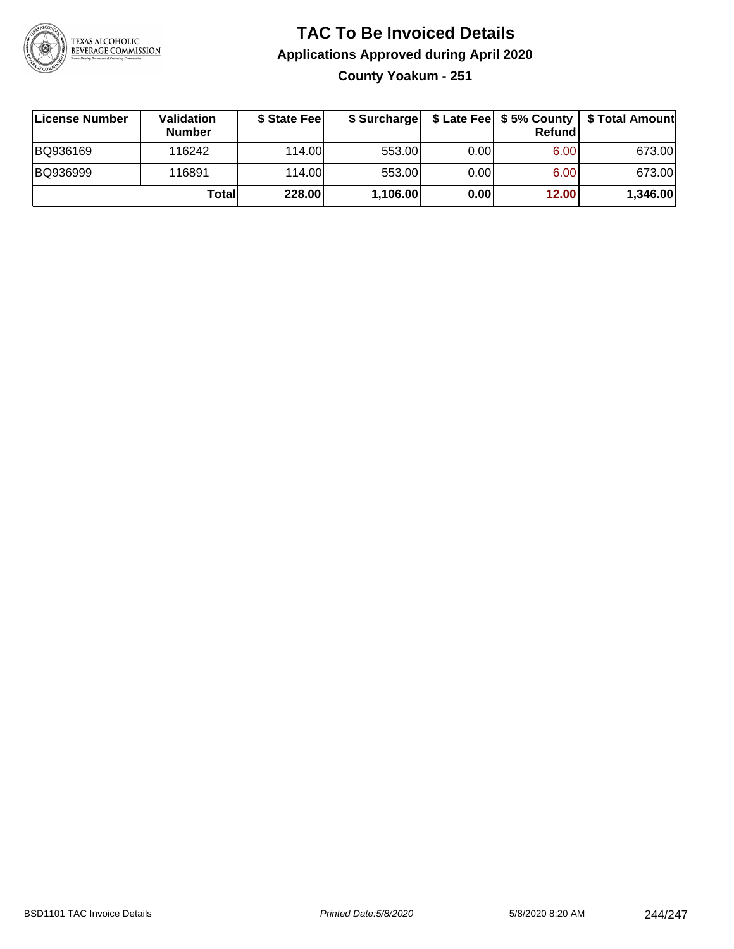

### **TAC To Be Invoiced Details Applications Approved during April 2020**

**County Yoakum - 251**

| License Number | Validation<br><b>Number</b> | \$ State Fee | \$ Surcharge |       | Refundl           | \$ Late Fee   \$5% County   \$ Total Amount |
|----------------|-----------------------------|--------------|--------------|-------|-------------------|---------------------------------------------|
| BQ936169       | 116242                      | 114.00       | 553.00       | 0.00  | 6.00 <sub>1</sub> | 673.00                                      |
| BQ936999       | 116891                      | 114.00       | 553.00       | 0.001 | 6.00              | 673.00                                      |
|                | Totall                      | 228.00       | 1,106.00     | 0.00  | 12.00             | 1,346.00                                    |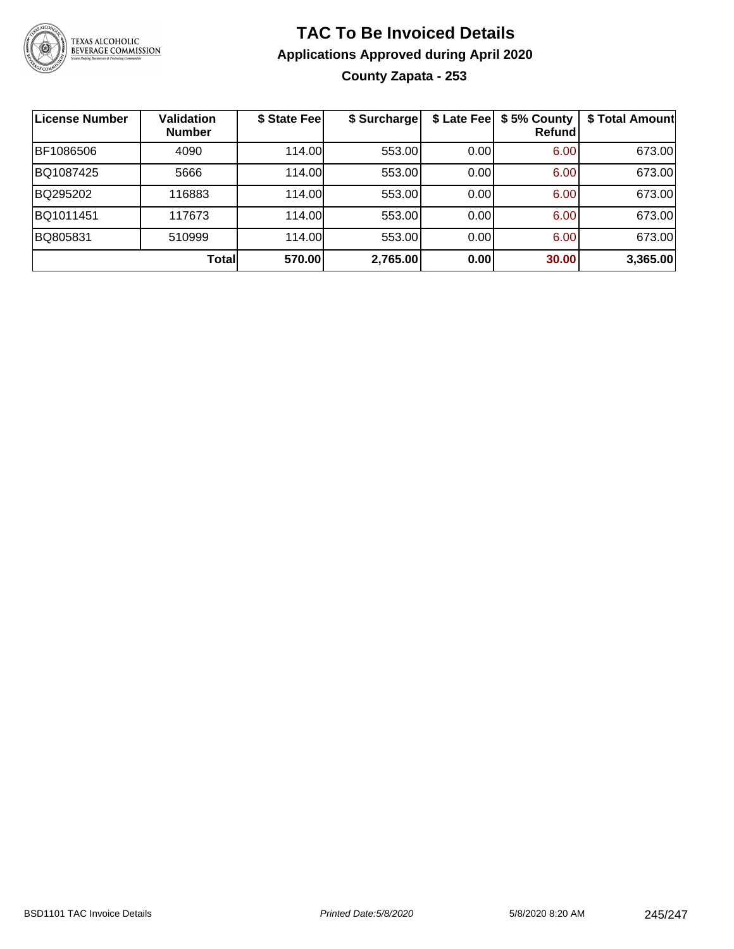

### **TAC To Be Invoiced Details Applications Approved during April 2020 County Zapata - 253**

| <b>License Number</b> | <b>Validation</b><br><b>Number</b> | \$ State Fee | \$ Surcharge |      | \$ Late Fee   \$5% County<br>Refund | \$ Total Amount |
|-----------------------|------------------------------------|--------------|--------------|------|-------------------------------------|-----------------|
| BF1086506             | 4090                               | 114.00       | 553.00       | 0.00 | 6.00                                | 673.00          |
| BQ1087425             | 5666                               | 114.00       | 553.00       | 0.00 | 6.00                                | 673.00          |
| BQ295202              | 116883                             | 114.00       | 553.00       | 0.00 | 6.00                                | 673.00          |
| BQ1011451             | 117673                             | 114.00       | 553.00       | 0.00 | 6.00                                | 673.00          |
| BQ805831              | 510999                             | 114.00       | 553.00       | 0.00 | 6.00                                | 673.00          |
|                       | Total                              | 570.00       | 2,765.00     | 0.00 | 30.00                               | 3,365.00        |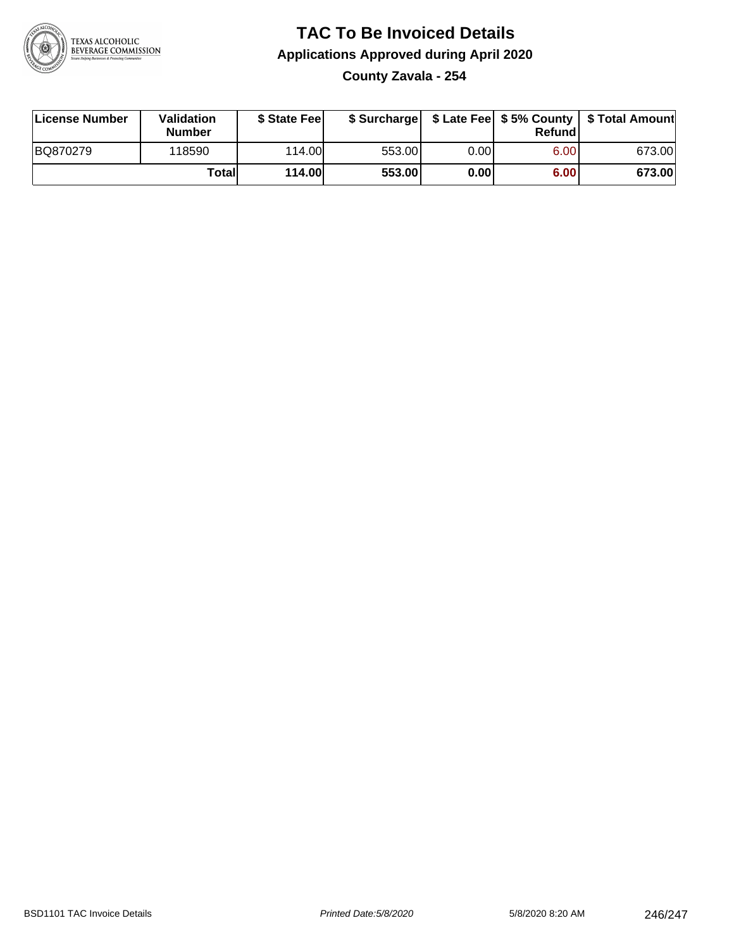

# **TAC To Be Invoiced Details Applications Approved during April 2020**

**County Zavala - 254**

| License Number | Validation<br><b>Number</b> | \$ State Feel |        |      | Refundl | \$ Surcharge   \$ Late Fee   \$5% County   \$ Total Amount |
|----------------|-----------------------------|---------------|--------|------|---------|------------------------------------------------------------|
| BQ870279       | 118590                      | 114.00        | 553.00 | 0.00 | 6.00    | 673.00                                                     |
|                | Totall                      | <b>114.00</b> | 553.00 | 0.00 | 6.00    | 673.00                                                     |